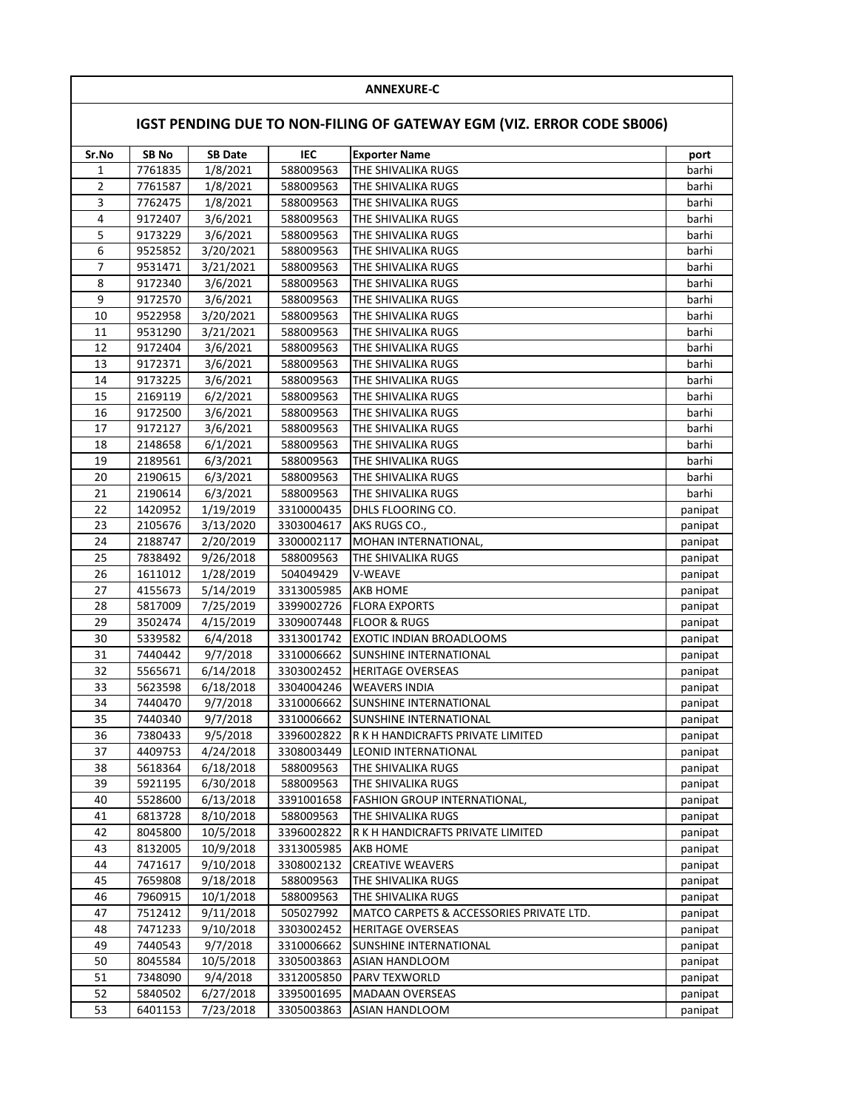## **ANNEXURE-C**

## **IGST PENDING DUE TO NON-FILING OF GATEWAY EGM (VIZ. ERROR CODE SB006)**

| Sr.No          | SB <sub>No</sub>   | <b>SB Date</b>         | IEC                    | <b>Exporter Name</b>                     | port    |
|----------------|--------------------|------------------------|------------------------|------------------------------------------|---------|
| 1              | 7761835            | 1/8/2021               | 588009563              | THE SHIVALIKA RUGS                       | barhi   |
| $\overline{2}$ |                    | 1/8/2021               |                        | THE SHIVALIKA RUGS                       | barhi   |
| 3              | 7761587<br>7762475 | 1/8/2021               | 588009563              |                                          | barhi   |
| 4              | 9172407            | 3/6/2021               | 588009563<br>588009563 | THE SHIVALIKA RUGS<br>THE SHIVALIKA RUGS | barhi   |
| 5              | 9173229            | 3/6/2021               | 588009563              | THE SHIVALIKA RUGS                       | barhi   |
| 6              | 9525852            |                        | 588009563              |                                          | barhi   |
| $\overline{7}$ | 9531471            | 3/20/2021<br>3/21/2021 | 588009563              | THE SHIVALIKA RUGS<br>THE SHIVALIKA RUGS | barhi   |
| 8              | 9172340            |                        |                        | THE SHIVALIKA RUGS                       |         |
| 9              |                    | 3/6/2021               | 588009563              |                                          | barhi   |
| 10             | 9172570            | 3/6/2021               | 588009563              | THE SHIVALIKA RUGS                       | barhi   |
|                | 9522958            | 3/20/2021              | 588009563              | THE SHIVALIKA RUGS                       | barhi   |
| 11<br>12       | 9531290            | 3/21/2021              | 588009563              | THE SHIVALIKA RUGS                       | barhi   |
|                | 9172404            | 3/6/2021               | 588009563              | THE SHIVALIKA RUGS                       | barhi   |
| 13             | 9172371            | 3/6/2021               | 588009563              | THE SHIVALIKA RUGS                       | barhi   |
| 14             | 9173225            | 3/6/2021               | 588009563              | THE SHIVALIKA RUGS                       | barhi   |
| 15             | 2169119            | 6/2/2021               | 588009563              | THE SHIVALIKA RUGS                       | barhi   |
| 16             | 9172500            | 3/6/2021               | 588009563              | THE SHIVALIKA RUGS                       | barhi   |
| 17             | 9172127            | 3/6/2021               | 588009563              | THE SHIVALIKA RUGS                       | barhi   |
| 18             | 2148658            | 6/1/2021               | 588009563              | THE SHIVALIKA RUGS                       | barhi   |
| 19             | 2189561            | 6/3/2021               | 588009563              | THE SHIVALIKA RUGS                       | barhi   |
| 20             | 2190615            | 6/3/2021               | 588009563              | THE SHIVALIKA RUGS                       | barhi   |
| 21             | 2190614            | 6/3/2021               | 588009563              | THE SHIVALIKA RUGS                       | barhi   |
| 22             | 1420952            | 1/19/2019              | 3310000435             | DHLS FLOORING CO.                        | panipat |
| 23             | 2105676            | 3/13/2020              | 3303004617             | AKS RUGS CO.,                            | panipat |
| 24             | 2188747            | 2/20/2019              | 3300002117             | MOHAN INTERNATIONAL,                     | panipat |
| 25             | 7838492            | 9/26/2018              | 588009563              | THE SHIVALIKA RUGS                       | panipat |
| 26             | 1611012            | 1/28/2019              | 504049429              | V-WEAVE                                  | panipat |
| 27             | 4155673            | 5/14/2019              | 3313005985             | <b>AKB HOME</b>                          | panipat |
| 28             | 5817009            | 7/25/2019              | 3399002726             | <b>FLORA EXPORTS</b>                     | panipat |
| 29             | 3502474            | 4/15/2019              | 3309007448             | <b>FLOOR &amp; RUGS</b>                  | panipat |
| 30             | 5339582            | 6/4/2018               | 3313001742             | EXOTIC INDIAN BROADLOOMS                 | panipat |
| 31             | 7440442            | 9/7/2018               | 3310006662             | SUNSHINE INTERNATIONAL                   | panipat |
| 32             | 5565671            | 6/14/2018              | 3303002452             | <b>HERITAGE OVERSEAS</b>                 | panipat |
| 33             | 5623598            | 6/18/2018              | 3304004246             | <b>WEAVERS INDIA</b>                     | panipat |
| 34             | 7440470            | 9/7/2018               | 3310006662             | SUNSHINE INTERNATIONAL                   | panipat |
| 35             | 7440340            | 9/7/2018               | 3310006662             | SUNSHINE INTERNATIONAL                   | panipat |
| 36             | 7380433            | 9/5/2018               | 3396002822             | R K H HANDICRAFTS PRIVATE LIMITED        | panipat |
| 37             | 4409753            | 4/24/2018              | 3308003449             | LEONID INTERNATIONAL                     | panipat |
| 38             | 5618364            | 6/18/2018              | 588009563              | THE SHIVALIKA RUGS                       | panipat |
| 39             | 5921195            | 6/30/2018              | 588009563              | THE SHIVALIKA RUGS                       | panipat |
| 40             | 5528600            | 6/13/2018              | 3391001658             | <b>FASHION GROUP INTERNATIONAL,</b>      | panipat |
| 41             | 6813728            | 8/10/2018              | 588009563              | THE SHIVALIKA RUGS                       | panipat |
| 42             | 8045800            | 10/5/2018              | 3396002822             | R K H HANDICRAFTS PRIVATE LIMITED        | panipat |
| 43             | 8132005            | 10/9/2018              | 3313005985             | AKB HOME                                 | panipat |
| 44             | 7471617            | 9/10/2018              | 3308002132             | <b>CREATIVE WEAVERS</b>                  | panipat |
| 45             | 7659808            | 9/18/2018              | 588009563              | THE SHIVALIKA RUGS                       | panipat |
| 46             | 7960915            | 10/1/2018              | 588009563              | THE SHIVALIKA RUGS                       | panipat |
| 47             | 7512412            | 9/11/2018              | 505027992              | MATCO CARPETS & ACCESSORIES PRIVATE LTD. | panipat |
| 48             | 7471233            | 9/10/2018              | 3303002452             | <b>HERITAGE OVERSEAS</b>                 | panipat |
| 49             | 7440543            | 9/7/2018               | 3310006662             | SUNSHINE INTERNATIONAL                   | panipat |
| 50             | 8045584            | 10/5/2018              | 3305003863             | ASIAN HANDLOOM                           | panipat |
| 51             | 7348090            | 9/4/2018               | 3312005850             | PARV TEXWORLD                            | panipat |
| 52             | 5840502            | 6/27/2018              | 3395001695             | <b>MADAAN OVERSEAS</b>                   | panipat |
| 53             | 6401153            | 7/23/2018              | 3305003863             | ASIAN HANDLOOM                           | panipat |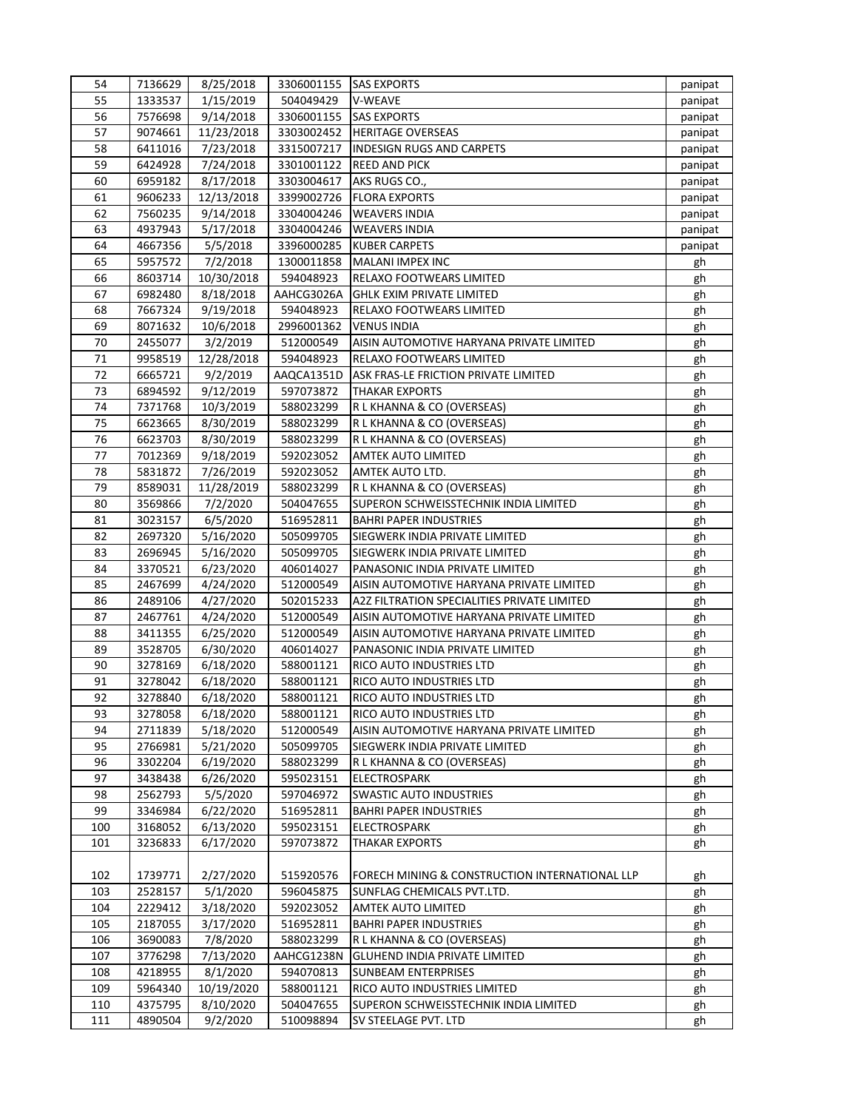| 54  | 7136629 | 8/25/2018  |            | 3306001155 SAS EXPORTS                         | panipat |
|-----|---------|------------|------------|------------------------------------------------|---------|
| 55  | 1333537 | 1/15/2019  | 504049429  | V-WEAVE                                        | panipat |
| 56  | 7576698 | 9/14/2018  | 3306001155 | <b>SAS EXPORTS</b>                             | panipat |
| 57  | 9074661 | 11/23/2018 | 3303002452 | <b>HERITAGE OVERSEAS</b>                       | panipat |
| 58  | 6411016 | 7/23/2018  | 3315007217 | <b>INDESIGN RUGS AND CARPETS</b>               | panipat |
| 59  | 6424928 | 7/24/2018  | 3301001122 | <b>REED AND PICK</b>                           | panipat |
| 60  | 6959182 | 8/17/2018  | 3303004617 | AKS RUGS CO.,                                  | panipat |
| 61  | 9606233 | 12/13/2018 | 3399002726 | <b>FLORA EXPORTS</b>                           | panipat |
| 62  | 7560235 | 9/14/2018  | 3304004246 | <b>WEAVERS INDIA</b>                           | panipat |
| 63  | 4937943 | 5/17/2018  | 3304004246 | <b>WEAVERS INDIA</b>                           | panipat |
| 64  | 4667356 | 5/5/2018   | 3396000285 | <b>KUBER CARPETS</b>                           | panipat |
| 65  | 5957572 | 7/2/2018   | 1300011858 | MALANI IMPEX INC                               | gh      |
| 66  | 8603714 | 10/30/2018 | 594048923  | RELAXO FOOTWEARS LIMITED                       | gh      |
| 67  | 6982480 | 8/18/2018  | AAHCG3026A | <b>GHLK EXIM PRIVATE LIMITED</b>               | gh      |
| 68  | 7667324 | 9/19/2018  | 594048923  | RELAXO FOOTWEARS LIMITED                       | gh      |
| 69  | 8071632 | 10/6/2018  | 2996001362 | <b>VENUS INDIA</b>                             | gh      |
| 70  | 2455077 | 3/2/2019   | 512000549  | AISIN AUTOMOTIVE HARYANA PRIVATE LIMITED       | gh      |
| 71  | 9958519 | 12/28/2018 | 594048923  | RELAXO FOOTWEARS LIMITED                       | gh      |
| 72  | 6665721 | 9/2/2019   | AAQCA1351D | ASK FRAS-LE FRICTION PRIVATE LIMITED           | gh      |
| 73  | 6894592 | 9/12/2019  | 597073872  | <b>THAKAR EXPORTS</b>                          | gh      |
| 74  | 7371768 | 10/3/2019  | 588023299  | R L KHANNA & CO (OVERSEAS)                     | gh      |
| 75  | 6623665 | 8/30/2019  | 588023299  | R L KHANNA & CO (OVERSEAS)                     | gh      |
| 76  | 6623703 | 8/30/2019  | 588023299  | R L KHANNA & CO (OVERSEAS)                     | gh      |
| 77  | 7012369 | 9/18/2019  | 592023052  | <b>AMTEK AUTO LIMITED</b>                      | gh      |
| 78  | 5831872 | 7/26/2019  | 592023052  | AMTEK AUTO LTD.                                | gh      |
| 79  | 8589031 | 11/28/2019 | 588023299  | R L KHANNA & CO (OVERSEAS)                     | gh      |
| 80  | 3569866 | 7/2/2020   | 504047655  | SUPERON SCHWEISSTECHNIK INDIA LIMITED          | gh      |
| 81  | 3023157 | 6/5/2020   | 516952811  | <b>BAHRI PAPER INDUSTRIES</b>                  | gh      |
| 82  | 2697320 | 5/16/2020  | 505099705  | SIEGWERK INDIA PRIVATE LIMITED                 | gh      |
| 83  | 2696945 | 5/16/2020  | 505099705  | SIEGWERK INDIA PRIVATE LIMITED                 | gh      |
| 84  | 3370521 | 6/23/2020  | 406014027  | PANASONIC INDIA PRIVATE LIMITED                | gh      |
| 85  | 2467699 | 4/24/2020  | 512000549  | AISIN AUTOMOTIVE HARYANA PRIVATE LIMITED       | gh      |
| 86  | 2489106 | 4/27/2020  | 502015233  | A2Z FILTRATION SPECIALITIES PRIVATE LIMITED    | gh      |
| 87  | 2467761 | 4/24/2020  | 512000549  | AISIN AUTOMOTIVE HARYANA PRIVATE LIMITED       | gh      |
| 88  | 3411355 | 6/25/2020  | 512000549  | AISIN AUTOMOTIVE HARYANA PRIVATE LIMITED       | gh      |
| 89  | 3528705 | 6/30/2020  | 406014027  | PANASONIC INDIA PRIVATE LIMITED                | gh      |
| 90  | 3278169 | 6/18/2020  | 588001121  | RICO AUTO INDUSTRIES LTD                       | gh      |
| 91  | 3278042 | 6/18/2020  | 588001121  | RICO AUTO INDUSTRIES LTD                       | gh      |
| 92  | 3278840 | 6/18/2020  | 588001121  | RICO AUTO INDUSTRIES LTD                       | gh      |
| 93  | 3278058 | 6/18/2020  | 588001121  | RICO AUTO INDUSTRIES LTD                       | gh      |
| 94  | 2711839 | 5/18/2020  | 512000549  | AISIN AUTOMOTIVE HARYANA PRIVATE LIMITED       | gh      |
| 95  | 2766981 | 5/21/2020  | 505099705  | SIEGWERK INDIA PRIVATE LIMITED                 | gh      |
| 96  | 3302204 | 6/19/2020  | 588023299  | R L KHANNA & CO (OVERSEAS)                     | gh      |
| 97  | 3438438 | 6/26/2020  | 595023151  | <b>ELECTROSPARK</b>                            | gh      |
| 98  | 2562793 | 5/5/2020   | 597046972  | SWASTIC AUTO INDUSTRIES                        | gh      |
| 99  | 3346984 | 6/22/2020  | 516952811  | <b>BAHRI PAPER INDUSTRIES</b>                  | gh      |
| 100 | 3168052 | 6/13/2020  | 595023151  | <b>ELECTROSPARK</b>                            | gh      |
| 101 | 3236833 | 6/17/2020  | 597073872  | <b>THAKAR EXPORTS</b>                          | gh      |
|     |         |            |            |                                                |         |
| 102 | 1739771 | 2/27/2020  | 515920576  | FORECH MINING & CONSTRUCTION INTERNATIONAL LLP | gh      |
| 103 | 2528157 | 5/1/2020   | 596045875  | SUNFLAG CHEMICALS PVT.LTD.                     | gh      |
| 104 | 2229412 | 3/18/2020  | 592023052  | AMTEK AUTO LIMITED                             | gh      |
| 105 | 2187055 | 3/17/2020  | 516952811  | <b>BAHRI PAPER INDUSTRIES</b>                  | gh      |
| 106 | 3690083 | 7/8/2020   | 588023299  | R L KHANNA & CO (OVERSEAS)                     | gh      |
| 107 | 3776298 | 7/13/2020  | AAHCG1238N | GLUHEND INDIA PRIVATE LIMITED                  | gh      |
| 108 | 4218955 | 8/1/2020   | 594070813  | <b>SUNBEAM ENTERPRISES</b>                     | gh      |
| 109 | 5964340 | 10/19/2020 | 588001121  | RICO AUTO INDUSTRIES LIMITED                   | gh      |
| 110 | 4375795 | 8/10/2020  | 504047655  | SUPERON SCHWEISSTECHNIK INDIA LIMITED          | gh      |
| 111 | 4890504 | 9/2/2020   | 510098894  | SV STEELAGE PVT. LTD                           | gh      |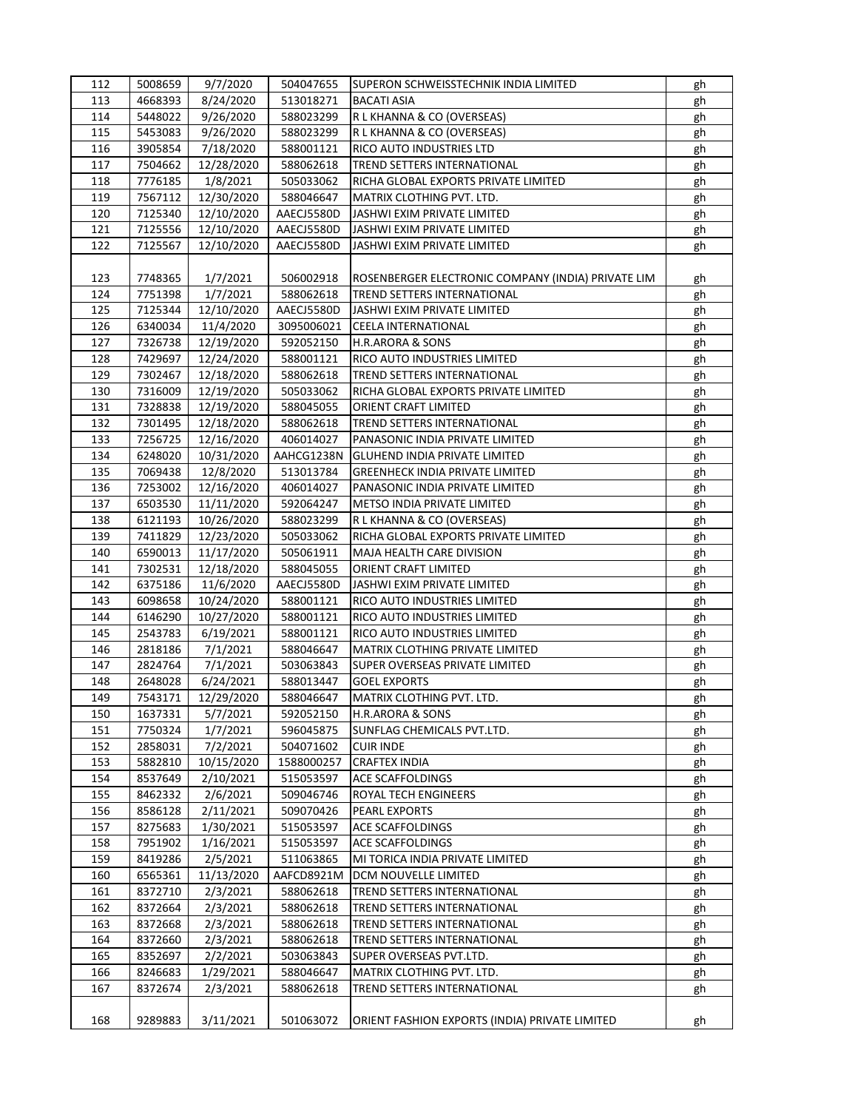| 112 | 5008659 | 9/7/2020   | 504047655  | SUPERON SCHWEISSTECHNIK INDIA LIMITED              | gh |
|-----|---------|------------|------------|----------------------------------------------------|----|
| 113 | 4668393 | 8/24/2020  | 513018271  | <b>BACATI ASIA</b>                                 | gh |
| 114 | 5448022 | 9/26/2020  | 588023299  | R L KHANNA & CO (OVERSEAS)                         | gh |
| 115 | 5453083 | 9/26/2020  | 588023299  | R L KHANNA & CO (OVERSEAS)                         | gh |
| 116 | 3905854 | 7/18/2020  | 588001121  | RICO AUTO INDUSTRIES LTD                           | gh |
| 117 | 7504662 | 12/28/2020 | 588062618  | TREND SETTERS INTERNATIONAL                        | gh |
| 118 | 7776185 | 1/8/2021   | 505033062  | RICHA GLOBAL EXPORTS PRIVATE LIMITED               | gh |
| 119 | 7567112 | 12/30/2020 | 588046647  | MATRIX CLOTHING PVT. LTD.                          | gh |
|     |         |            |            |                                                    |    |
| 120 | 7125340 | 12/10/2020 | AAECJ5580D | JASHWI EXIM PRIVATE LIMITED                        | gh |
| 121 | 7125556 | 12/10/2020 | AAECJ5580D | JASHWI EXIM PRIVATE LIMITED                        | gh |
| 122 | 7125567 | 12/10/2020 | AAECJ5580D | JASHWI EXIM PRIVATE LIMITED                        | gh |
|     |         |            |            |                                                    |    |
| 123 | 7748365 | 1/7/2021   | 506002918  | ROSENBERGER ELECTRONIC COMPANY (INDIA) PRIVATE LIM | gh |
| 124 | 7751398 | 1/7/2021   | 588062618  | TREND SETTERS INTERNATIONAL                        | gh |
| 125 | 7125344 | 12/10/2020 | AAECJ5580D | JASHWI EXIM PRIVATE LIMITED                        | gh |
| 126 | 6340034 | 11/4/2020  | 3095006021 | <b>CEELA INTERNATIONAL</b>                         | gh |
| 127 | 7326738 | 12/19/2020 | 592052150  | <b>H.R.ARORA &amp; SONS</b>                        | gh |
| 128 | 7429697 | 12/24/2020 | 588001121  | RICO AUTO INDUSTRIES LIMITED                       | gh |
| 129 | 7302467 | 12/18/2020 | 588062618  | TREND SETTERS INTERNATIONAL                        | gh |
| 130 | 7316009 | 12/19/2020 | 505033062  | RICHA GLOBAL EXPORTS PRIVATE LIMITED               | gh |
| 131 | 7328838 | 12/19/2020 | 588045055  | ORIENT CRAFT LIMITED                               | gh |
| 132 | 7301495 | 12/18/2020 | 588062618  | TREND SETTERS INTERNATIONAL                        | gh |
| 133 | 7256725 | 12/16/2020 | 406014027  | PANASONIC INDIA PRIVATE LIMITED                    | gh |
| 134 | 6248020 | 10/31/2020 | AAHCG1238N | <b>GLUHEND INDIA PRIVATE LIMITED</b>               | gh |
| 135 | 7069438 | 12/8/2020  | 513013784  | <b>GREENHECK INDIA PRIVATE LIMITED</b>             | gh |
| 136 | 7253002 | 12/16/2020 | 406014027  | PANASONIC INDIA PRIVATE LIMITED                    | gh |
| 137 | 6503530 | 11/11/2020 | 592064247  | METSO INDIA PRIVATE LIMITED                        | gh |
| 138 | 6121193 |            | 588023299  |                                                    |    |
| 139 |         | 10/26/2020 |            | R L KHANNA & CO (OVERSEAS)                         | gh |
|     | 7411829 | 12/23/2020 | 505033062  | RICHA GLOBAL EXPORTS PRIVATE LIMITED               | gh |
| 140 | 6590013 | 11/17/2020 | 505061911  | MAJA HEALTH CARE DIVISION                          | gh |
| 141 | 7302531 | 12/18/2020 | 588045055  | ORIENT CRAFT LIMITED                               | gh |
| 142 | 6375186 | 11/6/2020  | AAECJ5580D | JASHWI EXIM PRIVATE LIMITED                        | gh |
| 143 | 6098658 | 10/24/2020 | 588001121  | RICO AUTO INDUSTRIES LIMITED                       | gh |
| 144 | 6146290 | 10/27/2020 | 588001121  | RICO AUTO INDUSTRIES LIMITED                       | gh |
| 145 | 2543783 | 6/19/2021  | 588001121  | RICO AUTO INDUSTRIES LIMITED                       | gh |
| 146 | 2818186 | 7/1/2021   | 588046647  | MATRIX CLOTHING PRIVATE LIMITED                    | gh |
| 147 | 2824764 | 7/1/2021   | 503063843  | SUPER OVERSEAS PRIVATE LIMITED                     | gh |
| 148 | 2648028 | 6/24/2021  | 588013447  | <b>GOEL EXPORTS</b>                                | gh |
| 149 | 7543171 | 12/29/2020 | 588046647  | MATRIX CLOTHING PVT. LTD.                          | gh |
| 150 | 1637331 | 5/7/2021   | 592052150  | <b>H.R.ARORA &amp; SONS</b>                        | gh |
| 151 | 7750324 | 1/7/2021   | 596045875  | SUNFLAG CHEMICALS PVT.LTD.                         | gh |
| 152 | 2858031 | 7/2/2021   | 504071602  | <b>CUIR INDE</b>                                   | gh |
| 153 | 5882810 | 10/15/2020 | 1588000257 | <b>CRAFTEX INDIA</b>                               | gh |
| 154 | 8537649 | 2/10/2021  | 515053597  | ACE SCAFFOLDINGS                                   | gh |
| 155 | 8462332 | 2/6/2021   | 509046746  | ROYAL TECH ENGINEERS                               | gh |
| 156 | 8586128 | 2/11/2021  | 509070426  | PEARL EXPORTS                                      | gh |
| 157 | 8275683 | 1/30/2021  | 515053597  | ACE SCAFFOLDINGS                                   | gh |
| 158 | 7951902 | 1/16/2021  | 515053597  | ACE SCAFFOLDINGS                                   | gh |
| 159 | 8419286 | 2/5/2021   | 511063865  | MI TORICA INDIA PRIVATE LIMITED                    |    |
| 160 | 6565361 | 11/13/2020 | AAFCD8921M | DCM NOUVELLE LIMITED                               | gh |
| 161 |         |            |            |                                                    | gh |
|     | 8372710 | 2/3/2021   | 588062618  | TREND SETTERS INTERNATIONAL                        | gh |
| 162 | 8372664 | 2/3/2021   | 588062618  | TREND SETTERS INTERNATIONAL                        | gh |
| 163 | 8372668 | 2/3/2021   | 588062618  | TREND SETTERS INTERNATIONAL                        | gh |
| 164 | 8372660 | 2/3/2021   | 588062618  | TREND SETTERS INTERNATIONAL                        | gh |
| 165 | 8352697 | 2/2/2021   | 503063843  | SUPER OVERSEAS PVT.LTD.                            | gh |
| 166 | 8246683 | 1/29/2021  | 588046647  | MATRIX CLOTHING PVT. LTD.                          | gh |
| 167 | 8372674 | 2/3/2021   | 588062618  | TREND SETTERS INTERNATIONAL                        | gh |
|     |         |            |            |                                                    |    |
| 168 | 9289883 | 3/11/2021  | 501063072  | ORIENT FASHION EXPORTS (INDIA) PRIVATE LIMITED     | gh |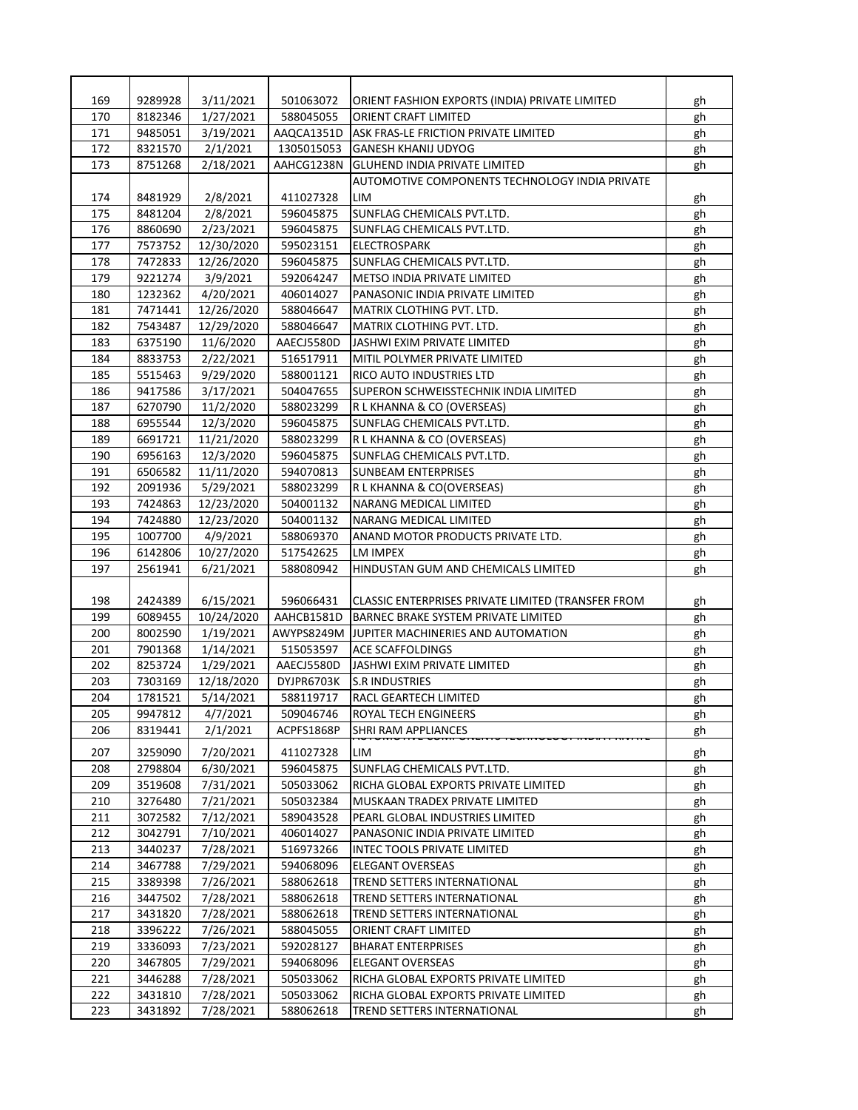| 169 | 9289928 | 3/11/2021  | 501063072  | ORIENT FASHION EXPORTS (INDIA) PRIVATE LIMITED     | gh |
|-----|---------|------------|------------|----------------------------------------------------|----|
| 170 | 8182346 | 1/27/2021  | 588045055  | ORIENT CRAFT LIMITED                               | gh |
| 171 | 9485051 | 3/19/2021  | AAQCA1351D | ASK FRAS-LE FRICTION PRIVATE LIMITED               | gh |
| 172 | 8321570 | 2/1/2021   | 1305015053 | <b>GANESH KHANIJ UDYOG</b>                         | gh |
| 173 | 8751268 | 2/18/2021  | AAHCG1238N | <b>GLUHEND INDIA PRIVATE LIMITED</b>               | gh |
|     |         |            |            | AUTOMOTIVE COMPONENTS TECHNOLOGY INDIA PRIVATE     |    |
| 174 | 8481929 | 2/8/2021   | 411027328  | LIM                                                | gh |
| 175 | 8481204 | 2/8/2021   | 596045875  | SUNFLAG CHEMICALS PVT.LTD.                         | gh |
| 176 | 8860690 | 2/23/2021  | 596045875  | SUNFLAG CHEMICALS PVT.LTD.                         | gh |
| 177 | 7573752 | 12/30/2020 | 595023151  | <b>ELECTROSPARK</b>                                | gh |
| 178 | 7472833 | 12/26/2020 | 596045875  | SUNFLAG CHEMICALS PVT.LTD.                         | gh |
| 179 | 9221274 | 3/9/2021   | 592064247  | METSO INDIA PRIVATE LIMITED                        | gh |
| 180 | 1232362 | 4/20/2021  | 406014027  | PANASONIC INDIA PRIVATE LIMITED                    | gh |
| 181 | 7471441 | 12/26/2020 | 588046647  | MATRIX CLOTHING PVT. LTD.                          | gh |
| 182 | 7543487 | 12/29/2020 | 588046647  | MATRIX CLOTHING PVT. LTD.                          | gh |
| 183 | 6375190 | 11/6/2020  | AAECJ5580D | JASHWI EXIM PRIVATE LIMITED                        | gh |
| 184 | 8833753 | 2/22/2021  | 516517911  | MITIL POLYMER PRIVATE LIMITED                      | gh |
| 185 | 5515463 | 9/29/2020  | 588001121  | RICO AUTO INDUSTRIES LTD                           | gh |
| 186 | 9417586 | 3/17/2021  | 504047655  | SUPERON SCHWEISSTECHNIK INDIA LIMITED              |    |
| 187 | 6270790 | 11/2/2020  | 588023299  | R L KHANNA & CO (OVERSEAS)                         | gh |
| 188 | 6955544 |            | 596045875  | SUNFLAG CHEMICALS PVT.LTD.                         | gh |
| 189 |         | 12/3/2020  |            |                                                    | gh |
|     | 6691721 | 11/21/2020 | 588023299  | R L KHANNA & CO (OVERSEAS)                         | gh |
| 190 | 6956163 | 12/3/2020  | 596045875  | SUNFLAG CHEMICALS PVT.LTD.                         | gh |
| 191 | 6506582 | 11/11/2020 | 594070813  | <b>SUNBEAM ENTERPRISES</b>                         | gh |
| 192 | 2091936 | 5/29/2021  | 588023299  | R L KHANNA & CO(OVERSEAS)                          | gh |
| 193 | 7424863 | 12/23/2020 | 504001132  | NARANG MEDICAL LIMITED                             | gh |
| 194 | 7424880 | 12/23/2020 | 504001132  | NARANG MEDICAL LIMITED                             | gh |
| 195 | 1007700 | 4/9/2021   | 588069370  | ANAND MOTOR PRODUCTS PRIVATE LTD.                  | gh |
| 196 | 6142806 | 10/27/2020 | 517542625  | LM IMPEX                                           | gh |
| 197 | 2561941 | 6/21/2021  | 588080942  | HINDUSTAN GUM AND CHEMICALS LIMITED                | gh |
|     |         |            |            |                                                    |    |
| 198 | 2424389 | 6/15/2021  | 596066431  | CLASSIC ENTERPRISES PRIVATE LIMITED (TRANSFER FROM | gh |
| 199 | 6089455 | 10/24/2020 | AAHCB1581D | BARNEC BRAKE SYSTEM PRIVATE LIMITED                | gh |
| 200 | 8002590 | 1/19/2021  | AWYPS8249M | <b>JUPITER MACHINERIES AND AUTOMATION</b>          | gh |
| 201 | 7901368 | 1/14/2021  | 515053597  | ACE SCAFFOLDINGS                                   | gh |
| 202 | 8253724 | 1/29/2021  | AAECJ5580D | JASHWI EXIM PRIVATE LIMITED                        | gh |
| 203 | 7303169 | 12/18/2020 | DYJPR6703K | <b>S.R INDUSTRIES</b>                              | gh |
| 204 | 1781521 | 5/14/2021  | 588119717  | RACL GEARTECH LIMITED                              | gh |
| 205 | 9947812 | 4/7/2021   | 509046746  | ROYAL TECH ENGINEERS                               | gh |
| 206 | 8319441 | 2/1/2021   | ACPFS1868P | SHRI RAM APPLIANCES                                | gh |
| 207 | 3259090 | 7/20/2021  | 411027328  | LIM                                                | gh |
| 208 | 2798804 | 6/30/2021  | 596045875  | SUNFLAG CHEMICALS PVT.LTD.                         | gh |
| 209 | 3519608 | 7/31/2021  | 505033062  | RICHA GLOBAL EXPORTS PRIVATE LIMITED               | gh |
| 210 | 3276480 | 7/21/2021  | 505032384  | MUSKAAN TRADEX PRIVATE LIMITED                     | gh |
| 211 | 3072582 | 7/12/2021  | 589043528  | PEARL GLOBAL INDUSTRIES LIMITED                    | gh |
| 212 | 3042791 | 7/10/2021  | 406014027  | PANASONIC INDIA PRIVATE LIMITED                    | gh |
| 213 | 3440237 | 7/28/2021  | 516973266  | <b>INTEC TOOLS PRIVATE LIMITED</b>                 | gh |
| 214 | 3467788 | 7/29/2021  | 594068096  | <b>ELEGANT OVERSEAS</b>                            | gh |
| 215 | 3389398 | 7/26/2021  | 588062618  | TREND SETTERS INTERNATIONAL                        | gh |
| 216 | 3447502 | 7/28/2021  | 588062618  | TREND SETTERS INTERNATIONAL                        |    |
| 217 |         |            |            | TREND SETTERS INTERNATIONAL                        | gh |
|     | 3431820 | 7/28/2021  | 588062618  |                                                    | gh |
| 218 | 3396222 | 7/26/2021  | 588045055  | ORIENT CRAFT LIMITED                               | gh |
| 219 | 3336093 | 7/23/2021  | 592028127  | <b>BHARAT ENTERPRISES</b>                          | gh |
| 220 | 3467805 | 7/29/2021  | 594068096  | ELEGANT OVERSEAS                                   | gh |
| 221 | 3446288 | 7/28/2021  | 505033062  | RICHA GLOBAL EXPORTS PRIVATE LIMITED               | gh |
| 222 | 3431810 | 7/28/2021  | 505033062  | RICHA GLOBAL EXPORTS PRIVATE LIMITED               | gh |
| 223 | 3431892 | 7/28/2021  | 588062618  | TREND SETTERS INTERNATIONAL                        | gh |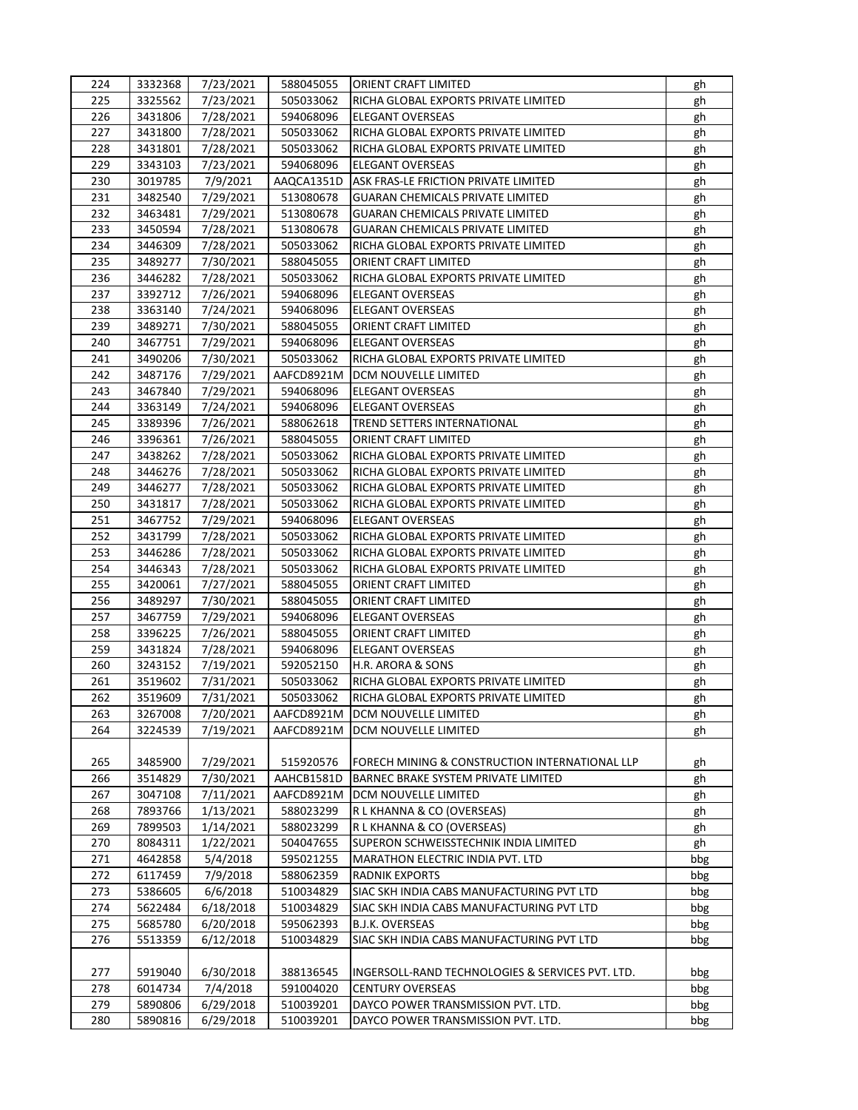| 224 | 3332368 | 7/23/2021              | 588045055  | ORIENT CRAFT LIMITED                             | gh       |
|-----|---------|------------------------|------------|--------------------------------------------------|----------|
| 225 | 3325562 | 7/23/2021              | 505033062  | RICHA GLOBAL EXPORTS PRIVATE LIMITED             | gh       |
| 226 | 3431806 | 7/28/2021              | 594068096  | <b>ELEGANT OVERSEAS</b>                          | gh       |
| 227 | 3431800 | 7/28/2021              | 505033062  | RICHA GLOBAL EXPORTS PRIVATE LIMITED             | gh       |
| 228 | 3431801 | 7/28/2021              | 505033062  | RICHA GLOBAL EXPORTS PRIVATE LIMITED             | gh       |
| 229 | 3343103 | 7/23/2021              | 594068096  | <b>ELEGANT OVERSEAS</b>                          | gh       |
| 230 | 3019785 | 7/9/2021               | AAQCA1351D | ASK FRAS-LE FRICTION PRIVATE LIMITED             | gh       |
| 231 | 3482540 | 7/29/2021              | 513080678  | <b>GUARAN CHEMICALS PRIVATE LIMITED</b>          | gh       |
| 232 | 3463481 | 7/29/2021              | 513080678  | <b>GUARAN CHEMICALS PRIVATE LIMITED</b>          | gh       |
| 233 | 3450594 | 7/28/2021              | 513080678  | <b>GUARAN CHEMICALS PRIVATE LIMITED</b>          | gh       |
| 234 | 3446309 | 7/28/2021              | 505033062  | RICHA GLOBAL EXPORTS PRIVATE LIMITED             | gh       |
| 235 | 3489277 | 7/30/2021              | 588045055  | ORIENT CRAFT LIMITED                             | gh       |
| 236 | 3446282 | 7/28/2021              | 505033062  | RICHA GLOBAL EXPORTS PRIVATE LIMITED             | gh       |
| 237 | 3392712 | 7/26/2021              | 594068096  | ELEGANT OVERSEAS                                 | gh       |
| 238 | 3363140 | 7/24/2021              | 594068096  | ELEGANT OVERSEAS                                 | gh       |
| 239 | 3489271 | 7/30/2021              | 588045055  | ORIENT CRAFT LIMITED                             | gh       |
| 240 | 3467751 | 7/29/2021              | 594068096  | <b>ELEGANT OVERSEAS</b>                          | gh       |
| 241 | 3490206 | 7/30/2021              | 505033062  | RICHA GLOBAL EXPORTS PRIVATE LIMITED             | gh       |
| 242 | 3487176 | 7/29/2021              | AAFCD8921M | <b>DCM NOUVELLE LIMITED</b>                      | gh       |
| 243 | 3467840 | 7/29/2021              | 594068096  | ELEGANT OVERSEAS                                 | gh       |
| 244 | 3363149 | 7/24/2021              | 594068096  | <b>ELEGANT OVERSEAS</b>                          |          |
| 245 | 3389396 | 7/26/2021              | 588062618  | TREND SETTERS INTERNATIONAL                      | gh<br>gh |
| 246 | 3396361 | 7/26/2021              | 588045055  | ORIENT CRAFT LIMITED                             |          |
| 247 | 3438262 |                        | 505033062  | RICHA GLOBAL EXPORTS PRIVATE LIMITED             | gh       |
| 248 | 3446276 | 7/28/2021              | 505033062  | RICHA GLOBAL EXPORTS PRIVATE LIMITED             | gh       |
| 249 | 3446277 | 7/28/2021<br>7/28/2021 | 505033062  | RICHA GLOBAL EXPORTS PRIVATE LIMITED             | gh<br>gh |
| 250 | 3431817 | 7/28/2021              | 505033062  | RICHA GLOBAL EXPORTS PRIVATE LIMITED             | gh       |
| 251 | 3467752 | 7/29/2021              | 594068096  | <b>ELEGANT OVERSEAS</b>                          | gh       |
| 252 | 3431799 | 7/28/2021              | 505033062  | RICHA GLOBAL EXPORTS PRIVATE LIMITED             | gh       |
| 253 | 3446286 | 7/28/2021              | 505033062  | RICHA GLOBAL EXPORTS PRIVATE LIMITED             | gh       |
| 254 | 3446343 | 7/28/2021              | 505033062  | RICHA GLOBAL EXPORTS PRIVATE LIMITED             | gh       |
| 255 | 3420061 | 7/27/2021              | 588045055  | ORIENT CRAFT LIMITED                             | gh       |
| 256 | 3489297 | 7/30/2021              | 588045055  | ORIENT CRAFT LIMITED                             | gh       |
| 257 | 3467759 | 7/29/2021              | 594068096  | ELEGANT OVERSEAS                                 | gh       |
| 258 | 3396225 | 7/26/2021              | 588045055  | ORIENT CRAFT LIMITED                             | gh       |
| 259 | 3431824 | 7/28/2021              | 594068096  | ELEGANT OVERSEAS                                 | gh       |
| 260 | 3243152 | 7/19/2021              | 592052150  | H.R. ARORA & SONS                                | gh       |
| 261 | 3519602 | 7/31/2021              | 505033062  | RICHA GLOBAL EXPORTS PRIVATE LIMITED             | gh       |
| 262 | 3519609 | 7/31/2021              | 505033062  | RICHA GLOBAL EXPORTS PRIVATE LIMITED             | gh       |
| 263 | 3267008 | 7/20/2021              | AAFCD8921M | DCM NOUVELLE LIMITED                             | gh       |
| 264 | 3224539 | 7/19/2021              | AAFCD8921M | DCM NOUVELLE LIMITED                             | gh       |
|     |         |                        |            |                                                  |          |
| 265 | 3485900 | 7/29/2021              | 515920576  | FORECH MINING & CONSTRUCTION INTERNATIONAL LLP   | gh       |
| 266 | 3514829 | 7/30/2021              | AAHCB1581D | BARNEC BRAKE SYSTEM PRIVATE LIMITED              | gh       |
| 267 | 3047108 | 7/11/2021              | AAFCD8921M | DCM NOUVELLE LIMITED                             | gh       |
| 268 | 7893766 | 1/13/2021              | 588023299  | R L KHANNA & CO (OVERSEAS)                       | gh       |
| 269 | 7899503 | 1/14/2021              | 588023299  | R L KHANNA & CO (OVERSEAS)                       | gh       |
| 270 | 8084311 | 1/22/2021              | 504047655  | SUPERON SCHWEISSTECHNIK INDIA LIMITED            | gh       |
| 271 | 4642858 | 5/4/2018               | 595021255  | MARATHON ELECTRIC INDIA PVT. LTD                 | bbg      |
| 272 | 6117459 | 7/9/2018               | 588062359  | <b>RADNIK EXPORTS</b>                            | bbg      |
| 273 | 5386605 | 6/6/2018               | 510034829  | SIAC SKH INDIA CABS MANUFACTURING PVT LTD        | bbg      |
| 274 | 5622484 | 6/18/2018              | 510034829  | SIAC SKH INDIA CABS MANUFACTURING PVT LTD        | bbg      |
| 275 | 5685780 | 6/20/2018              | 595062393  | B.J.K. OVERSEAS                                  | bbg      |
| 276 | 5513359 | 6/12/2018              | 510034829  | SIAC SKH INDIA CABS MANUFACTURING PVT LTD        | bbg      |
|     |         |                        |            |                                                  |          |
| 277 | 5919040 | 6/30/2018              | 388136545  | INGERSOLL-RAND TECHNOLOGIES & SERVICES PVT. LTD. | bbg      |
| 278 | 6014734 | 7/4/2018               | 591004020  | <b>CENTURY OVERSEAS</b>                          | bbg      |
| 279 | 5890806 | 6/29/2018              | 510039201  | DAYCO POWER TRANSMISSION PVT. LTD.               | bbg      |
| 280 | 5890816 | 6/29/2018              | 510039201  | DAYCO POWER TRANSMISSION PVT. LTD.               | bbg      |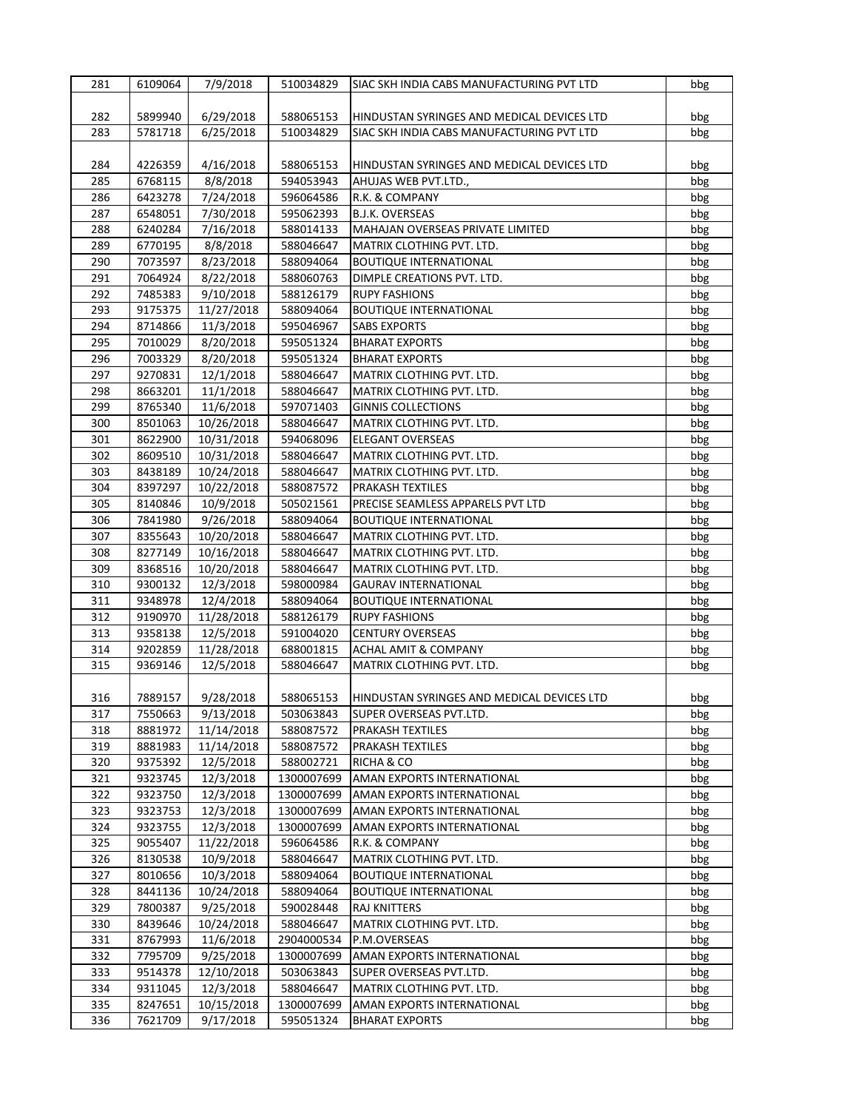| 281 | 6109064 | 7/9/2018   | 510034829  | SIAC SKH INDIA CABS MANUFACTURING PVT LTD                  | bbg |
|-----|---------|------------|------------|------------------------------------------------------------|-----|
|     |         |            |            |                                                            |     |
| 282 | 5899940 | 6/29/2018  | 588065153  | HINDUSTAN SYRINGES AND MEDICAL DEVICES LTD                 | bbg |
| 283 | 5781718 | 6/25/2018  | 510034829  | SIAC SKH INDIA CABS MANUFACTURING PVT LTD                  | bbg |
|     |         |            |            |                                                            |     |
| 284 | 4226359 | 4/16/2018  | 588065153  | HINDUSTAN SYRINGES AND MEDICAL DEVICES LTD                 | bbg |
| 285 | 6768115 | 8/8/2018   | 594053943  | AHUJAS WEB PVT.LTD.,                                       | bbg |
| 286 | 6423278 | 7/24/2018  | 596064586  | R.K. & COMPANY                                             | bbg |
| 287 | 6548051 | 7/30/2018  | 595062393  | B.J.K. OVERSEAS                                            | bbg |
| 288 | 6240284 | 7/16/2018  | 588014133  | MAHAJAN OVERSEAS PRIVATE LIMITED                           |     |
| 289 |         | 8/8/2018   |            |                                                            | bbg |
|     | 6770195 |            | 588046647  | MATRIX CLOTHING PVT. LTD.<br><b>BOUTIQUE INTERNATIONAL</b> | bbg |
| 290 | 7073597 | 8/23/2018  | 588094064  |                                                            | bbg |
| 291 | 7064924 | 8/22/2018  | 588060763  | DIMPLE CREATIONS PVT. LTD.                                 | bbg |
| 292 | 7485383 | 9/10/2018  | 588126179  | <b>RUPY FASHIONS</b>                                       | bbg |
| 293 | 9175375 | 11/27/2018 | 588094064  | <b>BOUTIQUE INTERNATIONAL</b>                              | bbg |
| 294 | 8714866 | 11/3/2018  | 595046967  | <b>SABS EXPORTS</b>                                        | bbg |
| 295 | 7010029 | 8/20/2018  | 595051324  | <b>BHARAT EXPORTS</b>                                      | bbg |
| 296 | 7003329 | 8/20/2018  | 595051324  | <b>BHARAT EXPORTS</b>                                      | bbg |
| 297 | 9270831 | 12/1/2018  | 588046647  | MATRIX CLOTHING PVT. LTD.                                  | bbg |
| 298 | 8663201 | 11/1/2018  | 588046647  | MATRIX CLOTHING PVT. LTD.                                  | bbg |
| 299 | 8765340 | 11/6/2018  | 597071403  | <b>GINNIS COLLECTIONS</b>                                  | bbg |
| 300 | 8501063 | 10/26/2018 | 588046647  | MATRIX CLOTHING PVT. LTD.                                  | bbg |
| 301 | 8622900 | 10/31/2018 | 594068096  | ELEGANT OVERSEAS                                           | bbg |
| 302 | 8609510 | 10/31/2018 | 588046647  | MATRIX CLOTHING PVT. LTD.                                  | bbg |
| 303 | 8438189 | 10/24/2018 | 588046647  | MATRIX CLOTHING PVT. LTD.                                  | bbg |
| 304 | 8397297 | 10/22/2018 | 588087572  | <b>PRAKASH TEXTILES</b>                                    | bbg |
| 305 | 8140846 | 10/9/2018  | 505021561  | PRECISE SEAMLESS APPARELS PVT LTD                          | bbg |
| 306 | 7841980 | 9/26/2018  | 588094064  | <b>BOUTIQUE INTERNATIONAL</b>                              | bbg |
| 307 | 8355643 | 10/20/2018 | 588046647  | MATRIX CLOTHING PVT. LTD.                                  | bbg |
| 308 | 8277149 | 10/16/2018 | 588046647  | MATRIX CLOTHING PVT. LTD.                                  | bbg |
| 309 | 8368516 | 10/20/2018 | 588046647  | MATRIX CLOTHING PVT. LTD.                                  | bbg |
| 310 | 9300132 | 12/3/2018  | 598000984  | <b>GAURAV INTERNATIONAL</b>                                | bbg |
| 311 | 9348978 | 12/4/2018  | 588094064  | <b>BOUTIQUE INTERNATIONAL</b>                              | bbg |
| 312 | 9190970 | 11/28/2018 | 588126179  | <b>RUPY FASHIONS</b>                                       | bbg |
| 313 | 9358138 | 12/5/2018  | 591004020  | <b>CENTURY OVERSEAS</b>                                    | bbg |
| 314 | 9202859 | 11/28/2018 | 688001815  | <b>ACHAL AMIT &amp; COMPANY</b>                            | bbg |
| 315 | 9369146 | 12/5/2018  | 588046647  | MATRIX CLOTHING PVT. LTD.                                  | bbg |
|     |         |            |            |                                                            |     |
| 316 | 7889157 | 9/28/2018  | 588065153  | HINDUSTAN SYRINGES AND MEDICAL DEVICES LTD                 | bbg |
| 317 | 7550663 | 9/13/2018  | 503063843  | SUPER OVERSEAS PVT.LTD.                                    | bbg |
| 318 | 8881972 | 11/14/2018 | 588087572  | PRAKASH TEXTILES                                           | bbg |
| 319 |         |            |            | PRAKASH TEXTILES                                           |     |
|     | 8881983 | 11/14/2018 | 588087572  |                                                            | bbg |
| 320 | 9375392 | 12/5/2018  | 588002721  | RICHA & CO                                                 | bbg |
| 321 | 9323745 | 12/3/2018  | 1300007699 | AMAN EXPORTS INTERNATIONAL                                 | bbg |
| 322 | 9323750 | 12/3/2018  | 1300007699 | AMAN EXPORTS INTERNATIONAL                                 | bbg |
| 323 | 9323753 | 12/3/2018  | 1300007699 | AMAN EXPORTS INTERNATIONAL                                 | bbg |
| 324 | 9323755 | 12/3/2018  | 1300007699 | AMAN EXPORTS INTERNATIONAL                                 | bbg |
| 325 | 9055407 | 11/22/2018 | 596064586  | R.K. & COMPANY                                             | bbg |
| 326 | 8130538 | 10/9/2018  | 588046647  | MATRIX CLOTHING PVT. LTD.                                  | bbg |
| 327 | 8010656 | 10/3/2018  | 588094064  | <b>BOUTIQUE INTERNATIONAL</b>                              | bbg |
| 328 | 8441136 | 10/24/2018 | 588094064  | <b>BOUTIQUE INTERNATIONAL</b>                              | bbg |
| 329 | 7800387 | 9/25/2018  | 590028448  | RAJ KNITTERS                                               | bbg |
| 330 | 8439646 | 10/24/2018 | 588046647  | MATRIX CLOTHING PVT. LTD.                                  | bbg |
| 331 | 8767993 | 11/6/2018  | 2904000534 | P.M.OVERSEAS                                               | bbg |
| 332 | 7795709 | 9/25/2018  | 1300007699 | AMAN EXPORTS INTERNATIONAL                                 | bbg |
| 333 | 9514378 | 12/10/2018 | 503063843  | SUPER OVERSEAS PVT.LTD.                                    | bbg |
| 334 | 9311045 | 12/3/2018  | 588046647  | MATRIX CLOTHING PVT. LTD.                                  | bbg |
| 335 | 8247651 | 10/15/2018 | 1300007699 | AMAN EXPORTS INTERNATIONAL                                 | bbg |
| 336 | 7621709 | 9/17/2018  | 595051324  | <b>BHARAT EXPORTS</b>                                      | bbg |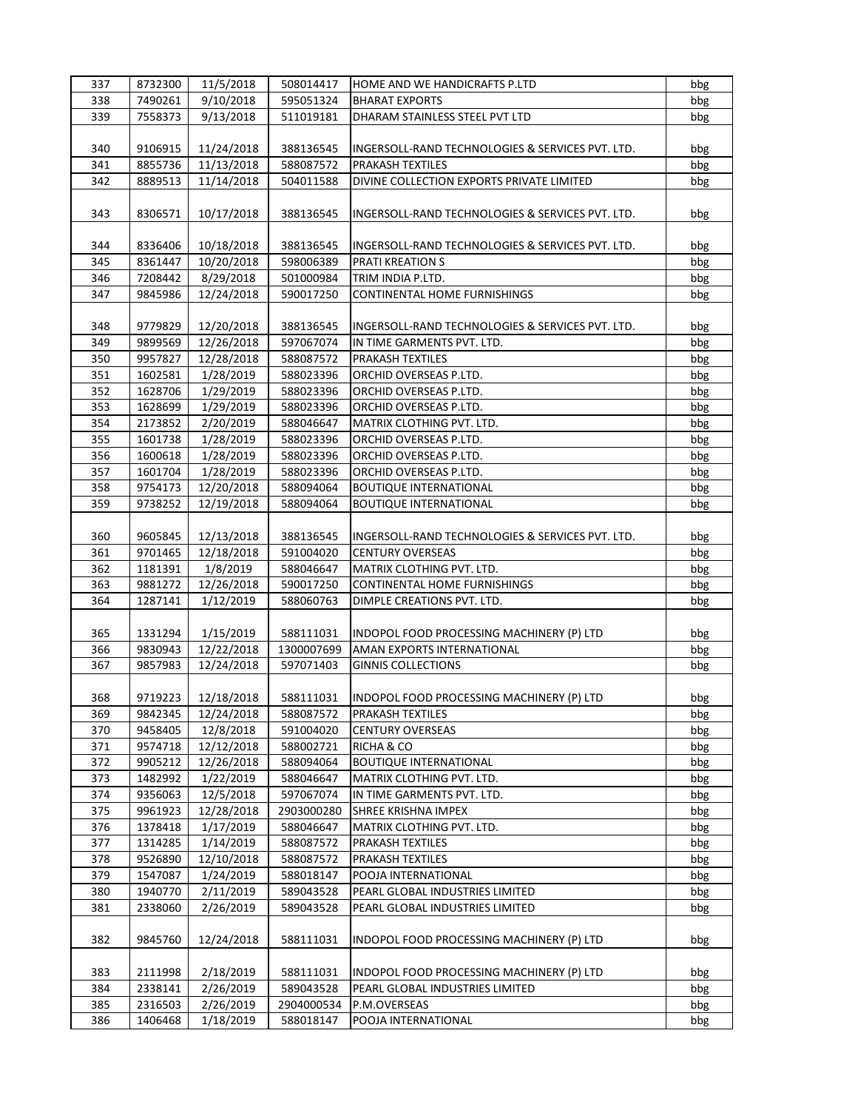| 337 | 8732300 | 11/5/2018              | 508014417  | HOME AND WE HANDICRAFTS P.LTD                    | bbg             |
|-----|---------|------------------------|------------|--------------------------------------------------|-----------------|
| 338 | 7490261 | $\frac{1}{9}$ /10/2018 | 595051324  | <b>BHARAT EXPORTS</b>                            | bbg             |
| 339 | 7558373 | 9/13/2018              | 511019181  | DHARAM STAINLESS STEEL PVT LTD                   | bbg             |
|     |         |                        |            |                                                  |                 |
| 340 | 9106915 | 11/24/2018             | 388136545  | INGERSOLL-RAND TECHNOLOGIES & SERVICES PVT. LTD. | bbg             |
| 341 | 8855736 | 11/13/2018             | 588087572  | PRAKASH TEXTILES                                 | bbg             |
| 342 | 8889513 | 11/14/2018             | 504011588  | DIVINE COLLECTION EXPORTS PRIVATE LIMITED        | bbg             |
|     |         |                        |            |                                                  |                 |
|     |         |                        |            |                                                  |                 |
| 343 | 8306571 | 10/17/2018             | 388136545  | INGERSOLL-RAND TECHNOLOGIES & SERVICES PVT. LTD. | bbg             |
|     |         |                        |            |                                                  |                 |
| 344 | 8336406 | 10/18/2018             | 388136545  | INGERSOLL-RAND TECHNOLOGIES & SERVICES PVT. LTD. | bbg             |
| 345 | 8361447 | 10/20/2018             | 598006389  | <b>PRATI KREATION S</b>                          | bbg             |
| 346 | 7208442 | 8/29/2018              | 501000984  | TRIM INDIA P.LTD.                                | bbg             |
| 347 | 9845986 | 12/24/2018             | 590017250  | <b>CONTINENTAL HOME FURNISHINGS</b>              | bbg             |
|     |         |                        |            |                                                  |                 |
| 348 | 9779829 | 12/20/2018             | 388136545  | INGERSOLL-RAND TECHNOLOGIES & SERVICES PVT. LTD. | bbg             |
| 349 | 9899569 | 12/26/2018             | 597067074  | IN TIME GARMENTS PVT. LTD.                       | bbg             |
| 350 | 9957827 | 12/28/2018             | 588087572  | <b>PRAKASH TEXTILES</b>                          | bbg             |
| 351 | 1602581 | 1/28/2019              | 588023396  | ORCHID OVERSEAS P.LTD.                           | bbg             |
| 352 | 1628706 | 1/29/2019              | 588023396  | ORCHID OVERSEAS P.LTD.                           | bbg             |
| 353 | 1628699 | 1/29/2019              | 588023396  | ORCHID OVERSEAS P.LTD.                           | bbg             |
| 354 | 2173852 | 2/20/2019              | 588046647  | MATRIX CLOTHING PVT. LTD.                        | bbg             |
| 355 | 1601738 | 1/28/2019              | 588023396  | ORCHID OVERSEAS P.LTD.                           | bbg             |
| 356 | 1600618 | 1/28/2019              | 588023396  | ORCHID OVERSEAS P.LTD.                           | bbg             |
|     |         |                        |            |                                                  | bbg             |
| 357 | 1601704 | 1/28/2019              | 588023396  | ORCHID OVERSEAS P.LTD.                           |                 |
| 358 | 9754173 | 12/20/2018             | 588094064  | <b>BOUTIQUE INTERNATIONAL</b>                    | $_{\text{bbg}}$ |
| 359 | 9738252 | 12/19/2018             | 588094064  | <b>BOUTIQUE INTERNATIONAL</b>                    | bbg             |
|     |         |                        |            |                                                  |                 |
| 360 | 9605845 | 12/13/2018             | 388136545  | INGERSOLL-RAND TECHNOLOGIES & SERVICES PVT. LTD. | bbg             |
| 361 | 9701465 | 12/18/2018             | 591004020  | <b>CENTURY OVERSEAS</b>                          | bbg             |
| 362 | 1181391 | 1/8/2019               | 588046647  | MATRIX CLOTHING PVT. LTD.                        | bbg             |
| 363 | 9881272 | 12/26/2018             | 590017250  | <b>CONTINENTAL HOME FURNISHINGS</b>              | bbg             |
| 364 | 1287141 | 1/12/2019              | 588060763  | DIMPLE CREATIONS PVT. LTD.                       | bbg             |
|     |         |                        |            |                                                  |                 |
| 365 | 1331294 | 1/15/2019              | 588111031  | INDOPOL FOOD PROCESSING MACHINERY (P) LTD        | bbg             |
| 366 | 9830943 | 12/22/2018             | 1300007699 | AMAN EXPORTS INTERNATIONAL                       | bbg             |
| 367 | 9857983 | 12/24/2018             | 597071403  | <b>GINNIS COLLECTIONS</b>                        | bbg             |
|     |         |                        |            |                                                  |                 |
| 368 | 9719223 | 12/18/2018             | 588111031  | INDOPOL FOOD PROCESSING MACHINERY (P) LTD        | bbg             |
| 369 | 9842345 | 12/24/2018             | 588087572  | PRAKASH TEXTILES                                 | bbg             |
| 370 | 9458405 | 12/8/2018              | 591004020  | <b>CENTURY OVERSEAS</b>                          | bbg             |
| 371 | 9574718 | 12/12/2018             | 588002721  | RICHA & CO                                       | bbg             |
| 372 | 9905212 | 12/26/2018             | 588094064  | <b>BOUTIQUE INTERNATIONAL</b>                    | bbg             |
| 373 | 1482992 | 1/22/2019              | 588046647  | MATRIX CLOTHING PVT. LTD.                        | bbg             |
| 374 | 9356063 | 12/5/2018              | 597067074  | IN TIME GARMENTS PVT. LTD.                       | bbg             |
| 375 | 9961923 |                        |            |                                                  |                 |
|     |         | 12/28/2018             | 2903000280 | SHREE KRISHNA IMPEX                              | bbg             |
| 376 | 1378418 | 1/17/2019              | 588046647  | MATRIX CLOTHING PVT. LTD.                        | bbg             |
| 377 | 1314285 | 1/14/2019              | 588087572  | <b>PRAKASH TEXTILES</b>                          | bbg             |
| 378 | 9526890 | 12/10/2018             | 588087572  | PRAKASH TEXTILES                                 | bbg             |
| 379 | 1547087 | 1/24/2019              | 588018147  | POOJA INTERNATIONAL                              | bbg             |
| 380 | 1940770 | 2/11/2019              | 589043528  | PEARL GLOBAL INDUSTRIES LIMITED                  | bbg             |
| 381 | 2338060 | 2/26/2019              | 589043528  | PEARL GLOBAL INDUSTRIES LIMITED                  | bbg             |
|     |         |                        |            |                                                  |                 |
| 382 | 9845760 | 12/24/2018             | 588111031  | INDOPOL FOOD PROCESSING MACHINERY (P) LTD        | bbg             |
|     |         |                        |            |                                                  |                 |
| 383 | 2111998 | 2/18/2019              | 588111031  | INDOPOL FOOD PROCESSING MACHINERY (P) LTD        | bbg             |
| 384 | 2338141 | 2/26/2019              | 589043528  | PEARL GLOBAL INDUSTRIES LIMITED                  | bbg             |
| 385 | 2316503 | 2/26/2019              | 2904000534 | P.M.OVERSEAS                                     | bbg             |
| 386 | 1406468 | 1/18/2019              | 588018147  | POOJA INTERNATIONAL                              | bbg             |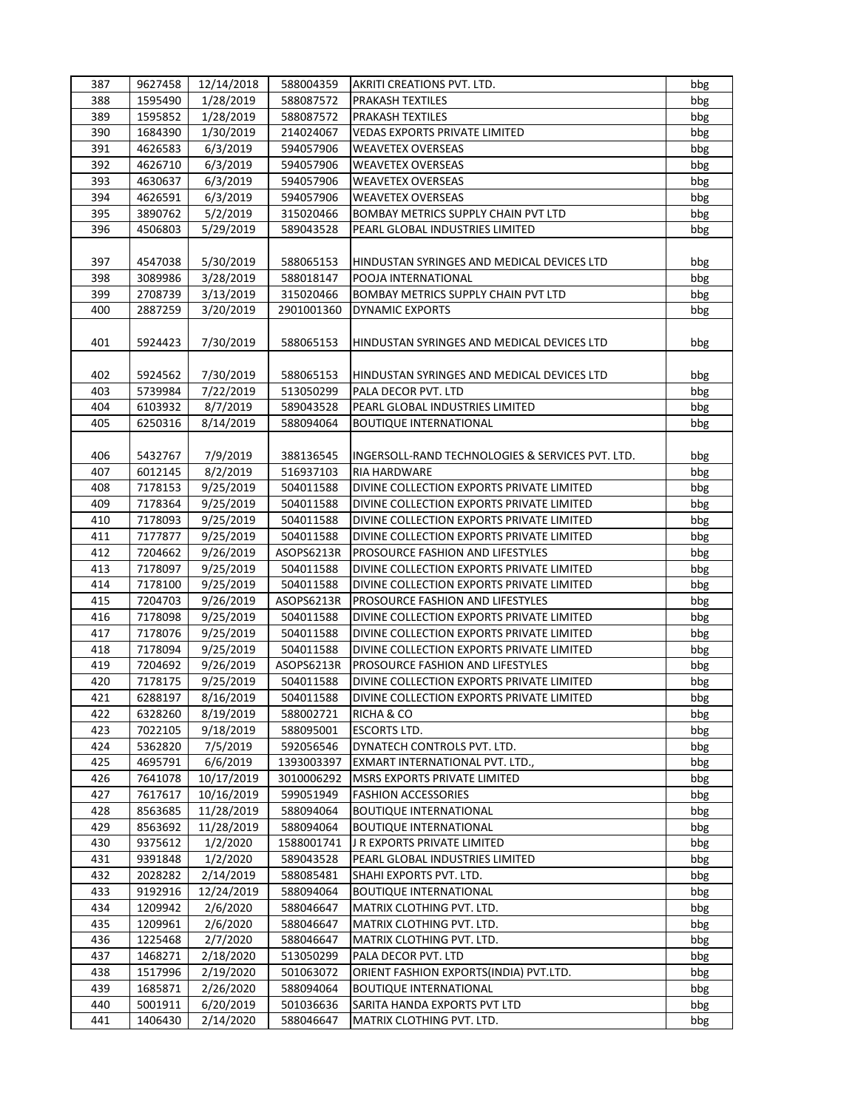| 387 | 9627458 | 12/14/2018 | 588004359  | AKRITI CREATIONS PVT. LTD.                       | bbg |
|-----|---------|------------|------------|--------------------------------------------------|-----|
| 388 | 1595490 | 1/28/2019  | 588087572  | <b>PRAKASH TEXTILES</b>                          | bbg |
| 389 | 1595852 | 1/28/2019  | 588087572  | <b>PRAKASH TEXTILES</b>                          | bbg |
| 390 | 1684390 | 1/30/2019  | 214024067  | <b>VEDAS EXPORTS PRIVATE LIMITED</b>             | bbg |
| 391 | 4626583 | 6/3/2019   | 594057906  | <b>WEAVETEX OVERSEAS</b>                         | bbg |
| 392 | 4626710 | 6/3/2019   | 594057906  | <b>WEAVETEX OVERSEAS</b>                         | bbg |
| 393 | 4630637 | 6/3/2019   | 594057906  | <b>WEAVETEX OVERSEAS</b>                         | bbg |
| 394 | 4626591 | 6/3/2019   | 594057906  | <b>WEAVETEX OVERSEAS</b>                         | bbg |
| 395 | 3890762 | 5/2/2019   | 315020466  | BOMBAY METRICS SUPPLY CHAIN PVT LTD              | bbg |
| 396 | 4506803 | 5/29/2019  | 589043528  | PEARL GLOBAL INDUSTRIES LIMITED                  | bbg |
|     |         |            |            |                                                  |     |
| 397 | 4547038 | 5/30/2019  | 588065153  | HINDUSTAN SYRINGES AND MEDICAL DEVICES LTD       | bbg |
| 398 | 3089986 | 3/28/2019  | 588018147  | POOJA INTERNATIONAL                              | bbg |
| 399 | 2708739 | 3/13/2019  | 315020466  | BOMBAY METRICS SUPPLY CHAIN PVT LTD              | bbg |
| 400 | 2887259 | 3/20/2019  | 2901001360 | DYNAMIC EXPORTS                                  | bbg |
|     |         |            |            |                                                  |     |
| 401 | 5924423 | 7/30/2019  | 588065153  | HINDUSTAN SYRINGES AND MEDICAL DEVICES LTD       | bbg |
|     |         |            |            |                                                  |     |
| 402 | 5924562 | 7/30/2019  | 588065153  | HINDUSTAN SYRINGES AND MEDICAL DEVICES LTD       | bbg |
| 403 | 5739984 | 7/22/2019  | 513050299  | PALA DECOR PVT. LTD                              | bbg |
| 404 | 6103932 | 8/7/2019   | 589043528  | PEARL GLOBAL INDUSTRIES LIMITED                  | bbg |
| 405 | 6250316 | 8/14/2019  | 588094064  | <b>BOUTIQUE INTERNATIONAL</b>                    | bbg |
|     |         |            |            |                                                  |     |
| 406 | 5432767 | 7/9/2019   | 388136545  | INGERSOLL-RAND TECHNOLOGIES & SERVICES PVT. LTD. | bbg |
| 407 | 6012145 | 8/2/2019   | 516937103  | <b>RIA HARDWARE</b>                              | bbg |
| 408 | 7178153 | 9/25/2019  | 504011588  | DIVINE COLLECTION EXPORTS PRIVATE LIMITED        | bbg |
| 409 | 7178364 | 9/25/2019  | 504011588  | DIVINE COLLECTION EXPORTS PRIVATE LIMITED        | bbg |
| 410 | 7178093 | 9/25/2019  | 504011588  | DIVINE COLLECTION EXPORTS PRIVATE LIMITED        | bbg |
| 411 | 7177877 | 9/25/2019  | 504011588  | DIVINE COLLECTION EXPORTS PRIVATE LIMITED        | bbg |
| 412 | 7204662 | 9/26/2019  | ASOPS6213R | PROSOURCE FASHION AND LIFESTYLES                 | bbg |
| 413 | 7178097 | 9/25/2019  | 504011588  | DIVINE COLLECTION EXPORTS PRIVATE LIMITED        | bbg |
| 414 | 7178100 | 9/25/2019  | 504011588  | DIVINE COLLECTION EXPORTS PRIVATE LIMITED        | bbg |
| 415 | 7204703 | 9/26/2019  | ASOPS6213R | PROSOURCE FASHION AND LIFESTYLES                 | bbg |
| 416 | 7178098 | 9/25/2019  | 504011588  | DIVINE COLLECTION EXPORTS PRIVATE LIMITED        | bbg |
| 417 | 7178076 | 9/25/2019  | 504011588  | DIVINE COLLECTION EXPORTS PRIVATE LIMITED        | bbg |
| 418 | 7178094 | 9/25/2019  | 504011588  | DIVINE COLLECTION EXPORTS PRIVATE LIMITED        | bbg |
| 419 | 7204692 | 9/26/2019  | ASOPS6213R | PROSOURCE FASHION AND LIFESTYLES                 | bbg |
| 420 | 7178175 | 9/25/2019  | 504011588  | DIVINE COLLECTION EXPORTS PRIVATE LIMITED        | bbg |
| 421 | 6288197 | 8/16/2019  | 504011588  | DIVINE COLLECTION EXPORTS PRIVATE LIMITED        | bbg |
| 422 | 6328260 | 8/19/2019  | 588002721  | RICHA & CO                                       | bbg |
| 423 | 7022105 | 9/18/2019  | 588095001  | <b>ESCORTS LTD.</b>                              | bbg |
| 424 | 5362820 | 7/5/2019   | 592056546  | DYNATECH CONTROLS PVT. LTD.                      | bbg |
| 425 | 4695791 | 6/6/2019   | 1393003397 | EXMART INTERNATIONAL PVT. LTD.,                  | bbg |
| 426 | 7641078 | 10/17/2019 | 3010006292 | MSRS EXPORTS PRIVATE LIMITED                     | bbg |
| 427 | 7617617 | 10/16/2019 | 599051949  | <b>FASHION ACCESSORIES</b>                       | bbg |
| 428 | 8563685 | 11/28/2019 | 588094064  | <b>BOUTIQUE INTERNATIONAL</b>                    | bbg |
| 429 | 8563692 | 11/28/2019 | 588094064  | <b>BOUTIQUE INTERNATIONAL</b>                    | bbg |
| 430 | 9375612 | 1/2/2020   | 1588001741 | J R EXPORTS PRIVATE LIMITED                      | bbg |
| 431 | 9391848 | 1/2/2020   | 589043528  | PEARL GLOBAL INDUSTRIES LIMITED                  | bbg |
| 432 | 2028282 | 2/14/2019  | 588085481  | SHAHI EXPORTS PVT. LTD.                          | bbg |
| 433 | 9192916 | 12/24/2019 | 588094064  | <b>BOUTIQUE INTERNATIONAL</b>                    | bbg |
| 434 | 1209942 | 2/6/2020   | 588046647  | MATRIX CLOTHING PVT. LTD.                        | bbg |
| 435 | 1209961 | 2/6/2020   | 588046647  | MATRIX CLOTHING PVT. LTD.                        | bbg |
| 436 | 1225468 | 2/7/2020   | 588046647  | MATRIX CLOTHING PVT. LTD.                        | bbg |
| 437 | 1468271 | 2/18/2020  | 513050299  | PALA DECOR PVT. LTD                              | bbg |
| 438 | 1517996 | 2/19/2020  | 501063072  | ORIENT FASHION EXPORTS(INDIA) PVT.LTD.           | bbg |
| 439 | 1685871 | 2/26/2020  | 588094064  | <b>BOUTIQUE INTERNATIONAL</b>                    | bbg |
| 440 | 5001911 | 6/20/2019  | 501036636  | SARITA HANDA EXPORTS PVT LTD                     | bbg |
| 441 | 1406430 | 2/14/2020  | 588046647  | MATRIX CLOTHING PVT. LTD.                        | bbg |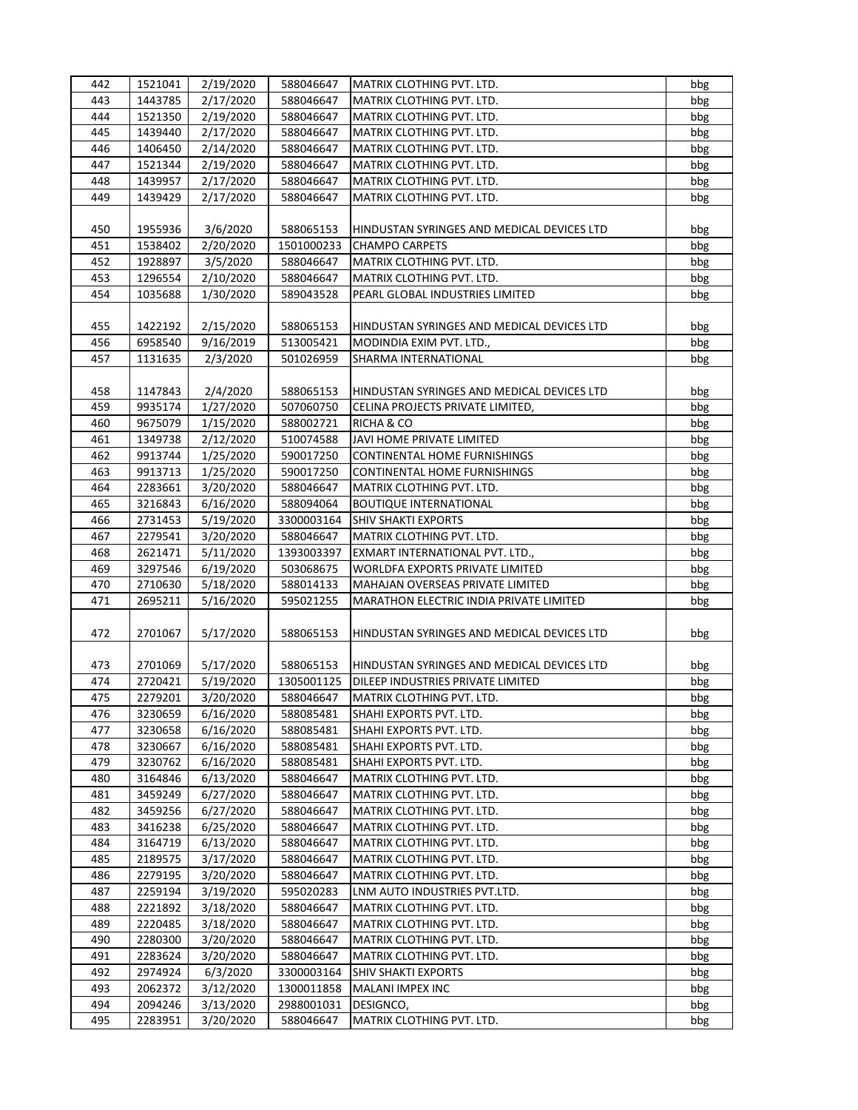| 442 | 1521041 | 2/19/2020 | 588046647  | MATRIX CLOTHING PVT. LTD.                  | bbg |
|-----|---------|-----------|------------|--------------------------------------------|-----|
| 443 | 1443785 | 2/17/2020 | 588046647  | MATRIX CLOTHING PVT. LTD.                  | bbg |
| 444 | 1521350 | 2/19/2020 | 588046647  | MATRIX CLOTHING PVT. LTD.                  | bbg |
| 445 | 1439440 | 2/17/2020 | 588046647  | MATRIX CLOTHING PVT. LTD.                  | bbg |
| 446 | 1406450 | 2/14/2020 | 588046647  | MATRIX CLOTHING PVT. LTD.                  | bbg |
| 447 | 1521344 | 2/19/2020 | 588046647  | MATRIX CLOTHING PVT. LTD.                  | bbg |
| 448 | 1439957 | 2/17/2020 | 588046647  | MATRIX CLOTHING PVT. LTD.                  | bbg |
| 449 | 1439429 | 2/17/2020 | 588046647  | MATRIX CLOTHING PVT. LTD.                  |     |
|     |         |           |            |                                            | bbg |
| 450 | 1955936 | 3/6/2020  | 588065153  | HINDUSTAN SYRINGES AND MEDICAL DEVICES LTD | bbg |
| 451 | 1538402 | 2/20/2020 | 1501000233 | <b>CHAMPO CARPETS</b>                      | bbg |
| 452 | 1928897 | 3/5/2020  | 588046647  | MATRIX CLOTHING PVT. LTD.                  | bbg |
| 453 | 1296554 | 2/10/2020 | 588046647  | MATRIX CLOTHING PVT. LTD.                  | bbg |
| 454 | 1035688 | 1/30/2020 | 589043528  | PEARL GLOBAL INDUSTRIES LIMITED            | bbg |
|     |         |           |            |                                            |     |
|     |         |           |            |                                            |     |
| 455 | 1422192 | 2/15/2020 | 588065153  | HINDUSTAN SYRINGES AND MEDICAL DEVICES LTD | bbg |
| 456 | 6958540 | 9/16/2019 | 513005421  | MODINDIA EXIM PVT. LTD.,                   | bbg |
| 457 | 1131635 | 2/3/2020  | 501026959  | SHARMA INTERNATIONAL                       | bbg |
|     |         |           |            |                                            |     |
| 458 | 1147843 | 2/4/2020  | 588065153  | HINDUSTAN SYRINGES AND MEDICAL DEVICES LTD | bbg |
| 459 | 9935174 | 1/27/2020 | 507060750  | CELINA PROJECTS PRIVATE LIMITED,           | bbg |
| 460 | 9675079 | 1/15/2020 | 588002721  | RICHA & CO                                 | bbg |
| 461 | 1349738 | 2/12/2020 | 510074588  | JAVI HOME PRIVATE LIMITED                  | bbg |
| 462 | 9913744 | 1/25/2020 | 590017250  | <b>CONTINENTAL HOME FURNISHINGS</b>        | bbg |
| 463 | 9913713 | 1/25/2020 | 590017250  | CONTINENTAL HOME FURNISHINGS               | bbg |
| 464 | 2283661 | 3/20/2020 | 588046647  | MATRIX CLOTHING PVT. LTD.                  | bbg |
| 465 | 3216843 | 6/16/2020 | 588094064  | <b>BOUTIQUE INTERNATIONAL</b>              | bbg |
| 466 | 2731453 | 5/19/2020 | 3300003164 | <b>SHIV SHAKTI EXPORTS</b>                 | bbg |
| 467 | 2279541 | 3/20/2020 | 588046647  | MATRIX CLOTHING PVT. LTD.                  | bbg |
| 468 | 2621471 | 5/11/2020 | 1393003397 | EXMART INTERNATIONAL PVT. LTD.,            | bbg |
| 469 | 3297546 | 6/19/2020 | 503068675  | WORLDFA EXPORTS PRIVATE LIMITED            | bbg |
| 470 | 2710630 | 5/18/2020 | 588014133  | MAHAJAN OVERSEAS PRIVATE LIMITED           |     |
| 471 |         |           |            |                                            | bbg |
|     | 2695211 | 5/16/2020 | 595021255  | MARATHON ELECTRIC INDIA PRIVATE LIMITED    | bbg |
|     |         |           |            |                                            |     |
| 472 | 2701067 | 5/17/2020 | 588065153  | HINDUSTAN SYRINGES AND MEDICAL DEVICES LTD | bbg |
|     |         |           |            |                                            |     |
| 473 | 2701069 | 5/17/2020 | 588065153  | HINDUSTAN SYRINGES AND MEDICAL DEVICES LTD | bbg |
| 474 | 2720421 | 5/19/2020 | 1305001125 | DILEEP INDUSTRIES PRIVATE LIMITED          | bbg |
| 475 | 2279201 | 3/20/2020 | 588046647  | MATRIX CLOTHING PVT. LTD.                  | bbg |
| 476 | 3230659 | 6/16/2020 | 588085481  | SHAHI EXPORTS PVT. LTD.                    | bbg |
| 477 | 3230658 | 6/16/2020 | 588085481  | SHAHI EXPORTS PVT. LTD.                    | bbg |
| 478 | 3230667 | 6/16/2020 | 588085481  | SHAHI EXPORTS PVT. LTD.                    | bbg |
| 479 | 3230762 | 6/16/2020 | 588085481  | SHAHI EXPORTS PVT. LTD.                    | bbg |
| 480 | 3164846 | 6/13/2020 | 588046647  | MATRIX CLOTHING PVT. LTD.                  | bbg |
| 481 | 3459249 | 6/27/2020 | 588046647  | MATRIX CLOTHING PVT. LTD.                  | bbg |
| 482 | 3459256 | 6/27/2020 | 588046647  | MATRIX CLOTHING PVT. LTD.                  | bbg |
| 483 | 3416238 | 6/25/2020 | 588046647  | MATRIX CLOTHING PVT. LTD.                  | bbg |
| 484 | 3164719 | 6/13/2020 | 588046647  | MATRIX CLOTHING PVT. LTD.                  | bbg |
| 485 | 2189575 | 3/17/2020 | 588046647  | MATRIX CLOTHING PVT. LTD.                  | bbg |
| 486 | 2279195 | 3/20/2020 | 588046647  | MATRIX CLOTHING PVT. LTD.                  | bbg |
| 487 | 2259194 | 3/19/2020 | 595020283  | LNM AUTO INDUSTRIES PVT.LTD.               | bbg |
| 488 | 2221892 | 3/18/2020 | 588046647  | MATRIX CLOTHING PVT. LTD.                  | bbg |
| 489 |         |           |            |                                            |     |
|     | 2220485 | 3/18/2020 | 588046647  | MATRIX CLOTHING PVT. LTD.                  | bbg |
| 490 | 2280300 | 3/20/2020 | 588046647  | MATRIX CLOTHING PVT. LTD.                  | bbg |
| 491 | 2283624 | 3/20/2020 | 588046647  | MATRIX CLOTHING PVT. LTD.                  | bbg |
| 492 | 2974924 | 6/3/2020  | 3300003164 | <b>SHIV SHAKTI EXPORTS</b>                 | bbg |
| 493 | 2062372 | 3/12/2020 | 1300011858 | MALANI IMPEX INC                           | bbg |
| 494 | 2094246 | 3/13/2020 | 2988001031 | DESIGNCO,                                  | bbg |
| 495 | 2283951 | 3/20/2020 | 588046647  | MATRIX CLOTHING PVT. LTD.                  | bbg |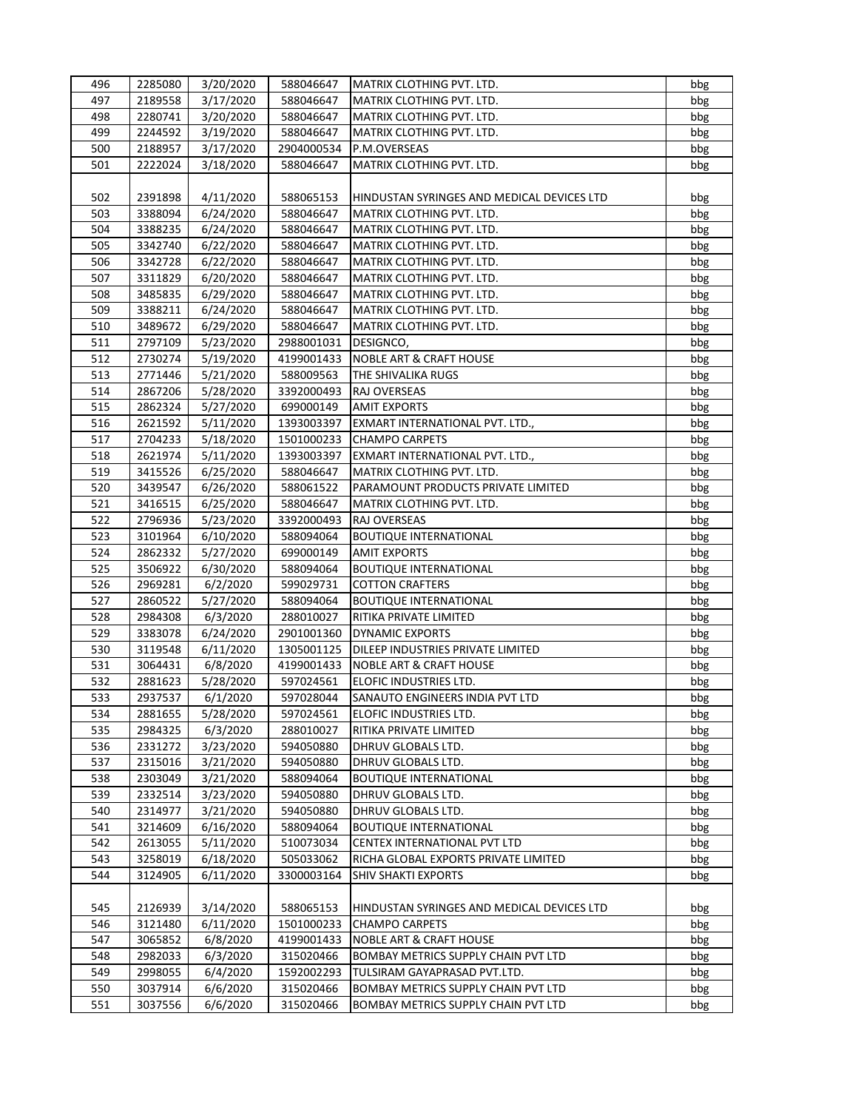| 496 | 2285080 | 3/20/2020 | 588046647  | MATRIX CLOTHING PVT. LTD.                  | bbg |
|-----|---------|-----------|------------|--------------------------------------------|-----|
| 497 | 2189558 | 3/17/2020 | 588046647  | MATRIX CLOTHING PVT. LTD.                  | bbg |
| 498 | 2280741 | 3/20/2020 | 588046647  | MATRIX CLOTHING PVT. LTD.                  | bbg |
| 499 | 2244592 | 3/19/2020 | 588046647  | MATRIX CLOTHING PVT. LTD.                  | bbg |
| 500 | 2188957 | 3/17/2020 | 2904000534 | P.M.OVERSEAS                               | bbg |
| 501 | 2222024 | 3/18/2020 | 588046647  | MATRIX CLOTHING PVT. LTD.                  | bbg |
|     |         |           |            |                                            |     |
| 502 | 2391898 | 4/11/2020 | 588065153  | HINDUSTAN SYRINGES AND MEDICAL DEVICES LTD | bbg |
| 503 | 3388094 | 6/24/2020 | 588046647  | MATRIX CLOTHING PVT. LTD.                  | bbg |
| 504 | 3388235 | 6/24/2020 | 588046647  | MATRIX CLOTHING PVT. LTD.                  | bbg |
| 505 | 3342740 | 6/22/2020 | 588046647  | MATRIX CLOTHING PVT. LTD.                  | bbg |
| 506 | 3342728 | 6/22/2020 | 588046647  | MATRIX CLOTHING PVT. LTD.                  | bbg |
| 507 | 3311829 | 6/20/2020 | 588046647  | MATRIX CLOTHING PVT. LTD.                  | bbg |
| 508 | 3485835 | 6/29/2020 | 588046647  | MATRIX CLOTHING PVT. LTD.                  | bbg |
| 509 | 3388211 | 6/24/2020 | 588046647  | MATRIX CLOTHING PVT. LTD.                  | bbg |
|     |         |           |            |                                            |     |
| 510 | 3489672 | 6/29/2020 | 588046647  | MATRIX CLOTHING PVT. LTD.                  | bbg |
| 511 | 2797109 | 5/23/2020 | 2988001031 | DESIGNCO,                                  | bbg |
| 512 | 2730274 | 5/19/2020 | 4199001433 | <b>NOBLE ART &amp; CRAFT HOUSE</b>         | bbg |
| 513 | 2771446 | 5/21/2020 | 588009563  | THE SHIVALIKA RUGS                         | bbg |
| 514 | 2867206 | 5/28/2020 | 3392000493 | RAJ OVERSEAS                               | bbg |
| 515 | 2862324 | 5/27/2020 | 699000149  | <b>AMIT EXPORTS</b>                        | bbg |
| 516 | 2621592 | 5/11/2020 | 1393003397 | EXMART INTERNATIONAL PVT. LTD.,            | bbg |
| 517 | 2704233 | 5/18/2020 | 1501000233 | <b>CHAMPO CARPETS</b>                      | bbg |
| 518 | 2621974 | 5/11/2020 | 1393003397 | EXMART INTERNATIONAL PVT. LTD.,            | bbg |
| 519 | 3415526 | 6/25/2020 | 588046647  | MATRIX CLOTHING PVT. LTD.                  | bbg |
| 520 | 3439547 | 6/26/2020 | 588061522  | PARAMOUNT PRODUCTS PRIVATE LIMITED         | bbg |
| 521 | 3416515 | 6/25/2020 | 588046647  | MATRIX CLOTHING PVT. LTD.                  | bbg |
| 522 | 2796936 | 5/23/2020 | 3392000493 | RAJ OVERSEAS                               | bbg |
| 523 | 3101964 | 6/10/2020 | 588094064  | <b>BOUTIQUE INTERNATIONAL</b>              | bbg |
| 524 | 2862332 | 5/27/2020 | 699000149  | <b>AMIT EXPORTS</b>                        | bbg |
| 525 | 3506922 | 6/30/2020 | 588094064  | <b>BOUTIQUE INTERNATIONAL</b>              | bbg |
| 526 | 2969281 | 6/2/2020  | 599029731  | <b>COTTON CRAFTERS</b>                     | bbg |
| 527 | 2860522 | 5/27/2020 | 588094064  | <b>BOUTIQUE INTERNATIONAL</b>              | bbg |
| 528 | 2984308 | 6/3/2020  | 288010027  | RITIKA PRIVATE LIMITED                     | bbg |
| 529 | 3383078 | 6/24/2020 | 2901001360 | DYNAMIC EXPORTS                            | bbg |
| 530 | 3119548 | 6/11/2020 | 1305001125 | DILEEP INDUSTRIES PRIVATE LIMITED          | bbg |
| 531 | 3064431 | 6/8/2020  | 4199001433 | <b>NOBLE ART &amp; CRAFT HOUSE</b>         | bbg |
| 532 | 2881623 | 5/28/2020 | 597024561  | ELOFIC INDUSTRIES LTD.                     | bbg |
| 533 | 2937537 | 6/1/2020  | 597028044  | SANAUTO ENGINEERS INDIA PVT LTD            | bbg |
| 534 | 2881655 | 5/28/2020 | 597024561  | ELOFIC INDUSTRIES LTD.                     | bbg |
| 535 | 2984325 |           |            |                                            |     |
|     |         | 6/3/2020  | 288010027  | RITIKA PRIVATE LIMITED                     | bbg |
| 536 | 2331272 | 3/23/2020 | 594050880  | DHRUV GLOBALS LTD.                         | bbg |
| 537 | 2315016 | 3/21/2020 | 594050880  | DHRUV GLOBALS LTD.                         | bbg |
| 538 | 2303049 | 3/21/2020 | 588094064  | <b>BOUTIQUE INTERNATIONAL</b>              | bbg |
| 539 | 2332514 | 3/23/2020 | 594050880  | DHRUV GLOBALS LTD.                         | bbg |
| 540 | 2314977 | 3/21/2020 | 594050880  | DHRUV GLOBALS LTD.                         | bbg |
| 541 | 3214609 | 6/16/2020 | 588094064  | <b>BOUTIQUE INTERNATIONAL</b>              | bbg |
| 542 | 2613055 | 5/11/2020 | 510073034  | CENTEX INTERNATIONAL PVT LTD               | bbg |
| 543 | 3258019 | 6/18/2020 | 505033062  | RICHA GLOBAL EXPORTS PRIVATE LIMITED       | bbg |
| 544 | 3124905 | 6/11/2020 | 3300003164 | SHIV SHAKTI EXPORTS                        | bbg |
|     |         |           |            |                                            |     |
| 545 | 2126939 | 3/14/2020 | 588065153  | HINDUSTAN SYRINGES AND MEDICAL DEVICES LTD | bbg |
| 546 | 3121480 | 6/11/2020 | 1501000233 | <b>CHAMPO CARPETS</b>                      | bbg |
| 547 | 3065852 | 6/8/2020  | 4199001433 | <b>NOBLE ART &amp; CRAFT HOUSE</b>         | bbg |
| 548 | 2982033 | 6/3/2020  | 315020466  | BOMBAY METRICS SUPPLY CHAIN PVT LTD        | bbg |
| 549 | 2998055 | 6/4/2020  | 1592002293 | TULSIRAM GAYAPRASAD PVT.LTD.               | bbg |
| 550 | 3037914 | 6/6/2020  | 315020466  | BOMBAY METRICS SUPPLY CHAIN PVT LTD        | bbg |
| 551 | 3037556 | 6/6/2020  | 315020466  | BOMBAY METRICS SUPPLY CHAIN PVT LTD        | bbg |
|     |         |           |            |                                            |     |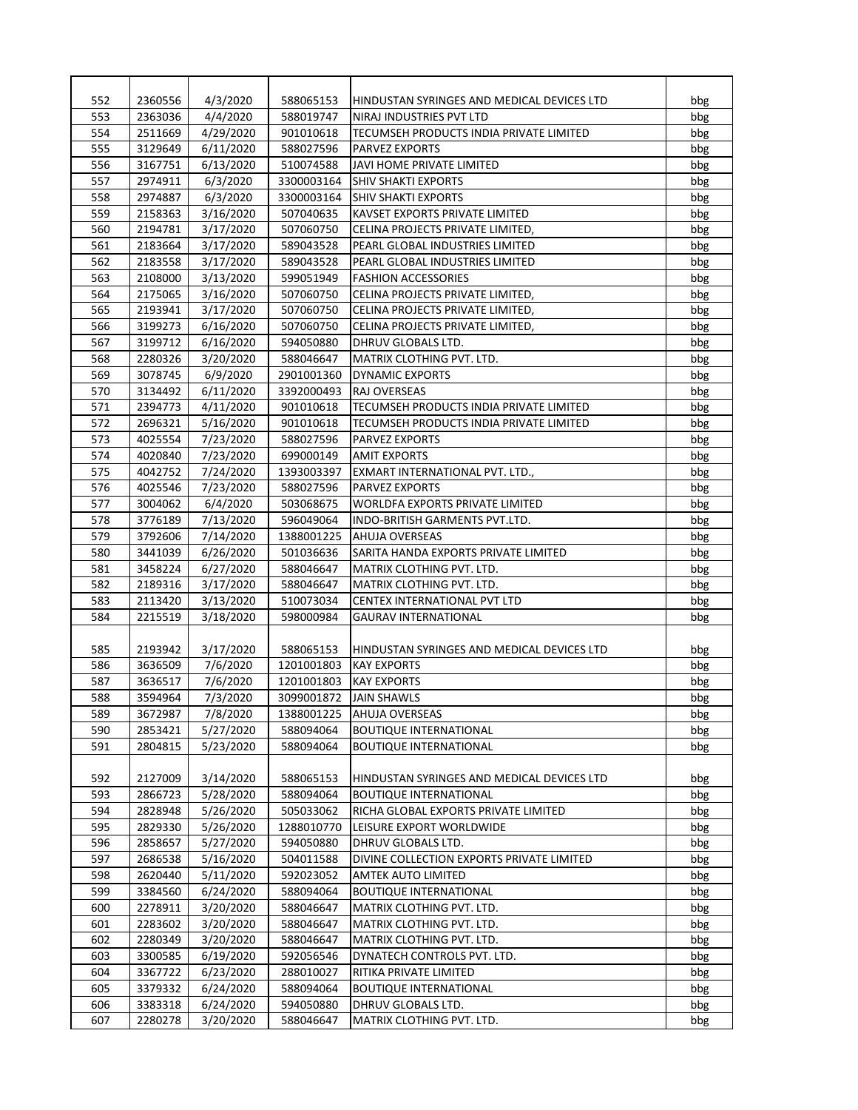| 552 | 2360556 | 4/3/2020  | 588065153  | HINDUSTAN SYRINGES AND MEDICAL DEVICES LTD | bbg |
|-----|---------|-----------|------------|--------------------------------------------|-----|
| 553 | 2363036 | 4/4/2020  | 588019747  | NIRAJ INDUSTRIES PVT LTD                   | bbg |
| 554 | 2511669 | 4/29/2020 | 901010618  | TECUMSEH PRODUCTS INDIA PRIVATE LIMITED    | bbg |
| 555 | 3129649 | 6/11/2020 | 588027596  | <b>PARVEZ EXPORTS</b>                      | bbg |
| 556 | 3167751 | 6/13/2020 | 510074588  | JAVI HOME PRIVATE LIMITED                  | bbg |
| 557 | 2974911 | 6/3/2020  | 3300003164 | SHIV SHAKTI EXPORTS                        | bbg |
| 558 | 2974887 | 6/3/2020  | 3300003164 | <b>SHIV SHAKTI EXPORTS</b>                 | bbg |
| 559 | 2158363 | 3/16/2020 | 507040635  | KAVSET EXPORTS PRIVATE LIMITED             | bbg |
| 560 | 2194781 | 3/17/2020 | 507060750  | CELINA PROJECTS PRIVATE LIMITED,           | bbg |
| 561 | 2183664 | 3/17/2020 | 589043528  | PEARL GLOBAL INDUSTRIES LIMITED            | bbg |
| 562 | 2183558 | 3/17/2020 | 589043528  | PEARL GLOBAL INDUSTRIES LIMITED            | bbg |
| 563 | 2108000 | 3/13/2020 | 599051949  | <b>FASHION ACCESSORIES</b>                 | bbg |
| 564 | 2175065 | 3/16/2020 | 507060750  | CELINA PROJECTS PRIVATE LIMITED,           | bbg |
| 565 | 2193941 | 3/17/2020 | 507060750  | CELINA PROJECTS PRIVATE LIMITED,           | bbg |
| 566 | 3199273 | 6/16/2020 | 507060750  | CELINA PROJECTS PRIVATE LIMITED,           | bbg |
| 567 | 3199712 | 6/16/2020 | 594050880  | DHRUV GLOBALS LTD.                         | bbg |
| 568 | 2280326 | 3/20/2020 | 588046647  | MATRIX CLOTHING PVT. LTD.                  | bbg |
| 569 | 3078745 | 6/9/2020  | 2901001360 | <b>DYNAMIC EXPORTS</b>                     | bbg |
| 570 | 3134492 | 6/11/2020 | 3392000493 | RAJ OVERSEAS                               | bbg |
| 571 | 2394773 | 4/11/2020 | 901010618  | TECUMSEH PRODUCTS INDIA PRIVATE LIMITED    | bbg |
| 572 | 2696321 | 5/16/2020 | 901010618  | TECUMSEH PRODUCTS INDIA PRIVATE LIMITED    | bbg |
| 573 | 4025554 | 7/23/2020 | 588027596  |                                            |     |
|     |         |           |            | <b>PARVEZ EXPORTS</b>                      | bbg |
| 574 | 4020840 | 7/23/2020 | 699000149  | <b>AMIT EXPORTS</b>                        | bbg |
| 575 | 4042752 | 7/24/2020 | 1393003397 | EXMART INTERNATIONAL PVT. LTD.,            | bbg |
| 576 | 4025546 | 7/23/2020 | 588027596  | <b>PARVEZ EXPORTS</b>                      | bbg |
| 577 | 3004062 | 6/4/2020  | 503068675  | <b>WORLDFA EXPORTS PRIVATE LIMITED</b>     | bbg |
| 578 | 3776189 | 7/13/2020 | 596049064  | INDO-BRITISH GARMENTS PVT.LTD.             | bbg |
| 579 | 3792606 | 7/14/2020 | 1388001225 | <b>AHUJA OVERSEAS</b>                      | bbg |
| 580 | 3441039 | 6/26/2020 | 501036636  | SARITA HANDA EXPORTS PRIVATE LIMITED       | bbg |
| 581 | 3458224 | 6/27/2020 | 588046647  | MATRIX CLOTHING PVT. LTD.                  | bbg |
| 582 | 2189316 | 3/17/2020 | 588046647  | MATRIX CLOTHING PVT. LTD.                  | bbg |
| 583 | 2113420 | 3/13/2020 | 510073034  | CENTEX INTERNATIONAL PVT LTD               | bbg |
| 584 | 2215519 | 3/18/2020 | 598000984  | <b>GAURAV INTERNATIONAL</b>                | bbg |
|     |         |           |            |                                            |     |
| 585 | 2193942 | 3/17/2020 | 588065153  | HINDUSTAN SYRINGES AND MEDICAL DEVICES LTD | bbg |
| 586 | 3636509 | 7/6/2020  | 1201001803 | <b>KAY EXPORTS</b>                         | bbg |
| 587 | 3636517 | 7/6/2020  | 1201001803 | <b>KAY EXPORTS</b>                         | bbg |
| 588 | 3594964 | 7/3/2020  | 3099001872 | <b>JAIN SHAWLS</b>                         | bbg |
| 589 | 3672987 | 7/8/2020  | 1388001225 | AHUJA OVERSEAS                             | bbg |
| 590 | 2853421 | 5/27/2020 | 588094064  | <b>BOUTIQUE INTERNATIONAL</b>              | bbg |
| 591 | 2804815 | 5/23/2020 | 588094064  | <b>BOUTIQUE INTERNATIONAL</b>              | bbg |
|     |         |           |            |                                            |     |
| 592 | 2127009 | 3/14/2020 | 588065153  | HINDUSTAN SYRINGES AND MEDICAL DEVICES LTD | bbg |
| 593 | 2866723 | 5/28/2020 | 588094064  | <b>BOUTIQUE INTERNATIONAL</b>              | bbg |
| 594 | 2828948 | 5/26/2020 | 505033062  | RICHA GLOBAL EXPORTS PRIVATE LIMITED       | bbg |
| 595 | 2829330 | 5/26/2020 | 1288010770 | LEISURE EXPORT WORLDWIDE                   | bbg |
| 596 | 2858657 | 5/27/2020 | 594050880  | DHRUV GLOBALS LTD.                         | bbg |
| 597 | 2686538 | 5/16/2020 | 504011588  | DIVINE COLLECTION EXPORTS PRIVATE LIMITED  | bbg |
| 598 | 2620440 | 5/11/2020 | 592023052  | <b>AMTEK AUTO LIMITED</b>                  | bbg |
| 599 | 3384560 | 6/24/2020 | 588094064  | <b>BOUTIQUE INTERNATIONAL</b>              | bbg |
| 600 | 2278911 | 3/20/2020 | 588046647  | MATRIX CLOTHING PVT. LTD.                  | bbg |
| 601 | 2283602 | 3/20/2020 | 588046647  | MATRIX CLOTHING PVT. LTD.                  | bbg |
| 602 | 2280349 | 3/20/2020 | 588046647  | MATRIX CLOTHING PVT. LTD.                  | bbg |
| 603 | 3300585 | 6/19/2020 | 592056546  | DYNATECH CONTROLS PVT. LTD.                | bbg |
| 604 | 3367722 | 6/23/2020 | 288010027  | RITIKA PRIVATE LIMITED                     | bbg |
| 605 | 3379332 | 6/24/2020 | 588094064  | <b>BOUTIQUE INTERNATIONAL</b>              | bbg |
| 606 | 3383318 | 6/24/2020 | 594050880  | DHRUV GLOBALS LTD.                         | bbg |
| 607 | 2280278 | 3/20/2020 | 588046647  | MATRIX CLOTHING PVT. LTD.                  | bbg |
|     |         |           |            |                                            |     |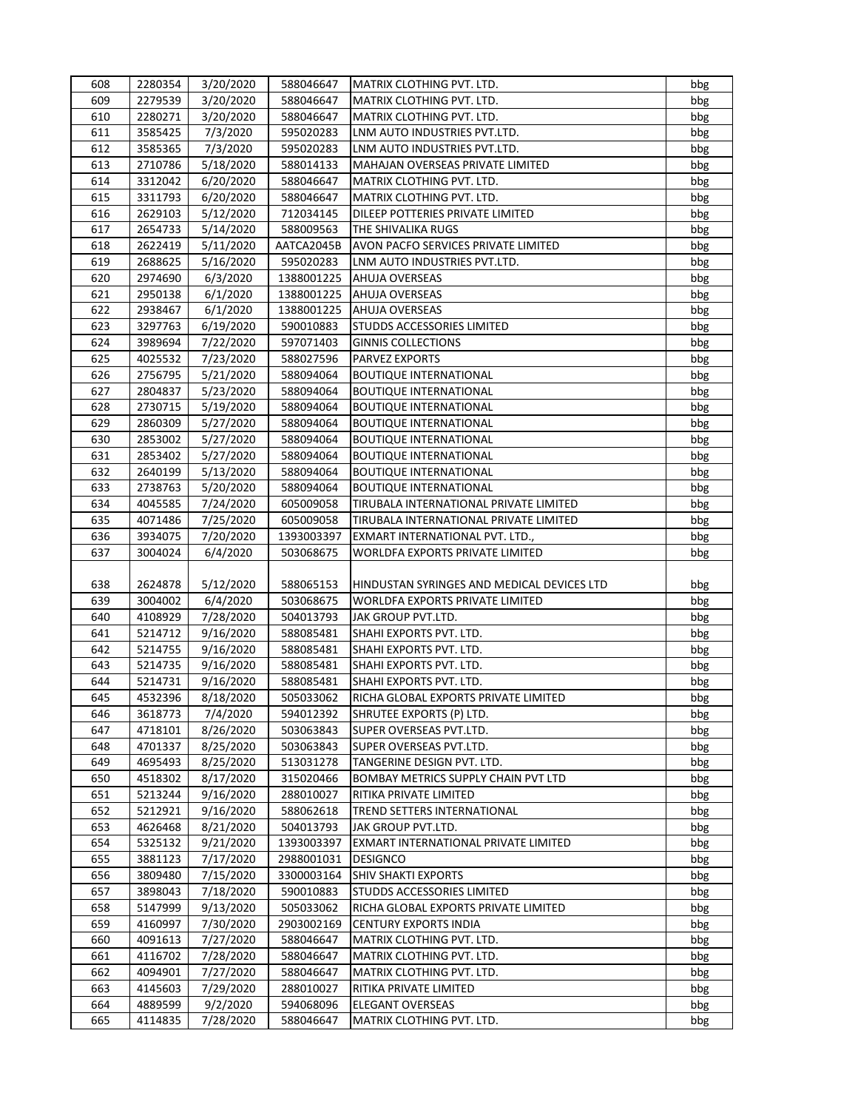| 608        | 2280354 | 3/20/2020              | 588046647              | MATRIX CLOTHING PVT. LTD.                                       | bbg |
|------------|---------|------------------------|------------------------|-----------------------------------------------------------------|-----|
| 609        | 2279539 | 3/20/2020              | 588046647              | MATRIX CLOTHING PVT. LTD.                                       | bbg |
| 610        | 2280271 | 3/20/2020              | 588046647              | MATRIX CLOTHING PVT. LTD.                                       | bbg |
| 611        | 3585425 | 7/3/2020               | 595020283              | LNM AUTO INDUSTRIES PVT.LTD.                                    | bbg |
| 612        | 3585365 | 7/3/2020               | 595020283              | LNM AUTO INDUSTRIES PVT.LTD.                                    | bbg |
| 613        | 2710786 | 5/18/2020              | 588014133              | MAHAJAN OVERSEAS PRIVATE LIMITED                                | bbg |
| 614        | 3312042 | 6/20/2020              | 588046647              | MATRIX CLOTHING PVT. LTD.                                       | bbg |
| 615        | 3311793 | 6/20/2020              | 588046647              | MATRIX CLOTHING PVT. LTD.                                       | bbg |
| 616        | 2629103 | 5/12/2020              | 712034145              | DILEEP POTTERIES PRIVATE LIMITED                                | bbg |
| 617        | 2654733 | 5/14/2020              | 588009563              | THE SHIVALIKA RUGS                                              | bbg |
| 618        | 2622419 | 5/11/2020              | AATCA2045B             | AVON PACFO SERVICES PRIVATE LIMITED                             | bbg |
| 619        | 2688625 | 5/16/2020              | 595020283              | LNM AUTO INDUSTRIES PVT.LTD.                                    | bbg |
| 620        | 2974690 | 6/3/2020               | 1388001225             | AHUJA OVERSEAS                                                  | bbg |
| 621        | 2950138 | 6/1/2020               | 1388001225             | AHUJA OVERSEAS                                                  | bbg |
| 622        | 2938467 | 6/1/2020               | 1388001225             | AHUJA OVERSEAS                                                  | bbg |
| 623        | 3297763 | 6/19/2020              | 590010883              | STUDDS ACCESSORIES LIMITED                                      | bbg |
| 624        | 3989694 | 7/22/2020              | 597071403              | <b>GINNIS COLLECTIONS</b>                                       | bbg |
| 625        | 4025532 | 7/23/2020              | 588027596              | PARVEZ EXPORTS                                                  | bbg |
| 626        | 2756795 | 5/21/2020              | 588094064              | <b>BOUTIQUE INTERNATIONAL</b>                                   | bbg |
| 627        | 2804837 | 5/23/2020              | 588094064              | <b>BOUTIQUE INTERNATIONAL</b>                                   | bbg |
| 628        | 2730715 | 5/19/2020              | 588094064              | <b>BOUTIQUE INTERNATIONAL</b>                                   | bbg |
| 629        | 2860309 | 5/27/2020              | 588094064              | <b>BOUTIQUE INTERNATIONAL</b>                                   | bbg |
| 630        | 2853002 | 5/27/2020              | 588094064              | <b>BOUTIQUE INTERNATIONAL</b>                                   | bbg |
| 631        | 2853402 | 5/27/2020              | 588094064              | <b>BOUTIQUE INTERNATIONAL</b>                                   | bbg |
| 632        | 2640199 | 5/13/2020              | 588094064              | <b>BOUTIQUE INTERNATIONAL</b>                                   | bbg |
| 633        | 2738763 | 5/20/2020              | 588094064              | <b>BOUTIQUE INTERNATIONAL</b>                                   | bbg |
| 634        | 4045585 | 7/24/2020              | 605009058              | TIRUBALA INTERNATIONAL PRIVATE LIMITED                          | bbg |
| 635        | 4071486 | 7/25/2020              | 605009058              | TIRUBALA INTERNATIONAL PRIVATE LIMITED                          | bbg |
| 636        | 3934075 | 7/20/2020              | 1393003397             | EXMART INTERNATIONAL PVT. LTD.,                                 | bbg |
| 637        | 3004024 | 6/4/2020               | 503068675              | <b>WORLDFA EXPORTS PRIVATE LIMITED</b>                          | bbg |
|            |         |                        |                        |                                                                 |     |
| 638        | 2624878 | 5/12/2020              | 588065153              | HINDUSTAN SYRINGES AND MEDICAL DEVICES LTD                      | bbg |
| 639        | 3004002 | 6/4/2020               | 503068675              | WORLDFA EXPORTS PRIVATE LIMITED                                 | bbg |
| 640        | 4108929 | 7/28/2020              | 504013793              | JAK GROUP PVT.LTD.                                              | bbg |
| 641        | 5214712 | 9/16/2020              | 588085481              | SHAHI EXPORTS PVT. LTD.                                         | bbg |
| 642        | 5214755 | 9/16/2020              |                        |                                                                 |     |
|            | 5214735 |                        | 588085481              | SHAHI EXPORTS PVT. LTD.                                         | bbg |
| 643<br>644 |         | 9/16/2020              | 588085481<br>588085481 | SHAHI EXPORTS PVT. LTD.                                         | bbg |
| 645        | 5214731 | 9/16/2020<br>8/18/2020 |                        | SHAHI EXPORTS PVT. LTD.<br>RICHA GLOBAL EXPORTS PRIVATE LIMITED | bbg |
|            | 4532396 |                        | 505033062              |                                                                 | bbg |
| 646        | 3618773 | 7/4/2020               | 594012392<br>503063843 | SHRUTEE EXPORTS (P) LTD.<br>SUPER OVERSEAS PVT.LTD.             | bbg |
| 647        | 4718101 | 8/26/2020              |                        |                                                                 | bbg |
| 648        | 4701337 | 8/25/2020              | 503063843              | SUPER OVERSEAS PVT.LTD.                                         | bbg |
| 649        | 4695493 | 8/25/2020              | 513031278              | TANGERINE DESIGN PVT. LTD.                                      | bbg |
| 650        | 4518302 | 8/17/2020              | 315020466              | BOMBAY METRICS SUPPLY CHAIN PVT LTD                             | bbg |
| 651        | 5213244 | 9/16/2020              | 288010027              | RITIKA PRIVATE LIMITED                                          | bbg |
| 652        | 5212921 | 9/16/2020              | 588062618              | TREND SETTERS INTERNATIONAL                                     | bbg |
| 653        | 4626468 | 8/21/2020              | 504013793              | JAK GROUP PVT.LTD.                                              | bbg |
| 654        | 5325132 | 9/21/2020              | 1393003397             | EXMART INTERNATIONAL PRIVATE LIMITED                            | bbg |
| 655        | 3881123 | 7/17/2020              | 2988001031             | <b>DESIGNCO</b>                                                 | bbg |
| 656        | 3809480 | 7/15/2020              | 3300003164             | SHIV SHAKTI EXPORTS                                             | bbg |
| 657        | 3898043 | 7/18/2020              | 590010883              | STUDDS ACCESSORIES LIMITED                                      | bbg |
| 658        | 5147999 | 9/13/2020              | 505033062              | RICHA GLOBAL EXPORTS PRIVATE LIMITED                            | bbg |
| 659        | 4160997 | 7/30/2020              | 2903002169             | <b>CENTURY EXPORTS INDIA</b>                                    | bbg |
| 660        | 4091613 | 7/27/2020              | 588046647              | MATRIX CLOTHING PVT. LTD.                                       | bbg |
| 661        | 4116702 | 7/28/2020              | 588046647              | MATRIX CLOTHING PVT. LTD.                                       | bbg |
| 662        | 4094901 | 7/27/2020              | 588046647              | MATRIX CLOTHING PVT. LTD.                                       | bbg |
| 663        | 4145603 | 7/29/2020              | 288010027              | RITIKA PRIVATE LIMITED                                          | bbg |
| 664        | 4889599 | 9/2/2020               | 594068096              | <b>ELEGANT OVERSEAS</b>                                         | bbg |
| 665        | 4114835 | 7/28/2020              | 588046647              | MATRIX CLOTHING PVT. LTD.                                       | bbg |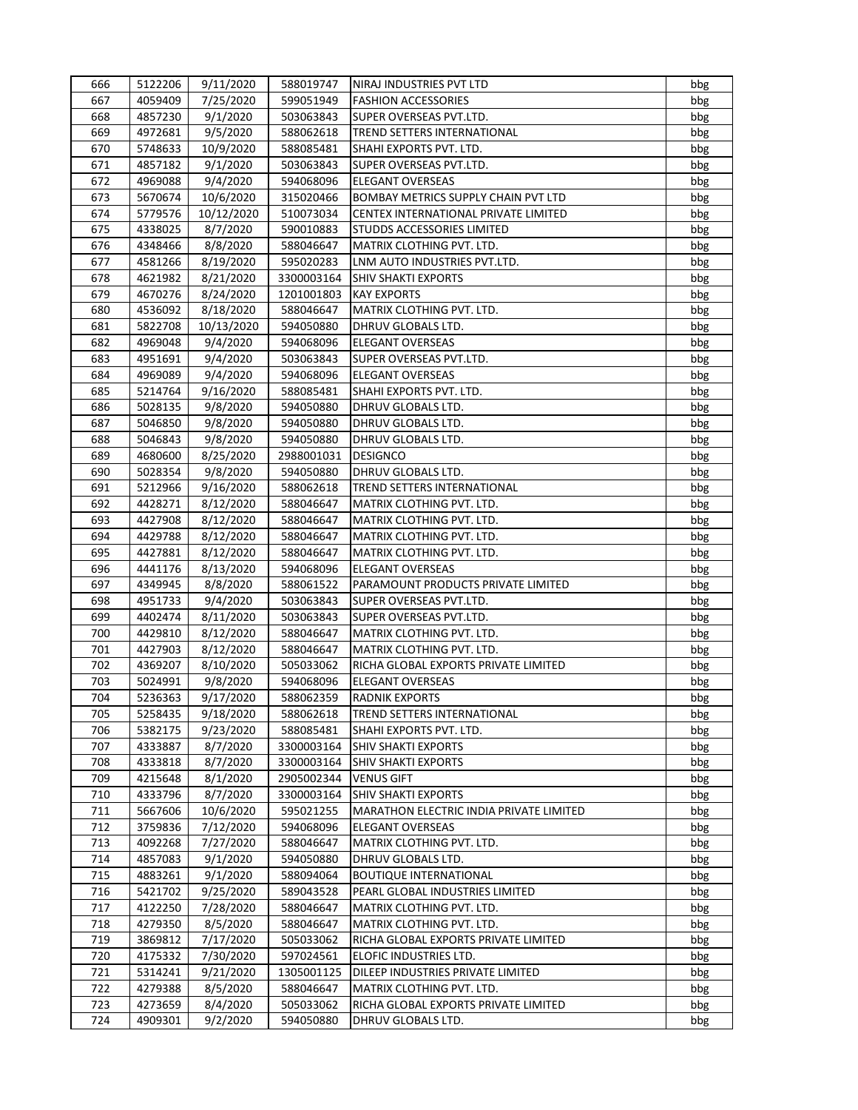| 666        | 5122206            | 9/11/2020  | 588019747  | NIRAJ INDUSTRIES PVT LTD                               | bbg |
|------------|--------------------|------------|------------|--------------------------------------------------------|-----|
| 667        | 4059409            | 7/25/2020  | 599051949  | <b>FASHION ACCESSORIES</b>                             | bbg |
| 668        | 4857230            | 9/1/2020   | 503063843  | SUPER OVERSEAS PVT.LTD.                                | bbg |
| 669        | 4972681            | 9/5/2020   | 588062618  | TREND SETTERS INTERNATIONAL                            | bbg |
| 670        | 5748633            | 10/9/2020  | 588085481  | SHAHI EXPORTS PVT. LTD.                                | bbg |
| 671        | 4857182            | 9/1/2020   | 503063843  | SUPER OVERSEAS PVT.LTD.                                | bbg |
| 672        | 4969088            | 9/4/2020   | 594068096  | <b>ELEGANT OVERSEAS</b>                                | bbg |
| 673        | 5670674            | 10/6/2020  | 315020466  | BOMBAY METRICS SUPPLY CHAIN PVT LTD                    | bbg |
| 674        | 5779576            | 10/12/2020 | 510073034  | CENTEX INTERNATIONAL PRIVATE LIMITED                   | bbg |
| 675        | 4338025            | 8/7/2020   | 590010883  | STUDDS ACCESSORIES LIMITED                             | bbg |
| 676        | 4348466            | 8/8/2020   | 588046647  | MATRIX CLOTHING PVT. LTD.                              | bbg |
| 677        | 4581266            | 8/19/2020  | 595020283  | LNM AUTO INDUSTRIES PVT.LTD.                           | bbg |
| 678        | 4621982            | 8/21/2020  | 3300003164 | <b>SHIV SHAKTI EXPORTS</b>                             | bbg |
| 679        | 4670276            | 8/24/2020  | 1201001803 | <b>KAY EXPORTS</b>                                     | bbg |
| 680        | 4536092            | 8/18/2020  | 588046647  | MATRIX CLOTHING PVT. LTD.                              | bbg |
| 681        | 5822708            | 10/13/2020 | 594050880  | DHRUV GLOBALS LTD.                                     | bbg |
| 682        | 4969048            | 9/4/2020   | 594068096  | <b>ELEGANT OVERSEAS</b>                                | bbg |
| 683        | 4951691            | 9/4/2020   | 503063843  | SUPER OVERSEAS PVT.LTD.                                | bbg |
| 684        | 4969089            | 9/4/2020   | 594068096  | <b>ELEGANT OVERSEAS</b>                                | bbg |
| 685        | 5214764            | 9/16/2020  | 588085481  | SHAHI EXPORTS PVT. LTD.                                | bbg |
| 686        | 5028135            | 9/8/2020   | 594050880  | DHRUV GLOBALS LTD.                                     | bbg |
| 687        | 5046850            | 9/8/2020   | 594050880  | DHRUV GLOBALS LTD.                                     | bbg |
| 688        | 5046843            | 9/8/2020   | 594050880  | DHRUV GLOBALS LTD.                                     | bbg |
| 689        | 4680600            | 8/25/2020  | 2988001031 | <b>DESIGNCO</b>                                        | bbg |
| 690        | 5028354            | 9/8/2020   | 594050880  | DHRUV GLOBALS LTD.                                     | bbg |
| 691        | 5212966            | 9/16/2020  | 588062618  | TREND SETTERS INTERNATIONAL                            | bbg |
| 692        | 4428271            | 8/12/2020  | 588046647  | MATRIX CLOTHING PVT. LTD.                              | bbg |
|            |                    |            |            |                                                        |     |
| 693<br>694 | 4427908<br>4429788 | 8/12/2020  | 588046647  | MATRIX CLOTHING PVT. LTD.<br>MATRIX CLOTHING PVT. LTD. | bbg |
|            |                    | 8/12/2020  | 588046647  |                                                        | bbg |
| 695        | 4427881            | 8/12/2020  | 588046647  | MATRIX CLOTHING PVT. LTD.                              | bbg |
| 696        | 4441176            | 8/13/2020  | 594068096  | <b>ELEGANT OVERSEAS</b>                                | bbg |
| 697        | 4349945            | 8/8/2020   | 588061522  | PARAMOUNT PRODUCTS PRIVATE LIMITED                     | bbg |
| 698        | 4951733            | 9/4/2020   | 503063843  | SUPER OVERSEAS PVT.LTD.                                | bbg |
| 699<br>700 | 4402474            | 8/11/2020  | 503063843  | SUPER OVERSEAS PVT.LTD.                                | bbg |
|            | 4429810            | 8/12/2020  | 588046647  | MATRIX CLOTHING PVT. LTD.                              | bbg |
| 701<br>702 | 4427903            | 8/12/2020  | 588046647  | MATRIX CLOTHING PVT. LTD.                              | bbg |
|            | 4369207            | 8/10/2020  | 505033062  | RICHA GLOBAL EXPORTS PRIVATE LIMITED                   | bbg |
| 703        | 5024991            | 9/8/2020   | 594068096  | <b>ELEGANT OVERSEAS</b>                                | bbg |
| 704        | 5236363            | 9/17/2020  | 588062359  | <b>RADNIK EXPORTS</b>                                  | bbg |
| 705        | 5258435            | 9/18/2020  | 588062618  | TREND SETTERS INTERNATIONAL                            | bbg |
| 706        | 5382175            | 9/23/2020  | 588085481  | SHAHI EXPORTS PVT. LTD.                                | bbg |
| 707        | 4333887            | 8/7/2020   | 3300003164 | SHIV SHAKTI EXPORTS                                    | bbg |
| 708        | 4333818            | 8/7/2020   | 3300003164 | SHIV SHAKTI EXPORTS                                    | bbg |
| 709        | 4215648            | 8/1/2020   | 2905002344 | <b>VENUS GIFT</b>                                      | bbg |
| 710        | 4333796            | 8/7/2020   | 3300003164 | SHIV SHAKTI EXPORTS                                    | bbg |
| 711        | 5667606            | 10/6/2020  | 595021255  | MARATHON ELECTRIC INDIA PRIVATE LIMITED                | bbg |
| 712        | 3759836            | 7/12/2020  | 594068096  | <b>ELEGANT OVERSEAS</b>                                | bbg |
| 713        | 4092268            | 7/27/2020  | 588046647  | MATRIX CLOTHING PVT. LTD.                              | bbg |
| 714        | 4857083            | 9/1/2020   | 594050880  | DHRUV GLOBALS LTD.                                     | bbg |
| 715        | 4883261            | 9/1/2020   | 588094064  | <b>BOUTIQUE INTERNATIONAL</b>                          | bbg |
| 716        | 5421702            | 9/25/2020  | 589043528  | PEARL GLOBAL INDUSTRIES LIMITED                        | bbg |
| 717        | 4122250            | 7/28/2020  | 588046647  | MATRIX CLOTHING PVT. LTD.                              | bbg |
| 718        | 4279350            | 8/5/2020   | 588046647  | MATRIX CLOTHING PVT. LTD.                              | bbg |
| 719        | 3869812            | 7/17/2020  | 505033062  | RICHA GLOBAL EXPORTS PRIVATE LIMITED                   | bbg |
| 720        | 4175332            | 7/30/2020  | 597024561  | ELOFIC INDUSTRIES LTD.                                 | bbg |
| 721        | 5314241            | 9/21/2020  | 1305001125 | DILEEP INDUSTRIES PRIVATE LIMITED                      | bbg |
| 722        | 4279388            | 8/5/2020   | 588046647  | MATRIX CLOTHING PVT. LTD.                              | bbg |
| 723        | 4273659            | 8/4/2020   | 505033062  | RICHA GLOBAL EXPORTS PRIVATE LIMITED                   | bbg |
| 724        | 4909301            | 9/2/2020   | 594050880  | DHRUV GLOBALS LTD.                                     | bbg |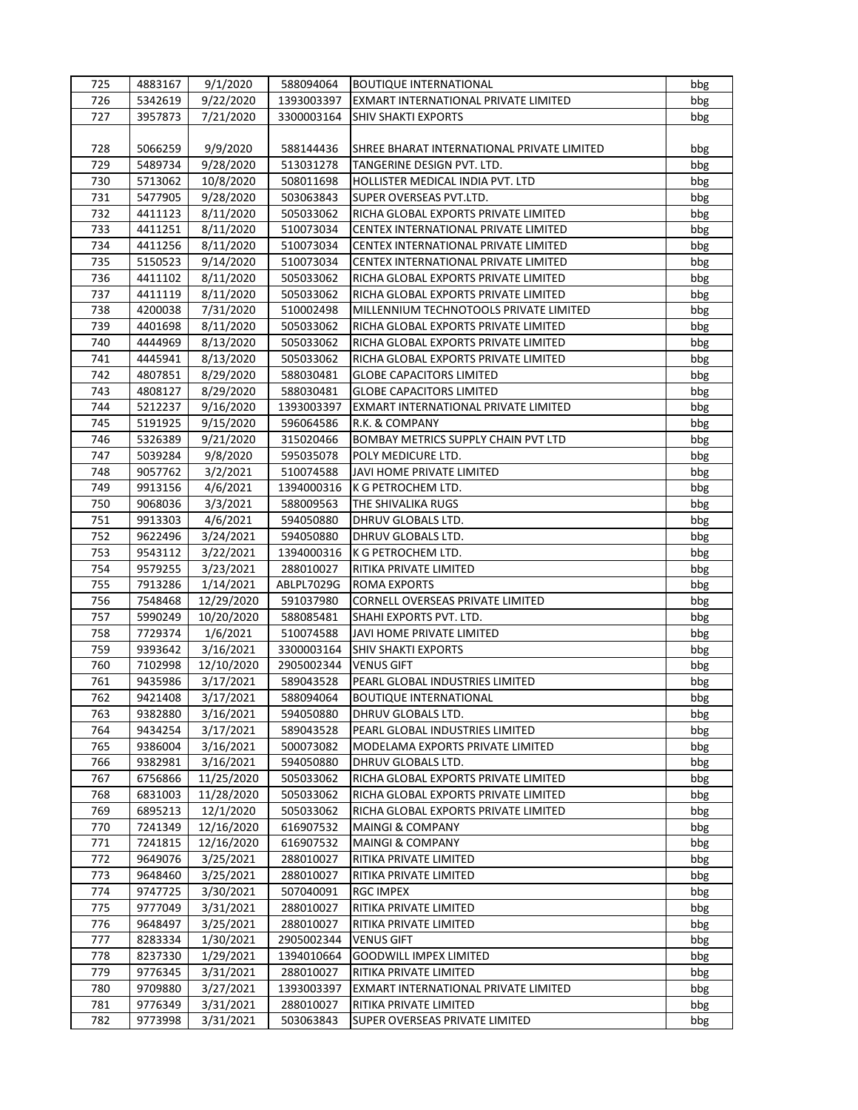| 725        | 4883167            | 9/1/2020   | 588094064              | <b>BOUTIQUE INTERNATIONAL</b>              | bbg |
|------------|--------------------|------------|------------------------|--------------------------------------------|-----|
| 726        | 5342619            | 9/22/2020  | 1393003397             | EXMART INTERNATIONAL PRIVATE LIMITED       | bbg |
| 727        | 3957873            | 7/21/2020  | 3300003164             | <b>SHIV SHAKTI EXPORTS</b>                 | bbg |
|            |                    |            |                        |                                            |     |
| 728        | 5066259            | 9/9/2020   | 588144436              | SHREE BHARAT INTERNATIONAL PRIVATE LIMITED | bbg |
| 729        | 5489734            | 9/28/2020  | 513031278              | TANGERINE DESIGN PVT. LTD.                 | bbg |
| 730        | 5713062            | 10/8/2020  | 508011698              | HOLLISTER MEDICAL INDIA PVT. LTD           | bbg |
| 731        | 5477905            | 9/28/2020  | 503063843              | SUPER OVERSEAS PVT.LTD.                    | bbg |
| 732        | 4411123            | 8/11/2020  | 505033062              | RICHA GLOBAL EXPORTS PRIVATE LIMITED       | bbg |
| 733        | 4411251            | 8/11/2020  | 510073034              | CENTEX INTERNATIONAL PRIVATE LIMITED       | bbg |
| 734        | 4411256            | 8/11/2020  | 510073034              | CENTEX INTERNATIONAL PRIVATE LIMITED       | bbg |
| 735        | 5150523            | 9/14/2020  | 510073034              | CENTEX INTERNATIONAL PRIVATE LIMITED       | bbg |
| 736        | 4411102            | 8/11/2020  | 505033062              | RICHA GLOBAL EXPORTS PRIVATE LIMITED       | bbg |
| 737        | 4411119            |            |                        |                                            |     |
|            |                    | 8/11/2020  | 505033062              | RICHA GLOBAL EXPORTS PRIVATE LIMITED       | bbg |
| 738        | 4200038            | 7/31/2020  | 510002498              | MILLENNIUM TECHNOTOOLS PRIVATE LIMITED     | bbg |
| 739        | 4401698            | 8/11/2020  | 505033062              | RICHA GLOBAL EXPORTS PRIVATE LIMITED       | bbg |
| 740        | 4444969            | 8/13/2020  | 505033062              | RICHA GLOBAL EXPORTS PRIVATE LIMITED       | bbg |
| 741        | 4445941            | 8/13/2020  | 505033062              | RICHA GLOBAL EXPORTS PRIVATE LIMITED       | bbg |
| 742        | 4807851            | 8/29/2020  | 588030481              | <b>GLOBE CAPACITORS LIMITED</b>            | bbg |
| 743        | 4808127            | 8/29/2020  | 588030481              | <b>GLOBE CAPACITORS LIMITED</b>            | bbg |
| 744        | 5212237            | 9/16/2020  | 1393003397             | EXMART INTERNATIONAL PRIVATE LIMITED       | bbg |
| 745        | 5191925            | 9/15/2020  | 596064586              | R.K. & COMPANY                             | bbg |
| 746        | 5326389            | 9/21/2020  | 315020466              | <b>BOMBAY METRICS SUPPLY CHAIN PVT LTD</b> | bbg |
| 747        | 5039284            | 9/8/2020   | 595035078              | POLY MEDICURE LTD.                         | bbg |
| 748        | 9057762            | 3/2/2021   | 510074588              | JAVI HOME PRIVATE LIMITED                  | bbg |
| 749        | 9913156            | 4/6/2021   | 1394000316             | K G PETROCHEM LTD.                         | bbg |
| 750        | 9068036            | 3/3/2021   | 588009563              | THE SHIVALIKA RUGS                         | bbg |
| 751        | 9913303            | 4/6/2021   | 594050880              | DHRUV GLOBALS LTD.                         | bbg |
| 752        | 9622496            | 3/24/2021  | 594050880              | DHRUV GLOBALS LTD.                         | bbg |
| 753        | 9543112            | 3/22/2021  | 1394000316             | K G PETROCHEM LTD.                         | bbg |
| 754        | 9579255            | 3/23/2021  | 288010027              | RITIKA PRIVATE LIMITED                     | bbg |
| 755        | 7913286            | 1/14/2021  | ABLPL7029G             | <b>ROMA EXPORTS</b>                        | bbg |
| 756        | 7548468            | 12/29/2020 | 591037980              | CORNELL OVERSEAS PRIVATE LIMITED           | bbg |
| 757        | 5990249            | 10/20/2020 | 588085481              | SHAHI EXPORTS PVT. LTD.                    | bbg |
| 758        | 7729374            | 1/6/2021   | 510074588              | JAVI HOME PRIVATE LIMITED                  | bbg |
| 759        | 9393642            | 3/16/2021  | 3300003164             | <b>SHIV SHAKTI EXPORTS</b>                 | bbg |
| 760        | 7102998            | 12/10/2020 | 2905002344             | <b>VENUS GIFT</b>                          | bbg |
| 761        | 9435986            | 3/17/2021  | 589043528              | PEARL GLOBAL INDUSTRIES LIMITED            | bbg |
| 762        | 9421408            | 3/17/2021  | 588094064              | <b>BOUTIQUE INTERNATIONAL</b>              | bbg |
| 763        | 9382880            | 3/16/2021  | 594050880              | DHRUV GLOBALS LTD.                         | bbg |
| 764        | 9434254            | 3/17/2021  | 589043528              | PEARL GLOBAL INDUSTRIES LIMITED            | bbg |
| 765        | 9386004            | 3/16/2021  | 500073082              | MODELAMA EXPORTS PRIVATE LIMITED           | bbg |
| 766        | 9382981            | 3/16/2021  | 594050880              | DHRUV GLOBALS LTD.                         | bbg |
| 767        | 6756866            | 11/25/2020 | 505033062              | RICHA GLOBAL EXPORTS PRIVATE LIMITED       | bbg |
| 768        | 6831003            | 11/28/2020 | 505033062              | RICHA GLOBAL EXPORTS PRIVATE LIMITED       | bbg |
| 769        | 6895213            | 12/1/2020  | 505033062              | RICHA GLOBAL EXPORTS PRIVATE LIMITED       | bbg |
| 770        | 7241349            | 12/16/2020 | 616907532              | <b>MAINGI &amp; COMPANY</b>                | bbg |
| 771        | 7241815            | 12/16/2020 | 616907532              | <b>MAINGI &amp; COMPANY</b>                | bbg |
| 772        | 9649076            | 3/25/2021  | 288010027              | RITIKA PRIVATE LIMITED                     | bbg |
|            |                    |            |                        |                                            |     |
| 773<br>774 | 9648460<br>9747725 | 3/25/2021  | 288010027<br>507040091 | RITIKA PRIVATE LIMITED<br><b>RGC IMPEX</b> | bbg |
|            |                    | 3/30/2021  |                        |                                            | bbg |
| 775        | 9777049            | 3/31/2021  | 288010027              | RITIKA PRIVATE LIMITED                     | bbg |
| 776        | 9648497            | 3/25/2021  | 288010027              | RITIKA PRIVATE LIMITED                     | bbg |
| 777        | 8283334            | 1/30/2021  | 2905002344             | <b>VENUS GIFT</b>                          | bbg |
| 778        | 8237330            | 1/29/2021  | 1394010664             | <b>GOODWILL IMPEX LIMITED</b>              | bbg |
| 779        | 9776345            | 3/31/2021  | 288010027              | RITIKA PRIVATE LIMITED                     | bbg |
| 780        | 9709880            | 3/27/2021  | 1393003397             | EXMART INTERNATIONAL PRIVATE LIMITED       | bbg |
| 781        | 9776349            | 3/31/2021  | 288010027              | RITIKA PRIVATE LIMITED                     | bbg |
| 782        | 9773998            | 3/31/2021  | 503063843              | SUPER OVERSEAS PRIVATE LIMITED             | bbg |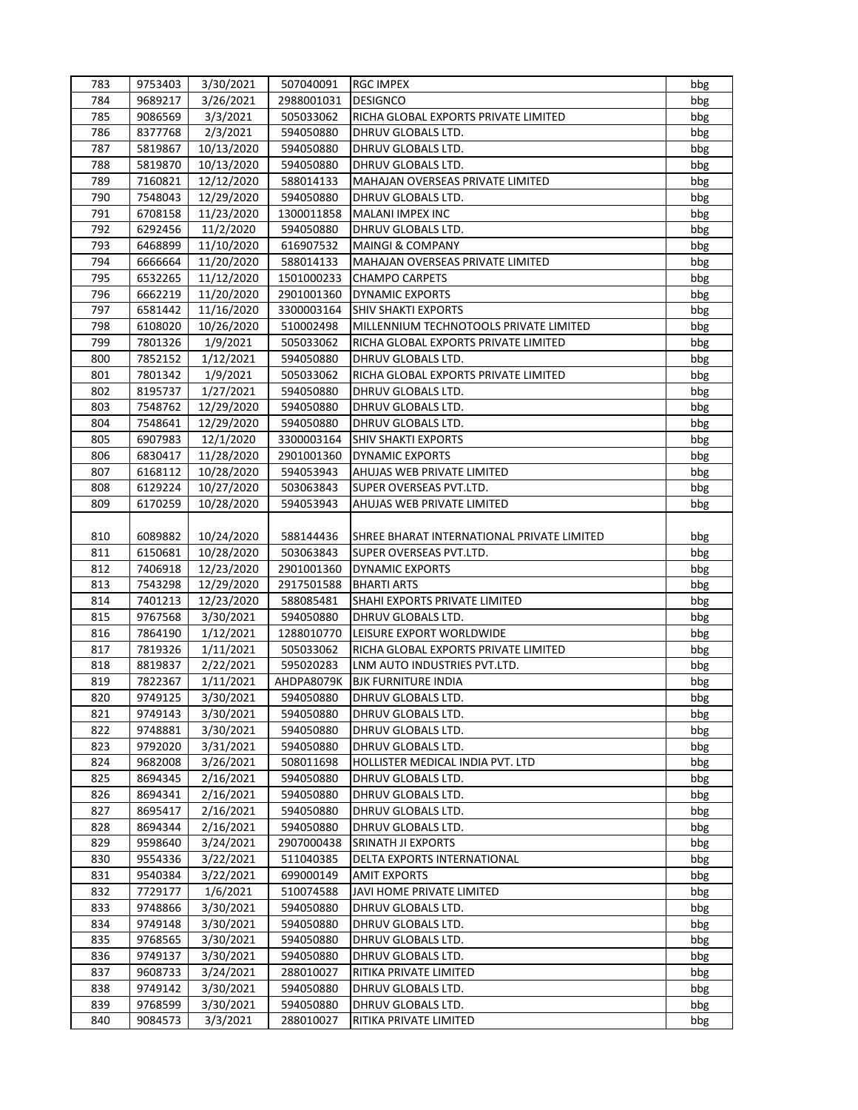| 783        | 9753403            | 3/30/2021  | 507040091  | <b>RGC IMPEX</b>                                    | bbg |
|------------|--------------------|------------|------------|-----------------------------------------------------|-----|
| 784        | 9689217            | 3/26/2021  | 2988001031 | <b>DESIGNCO</b>                                     | bbg |
| 785        | 9086569            | 3/3/2021   | 505033062  | RICHA GLOBAL EXPORTS PRIVATE LIMITED                | bbg |
| 786        | 8377768            | 2/3/2021   | 594050880  | DHRUV GLOBALS LTD.                                  | bbg |
| 787        | 5819867            | 10/13/2020 | 594050880  | DHRUV GLOBALS LTD.                                  | bbg |
| 788        | 5819870            | 10/13/2020 | 594050880  | DHRUV GLOBALS LTD.                                  | bbg |
| 789        | 7160821            | 12/12/2020 | 588014133  | MAHAJAN OVERSEAS PRIVATE LIMITED                    | bbg |
| 790        | 7548043            | 12/29/2020 | 594050880  | DHRUV GLOBALS LTD.                                  | bbg |
| 791        | 6708158            | 11/23/2020 | 1300011858 | MALANI IMPEX INC                                    | bbg |
| 792        | 6292456            | 11/2/2020  | 594050880  | DHRUV GLOBALS LTD.                                  | bbg |
| 793        | 6468899            | 11/10/2020 | 616907532  | <b>MAINGI &amp; COMPANY</b>                         | bbg |
| 794        | 6666664            | 11/20/2020 | 588014133  | MAHAJAN OVERSEAS PRIVATE LIMITED                    | bbg |
| 795        | 6532265            | 11/12/2020 | 1501000233 | <b>CHAMPO CARPETS</b>                               | bbg |
| 796        | 6662219            | 11/20/2020 | 2901001360 | DYNAMIC EXPORTS                                     | bbg |
| 797        | 6581442            | 11/16/2020 | 3300003164 | <b>SHIV SHAKTI EXPORTS</b>                          | bbg |
| 798        | 6108020            | 10/26/2020 | 510002498  | MILLENNIUM TECHNOTOOLS PRIVATE LIMITED              | bbg |
| 799        | 7801326            | 1/9/2021   | 505033062  | RICHA GLOBAL EXPORTS PRIVATE LIMITED                | bbg |
| 800        | 7852152            | 1/12/2021  | 594050880  | DHRUV GLOBALS LTD.                                  | bbg |
| 801        | 7801342            | 1/9/2021   | 505033062  | RICHA GLOBAL EXPORTS PRIVATE LIMITED                | bbg |
| 802        | 8195737            | 1/27/2021  | 594050880  | DHRUV GLOBALS LTD.                                  | bbg |
| 803        | 7548762            | 12/29/2020 | 594050880  | DHRUV GLOBALS LTD.                                  | bbg |
| 804        | 7548641            | 12/29/2020 | 594050880  | DHRUV GLOBALS LTD.                                  | bbg |
| 805        | 6907983            | 12/1/2020  | 3300003164 | <b>SHIV SHAKTI EXPORTS</b>                          | bbg |
| 806        | 6830417            | 11/28/2020 | 2901001360 | <b>DYNAMIC EXPORTS</b>                              | bbg |
| 807        | 6168112            | 10/28/2020 | 594053943  | AHUJAS WEB PRIVATE LIMITED                          | bbg |
| 808        | 6129224            | 10/27/2020 | 503063843  | SUPER OVERSEAS PVT.LTD.                             | bbg |
| 809        |                    |            |            | AHUJAS WEB PRIVATE LIMITED                          |     |
|            | 6170259            | 10/28/2020 | 594053943  |                                                     | bbg |
| 810        | 6089882            |            | 588144436  |                                                     |     |
|            |                    | 10/24/2020 |            | SHREE BHARAT INTERNATIONAL PRIVATE LIMITED          | bbg |
| 811        | 6150681            | 10/28/2020 | 503063843  | SUPER OVERSEAS PVT.LTD.                             | bbg |
| 812        | 7406918            | 12/23/2020 | 2901001360 | <b>DYNAMIC EXPORTS</b>                              | bbg |
| 813<br>814 | 7543298<br>7401213 | 12/29/2020 | 2917501588 | <b>BHARTI ARTS</b><br>SHAHI EXPORTS PRIVATE LIMITED | bbg |
|            |                    | 12/23/2020 | 588085481  |                                                     | bbg |
| 815        | 9767568            | 3/30/2021  | 594050880  | DHRUV GLOBALS LTD.                                  | bbg |
| 816        | 7864190            | 1/12/2021  | 1288010770 | LEISURE EXPORT WORLDWIDE                            | bbg |
| 817        | 7819326            | 1/11/2021  | 505033062  | RICHA GLOBAL EXPORTS PRIVATE LIMITED                | bbg |
| 818        | 8819837            | 2/22/2021  | 595020283  | LNM AUTO INDUSTRIES PVT.LTD.                        | bbg |
| 819        | 7822367            | 1/11/2021  | AHDPA8079K | <b>BJK FURNITURE INDIA</b>                          | bbg |
| 820        | 9749125            | 3/30/2021  | 594050880  | DHRUV GLOBALS LTD.                                  | bbg |
| 821        | 9749143            | 3/30/2021  | 594050880  | DHRUV GLOBALS LTD.                                  | bbg |
| 822        | 9748881            | 3/30/2021  | 594050880  | DHRUV GLOBALS LTD.                                  | bbg |
| 823        | 9792020            | 3/31/2021  | 594050880  | DHRUV GLOBALS LTD.                                  | bbg |
| 824        | 9682008            | 3/26/2021  | 508011698  | HOLLISTER MEDICAL INDIA PVT. LTD                    | bbg |
| 825        | 8694345            | 2/16/2021  | 594050880  | DHRUV GLOBALS LTD.                                  | bbg |
| 826        | 8694341            | 2/16/2021  | 594050880  | DHRUV GLOBALS LTD.                                  | bbg |
| 827        | 8695417            | 2/16/2021  | 594050880  | DHRUV GLOBALS LTD.                                  | bbg |
| 828        | 8694344            | 2/16/2021  | 594050880  | DHRUV GLOBALS LTD.                                  | bbg |
| 829        | 9598640            | 3/24/2021  | 2907000438 | SRINATH JI EXPORTS                                  | bbg |
| 830        | 9554336            | 3/22/2021  | 511040385  | DELTA EXPORTS INTERNATIONAL                         | bbg |
| 831        | 9540384            | 3/22/2021  | 699000149  | <b>AMIT EXPORTS</b>                                 | bbg |
| 832        | 7729177            | 1/6/2021   | 510074588  | JAVI HOME PRIVATE LIMITED                           | bbg |
| 833        | 9748866            | 3/30/2021  | 594050880  | DHRUV GLOBALS LTD.                                  | bbg |
| 834        | 9749148            | 3/30/2021  | 594050880  | DHRUV GLOBALS LTD.                                  | bbg |
| 835        | 9768565            | 3/30/2021  | 594050880  | DHRUV GLOBALS LTD.                                  | bbg |
| 836        | 9749137            | 3/30/2021  | 594050880  | DHRUV GLOBALS LTD.                                  | bbg |
| 837        | 9608733            | 3/24/2021  | 288010027  | RITIKA PRIVATE LIMITED                              | bbg |
| 838        | 9749142            | 3/30/2021  | 594050880  | DHRUV GLOBALS LTD.                                  | bbg |
| 839        | 9768599            | 3/30/2021  | 594050880  | DHRUV GLOBALS LTD.                                  | bbg |
| 840        | 9084573            | 3/3/2021   | 288010027  | RITIKA PRIVATE LIMITED                              | bbg |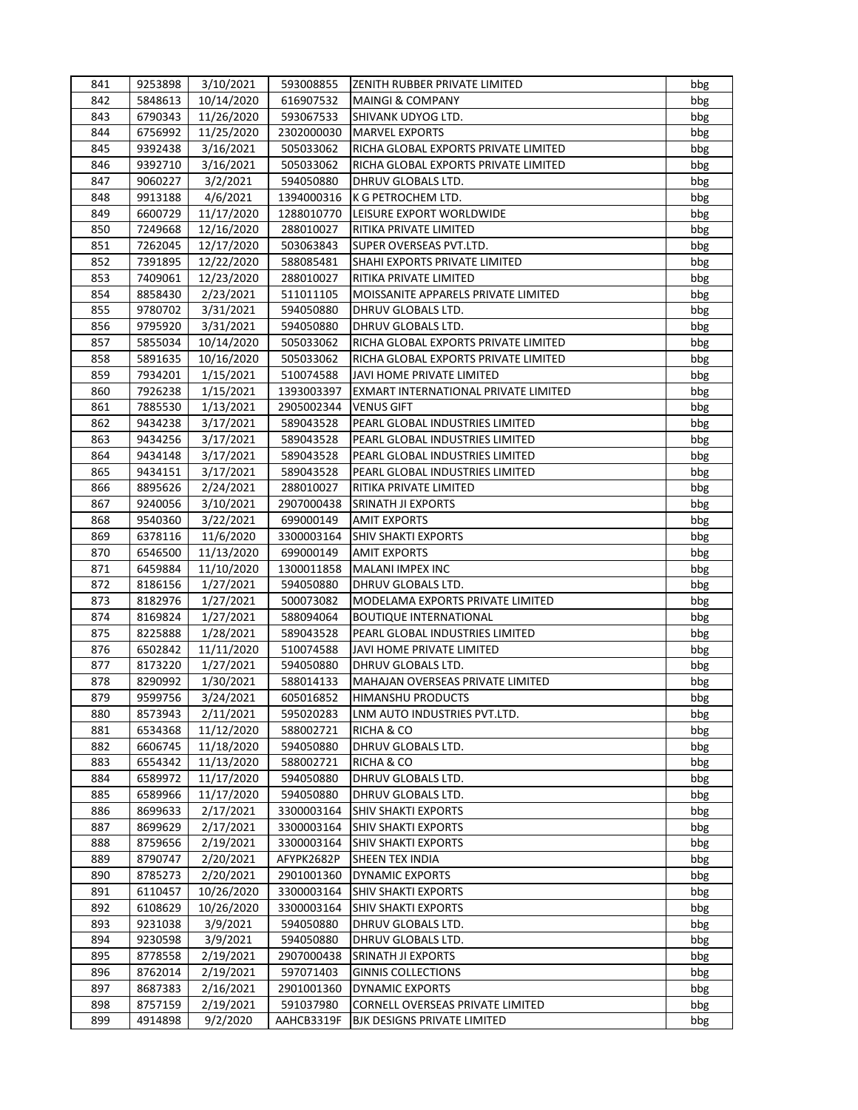| 841        | 9253898 | 3/10/2021              | 593008855  | <b>IZENITH RUBBER PRIVATE LIMITED</b>             | bbg |
|------------|---------|------------------------|------------|---------------------------------------------------|-----|
| 842        | 5848613 | 10/14/2020             | 616907532  | <b>MAINGI &amp; COMPANY</b>                       | bbg |
| 843        | 6790343 | 11/26/2020             | 593067533  | SHIVANK UDYOG LTD.                                | bbg |
| 844        | 6756992 | 11/25/2020             | 2302000030 | <b>MARVEL EXPORTS</b>                             | bbg |
| 845        | 9392438 | 3/16/2021              | 505033062  | RICHA GLOBAL EXPORTS PRIVATE LIMITED              | bbg |
| 846        | 9392710 | 3/16/2021              | 505033062  | RICHA GLOBAL EXPORTS PRIVATE LIMITED              | bbg |
| 847        | 9060227 | 3/2/2021               | 594050880  | DHRUV GLOBALS LTD.                                | bbg |
| 848        | 9913188 | 4/6/2021               | 1394000316 | K G PETROCHEM LTD.                                | bbg |
| 849        | 6600729 | 11/17/2020             | 1288010770 | LEISURE EXPORT WORLDWIDE                          | bbg |
| 850        | 7249668 | 12/16/2020             | 288010027  | RITIKA PRIVATE LIMITED                            | bbg |
| 851        | 7262045 | 12/17/2020             | 503063843  | SUPER OVERSEAS PVT.LTD.                           | bbg |
| 852        | 7391895 | 12/22/2020             | 588085481  | SHAHI EXPORTS PRIVATE LIMITED                     | bbg |
| 853        | 7409061 | 12/23/2020             | 288010027  | RITIKA PRIVATE LIMITED                            | bbg |
| 854        | 8858430 | 2/23/2021              | 511011105  | MOISSANITE APPARELS PRIVATE LIMITED               | bbg |
| 855        | 9780702 | 3/31/2021              | 594050880  | DHRUV GLOBALS LTD.                                | bbg |
| 856        | 9795920 | 3/31/2021              | 594050880  | DHRUV GLOBALS LTD.                                | bbg |
| 857        | 5855034 | 10/14/2020             | 505033062  | RICHA GLOBAL EXPORTS PRIVATE LIMITED              | bbg |
| 858        | 5891635 | 10/16/2020             | 505033062  | RICHA GLOBAL EXPORTS PRIVATE LIMITED              | bbg |
| 859        | 7934201 | 1/15/2021              | 510074588  | JAVI HOME PRIVATE LIMITED                         | bbg |
| 860        | 7926238 | 1/15/2021              | 1393003397 | EXMART INTERNATIONAL PRIVATE LIMITED              | bbg |
| 861        | 7885530 | 1/13/2021              | 2905002344 | <b>VENUS GIFT</b>                                 | bbg |
| 862        | 9434238 | 3/17/2021              | 589043528  | PEARL GLOBAL INDUSTRIES LIMITED                   | bbg |
| 863        | 9434256 | 3/17/2021              | 589043528  | PEARL GLOBAL INDUSTRIES LIMITED                   | bbg |
| 864        | 9434148 | 3/17/2021              | 589043528  | PEARL GLOBAL INDUSTRIES LIMITED                   | bbg |
| 865        | 9434151 | 3/17/2021              | 589043528  | PEARL GLOBAL INDUSTRIES LIMITED                   | bbg |
| 866        | 8895626 | 2/24/2021              | 288010027  | RITIKA PRIVATE LIMITED                            | bbg |
| 867        | 9240056 | 3/10/2021              | 2907000438 | SRINATH JI EXPORTS                                | bbg |
| 868        | 9540360 |                        | 699000149  |                                                   |     |
| 869        | 6378116 | 3/22/2021              | 3300003164 | <b>AMIT EXPORTS</b><br><b>SHIV SHAKTI EXPORTS</b> | bbg |
| 870        | 6546500 | 11/6/2020              | 699000149  | <b>AMIT EXPORTS</b>                               | bbg |
| 871        | 6459884 | 11/13/2020             | 1300011858 | MALANI IMPEX INC                                  | bbg |
| 872        | 8186156 | 11/10/2020             | 594050880  | DHRUV GLOBALS LTD.                                | bbg |
| 873        | 8182976 | 1/27/2021<br>1/27/2021 | 500073082  | MODELAMA EXPORTS PRIVATE LIMITED                  | bbg |
| 874        | 8169824 | 1/27/2021              | 588094064  | <b>BOUTIQUE INTERNATIONAL</b>                     | bbg |
| 875        |         | 1/28/2021              |            | PEARL GLOBAL INDUSTRIES LIMITED                   | bbg |
|            | 8225888 |                        | 589043528  |                                                   | bbg |
| 876<br>877 | 6502842 | 11/11/2020             | 510074588  | JAVI HOME PRIVATE LIMITED                         | bbg |
|            | 8173220 | 1/27/2021              | 594050880  | DHRUV GLOBALS LTD.                                | bbg |
| 878        | 8290992 | 1/30/2021              | 588014133  | MAHAJAN OVERSEAS PRIVATE LIMITED                  | bbg |
| 879        | 9599756 | 3/24/2021              | 605016852  | <b>HIMANSHU PRODUCTS</b>                          | bbg |
| 880        | 8573943 | 2/11/2021              | 595020283  | LNM AUTO INDUSTRIES PVT.LTD.                      | bbg |
| 881        | 6534368 | 11/12/2020             | 588002721  | RICHA & CO                                        | bbg |
| 882        | 6606745 | 11/18/2020             | 594050880  | DHRUV GLOBALS LTD.                                | bbg |
| 883        | 6554342 | 11/13/2020             | 588002721  | RICHA & CO                                        | bbg |
| 884        | 6589972 | 11/17/2020             | 594050880  | DHRUV GLOBALS LTD.                                | bbg |
| 885        | 6589966 | 11/17/2020             | 594050880  | DHRUV GLOBALS LTD.                                | bbg |
| 886        | 8699633 | 2/17/2021              | 3300003164 | SHIV SHAKTI EXPORTS                               | bbg |
| 887        | 8699629 | 2/17/2021              | 3300003164 | SHIV SHAKTI EXPORTS                               | bbg |
| 888        | 8759656 | 2/19/2021              | 3300003164 | SHIV SHAKTI EXPORTS                               | bbg |
| 889        | 8790747 | 2/20/2021              | AFYPK2682P | SHEEN TEX INDIA                                   | bbg |
| 890        | 8785273 | 2/20/2021              | 2901001360 | <b>DYNAMIC EXPORTS</b>                            | bbg |
| 891        | 6110457 | 10/26/2020             | 3300003164 | <b>SHIV SHAKTI EXPORTS</b>                        | bbg |
| 892        | 6108629 | 10/26/2020             | 3300003164 | SHIV SHAKTI EXPORTS                               | bbg |
| 893        | 9231038 | 3/9/2021               | 594050880  | DHRUV GLOBALS LTD.                                | bbg |
| 894        | 9230598 | 3/9/2021               | 594050880  | DHRUV GLOBALS LTD.                                | bbg |
| 895        | 8778558 | 2/19/2021              | 2907000438 | SRINATH JI EXPORTS                                | bbg |
| 896        | 8762014 | 2/19/2021              | 597071403  | <b>GINNIS COLLECTIONS</b>                         | bbg |
| 897        | 8687383 | 2/16/2021              | 2901001360 | DYNAMIC EXPORTS                                   | bbg |
| 898        | 8757159 | 2/19/2021              | 591037980  | CORNELL OVERSEAS PRIVATE LIMITED                  | bbg |
| 899        | 4914898 | 9/2/2020               | AAHCB3319F | BJK DESIGNS PRIVATE LIMITED                       | bbg |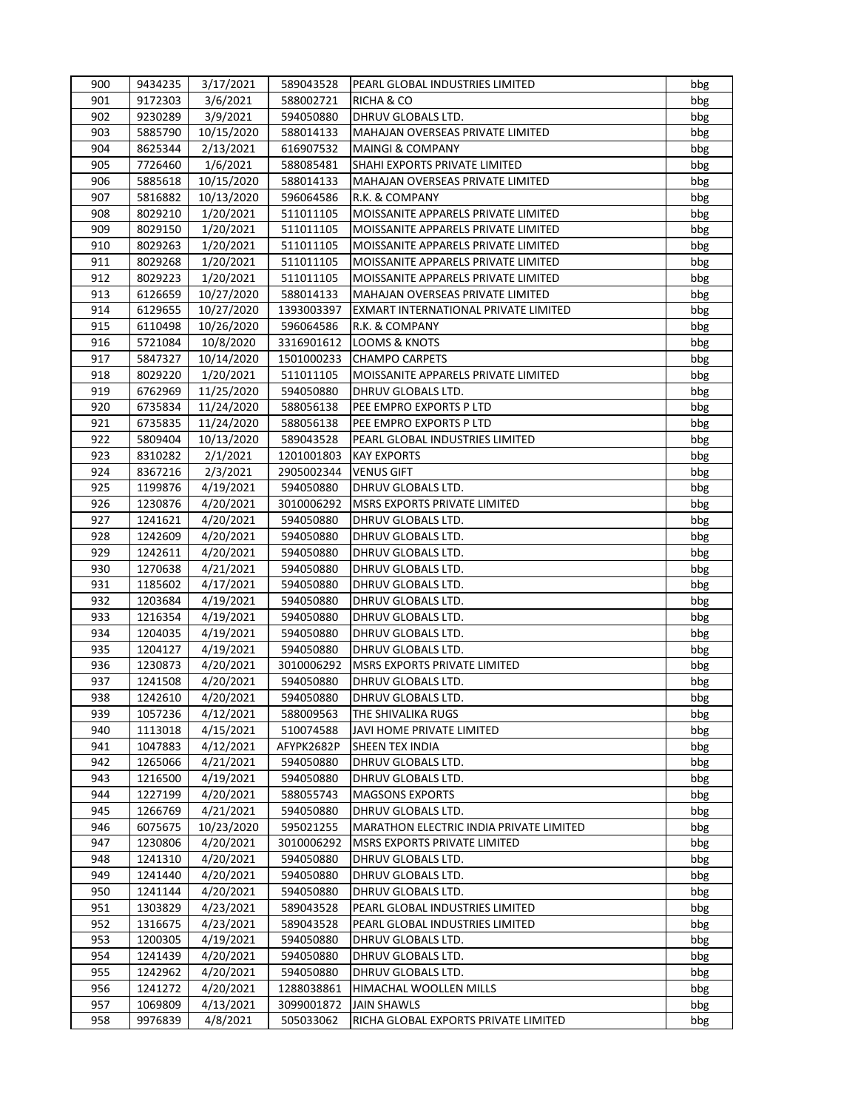| 900 | 9434235 | 3/17/2021              | 589043528  | PEARL GLOBAL INDUSTRIES LIMITED                | bbg |
|-----|---------|------------------------|------------|------------------------------------------------|-----|
| 901 | 9172303 | 3/6/2021               | 588002721  | RICHA & CO                                     | bbg |
| 902 | 9230289 | 3/9/2021               | 594050880  | DHRUV GLOBALS LTD.                             | bbg |
| 903 | 5885790 | 10/15/2020             | 588014133  | MAHAJAN OVERSEAS PRIVATE LIMITED               | bbg |
| 904 | 8625344 | 2/13/2021              | 616907532  | <b>MAINGI &amp; COMPANY</b>                    | bbg |
| 905 | 7726460 | 1/6/2021               | 588085481  | SHAHI EXPORTS PRIVATE LIMITED                  | bbg |
| 906 | 5885618 | 10/15/2020             | 588014133  | MAHAJAN OVERSEAS PRIVATE LIMITED               | bbg |
| 907 | 5816882 | 10/13/2020             | 596064586  | R.K. & COMPANY                                 | bbg |
| 908 | 8029210 | 1/20/2021              | 511011105  | MOISSANITE APPARELS PRIVATE LIMITED            | bbg |
| 909 | 8029150 | 1/20/2021              | 511011105  | MOISSANITE APPARELS PRIVATE LIMITED            | bbg |
| 910 | 8029263 | 1/20/2021              | 511011105  | MOISSANITE APPARELS PRIVATE LIMITED            | bbg |
| 911 | 8029268 | 1/20/2021              | 511011105  | MOISSANITE APPARELS PRIVATE LIMITED            | bbg |
| 912 | 8029223 | 1/20/2021              | 511011105  | MOISSANITE APPARELS PRIVATE LIMITED            | bbg |
| 913 | 6126659 | 10/27/2020             | 588014133  | MAHAJAN OVERSEAS PRIVATE LIMITED               | bbg |
| 914 | 6129655 | 10/27/2020             | 1393003397 | EXMART INTERNATIONAL PRIVATE LIMITED           | bbg |
| 915 | 6110498 | 10/26/2020             | 596064586  | R.K. & COMPANY                                 | bbg |
| 916 | 5721084 | 10/8/2020              | 3316901612 | <b>LOOMS &amp; KNOTS</b>                       | bbg |
| 917 | 5847327 | 10/14/2020             | 1501000233 | <b>CHAMPO CARPETS</b>                          | bbg |
| 918 | 8029220 | 1/20/2021              | 511011105  | MOISSANITE APPARELS PRIVATE LIMITED            | bbg |
| 919 | 6762969 | 11/25/2020             | 594050880  | DHRUV GLOBALS LTD.                             | bbg |
| 920 | 6735834 | 11/24/2020             | 588056138  | PEE EMPRO EXPORTS P LTD                        | bbg |
| 921 | 6735835 | 11/24/2020             | 588056138  | PEE EMPRO EXPORTS P LTD                        | bbg |
| 922 | 5809404 | 10/13/2020             | 589043528  | PEARL GLOBAL INDUSTRIES LIMITED                | bbg |
| 923 | 8310282 | 2/1/2021               | 1201001803 | <b>KAY EXPORTS</b>                             | bbg |
| 924 | 8367216 | 2/3/2021               | 2905002344 | <b>VENUS GIFT</b>                              | bbg |
| 925 | 1199876 | 4/19/2021              | 594050880  | DHRUV GLOBALS LTD.                             | bbg |
| 926 | 1230876 | 4/20/2021              | 3010006292 | MSRS EXPORTS PRIVATE LIMITED                   | bbg |
| 927 | 1241621 | 4/20/2021              | 594050880  | DHRUV GLOBALS LTD.                             | bbg |
| 928 | 1242609 | 4/20/2021              | 594050880  | DHRUV GLOBALS LTD.                             | bbg |
| 929 | 1242611 | 4/20/2021              | 594050880  | DHRUV GLOBALS LTD.                             | bbg |
| 930 | 1270638 | 4/21/2021              | 594050880  | DHRUV GLOBALS LTD.                             | bbg |
| 931 | 1185602 | 4/17/2021              | 594050880  | DHRUV GLOBALS LTD.                             | bbg |
| 932 | 1203684 | 4/19/2021              | 594050880  | DHRUV GLOBALS LTD.                             | bbg |
| 933 | 1216354 | 4/19/2021              | 594050880  | DHRUV GLOBALS LTD.                             | bbg |
| 934 | 1204035 | 4/19/2021              | 594050880  | DHRUV GLOBALS LTD.                             | bbg |
| 935 | 1204127 | 4/19/2021              | 594050880  | DHRUV GLOBALS LTD.                             | bbg |
| 936 | 1230873 | 4/20/2021              | 3010006292 | MSRS EXPORTS PRIVATE LIMITED                   | bbg |
| 937 | 1241508 | 4/20/2021              | 594050880  | DHRUV GLOBALS LTD.                             | bbg |
| 938 | 1242610 | 4/20/2021              | 594050880  | DHRUV GLOBALS LTD.                             | bbg |
| 939 | 1057236 | 4/12/2021              | 588009563  | THE SHIVALIKA RUGS                             | bbg |
| 940 | 1113018 | 4/15/2021              | 510074588  | JAVI HOME PRIVATE LIMITED                      | bbg |
| 941 | 1047883 | 4/12/2021              | AFYPK2682P | SHEEN TEX INDIA                                | bbg |
| 942 | 1265066 | 4/21/2021              | 594050880  | DHRUV GLOBALS LTD.                             | bbg |
| 943 | 1216500 | 4/19/2021              | 594050880  | DHRUV GLOBALS LTD.                             | bbg |
| 944 | 1227199 | 4/20/2021              | 588055743  | <b>MAGSONS EXPORTS</b>                         | bbg |
| 945 | 1266769 | 4/21/2021              | 594050880  | DHRUV GLOBALS LTD.                             | bbg |
| 946 | 6075675 | 10/23/2020             | 595021255  | <b>MARATHON ELECTRIC INDIA PRIVATE LIMITED</b> | bbg |
| 947 |         |                        |            | MSRS EXPORTS PRIVATE LIMITED                   |     |
|     | 1230806 | 4/20/2021<br>4/20/2021 | 3010006292 |                                                | bbg |
| 948 | 1241310 |                        | 594050880  | DHRUV GLOBALS LTD.                             | bbg |
| 949 | 1241440 | 4/20/2021              | 594050880  | DHRUV GLOBALS LTD.                             | bbg |
| 950 | 1241144 | 4/20/2021              | 594050880  | DHRUV GLOBALS LTD.                             | bbg |
| 951 | 1303829 | 4/23/2021              | 589043528  | PEARL GLOBAL INDUSTRIES LIMITED                | bbg |
| 952 | 1316675 | 4/23/2021              | 589043528  | PEARL GLOBAL INDUSTRIES LIMITED                | bbg |
| 953 | 1200305 | 4/19/2021              | 594050880  | DHRUV GLOBALS LTD.                             | bbg |
| 954 | 1241439 | 4/20/2021              | 594050880  | DHRUV GLOBALS LTD.                             | bbg |
| 955 | 1242962 | 4/20/2021              | 594050880  | DHRUV GLOBALS LTD.                             | bbg |
| 956 | 1241272 | 4/20/2021              | 1288038861 | HIMACHAL WOOLLEN MILLS                         | bbg |
| 957 | 1069809 | 4/13/2021              | 3099001872 | <b>JAIN SHAWLS</b>                             | bbg |
| 958 | 9976839 | 4/8/2021               | 505033062  | RICHA GLOBAL EXPORTS PRIVATE LIMITED           | bbg |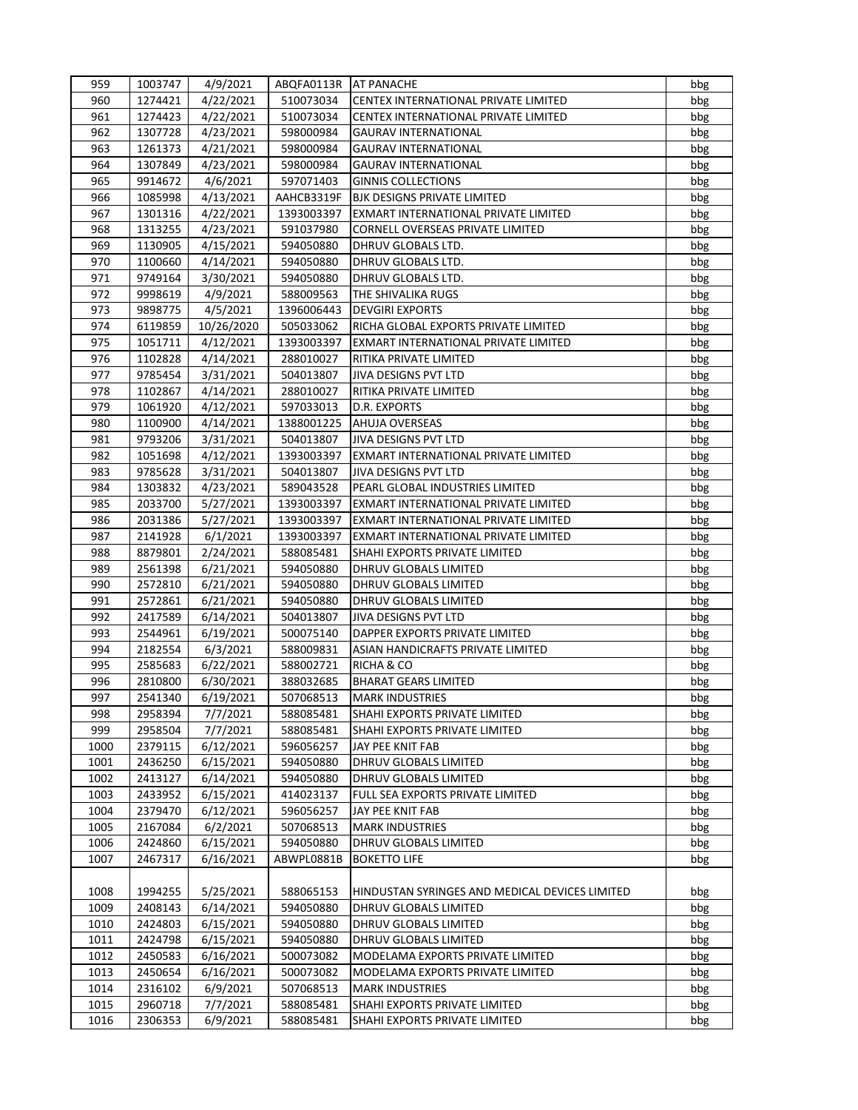| 959  | 1003747 | 4/9/2021   | ABQFA0113R   AT PANACHE |                                                | bbg |
|------|---------|------------|-------------------------|------------------------------------------------|-----|
| 960  | 1274421 | 4/22/2021  | 510073034               | CENTEX INTERNATIONAL PRIVATE LIMITED           | bbg |
| 961  | 1274423 | 4/22/2021  | 510073034               | CENTEX INTERNATIONAL PRIVATE LIMITED           | bbg |
| 962  | 1307728 | 4/23/2021  | 598000984               | <b>GAURAV INTERNATIONAL</b>                    | bbg |
| 963  | 1261373 | 4/21/2021  | 598000984               | <b>GAURAV INTERNATIONAL</b>                    | bbg |
| 964  | 1307849 | 4/23/2021  | 598000984               | <b>GAURAV INTERNATIONAL</b>                    | bbg |
| 965  | 9914672 | 4/6/2021   | 597071403               | <b>GINNIS COLLECTIONS</b>                      | bbg |
| 966  | 1085998 | 4/13/2021  | AAHCB3319F              | <b>BJK DESIGNS PRIVATE LIMITED</b>             | bbg |
| 967  | 1301316 | 4/22/2021  | 1393003397              | EXMART INTERNATIONAL PRIVATE LIMITED           | bbg |
| 968  | 1313255 | 4/23/2021  | 591037980               | CORNELL OVERSEAS PRIVATE LIMITED               | bbg |
| 969  | 1130905 | 4/15/2021  | 594050880               | DHRUV GLOBALS LTD.                             | bbg |
| 970  | 1100660 | 4/14/2021  | 594050880               | DHRUV GLOBALS LTD.                             | bbg |
| 971  | 9749164 | 3/30/2021  | 594050880               | DHRUV GLOBALS LTD.                             | bbg |
| 972  | 9998619 | 4/9/2021   | 588009563               | THE SHIVALIKA RUGS                             | bbg |
| 973  | 9898775 | 4/5/2021   | 1396006443              | <b>DEVGIRI EXPORTS</b>                         | bbg |
| 974  | 6119859 | 10/26/2020 | 505033062               | RICHA GLOBAL EXPORTS PRIVATE LIMITED           | bbg |
| 975  | 1051711 | 4/12/2021  | 1393003397              | EXMART INTERNATIONAL PRIVATE LIMITED           | bbg |
| 976  | 1102828 | 4/14/2021  | 288010027               | RITIKA PRIVATE LIMITED                         | bbg |
| 977  | 9785454 | 3/31/2021  | 504013807               | JIVA DESIGNS PVT LTD                           | bbg |
| 978  | 1102867 | 4/14/2021  | 288010027               | RITIKA PRIVATE LIMITED                         | bbg |
| 979  | 1061920 | 4/12/2021  | 597033013               | D.R. EXPORTS                                   | bbg |
| 980  | 1100900 | 4/14/2021  | 1388001225              | AHUJA OVERSEAS                                 | bbg |
| 981  | 9793206 | 3/31/2021  | 504013807               | <b>JIVA DESIGNS PVT LTD</b>                    | bbg |
| 982  | 1051698 | 4/12/2021  | 1393003397              | EXMART INTERNATIONAL PRIVATE LIMITED           | bbg |
| 983  | 9785628 | 3/31/2021  | 504013807               | <b>JIVA DESIGNS PVT LTD</b>                    | bbg |
| 984  | 1303832 | 4/23/2021  | 589043528               | PEARL GLOBAL INDUSTRIES LIMITED                | bbg |
| 985  | 2033700 | 5/27/2021  | 1393003397              | EXMART INTERNATIONAL PRIVATE LIMITED           | bbg |
| 986  | 2031386 | 5/27/2021  | 1393003397              | EXMART INTERNATIONAL PRIVATE LIMITED           | bbg |
| 987  | 2141928 | 6/1/2021   | 1393003397              | EXMART INTERNATIONAL PRIVATE LIMITED           | bbg |
| 988  | 8879801 | 2/24/2021  | 588085481               | SHAHI EXPORTS PRIVATE LIMITED                  | bbg |
| 989  | 2561398 | 6/21/2021  | 594050880               | DHRUV GLOBALS LIMITED                          | bbg |
| 990  | 2572810 | 6/21/2021  | 594050880               | DHRUV GLOBALS LIMITED                          | bbg |
| 991  | 2572861 | 6/21/2021  | 594050880               | DHRUV GLOBALS LIMITED                          | bbg |
| 992  | 2417589 | 6/14/2021  | 504013807               | <b>JIVA DESIGNS PVT LTD</b>                    | bbg |
| 993  | 2544961 | 6/19/2021  | 500075140               | DAPPER EXPORTS PRIVATE LIMITED                 | bbg |
| 994  | 2182554 | 6/3/2021   | 588009831               | ASIAN HANDICRAFTS PRIVATE LIMITED              | bbg |
| 995  | 2585683 | 6/22/2021  | 588002721               | RICHA & CO                                     | bbg |
| 996  | 2810800 | 6/30/2021  | 388032685               | <b>BHARAT GEARS LIMITED</b>                    | bbg |
| 997  | 2541340 | 6/19/2021  | 507068513               | <b>MARK INDUSTRIES</b>                         | bbg |
| 998  | 2958394 | 7/7/2021   | 588085481               | SHAHI EXPORTS PRIVATE LIMITED                  | bbg |
| 999  | 2958504 | 7/7/2021   | 588085481               | SHAHI EXPORTS PRIVATE LIMITED                  | bbg |
| 1000 | 2379115 | 6/12/2021  | 596056257               | JAY PEE KNIT FAB                               | bbg |
| 1001 | 2436250 | 6/15/2021  | 594050880               | DHRUV GLOBALS LIMITED                          | bbg |
| 1002 | 2413127 | 6/14/2021  | 594050880               | DHRUV GLOBALS LIMITED                          | bbg |
| 1003 | 2433952 | 6/15/2021  | 414023137               | FULL SEA EXPORTS PRIVATE LIMITED               | bbg |
| 1004 | 2379470 | 6/12/2021  | 596056257               | JAY PEE KNIT FAB                               | bbg |
| 1005 | 2167084 | 6/2/2021   | 507068513               | <b>MARK INDUSTRIES</b>                         | bbg |
| 1006 | 2424860 | 6/15/2021  | 594050880               | DHRUV GLOBALS LIMITED                          | bbg |
| 1007 | 2467317 | 6/16/2021  | ABWPL0881B              | <b>BOKETTO LIFE</b>                            | bbg |
|      |         |            |                         |                                                |     |
| 1008 | 1994255 | 5/25/2021  | 588065153               | HINDUSTAN SYRINGES AND MEDICAL DEVICES LIMITED | bbg |
| 1009 | 2408143 | 6/14/2021  | 594050880               | DHRUV GLOBALS LIMITED                          | bbg |
| 1010 | 2424803 | 6/15/2021  | 594050880               | DHRUV GLOBALS LIMITED                          | bbg |
| 1011 | 2424798 | 6/15/2021  | 594050880               | DHRUV GLOBALS LIMITED                          | bbg |
| 1012 | 2450583 | 6/16/2021  | 500073082               | MODELAMA EXPORTS PRIVATE LIMITED               | bbg |
| 1013 | 2450654 | 6/16/2021  | 500073082               | MODELAMA EXPORTS PRIVATE LIMITED               | bbg |
| 1014 | 2316102 | 6/9/2021   | 507068513               | <b>MARK INDUSTRIES</b>                         | bbg |
| 1015 | 2960718 | 7/7/2021   | 588085481               | SHAHI EXPORTS PRIVATE LIMITED                  | bbg |
| 1016 | 2306353 | 6/9/2021   | 588085481               | SHAHI EXPORTS PRIVATE LIMITED                  | bbg |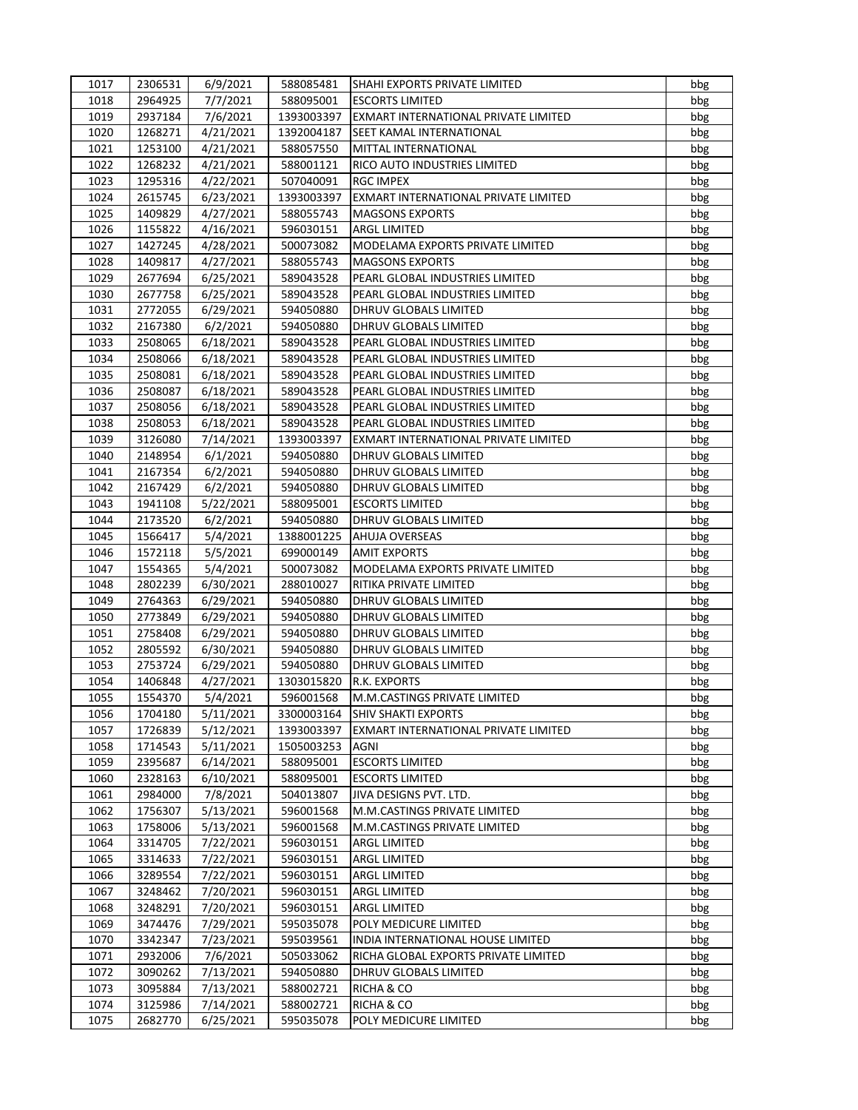| 1017         | 2306531            | 6/9/2021               | 588085481              | SHAHI EXPORTS PRIVATE LIMITED        | bbg        |
|--------------|--------------------|------------------------|------------------------|--------------------------------------|------------|
| 1018         | 2964925            | 7/7/2021               | 588095001              | <b>ESCORTS LIMITED</b>               | bbg        |
| 1019         | 2937184            | 7/6/2021               | 1393003397             | EXMART INTERNATIONAL PRIVATE LIMITED | bbg        |
| 1020         | 1268271            | 4/21/2021              | 1392004187             | SEET KAMAL INTERNATIONAL             | bbg        |
| 1021         | 1253100            | 4/21/2021              | 588057550              | MITTAL INTERNATIONAL                 | bbg        |
| 1022         | 1268232            | 4/21/2021              | 588001121              | RICO AUTO INDUSTRIES LIMITED         | bbg        |
| 1023         | 1295316            | 4/22/2021              | 507040091              | <b>RGC IMPEX</b>                     | bbg        |
| 1024         | 2615745            | 6/23/2021              | 1393003397             | EXMART INTERNATIONAL PRIVATE LIMITED | bbg        |
| 1025         | 1409829            | 4/27/2021              | 588055743              | <b>MAGSONS EXPORTS</b>               | bbg        |
| 1026         | 1155822            | 4/16/2021              | 596030151              | ARGL LIMITED                         | bbg        |
| 1027         | 1427245            | 4/28/2021              | 500073082              | MODELAMA EXPORTS PRIVATE LIMITED     | bbg        |
| 1028         | 1409817            | 4/27/2021              | 588055743              | <b>MAGSONS EXPORTS</b>               | bbg        |
| 1029         | 2677694            | 6/25/2021              | 589043528              | PEARL GLOBAL INDUSTRIES LIMITED      | bbg        |
| 1030         | 2677758            | 6/25/2021              | 589043528              | PEARL GLOBAL INDUSTRIES LIMITED      | bbg        |
| 1031         | 2772055            | 6/29/2021              | 594050880              | DHRUV GLOBALS LIMITED                | bbg        |
| 1032         | 2167380            | 6/2/2021               | 594050880              | DHRUV GLOBALS LIMITED                | bbg        |
| 1033         | 2508065            | 6/18/2021              | 589043528              | PEARL GLOBAL INDUSTRIES LIMITED      | bbg        |
| 1034         | 2508066            | 6/18/2021              | 589043528              | PEARL GLOBAL INDUSTRIES LIMITED      | bbg        |
| 1035         | 2508081            | 6/18/2021              | 589043528              | PEARL GLOBAL INDUSTRIES LIMITED      | bbg        |
| 1036         | 2508087            | 6/18/2021              | 589043528              | PEARL GLOBAL INDUSTRIES LIMITED      | bbg        |
| 1037         | 2508056            | 6/18/2021              | 589043528              | PEARL GLOBAL INDUSTRIES LIMITED      | bbg        |
| 1038         | 2508053            | 6/18/2021              | 589043528              | PEARL GLOBAL INDUSTRIES LIMITED      | bbg        |
| 1039         | 3126080            | 7/14/2021              | 1393003397             | EXMART INTERNATIONAL PRIVATE LIMITED | bbg        |
| 1040         | 2148954            | 6/1/2021               | 594050880              | DHRUV GLOBALS LIMITED                | bbg        |
| 1041         | 2167354            | 6/2/2021               | 594050880              | <b>DHRUV GLOBALS LIMITED</b>         | bbg        |
| 1042         | 2167429            | 6/2/2021               | 594050880              | DHRUV GLOBALS LIMITED                | bbg        |
| 1043         | 1941108            | 5/22/2021              | 588095001              | <b>ESCORTS LIMITED</b>               | bbg        |
| 1044         | 2173520            | 6/2/2021               | 594050880              | DHRUV GLOBALS LIMITED                | bbg        |
| 1045         | 1566417            | 5/4/2021               | 1388001225             | <b>AHUJA OVERSEAS</b>                | bbg        |
| 1046         | 1572118            | 5/5/2021               | 699000149              | <b>AMIT EXPORTS</b>                  | bbg        |
| 1047         | 1554365            | 5/4/2021               | 500073082              | MODELAMA EXPORTS PRIVATE LIMITED     | bbg        |
| 1048         | 2802239            | 6/30/2021              | 288010027              | RITIKA PRIVATE LIMITED               | bbg        |
| 1049         | 2764363            | 6/29/2021              | 594050880              | DHRUV GLOBALS LIMITED                | bbg        |
| 1050         | 2773849            | 6/29/2021              | 594050880              | DHRUV GLOBALS LIMITED                | bbg        |
| 1051         | 2758408            | 6/29/2021              | 594050880              | DHRUV GLOBALS LIMITED                | bbg        |
| 1052         | 2805592            | 6/30/2021              | 594050880              | DHRUV GLOBALS LIMITED                | bbg        |
| 1053         | 2753724            | 6/29/2021              | 594050880              | DHRUV GLOBALS LIMITED                | bbg        |
| 1054         | 1406848            | 4/27/2021              | 1303015820             | R.K. EXPORTS                         | bbg        |
| 1055         | 1554370            | 5/4/2021               | 596001568              | M.M.CASTINGS PRIVATE LIMITED         | bbg        |
| 1056         | 1704180            | 5/11/2021              | 3300003164             | <b>SHIV SHAKTI EXPORTS</b>           | bbg        |
| 1057         | 1726839            | 5/12/2021              | 1393003397             | EXMART INTERNATIONAL PRIVATE LIMITED | bbg        |
| 1058         | 1714543            | 5/11/2021              | 1505003253             | <b>AGNI</b>                          | bbg        |
| 1059         | 2395687            | 6/14/2021              | 588095001              | <b>ESCORTS LIMITED</b>               | bbg        |
| 1060         | 2328163            | 6/10/2021              | 588095001              | <b>ESCORTS LIMITED</b>               | bbg        |
| 1061         | 2984000            | 7/8/2021               | 504013807              | JIVA DESIGNS PVT. LTD.               | bbg        |
| 1062         | 1756307            | 5/13/2021              | 596001568              | M.M.CASTINGS PRIVATE LIMITED         | bbg        |
| 1063         | 1758006            | 5/13/2021              | 596001568              | M.M.CASTINGS PRIVATE LIMITED         | bbg        |
| 1064         | 3314705            | 7/22/2021              | 596030151              | ARGL LIMITED                         | bbg        |
| 1065         | 3314633            | 7/22/2021              | 596030151              | ARGL LIMITED                         | bbg        |
| 1066         | 3289554            | 7/22/2021              | 596030151              | ARGL LIMITED                         | bbg        |
| 1067         | 3248462            | 7/20/2021              | 596030151              | <b>ARGL LIMITED</b>                  | bbg        |
| 1068         | 3248291            | 7/20/2021              | 596030151              | ARGL LIMITED                         | bbg        |
| 1069         | 3474476            | 7/29/2021              | 595035078              | POLY MEDICURE LIMITED                | bbg        |
| 1070         | 3342347            | 7/23/2021              | 595039561              | INDIA INTERNATIONAL HOUSE LIMITED    | bbg        |
| 1071         | 2932006            | 7/6/2021               | 505033062              | RICHA GLOBAL EXPORTS PRIVATE LIMITED | bbg        |
| 1072         | 3090262            | 7/13/2021              | 594050880              | DHRUV GLOBALS LIMITED                | bbg        |
| 1073<br>1074 | 3095884<br>3125986 | 7/13/2021<br>7/14/2021 | 588002721<br>588002721 | RICHA & CO<br>RICHA & CO             | bbg<br>bbg |
| 1075         | 2682770            | 6/25/2021              | 595035078              | POLY MEDICURE LIMITED                | bbg        |
|              |                    |                        |                        |                                      |            |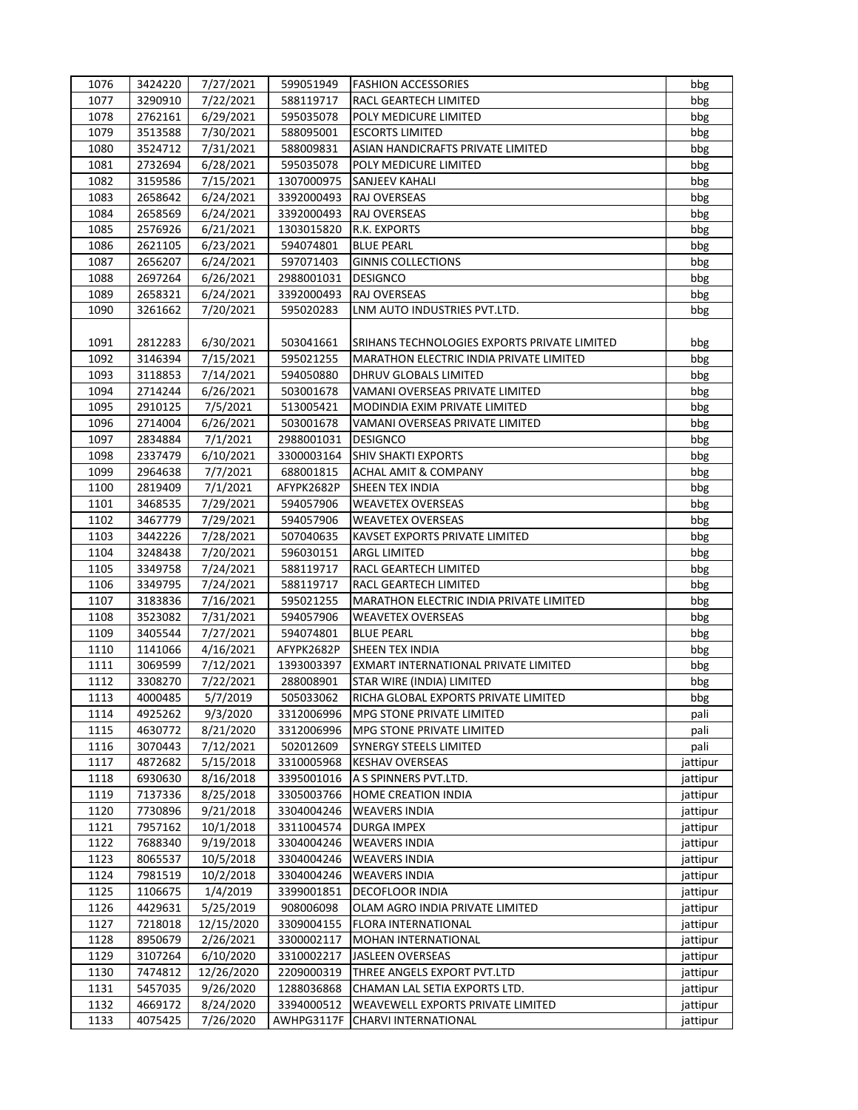| 1076 | 3424220 | 7/27/2021  | 599051949  | <b>FASHION ACCESSORIES</b>                     | bbg      |
|------|---------|------------|------------|------------------------------------------------|----------|
| 1077 | 3290910 | 7/22/2021  | 588119717  | RACL GEARTECH LIMITED                          | bbg      |
| 1078 | 2762161 | 6/29/2021  | 595035078  | POLY MEDICURE LIMITED                          | bbg      |
| 1079 | 3513588 | 7/30/2021  | 588095001  | <b>ESCORTS LIMITED</b>                         | bbg      |
| 1080 | 3524712 | 7/31/2021  | 588009831  | ASIAN HANDICRAFTS PRIVATE LIMITED              | bbg      |
| 1081 | 2732694 | 6/28/2021  | 595035078  | POLY MEDICURE LIMITED                          | bbg      |
| 1082 | 3159586 | 7/15/2021  | 1307000975 | SANJEEV KAHALI                                 | bbg      |
| 1083 | 2658642 | 6/24/2021  | 3392000493 | RAJ OVERSEAS                                   | bbg      |
| 1084 | 2658569 | 6/24/2021  | 3392000493 | RAJ OVERSEAS                                   | bbg      |
| 1085 | 2576926 | 6/21/2021  | 1303015820 | R.K. EXPORTS                                   | bbg      |
| 1086 | 2621105 | 6/23/2021  | 594074801  | <b>BLUE PEARL</b>                              | bbg      |
| 1087 | 2656207 | 6/24/2021  | 597071403  | <b>GINNIS COLLECTIONS</b>                      | bbg      |
| 1088 | 2697264 | 6/26/2021  | 2988001031 | <b>DESIGNCO</b>                                | bbg      |
| 1089 | 2658321 | 6/24/2021  | 3392000493 | RAJ OVERSEAS                                   | bbg      |
| 1090 | 3261662 | 7/20/2021  | 595020283  | LNM AUTO INDUSTRIES PVT.LTD.                   | bbg      |
|      |         |            |            |                                                |          |
| 1091 | 2812283 | 6/30/2021  | 503041661  | SRIHANS TECHNOLOGIES EXPORTS PRIVATE LIMITED   | bbg      |
| 1092 | 3146394 | 7/15/2021  | 595021255  | <b>MARATHON ELECTRIC INDIA PRIVATE LIMITED</b> | bbg      |
| 1093 | 3118853 | 7/14/2021  | 594050880  | DHRUV GLOBALS LIMITED                          | bbg      |
| 1094 | 2714244 | 6/26/2021  | 503001678  | VAMANI OVERSEAS PRIVATE LIMITED                | bbg      |
| 1095 | 2910125 | 7/5/2021   | 513005421  | MODINDIA EXIM PRIVATE LIMITED                  | bbg      |
| 1096 | 2714004 | 6/26/2021  | 503001678  | VAMANI OVERSEAS PRIVATE LIMITED                | bbg      |
| 1097 | 2834884 | 7/1/2021   | 2988001031 | <b>DESIGNCO</b>                                | bbg      |
| 1098 | 2337479 | 6/10/2021  | 3300003164 | <b>SHIV SHAKTI EXPORTS</b>                     | bbg      |
| 1099 | 2964638 | 7/7/2021   | 688001815  | <b>ACHAL AMIT &amp; COMPANY</b>                | bbg      |
| 1100 | 2819409 | 7/1/2021   | AFYPK2682P | <b>SHEEN TEX INDIA</b>                         | bbg      |
| 1101 | 3468535 | 7/29/2021  | 594057906  | <b>WEAVETEX OVERSEAS</b>                       | bbg      |
| 1102 | 3467779 | 7/29/2021  | 594057906  | <b>WEAVETEX OVERSEAS</b>                       | bbg      |
| 1103 | 3442226 | 7/28/2021  | 507040635  | KAVSET EXPORTS PRIVATE LIMITED                 | bbg      |
| 1104 | 3248438 | 7/20/2021  | 596030151  | <b>ARGL LIMITED</b>                            | bbg      |
| 1105 | 3349758 | 7/24/2021  | 588119717  | RACL GEARTECH LIMITED                          | bbg      |
| 1106 | 3349795 | 7/24/2021  | 588119717  | RACL GEARTECH LIMITED                          | bbg      |
| 1107 | 3183836 | 7/16/2021  | 595021255  | <b>MARATHON ELECTRIC INDIA PRIVATE LIMITED</b> | bbg      |
| 1108 | 3523082 | 7/31/2021  | 594057906  | <b>WEAVETEX OVERSEAS</b>                       | bbg      |
| 1109 | 3405544 | 7/27/2021  | 594074801  | <b>BLUE PEARL</b>                              | bbg      |
| 1110 | 1141066 | 4/16/2021  | AFYPK2682P | SHEEN TEX INDIA                                | bbg      |
| 1111 | 3069599 | 7/12/2021  | 1393003397 | EXMART INTERNATIONAL PRIVATE LIMITED           | bbg      |
| 1112 | 3308270 | 7/22/2021  | 288008901  | STAR WIRE (INDIA) LIMITED                      | bbg      |
| 1113 | 4000485 | 5/7/2019   | 505033062  | RICHA GLOBAL EXPORTS PRIVATE LIMITED           | bbg      |
| 1114 | 4925262 | 9/3/2020   | 3312006996 | <b>MPG STONE PRIVATE LIMITED</b>               | pali     |
| 1115 | 4630772 | 8/21/2020  | 3312006996 | MPG STONE PRIVATE LIMITED                      | pali     |
| 1116 | 3070443 | 7/12/2021  | 502012609  | SYNERGY STEELS LIMITED                         | pali     |
| 1117 | 4872682 | 5/15/2018  | 3310005968 | <b>KESHAV OVERSEAS</b>                         | jattipur |
| 1118 | 6930630 | 8/16/2018  | 3395001016 | A S SPINNERS PVT.LTD.                          | jattipur |
| 1119 | 7137336 | 8/25/2018  | 3305003766 | HOME CREATION INDIA                            | jattipur |
| 1120 | 7730896 | 9/21/2018  | 3304004246 | <b>WEAVERS INDIA</b>                           | jattipur |
| 1121 | 7957162 | 10/1/2018  | 3311004574 | DURGA IMPEX                                    | jattipur |
| 1122 | 7688340 | 9/19/2018  | 3304004246 | <b>WEAVERS INDIA</b>                           | jattipur |
| 1123 | 8065537 | 10/5/2018  | 3304004246 | <b>WEAVERS INDIA</b>                           | jattipur |
| 1124 | 7981519 | 10/2/2018  | 3304004246 | <b>WEAVERS INDIA</b>                           | jattipur |
| 1125 | 1106675 | 1/4/2019   | 3399001851 | DECOFLOOR INDIA                                | jattipur |
| 1126 | 4429631 | 5/25/2019  | 908006098  | OLAM AGRO INDIA PRIVATE LIMITED                | jattipur |
| 1127 | 7218018 | 12/15/2020 | 3309004155 | FLORA INTERNATIONAL                            | jattipur |
| 1128 | 8950679 | 2/26/2021  | 3300002117 | MOHAN INTERNATIONAL                            | jattipur |
| 1129 | 3107264 | 6/10/2020  | 3310002217 | JASLEEN OVERSEAS                               | jattipur |
| 1130 | 7474812 | 12/26/2020 | 2209000319 | THREE ANGELS EXPORT PVT.LTD                    | jattipur |
| 1131 | 5457035 | 9/26/2020  | 1288036868 | CHAMAN LAL SETIA EXPORTS LTD.                  | jattipur |
| 1132 | 4669172 | 8/24/2020  | 3394000512 | WEAVEWELL EXPORTS PRIVATE LIMITED              | jattipur |
| 1133 | 4075425 | 7/26/2020  | AWHPG3117F | CHARVI INTERNATIONAL                           | jattipur |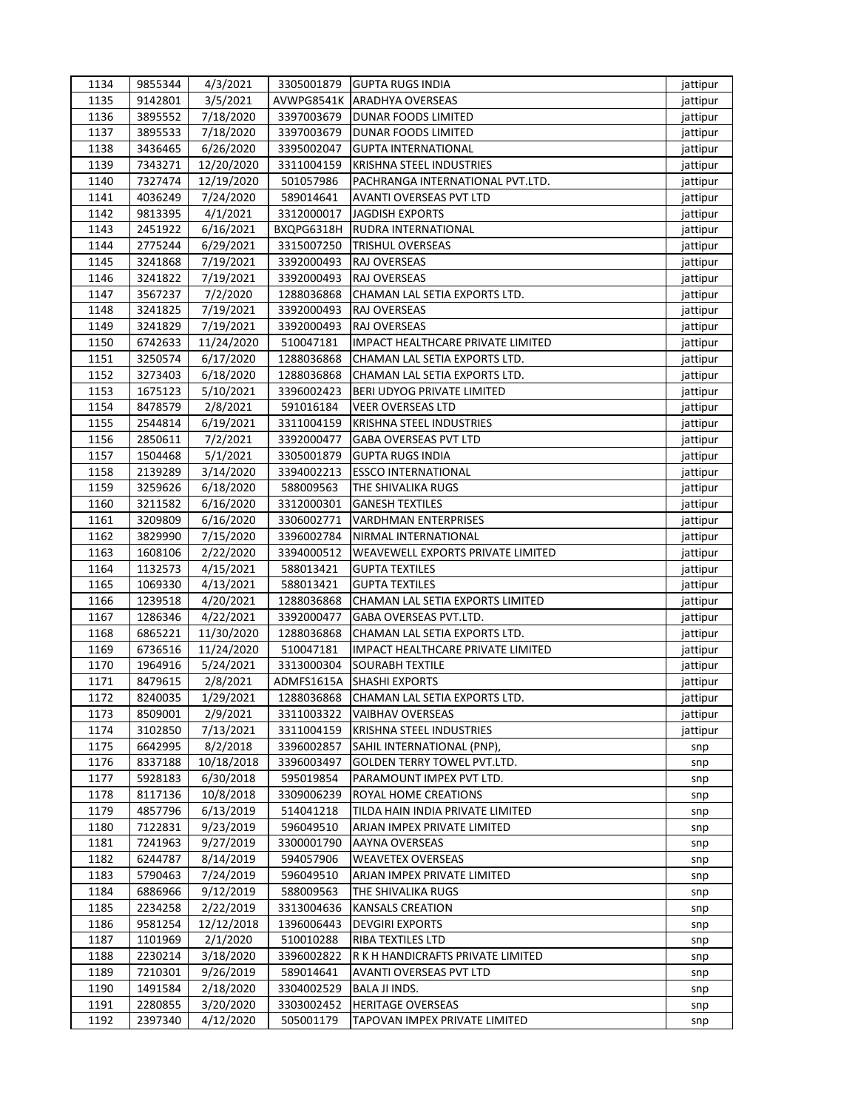| 1134 | 9855344 | 4/3/2021   | 3305001879 | <b>GUPTA RUGS INDIA</b>           | jattipur |
|------|---------|------------|------------|-----------------------------------|----------|
| 1135 | 9142801 | 3/5/2021   | AVWPG8541K | <b>ARADHYA OVERSEAS</b>           | jattipur |
| 1136 | 3895552 | 7/18/2020  | 3397003679 | <b>DUNAR FOODS LIMITED</b>        | jattipur |
| 1137 | 3895533 | 7/18/2020  | 3397003679 | DUNAR FOODS LIMITED               | jattipur |
| 1138 | 3436465 | 6/26/2020  | 3395002047 | <b>GUPTA INTERNATIONAL</b>        | jattipur |
| 1139 | 7343271 | 12/20/2020 | 3311004159 | KRISHNA STEEL INDUSTRIES          | jattipur |
| 1140 | 7327474 | 12/19/2020 | 501057986  | PACHRANGA INTERNATIONAL PVT.LTD.  | jattipur |
| 1141 | 4036249 | 7/24/2020  | 589014641  | <b>AVANTI OVERSEAS PVT LTD</b>    | jattipur |
| 1142 | 9813395 | 4/1/2021   | 3312000017 | <b>JAGDISH EXPORTS</b>            | jattipur |
| 1143 | 2451922 | 6/16/2021  | BXQPG6318H | RUDRA INTERNATIONAL               | jattipur |
| 1144 | 2775244 | 6/29/2021  | 3315007250 | TRISHUL OVERSEAS                  | jattipur |
| 1145 | 3241868 | 7/19/2021  | 3392000493 | RAJ OVERSEAS                      | jattipur |
| 1146 | 3241822 | 7/19/2021  | 3392000493 | RAJ OVERSEAS                      | jattipur |
| 1147 | 3567237 | 7/2/2020   | 1288036868 | CHAMAN LAL SETIA EXPORTS LTD.     | jattipur |
| 1148 | 3241825 | 7/19/2021  | 3392000493 | RAJ OVERSEAS                      | jattipur |
| 1149 | 3241829 | 7/19/2021  | 3392000493 | RAJ OVERSEAS                      | jattipur |
| 1150 | 6742633 | 11/24/2020 | 510047181  | IMPACT HEALTHCARE PRIVATE LIMITED | jattipur |
| 1151 | 3250574 | 6/17/2020  | 1288036868 | CHAMAN LAL SETIA EXPORTS LTD.     | jattipur |
| 1152 | 3273403 | 6/18/2020  | 1288036868 | CHAMAN LAL SETIA EXPORTS LTD.     | jattipur |
| 1153 | 1675123 | 5/10/2021  | 3396002423 | BERI UDYOG PRIVATE LIMITED        | jattipur |
| 1154 | 8478579 | 2/8/2021   | 591016184  | <b>VEER OVERSEAS LTD</b>          | jattipur |
| 1155 | 2544814 | 6/19/2021  | 3311004159 | <b>KRISHNA STEEL INDUSTRIES</b>   | jattipur |
| 1156 | 2850611 | 7/2/2021   | 3392000477 | GABA OVERSEAS PVT LTD             | jattipur |
| 1157 | 1504468 | 5/1/2021   | 3305001879 | <b>GUPTA RUGS INDIA</b>           | jattipur |
| 1158 | 2139289 | 3/14/2020  | 3394002213 | <b>ESSCO INTERNATIONAL</b>        | jattipur |
| 1159 | 3259626 | 6/18/2020  | 588009563  | THE SHIVALIKA RUGS                | jattipur |
| 1160 | 3211582 | 6/16/2020  | 3312000301 | <b>GANESH TEXTILES</b>            | jattipur |
| 1161 | 3209809 | 6/16/2020  | 3306002771 | <b>VARDHMAN ENTERPRISES</b>       | jattipur |
| 1162 | 3829990 | 7/15/2020  | 3396002784 | NIRMAL INTERNATIONAL              | jattipur |
| 1163 | 1608106 | 2/22/2020  | 3394000512 | WEAVEWELL EXPORTS PRIVATE LIMITED | jattipur |
| 1164 | 1132573 | 4/15/2021  | 588013421  | <b>GUPTA TEXTILES</b>             | jattipur |
| 1165 | 1069330 | 4/13/2021  | 588013421  | <b>GUPTA TEXTILES</b>             | jattipur |
| 1166 | 1239518 | 4/20/2021  | 1288036868 | CHAMAN LAL SETIA EXPORTS LIMITED  | jattipur |
| 1167 | 1286346 | 4/22/2021  | 3392000477 | GABA OVERSEAS PVT.LTD.            | jattipur |
| 1168 | 6865221 | 11/30/2020 | 1288036868 | CHAMAN LAL SETIA EXPORTS LTD.     | jattipur |
| 1169 | 6736516 | 11/24/2020 | 510047181  | IMPACT HEALTHCARE PRIVATE LIMITED | jattipur |
| 1170 | 1964916 | 5/24/2021  | 3313000304 | <b>SOURABH TEXTILE</b>            | jattipur |
| 1171 | 8479615 | 2/8/2021   | ADMFS1615A | <b>SHASHI EXPORTS</b>             | jattipur |
| 1172 | 8240035 | 1/29/2021  | 1288036868 | CHAMAN LAL SETIA EXPORTS LTD.     | jattipur |
| 1173 | 8509001 | 2/9/2021   | 3311003322 | <b>VAIBHAV OVERSEAS</b>           | jattipur |
| 1174 | 3102850 | 7/13/2021  | 3311004159 | KRISHNA STEEL INDUSTRIES          | jattipur |
| 1175 | 6642995 | 8/2/2018   | 3396002857 | SAHIL INTERNATIONAL (PNP),        | snp      |
| 1176 | 8337188 | 10/18/2018 | 3396003497 | GOLDEN TERRY TOWEL PVT.LTD.       | snp      |
| 1177 | 5928183 | 6/30/2018  | 595019854  | PARAMOUNT IMPEX PVT LTD.          | snp      |
| 1178 | 8117136 | 10/8/2018  | 3309006239 | ROYAL HOME CREATIONS              | snp      |
| 1179 | 4857796 | 6/13/2019  | 514041218  | TILDA HAIN INDIA PRIVATE LIMITED  | snp      |
| 1180 | 7122831 | 9/23/2019  | 596049510  | ARJAN IMPEX PRIVATE LIMITED       | snp      |
| 1181 | 7241963 | 9/27/2019  | 3300001790 | AAYNA OVERSEAS                    | snp      |
| 1182 | 6244787 | 8/14/2019  | 594057906  | <b>WEAVETEX OVERSEAS</b>          | snp      |
| 1183 | 5790463 | 7/24/2019  | 596049510  | ARJAN IMPEX PRIVATE LIMITED       | snp      |
| 1184 | 6886966 | 9/12/2019  | 588009563  | THE SHIVALIKA RUGS                | snp      |
| 1185 | 2234258 | 2/22/2019  | 3313004636 | <b>KANSALS CREATION</b>           | snp      |
| 1186 | 9581254 | 12/12/2018 | 1396006443 | <b>DEVGIRI EXPORTS</b>            | snp      |
| 1187 | 1101969 | 2/1/2020   | 510010288  | RIBA TEXTILES LTD                 | snp      |
| 1188 | 2230214 | 3/18/2020  | 3396002822 | R K H HANDICRAFTS PRIVATE LIMITED | snp      |
| 1189 | 7210301 | 9/26/2019  | 589014641  | AVANTI OVERSEAS PVT LTD           | snp      |
| 1190 | 1491584 | 2/18/2020  | 3304002529 | BALA JI INDS.                     | snp      |
| 1191 | 2280855 | 3/20/2020  | 3303002452 | <b>HERITAGE OVERSEAS</b>          | snp      |
| 1192 | 2397340 | 4/12/2020  | 505001179  | TAPOVAN IMPEX PRIVATE LIMITED     | snp      |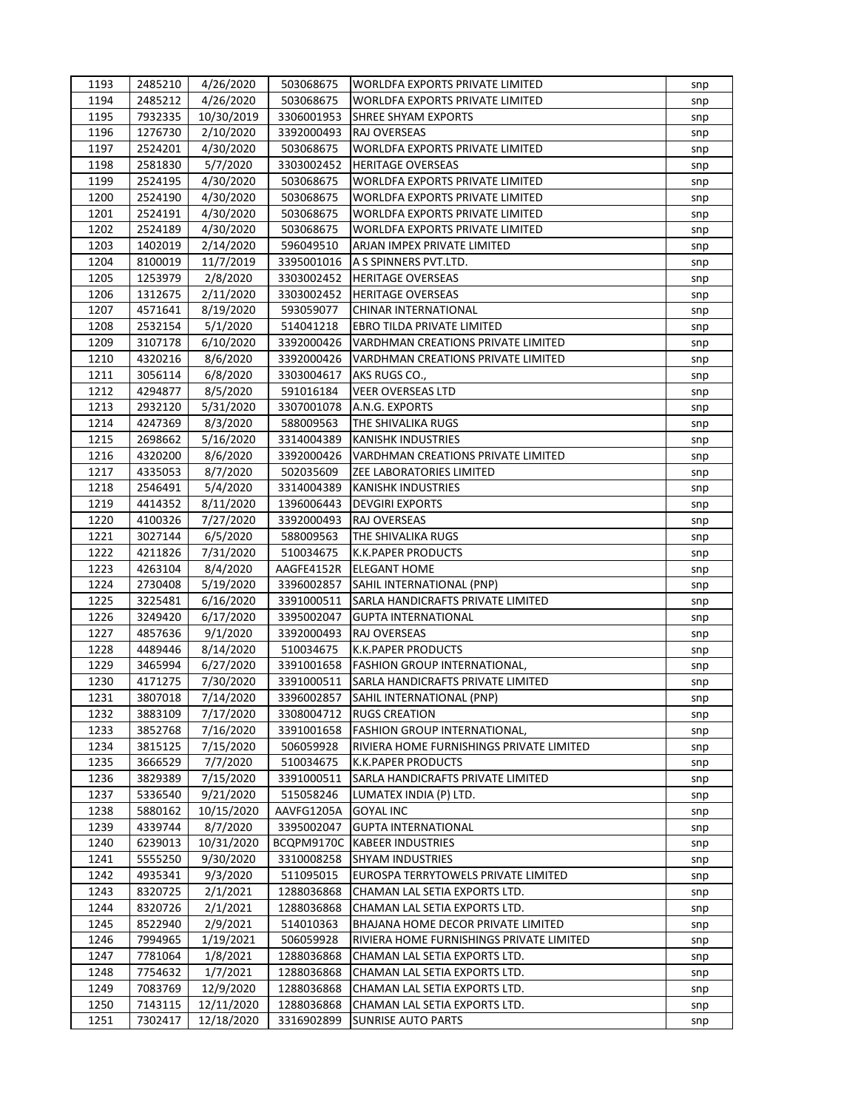| 1193         | 2485210            | 4/26/2020               | 503068675                | <b>WORLDFA EXPORTS PRIVATE LIMITED</b>                                   | snp |
|--------------|--------------------|-------------------------|--------------------------|--------------------------------------------------------------------------|-----|
| 1194         | 2485212            | 4/26/2020               | 503068675                | <b>WORLDFA EXPORTS PRIVATE LIMITED</b>                                   | snp |
| 1195         | 7932335            | 10/30/2019              | 3306001953               | SHREE SHYAM EXPORTS                                                      | snp |
| 1196         | 1276730            | 2/10/2020               | 3392000493               | RAJ OVERSEAS                                                             | snp |
| 1197         | 2524201            | 4/30/2020               | 503068675                | WORLDFA EXPORTS PRIVATE LIMITED                                          | snp |
| 1198         | 2581830            | 5/7/2020                | 3303002452               | <b>HERITAGE OVERSEAS</b>                                                 | snp |
| 1199         | 2524195            | 4/30/2020               | 503068675                | WORLDFA EXPORTS PRIVATE LIMITED                                          | snp |
| 1200         | 2524190            | 4/30/2020               | 503068675                | WORLDFA EXPORTS PRIVATE LIMITED                                          | snp |
| 1201         | 2524191            | 4/30/2020               | 503068675                | WORLDFA EXPORTS PRIVATE LIMITED                                          | snp |
| 1202         | 2524189            | 4/30/2020               | 503068675                | WORLDFA EXPORTS PRIVATE LIMITED                                          | snp |
| 1203         | 1402019            | 2/14/2020               | 596049510                | ARJAN IMPEX PRIVATE LIMITED                                              | snp |
| 1204         | 8100019            | 11/7/2019               | 3395001016               | A S SPINNERS PVT.LTD.                                                    | snp |
| 1205         | 1253979            | 2/8/2020                | 3303002452               | <b>HERITAGE OVERSEAS</b>                                                 | snp |
| 1206         | 1312675            | 2/11/2020               | 3303002452               | <b>HERITAGE OVERSEAS</b>                                                 | snp |
| 1207         | 4571641            | 8/19/2020               | 593059077                | <b>CHINAR INTERNATIONAL</b>                                              | snp |
| 1208         | 2532154            | 5/1/2020                | 514041218                | EBRO TILDA PRIVATE LIMITED                                               | snp |
| 1209         | 3107178            | 6/10/2020               | 3392000426               | VARDHMAN CREATIONS PRIVATE LIMITED                                       | snp |
| 1210         | 4320216            | 8/6/2020                | 3392000426               | VARDHMAN CREATIONS PRIVATE LIMITED                                       | snp |
| 1211         | 3056114            | 6/8/2020                | 3303004617               | AKS RUGS CO.,                                                            | snp |
| 1212         | 4294877            | 8/5/2020                | 591016184                | <b>VEER OVERSEAS LTD</b>                                                 |     |
| 1213         | 2932120            | 5/31/2020               | 3307001078               | A.N.G. EXPORTS                                                           | snp |
| 1214         | 4247369            | 8/3/2020                | 588009563                | THE SHIVALIKA RUGS                                                       | snp |
|              |                    |                         |                          |                                                                          | snp |
| 1215         | 2698662            | 5/16/2020               | 3314004389               | KANISHK INDUSTRIES                                                       | snp |
| 1216         | 4320200            | 8/6/2020                | 3392000426               | <b>VARDHMAN CREATIONS PRIVATE LIMITED</b>                                | snp |
| 1217         | 4335053            | 8/7/2020                | 502035609                | ZEE LABORATORIES LIMITED                                                 | snp |
| 1218         | 2546491            | 5/4/2020                | 3314004389               | <b>KANISHK INDUSTRIES</b>                                                | snp |
| 1219         | 4414352            | 8/11/2020               | 1396006443               | <b>DEVGIRI EXPORTS</b>                                                   | snp |
| 1220         | 4100326            | 7/27/2020               | 3392000493               | RAJ OVERSEAS                                                             | snp |
| 1221         | 3027144            | 6/5/2020                | 588009563                | THE SHIVALIKA RUGS                                                       | snp |
| 1222         | 4211826            | 7/31/2020               | 510034675                | <b>K.K.PAPER PRODUCTS</b>                                                | snp |
| 1223         | 4263104            | 8/4/2020                | AAGFE4152R               | <b>ELEGANT HOME</b>                                                      | snp |
| 1224         | 2730408            | 5/19/2020               | 3396002857               | SAHIL INTERNATIONAL (PNP)                                                | snp |
| 1225         | 3225481            | 6/16/2020               | 3391000511               | SARLA HANDICRAFTS PRIVATE LIMITED                                        | snp |
| 1226<br>1227 | 3249420<br>4857636 | 6/17/2020<br>9/1/2020   | 3395002047<br>3392000493 | <b>GUPTA INTERNATIONAL</b>                                               | snp |
|              |                    |                         |                          | RAJ OVERSEAS                                                             | snp |
| 1228         | 4489446            | 8/14/2020               | 510034675                | K.K.PAPER PRODUCTS                                                       | snp |
| 1229         | 3465994            | 6/27/2020               | 3391001658               | <b>FASHION GROUP INTERNATIONAL,</b><br>SARLA HANDICRAFTS PRIVATE LIMITED | snp |
| 1230         | 4171275            | 7/30/2020               | 3391000511               |                                                                          | snp |
| 1231         | 3807018            | 7/14/2020               | 3396002857               | SAHIL INTERNATIONAL (PNP)                                                | snp |
| 1232         | 3883109            | 7/17/2020               | 3308004712               | <b>RUGS CREATION</b>                                                     | snp |
| 1233         | 3852768            | 7/16/2020               | 3391001658               | FASHION GROUP INTERNATIONAL,                                             | snp |
| 1234         | 3815125            | 7/15/2020               | 506059928                | RIVIERA HOME FURNISHINGS PRIVATE LIMITED                                 | snp |
| 1235         | 3666529            | 7/7/2020                | 510034675                | <b>K.K.PAPER PRODUCTS</b>                                                | snp |
| 1236         | 3829389            | 7/15/2020               | 3391000511               | SARLA HANDICRAFTS PRIVATE LIMITED                                        | snp |
| 1237         | 5336540            | 9/21/2020               | 515058246                | LUMATEX INDIA (P) LTD.                                                   | snp |
| 1238         | 5880162            | 10/15/2020              | AAVFG1205A               | <b>GOYAL INC</b>                                                         | snp |
| 1239         | 4339744            | 8/7/2020                | 3395002047               | <b>GUPTA INTERNATIONAL</b>                                               | snp |
| 1240         | 6239013            | 10/31/2020              | BCQPM9170C               | <b>KABEER INDUSTRIES</b>                                                 | snp |
| 1241         | 5555250            | 9/30/2020               | 3310008258               | <b>SHYAM INDUSTRIES</b>                                                  | snp |
| 1242         | 4935341            | 9/3/2020                | 511095015                | EUROSPA TERRYTOWELS PRIVATE LIMITED                                      | snp |
| 1243         | 8320725            | 2/1/2021                | 1288036868               | CHAMAN LAL SETIA EXPORTS LTD.                                            | snp |
| 1244         | 8320726            | 2/1/2021                | 1288036868               | CHAMAN LAL SETIA EXPORTS LTD.                                            | snp |
| 1245         | 8522940            | 2/9/2021                | 514010363                | BHAJANA HOME DECOR PRIVATE LIMITED                                       | snp |
| 1246         | 7994965            | 1/19/2021               | 506059928                | RIVIERA HOME FURNISHINGS PRIVATE LIMITED                                 | snp |
| 1247         | 7781064            | 1/8/2021                | 1288036868               | CHAMAN LAL SETIA EXPORTS LTD.                                            | snp |
| 1248         | 7754632            | 1/7/2021                | 1288036868               | CHAMAN LAL SETIA EXPORTS LTD.                                            | snp |
| 1249<br>1250 | 7083769<br>7143115 | 12/9/2020<br>12/11/2020 | 1288036868               | CHAMAN LAL SETIA EXPORTS LTD.                                            | snp |
|              |                    |                         | 1288036868               | CHAMAN LAL SETIA EXPORTS LTD.                                            | snp |
| 1251         | 7302417            | 12/18/2020              | 3316902899               | SUNRISE AUTO PARTS                                                       | snp |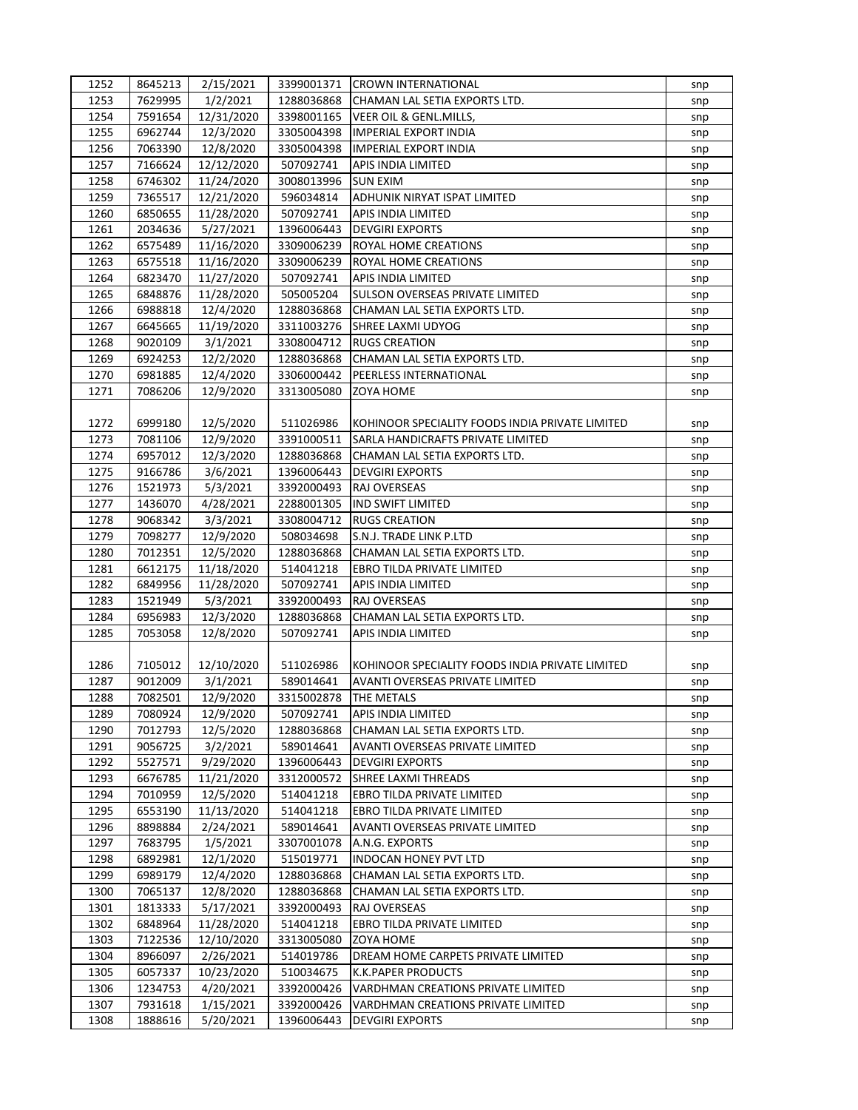| 1252 | 8645213            | 2/15/2021  | 3399001371 | <b>CROWN INTERNATIONAL</b>                      | snp        |
|------|--------------------|------------|------------|-------------------------------------------------|------------|
| 1253 | 7629995            | 1/2/2021   | 1288036868 | CHAMAN LAL SETIA EXPORTS LTD.                   | snp        |
| 1254 | 7591654            | 12/31/2020 | 3398001165 | VEER OIL & GENL.MILLS,                          | snp        |
| 1255 | 6962744            | 12/3/2020  | 3305004398 | <b>IMPERIAL EXPORT INDIA</b>                    | snp        |
| 1256 | 7063390            | 12/8/2020  | 3305004398 | <b>IMPERIAL EXPORT INDIA</b>                    | snp        |
| 1257 | 7166624            | 12/12/2020 | 507092741  | APIS INDIA LIMITED                              | snp        |
| 1258 | 6746302            | 11/24/2020 | 3008013996 | <b>SUN EXIM</b>                                 | snp        |
| 1259 | 7365517            | 12/21/2020 | 596034814  | ADHUNIK NIRYAT ISPAT LIMITED                    | snp        |
| 1260 | 6850655            | 11/28/2020 | 507092741  | APIS INDIA LIMITED                              | snp        |
| 1261 | 2034636            | 5/27/2021  | 1396006443 | <b>DEVGIRI EXPORTS</b>                          | snp        |
| 1262 | 6575489            | 11/16/2020 | 3309006239 | ROYAL HOME CREATIONS                            | snp        |
| 1263 | 6575518            | 11/16/2020 | 3309006239 | ROYAL HOME CREATIONS                            | snp        |
| 1264 | 6823470            | 11/27/2020 | 507092741  | APIS INDIA LIMITED                              | snp        |
| 1265 | 6848876            | 11/28/2020 | 505005204  | SULSON OVERSEAS PRIVATE LIMITED                 | snp        |
| 1266 | 6988818            | 12/4/2020  | 1288036868 | CHAMAN LAL SETIA EXPORTS LTD.                   | snp        |
| 1267 | 6645665            | 11/19/2020 | 3311003276 | SHREE LAXMI UDYOG                               | snp        |
| 1268 | 9020109            | 3/1/2021   | 3308004712 | <b>RUGS CREATION</b>                            | snp        |
| 1269 | 6924253            | 12/2/2020  | 1288036868 | CHAMAN LAL SETIA EXPORTS LTD.                   | snp        |
| 1270 | 6981885            | 12/4/2020  | 3306000442 | PEERLESS INTERNATIONAL                          | snp        |
| 1271 | 7086206            | 12/9/2020  | 3313005080 | <b>ZOYA HOME</b>                                | snp        |
|      |                    |            |            |                                                 |            |
| 1272 | 6999180            | 12/5/2020  | 511026986  | KOHINOOR SPECIALITY FOODS INDIA PRIVATE LIMITED | snp        |
| 1273 | 7081106            | 12/9/2020  | 3391000511 | SARLA HANDICRAFTS PRIVATE LIMITED               | snp        |
| 1274 | 6957012            | 12/3/2020  | 1288036868 | CHAMAN LAL SETIA EXPORTS LTD.                   | snp        |
| 1275 | 9166786            | 3/6/2021   | 1396006443 | <b>DEVGIRI EXPORTS</b>                          | snp        |
| 1276 | 1521973            | 5/3/2021   | 3392000493 | RAJ OVERSEAS                                    | snp        |
| 1277 | 1436070            | 4/28/2021  | 2288001305 | <b>IND SWIFT LIMITED</b>                        | snp        |
| 1278 | 9068342            | 3/3/2021   | 3308004712 | <b>RUGS CREATION</b>                            | snp        |
| 1279 | 7098277            | 12/9/2020  | 508034698  | S.N.J. TRADE LINK P.LTD                         | snp        |
| 1280 | 7012351            | 12/5/2020  | 1288036868 | CHAMAN LAL SETIA EXPORTS LTD.                   |            |
| 1281 | 6612175            | 11/18/2020 | 514041218  | EBRO TILDA PRIVATE LIMITED                      | snp        |
| 1282 | 6849956            | 11/28/2020 | 507092741  | APIS INDIA LIMITED                              | snp<br>snp |
| 1283 | 1521949            | 5/3/2021   | 3392000493 | RAJ OVERSEAS                                    | snp        |
| 1284 | 6956983            | 12/3/2020  | 1288036868 | CHAMAN LAL SETIA EXPORTS LTD.                   | snp        |
| 1285 | 7053058            | 12/8/2020  | 507092741  | APIS INDIA LIMITED                              | snp        |
|      |                    |            |            |                                                 |            |
| 1286 | 7105012            | 12/10/2020 | 511026986  | KOHINOOR SPECIALITY FOODS INDIA PRIVATE LIMITED | snp        |
| 1287 | 9012009            | 3/1/2021   | 589014641  | AVANTI OVERSEAS PRIVATE LIMITED                 |            |
| 1288 | 7082501            | 12/9/2020  | 3315002878 | THE METALS                                      | snp        |
| 1289 | 7080924            | 12/9/2020  | 507092741  | APIS INDIA LIMITED                              | snp        |
| 1290 | 7012793            |            | 1288036868 | CHAMAN LAL SETIA EXPORTS LTD.                   | snp        |
| 1291 | 9056725            | 12/5/2020  | 589014641  | AVANTI OVERSEAS PRIVATE LIMITED                 | snp        |
|      |                    | 3/2/2021   |            |                                                 | snp        |
| 1292 | 5527571            | 9/29/2020  | 1396006443 | <b>DEVGIRI EXPORTS</b>                          | snp        |
| 1293 | 6676785<br>7010959 | 11/21/2020 | 3312000572 | SHREE LAXMI THREADS                             | snp        |
| 1294 |                    | 12/5/2020  | 514041218  | EBRO TILDA PRIVATE LIMITED                      | snp        |
| 1295 | 6553190            | 11/13/2020 | 514041218  | EBRO TILDA PRIVATE LIMITED                      | snp        |
| 1296 | 8898884            | 2/24/2021  | 589014641  | AVANTI OVERSEAS PRIVATE LIMITED                 | snp        |
| 1297 | 7683795            | 1/5/2021   | 3307001078 | A.N.G. EXPORTS                                  | snp        |
| 1298 | 6892981            | 12/1/2020  | 515019771  | <b>INDOCAN HONEY PVT LTD</b>                    | snp        |
| 1299 | 6989179            | 12/4/2020  | 1288036868 | CHAMAN LAL SETIA EXPORTS LTD.                   | snp        |
| 1300 | 7065137            | 12/8/2020  | 1288036868 | CHAMAN LAL SETIA EXPORTS LTD.                   | snp        |
| 1301 | 1813333            | 5/17/2021  | 3392000493 | RAJ OVERSEAS                                    | snp        |
| 1302 | 6848964            | 11/28/2020 | 514041218  | EBRO TILDA PRIVATE LIMITED                      | snp        |
| 1303 | 7122536            | 12/10/2020 | 3313005080 | ZOYA HOME                                       | snp        |
| 1304 | 8966097            | 2/26/2021  | 514019786  | DREAM HOME CARPETS PRIVATE LIMITED              | snp        |
| 1305 | 6057337            | 10/23/2020 | 510034675  | <b>K.K.PAPER PRODUCTS</b>                       | snp        |
| 1306 | 1234753            | 4/20/2021  | 3392000426 | VARDHMAN CREATIONS PRIVATE LIMITED              | snp        |
| 1307 | 7931618            | 1/15/2021  | 3392000426 | VARDHMAN CREATIONS PRIVATE LIMITED              | snp        |
| 1308 | 1888616            | 5/20/2021  | 1396006443 | <b>DEVGIRI EXPORTS</b>                          | snp        |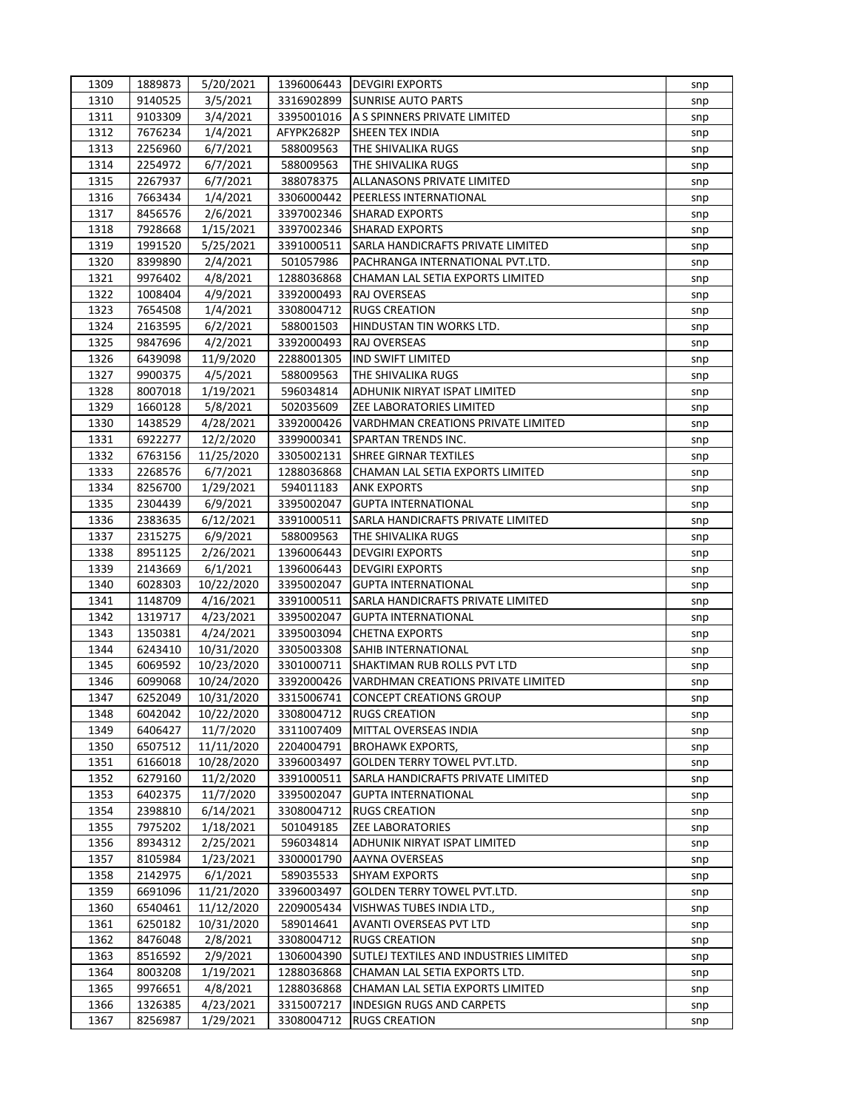| 1309 | 1889873 | 5/20/2021  |            | 1396006443   DEVGIRI EXPORTS                                    | snp |
|------|---------|------------|------------|-----------------------------------------------------------------|-----|
| 1310 | 9140525 | 3/5/2021   | 3316902899 | <b>SUNRISE AUTO PARTS</b>                                       | snp |
| 1311 | 9103309 | 3/4/2021   | 3395001016 | A S SPINNERS PRIVATE LIMITED                                    | snp |
| 1312 | 7676234 | 1/4/2021   | AFYPK2682P | <b>SHEEN TEX INDIA</b>                                          | snp |
| 1313 | 2256960 | 6/7/2021   | 588009563  | THE SHIVALIKA RUGS                                              | snp |
| 1314 | 2254972 | 6/7/2021   | 588009563  | THE SHIVALIKA RUGS                                              | snp |
| 1315 | 2267937 | 6/7/2021   | 388078375  | ALLANASONS PRIVATE LIMITED                                      | snp |
| 1316 | 7663434 | 1/4/2021   | 3306000442 | PEERLESS INTERNATIONAL                                          | snp |
| 1317 | 8456576 | 2/6/2021   | 3397002346 | <b>SHARAD EXPORTS</b>                                           | snp |
| 1318 | 7928668 | 1/15/2021  | 3397002346 | <b>SHARAD EXPORTS</b>                                           | snp |
| 1319 | 1991520 | 5/25/2021  | 3391000511 | SARLA HANDICRAFTS PRIVATE LIMITED                               | snp |
| 1320 | 8399890 | 2/4/2021   | 501057986  | PACHRANGA INTERNATIONAL PVT.LTD.                                | snp |
| 1321 | 9976402 | 4/8/2021   | 1288036868 | CHAMAN LAL SETIA EXPORTS LIMITED                                | snp |
| 1322 | 1008404 | 4/9/2021   | 3392000493 | RAJ OVERSEAS                                                    | snp |
| 1323 | 7654508 | 1/4/2021   | 3308004712 | <b>RUGS CREATION</b>                                            | snp |
| 1324 | 2163595 | 6/2/2021   | 588001503  | HINDUSTAN TIN WORKS LTD.                                        | snp |
| 1325 | 9847696 | 4/2/2021   | 3392000493 | RAJ OVERSEAS                                                    | snp |
| 1326 | 6439098 | 11/9/2020  | 2288001305 | <b>IND SWIFT LIMITED</b>                                        | snp |
| 1327 | 9900375 | 4/5/2021   | 588009563  | THE SHIVALIKA RUGS                                              | snp |
| 1328 | 8007018 | 1/19/2021  | 596034814  | ADHUNIK NIRYAT ISPAT LIMITED                                    | snp |
| 1329 | 1660128 | 5/8/2021   | 502035609  | <b>ZEE LABORATORIES LIMITED</b>                                 | snp |
| 1330 | 1438529 | 4/28/2021  | 3392000426 | VARDHMAN CREATIONS PRIVATE LIMITED                              | snp |
| 1331 | 6922277 | 12/2/2020  | 3399000341 | SPARTAN TRENDS INC.                                             | snp |
| 1332 | 6763156 | 11/25/2020 | 3305002131 | SHREE GIRNAR TEXTILES                                           | snp |
| 1333 | 2268576 | 6/7/2021   | 1288036868 | CHAMAN LAL SETIA EXPORTS LIMITED                                | snp |
| 1334 | 8256700 | 1/29/2021  | 594011183  | <b>ANK EXPORTS</b>                                              | snp |
| 1335 | 2304439 | 6/9/2021   | 3395002047 | <b>GUPTA INTERNATIONAL</b>                                      |     |
| 1336 | 2383635 |            | 3391000511 | SARLA HANDICRAFTS PRIVATE LIMITED                               | snp |
| 1337 | 2315275 | 6/12/2021  | 588009563  |                                                                 | snp |
|      |         | 6/9/2021   |            | THE SHIVALIKA RUGS                                              | snp |
| 1338 | 8951125 | 2/26/2021  | 1396006443 | <b>DEVGIRI EXPORTS</b>                                          | snp |
| 1339 | 2143669 | 6/1/2021   | 1396006443 | <b>DEVGIRI EXPORTS</b>                                          | snp |
| 1340 | 6028303 | 10/22/2020 | 3395002047 | <b>GUPTA INTERNATIONAL</b><br>SARLA HANDICRAFTS PRIVATE LIMITED | snp |
| 1341 | 1148709 | 4/16/2021  | 3391000511 |                                                                 | snp |
| 1342 | 1319717 | 4/23/2021  | 3395002047 | <b>GUPTA INTERNATIONAL</b>                                      | snp |
| 1343 | 1350381 | 4/24/2021  | 3395003094 | <b>CHETNA EXPORTS</b>                                           | snp |
| 1344 | 6243410 | 10/31/2020 | 3305003308 | SAHIB INTERNATIONAL                                             | snp |
| 1345 | 6069592 | 10/23/2020 | 3301000711 | SHAKTIMAN RUB ROLLS PVT LTD                                     | snp |
| 1346 | 6099068 | 10/24/2020 | 3392000426 | VARDHMAN CREATIONS PRIVATE LIMITED                              | snp |
| 1347 | 6252049 | 10/31/2020 | 3315006741 | <b>CONCEPT CREATIONS GROUP</b>                                  | snp |
| 1348 | 6042042 | 10/22/2020 | 3308004712 | <b>RUGS CREATION</b>                                            | snp |
| 1349 | 6406427 | 11/7/2020  | 3311007409 | MITTAL OVERSEAS INDIA                                           | snp |
| 1350 | 6507512 | 11/11/2020 | 2204004791 | <b>BROHAWK EXPORTS,</b>                                         | snp |
| 1351 | 6166018 | 10/28/2020 | 3396003497 | GOLDEN TERRY TOWEL PVT.LTD.                                     | snp |
| 1352 | 6279160 | 11/2/2020  | 3391000511 | SARLA HANDICRAFTS PRIVATE LIMITED                               | snp |
| 1353 | 6402375 | 11/7/2020  | 3395002047 | <b>GUPTA INTERNATIONAL</b>                                      | snp |
| 1354 | 2398810 | 6/14/2021  | 3308004712 | <b>RUGS CREATION</b>                                            | snp |
| 1355 | 7975202 | 1/18/2021  | 501049185  | <b>ZEE LABORATORIES</b>                                         | snp |
| 1356 | 8934312 | 2/25/2021  | 596034814  | ADHUNIK NIRYAT ISPAT LIMITED                                    | snp |
| 1357 | 8105984 | 1/23/2021  | 3300001790 | AAYNA OVERSEAS                                                  | snp |
| 1358 | 2142975 | 6/1/2021   | 589035533  | <b>SHYAM EXPORTS</b>                                            | snp |
| 1359 | 6691096 | 11/21/2020 | 3396003497 | <b>GOLDEN TERRY TOWEL PVT.LTD.</b>                              | snp |
| 1360 | 6540461 | 11/12/2020 | 2209005434 | VISHWAS TUBES INDIA LTD.,                                       | snp |
| 1361 | 6250182 | 10/31/2020 | 589014641  | AVANTI OVERSEAS PVT LTD                                         | snp |
| 1362 | 8476048 | 2/8/2021   | 3308004712 | <b>RUGS CREATION</b>                                            | snp |
| 1363 | 8516592 | 2/9/2021   | 1306004390 | SUTLEJ TEXTILES AND INDUSTRIES LIMITED                          | snp |
| 1364 | 8003208 | 1/19/2021  | 1288036868 | CHAMAN LAL SETIA EXPORTS LTD.                                   | snp |
| 1365 | 9976651 | 4/8/2021   | 1288036868 | CHAMAN LAL SETIA EXPORTS LIMITED                                | snp |
| 1366 | 1326385 | 4/23/2021  | 3315007217 | <b>INDESIGN RUGS AND CARPETS</b>                                | snp |
| 1367 | 8256987 | 1/29/2021  | 3308004712 | <b>RUGS CREATION</b>                                            | snp |
|      |         |            |            |                                                                 |     |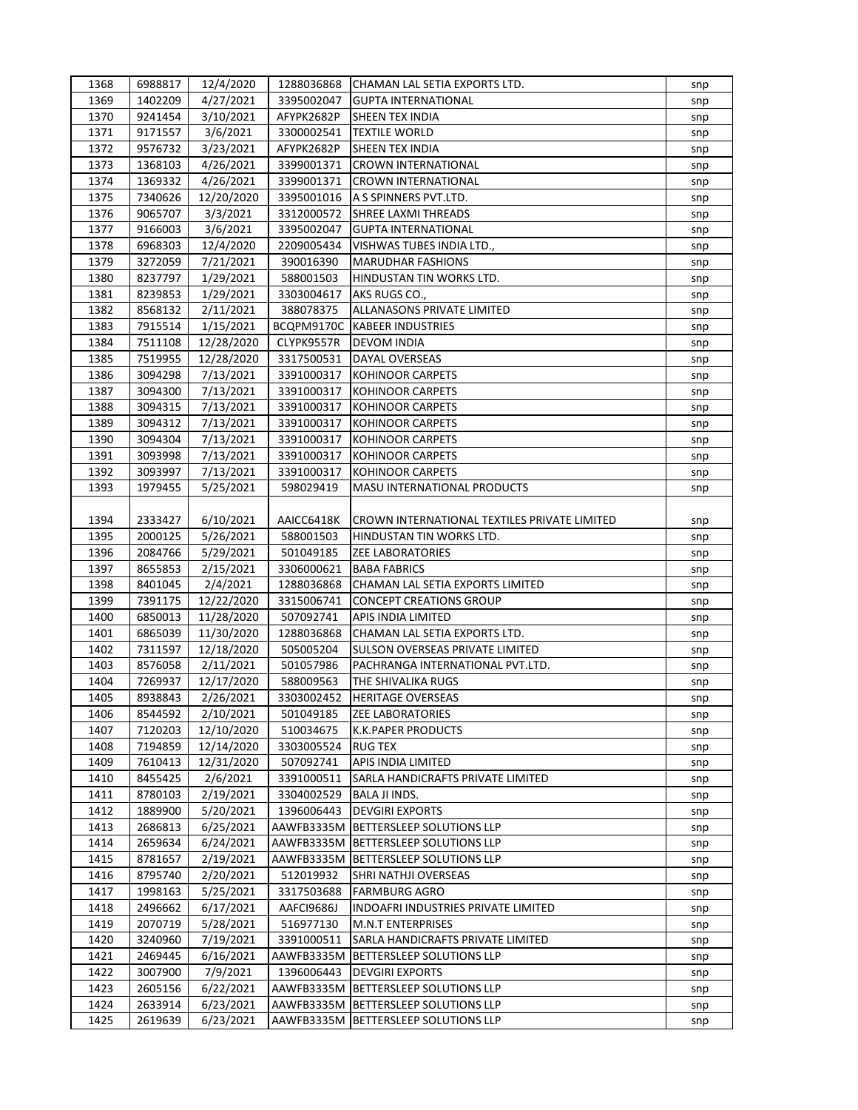| 1368 | 6988817 | 12/4/2020               | 1288036868              | CHAMAN LAL SETIA EXPORTS LTD.                  | snp |
|------|---------|-------------------------|-------------------------|------------------------------------------------|-----|
| 1369 | 1402209 | 4/27/2021               | 3395002047              | <b>GUPTA INTERNATIONAL</b>                     | snp |
| 1370 | 9241454 | 3/10/2021               | AFYPK2682P              | SHEEN TEX INDIA                                | snp |
| 1371 | 9171557 | 3/6/2021                | 3300002541              | <b>TEXTILE WORLD</b>                           | snp |
| 1372 | 9576732 | 3/23/2021               | AFYPK2682P              | SHEEN TEX INDIA                                | snp |
| 1373 | 1368103 | 4/26/2021               | 3399001371              | <b>CROWN INTERNATIONAL</b>                     | snp |
| 1374 | 1369332 | 4/26/2021               | 3399001371              | <b>CROWN INTERNATIONAL</b>                     | snp |
| 1375 | 7340626 | 12/20/2020              | 3395001016              | A S SPINNERS PVT.LTD.                          | snp |
| 1376 | 9065707 | 3/3/2021                | 3312000572              | SHREE LAXMI THREADS                            | snp |
| 1377 | 9166003 | 3/6/2021                | 3395002047              | <b>GUPTA INTERNATIONAL</b>                     | snp |
| 1378 | 6968303 | 12/4/2020               | 2209005434              | VISHWAS TUBES INDIA LTD.,                      | snp |
| 1379 | 3272059 | 7/21/2021               | 390016390               | <b>MARUDHAR FASHIONS</b>                       | snp |
| 1380 | 8237797 | 1/29/2021               | 588001503               | HINDUSTAN TIN WORKS LTD.                       | snp |
| 1381 | 8239853 | 1/29/2021               | 3303004617              | AKS RUGS CO.,                                  | snp |
| 1382 | 8568132 | 2/11/2021               | 388078375               | ALLANASONS PRIVATE LIMITED                     | snp |
| 1383 | 7915514 | 1/15/2021               | BCQPM9170C              | <b>KABEER INDUSTRIES</b>                       | snp |
| 1384 | 7511108 | 12/28/2020              | CLYPK9557R              | <b>DEVOM INDIA</b>                             | snp |
| 1385 | 7519955 | 12/28/2020              | 3317500531              | DAYAL OVERSEAS                                 | snp |
| 1386 | 3094298 | 7/13/2021               | 3391000317              | <b>KOHINOOR CARPETS</b>                        | snp |
| 1387 | 3094300 | 7/13/2021               | 3391000317              | <b>KOHINOOR CARPETS</b>                        | snp |
| 1388 | 3094315 | 7/13/2021               | 3391000317              | <b>KOHINOOR CARPETS</b>                        | snp |
| 1389 | 3094312 | 7/13/2021               | 3391000317              | <b>KOHINOOR CARPETS</b>                        | snp |
| 1390 | 3094304 | 7/13/2021               | 3391000317              | <b>KOHINOOR CARPETS</b>                        | snp |
| 1391 | 3093998 | 7/13/2021               | 3391000317              | KOHINOOR CARPETS                               | snp |
| 1392 | 3093997 | 7/13/2021               | 3391000317              | <b>KOHINOOR CARPETS</b>                        | snp |
| 1393 | 1979455 | 5/25/2021               | 598029419               | MASU INTERNATIONAL PRODUCTS                    | snp |
|      |         |                         |                         |                                                |     |
| 1394 | 2333427 | 6/10/2021               | AAICC6418K              | CROWN INTERNATIONAL TEXTILES PRIVATE LIMITED   | snp |
| 1395 | 2000125 | 5/26/2021               | 588001503               | HINDUSTAN TIN WORKS LTD.                       | snp |
| 1396 | 2084766 | 5/29/2021               | 501049185               | <b>ZEE LABORATORIES</b>                        | snp |
| 1397 | 8655853 | 2/15/2021               | 3306000621              | <b>BABA FABRICS</b>                            | snp |
| 1398 | 8401045 | 2/4/2021                | 1288036868              | CHAMAN LAL SETIA EXPORTS LIMITED               | snp |
| 1399 | 7391175 | 12/22/2020              | 3315006741              | <b>CONCEPT CREATIONS GROUP</b>                 | snp |
| 1400 | 6850013 | 11/28/2020              | 507092741               | APIS INDIA LIMITED                             | snp |
| 1401 | 6865039 | 11/30/2020              | 1288036868              | CHAMAN LAL SETIA EXPORTS LTD.                  | snp |
| 1402 | 7311597 | 12/18/2020              | 505005204               | SULSON OVERSEAS PRIVATE LIMITED                |     |
| 1403 | 8576058 | 2/11/2021               | 501057986               | PACHRANGA INTERNATIONAL PVT.LTD.               | snp |
| 1404 |         |                         |                         |                                                | snp |
|      | 7269937 | 12/17/2020<br>2/26/2021 | 588009563               | THE SHIVALIKA RUGS<br><b>HERITAGE OVERSEAS</b> | snp |
| 1405 | 8938843 |                         | 3303002452<br>501049185 | <b>ZEE LABORATORIES</b>                        | snp |
| 1406 | 8544592 | 2/10/2021               |                         | <b>K.K.PAPER PRODUCTS</b>                      | snp |
| 1407 | 7120203 | 12/10/2020              | 510034675               |                                                | snp |
| 1408 | 7194859 | 12/14/2020              | 3303005524              | <b>RUG TEX</b>                                 | snp |
| 1409 | 7610413 | 12/31/2020              | 507092741               | APIS INDIA LIMITED                             | snp |
| 1410 | 8455425 | 2/6/2021                | 3391000511              | SARLA HANDICRAFTS PRIVATE LIMITED              | snp |
| 1411 | 8780103 | 2/19/2021               | 3304002529              | <b>BALA JI INDS.</b>                           | snp |
| 1412 | 1889900 | 5/20/2021               | 1396006443              | <b>DEVGIRI EXPORTS</b>                         | snp |
| 1413 | 2686813 | 6/25/2021               | AAWFB3335M              | BETTERSLEEP SOLUTIONS LLP                      | snp |
| 1414 | 2659634 | 6/24/2021               | AAWFB3335M              | <b>BETTERSLEEP SOLUTIONS LLP</b>               | snp |
| 1415 | 8781657 | 2/19/2021               | AAWFB3335M              | <b>BETTERSLEEP SOLUTIONS LLP</b>               | snp |
| 1416 | 8795740 | 2/20/2021               | 512019932               | SHRI NATHJI OVERSEAS                           | snp |
| 1417 | 1998163 | 5/25/2021               | 3317503688              | <b>FARMBURG AGRO</b>                           | snp |
| 1418 | 2496662 | 6/17/2021               | AAFCI9686J              | INDOAFRI INDUSTRIES PRIVATE LIMITED            | snp |
| 1419 | 2070719 | 5/28/2021               | 516977130               | M.N.T ENTERPRISES                              | snp |
| 1420 | 3240960 | 7/19/2021               | 3391000511              | SARLA HANDICRAFTS PRIVATE LIMITED              | snp |
| 1421 | 2469445 | 6/16/2021               | AAWFB3335M              | <b>BETTERSLEEP SOLUTIONS LLP</b>               | snp |
| 1422 | 3007900 | 7/9/2021                | 1396006443              | <b>DEVGIRI EXPORTS</b>                         | snp |
| 1423 | 2605156 | 6/22/2021               | AAWFB3335M              | <b>BETTERSLEEP SOLUTIONS LLP</b>               | snp |
| 1424 | 2633914 | 6/23/2021               | AAWFB3335M              | <b>BETTERSLEEP SOLUTIONS LLP</b>               | snp |
| 1425 | 2619639 | 6/23/2021               |                         | AAWFB3335M BETTERSLEEP SOLUTIONS LLP           | snp |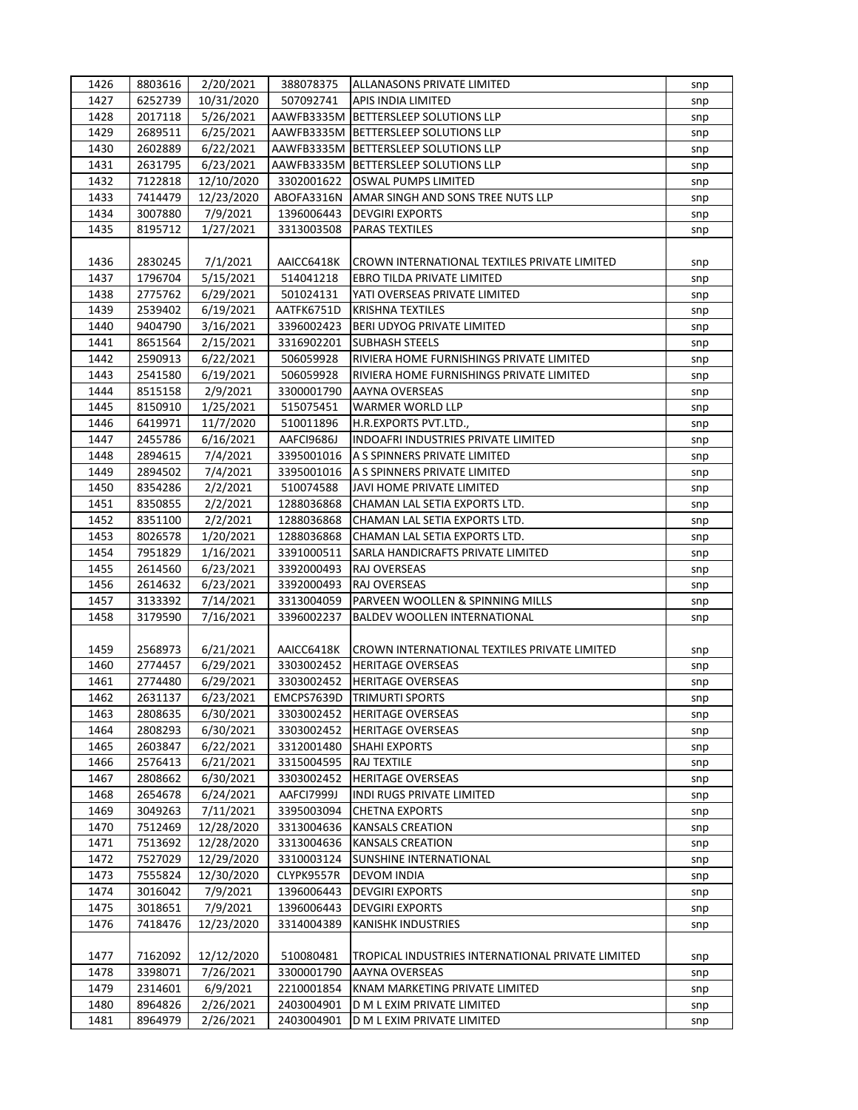| 1426 | 8803616            | 2/20/2021  | 388078375              | <b>ALLANASONS PRIVATE LIMITED</b>                 | snp |
|------|--------------------|------------|------------------------|---------------------------------------------------|-----|
| 1427 | 6252739            | 10/31/2020 | 507092741              | APIS INDIA LIMITED                                | snp |
| 1428 | 2017118            | 5/26/2021  | AAWFB3335M             | <b>BETTERSLEEP SOLUTIONS LLP</b>                  | snp |
| 1429 | 2689511            | 6/25/2021  | AAWFB3335M             | <b>BETTERSLEEP SOLUTIONS LLP</b>                  | snp |
| 1430 | 2602889            | 6/22/2021  | AAWFB3335M             | BETTERSLEEP SOLUTIONS LLP                         | snp |
| 1431 | 2631795            | 6/23/2021  | AAWFB3335M             | <b>BETTERSLEEP SOLUTIONS LLP</b>                  | snp |
| 1432 | 7122818            | 12/10/2020 | 3302001622             | OSWAL PUMPS LIMITED                               | snp |
| 1433 | 7414479            | 12/23/2020 | ABOFA3316N             | AMAR SINGH AND SONS TREE NUTS LLP                 | snp |
| 1434 | 3007880            | 7/9/2021   | 1396006443             | <b>DEVGIRI EXPORTS</b>                            | snp |
| 1435 | 8195712            | 1/27/2021  | 3313003508             | <b>PARAS TEXTILES</b>                             | snp |
|      |                    |            |                        |                                                   |     |
| 1436 | 2830245            | 7/1/2021   | AAICC6418K             | CROWN INTERNATIONAL TEXTILES PRIVATE LIMITED      | snp |
| 1437 | 1796704            | 5/15/2021  | 514041218              | <b>EBRO TILDA PRIVATE LIMITED</b>                 | snp |
| 1438 | 2775762            | 6/29/2021  | 501024131              | YATI OVERSEAS PRIVATE LIMITED                     | snp |
| 1439 | 2539402            | 6/19/2021  | AATFK6751D             | <b>KRISHNA TEXTILES</b>                           | snp |
| 1440 | 9404790            | 3/16/2021  | 3396002423             | BERI UDYOG PRIVATE LIMITED                        | snp |
| 1441 | 8651564            | 2/15/2021  | 3316902201             | <b>SUBHASH STEELS</b>                             |     |
| 1442 |                    | 6/22/2021  |                        | RIVIERA HOME FURNISHINGS PRIVATE LIMITED          | snp |
| 1443 | 2590913<br>2541580 |            | 506059928<br>506059928 | RIVIERA HOME FURNISHINGS PRIVATE LIMITED          | snp |
| 1444 |                    | 6/19/2021  |                        |                                                   | snp |
|      | 8515158            | 2/9/2021   | 3300001790             | AAYNA OVERSEAS                                    | snp |
| 1445 | 8150910            | 1/25/2021  | 515075451              | WARMER WORLD LLP                                  | snp |
| 1446 | 6419971            | 11/7/2020  | 510011896              | H.R.EXPORTS PVT.LTD.,                             | snp |
| 1447 | 2455786            | 6/16/2021  | AAFCI9686J             | INDOAFRI INDUSTRIES PRIVATE LIMITED               | snp |
| 1448 | 2894615            | 7/4/2021   | 3395001016             | A S SPINNERS PRIVATE LIMITED                      | snp |
| 1449 | 2894502            | 7/4/2021   | 3395001016             | A S SPINNERS PRIVATE LIMITED                      | snp |
| 1450 | 8354286            | 2/2/2021   | 510074588              | JAVI HOME PRIVATE LIMITED                         | snp |
| 1451 | 8350855            | 2/2/2021   | 1288036868             | CHAMAN LAL SETIA EXPORTS LTD.                     | snp |
| 1452 | 8351100            | 2/2/2021   | 1288036868             | CHAMAN LAL SETIA EXPORTS LTD.                     | snp |
| 1453 | 8026578            | 1/20/2021  | 1288036868             | CHAMAN LAL SETIA EXPORTS LTD.                     | snp |
| 1454 | 7951829            | 1/16/2021  | 3391000511             | SARLA HANDICRAFTS PRIVATE LIMITED                 | snp |
| 1455 | 2614560            | 6/23/2021  | 3392000493             | RAJ OVERSEAS                                      | snp |
| 1456 | 2614632            | 6/23/2021  | 3392000493             | RAJ OVERSEAS                                      | snp |
| 1457 | 3133392            | 7/14/2021  | 3313004059             | PARVEEN WOOLLEN & SPINNING MILLS                  | snp |
| 1458 | 3179590            | 7/16/2021  | 3396002237             | BALDEV WOOLLEN INTERNATIONAL                      | snp |
|      |                    |            |                        |                                                   |     |
| 1459 | 2568973            | 6/21/2021  | AAICC6418K             | CROWN INTERNATIONAL TEXTILES PRIVATE LIMITED      | snp |
| 1460 | 2774457            | 6/29/2021  | 3303002452             | <b>HERITAGE OVERSEAS</b>                          | snp |
| 1461 | 2774480            | 6/29/2021  | 3303002452             | <b>HERITAGE OVERSEAS</b>                          | snp |
| 1462 | 2631137            | 6/23/2021  | EMCPS7639D             | <b>TRIMURTI SPORTS</b>                            | snp |
| 1463 | 2808635            | 6/30/2021  | 3303002452             | <b>HERITAGE OVERSEAS</b>                          | snp |
| 1464 | 2808293            | 6/30/2021  | 3303002452             | <b>HERITAGE OVERSEAS</b>                          | snp |
| 1465 | 2603847            | 6/22/2021  | 3312001480             | SHAHI EXPORTS                                     | snp |
| 1466 | 2576413            | 6/21/2021  | 3315004595             | RAJ TEXTILE                                       | snp |
| 1467 | 2808662            | 6/30/2021  | 3303002452             | <b>HERITAGE OVERSEAS</b>                          | snp |
| 1468 | 2654678            | 6/24/2021  | AAFCI7999J             | INDI RUGS PRIVATE LIMITED                         | snp |
| 1469 | 3049263            | 7/11/2021  | 3395003094             | <b>CHETNA EXPORTS</b>                             | snp |
| 1470 | 7512469            | 12/28/2020 | 3313004636             | <b>KANSALS CREATION</b>                           | snp |
| 1471 | 7513692            | 12/28/2020 | 3313004636             | <b>KANSALS CREATION</b>                           | snp |
| 1472 | 7527029            | 12/29/2020 | 3310003124             | SUNSHINE INTERNATIONAL                            | snp |
| 1473 | 7555824            | 12/30/2020 | CLYPK9557R             | <b>DEVOM INDIA</b>                                | snp |
| 1474 | 3016042            | 7/9/2021   | 1396006443             | <b>DEVGIRI EXPORTS</b>                            | snp |
| 1475 | 3018651            | 7/9/2021   | 1396006443             | <b>DEVGIRI EXPORTS</b>                            | snp |
| 1476 | 7418476            | 12/23/2020 | 3314004389             | KANISHK INDUSTRIES                                | snp |
|      |                    |            |                        |                                                   |     |
| 1477 | 7162092            | 12/12/2020 | 510080481              | TROPICAL INDUSTRIES INTERNATIONAL PRIVATE LIMITED | snp |
| 1478 | 3398071            | 7/26/2021  | 3300001790             | AAYNA OVERSEAS                                    | snp |
| 1479 | 2314601            | 6/9/2021   | 2210001854             | KNAM MARKETING PRIVATE LIMITED                    | snp |
| 1480 | 8964826            | 2/26/2021  | 2403004901             | D M L EXIM PRIVATE LIMITED                        | snp |
| 1481 | 8964979            | 2/26/2021  | 2403004901             | D M L EXIM PRIVATE LIMITED                        | snp |
|      |                    |            |                        |                                                   |     |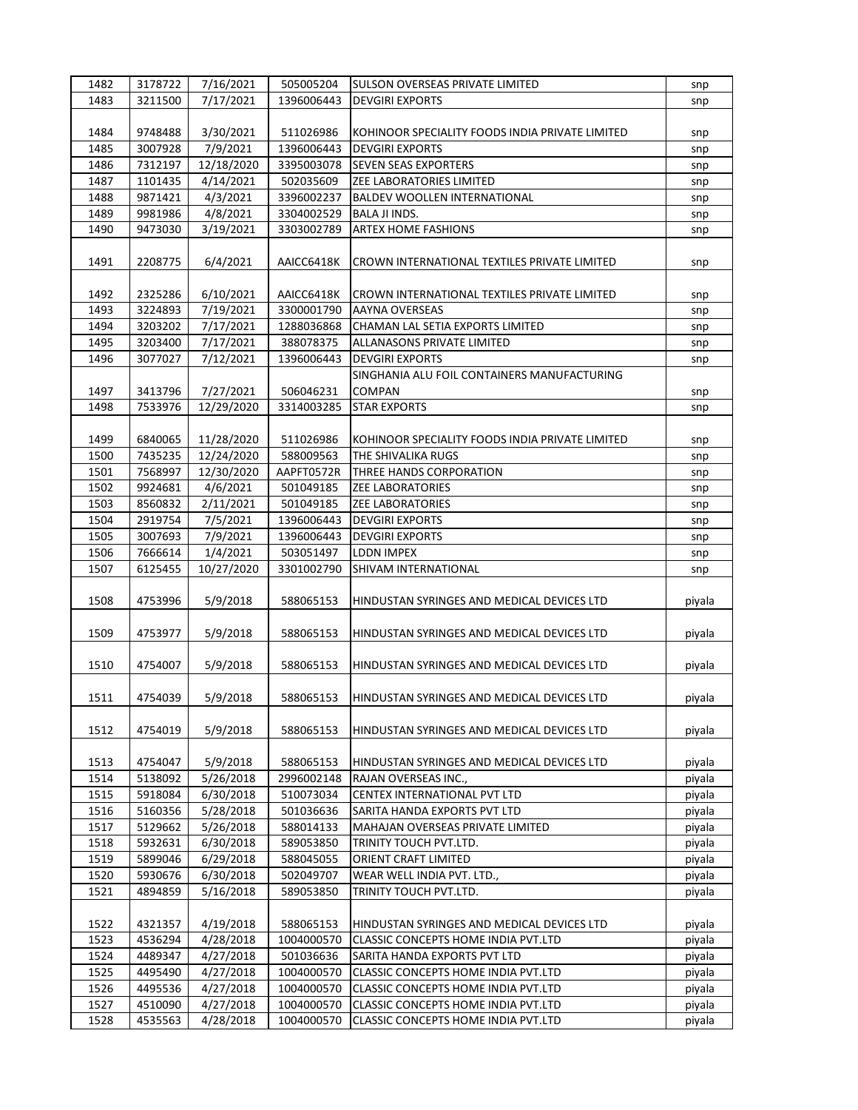| 1482 | 3178722 | 7/16/2021  | 505005204  | <b>SULSON OVERSEAS PRIVATE LIMITED</b>          | snp    |
|------|---------|------------|------------|-------------------------------------------------|--------|
| 1483 | 3211500 | 7/17/2021  | 1396006443 | <b>DEVGIRI EXPORTS</b>                          | snp    |
|      |         |            |            |                                                 |        |
| 1484 | 9748488 | 3/30/2021  | 511026986  | KOHINOOR SPECIALITY FOODS INDIA PRIVATE LIMITED | snp    |
| 1485 | 3007928 | 7/9/2021   | 1396006443 | <b>DEVGIRI EXPORTS</b>                          | snp    |
| 1486 | 7312197 | 12/18/2020 | 3395003078 | <b>SEVEN SEAS EXPORTERS</b>                     | snp    |
| 1487 | 1101435 | 4/14/2021  | 502035609  | ZEE LABORATORIES LIMITED                        | snp    |
| 1488 | 9871421 | 4/3/2021   | 3396002237 | <b>BALDEV WOOLLEN INTERNATIONAL</b>             |        |
|      |         |            |            |                                                 | snp    |
| 1489 | 9981986 | 4/8/2021   | 3304002529 | BALA JI INDS.                                   | snp    |
| 1490 | 9473030 | 3/19/2021  | 3303002789 | <b>ARTEX HOME FASHIONS</b>                      | snp    |
|      |         |            |            |                                                 |        |
| 1491 | 2208775 | 6/4/2021   | AAICC6418K | CROWN INTERNATIONAL TEXTILES PRIVATE LIMITED    | snp    |
|      |         |            |            |                                                 |        |
| 1492 | 2325286 | 6/10/2021  | AAICC6418K | CROWN INTERNATIONAL TEXTILES PRIVATE LIMITED    | snp    |
| 1493 | 3224893 | 7/19/2021  | 3300001790 | AAYNA OVERSEAS                                  | snp    |
| 1494 | 3203202 | 7/17/2021  | 1288036868 | CHAMAN LAL SETIA EXPORTS LIMITED                | snp    |
| 1495 | 3203400 | 7/17/2021  | 388078375  | ALLANASONS PRIVATE LIMITED                      | snp    |
| 1496 | 3077027 | 7/12/2021  | 1396006443 | <b>DEVGIRI EXPORTS</b>                          | snp    |
|      |         |            |            | SINGHANIA ALU FOIL CONTAINERS MANUFACTURING     |        |
| 1497 | 3413796 | 7/27/2021  | 506046231  | <b>COMPAN</b>                                   | snp    |
| 1498 | 7533976 | 12/29/2020 | 3314003285 | <b>STAR EXPORTS</b>                             | snp    |
|      |         |            |            |                                                 |        |
| 1499 | 6840065 | 11/28/2020 | 511026986  | KOHINOOR SPECIALITY FOODS INDIA PRIVATE LIMITED | snp    |
| 1500 | 7435235 | 12/24/2020 | 588009563  | THE SHIVALIKA RUGS                              | snp    |
| 1501 | 7568997 | 12/30/2020 | AAPFT0572R | THREE HANDS CORPORATION                         |        |
| 1502 | 9924681 | 4/6/2021   | 501049185  | <b>ZEE LABORATORIES</b>                         | snp    |
|      |         |            |            |                                                 | snp    |
| 1503 | 8560832 | 2/11/2021  | 501049185  | <b>ZEE LABORATORIES</b>                         | snp    |
| 1504 | 2919754 | 7/5/2021   | 1396006443 | <b>DEVGIRI EXPORTS</b>                          | snp    |
| 1505 | 3007693 | 7/9/2021   | 1396006443 | <b>DEVGIRI EXPORTS</b>                          | snp    |
| 1506 | 7666614 | 1/4/2021   | 503051497  | LDDN IMPEX                                      | snp    |
| 1507 | 6125455 | 10/27/2020 | 3301002790 | SHIVAM INTERNATIONAL                            | snp    |
|      |         |            |            |                                                 |        |
| 1508 | 4753996 | 5/9/2018   | 588065153  | HINDUSTAN SYRINGES AND MEDICAL DEVICES LTD      | piyala |
|      |         |            |            |                                                 |        |
| 1509 | 4753977 | 5/9/2018   | 588065153  | HINDUSTAN SYRINGES AND MEDICAL DEVICES LTD      | piyala |
|      |         |            |            |                                                 |        |
| 1510 | 4754007 | 5/9/2018   | 588065153  | HINDUSTAN SYRINGES AND MEDICAL DEVICES LTD      | piyala |
|      |         |            |            |                                                 |        |
| 1511 | 4754039 | 5/9/2018   | 588065153  | HINDUSTAN SYRINGES AND MEDICAL DEVICES LTD      | piyala |
|      |         |            |            |                                                 |        |
| 1512 | 4754019 | 5/9/2018   | 588065153  | HINDUSTAN SYRINGES AND MEDICAL DEVICES LTD      | piyala |
|      |         |            |            |                                                 |        |
| 1513 | 4754047 | 5/9/2018   | 588065153  | HINDUSTAN SYRINGES AND MEDICAL DEVICES LTD      | piyala |
| 1514 | 5138092 | 5/26/2018  | 2996002148 | RAJAN OVERSEAS INC.,                            | piyala |
| 1515 | 5918084 | 6/30/2018  | 510073034  | CENTEX INTERNATIONAL PVT LTD                    | piyala |
| 1516 | 5160356 | 5/28/2018  | 501036636  | SARITA HANDA EXPORTS PVT LTD                    | piyala |
| 1517 | 5129662 |            | 588014133  | MAHAJAN OVERSEAS PRIVATE LIMITED                | piyala |
|      |         | 5/26/2018  |            |                                                 |        |
| 1518 | 5932631 | 6/30/2018  | 589053850  | TRINITY TOUCH PVT.LTD.                          | piyala |
| 1519 | 5899046 | 6/29/2018  | 588045055  | ORIENT CRAFT LIMITED                            | piyala |
| 1520 | 5930676 | 6/30/2018  | 502049707  | WEAR WELL INDIA PVT. LTD.,                      | piyala |
| 1521 | 4894859 | 5/16/2018  | 589053850  | TRINITY TOUCH PVT.LTD.                          | piyala |
|      |         |            |            |                                                 |        |
| 1522 | 4321357 | 4/19/2018  | 588065153  | HINDUSTAN SYRINGES AND MEDICAL DEVICES LTD      | piyala |
| 1523 | 4536294 | 4/28/2018  | 1004000570 | CLASSIC CONCEPTS HOME INDIA PVT.LTD             | piyala |
| 1524 | 4489347 | 4/27/2018  | 501036636  | SARITA HANDA EXPORTS PVT LTD                    | piyala |
| 1525 | 4495490 | 4/27/2018  | 1004000570 | CLASSIC CONCEPTS HOME INDIA PVT.LTD             | piyala |
| 1526 | 4495536 | 4/27/2018  | 1004000570 | CLASSIC CONCEPTS HOME INDIA PVT.LTD             | piyala |
| 1527 | 4510090 | 4/27/2018  | 1004000570 | CLASSIC CONCEPTS HOME INDIA PVT.LTD             | piyala |
| 1528 | 4535563 | 4/28/2018  | 1004000570 | CLASSIC CONCEPTS HOME INDIA PVT.LTD             | piyala |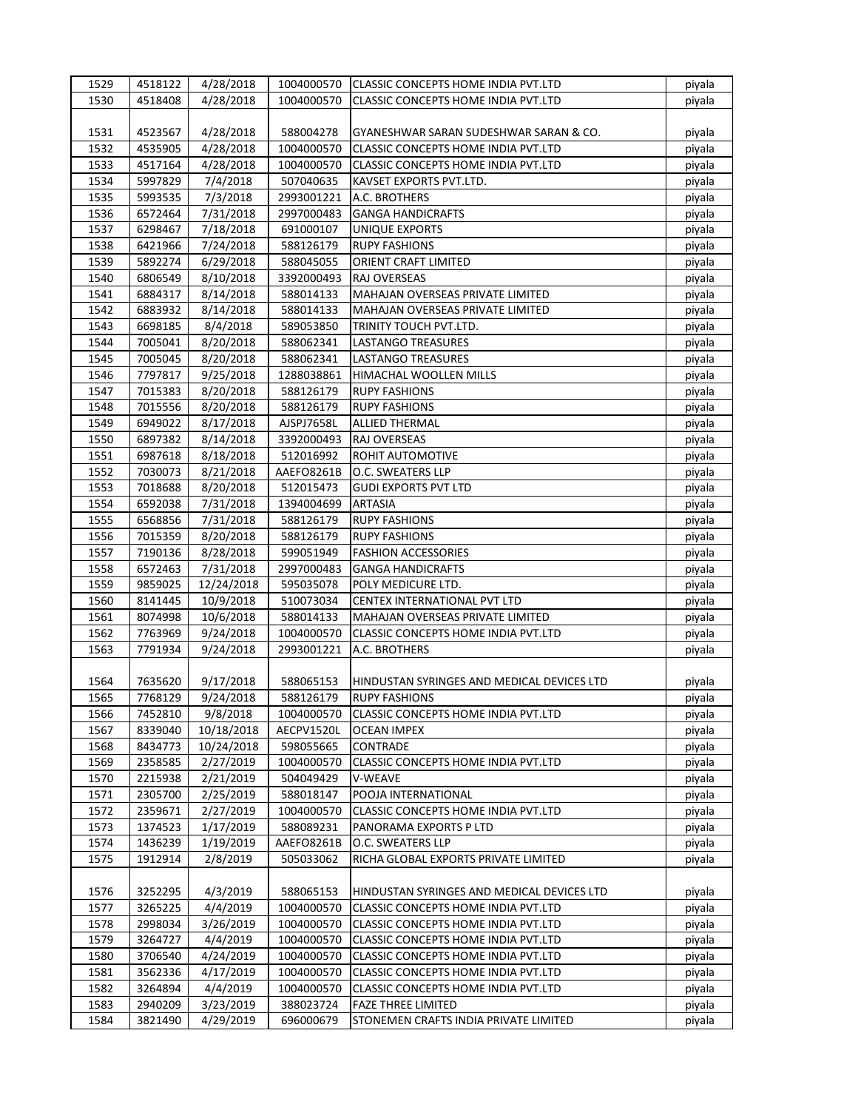| 1529 | 4518122 | 4/28/2018              | 1004000570 | <b>CLASSIC CONCEPTS HOME INDIA PVT.LTD</b> | piyala |
|------|---------|------------------------|------------|--------------------------------------------|--------|
| 1530 | 4518408 | 4/28/2018              | 1004000570 | <b>CLASSIC CONCEPTS HOME INDIA PVT.LTD</b> | piyala |
|      |         |                        |            |                                            |        |
| 1531 | 4523567 | 4/28/2018              | 588004278  | GYANESHWAR SARAN SUDESHWAR SARAN & CO.     | piyala |
| 1532 | 4535905 | 4/28/2018              | 1004000570 | CLASSIC CONCEPTS HOME INDIA PVT.LTD        | piyala |
| 1533 | 4517164 | 4/28/2018              | 1004000570 | CLASSIC CONCEPTS HOME INDIA PVT.LTD        | piyala |
| 1534 | 5997829 | 7/4/2018               | 507040635  | KAVSET EXPORTS PVT.LTD.                    | piyala |
| 1535 | 5993535 | 7/3/2018               | 2993001221 | A.C. BROTHERS                              | piyala |
| 1536 | 6572464 | 7/31/2018              | 2997000483 | <b>GANGA HANDICRAFTS</b>                   | piyala |
| 1537 | 6298467 | 7/18/2018              | 691000107  | <b>UNIQUE EXPORTS</b>                      | piyala |
| 1538 | 6421966 | 7/24/2018              | 588126179  | <b>RUPY FASHIONS</b>                       |        |
| 1539 |         |                        | 588045055  | ORIENT CRAFT LIMITED                       | piyala |
|      | 5892274 | 6/29/2018              |            |                                            | piyala |
| 1540 | 6806549 | 8/10/2018              | 3392000493 | RAJ OVERSEAS                               | piyala |
| 1541 | 6884317 | 8/14/2018              | 588014133  | MAHAJAN OVERSEAS PRIVATE LIMITED           | piyala |
| 1542 | 6883932 | 8/14/2018              | 588014133  | MAHAJAN OVERSEAS PRIVATE LIMITED           | piyala |
| 1543 | 6698185 | 8/4/2018               | 589053850  | TRINITY TOUCH PVT.LTD.                     | piyala |
| 1544 | 7005041 | 8/20/2018              | 588062341  | LASTANGO TREASURES                         | piyala |
| 1545 | 7005045 | 8/20/2018              | 588062341  | <b>LASTANGO TREASURES</b>                  | piyala |
| 1546 | 7797817 | 9/25/2018              | 1288038861 | HIMACHAL WOOLLEN MILLS                     | piyala |
| 1547 | 7015383 | 8/20/2018              | 588126179  | <b>RUPY FASHIONS</b>                       | piyala |
| 1548 | 7015556 | 8/20/2018              | 588126179  | <b>RUPY FASHIONS</b>                       | piyala |
| 1549 | 6949022 | 8/17/2018              | AJSPJ7658L | ALLIED THERMAL                             | piyala |
| 1550 | 6897382 | 8/14/2018              | 3392000493 | RAJ OVERSEAS                               | piyala |
| 1551 | 6987618 | 8/18/2018              | 512016992  | ROHIT AUTOMOTIVE                           | piyala |
| 1552 | 7030073 | 8/21/2018              | AAEFO8261B | O.C. SWEATERS LLP                          | piyala |
| 1553 | 7018688 | 8/20/2018              | 512015473  | <b>GUDI EXPORTS PVT LTD</b>                | piyala |
| 1554 | 6592038 | 7/31/2018              | 1394004699 | <b>ARTASIA</b>                             | piyala |
| 1555 | 6568856 | 7/31/2018              | 588126179  | <b>RUPY FASHIONS</b>                       | piyala |
| 1556 | 7015359 | 8/20/2018              | 588126179  | <b>RUPY FASHIONS</b>                       | piyala |
| 1557 | 7190136 | 8/28/2018              | 599051949  | <b>FASHION ACCESSORIES</b>                 | piyala |
| 1558 | 6572463 | 7/31/2018              | 2997000483 | <b>GANGA HANDICRAFTS</b>                   | piyala |
| 1559 | 9859025 | 12/24/2018             | 595035078  | POLY MEDICURE LTD.                         | piyala |
| 1560 | 8141445 | 10/9/2018              | 510073034  | CENTEX INTERNATIONAL PVT LTD               | piyala |
| 1561 | 8074998 | 10/6/2018              | 588014133  | MAHAJAN OVERSEAS PRIVATE LIMITED           | piyala |
| 1562 | 7763969 | 9/24/2018              | 1004000570 | CLASSIC CONCEPTS HOME INDIA PVT.LTD        | piyala |
| 1563 | 7791934 | 9/24/2018              | 2993001221 | A.C. BROTHERS                              | piyala |
|      |         |                        |            |                                            |        |
| 1564 | 7635620 | 9/17/2018              | 588065153  | HINDUSTAN SYRINGES AND MEDICAL DEVICES LTD | piyala |
| 1565 | 7768129 | 9/24/2018              | 588126179  | <b>RUPY FASHIONS</b>                       |        |
| 1566 | 7452810 |                        | 1004000570 | CLASSIC CONCEPTS HOME INDIA PVT.LTD        | piyala |
|      | 8339040 | 9/8/2018<br>10/18/2018 |            |                                            | piyala |
| 1567 |         |                        | AECPV1520L | <b>OCEAN IMPEX</b>                         | piyala |
| 1568 | 8434773 | 10/24/2018             | 598055665  | CONTRADE                                   | piyala |
| 1569 | 2358585 | 2/27/2019              | 1004000570 | <b>CLASSIC CONCEPTS HOME INDIA PVT.LTD</b> | piyala |
| 1570 | 2215938 | 2/21/2019              | 504049429  | V-WEAVE                                    | piyala |
| 1571 | 2305700 | 2/25/2019              | 588018147  | POOJA INTERNATIONAL                        | piyala |
| 1572 | 2359671 | 2/27/2019              | 1004000570 | CLASSIC CONCEPTS HOME INDIA PVT.LTD        | piyala |
| 1573 | 1374523 | 1/17/2019              | 588089231  | PANORAMA EXPORTS P LTD                     | piyala |
| 1574 | 1436239 | 1/19/2019              | AAEFO8261B | O.C. SWEATERS LLP                          | piyala |
| 1575 | 1912914 | 2/8/2019               | 505033062  | RICHA GLOBAL EXPORTS PRIVATE LIMITED       | piyala |
|      |         |                        |            |                                            |        |
| 1576 | 3252295 | 4/3/2019               | 588065153  | HINDUSTAN SYRINGES AND MEDICAL DEVICES LTD | piyala |
| 1577 | 3265225 | 4/4/2019               | 1004000570 | CLASSIC CONCEPTS HOME INDIA PVT.LTD        | piyala |
| 1578 | 2998034 | 3/26/2019              | 1004000570 | CLASSIC CONCEPTS HOME INDIA PVT.LTD        | piyala |
| 1579 | 3264727 | 4/4/2019               | 1004000570 | CLASSIC CONCEPTS HOME INDIA PVT.LTD        | piyala |
| 1580 | 3706540 | 4/24/2019              | 1004000570 | CLASSIC CONCEPTS HOME INDIA PVT.LTD        | piyala |
| 1581 | 3562336 | 4/17/2019              | 1004000570 | CLASSIC CONCEPTS HOME INDIA PVT.LTD        | piyala |
| 1582 | 3264894 | 4/4/2019               | 1004000570 | CLASSIC CONCEPTS HOME INDIA PVT.LTD        | piyala |
| 1583 | 2940209 | 3/23/2019              | 388023724  | <b>FAZE THREE LIMITED</b>                  | piyala |
| 1584 | 3821490 | 4/29/2019              | 696000679  | STONEMEN CRAFTS INDIA PRIVATE LIMITED      | piyala |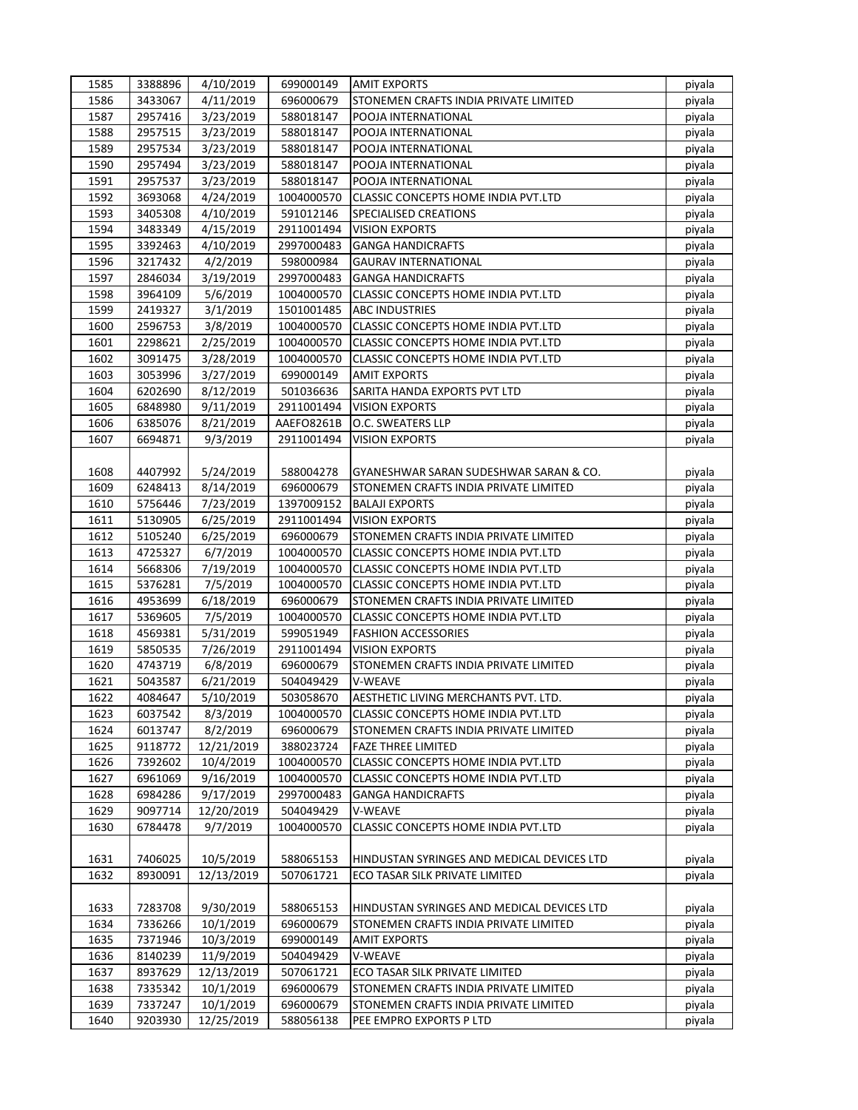| 1585 | 3388896 | 4/10/2019  | 699000149  | <b>AMIT EXPORTS</b>                        | piyala           |
|------|---------|------------|------------|--------------------------------------------|------------------|
| 1586 | 3433067 | 4/11/2019  | 696000679  | STONEMEN CRAFTS INDIA PRIVATE LIMITED      | piyala           |
| 1587 | 2957416 | 3/23/2019  | 588018147  | POOJA INTERNATIONAL                        | piyala           |
| 1588 | 2957515 | 3/23/2019  | 588018147  | POOJA INTERNATIONAL                        | piyala           |
| 1589 | 2957534 | 3/23/2019  | 588018147  | POOJA INTERNATIONAL                        | piyala           |
| 1590 | 2957494 | 3/23/2019  | 588018147  | POOJA INTERNATIONAL                        | piyala           |
| 1591 | 2957537 | 3/23/2019  | 588018147  | POOJA INTERNATIONAL                        | piyala           |
| 1592 | 3693068 | 4/24/2019  | 1004000570 | CLASSIC CONCEPTS HOME INDIA PVT.LTD        | piyala           |
| 1593 | 3405308 | 4/10/2019  | 591012146  | SPECIALISED CREATIONS                      | piyala           |
| 1594 | 3483349 | 4/15/2019  | 2911001494 | <b>VISION EXPORTS</b>                      | piyala           |
| 1595 | 3392463 | 4/10/2019  | 2997000483 | <b>GANGA HANDICRAFTS</b>                   | piyala           |
| 1596 | 3217432 | 4/2/2019   | 598000984  | <b>GAURAV INTERNATIONAL</b>                | piyala           |
| 1597 | 2846034 | 3/19/2019  | 2997000483 | <b>GANGA HANDICRAFTS</b>                   | piyala           |
| 1598 | 3964109 | 5/6/2019   | 1004000570 | CLASSIC CONCEPTS HOME INDIA PVT.LTD        | piyala           |
| 1599 | 2419327 | 3/1/2019   | 1501001485 | <b>ABC INDUSTRIES</b>                      | piyala           |
| 1600 | 2596753 | 3/8/2019   | 1004000570 | CLASSIC CONCEPTS HOME INDIA PVT.LTD        | piyala           |
| 1601 | 2298621 | 2/25/2019  | 1004000570 | CLASSIC CONCEPTS HOME INDIA PVT.LTD        | piyala           |
| 1602 | 3091475 | 3/28/2019  | 1004000570 | CLASSIC CONCEPTS HOME INDIA PVT.LTD        | piyala           |
| 1603 | 3053996 | 3/27/2019  | 699000149  | <b>AMIT EXPORTS</b>                        | piyala           |
| 1604 | 6202690 | 8/12/2019  | 501036636  | SARITA HANDA EXPORTS PVT LTD               | piyala           |
| 1605 | 6848980 | 9/11/2019  | 2911001494 | <b>VISION EXPORTS</b>                      | piyala           |
| 1606 | 6385076 | 8/21/2019  | AAEFO8261B | O.C. SWEATERS LLP                          | piyala           |
| 1607 | 6694871 | 9/3/2019   | 2911001494 | <b>VISION EXPORTS</b>                      | piyala           |
|      |         |            |            |                                            |                  |
| 1608 | 4407992 | 5/24/2019  | 588004278  | GYANESHWAR SARAN SUDESHWAR SARAN & CO.     | piyala           |
| 1609 | 6248413 | 8/14/2019  | 696000679  | STONEMEN CRAFTS INDIA PRIVATE LIMITED      | piyala           |
| 1610 | 5756446 | 7/23/2019  | 1397009152 | <b>BALAJI EXPORTS</b>                      | piyala           |
| 1611 | 5130905 | 6/25/2019  | 2911001494 | <b>VISION EXPORTS</b>                      |                  |
| 1612 | 5105240 | 6/25/2019  | 696000679  | STONEMEN CRAFTS INDIA PRIVATE LIMITED      | piyala<br>piyala |
| 1613 | 4725327 | 6/7/2019   | 1004000570 | CLASSIC CONCEPTS HOME INDIA PVT.LTD        |                  |
| 1614 | 5668306 | 7/19/2019  | 1004000570 | CLASSIC CONCEPTS HOME INDIA PVT.LTD        | piyala<br>piyala |
| 1615 | 5376281 | 7/5/2019   | 1004000570 | CLASSIC CONCEPTS HOME INDIA PVT.LTD        | piyala           |
| 1616 | 4953699 | 6/18/2019  | 696000679  | STONEMEN CRAFTS INDIA PRIVATE LIMITED      | piyala           |
| 1617 | 5369605 | 7/5/2019   | 1004000570 | <b>CLASSIC CONCEPTS HOME INDIA PVT.LTD</b> | piyala           |
| 1618 | 4569381 | 5/31/2019  | 599051949  | <b>FASHION ACCESSORIES</b>                 | piyala           |
| 1619 | 5850535 | 7/26/2019  | 2911001494 | <b>VISION EXPORTS</b>                      |                  |
| 1620 | 4743719 | 6/8/2019   | 696000679  | STONEMEN CRAFTS INDIA PRIVATE LIMITED      | piyala           |
| 1621 |         |            |            |                                            | piyala           |
|      | 5043587 | 6/21/2019  | 504049429  | V-WEAVE                                    | piyala           |
| 1622 | 4084647 | 5/10/2019  | 503058670  | AESTHETIC LIVING MERCHANTS PVT. LTD.       | piyala           |
| 1623 | 6037542 | 8/3/2019   | 1004000570 | <b>CLASSIC CONCEPTS HOME INDIA PVT.LTD</b> | piyala           |
| 1624 | 6013747 | 8/2/2019   | 696000679  | STONEMEN CRAFTS INDIA PRIVATE LIMITED      | piyala           |
| 1625 | 9118772 | 12/21/2019 | 388023724  | <b>FAZE THREE LIMITED</b>                  | piyala           |
| 1626 | 7392602 | 10/4/2019  | 1004000570 | CLASSIC CONCEPTS HOME INDIA PVT.LTD        | piyala           |
| 1627 | 6961069 | 9/16/2019  | 1004000570 | CLASSIC CONCEPTS HOME INDIA PVT.LTD        | piyala           |
| 1628 | 6984286 | 9/17/2019  | 2997000483 | <b>GANGA HANDICRAFTS</b>                   | piyala           |
| 1629 | 9097714 | 12/20/2019 | 504049429  | V-WEAVE                                    | piyala           |
| 1630 | 6784478 | 9/7/2019   | 1004000570 | CLASSIC CONCEPTS HOME INDIA PVT.LTD        | piyala           |
|      |         |            |            |                                            |                  |
| 1631 | 7406025 | 10/5/2019  | 588065153  | HINDUSTAN SYRINGES AND MEDICAL DEVICES LTD | piyala           |
| 1632 | 8930091 | 12/13/2019 | 507061721  | ECO TASAR SILK PRIVATE LIMITED             | piyala           |
|      |         |            |            |                                            |                  |
| 1633 | 7283708 | 9/30/2019  | 588065153  | HINDUSTAN SYRINGES AND MEDICAL DEVICES LTD | piyala           |
| 1634 | 7336266 | 10/1/2019  | 696000679  | STONEMEN CRAFTS INDIA PRIVATE LIMITED      | piyala           |
| 1635 | 7371946 | 10/3/2019  | 699000149  | <b>AMIT EXPORTS</b>                        | piyala           |
| 1636 | 8140239 | 11/9/2019  | 504049429  | V-WEAVE                                    | piyala           |
| 1637 | 8937629 | 12/13/2019 | 507061721  | ECO TASAR SILK PRIVATE LIMITED             | piyala           |
| 1638 | 7335342 | 10/1/2019  | 696000679  | STONEMEN CRAFTS INDIA PRIVATE LIMITED      | piyala           |
| 1639 | 7337247 | 10/1/2019  | 696000679  | STONEMEN CRAFTS INDIA PRIVATE LIMITED      | piyala           |
| 1640 | 9203930 | 12/25/2019 | 588056138  | PEE EMPRO EXPORTS P LTD                    | piyala           |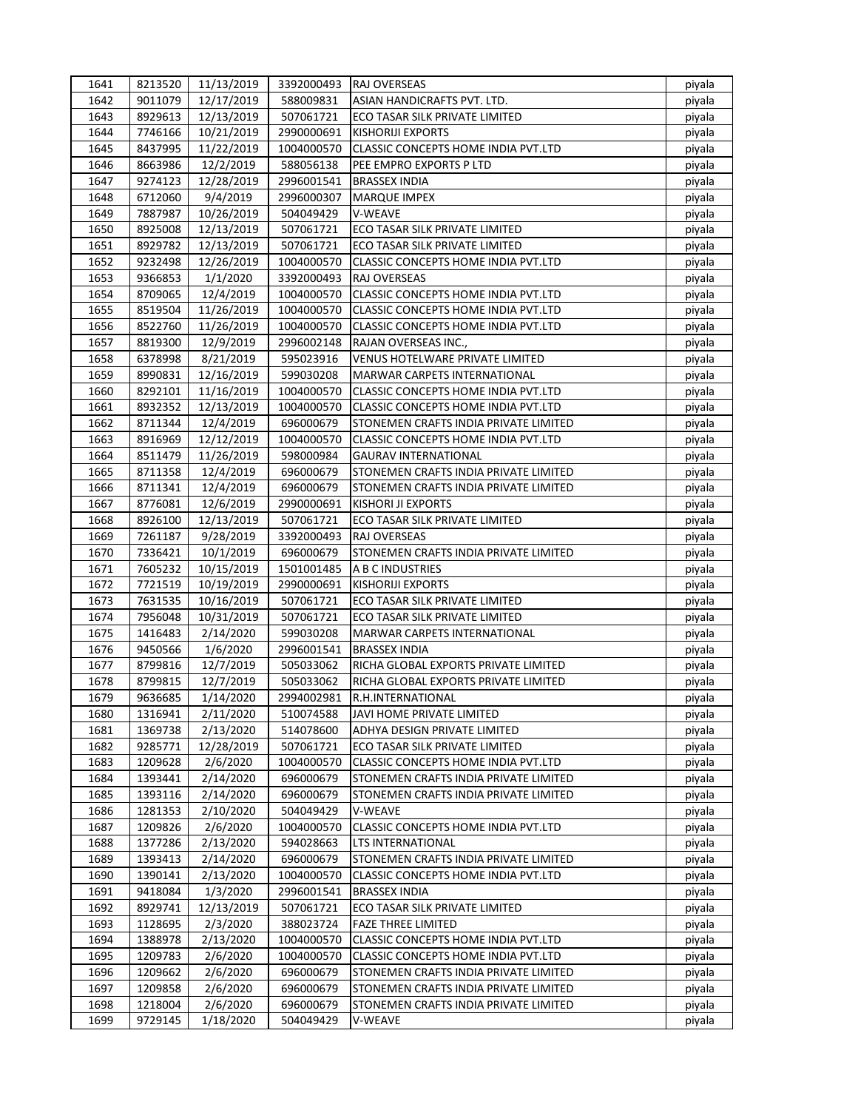| 1641 | 8213520 | 11/13/2019             | 3392000493 | <b>IRAJ OVERSEAS</b>                       | piyala |
|------|---------|------------------------|------------|--------------------------------------------|--------|
| 1642 | 9011079 | 12/17/2019             | 588009831  | ASIAN HANDICRAFTS PVT. LTD.                | piyala |
| 1643 | 8929613 | 12/13/2019             | 507061721  | ECO TASAR SILK PRIVATE LIMITED             | piyala |
| 1644 | 7746166 | 10/21/2019             | 2990000691 | <b>KISHORIJI EXPORTS</b>                   | piyala |
| 1645 | 8437995 | 11/22/2019             | 1004000570 | <b>CLASSIC CONCEPTS HOME INDIA PVT.LTD</b> | piyala |
| 1646 | 8663986 | 12/2/2019              | 588056138  | PEE EMPRO EXPORTS P LTD                    | piyala |
| 1647 | 9274123 | 12/28/2019             | 2996001541 | <b>BRASSEX INDIA</b>                       | piyala |
| 1648 | 6712060 | 9/4/2019               | 2996000307 | <b>MARQUE IMPEX</b>                        | piyala |
| 1649 | 7887987 | 10/26/2019             | 504049429  | V-WEAVE                                    | piyala |
| 1650 | 8925008 | 12/13/2019             | 507061721  | ECO TASAR SILK PRIVATE LIMITED             | piyala |
| 1651 | 8929782 | 12/13/2019             | 507061721  | ECO TASAR SILK PRIVATE LIMITED             | piyala |
| 1652 | 9232498 | 12/26/2019             | 1004000570 | CLASSIC CONCEPTS HOME INDIA PVT.LTD        | piyala |
| 1653 | 9366853 | 1/1/2020               | 3392000493 | RAJ OVERSEAS                               | piyala |
| 1654 | 8709065 | 12/4/2019              | 1004000570 | CLASSIC CONCEPTS HOME INDIA PVT.LTD        | piyala |
| 1655 | 8519504 | 11/26/2019             | 1004000570 | CLASSIC CONCEPTS HOME INDIA PVT.LTD        | piyala |
| 1656 | 8522760 | 11/26/2019             | 1004000570 | CLASSIC CONCEPTS HOME INDIA PVT.LTD        | piyala |
| 1657 | 8819300 | 12/9/2019              | 2996002148 | RAJAN OVERSEAS INC.,                       | piyala |
| 1658 | 6378998 | 8/21/2019              | 595023916  | VENUS HOTELWARE PRIVATE LIMITED            | piyala |
| 1659 | 8990831 | 12/16/2019             | 599030208  | MARWAR CARPETS INTERNATIONAL               | piyala |
| 1660 | 8292101 | 11/16/2019             | 1004000570 | CLASSIC CONCEPTS HOME INDIA PVT.LTD        | piyala |
| 1661 | 8932352 | 12/13/2019             | 1004000570 | CLASSIC CONCEPTS HOME INDIA PVT.LTD        | piyala |
| 1662 | 8711344 | 12/4/2019              | 696000679  | STONEMEN CRAFTS INDIA PRIVATE LIMITED      | piyala |
| 1663 | 8916969 | 12/12/2019             | 1004000570 | CLASSIC CONCEPTS HOME INDIA PVT.LTD        | piyala |
| 1664 | 8511479 | 11/26/2019             | 598000984  | <b>GAURAV INTERNATIONAL</b>                | piyala |
| 1665 | 8711358 |                        | 696000679  | STONEMEN CRAFTS INDIA PRIVATE LIMITED      |        |
| 1666 | 8711341 | 12/4/2019<br>12/4/2019 | 696000679  | STONEMEN CRAFTS INDIA PRIVATE LIMITED      | piyala |
|      |         |                        |            |                                            | piyala |
| 1667 | 8776081 | 12/6/2019              | 2990000691 | <b>KISHORI JI EXPORTS</b>                  | piyala |
| 1668 | 8926100 | 12/13/2019             | 507061721  | ECO TASAR SILK PRIVATE LIMITED             | piyala |
| 1669 | 7261187 | 9/28/2019              | 3392000493 | <b>RAJ OVERSEAS</b>                        | piyala |
| 1670 | 7336421 | 10/1/2019              | 696000679  | STONEMEN CRAFTS INDIA PRIVATE LIMITED      | piyala |
| 1671 | 7605232 | 10/15/2019             | 1501001485 | A B C INDUSTRIES                           | piyala |
| 1672 | 7721519 | 10/19/2019             | 2990000691 | <b>KISHORIJI EXPORTS</b>                   | piyala |
| 1673 | 7631535 | 10/16/2019             | 507061721  | ECO TASAR SILK PRIVATE LIMITED             | piyala |
| 1674 | 7956048 | 10/31/2019             | 507061721  | ECO TASAR SILK PRIVATE LIMITED             | piyala |
| 1675 | 1416483 | 2/14/2020              | 599030208  | MARWAR CARPETS INTERNATIONAL               | piyala |
| 1676 | 9450566 | 1/6/2020               | 2996001541 | <b>BRASSEX INDIA</b>                       | piyala |
| 1677 | 8799816 | 12/7/2019              | 505033062  | RICHA GLOBAL EXPORTS PRIVATE LIMITED       | piyala |
| 1678 | 8799815 | 12/7/2019              | 505033062  | RICHA GLOBAL EXPORTS PRIVATE LIMITED       | piyala |
| 1679 | 9636685 | 1/14/2020              | 2994002981 | R.H.INTERNATIONAL                          | piyala |
| 1680 | 1316941 | 2/11/2020              | 510074588  | JAVI HOME PRIVATE LIMITED                  | piyala |
| 1681 | 1369738 | 2/13/2020              | 514078600  | ADHYA DESIGN PRIVATE LIMITED               | piyala |
| 1682 | 9285771 | 12/28/2019             | 507061721  | ECO TASAR SILK PRIVATE LIMITED             | piyala |
| 1683 | 1209628 | 2/6/2020               | 1004000570 | CLASSIC CONCEPTS HOME INDIA PVT.LTD        | piyala |
| 1684 | 1393441 | 2/14/2020              | 696000679  | STONEMEN CRAFTS INDIA PRIVATE LIMITED      | piyala |
| 1685 | 1393116 | 2/14/2020              | 696000679  | STONEMEN CRAFTS INDIA PRIVATE LIMITED      | piyala |
| 1686 | 1281353 | 2/10/2020              | 504049429  | V-WEAVE                                    | piyala |
| 1687 | 1209826 | 2/6/2020               | 1004000570 | CLASSIC CONCEPTS HOME INDIA PVT.LTD        | piyala |
| 1688 | 1377286 | 2/13/2020              | 594028663  | LTS INTERNATIONAL                          | piyala |
| 1689 | 1393413 | 2/14/2020              | 696000679  | STONEMEN CRAFTS INDIA PRIVATE LIMITED      | piyala |
| 1690 | 1390141 | 2/13/2020              | 1004000570 | CLASSIC CONCEPTS HOME INDIA PVT.LTD        | piyala |
| 1691 | 9418084 | 1/3/2020               | 2996001541 | <b>BRASSEX INDIA</b>                       | piyala |
| 1692 | 8929741 | 12/13/2019             | 507061721  | ECO TASAR SILK PRIVATE LIMITED             | piyala |
| 1693 | 1128695 | 2/3/2020               | 388023724  | <b>FAZE THREE LIMITED</b>                  | piyala |
| 1694 | 1388978 | 2/13/2020              | 1004000570 | CLASSIC CONCEPTS HOME INDIA PVT.LTD        | piyala |
| 1695 | 1209783 | 2/6/2020               | 1004000570 | CLASSIC CONCEPTS HOME INDIA PVT.LTD        | piyala |
| 1696 | 1209662 | 2/6/2020               | 696000679  | STONEMEN CRAFTS INDIA PRIVATE LIMITED      | piyala |
| 1697 | 1209858 | 2/6/2020               | 696000679  | STONEMEN CRAFTS INDIA PRIVATE LIMITED      | piyala |
| 1698 | 1218004 | 2/6/2020               | 696000679  | STONEMEN CRAFTS INDIA PRIVATE LIMITED      | piyala |
|      |         |                        |            |                                            |        |
| 1699 | 9729145 | 1/18/2020              | 504049429  | V-WEAVE                                    | piyala |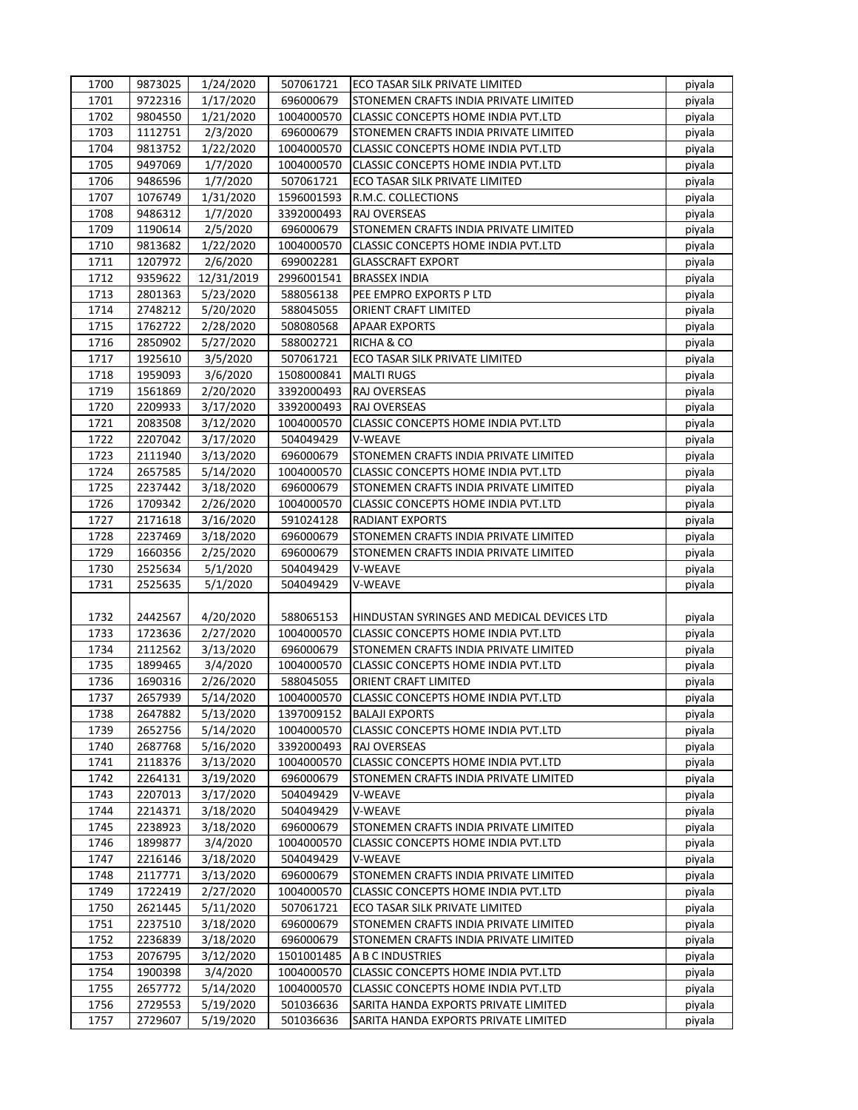| 1700         | 9873025 | 1/24/2020              | 507061721  | <b>ECO TASAR SILK PRIVATE LIMITED</b>      | piyala           |
|--------------|---------|------------------------|------------|--------------------------------------------|------------------|
| 1701         | 9722316 | 1/17/2020              | 696000679  | STONEMEN CRAFTS INDIA PRIVATE LIMITED      | piyala           |
| 1702         | 9804550 | 1/21/2020              | 1004000570 | CLASSIC CONCEPTS HOME INDIA PVT.LTD        | piyala           |
| 1703         | 1112751 | 2/3/2020               | 696000679  | STONEMEN CRAFTS INDIA PRIVATE LIMITED      | piyala           |
| 1704         | 9813752 | 1/22/2020              | 1004000570 | CLASSIC CONCEPTS HOME INDIA PVT.LTD        | piyala           |
| 1705         | 9497069 | 1/7/2020               | 1004000570 | CLASSIC CONCEPTS HOME INDIA PVT.LTD        | piyala           |
| 1706         | 9486596 | 1/7/2020               | 507061721  | ECO TASAR SILK PRIVATE LIMITED             | piyala           |
| 1707         | 1076749 | 1/31/2020              | 1596001593 | R.M.C. COLLECTIONS                         | piyala           |
| 1708         | 9486312 | 1/7/2020               | 3392000493 | RAJ OVERSEAS                               | piyala           |
| 1709         | 1190614 | 2/5/2020               | 696000679  | STONEMEN CRAFTS INDIA PRIVATE LIMITED      | piyala           |
| 1710         | 9813682 | 1/22/2020              | 1004000570 | CLASSIC CONCEPTS HOME INDIA PVT.LTD        | piyala           |
| 1711         | 1207972 | 2/6/2020               | 699002281  | <b>GLASSCRAFT EXPORT</b>                   | piyala           |
| 1712         | 9359622 | 12/31/2019             | 2996001541 | <b>BRASSEX INDIA</b>                       | piyala           |
| 1713         | 2801363 | 5/23/2020              | 588056138  | PEE EMPRO EXPORTS P LTD                    | piyala           |
| 1714         | 2748212 | 5/20/2020              | 588045055  | ORIENT CRAFT LIMITED                       | piyala           |
| 1715         | 1762722 | 2/28/2020              | 508080568  | <b>APAAR EXPORTS</b>                       | piyala           |
| 1716         | 2850902 | 5/27/2020              | 588002721  | RICHA & CO                                 | piyala           |
| 1717         | 1925610 | 3/5/2020               | 507061721  | <b>ECO TASAR SILK PRIVATE LIMITED</b>      | piyala           |
| 1718         | 1959093 | 3/6/2020               | 1508000841 | <b>MALTI RUGS</b>                          | piyala           |
| 1719         | 1561869 | 2/20/2020              | 3392000493 | RAJ OVERSEAS                               | piyala           |
| 1720         | 2209933 | 3/17/2020              | 3392000493 | <b>RAJ OVERSEAS</b>                        | piyala           |
| 1721         | 2083508 | 3/12/2020              | 1004000570 | CLASSIC CONCEPTS HOME INDIA PVT.LTD        | piyala           |
| 1722         | 2207042 | 3/17/2020              | 504049429  | V-WEAVE                                    | piyala           |
| 1723         | 2111940 | 3/13/2020              | 696000679  | STONEMEN CRAFTS INDIA PRIVATE LIMITED      | piyala           |
| 1724         | 2657585 | 5/14/2020              | 1004000570 | CLASSIC CONCEPTS HOME INDIA PVT.LTD        | piyala           |
| 1725         | 2237442 | 3/18/2020              | 696000679  | STONEMEN CRAFTS INDIA PRIVATE LIMITED      | piyala           |
| 1726         | 1709342 | 2/26/2020              | 1004000570 | CLASSIC CONCEPTS HOME INDIA PVT.LTD        | piyala           |
| 1727         | 2171618 |                        | 591024128  | <b>RADIANT EXPORTS</b>                     |                  |
| 1728         | 2237469 | 3/16/2020              | 696000679  | STONEMEN CRAFTS INDIA PRIVATE LIMITED      | piyala           |
| 1729         | 1660356 | 3/18/2020<br>2/25/2020 | 696000679  | STONEMEN CRAFTS INDIA PRIVATE LIMITED      | piyala<br>piyala |
| 1730         | 2525634 | 5/1/2020               | 504049429  | V-WEAVE                                    | piyala           |
| 1731         | 2525635 | 5/1/2020               | 504049429  | V-WEAVE                                    |                  |
|              |         |                        |            |                                            | piyala           |
| 1732         | 2442567 | 4/20/2020              | 588065153  | HINDUSTAN SYRINGES AND MEDICAL DEVICES LTD | piyala           |
| 1733         | 1723636 | 2/27/2020              | 1004000570 | CLASSIC CONCEPTS HOME INDIA PVT.LTD        |                  |
|              |         |                        |            |                                            | piyala           |
| 1734<br>1735 | 2112562 | 3/13/2020              | 696000679  | STONEMEN CRAFTS INDIA PRIVATE LIMITED      | piyala           |
|              | 1899465 | 3/4/2020               | 1004000570 | CLASSIC CONCEPTS HOME INDIA PVT.LTD        | piyala           |
| 1736         | 1690316 | 2/26/2020              | 588045055  | ORIENT CRAFT LIMITED                       | piyala           |
| 1737         | 2657939 | 5/14/2020              | 1004000570 | CLASSIC CONCEPTS HOME INDIA PVT.LTD        | piyala           |
| 1738         | 2647882 | 5/13/2020              | 1397009152 | <b>BALAJI EXPORTS</b>                      | piyala           |
| 1739         | 2652756 | 5/14/2020              | 1004000570 | CLASSIC CONCEPTS HOME INDIA PVT.LTD        | piyala           |
| 1740         | 2687768 | 5/16/2020              | 3392000493 | RAJ OVERSEAS                               | piyala           |
| 1741         | 2118376 | 3/13/2020              | 1004000570 | CLASSIC CONCEPTS HOME INDIA PVT.LTD        | piyala           |
| 1742         | 2264131 | 3/19/2020              | 696000679  | STONEMEN CRAFTS INDIA PRIVATE LIMITED      | piyala           |
| 1743         | 2207013 | 3/17/2020              | 504049429  | V-WEAVE                                    | piyala           |
| 1744         | 2214371 | 3/18/2020              | 504049429  | V-WEAVE                                    | piyala           |
| 1745         | 2238923 | 3/18/2020              | 696000679  | STONEMEN CRAFTS INDIA PRIVATE LIMITED      | piyala           |
| 1746         | 1899877 | 3/4/2020               | 1004000570 | CLASSIC CONCEPTS HOME INDIA PVT.LTD        | piyala           |
| 1747         | 2216146 | 3/18/2020              | 504049429  | V-WEAVE                                    | piyala           |
| 1748         | 2117771 | 3/13/2020              | 696000679  | STONEMEN CRAFTS INDIA PRIVATE LIMITED      | piyala           |
| 1749         | 1722419 | 2/27/2020              | 1004000570 | CLASSIC CONCEPTS HOME INDIA PVT.LTD        | piyala           |
| 1750         | 2621445 | 5/11/2020              | 507061721  | ECO TASAR SILK PRIVATE LIMITED             | piyala           |
| 1751         | 2237510 | 3/18/2020              | 696000679  | STONEMEN CRAFTS INDIA PRIVATE LIMITED      | piyala           |
| 1752         | 2236839 | 3/18/2020              | 696000679  | STONEMEN CRAFTS INDIA PRIVATE LIMITED      | piyala           |
| 1753         | 2076795 | 3/12/2020              | 1501001485 | A B C INDUSTRIES                           | piyala           |
| 1754         | 1900398 | 3/4/2020               | 1004000570 | CLASSIC CONCEPTS HOME INDIA PVT.LTD        | piyala           |
| 1755         | 2657772 | 5/14/2020              | 1004000570 | CLASSIC CONCEPTS HOME INDIA PVT.LTD        | piyala           |
| 1756         | 2729553 | 5/19/2020              | 501036636  | SARITA HANDA EXPORTS PRIVATE LIMITED       | piyala           |
| 1757         | 2729607 | 5/19/2020              | 501036636  | SARITA HANDA EXPORTS PRIVATE LIMITED       | piyala           |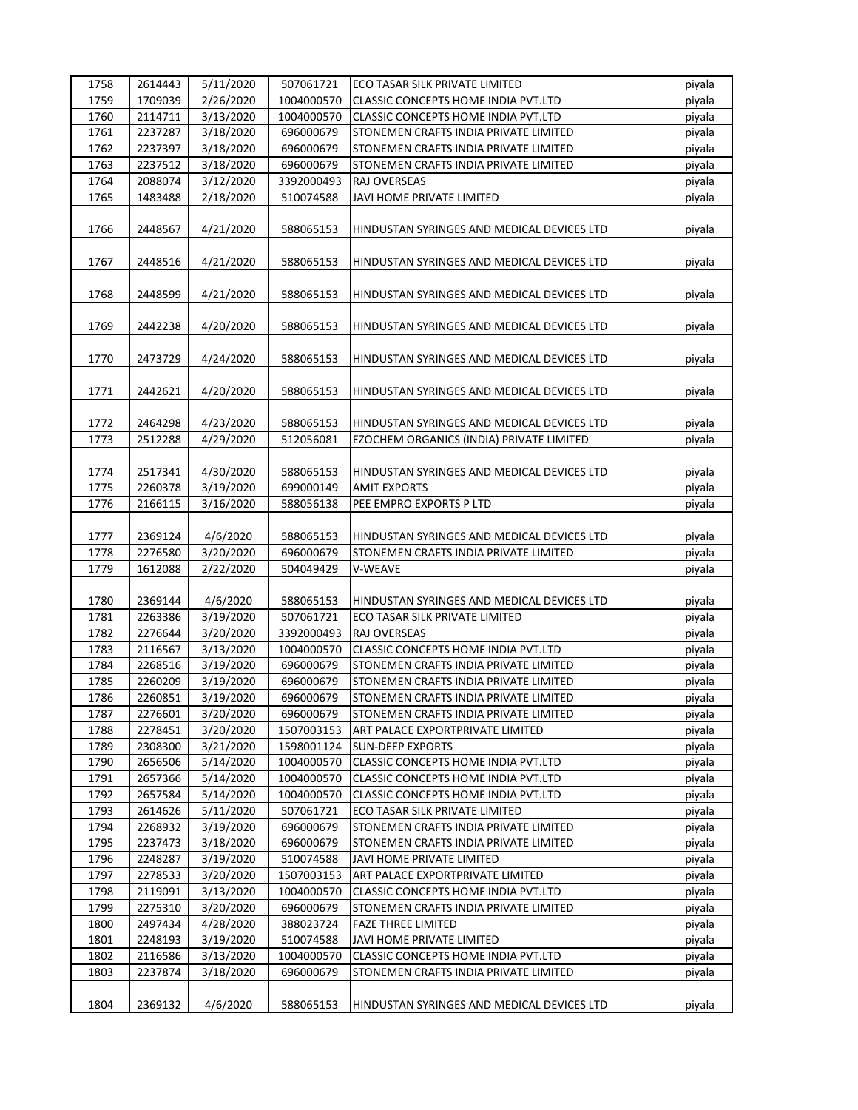| 1758 | 2614443 | 5/11/2020 | 507061721  | ECO TASAR SILK PRIVATE LIMITED             | piyala |
|------|---------|-----------|------------|--------------------------------------------|--------|
| 1759 | 1709039 | 2/26/2020 | 1004000570 | <b>CLASSIC CONCEPTS HOME INDIA PVT.LTD</b> | piyala |
| 1760 | 2114711 | 3/13/2020 | 1004000570 | CLASSIC CONCEPTS HOME INDIA PVT.LTD        | piyala |
| 1761 | 2237287 | 3/18/2020 | 696000679  | STONEMEN CRAFTS INDIA PRIVATE LIMITED      | piyala |
| 1762 | 2237397 | 3/18/2020 | 696000679  | STONEMEN CRAFTS INDIA PRIVATE LIMITED      | piyala |
| 1763 | 2237512 | 3/18/2020 | 696000679  | STONEMEN CRAFTS INDIA PRIVATE LIMITED      | piyala |
| 1764 | 2088074 | 3/12/2020 | 3392000493 | <b>RAJ OVERSEAS</b>                        | piyala |
| 1765 | 1483488 | 2/18/2020 | 510074588  | JAVI HOME PRIVATE LIMITED                  | piyala |
|      |         |           |            |                                            |        |
| 1766 | 2448567 | 4/21/2020 | 588065153  | HINDUSTAN SYRINGES AND MEDICAL DEVICES LTD | piyala |
|      |         |           |            |                                            |        |
| 1767 | 2448516 | 4/21/2020 | 588065153  | HINDUSTAN SYRINGES AND MEDICAL DEVICES LTD | piyala |
|      |         |           |            |                                            |        |
| 1768 | 2448599 | 4/21/2020 | 588065153  | HINDUSTAN SYRINGES AND MEDICAL DEVICES LTD | piyala |
|      |         |           |            |                                            |        |
| 1769 | 2442238 | 4/20/2020 | 588065153  | HINDUSTAN SYRINGES AND MEDICAL DEVICES LTD | piyala |
|      |         |           |            |                                            |        |
| 1770 | 2473729 | 4/24/2020 | 588065153  | HINDUSTAN SYRINGES AND MEDICAL DEVICES LTD | piyala |
|      |         |           |            |                                            |        |
| 1771 | 2442621 | 4/20/2020 | 588065153  | HINDUSTAN SYRINGES AND MEDICAL DEVICES LTD | piyala |
|      |         |           |            |                                            |        |
| 1772 | 2464298 | 4/23/2020 | 588065153  | HINDUSTAN SYRINGES AND MEDICAL DEVICES LTD | piyala |
| 1773 | 2512288 | 4/29/2020 | 512056081  | EZOCHEM ORGANICS (INDIA) PRIVATE LIMITED   | piyala |
|      |         |           |            |                                            |        |
| 1774 | 2517341 | 4/30/2020 | 588065153  | HINDUSTAN SYRINGES AND MEDICAL DEVICES LTD | piyala |
| 1775 | 2260378 | 3/19/2020 | 699000149  | <b>AMIT EXPORTS</b>                        | piyala |
| 1776 | 2166115 | 3/16/2020 | 588056138  | PEE EMPRO EXPORTS P LTD                    | piyala |
|      |         |           |            |                                            |        |
| 1777 | 2369124 | 4/6/2020  | 588065153  | HINDUSTAN SYRINGES AND MEDICAL DEVICES LTD | piyala |
| 1778 | 2276580 | 3/20/2020 | 696000679  | STONEMEN CRAFTS INDIA PRIVATE LIMITED      | piyala |
| 1779 | 1612088 | 2/22/2020 | 504049429  | V-WEAVE                                    | piyala |
|      |         |           |            |                                            |        |
| 1780 | 2369144 | 4/6/2020  | 588065153  | HINDUSTAN SYRINGES AND MEDICAL DEVICES LTD | piyala |
| 1781 | 2263386 | 3/19/2020 | 507061721  | ECO TASAR SILK PRIVATE LIMITED             | piyala |
| 1782 | 2276644 | 3/20/2020 | 3392000493 | RAJ OVERSEAS                               | piyala |
| 1783 | 2116567 | 3/13/2020 | 1004000570 | CLASSIC CONCEPTS HOME INDIA PVT.LTD        | piyala |
| 1784 | 2268516 | 3/19/2020 | 696000679  | STONEMEN CRAFTS INDIA PRIVATE LIMITED      | piyala |
| 1785 | 2260209 | 3/19/2020 | 696000679  | STONEMEN CRAFTS INDIA PRIVATE LIMITED      | piyala |
| 1786 | 2260851 | 3/19/2020 | 696000679  | STONEMEN CRAFTS INDIA PRIVATE LIMITED      | piyala |
| 1787 | 2276601 | 3/20/2020 | 696000679  | STONEMEN CRAFTS INDIA PRIVATE LIMITED      | piyala |
| 1788 | 2278451 | 3/20/2020 | 1507003153 | ART PALACE EXPORTPRIVATE LIMITED           | piyala |
| 1789 | 2308300 | 3/21/2020 | 1598001124 | <b>SUN-DEEP EXPORTS</b>                    | piyala |
| 1790 | 2656506 | 5/14/2020 | 1004000570 | <b>CLASSIC CONCEPTS HOME INDIA PVT.LTD</b> | piyala |
| 1791 | 2657366 | 5/14/2020 | 1004000570 | CLASSIC CONCEPTS HOME INDIA PVT.LTD        | piyala |
| 1792 | 2657584 | 5/14/2020 | 1004000570 | CLASSIC CONCEPTS HOME INDIA PVT.LTD        | piyala |
| 1793 | 2614626 | 5/11/2020 | 507061721  | ECO TASAR SILK PRIVATE LIMITED             | piyala |
| 1794 | 2268932 | 3/19/2020 | 696000679  | STONEMEN CRAFTS INDIA PRIVATE LIMITED      | piyala |
| 1795 | 2237473 | 3/18/2020 | 696000679  | STONEMEN CRAFTS INDIA PRIVATE LIMITED      | piyala |
| 1796 | 2248287 | 3/19/2020 | 510074588  | JAVI HOME PRIVATE LIMITED                  | piyala |
| 1797 | 2278533 | 3/20/2020 | 1507003153 | ART PALACE EXPORTPRIVATE LIMITED           | piyala |
| 1798 | 2119091 | 3/13/2020 | 1004000570 | CLASSIC CONCEPTS HOME INDIA PVT.LTD        | piyala |
| 1799 | 2275310 | 3/20/2020 | 696000679  | STONEMEN CRAFTS INDIA PRIVATE LIMITED      | piyala |
| 1800 | 2497434 | 4/28/2020 | 388023724  | <b>FAZE THREE LIMITED</b>                  | piyala |
| 1801 | 2248193 | 3/19/2020 | 510074588  | JAVI HOME PRIVATE LIMITED                  | piyala |
| 1802 | 2116586 | 3/13/2020 | 1004000570 | CLASSIC CONCEPTS HOME INDIA PVT.LTD        | piyala |
| 1803 | 2237874 | 3/18/2020 | 696000679  | STONEMEN CRAFTS INDIA PRIVATE LIMITED      | piyala |
|      |         |           |            |                                            |        |
| 1804 | 2369132 | 4/6/2020  | 588065153  | HINDUSTAN SYRINGES AND MEDICAL DEVICES LTD | piyala |
|      |         |           |            |                                            |        |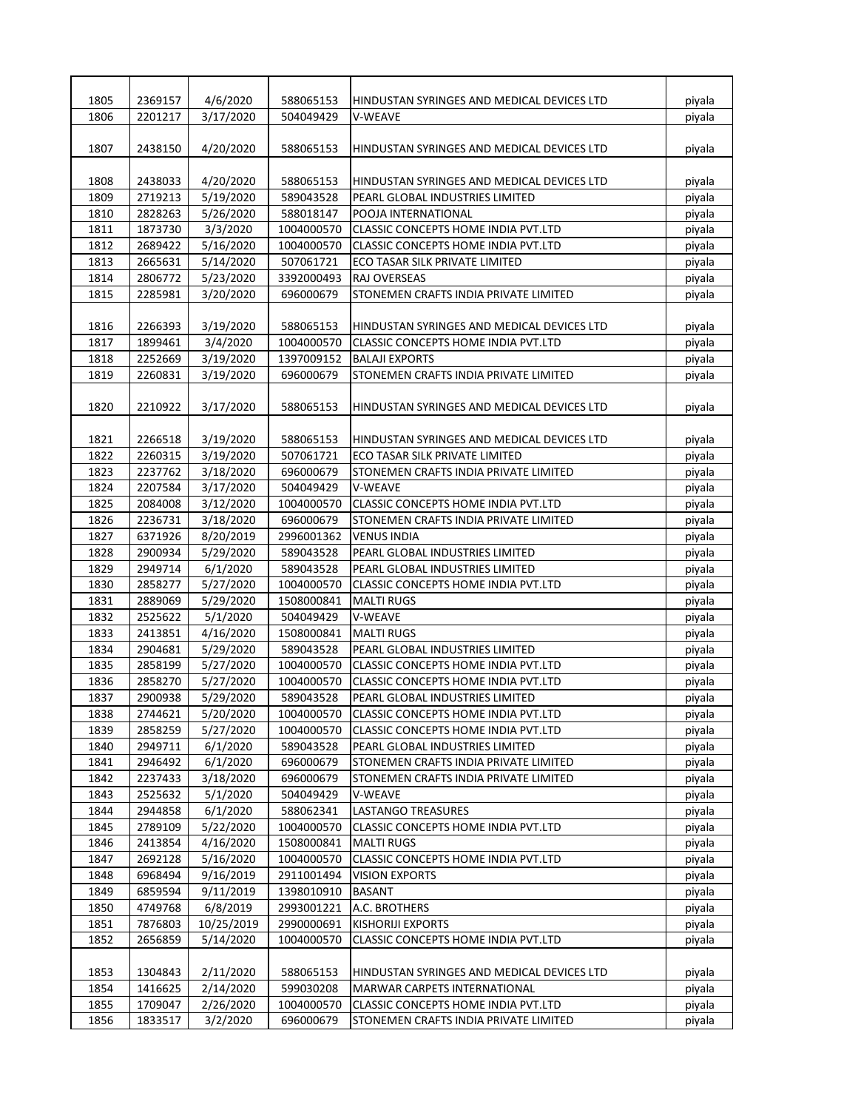| 1805 | 2369157 | 4/6/2020   | 588065153  | HINDUSTAN SYRINGES AND MEDICAL DEVICES LTD | piyala |
|------|---------|------------|------------|--------------------------------------------|--------|
| 1806 | 2201217 | 3/17/2020  | 504049429  | <b>V-WEAVE</b>                             | piyala |
|      |         |            |            |                                            |        |
| 1807 | 2438150 | 4/20/2020  | 588065153  | HINDUSTAN SYRINGES AND MEDICAL DEVICES LTD | piyala |
|      |         |            |            |                                            |        |
| 1808 | 2438033 | 4/20/2020  | 588065153  | HINDUSTAN SYRINGES AND MEDICAL DEVICES LTD | piyala |
| 1809 | 2719213 | 5/19/2020  | 589043528  | PEARL GLOBAL INDUSTRIES LIMITED            | piyala |
| 1810 | 2828263 | 5/26/2020  | 588018147  | POOJA INTERNATIONAL                        | piyala |
| 1811 | 1873730 | 3/3/2020   | 1004000570 | <b>CLASSIC CONCEPTS HOME INDIA PVT.LTD</b> | piyala |
| 1812 | 2689422 | 5/16/2020  | 1004000570 | CLASSIC CONCEPTS HOME INDIA PVT.LTD        | piyala |
| 1813 | 2665631 | 5/14/2020  | 507061721  | ECO TASAR SILK PRIVATE LIMITED             | piyala |
| 1814 | 2806772 | 5/23/2020  | 3392000493 | <b>RAJ OVERSEAS</b>                        |        |
|      |         |            |            |                                            | piyala |
| 1815 | 2285981 | 3/20/2020  | 696000679  | STONEMEN CRAFTS INDIA PRIVATE LIMITED      | piyala |
|      |         |            |            |                                            |        |
| 1816 | 2266393 | 3/19/2020  | 588065153  | HINDUSTAN SYRINGES AND MEDICAL DEVICES LTD | piyala |
| 1817 | 1899461 | 3/4/2020   | 1004000570 | CLASSIC CONCEPTS HOME INDIA PVT.LTD        | piyala |
| 1818 | 2252669 | 3/19/2020  | 1397009152 | <b>BALAJI EXPORTS</b>                      | piyala |
| 1819 | 2260831 | 3/19/2020  | 696000679  | STONEMEN CRAFTS INDIA PRIVATE LIMITED      | piyala |
|      |         |            |            |                                            |        |
| 1820 | 2210922 | 3/17/2020  | 588065153  | HINDUSTAN SYRINGES AND MEDICAL DEVICES LTD | piyala |
|      |         |            |            |                                            |        |
| 1821 | 2266518 | 3/19/2020  | 588065153  | HINDUSTAN SYRINGES AND MEDICAL DEVICES LTD | piyala |
| 1822 | 2260315 | 3/19/2020  | 507061721  | ECO TASAR SILK PRIVATE LIMITED             | piyala |
| 1823 | 2237762 | 3/18/2020  | 696000679  | STONEMEN CRAFTS INDIA PRIVATE LIMITED      | piyala |
| 1824 | 2207584 | 3/17/2020  | 504049429  | V-WEAVE                                    | piyala |
| 1825 | 2084008 | 3/12/2020  | 1004000570 | CLASSIC CONCEPTS HOME INDIA PVT.LTD        | piyala |
| 1826 | 2236731 | 3/18/2020  | 696000679  | STONEMEN CRAFTS INDIA PRIVATE LIMITED      | piyala |
| 1827 | 6371926 | 8/20/2019  | 2996001362 | <b>VENUS INDIA</b>                         | piyala |
| 1828 | 2900934 | 5/29/2020  | 589043528  | PEARL GLOBAL INDUSTRIES LIMITED            | piyala |
| 1829 | 2949714 | 6/1/2020   | 589043528  | PEARL GLOBAL INDUSTRIES LIMITED            | piyala |
| 1830 | 2858277 | 5/27/2020  | 1004000570 | CLASSIC CONCEPTS HOME INDIA PVT.LTD        | piyala |
| 1831 | 2889069 | 5/29/2020  | 1508000841 | <b>MALTI RUGS</b>                          | piyala |
| 1832 | 2525622 | 5/1/2020   | 504049429  | V-WEAVE                                    | piyala |
| 1833 | 2413851 | 4/16/2020  | 1508000841 | <b>MALTI RUGS</b>                          | piyala |
| 1834 | 2904681 |            | 589043528  | PEARL GLOBAL INDUSTRIES LIMITED            |        |
| 1835 | 2858199 | 5/29/2020  | 1004000570 | <b>CLASSIC CONCEPTS HOME INDIA PVT.LTD</b> | piyala |
|      |         | 5/27/2020  |            |                                            | piyala |
| 1836 | 2858270 | 5/27/2020  | 1004000570 | CLASSIC CONCEPTS HOME INDIA PVT.LTD        | piyala |
| 1837 | 2900938 | 5/29/2020  | 589043528  | PEARL GLOBAL INDUSTRIES LIMITED            | piyala |
| 1838 | 2744621 | 5/20/2020  | 1004000570 | <b>CLASSIC CONCEPTS HOME INDIA PVT.LTD</b> | piyala |
| 1839 | 2858259 | 5/27/2020  | 1004000570 | CLASSIC CONCEPTS HOME INDIA PVT.LTD        | piyala |
| 1840 | 2949711 | 6/1/2020   | 589043528  | PEARL GLOBAL INDUSTRIES LIMITED            | piyala |
| 1841 | 2946492 | 6/1/2020   | 696000679  | STONEMEN CRAFTS INDIA PRIVATE LIMITED      | piyala |
| 1842 | 2237433 | 3/18/2020  | 696000679  | STONEMEN CRAFTS INDIA PRIVATE LIMITED      | piyala |
| 1843 | 2525632 | 5/1/2020   | 504049429  | V-WEAVE                                    | piyala |
| 1844 | 2944858 | 6/1/2020   | 588062341  | <b>LASTANGO TREASURES</b>                  | piyala |
| 1845 | 2789109 | 5/22/2020  | 1004000570 | <b>CLASSIC CONCEPTS HOME INDIA PVT.LTD</b> | piyala |
| 1846 | 2413854 | 4/16/2020  | 1508000841 | <b>MALTI RUGS</b>                          | piyala |
| 1847 | 2692128 | 5/16/2020  | 1004000570 | CLASSIC CONCEPTS HOME INDIA PVT.LTD        | piyala |
| 1848 | 6968494 | 9/16/2019  | 2911001494 | <b>VISION EXPORTS</b>                      | piyala |
| 1849 | 6859594 | 9/11/2019  | 1398010910 | BASANT                                     | piyala |
| 1850 | 4749768 | 6/8/2019   | 2993001221 | A.C. BROTHERS                              | piyala |
| 1851 | 7876803 | 10/25/2019 | 2990000691 | <b>KISHORIJI EXPORTS</b>                   | piyala |
| 1852 | 2656859 | 5/14/2020  | 1004000570 | CLASSIC CONCEPTS HOME INDIA PVT.LTD        | piyala |
|      |         |            |            |                                            |        |
| 1853 | 1304843 | 2/11/2020  | 588065153  | HINDUSTAN SYRINGES AND MEDICAL DEVICES LTD | piyala |
| 1854 | 1416625 | 2/14/2020  | 599030208  | MARWAR CARPETS INTERNATIONAL               | piyala |
| 1855 | 1709047 | 2/26/2020  | 1004000570 | CLASSIC CONCEPTS HOME INDIA PVT.LTD        | piyala |
| 1856 | 1833517 | 3/2/2020   | 696000679  | STONEMEN CRAFTS INDIA PRIVATE LIMITED      | piyala |
|      |         |            |            |                                            |        |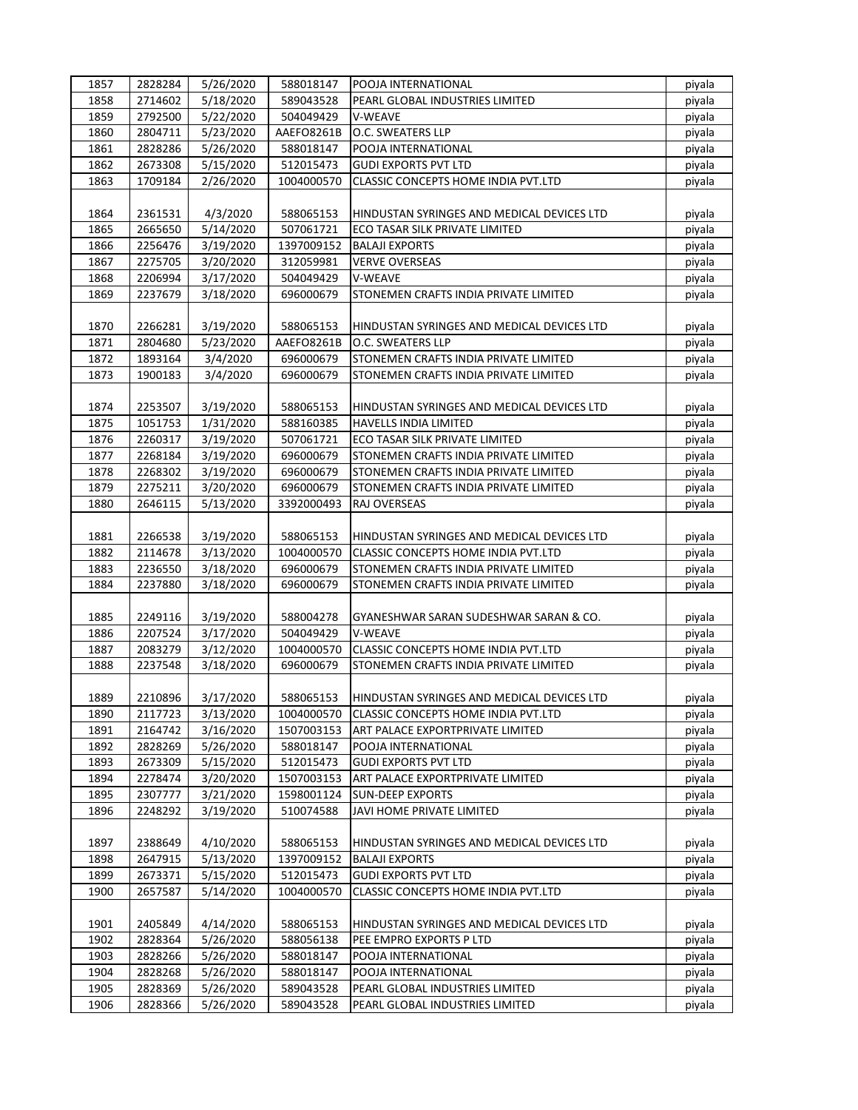| 1857 | 2828284 | 5/26/2020 | 588018147  | POOJA INTERNATIONAL                        | piyala |
|------|---------|-----------|------------|--------------------------------------------|--------|
| 1858 | 2714602 | 5/18/2020 | 589043528  | PEARL GLOBAL INDUSTRIES LIMITED            | piyala |
| 1859 | 2792500 | 5/22/2020 | 504049429  | V-WEAVE                                    | piyala |
| 1860 | 2804711 | 5/23/2020 | AAEFO8261B | O.C. SWEATERS LLP                          | piyala |
| 1861 | 2828286 | 5/26/2020 | 588018147  | POOJA INTERNATIONAL                        | piyala |
| 1862 | 2673308 | 5/15/2020 | 512015473  | <b>GUDI EXPORTS PVT LTD</b>                | piyala |
| 1863 | 1709184 | 2/26/2020 | 1004000570 | CLASSIC CONCEPTS HOME INDIA PVT.LTD        | piyala |
|      |         |           |            |                                            |        |
| 1864 | 2361531 | 4/3/2020  | 588065153  | HINDUSTAN SYRINGES AND MEDICAL DEVICES LTD | piyala |
| 1865 | 2665650 | 5/14/2020 | 507061721  | ECO TASAR SILK PRIVATE LIMITED             | piyala |
| 1866 | 2256476 | 3/19/2020 | 1397009152 | <b>BALAJI EXPORTS</b>                      | piyala |
| 1867 | 2275705 | 3/20/2020 | 312059981  | <b>VERVE OVERSEAS</b>                      | piyala |
| 1868 | 2206994 | 3/17/2020 | 504049429  | V-WEAVE                                    | piyala |
| 1869 | 2237679 | 3/18/2020 | 696000679  | STONEMEN CRAFTS INDIA PRIVATE LIMITED      | piyala |
|      |         |           |            |                                            |        |
| 1870 | 2266281 | 3/19/2020 | 588065153  | HINDUSTAN SYRINGES AND MEDICAL DEVICES LTD | piyala |
|      |         |           |            |                                            |        |
| 1871 | 2804680 | 5/23/2020 | AAEFO8261B | O.C. SWEATERS LLP                          | piyala |
| 1872 | 1893164 | 3/4/2020  | 696000679  | STONEMEN CRAFTS INDIA PRIVATE LIMITED      | piyala |
| 1873 | 1900183 | 3/4/2020  | 696000679  | STONEMEN CRAFTS INDIA PRIVATE LIMITED      | piyala |
|      |         |           |            |                                            |        |
| 1874 | 2253507 | 3/19/2020 | 588065153  | HINDUSTAN SYRINGES AND MEDICAL DEVICES LTD | piyala |
| 1875 | 1051753 | 1/31/2020 | 588160385  | <b>HAVELLS INDIA LIMITED</b>               | piyala |
| 1876 | 2260317 | 3/19/2020 | 507061721  | ECO TASAR SILK PRIVATE LIMITED             | piyala |
| 1877 | 2268184 | 3/19/2020 | 696000679  | STONEMEN CRAFTS INDIA PRIVATE LIMITED      | piyala |
| 1878 | 2268302 | 3/19/2020 | 696000679  | STONEMEN CRAFTS INDIA PRIVATE LIMITED      | piyala |
| 1879 | 2275211 | 3/20/2020 | 696000679  | STONEMEN CRAFTS INDIA PRIVATE LIMITED      | piyala |
| 1880 | 2646115 | 5/13/2020 | 3392000493 | <b>RAJ OVERSEAS</b>                        | piyala |
|      |         |           |            |                                            |        |
| 1881 | 2266538 | 3/19/2020 | 588065153  | HINDUSTAN SYRINGES AND MEDICAL DEVICES LTD | piyala |
| 1882 | 2114678 | 3/13/2020 | 1004000570 | CLASSIC CONCEPTS HOME INDIA PVT.LTD        | piyala |
| 1883 | 2236550 | 3/18/2020 | 696000679  | STONEMEN CRAFTS INDIA PRIVATE LIMITED      | piyala |
| 1884 | 2237880 | 3/18/2020 | 696000679  | STONEMEN CRAFTS INDIA PRIVATE LIMITED      | piyala |
|      |         |           |            |                                            |        |
| 1885 | 2249116 | 3/19/2020 | 588004278  | GYANESHWAR SARAN SUDESHWAR SARAN & CO.     | piyala |
| 1886 | 2207524 | 3/17/2020 | 504049429  | V-WEAVE                                    | piyala |
| 1887 | 2083279 | 3/12/2020 | 1004000570 | CLASSIC CONCEPTS HOME INDIA PVT.LTD        | piyala |
| 1888 | 2237548 | 3/18/2020 | 696000679  | STONEMEN CRAFTS INDIA PRIVATE LIMITED      | piyala |
|      |         |           |            |                                            |        |
| 1889 | 2210896 | 3/17/2020 | 588065153  | HINDUSTAN SYRINGES AND MEDICAL DEVICES LTD | piyala |
| 1890 | 2117723 | 3/13/2020 | 1004000570 | <b>CLASSIC CONCEPTS HOME INDIA PVT.LTD</b> | piyala |
| 1891 | 2164742 | 3/16/2020 | 1507003153 | ART PALACE EXPORTPRIVATE LIMITED           | piyala |
| 1892 | 2828269 | 5/26/2020 | 588018147  | POOJA INTERNATIONAL                        | piyala |
| 1893 | 2673309 | 5/15/2020 | 512015473  | <b>GUDI EXPORTS PVT LTD</b>                | piyala |
| 1894 | 2278474 | 3/20/2020 | 1507003153 | ART PALACE EXPORTPRIVATE LIMITED           |        |
| 1895 |         |           | 1598001124 |                                            | piyala |
|      | 2307777 | 3/21/2020 |            | <b>SUN-DEEP EXPORTS</b>                    | piyala |
| 1896 | 2248292 | 3/19/2020 | 510074588  | JAVI HOME PRIVATE LIMITED                  | piyala |
|      |         |           |            |                                            |        |
| 1897 | 2388649 | 4/10/2020 | 588065153  | HINDUSTAN SYRINGES AND MEDICAL DEVICES LTD | piyala |
| 1898 | 2647915 | 5/13/2020 | 1397009152 | <b>BALAJI EXPORTS</b>                      | piyala |
| 1899 | 2673371 | 5/15/2020 | 512015473  | <b>GUDI EXPORTS PVT LTD</b>                | piyala |
| 1900 | 2657587 | 5/14/2020 | 1004000570 | CLASSIC CONCEPTS HOME INDIA PVT.LTD        | piyala |
|      |         |           |            |                                            |        |
| 1901 | 2405849 | 4/14/2020 | 588065153  | HINDUSTAN SYRINGES AND MEDICAL DEVICES LTD | piyala |
| 1902 | 2828364 | 5/26/2020 | 588056138  | PEE EMPRO EXPORTS P LTD                    | piyala |
| 1903 | 2828266 | 5/26/2020 | 588018147  | POOJA INTERNATIONAL                        | piyala |
| 1904 | 2828268 | 5/26/2020 | 588018147  | POOJA INTERNATIONAL                        | piyala |
| 1905 | 2828369 | 5/26/2020 | 589043528  | PEARL GLOBAL INDUSTRIES LIMITED            | piyala |
| 1906 | 2828366 | 5/26/2020 | 589043528  | PEARL GLOBAL INDUSTRIES LIMITED            | piyala |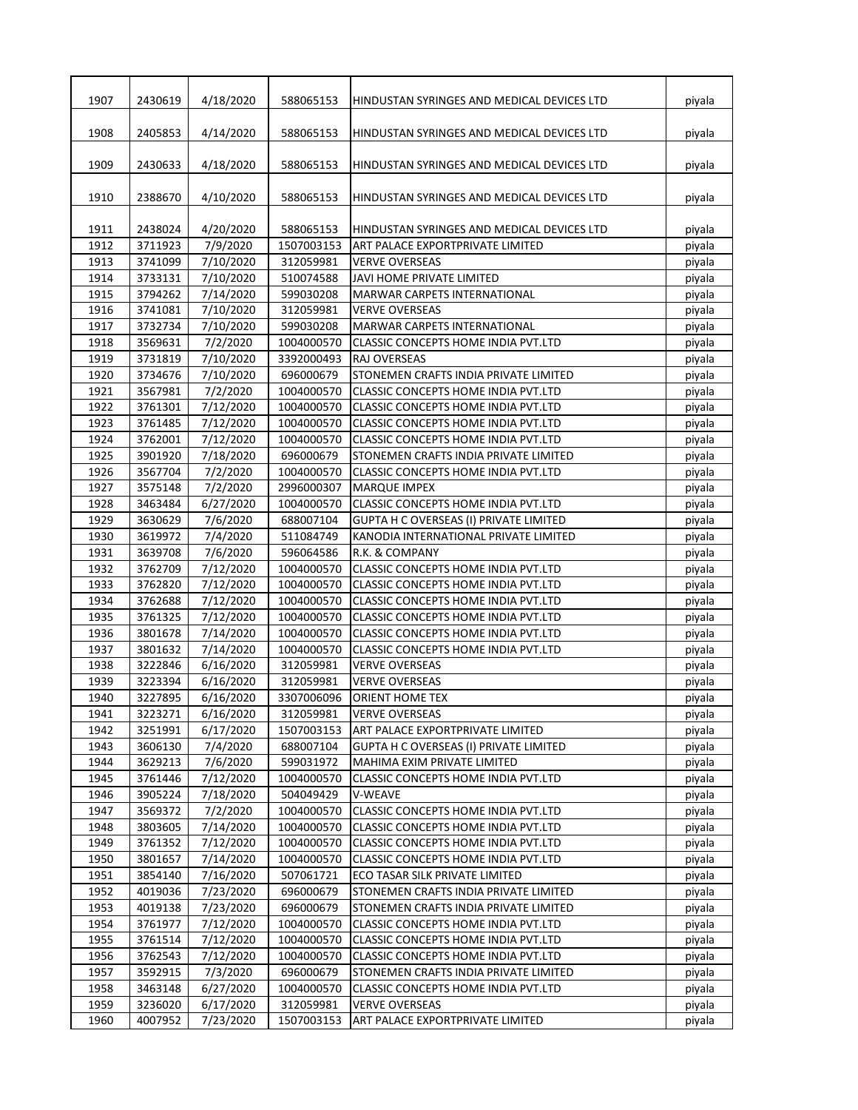| 1907 | 2430619 | 4/18/2020 | 588065153  | HINDUSTAN SYRINGES AND MEDICAL DEVICES LTD    | piyala |
|------|---------|-----------|------------|-----------------------------------------------|--------|
| 1908 | 2405853 | 4/14/2020 | 588065153  | HINDUSTAN SYRINGES AND MEDICAL DEVICES LTD    | piyala |
| 1909 | 2430633 | 4/18/2020 | 588065153  | HINDUSTAN SYRINGES AND MEDICAL DEVICES LTD    | piyala |
| 1910 | 2388670 | 4/10/2020 | 588065153  | HINDUSTAN SYRINGES AND MEDICAL DEVICES LTD    | piyala |
| 1911 | 2438024 | 4/20/2020 | 588065153  | HINDUSTAN SYRINGES AND MEDICAL DEVICES LTD    | piyala |
| 1912 | 3711923 | 7/9/2020  | 1507003153 | ART PALACE EXPORTPRIVATE LIMITED              | piyala |
| 1913 | 3741099 | 7/10/2020 | 312059981  | <b>VERVE OVERSEAS</b>                         | piyala |
| 1914 | 3733131 | 7/10/2020 | 510074588  | JAVI HOME PRIVATE LIMITED                     | piyala |
| 1915 | 3794262 | 7/14/2020 | 599030208  | MARWAR CARPETS INTERNATIONAL                  | piyala |
| 1916 | 3741081 | 7/10/2020 | 312059981  | <b>VERVE OVERSEAS</b>                         | piyala |
| 1917 | 3732734 | 7/10/2020 | 599030208  | MARWAR CARPETS INTERNATIONAL                  | piyala |
| 1918 | 3569631 | 7/2/2020  | 1004000570 | CLASSIC CONCEPTS HOME INDIA PVT.LTD           | piyala |
| 1919 | 3731819 | 7/10/2020 | 3392000493 | RAJ OVERSEAS                                  | piyala |
| 1920 | 3734676 | 7/10/2020 | 696000679  | STONEMEN CRAFTS INDIA PRIVATE LIMITED         | piyala |
| 1921 | 3567981 | 7/2/2020  | 1004000570 | CLASSIC CONCEPTS HOME INDIA PVT.LTD           | piyala |
| 1922 | 3761301 | 7/12/2020 | 1004000570 | <b>CLASSIC CONCEPTS HOME INDIA PVT.LTD</b>    | piyala |
| 1923 | 3761485 | 7/12/2020 | 1004000570 | CLASSIC CONCEPTS HOME INDIA PVT.LTD           | piyala |
| 1924 | 3762001 | 7/12/2020 | 1004000570 | CLASSIC CONCEPTS HOME INDIA PVT.LTD           | piyala |
| 1925 | 3901920 | 7/18/2020 | 696000679  | STONEMEN CRAFTS INDIA PRIVATE LIMITED         | piyala |
| 1926 | 3567704 | 7/2/2020  | 1004000570 | <b>CLASSIC CONCEPTS HOME INDIA PVT.LTD</b>    | piyala |
| 1927 | 3575148 | 7/2/2020  | 2996000307 | <b>MARQUE IMPEX</b>                           | piyala |
| 1928 | 3463484 | 6/27/2020 | 1004000570 | CLASSIC CONCEPTS HOME INDIA PVT.LTD           | piyala |
| 1929 | 3630629 | 7/6/2020  | 688007104  | <b>GUPTA H C OVERSEAS (I) PRIVATE LIMITED</b> | piyala |
| 1930 | 3619972 | 7/4/2020  | 511084749  | KANODIA INTERNATIONAL PRIVATE LIMITED         | piyala |
| 1931 | 3639708 | 7/6/2020  | 596064586  | R.K. & COMPANY                                | piyala |
| 1932 | 3762709 | 7/12/2020 | 1004000570 | CLASSIC CONCEPTS HOME INDIA PVT.LTD           | piyala |
| 1933 | 3762820 | 7/12/2020 | 1004000570 | CLASSIC CONCEPTS HOME INDIA PVT.LTD           | piyala |
| 1934 | 3762688 | 7/12/2020 | 1004000570 | <b>CLASSIC CONCEPTS HOME INDIA PVT.LTD</b>    | piyala |
| 1935 | 3761325 | 7/12/2020 | 1004000570 | CLASSIC CONCEPTS HOME INDIA PVT.LTD           | piyala |
| 1936 | 3801678 | 7/14/2020 | 1004000570 | CLASSIC CONCEPTS HOME INDIA PVT.LTD           | piyala |
| 1937 | 3801632 | 7/14/2020 | 1004000570 | CLASSIC CONCEPTS HOME INDIA PVT.LTD           | piyala |
| 1938 | 3222846 | 6/16/2020 | 312059981  | <b>VERVE OVERSEAS</b>                         | piyala |
| 1939 | 3223394 | 6/16/2020 | 312059981  | <b>VERVE OVERSEAS</b>                         | piyala |
| 1940 | 3227895 | 6/16/2020 | 3307006096 | <b>ORIENT HOME TEX</b>                        | piyala |
| 1941 | 3223271 | 6/16/2020 | 312059981  | <b>VERVE OVERSEAS</b>                         | piyala |
| 1942 | 3251991 | 6/17/2020 | 1507003153 | ART PALACE EXPORTPRIVATE LIMITED              | piyala |
| 1943 | 3606130 | 7/4/2020  | 688007104  | <b>GUPTA H C OVERSEAS (I) PRIVATE LIMITED</b> | piyala |
| 1944 | 3629213 | 7/6/2020  | 599031972  | MAHIMA EXIM PRIVATE LIMITED                   | piyala |
| 1945 | 3761446 | 7/12/2020 | 1004000570 | CLASSIC CONCEPTS HOME INDIA PVT.LTD           | piyala |
| 1946 | 3905224 | 7/18/2020 | 504049429  | V-WEAVE                                       | piyala |
| 1947 | 3569372 | 7/2/2020  | 1004000570 | CLASSIC CONCEPTS HOME INDIA PVT.LTD           | piyala |
| 1948 | 3803605 | 7/14/2020 | 1004000570 | CLASSIC CONCEPTS HOME INDIA PVT.LTD           | piyala |
| 1949 | 3761352 | 7/12/2020 | 1004000570 | CLASSIC CONCEPTS HOME INDIA PVT.LTD           | piyala |
| 1950 | 3801657 | 7/14/2020 | 1004000570 | CLASSIC CONCEPTS HOME INDIA PVT.LTD           | piyala |
| 1951 | 3854140 | 7/16/2020 | 507061721  | ECO TASAR SILK PRIVATE LIMITED                | piyala |
| 1952 | 4019036 | 7/23/2020 | 696000679  | STONEMEN CRAFTS INDIA PRIVATE LIMITED         | piyala |
| 1953 | 4019138 | 7/23/2020 | 696000679  | STONEMEN CRAFTS INDIA PRIVATE LIMITED         | piyala |
| 1954 | 3761977 | 7/12/2020 | 1004000570 | CLASSIC CONCEPTS HOME INDIA PVT.LTD           | piyala |
| 1955 | 3761514 | 7/12/2020 | 1004000570 | CLASSIC CONCEPTS HOME INDIA PVT.LTD           | piyala |
| 1956 | 3762543 | 7/12/2020 | 1004000570 | CLASSIC CONCEPTS HOME INDIA PVT.LTD           | piyala |
| 1957 | 3592915 | 7/3/2020  | 696000679  | STONEMEN CRAFTS INDIA PRIVATE LIMITED         | piyala |
| 1958 | 3463148 | 6/27/2020 | 1004000570 |                                               |        |
| 1959 |         |           | 312059981  | CLASSIC CONCEPTS HOME INDIA PVT.LTD           | piyala |
|      | 3236020 | 6/17/2020 |            | <b>VERVE OVERSEAS</b>                         | piyala |
| 1960 | 4007952 | 7/23/2020 | 1507003153 | ART PALACE EXPORTPRIVATE LIMITED              | piyala |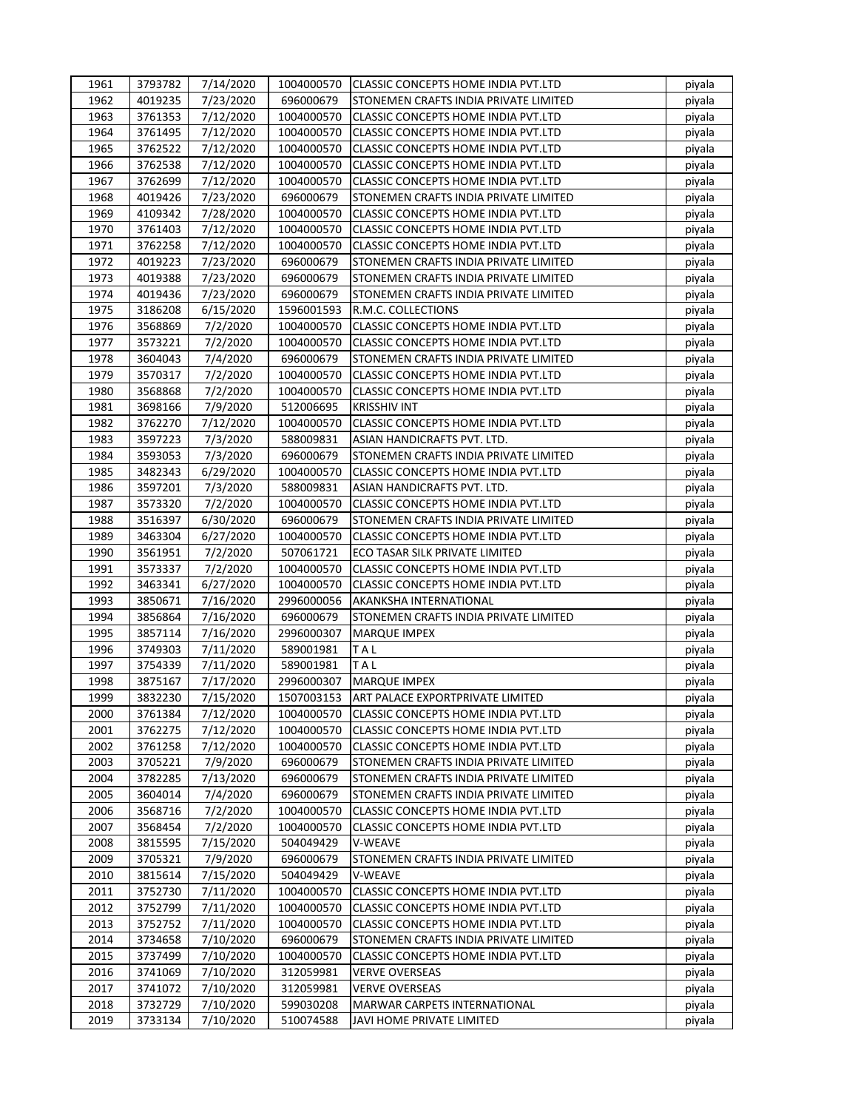| 1961         | 3793782            | 7/14/2020            |                         | 1004000570 CLASSIC CONCEPTS HOME INDIA PVT.LTD                               | piyala |
|--------------|--------------------|----------------------|-------------------------|------------------------------------------------------------------------------|--------|
| 1962         | 4019235            | 7/23/2020            | 696000679               | STONEMEN CRAFTS INDIA PRIVATE LIMITED                                        | piyala |
| 1963         | 3761353            | 7/12/2020            | 1004000570              | CLASSIC CONCEPTS HOME INDIA PVT.LTD                                          | piyala |
| 1964         | 3761495            | 7/12/2020            | 1004000570              | CLASSIC CONCEPTS HOME INDIA PVT.LTD                                          | piyala |
| 1965         | 3762522            | 7/12/2020            | 1004000570              | CLASSIC CONCEPTS HOME INDIA PVT.LTD                                          | piyala |
| 1966         | 3762538            | 7/12/2020            | 1004000570              | CLASSIC CONCEPTS HOME INDIA PVT.LTD                                          | piyala |
| 1967         | 3762699            | 7/12/2020            | 1004000570              | CLASSIC CONCEPTS HOME INDIA PVT.LTD                                          | piyala |
| 1968         | 4019426            | 7/23/2020            | 696000679               | STONEMEN CRAFTS INDIA PRIVATE LIMITED                                        | piyala |
| 1969         | 4109342            | 7/28/2020            | 1004000570              | CLASSIC CONCEPTS HOME INDIA PVT.LTD                                          | piyala |
| 1970         | 3761403            | 7/12/2020            | 1004000570              | CLASSIC CONCEPTS HOME INDIA PVT.LTD                                          | piyala |
| 1971         | 3762258            | 7/12/2020            | 1004000570              | CLASSIC CONCEPTS HOME INDIA PVT.LTD                                          | piyala |
| 1972         | 4019223            | 7/23/2020            | 696000679               | STONEMEN CRAFTS INDIA PRIVATE LIMITED                                        | piyala |
| 1973         | 4019388            | 7/23/2020            | 696000679               | STONEMEN CRAFTS INDIA PRIVATE LIMITED                                        | piyala |
| 1974         | 4019436            | 7/23/2020            | 696000679               | STONEMEN CRAFTS INDIA PRIVATE LIMITED                                        | piyala |
| 1975         | 3186208            | 6/15/2020            | 1596001593              | R.M.C. COLLECTIONS                                                           | piyala |
| 1976         | 3568869            | 7/2/2020             | 1004000570              | CLASSIC CONCEPTS HOME INDIA PVT.LTD                                          | piyala |
| 1977         | 3573221            | 7/2/2020             | 1004000570              | CLASSIC CONCEPTS HOME INDIA PVT.LTD                                          | piyala |
| 1978         | 3604043            | 7/4/2020             | 696000679               | STONEMEN CRAFTS INDIA PRIVATE LIMITED                                        | piyala |
| 1979         | 3570317            | 7/2/2020             | 1004000570              | CLASSIC CONCEPTS HOME INDIA PVT.LTD                                          | piyala |
| 1980         | 3568868            | 7/2/2020             | 1004000570              | CLASSIC CONCEPTS HOME INDIA PVT.LTD                                          | piyala |
| 1981         | 3698166            | 7/9/2020             | 512006695               | <b>KRISSHIV INT</b>                                                          | piyala |
| 1982         | 3762270            | 7/12/2020            | 1004000570              | CLASSIC CONCEPTS HOME INDIA PVT.LTD                                          | piyala |
| 1983         | 3597223            | 7/3/2020             | 588009831               | ASIAN HANDICRAFTS PVT. LTD.                                                  | piyala |
| 1984         | 3593053            | 7/3/2020             | 696000679               | STONEMEN CRAFTS INDIA PRIVATE LIMITED                                        | piyala |
| 1985         | 3482343            | 6/29/2020            | 1004000570              | CLASSIC CONCEPTS HOME INDIA PVT.LTD                                          | piyala |
| 1986         | 3597201            | 7/3/2020             | 588009831               | ASIAN HANDICRAFTS PVT. LTD.                                                  | piyala |
| 1987         | 3573320            | 7/2/2020             | 1004000570              | CLASSIC CONCEPTS HOME INDIA PVT.LTD                                          | piyala |
|              |                    |                      |                         |                                                                              |        |
| 1988<br>1989 | 3516397<br>3463304 | 6/30/2020            | 696000679<br>1004000570 | STONEMEN CRAFTS INDIA PRIVATE LIMITED<br>CLASSIC CONCEPTS HOME INDIA PVT.LTD | piyala |
| 1990         | 3561951            | 6/27/2020            | 507061721               | ECO TASAR SILK PRIVATE LIMITED                                               | piyala |
| 1991         | 3573337            | 7/2/2020<br>7/2/2020 | 1004000570              | <b>CLASSIC CONCEPTS HOME INDIA PVT.LTD</b>                                   | piyala |
| 1992         |                    |                      |                         |                                                                              | piyala |
|              | 3463341            | 6/27/2020            | 1004000570              | <b>CLASSIC CONCEPTS HOME INDIA PVT.LTD</b>                                   | piyala |
| 1993         | 3850671            | 7/16/2020            | 2996000056              | AKANKSHA INTERNATIONAL                                                       | piyala |
| 1994         | 3856864            | 7/16/2020            | 696000679               | STONEMEN CRAFTS INDIA PRIVATE LIMITED                                        | piyala |
| 1995         | 3857114            | 7/16/2020            | 2996000307              | <b>MARQUE IMPEX</b>                                                          | piyala |
| 1996         | 3749303            | 7/11/2020            | 589001981               | TAL                                                                          | piyala |
| 1997         | 3754339            | 7/11/2020            | 589001981               | TAL                                                                          | piyala |
| 1998         | 3875167            | 7/17/2020            | 2996000307              | <b>MARQUE IMPEX</b>                                                          | piyala |
| 1999         | 3832230            | 7/15/2020            | 1507003153              | ART PALACE EXPORTPRIVATE LIMITED                                             | piyala |
| 2000         | 3761384            | 7/12/2020            | 1004000570              | CLASSIC CONCEPTS HOME INDIA PVT.LTD                                          | piyala |
| 2001         | 3762275            | 7/12/2020            | 1004000570              | CLASSIC CONCEPTS HOME INDIA PVT.LTD                                          | piyala |
| 2002         | 3761258            | 7/12/2020            | 1004000570              | CLASSIC CONCEPTS HOME INDIA PVT.LTD                                          | piyala |
| 2003         | 3705221            | 7/9/2020             | 696000679               | STONEMEN CRAFTS INDIA PRIVATE LIMITED                                        | piyala |
| 2004         | 3782285            | 7/13/2020            | 696000679               | STONEMEN CRAFTS INDIA PRIVATE LIMITED                                        | piyala |
| 2005         | 3604014            | 7/4/2020             | 696000679               | STONEMEN CRAFTS INDIA PRIVATE LIMITED                                        | piyala |
| 2006         | 3568716            | 7/2/2020             | 1004000570              | CLASSIC CONCEPTS HOME INDIA PVT.LTD                                          | piyala |
| 2007         | 3568454            | 7/2/2020             | 1004000570              | CLASSIC CONCEPTS HOME INDIA PVT.LTD                                          | piyala |
| 2008         | 3815595            | 7/15/2020            | 504049429               | V-WEAVE                                                                      | piyala |
| 2009         | 3705321            | 7/9/2020             | 696000679               | STONEMEN CRAFTS INDIA PRIVATE LIMITED                                        | piyala |
| 2010         | 3815614            | 7/15/2020            | 504049429               | V-WEAVE                                                                      | piyala |
| 2011         | 3752730            | 7/11/2020            | 1004000570              | CLASSIC CONCEPTS HOME INDIA PVT.LTD                                          | piyala |
| 2012         | 3752799            | 7/11/2020            | 1004000570              | CLASSIC CONCEPTS HOME INDIA PVT.LTD                                          | piyala |
| 2013         | 3752752            | 7/11/2020            | 1004000570              | CLASSIC CONCEPTS HOME INDIA PVT.LTD                                          | piyala |
| 2014         | 3734658            | 7/10/2020            | 696000679               | STONEMEN CRAFTS INDIA PRIVATE LIMITED                                        | piyala |
| 2015         | 3737499            | 7/10/2020            | 1004000570              | CLASSIC CONCEPTS HOME INDIA PVT.LTD                                          | piyala |
| 2016         | 3741069            | 7/10/2020            | 312059981               | <b>VERVE OVERSEAS</b>                                                        | piyala |
| 2017         | 3741072            | 7/10/2020            | 312059981               | <b>VERVE OVERSEAS</b>                                                        | piyala |
| 2018         | 3732729            | 7/10/2020            | 599030208               | MARWAR CARPETS INTERNATIONAL                                                 | piyala |
| 2019         | 3733134            | 7/10/2020            | 510074588               | JAVI HOME PRIVATE LIMITED                                                    | piyala |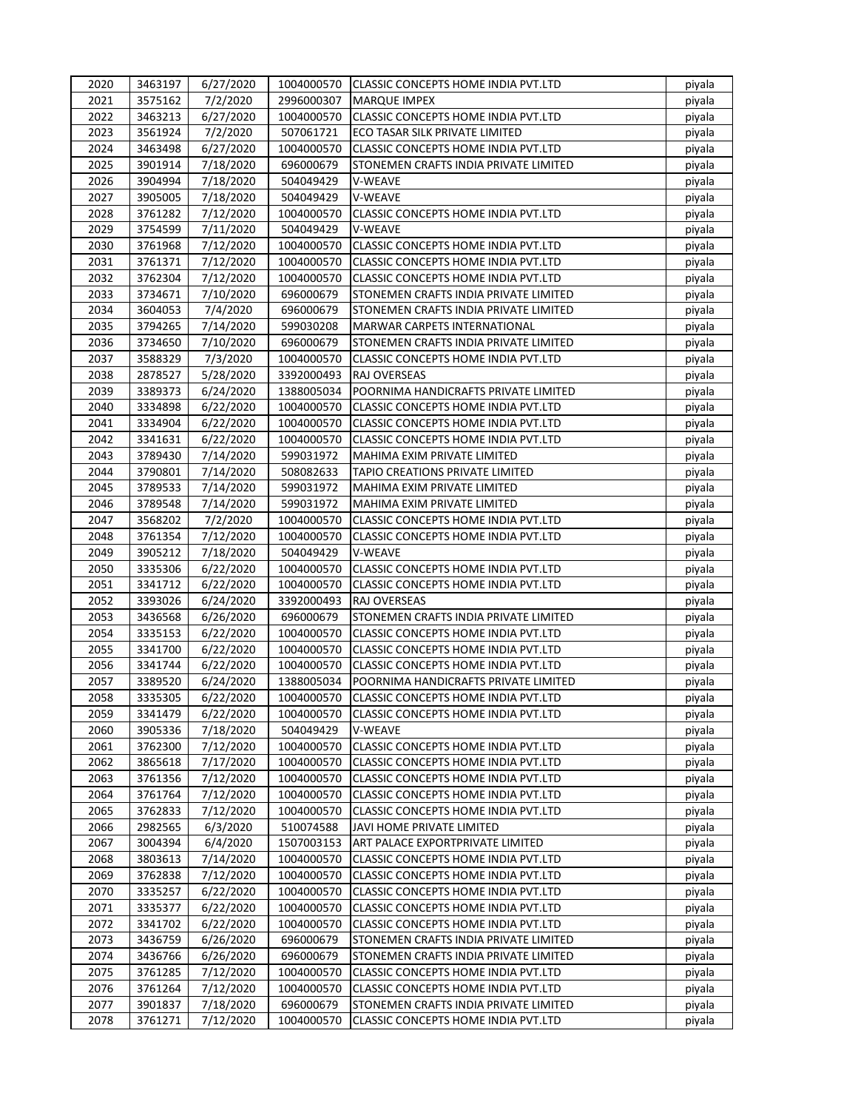| 2020 | 3463197            | 6/27/2020              |            | 1004000570 CLASSIC CONCEPTS HOME INDIA PVT.LTD | piyala |
|------|--------------------|------------------------|------------|------------------------------------------------|--------|
| 2021 | 3575162            | 7/2/2020               | 2996000307 | <b>MARQUE IMPEX</b>                            | piyala |
| 2022 | 3463213            | 6/27/2020              | 1004000570 | <b>CLASSIC CONCEPTS HOME INDIA PVT.LTD</b>     | piyala |
| 2023 | 3561924            | 7/2/2020               | 507061721  | ECO TASAR SILK PRIVATE LIMITED                 | piyala |
| 2024 | 3463498            | 6/27/2020              | 1004000570 | CLASSIC CONCEPTS HOME INDIA PVT.LTD            | piyala |
| 2025 | 3901914            | 7/18/2020              | 696000679  | STONEMEN CRAFTS INDIA PRIVATE LIMITED          | piyala |
| 2026 | 3904994            | 7/18/2020              | 504049429  | V-WEAVE                                        | piyala |
| 2027 | 3905005            | 7/18/2020              | 504049429  | V-WEAVE                                        | piyala |
| 2028 | 3761282            | 7/12/2020              | 1004000570 | <b>CLASSIC CONCEPTS HOME INDIA PVT.LTD</b>     | piyala |
| 2029 | 3754599            | 7/11/2020              | 504049429  | V-WEAVE                                        | piyala |
| 2030 | 3761968            | 7/12/2020              | 1004000570 | CLASSIC CONCEPTS HOME INDIA PVT.LTD            | piyala |
| 2031 | 3761371            | 7/12/2020              | 1004000570 | CLASSIC CONCEPTS HOME INDIA PVT.LTD            | piyala |
| 2032 | 3762304            | 7/12/2020              | 1004000570 | CLASSIC CONCEPTS HOME INDIA PVT.LTD            | piyala |
| 2033 | 3734671            | 7/10/2020              | 696000679  | STONEMEN CRAFTS INDIA PRIVATE LIMITED          | piyala |
| 2034 | 3604053            | 7/4/2020               | 696000679  | STONEMEN CRAFTS INDIA PRIVATE LIMITED          | piyala |
| 2035 | 3794265            | 7/14/2020              | 599030208  | <b>MARWAR CARPETS INTERNATIONAL</b>            | piyala |
| 2036 | 3734650            | 7/10/2020              | 696000679  | STONEMEN CRAFTS INDIA PRIVATE LIMITED          | piyala |
| 2037 | 3588329            | 7/3/2020               | 1004000570 | CLASSIC CONCEPTS HOME INDIA PVT.LTD            | piyala |
| 2038 | 2878527            | 5/28/2020              | 3392000493 | RAJ OVERSEAS                                   | piyala |
| 2039 | 3389373            | 6/24/2020              | 1388005034 | POORNIMA HANDICRAFTS PRIVATE LIMITED           | piyala |
| 2040 | 3334898            | 6/22/2020              | 1004000570 | CLASSIC CONCEPTS HOME INDIA PVT.LTD            | piyala |
| 2041 | 3334904            | 6/22/2020              | 1004000570 | <b>CLASSIC CONCEPTS HOME INDIA PVT.LTD</b>     | piyala |
| 2042 | 3341631            | 6/22/2020              | 1004000570 | CLASSIC CONCEPTS HOME INDIA PVT.LTD            | piyala |
| 2043 | 3789430            | 7/14/2020              | 599031972  | MAHIMA EXIM PRIVATE LIMITED                    | piyala |
| 2044 | 3790801            | 7/14/2020              | 508082633  | TAPIO CREATIONS PRIVATE LIMITED                | piyala |
| 2045 | 3789533            | 7/14/2020              | 599031972  | MAHIMA EXIM PRIVATE LIMITED                    | piyala |
| 2046 | 3789548            | 7/14/2020              | 599031972  | MAHIMA EXIM PRIVATE LIMITED                    | piyala |
| 2047 | 3568202            | 7/2/2020               | 1004000570 | CLASSIC CONCEPTS HOME INDIA PVT.LTD            | piyala |
| 2048 | 3761354            | 7/12/2020              | 1004000570 | CLASSIC CONCEPTS HOME INDIA PVT.LTD            | piyala |
| 2049 | 3905212            | 7/18/2020              | 504049429  | V-WEAVE                                        | piyala |
| 2050 | 3335306            | 6/22/2020              | 1004000570 | CLASSIC CONCEPTS HOME INDIA PVT.LTD            | piyala |
| 2051 | 3341712            | 6/22/2020              | 1004000570 | CLASSIC CONCEPTS HOME INDIA PVT.LTD            | piyala |
| 2052 | 3393026            | 6/24/2020              | 3392000493 | RAJ OVERSEAS                                   | piyala |
| 2053 | 3436568            |                        | 696000679  | STONEMEN CRAFTS INDIA PRIVATE LIMITED          |        |
| 2054 | 3335153            | 6/26/2020<br>6/22/2020 |            |                                                | piyala |
|      |                    |                        | 1004000570 | CLASSIC CONCEPTS HOME INDIA PVT.LTD            | piyala |
| 2055 | 3341700<br>3341744 | 6/22/2020              | 1004000570 | CLASSIC CONCEPTS HOME INDIA PVT.LTD            | piyala |
| 2056 |                    | 6/22/2020              | 1004000570 | CLASSIC CONCEPTS HOME INDIA PVT.LTD            | piyala |
| 2057 | 3389520            | 6/24/2020              | 1388005034 | POORNIMA HANDICRAFTS PRIVATE LIMITED           | piyala |
| 2058 | 3335305            | 6/22/2020              | 1004000570 | <b>CLASSIC CONCEPTS HOME INDIA PVT.LTD</b>     | piyala |
| 2059 | 3341479            | 6/22/2020              | 1004000570 | CLASSIC CONCEPTS HOME INDIA PVT.LTD            | piyala |
| 2060 | 3905336            | 7/18/2020              | 504049429  | V-WEAVE                                        | piyala |
| 2061 | 3762300            | 7/12/2020              | 1004000570 | CLASSIC CONCEPTS HOME INDIA PVT.LTD            | piyala |
| 2062 | 3865618            | 7/17/2020              | 1004000570 | CLASSIC CONCEPTS HOME INDIA PVT.LTD            | piyala |
| 2063 | 3761356            | 7/12/2020              | 1004000570 | CLASSIC CONCEPTS HOME INDIA PVT.LTD            | piyala |
| 2064 | 3761764            | 7/12/2020              | 1004000570 | CLASSIC CONCEPTS HOME INDIA PVT.LTD            | piyala |
| 2065 | 3762833            | 7/12/2020              | 1004000570 | CLASSIC CONCEPTS HOME INDIA PVT.LTD            | piyala |
| 2066 | 2982565            | 6/3/2020               | 510074588  | JAVI HOME PRIVATE LIMITED                      | piyala |
| 2067 | 3004394            | 6/4/2020               | 1507003153 | ART PALACE EXPORTPRIVATE LIMITED               | piyala |
| 2068 | 3803613            | 7/14/2020              | 1004000570 | CLASSIC CONCEPTS HOME INDIA PVT.LTD            | piyala |
| 2069 | 3762838            | 7/12/2020              | 1004000570 | CLASSIC CONCEPTS HOME INDIA PVT.LTD            | piyala |
| 2070 | 3335257            | 6/22/2020              | 1004000570 | CLASSIC CONCEPTS HOME INDIA PVT.LTD            | piyala |
| 2071 | 3335377            | 6/22/2020              | 1004000570 | CLASSIC CONCEPTS HOME INDIA PVT.LTD            | piyala |
| 2072 | 3341702            | 6/22/2020              | 1004000570 | CLASSIC CONCEPTS HOME INDIA PVT.LTD            | piyala |
| 2073 | 3436759            | 6/26/2020              | 696000679  | STONEMEN CRAFTS INDIA PRIVATE LIMITED          | piyala |
| 2074 | 3436766            | 6/26/2020              | 696000679  | STONEMEN CRAFTS INDIA PRIVATE LIMITED          | piyala |
| 2075 | 3761285            | 7/12/2020              | 1004000570 | CLASSIC CONCEPTS HOME INDIA PVT.LTD            | piyala |
| 2076 | 3761264            | 7/12/2020              | 1004000570 | CLASSIC CONCEPTS HOME INDIA PVT.LTD            | piyala |
| 2077 | 3901837            | 7/18/2020              | 696000679  | STONEMEN CRAFTS INDIA PRIVATE LIMITED          | piyala |
| 2078 | 3761271            | 7/12/2020              | 1004000570 | CLASSIC CONCEPTS HOME INDIA PVT.LTD            | piyala |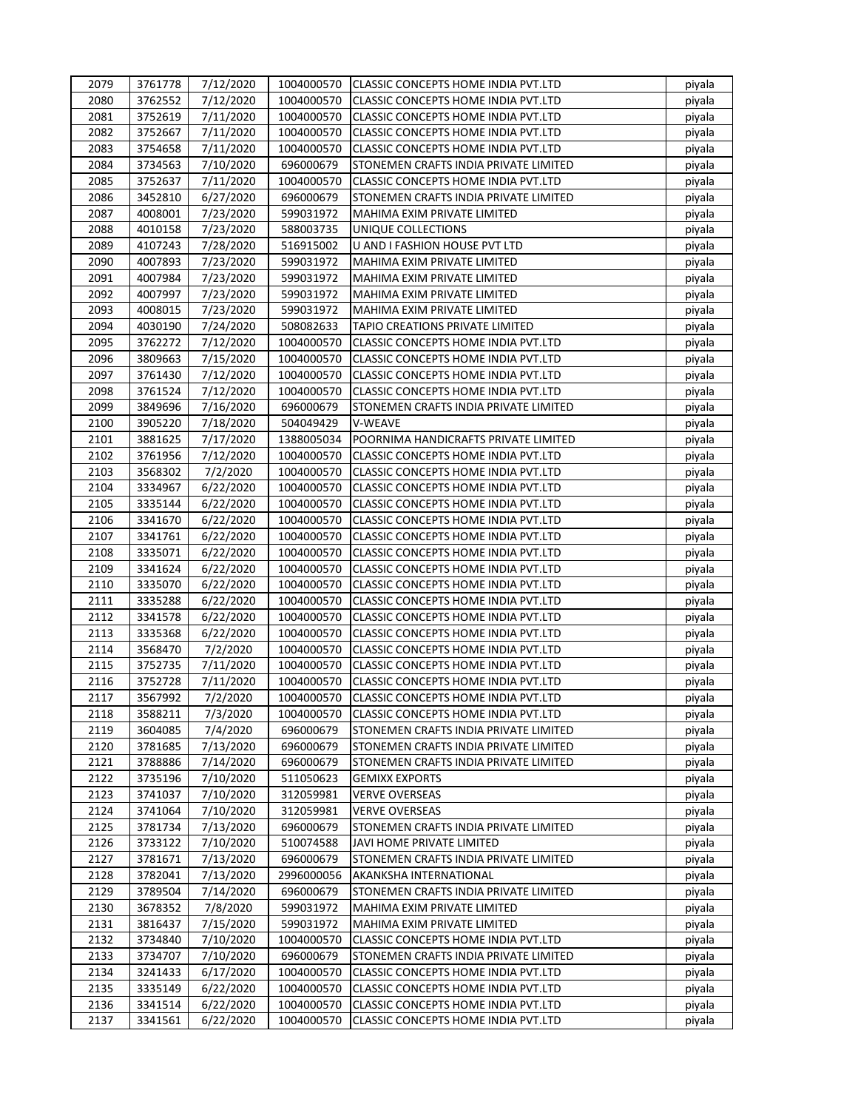| 2079 | 3761778 | 7/12/2020 | 1004000570 | CLASSIC CONCEPTS HOME INDIA PVT.LTD   | piyala |
|------|---------|-----------|------------|---------------------------------------|--------|
| 2080 | 3762552 | 7/12/2020 | 1004000570 | CLASSIC CONCEPTS HOME INDIA PVT.LTD   | piyala |
| 2081 | 3752619 | 7/11/2020 | 1004000570 | CLASSIC CONCEPTS HOME INDIA PVT.LTD   | piyala |
| 2082 | 3752667 | 7/11/2020 | 1004000570 | CLASSIC CONCEPTS HOME INDIA PVT.LTD   | piyala |
| 2083 | 3754658 | 7/11/2020 | 1004000570 | CLASSIC CONCEPTS HOME INDIA PVT.LTD   | piyala |
| 2084 | 3734563 | 7/10/2020 | 696000679  | STONEMEN CRAFTS INDIA PRIVATE LIMITED | piyala |
| 2085 | 3752637 | 7/11/2020 | 1004000570 | CLASSIC CONCEPTS HOME INDIA PVT.LTD   | piyala |
| 2086 | 3452810 | 6/27/2020 | 696000679  | STONEMEN CRAFTS INDIA PRIVATE LIMITED | piyala |
| 2087 | 4008001 | 7/23/2020 | 599031972  | MAHIMA EXIM PRIVATE LIMITED           | piyala |
| 2088 | 4010158 | 7/23/2020 | 588003735  | UNIQUE COLLECTIONS                    | piyala |
| 2089 | 4107243 | 7/28/2020 | 516915002  | U AND I FASHION HOUSE PVT LTD         | piyala |
| 2090 | 4007893 | 7/23/2020 | 599031972  | MAHIMA EXIM PRIVATE LIMITED           | piyala |
| 2091 | 4007984 | 7/23/2020 | 599031972  | MAHIMA EXIM PRIVATE LIMITED           | piyala |
| 2092 | 4007997 | 7/23/2020 | 599031972  | MAHIMA EXIM PRIVATE LIMITED           | piyala |
| 2093 | 4008015 | 7/23/2020 | 599031972  | MAHIMA EXIM PRIVATE LIMITED           | piyala |
| 2094 | 4030190 | 7/24/2020 | 508082633  | TAPIO CREATIONS PRIVATE LIMITED       | piyala |
| 2095 | 3762272 | 7/12/2020 | 1004000570 | CLASSIC CONCEPTS HOME INDIA PVT.LTD   | piyala |
| 2096 | 3809663 | 7/15/2020 | 1004000570 | CLASSIC CONCEPTS HOME INDIA PVT.LTD   | piyala |
| 2097 | 3761430 | 7/12/2020 | 1004000570 | CLASSIC CONCEPTS HOME INDIA PVT.LTD   | piyala |
| 2098 | 3761524 | 7/12/2020 | 1004000570 | CLASSIC CONCEPTS HOME INDIA PVT.LTD   | piyala |
| 2099 | 3849696 | 7/16/2020 | 696000679  | STONEMEN CRAFTS INDIA PRIVATE LIMITED | piyala |
| 2100 | 3905220 | 7/18/2020 | 504049429  | V-WEAVE                               | piyala |
| 2101 | 3881625 | 7/17/2020 | 1388005034 | POORNIMA HANDICRAFTS PRIVATE LIMITED  | piyala |
| 2102 | 3761956 | 7/12/2020 | 1004000570 | CLASSIC CONCEPTS HOME INDIA PVT.LTD   | piyala |
| 2103 | 3568302 | 7/2/2020  | 1004000570 | CLASSIC CONCEPTS HOME INDIA PVT.LTD   | piyala |
| 2104 | 3334967 | 6/22/2020 | 1004000570 | CLASSIC CONCEPTS HOME INDIA PVT.LTD   | piyala |
| 2105 | 3335144 | 6/22/2020 | 1004000570 | CLASSIC CONCEPTS HOME INDIA PVT.LTD   | piyala |
| 2106 | 3341670 | 6/22/2020 | 1004000570 | CLASSIC CONCEPTS HOME INDIA PVT.LTD   | piyala |
| 2107 | 3341761 | 6/22/2020 | 1004000570 | CLASSIC CONCEPTS HOME INDIA PVT.LTD   | piyala |
| 2108 | 3335071 | 6/22/2020 | 1004000570 | CLASSIC CONCEPTS HOME INDIA PVT.LTD   | piyala |
| 2109 | 3341624 | 6/22/2020 | 1004000570 | CLASSIC CONCEPTS HOME INDIA PVT.LTD   | piyala |
| 2110 | 3335070 | 6/22/2020 | 1004000570 | CLASSIC CONCEPTS HOME INDIA PVT.LTD   | piyala |
| 2111 | 3335288 | 6/22/2020 | 1004000570 | CLASSIC CONCEPTS HOME INDIA PVT.LTD   | piyala |
| 2112 | 3341578 | 6/22/2020 | 1004000570 | CLASSIC CONCEPTS HOME INDIA PVT.LTD   | piyala |
| 2113 | 3335368 | 6/22/2020 | 1004000570 | CLASSIC CONCEPTS HOME INDIA PVT.LTD   | piyala |
| 2114 | 3568470 | 7/2/2020  | 1004000570 | CLASSIC CONCEPTS HOME INDIA PVT.LTD   | piyala |
| 2115 | 3752735 | 7/11/2020 | 1004000570 | CLASSIC CONCEPTS HOME INDIA PVT.LTD   | piyala |
| 2116 | 3752728 | 7/11/2020 | 1004000570 | CLASSIC CONCEPTS HOME INDIA PVT.LTD   | piyala |
| 2117 | 3567992 | 7/2/2020  | 1004000570 | CLASSIC CONCEPTS HOME INDIA PVT.LTD   | piyala |
| 2118 | 3588211 | 7/3/2020  | 1004000570 | CLASSIC CONCEPTS HOME INDIA PVT.LTD   | piyala |
| 2119 | 3604085 | 7/4/2020  | 696000679  | STONEMEN CRAFTS INDIA PRIVATE LIMITED | piyala |
| 2120 | 3781685 | 7/13/2020 | 696000679  | STONEMEN CRAFTS INDIA PRIVATE LIMITED | piyala |
| 2121 | 3788886 | 7/14/2020 | 696000679  | STONEMEN CRAFTS INDIA PRIVATE LIMITED | piyala |
| 2122 | 3735196 | 7/10/2020 | 511050623  | <b>GEMIXX EXPORTS</b>                 | piyala |
| 2123 | 3741037 | 7/10/2020 | 312059981  | <b>VERVE OVERSEAS</b>                 | piyala |
| 2124 | 3741064 | 7/10/2020 | 312059981  | <b>VERVE OVERSEAS</b>                 | piyala |
| 2125 | 3781734 | 7/13/2020 | 696000679  | STONEMEN CRAFTS INDIA PRIVATE LIMITED | piyala |
| 2126 | 3733122 | 7/10/2020 | 510074588  | JAVI HOME PRIVATE LIMITED             | piyala |
| 2127 | 3781671 | 7/13/2020 | 696000679  | STONEMEN CRAFTS INDIA PRIVATE LIMITED | piyala |
| 2128 | 3782041 | 7/13/2020 | 2996000056 | AKANKSHA INTERNATIONAL                | piyala |
| 2129 | 3789504 | 7/14/2020 | 696000679  | STONEMEN CRAFTS INDIA PRIVATE LIMITED | piyala |
| 2130 | 3678352 | 7/8/2020  | 599031972  | MAHIMA EXIM PRIVATE LIMITED           | piyala |
| 2131 | 3816437 | 7/15/2020 | 599031972  | MAHIMA EXIM PRIVATE LIMITED           | piyala |
| 2132 | 3734840 | 7/10/2020 | 1004000570 | CLASSIC CONCEPTS HOME INDIA PVT.LTD   | piyala |
| 2133 | 3734707 | 7/10/2020 | 696000679  | STONEMEN CRAFTS INDIA PRIVATE LIMITED | piyala |
| 2134 | 3241433 | 6/17/2020 | 1004000570 | CLASSIC CONCEPTS HOME INDIA PVT.LTD   | piyala |
| 2135 | 3335149 | 6/22/2020 | 1004000570 | CLASSIC CONCEPTS HOME INDIA PVT.LTD   | piyala |
| 2136 | 3341514 | 6/22/2020 | 1004000570 | CLASSIC CONCEPTS HOME INDIA PVT.LTD   | piyala |
| 2137 | 3341561 | 6/22/2020 | 1004000570 | CLASSIC CONCEPTS HOME INDIA PVT.LTD   | piyala |
|      |         |           |            |                                       |        |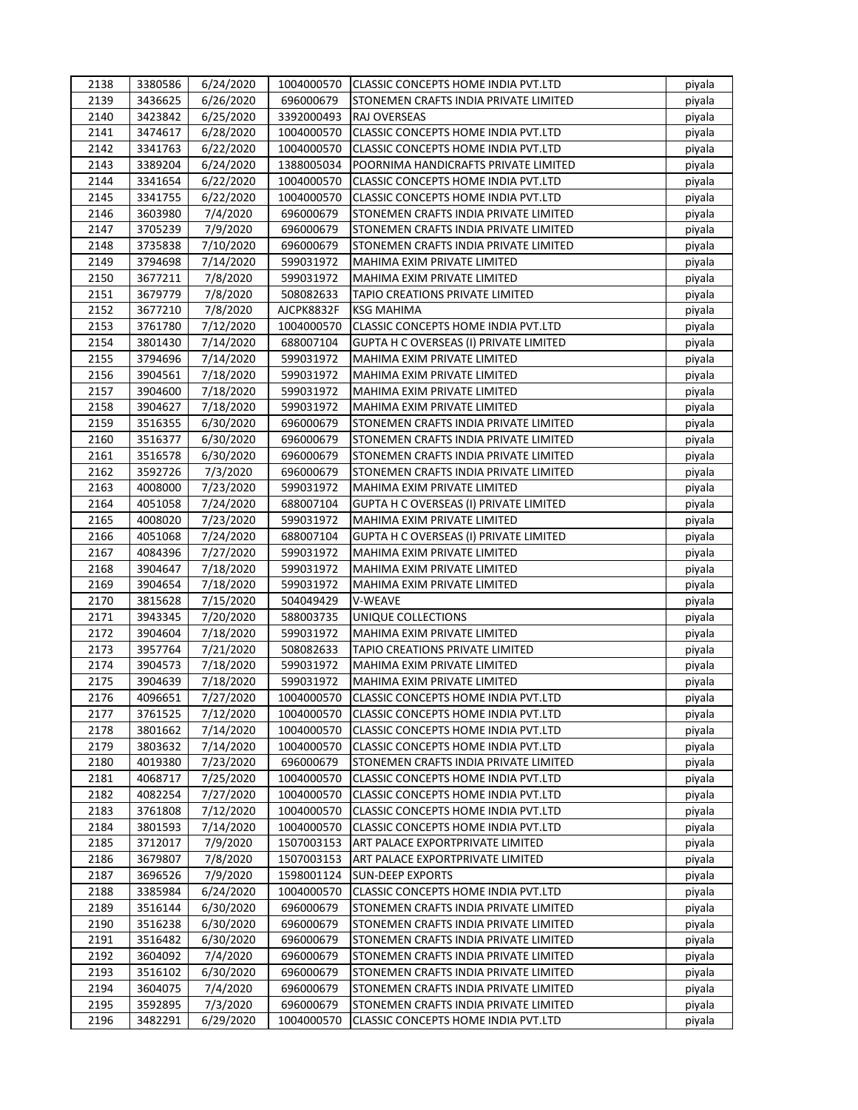| 2138         | 3380586 | 6/24/2020              | 1004000570               | <b>CLASSIC CONCEPTS HOME INDIA PVT.LTD</b>                                 | piyala           |
|--------------|---------|------------------------|--------------------------|----------------------------------------------------------------------------|------------------|
| 2139         | 3436625 | 6/26/2020              | 696000679                | STONEMEN CRAFTS INDIA PRIVATE LIMITED                                      | piyala           |
| 2140         | 3423842 | 6/25/2020              | 3392000493               | <b>RAJ OVERSEAS</b>                                                        | piyala           |
| 2141         | 3474617 | 6/28/2020              | 1004000570               | CLASSIC CONCEPTS HOME INDIA PVT.LTD                                        | piyala           |
| 2142         | 3341763 | 6/22/2020              | 1004000570               | CLASSIC CONCEPTS HOME INDIA PVT.LTD                                        | piyala           |
| 2143         | 3389204 | 6/24/2020              | 1388005034               | POORNIMA HANDICRAFTS PRIVATE LIMITED                                       | piyala           |
| 2144         | 3341654 | 6/22/2020              | 1004000570               | CLASSIC CONCEPTS HOME INDIA PVT.LTD                                        | piyala           |
| 2145         | 3341755 | 6/22/2020              | 1004000570               | CLASSIC CONCEPTS HOME INDIA PVT.LTD                                        | piyala           |
| 2146         | 3603980 | 7/4/2020               | 696000679                | STONEMEN CRAFTS INDIA PRIVATE LIMITED                                      | piyala           |
| 2147         | 3705239 | 7/9/2020               | 696000679                | STONEMEN CRAFTS INDIA PRIVATE LIMITED                                      | piyala           |
| 2148         | 3735838 | 7/10/2020              | 696000679                | STONEMEN CRAFTS INDIA PRIVATE LIMITED                                      | piyala           |
| 2149         | 3794698 | 7/14/2020              | 599031972                | MAHIMA EXIM PRIVATE LIMITED                                                | piyala           |
| 2150         | 3677211 | 7/8/2020               | 599031972                | MAHIMA EXIM PRIVATE LIMITED                                                | piyala           |
| 2151         | 3679779 | 7/8/2020               | 508082633                | TAPIO CREATIONS PRIVATE LIMITED                                            | piyala           |
| 2152         | 3677210 | 7/8/2020               | AJCPK8832F               | <b>KSG MAHIMA</b>                                                          | piyala           |
| 2153         | 3761780 | 7/12/2020              | 1004000570               | CLASSIC CONCEPTS HOME INDIA PVT.LTD                                        | piyala           |
| 2154         | 3801430 | 7/14/2020              | 688007104                | GUPTA H C OVERSEAS (I) PRIVATE LIMITED                                     | piyala           |
| 2155         | 3794696 | 7/14/2020              | 599031972                | MAHIMA EXIM PRIVATE LIMITED                                                | piyala           |
| 2156         | 3904561 | 7/18/2020              | 599031972                | MAHIMA EXIM PRIVATE LIMITED                                                | piyala           |
| 2157         | 3904600 | 7/18/2020              | 599031972                | MAHIMA EXIM PRIVATE LIMITED                                                | piyala           |
| 2158         | 3904627 | 7/18/2020              | 599031972                | MAHIMA EXIM PRIVATE LIMITED                                                | piyala           |
| 2159         | 3516355 | 6/30/2020              | 696000679                | STONEMEN CRAFTS INDIA PRIVATE LIMITED                                      | piyala           |
| 2160         | 3516377 | 6/30/2020              | 696000679                | STONEMEN CRAFTS INDIA PRIVATE LIMITED                                      | piyala           |
| 2161         | 3516578 | 6/30/2020              | 696000679                | STONEMEN CRAFTS INDIA PRIVATE LIMITED                                      | piyala           |
| 2162         | 3592726 | 7/3/2020               | 696000679                | STONEMEN CRAFTS INDIA PRIVATE LIMITED                                      | piyala           |
| 2163         | 4008000 | 7/23/2020              | 599031972                | MAHIMA EXIM PRIVATE LIMITED                                                | piyala           |
| 2164         | 4051058 | 7/24/2020              | 688007104                | GUPTA H C OVERSEAS (I) PRIVATE LIMITED                                     | piyala           |
| 2165         | 4008020 |                        | 599031972                | MAHIMA EXIM PRIVATE LIMITED                                                |                  |
| 2166         | 4051068 | 7/23/2020<br>7/24/2020 | 688007104                | <b>GUPTA H C OVERSEAS (I) PRIVATE LIMITED</b>                              | piyala           |
| 2167         | 4084396 |                        | 599031972                | MAHIMA EXIM PRIVATE LIMITED                                                | piyala           |
| 2168         | 3904647 | 7/27/2020<br>7/18/2020 | 599031972                | MAHIMA EXIM PRIVATE LIMITED                                                | piyala           |
| 2169         | 3904654 | 7/18/2020              | 599031972                | MAHIMA EXIM PRIVATE LIMITED                                                | piyala           |
| 2170         | 3815628 |                        | 504049429                | V-WEAVE                                                                    | piyala           |
| 2171         | 3943345 | 7/15/2020<br>7/20/2020 | 588003735                | UNIQUE COLLECTIONS                                                         | piyala<br>piyala |
| 2172         | 3904604 | 7/18/2020              |                          | MAHIMA EXIM PRIVATE LIMITED                                                |                  |
|              | 3957764 |                        | 599031972                |                                                                            | piyala           |
| 2173<br>2174 | 3904573 | 7/21/2020              | 508082633<br>599031972   | TAPIO CREATIONS PRIVATE LIMITED<br>MAHIMA EXIM PRIVATE LIMITED             | piyala           |
| 2175         | 3904639 | 7/18/2020              |                          |                                                                            | piyala           |
|              |         | 7/18/2020              | 599031972                | MAHIMA EXIM PRIVATE LIMITED                                                | piyala           |
| 2176         | 4096651 | 7/27/2020              | 1004000570<br>1004000570 | CLASSIC CONCEPTS HOME INDIA PVT.LTD<br>CLASSIC CONCEPTS HOME INDIA PVT.LTD | piyala           |
| 2177         | 3761525 | 7/12/2020              |                          |                                                                            | piyala           |
| 2178         | 3801662 | 7/14/2020              | 1004000570               | CLASSIC CONCEPTS HOME INDIA PVT.LTD                                        | piyala           |
| 2179         | 3803632 | 7/14/2020              | 1004000570               | CLASSIC CONCEPTS HOME INDIA PVT.LTD                                        | piyala           |
| 2180         | 4019380 | 7/23/2020              | 696000679                | STONEMEN CRAFTS INDIA PRIVATE LIMITED                                      | piyala           |
| 2181         | 4068717 | 7/25/2020              | 1004000570               | CLASSIC CONCEPTS HOME INDIA PVT.LTD                                        | piyala           |
| 2182         | 4082254 | 7/27/2020              | 1004000570               | CLASSIC CONCEPTS HOME INDIA PVT.LTD                                        | piyala           |
| 2183         | 3761808 | 7/12/2020              | 1004000570               | CLASSIC CONCEPTS HOME INDIA PVT.LTD                                        | piyala           |
| 2184         | 3801593 | 7/14/2020              | 1004000570               | CLASSIC CONCEPTS HOME INDIA PVT.LTD                                        | piyala           |
| 2185         | 3712017 | 7/9/2020               | 1507003153               | ART PALACE EXPORTPRIVATE LIMITED                                           | piyala           |
| 2186         | 3679807 | 7/8/2020               | 1507003153               | ART PALACE EXPORTPRIVATE LIMITED                                           | piyala           |
| 2187         | 3696526 | 7/9/2020               | 1598001124               | <b>SUN-DEEP EXPORTS</b>                                                    | piyala           |
| 2188         | 3385984 | 6/24/2020              | 1004000570               | CLASSIC CONCEPTS HOME INDIA PVT.LTD                                        | piyala           |
| 2189         | 3516144 | 6/30/2020              | 696000679                | STONEMEN CRAFTS INDIA PRIVATE LIMITED                                      | piyala           |
| 2190         | 3516238 | 6/30/2020              | 696000679                | STONEMEN CRAFTS INDIA PRIVATE LIMITED                                      | piyala           |
| 2191         | 3516482 | 6/30/2020              | 696000679                | STONEMEN CRAFTS INDIA PRIVATE LIMITED                                      | piyala           |
| 2192         | 3604092 | 7/4/2020               | 696000679                | STONEMEN CRAFTS INDIA PRIVATE LIMITED                                      | piyala           |
| 2193         | 3516102 | 6/30/2020              | 696000679                | STONEMEN CRAFTS INDIA PRIVATE LIMITED                                      | piyala           |
| 2194         | 3604075 | 7/4/2020               | 696000679                | STONEMEN CRAFTS INDIA PRIVATE LIMITED                                      | piyala           |
| 2195         | 3592895 | 7/3/2020               | 696000679                | STONEMEN CRAFTS INDIA PRIVATE LIMITED                                      | piyala           |
| 2196         | 3482291 | 6/29/2020              | 1004000570               | CLASSIC CONCEPTS HOME INDIA PVT.LTD                                        | piyala           |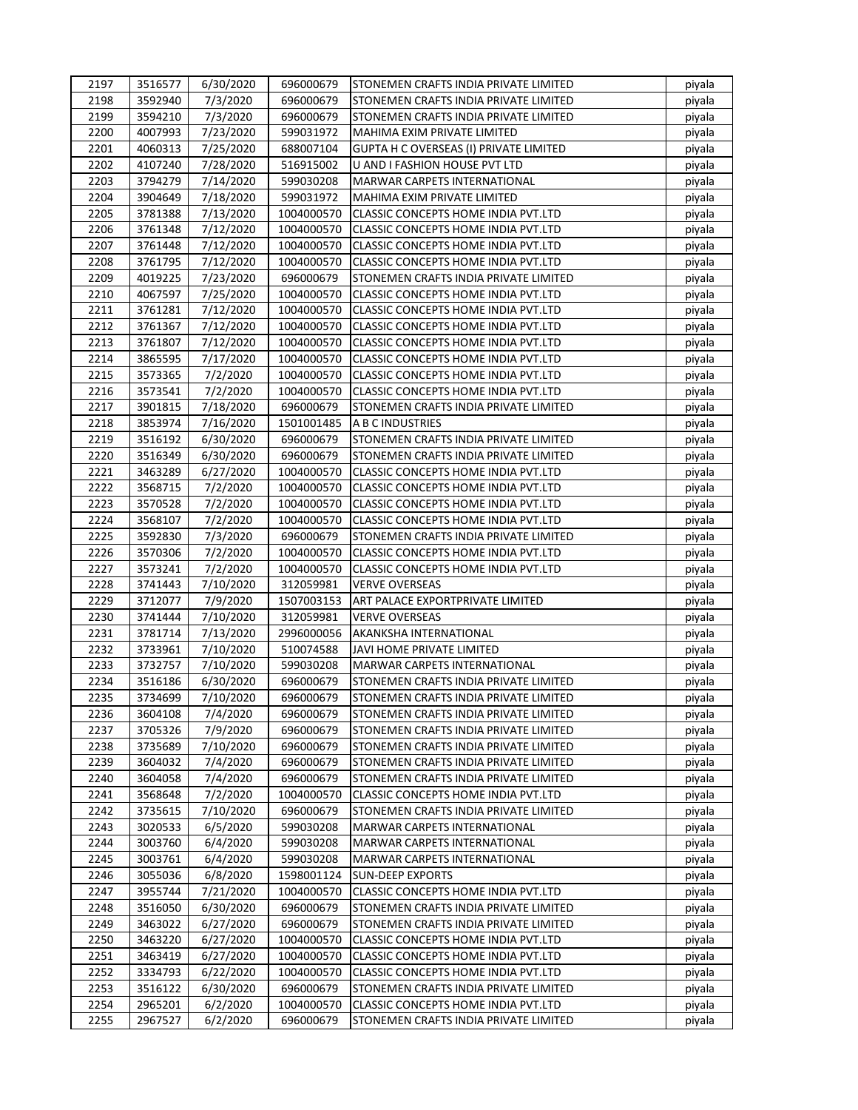| 2197 | 3516577            | 6/30/2020 | 696000679  | STONEMEN CRAFTS INDIA PRIVATE LIMITED      | piyala           |
|------|--------------------|-----------|------------|--------------------------------------------|------------------|
| 2198 | 3592940            | 7/3/2020  | 696000679  | STONEMEN CRAFTS INDIA PRIVATE LIMITED      | piyala           |
| 2199 | 3594210            | 7/3/2020  | 696000679  | STONEMEN CRAFTS INDIA PRIVATE LIMITED      | piyala           |
| 2200 | 4007993            | 7/23/2020 | 599031972  | MAHIMA EXIM PRIVATE LIMITED                | piyala           |
| 2201 | 4060313            | 7/25/2020 | 688007104  | GUPTA H C OVERSEAS (I) PRIVATE LIMITED     | piyala           |
| 2202 | 4107240            | 7/28/2020 | 516915002  | U AND I FASHION HOUSE PVT LTD              | piyala           |
| 2203 | 3794279            | 7/14/2020 | 599030208  | <b>MARWAR CARPETS INTERNATIONAL</b>        | piyala           |
| 2204 | 3904649            | 7/18/2020 | 599031972  | MAHIMA EXIM PRIVATE LIMITED                | piyala           |
| 2205 | 3781388            | 7/13/2020 | 1004000570 | CLASSIC CONCEPTS HOME INDIA PVT.LTD        | piyala           |
| 2206 | 3761348            | 7/12/2020 | 1004000570 | CLASSIC CONCEPTS HOME INDIA PVT.LTD        | piyala           |
| 2207 | 3761448            | 7/12/2020 | 1004000570 | <b>CLASSIC CONCEPTS HOME INDIA PVT.LTD</b> | piyala           |
| 2208 | 3761795            | 7/12/2020 | 1004000570 | CLASSIC CONCEPTS HOME INDIA PVT.LTD        | piyala           |
| 2209 | 4019225            | 7/23/2020 | 696000679  | STONEMEN CRAFTS INDIA PRIVATE LIMITED      | piyala           |
| 2210 | 4067597            | 7/25/2020 | 1004000570 | <b>CLASSIC CONCEPTS HOME INDIA PVT.LTD</b> | piyala           |
| 2211 | 3761281            | 7/12/2020 | 1004000570 | CLASSIC CONCEPTS HOME INDIA PVT.LTD        | piyala           |
| 2212 | 3761367            | 7/12/2020 | 1004000570 | CLASSIC CONCEPTS HOME INDIA PVT.LTD        | piyala           |
| 2213 | 3761807            | 7/12/2020 | 1004000570 | CLASSIC CONCEPTS HOME INDIA PVT.LTD        | piyala           |
| 2214 | 3865595            | 7/17/2020 | 1004000570 | CLASSIC CONCEPTS HOME INDIA PVT.LTD        | piyala           |
| 2215 | 3573365            | 7/2/2020  | 1004000570 | CLASSIC CONCEPTS HOME INDIA PVT.LTD        | piyala           |
| 2216 | 3573541            | 7/2/2020  | 1004000570 | CLASSIC CONCEPTS HOME INDIA PVT.LTD        | piyala           |
| 2217 | 3901815            | 7/18/2020 | 696000679  | STONEMEN CRAFTS INDIA PRIVATE LIMITED      | piyala           |
| 2218 | 3853974            | 7/16/2020 | 1501001485 | A B C INDUSTRIES                           | piyala           |
| 2219 | 3516192            | 6/30/2020 | 696000679  | STONEMEN CRAFTS INDIA PRIVATE LIMITED      | piyala           |
| 2220 | 3516349            | 6/30/2020 | 696000679  | STONEMEN CRAFTS INDIA PRIVATE LIMITED      | piyala           |
| 2221 | 3463289            | 6/27/2020 | 1004000570 | CLASSIC CONCEPTS HOME INDIA PVT.LTD        | piyala           |
| 2222 | 3568715            | 7/2/2020  | 1004000570 | CLASSIC CONCEPTS HOME INDIA PVT.LTD        | piyala           |
| 2223 | 3570528            | 7/2/2020  | 1004000570 | CLASSIC CONCEPTS HOME INDIA PVT.LTD        | piyala           |
| 2224 | 3568107            | 7/2/2020  | 1004000570 | CLASSIC CONCEPTS HOME INDIA PVT.LTD        | piyala           |
| 2225 | 3592830            | 7/3/2020  | 696000679  | STONEMEN CRAFTS INDIA PRIVATE LIMITED      | piyala           |
| 2226 | 3570306            | 7/2/2020  | 1004000570 | CLASSIC CONCEPTS HOME INDIA PVT.LTD        | piyala           |
| 2227 | 3573241            | 7/2/2020  | 1004000570 | CLASSIC CONCEPTS HOME INDIA PVT.LTD        | piyala           |
| 2228 | 3741443            | 7/10/2020 | 312059981  | <b>VERVE OVERSEAS</b>                      | piyala           |
| 2229 | 3712077            | 7/9/2020  | 1507003153 | ART PALACE EXPORTPRIVATE LIMITED           | piyala           |
| 2230 | 3741444            | 7/10/2020 | 312059981  | <b>VERVE OVERSEAS</b>                      | piyala           |
| 2231 | 3781714            | 7/13/2020 | 2996000056 | AKANKSHA INTERNATIONAL                     | piyala           |
| 2232 | 3733961            | 7/10/2020 | 510074588  | JAVI HOME PRIVATE LIMITED                  | piyala           |
| 2233 | 3732757            | 7/10/2020 | 599030208  | MARWAR CARPETS INTERNATIONAL               | piyala           |
| 2234 | 3516186            | 6/30/2020 | 696000679  | STONEMEN CRAFTS INDIA PRIVATE LIMITED      | piyala           |
| 2235 | 3734699            | 7/10/2020 | 696000679  | STONEMEN CRAFTS INDIA PRIVATE LIMITED      | piyala           |
| 2236 | 3604108            | 7/4/2020  | 696000679  | STONEMEN CRAFTS INDIA PRIVATE LIMITED      | piyala           |
| 2237 | 3705326            | 7/9/2020  | 696000679  | STONEMEN CRAFTS INDIA PRIVATE LIMITED      | piyala           |
| 2238 | 3735689            | 7/10/2020 | 696000679  | STONEMEN CRAFTS INDIA PRIVATE LIMITED      | piyala           |
| 2239 |                    | 7/4/2020  | 696000679  | STONEMEN CRAFTS INDIA PRIVATE LIMITED      |                  |
| 2240 | 3604032<br>3604058 | 7/4/2020  | 696000679  | STONEMEN CRAFTS INDIA PRIVATE LIMITED      | piyala<br>piyala |
| 2241 | 3568648            |           | 1004000570 |                                            |                  |
|      |                    | 7/2/2020  |            | CLASSIC CONCEPTS HOME INDIA PVT.LTD        | piyala           |
| 2242 | 3735615            | 7/10/2020 | 696000679  | STONEMEN CRAFTS INDIA PRIVATE LIMITED      | piyala           |
| 2243 | 3020533            | 6/5/2020  | 599030208  | MARWAR CARPETS INTERNATIONAL               | piyala           |
| 2244 | 3003760            | 6/4/2020  | 599030208  | MARWAR CARPETS INTERNATIONAL               | piyala           |
| 2245 | 3003761            | 6/4/2020  | 599030208  | MARWAR CARPETS INTERNATIONAL               | piyala           |
| 2246 | 3055036            | 6/8/2020  | 1598001124 | <b>SUN-DEEP EXPORTS</b>                    | piyala           |
| 2247 | 3955744            | 7/21/2020 | 1004000570 | CLASSIC CONCEPTS HOME INDIA PVT.LTD        | piyala           |
| 2248 | 3516050            | 6/30/2020 | 696000679  | STONEMEN CRAFTS INDIA PRIVATE LIMITED      | piyala           |
| 2249 | 3463022            | 6/27/2020 | 696000679  | STONEMEN CRAFTS INDIA PRIVATE LIMITED      | piyala           |
| 2250 | 3463220            | 6/27/2020 | 1004000570 | CLASSIC CONCEPTS HOME INDIA PVT.LTD        | piyala           |
| 2251 | 3463419            | 6/27/2020 | 1004000570 | CLASSIC CONCEPTS HOME INDIA PVT.LTD        | piyala           |
| 2252 | 3334793            | 6/22/2020 | 1004000570 | CLASSIC CONCEPTS HOME INDIA PVT.LTD        | piyala           |
| 2253 | 3516122            | 6/30/2020 | 696000679  | STONEMEN CRAFTS INDIA PRIVATE LIMITED      | piyala           |
| 2254 | 2965201            | 6/2/2020  | 1004000570 | CLASSIC CONCEPTS HOME INDIA PVT.LTD        | piyala           |
| 2255 | 2967527            | 6/2/2020  | 696000679  | STONEMEN CRAFTS INDIA PRIVATE LIMITED      | piyala           |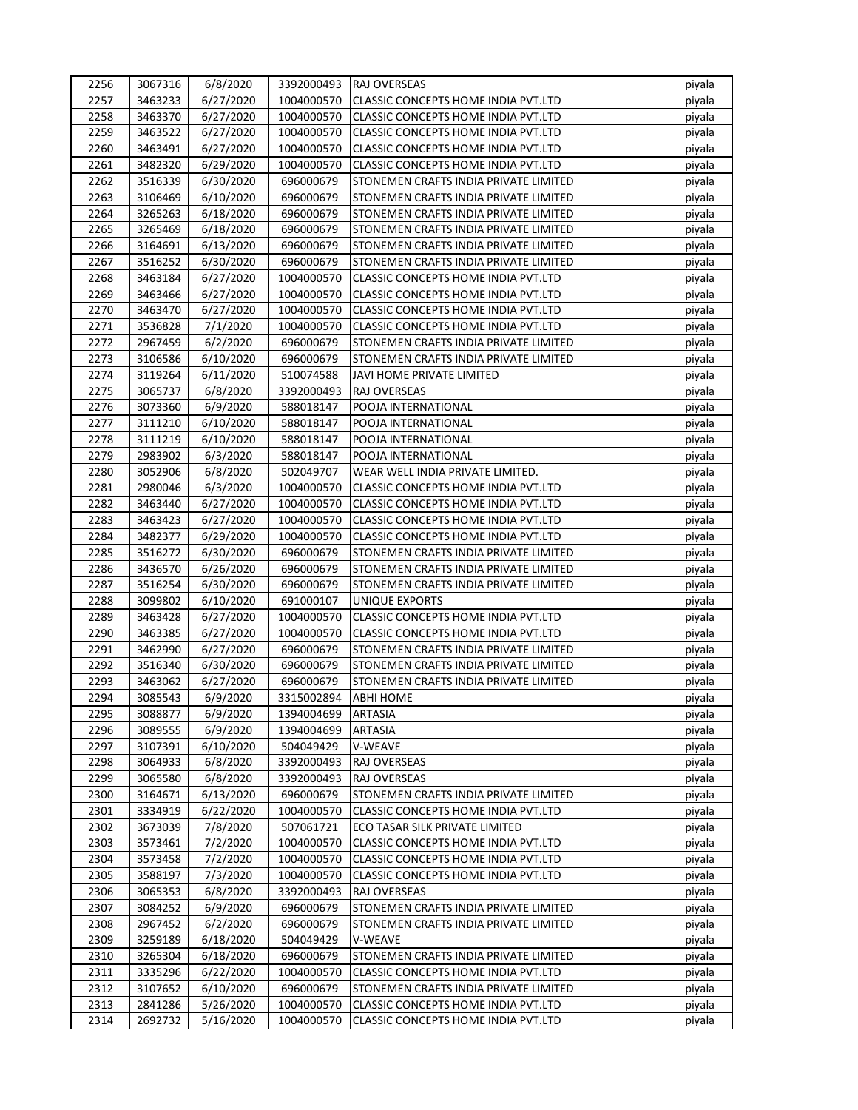| 2256 | 3067316 | 6/8/2020  | 3392000493 | <b>RAJ OVERSEAS</b>                        | piyala |
|------|---------|-----------|------------|--------------------------------------------|--------|
| 2257 | 3463233 | 6/27/2020 | 1004000570 | CLASSIC CONCEPTS HOME INDIA PVT.LTD        | piyala |
| 2258 | 3463370 | 6/27/2020 | 1004000570 | CLASSIC CONCEPTS HOME INDIA PVT.LTD        | piyala |
| 2259 | 3463522 | 6/27/2020 | 1004000570 | CLASSIC CONCEPTS HOME INDIA PVT.LTD        | piyala |
| 2260 | 3463491 | 6/27/2020 | 1004000570 | CLASSIC CONCEPTS HOME INDIA PVT.LTD        | piyala |
| 2261 | 3482320 | 6/29/2020 | 1004000570 | CLASSIC CONCEPTS HOME INDIA PVT.LTD        | piyala |
| 2262 | 3516339 | 6/30/2020 | 696000679  | STONEMEN CRAFTS INDIA PRIVATE LIMITED      | piyala |
| 2263 | 3106469 | 6/10/2020 | 696000679  | STONEMEN CRAFTS INDIA PRIVATE LIMITED      | piyala |
| 2264 | 3265263 | 6/18/2020 | 696000679  | STONEMEN CRAFTS INDIA PRIVATE LIMITED      | piyala |
| 2265 | 3265469 | 6/18/2020 | 696000679  | STONEMEN CRAFTS INDIA PRIVATE LIMITED      | piyala |
| 2266 | 3164691 | 6/13/2020 | 696000679  | STONEMEN CRAFTS INDIA PRIVATE LIMITED      | piyala |
| 2267 | 3516252 | 6/30/2020 | 696000679  | STONEMEN CRAFTS INDIA PRIVATE LIMITED      | piyala |
| 2268 | 3463184 | 6/27/2020 | 1004000570 | CLASSIC CONCEPTS HOME INDIA PVT.LTD        | piyala |
| 2269 | 3463466 | 6/27/2020 | 1004000570 | CLASSIC CONCEPTS HOME INDIA PVT.LTD        | piyala |
| 2270 | 3463470 | 6/27/2020 | 1004000570 | CLASSIC CONCEPTS HOME INDIA PVT.LTD        | piyala |
| 2271 | 3536828 | 7/1/2020  | 1004000570 | CLASSIC CONCEPTS HOME INDIA PVT.LTD        | piyala |
| 2272 | 2967459 | 6/2/2020  | 696000679  | STONEMEN CRAFTS INDIA PRIVATE LIMITED      | piyala |
| 2273 | 3106586 | 6/10/2020 | 696000679  | STONEMEN CRAFTS INDIA PRIVATE LIMITED      | piyala |
| 2274 | 3119264 | 6/11/2020 | 510074588  | JAVI HOME PRIVATE LIMITED                  | piyala |
| 2275 | 3065737 | 6/8/2020  | 3392000493 | RAJ OVERSEAS                               | piyala |
| 2276 | 3073360 | 6/9/2020  | 588018147  | POOJA INTERNATIONAL                        | piyala |
| 2277 | 3111210 | 6/10/2020 | 588018147  | POOJA INTERNATIONAL                        | piyala |
| 2278 | 3111219 | 6/10/2020 | 588018147  | POOJA INTERNATIONAL                        | piyala |
| 2279 | 2983902 | 6/3/2020  | 588018147  | POOJA INTERNATIONAL                        | piyala |
| 2280 | 3052906 | 6/8/2020  | 502049707  | WEAR WELL INDIA PRIVATE LIMITED.           | piyala |
| 2281 | 2980046 | 6/3/2020  | 1004000570 | CLASSIC CONCEPTS HOME INDIA PVT.LTD        | piyala |
| 2282 | 3463440 | 6/27/2020 | 1004000570 | CLASSIC CONCEPTS HOME INDIA PVT.LTD        | piyala |
| 2283 | 3463423 | 6/27/2020 | 1004000570 | CLASSIC CONCEPTS HOME INDIA PVT.LTD        | piyala |
| 2284 | 3482377 | 6/29/2020 | 1004000570 | CLASSIC CONCEPTS HOME INDIA PVT.LTD        | piyala |
| 2285 | 3516272 | 6/30/2020 | 696000679  | STONEMEN CRAFTS INDIA PRIVATE LIMITED      | piyala |
| 2286 | 3436570 | 6/26/2020 | 696000679  | STONEMEN CRAFTS INDIA PRIVATE LIMITED      | piyala |
| 2287 | 3516254 | 6/30/2020 | 696000679  | STONEMEN CRAFTS INDIA PRIVATE LIMITED      | piyala |
| 2288 | 3099802 | 6/10/2020 | 691000107  | UNIQUE EXPORTS                             | piyala |
| 2289 | 3463428 | 6/27/2020 | 1004000570 | CLASSIC CONCEPTS HOME INDIA PVT.LTD        | piyala |
| 2290 | 3463385 | 6/27/2020 | 1004000570 | <b>CLASSIC CONCEPTS HOME INDIA PVT.LTD</b> | piyala |
| 2291 | 3462990 | 6/27/2020 | 696000679  | STONEMEN CRAFTS INDIA PRIVATE LIMITED      | piyala |
| 2292 | 3516340 | 6/30/2020 | 696000679  | STONEMEN CRAFTS INDIA PRIVATE LIMITED      | piyala |
| 2293 | 3463062 | 6/27/2020 | 696000679  | STONEMEN CRAFTS INDIA PRIVATE LIMITED      | piyala |
| 2294 | 3085543 | 6/9/2020  | 3315002894 | <b>ABHI HOME</b>                           | piyala |
| 2295 | 3088877 | 6/9/2020  | 1394004699 | <b>ARTASIA</b>                             | piyala |
| 2296 | 3089555 | 6/9/2020  | 1394004699 | <b>ARTASIA</b>                             | piyala |
| 2297 | 3107391 | 6/10/2020 | 504049429  | V-WEAVE                                    | piyala |
| 2298 | 3064933 | 6/8/2020  | 3392000493 | RAJ OVERSEAS                               | piyala |
| 2299 | 3065580 | 6/8/2020  | 3392000493 | RAJ OVERSEAS                               | piyala |
| 2300 | 3164671 | 6/13/2020 | 696000679  | STONEMEN CRAFTS INDIA PRIVATE LIMITED      | piyala |
| 2301 | 3334919 | 6/22/2020 | 1004000570 | CLASSIC CONCEPTS HOME INDIA PVT.LTD        | piyala |
| 2302 | 3673039 | 7/8/2020  | 507061721  | ECO TASAR SILK PRIVATE LIMITED             | piyala |
| 2303 | 3573461 | 7/2/2020  | 1004000570 | CLASSIC CONCEPTS HOME INDIA PVT.LTD        | piyala |
| 2304 | 3573458 | 7/2/2020  | 1004000570 | CLASSIC CONCEPTS HOME INDIA PVT.LTD        | piyala |
| 2305 | 3588197 | 7/3/2020  | 1004000570 | CLASSIC CONCEPTS HOME INDIA PVT.LTD        | piyala |
| 2306 | 3065353 | 6/8/2020  | 3392000493 | RAJ OVERSEAS                               | piyala |
| 2307 | 3084252 | 6/9/2020  | 696000679  | STONEMEN CRAFTS INDIA PRIVATE LIMITED      | piyala |
| 2308 | 2967452 | 6/2/2020  | 696000679  | STONEMEN CRAFTS INDIA PRIVATE LIMITED      | piyala |
| 2309 | 3259189 | 6/18/2020 | 504049429  | V-WEAVE                                    | piyala |
| 2310 | 3265304 | 6/18/2020 | 696000679  | STONEMEN CRAFTS INDIA PRIVATE LIMITED      | piyala |
| 2311 | 3335296 | 6/22/2020 | 1004000570 | CLASSIC CONCEPTS HOME INDIA PVT.LTD        | piyala |
| 2312 | 3107652 | 6/10/2020 | 696000679  | STONEMEN CRAFTS INDIA PRIVATE LIMITED      | piyala |
| 2313 | 2841286 | 5/26/2020 | 1004000570 | CLASSIC CONCEPTS HOME INDIA PVT.LTD        | piyala |
| 2314 | 2692732 | 5/16/2020 | 1004000570 | CLASSIC CONCEPTS HOME INDIA PVT.LTD        | piyala |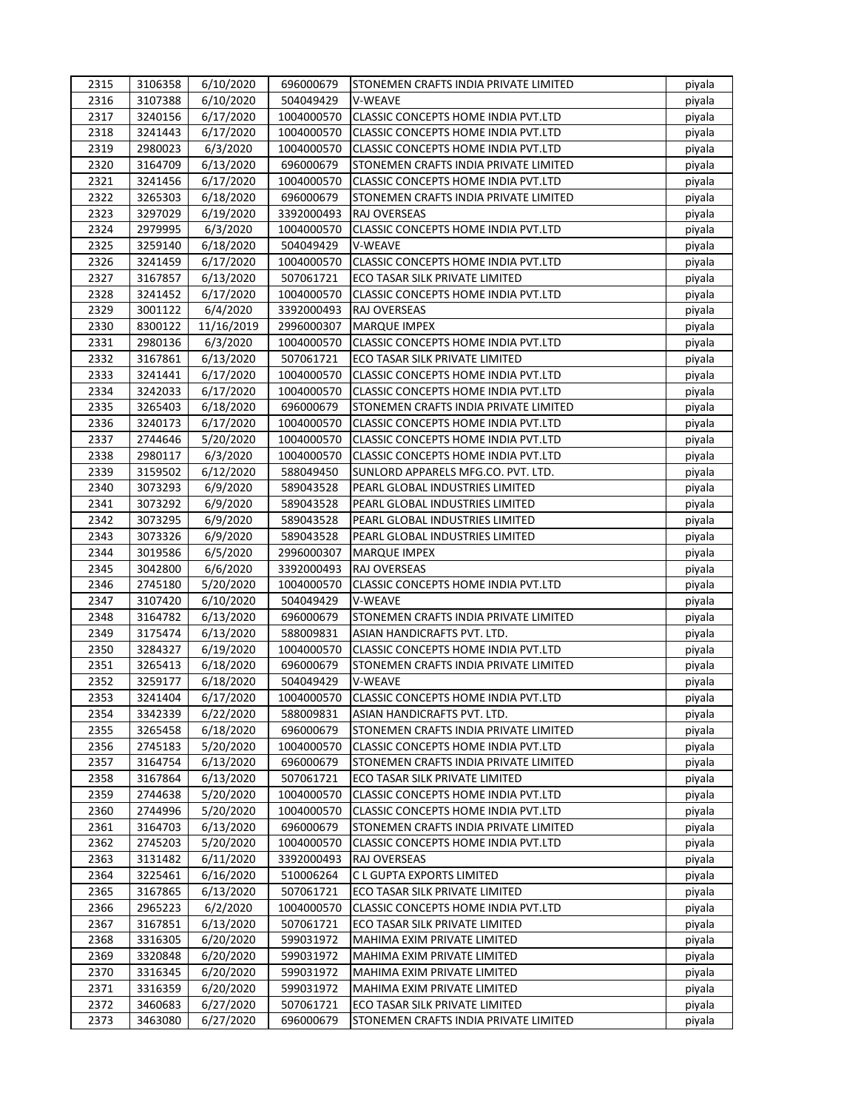| 2315         | 3106358 | 6/10/2020  | 696000679  | STONEMEN CRAFTS INDIA PRIVATE LIMITED      | piyala |
|--------------|---------|------------|------------|--------------------------------------------|--------|
| 2316         | 3107388 | 6/10/2020  | 504049429  | V-WEAVE                                    | piyala |
| 2317         | 3240156 | 6/17/2020  | 1004000570 | CLASSIC CONCEPTS HOME INDIA PVT.LTD        | piyala |
| 2318         | 3241443 | 6/17/2020  | 1004000570 | CLASSIC CONCEPTS HOME INDIA PVT.LTD        | piyala |
| 2319         | 2980023 | 6/3/2020   | 1004000570 | CLASSIC CONCEPTS HOME INDIA PVT.LTD        | piyala |
| 2320         | 3164709 | 6/13/2020  | 696000679  | STONEMEN CRAFTS INDIA PRIVATE LIMITED      | piyala |
| 2321         | 3241456 | 6/17/2020  | 1004000570 | <b>CLASSIC CONCEPTS HOME INDIA PVT.LTD</b> | piyala |
| 2322         | 3265303 | 6/18/2020  | 696000679  | STONEMEN CRAFTS INDIA PRIVATE LIMITED      | piyala |
| 2323         | 3297029 | 6/19/2020  | 3392000493 | RAJ OVERSEAS                               | piyala |
| 2324         | 2979995 | 6/3/2020   | 1004000570 | <b>CLASSIC CONCEPTS HOME INDIA PVT.LTD</b> | piyala |
| 2325         | 3259140 | 6/18/2020  | 504049429  | V-WEAVE                                    | piyala |
| 2326         | 3241459 | 6/17/2020  | 1004000570 | <b>CLASSIC CONCEPTS HOME INDIA PVT.LTD</b> | piyala |
| 2327         | 3167857 | 6/13/2020  | 507061721  | ECO TASAR SILK PRIVATE LIMITED             | piyala |
| 2328         | 3241452 | 6/17/2020  | 1004000570 | CLASSIC CONCEPTS HOME INDIA PVT.LTD        | piyala |
| 2329         | 3001122 | 6/4/2020   | 3392000493 | RAJ OVERSEAS                               | piyala |
| 2330         | 8300122 | 11/16/2019 | 2996000307 | <b>MARQUE IMPEX</b>                        | piyala |
| 2331         | 2980136 | 6/3/2020   | 1004000570 | CLASSIC CONCEPTS HOME INDIA PVT.LTD        | piyala |
| 2332         | 3167861 | 6/13/2020  | 507061721  | ECO TASAR SILK PRIVATE LIMITED             | piyala |
| 2333         | 3241441 | 6/17/2020  | 1004000570 | CLASSIC CONCEPTS HOME INDIA PVT.LTD        | piyala |
| 2334         | 3242033 | 6/17/2020  | 1004000570 | <b>CLASSIC CONCEPTS HOME INDIA PVT.LTD</b> | piyala |
| 2335         | 3265403 | 6/18/2020  | 696000679  | STONEMEN CRAFTS INDIA PRIVATE LIMITED      | piyala |
| 2336         | 3240173 | 6/17/2020  | 1004000570 | CLASSIC CONCEPTS HOME INDIA PVT.LTD        | piyala |
| 2337         | 2744646 | 5/20/2020  | 1004000570 | CLASSIC CONCEPTS HOME INDIA PVT.LTD        | piyala |
| 2338         | 2980117 |            | 1004000570 | CLASSIC CONCEPTS HOME INDIA PVT.LTD        |        |
|              |         | 6/3/2020   |            |                                            | piyala |
| 2339<br>2340 | 3159502 | 6/12/2020  | 588049450  | SUNLORD APPARELS MFG.CO. PVT. LTD.         | piyala |
|              | 3073293 | 6/9/2020   | 589043528  | PEARL GLOBAL INDUSTRIES LIMITED            | piyala |
| 2341         | 3073292 | 6/9/2020   | 589043528  | PEARL GLOBAL INDUSTRIES LIMITED            | piyala |
| 2342         | 3073295 | 6/9/2020   | 589043528  | PEARL GLOBAL INDUSTRIES LIMITED            | piyala |
| 2343         | 3073326 | 6/9/2020   | 589043528  | PEARL GLOBAL INDUSTRIES LIMITED            | piyala |
| 2344         | 3019586 | 6/5/2020   | 2996000307 | <b>MARQUE IMPEX</b>                        | piyala |
| 2345         | 3042800 | 6/6/2020   | 3392000493 | RAJ OVERSEAS                               | piyala |
| 2346         | 2745180 | 5/20/2020  | 1004000570 | CLASSIC CONCEPTS HOME INDIA PVT.LTD        | piyala |
| 2347         | 3107420 | 6/10/2020  | 504049429  | V-WEAVE                                    | piyala |
| 2348         | 3164782 | 6/13/2020  | 696000679  | STONEMEN CRAFTS INDIA PRIVATE LIMITED      | piyala |
| 2349         | 3175474 | 6/13/2020  | 588009831  | ASIAN HANDICRAFTS PVT. LTD.                | piyala |
| 2350         | 3284327 | 6/19/2020  | 1004000570 | CLASSIC CONCEPTS HOME INDIA PVT.LTD        | piyala |
| 2351         | 3265413 | 6/18/2020  | 696000679  | STONEMEN CRAFTS INDIA PRIVATE LIMITED      | piyala |
| 2352         | 3259177 | 6/18/2020  | 504049429  | <b>V-WEAVE</b>                             | piyala |
| 2353         | 3241404 | 6/17/2020  | 1004000570 | CLASSIC CONCEPTS HOME INDIA PVT.LTD        | piyala |
| 2354         | 3342339 | 6/22/2020  | 588009831  | ASIAN HANDICRAFTS PVT. LTD.                | piyala |
| 2355         | 3265458 | 6/18/2020  | 696000679  | STONEMEN CRAFTS INDIA PRIVATE LIMITED      | piyala |
| 2356         | 2745183 | 5/20/2020  | 1004000570 | CLASSIC CONCEPTS HOME INDIA PVT.LTD        | piyala |
| 2357         | 3164754 | 6/13/2020  | 696000679  | STONEMEN CRAFTS INDIA PRIVATE LIMITED      | piyala |
| 2358         | 3167864 | 6/13/2020  | 507061721  | ECO TASAR SILK PRIVATE LIMITED             | piyala |
| 2359         | 2744638 | 5/20/2020  | 1004000570 | CLASSIC CONCEPTS HOME INDIA PVT.LTD        | piyala |
| 2360         | 2744996 | 5/20/2020  | 1004000570 | CLASSIC CONCEPTS HOME INDIA PVT.LTD        | piyala |
| 2361         | 3164703 | 6/13/2020  | 696000679  | STONEMEN CRAFTS INDIA PRIVATE LIMITED      | piyala |
| 2362         | 2745203 | 5/20/2020  | 1004000570 | CLASSIC CONCEPTS HOME INDIA PVT.LTD        | piyala |
| 2363         | 3131482 | 6/11/2020  | 3392000493 | RAJ OVERSEAS                               | piyala |
| 2364         | 3225461 | 6/16/2020  | 510006264  | C L GUPTA EXPORTS LIMITED                  | piyala |
| 2365         | 3167865 | 6/13/2020  | 507061721  | ECO TASAR SILK PRIVATE LIMITED             | piyala |
| 2366         | 2965223 | 6/2/2020   | 1004000570 | CLASSIC CONCEPTS HOME INDIA PVT.LTD        | piyala |
| 2367         | 3167851 | 6/13/2020  | 507061721  | ECO TASAR SILK PRIVATE LIMITED             | piyala |
| 2368         | 3316305 | 6/20/2020  | 599031972  | MAHIMA EXIM PRIVATE LIMITED                | piyala |
| 2369         | 3320848 | 6/20/2020  | 599031972  | MAHIMA EXIM PRIVATE LIMITED                | piyala |
| 2370         | 3316345 | 6/20/2020  | 599031972  | MAHIMA EXIM PRIVATE LIMITED                | piyala |
| 2371         | 3316359 | 6/20/2020  | 599031972  | MAHIMA EXIM PRIVATE LIMITED                | piyala |
| 2372         |         |            | 507061721  |                                            |        |
|              | 3460683 | 6/27/2020  |            | ECO TASAR SILK PRIVATE LIMITED             | piyala |
| 2373         | 3463080 | 6/27/2020  | 696000679  | STONEMEN CRAFTS INDIA PRIVATE LIMITED      | piyala |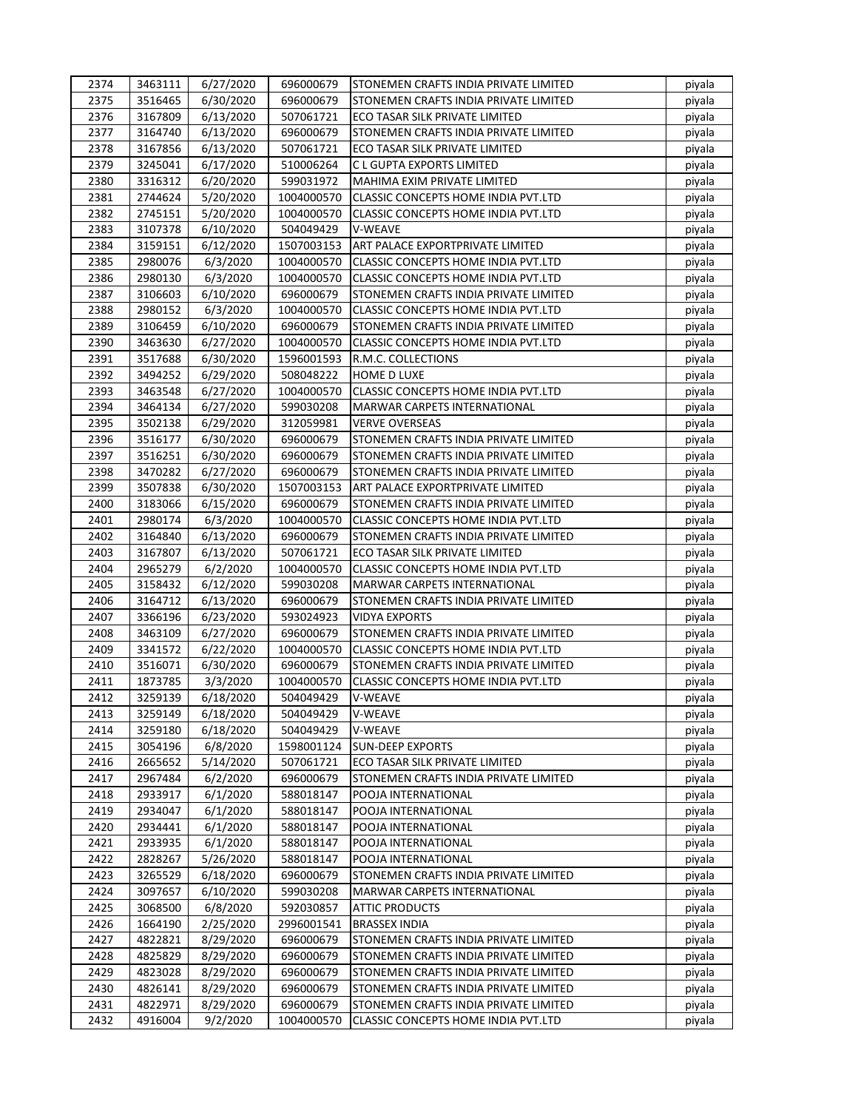| 2374 | 3463111            | 6/27/2020             | 696000679  | ISTONEMEN CRAFTS INDIA PRIVATE LIMITED     | piyala |
|------|--------------------|-----------------------|------------|--------------------------------------------|--------|
| 2375 | 3516465            | 6/30/2020             | 696000679  | STONEMEN CRAFTS INDIA PRIVATE LIMITED      | piyala |
| 2376 | 3167809            | 6/13/2020             | 507061721  | ECO TASAR SILK PRIVATE LIMITED             | piyala |
| 2377 | 3164740            | 6/13/2020             | 696000679  | STONEMEN CRAFTS INDIA PRIVATE LIMITED      | piyala |
| 2378 | 3167856            | 6/13/2020             | 507061721  | ECO TASAR SILK PRIVATE LIMITED             | piyala |
| 2379 | 3245041            | 6/17/2020             | 510006264  | C L GUPTA EXPORTS LIMITED                  | piyala |
| 2380 | 3316312            | 6/20/2020             | 599031972  | <b>MAHIMA EXIM PRIVATE LIMITED</b>         | piyala |
| 2381 | 2744624            | 5/20/2020             | 1004000570 | CLASSIC CONCEPTS HOME INDIA PVT.LTD        | piyala |
| 2382 | 2745151            | 5/20/2020             | 1004000570 | CLASSIC CONCEPTS HOME INDIA PVT.LTD        | piyala |
| 2383 | 3107378            | 6/10/2020             | 504049429  | V-WEAVE                                    | piyala |
| 2384 | 3159151            | 6/12/2020             | 1507003153 | ART PALACE EXPORTPRIVATE LIMITED           | piyala |
| 2385 | 2980076            | 6/3/2020              | 1004000570 | CLASSIC CONCEPTS HOME INDIA PVT.LTD        | piyala |
| 2386 | 2980130            | 6/3/2020              | 1004000570 | CLASSIC CONCEPTS HOME INDIA PVT.LTD        | piyala |
| 2387 | 3106603            | 6/10/2020             | 696000679  | STONEMEN CRAFTS INDIA PRIVATE LIMITED      | piyala |
| 2388 | 2980152            | 6/3/2020              | 1004000570 | CLASSIC CONCEPTS HOME INDIA PVT.LTD        | piyala |
| 2389 | 3106459            | 6/10/2020             | 696000679  | STONEMEN CRAFTS INDIA PRIVATE LIMITED      | piyala |
| 2390 | 3463630            | 6/27/2020             | 1004000570 | CLASSIC CONCEPTS HOME INDIA PVT.LTD        | piyala |
| 2391 | 3517688            | 6/30/2020             | 1596001593 | R.M.C. COLLECTIONS                         | piyala |
| 2392 | 3494252            | 6/29/2020             | 508048222  | <b>HOME D LUXE</b>                         | piyala |
| 2393 | 3463548            | 6/27/2020             | 1004000570 | CLASSIC CONCEPTS HOME INDIA PVT.LTD        | piyala |
| 2394 | 3464134            | 6/27/2020             | 599030208  | MARWAR CARPETS INTERNATIONAL               | piyala |
| 2395 | 3502138            | 6/29/2020             | 312059981  | <b>VERVE OVERSEAS</b>                      | piyala |
| 2396 | 3516177            | 6/30/2020             | 696000679  | STONEMEN CRAFTS INDIA PRIVATE LIMITED      | piyala |
| 2397 | 3516251            | 6/30/2020             | 696000679  | STONEMEN CRAFTS INDIA PRIVATE LIMITED      | piyala |
| 2398 | 3470282            | 6/27/2020             | 696000679  | STONEMEN CRAFTS INDIA PRIVATE LIMITED      | piyala |
| 2399 | 3507838            | 6/30/2020             | 1507003153 | ART PALACE EXPORTPRIVATE LIMITED           | piyala |
| 2400 | 3183066            | 6/15/2020             | 696000679  | STONEMEN CRAFTS INDIA PRIVATE LIMITED      | piyala |
| 2401 | 2980174            | 6/3/2020              | 1004000570 | CLASSIC CONCEPTS HOME INDIA PVT.LTD        | piyala |
| 2402 | 3164840            | 6/13/2020             | 696000679  | STONEMEN CRAFTS INDIA PRIVATE LIMITED      | piyala |
| 2403 | 3167807            | 6/13/2020             | 507061721  | ECO TASAR SILK PRIVATE LIMITED             | piyala |
| 2404 | 2965279            | 6/2/2020              | 1004000570 | CLASSIC CONCEPTS HOME INDIA PVT.LTD        | piyala |
| 2405 | 3158432            | 6/12/2020             | 599030208  | MARWAR CARPETS INTERNATIONAL               | piyala |
| 2406 | 3164712            | 6/13/2020             | 696000679  | STONEMEN CRAFTS INDIA PRIVATE LIMITED      | piyala |
| 2407 | 3366196            | 6/23/2020             | 593024923  | <b>VIDYA EXPORTS</b>                       | piyala |
| 2408 | 3463109            | 6/27/2020             | 696000679  | STONEMEN CRAFTS INDIA PRIVATE LIMITED      | piyala |
| 2409 | 3341572            | 6/22/2020             | 1004000570 | CLASSIC CONCEPTS HOME INDIA PVT.LTD        | piyala |
| 2410 | 3516071            | 6/30/2020             | 696000679  | STONEMEN CRAFTS INDIA PRIVATE LIMITED      | piyala |
| 2411 | 1873785            | 3/3/2020              | 1004000570 | <b>CLASSIC CONCEPTS HOME INDIA PVT.LTD</b> | piyala |
| 2412 | 3259139            | 6/18/2020             | 504049429  | <b>V-WEAVE</b>                             | piyala |
| 2413 | 3259149            | 6/18/2020             | 504049429  | V-WEAVE                                    | piyala |
| 2414 | 3259180            | 6/18/2020             | 504049429  | V-WEAVE                                    | piyala |
| 2415 | 3054196            | 6/8/2020              | 1598001124 | <b>SUN-DEEP EXPORTS</b>                    | piyala |
| 2416 | 2665652            | 5/14/2020             | 507061721  | ECO TASAR SILK PRIVATE LIMITED             | piyala |
| 2417 | 2967484            | 6/2/2020              | 696000679  | STONEMEN CRAFTS INDIA PRIVATE LIMITED      | piyala |
| 2418 | 2933917            | 6/1/2020              | 588018147  | POOJA INTERNATIONAL                        | piyala |
| 2419 | 2934047            | 6/1/2020              | 588018147  | POOJA INTERNATIONAL                        | piyala |
| 2420 | 2934441            | 6/1/2020              | 588018147  | POOJA INTERNATIONAL                        | piyala |
| 2421 |                    |                       |            |                                            |        |
| 2422 | 2933935<br>2828267 | 6/1/2020<br>5/26/2020 | 588018147  | POOJA INTERNATIONAL                        | piyala |
|      |                    |                       | 588018147  | POOJA INTERNATIONAL                        | piyala |
| 2423 | 3265529            | 6/18/2020             | 696000679  | STONEMEN CRAFTS INDIA PRIVATE LIMITED      | piyala |
| 2424 | 3097657            | 6/10/2020             | 599030208  | MARWAR CARPETS INTERNATIONAL               | piyala |
| 2425 | 3068500            | 6/8/2020              | 592030857  | <b>ATTIC PRODUCTS</b>                      | piyala |
| 2426 | 1664190            | 2/25/2020             | 2996001541 | <b>BRASSEX INDIA</b>                       | piyala |
| 2427 | 4822821            | 8/29/2020             | 696000679  | STONEMEN CRAFTS INDIA PRIVATE LIMITED      | piyala |
| 2428 | 4825829            | 8/29/2020             | 696000679  | STONEMEN CRAFTS INDIA PRIVATE LIMITED      | piyala |
| 2429 | 4823028            | 8/29/2020             | 696000679  | STONEMEN CRAFTS INDIA PRIVATE LIMITED      | piyala |
| 2430 | 4826141            | 8/29/2020             | 696000679  | STONEMEN CRAFTS INDIA PRIVATE LIMITED      | piyala |
| 2431 | 4822971            | 8/29/2020             | 696000679  | STONEMEN CRAFTS INDIA PRIVATE LIMITED      | piyala |
| 2432 | 4916004            | 9/2/2020              | 1004000570 | CLASSIC CONCEPTS HOME INDIA PVT.LTD        | piyala |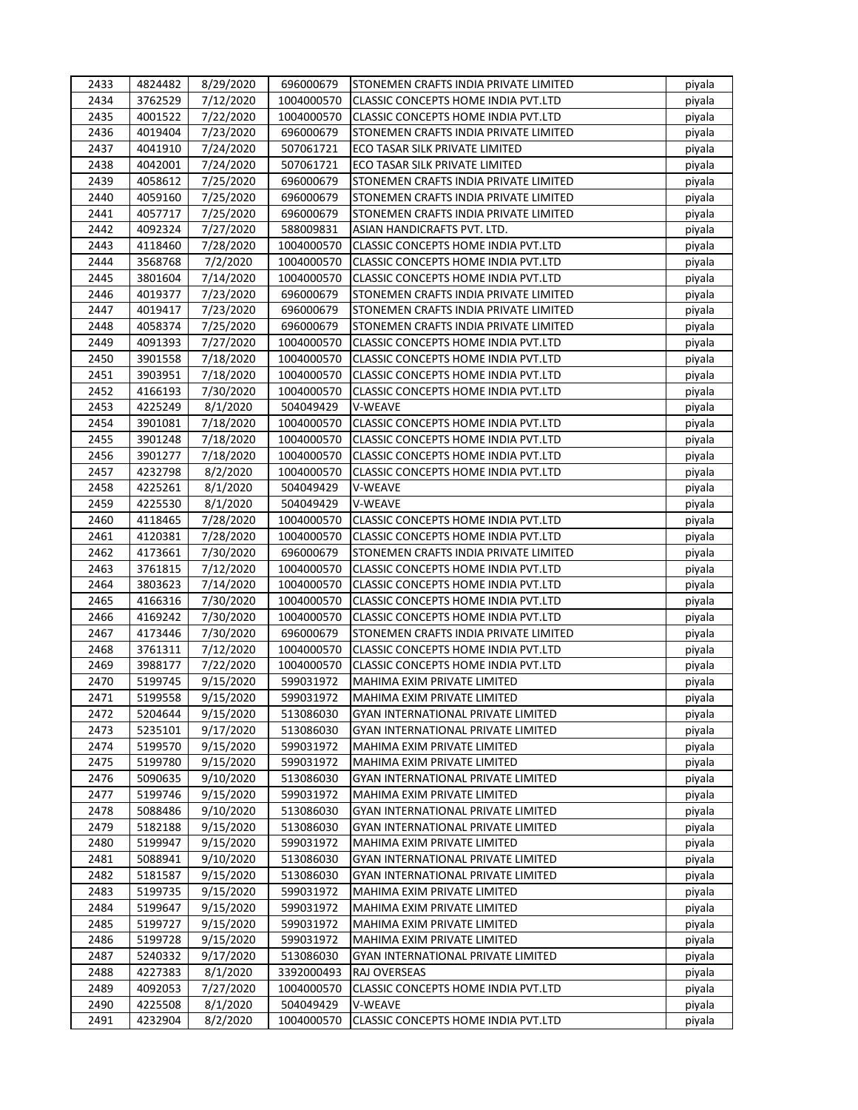| 2433 | 4824482 | 8/29/2020 | 696000679  | STONEMEN CRAFTS INDIA PRIVATE LIMITED      | piyala |
|------|---------|-----------|------------|--------------------------------------------|--------|
| 2434 | 3762529 | 7/12/2020 | 1004000570 | CLASSIC CONCEPTS HOME INDIA PVT.LTD        | piyala |
| 2435 | 4001522 | 7/22/2020 | 1004000570 | CLASSIC CONCEPTS HOME INDIA PVT.LTD        | piyala |
| 2436 | 4019404 | 7/23/2020 | 696000679  | STONEMEN CRAFTS INDIA PRIVATE LIMITED      | piyala |
| 2437 | 4041910 | 7/24/2020 | 507061721  | ECO TASAR SILK PRIVATE LIMITED             | piyala |
| 2438 | 4042001 | 7/24/2020 | 507061721  | ECO TASAR SILK PRIVATE LIMITED             | piyala |
| 2439 | 4058612 | 7/25/2020 | 696000679  | STONEMEN CRAFTS INDIA PRIVATE LIMITED      | piyala |
| 2440 | 4059160 | 7/25/2020 | 696000679  | STONEMEN CRAFTS INDIA PRIVATE LIMITED      | piyala |
| 2441 | 4057717 | 7/25/2020 | 696000679  | STONEMEN CRAFTS INDIA PRIVATE LIMITED      | piyala |
| 2442 | 4092324 | 7/27/2020 | 588009831  | ASIAN HANDICRAFTS PVT. LTD.                | piyala |
| 2443 | 4118460 | 7/28/2020 | 1004000570 | CLASSIC CONCEPTS HOME INDIA PVT.LTD        | piyala |
| 2444 | 3568768 | 7/2/2020  | 1004000570 | CLASSIC CONCEPTS HOME INDIA PVT.LTD        | piyala |
| 2445 | 3801604 | 7/14/2020 | 1004000570 | CLASSIC CONCEPTS HOME INDIA PVT.LTD        | piyala |
| 2446 | 4019377 | 7/23/2020 | 696000679  | STONEMEN CRAFTS INDIA PRIVATE LIMITED      | piyala |
| 2447 | 4019417 | 7/23/2020 | 696000679  | STONEMEN CRAFTS INDIA PRIVATE LIMITED      | piyala |
| 2448 | 4058374 | 7/25/2020 | 696000679  | STONEMEN CRAFTS INDIA PRIVATE LIMITED      | piyala |
| 2449 | 4091393 | 7/27/2020 | 1004000570 | CLASSIC CONCEPTS HOME INDIA PVT.LTD        | piyala |
| 2450 | 3901558 | 7/18/2020 | 1004000570 | CLASSIC CONCEPTS HOME INDIA PVT.LTD        | piyala |
| 2451 | 3903951 | 7/18/2020 | 1004000570 | CLASSIC CONCEPTS HOME INDIA PVT.LTD        | piyala |
| 2452 | 4166193 | 7/30/2020 | 1004000570 | CLASSIC CONCEPTS HOME INDIA PVT.LTD        | piyala |
| 2453 | 4225249 | 8/1/2020  | 504049429  | V-WEAVE                                    | piyala |
| 2454 | 3901081 | 7/18/2020 | 1004000570 | CLASSIC CONCEPTS HOME INDIA PVT.LTD        | piyala |
| 2455 | 3901248 | 7/18/2020 | 1004000570 | CLASSIC CONCEPTS HOME INDIA PVT.LTD        | piyala |
| 2456 | 3901277 | 7/18/2020 | 1004000570 | CLASSIC CONCEPTS HOME INDIA PVT.LTD        | piyala |
| 2457 | 4232798 | 8/2/2020  | 1004000570 | CLASSIC CONCEPTS HOME INDIA PVT.LTD        | piyala |
| 2458 | 4225261 | 8/1/2020  | 504049429  | V-WEAVE                                    | piyala |
| 2459 | 4225530 | 8/1/2020  | 504049429  | V-WEAVE                                    | piyala |
| 2460 | 4118465 | 7/28/2020 | 1004000570 | CLASSIC CONCEPTS HOME INDIA PVT.LTD        | piyala |
| 2461 | 4120381 | 7/28/2020 | 1004000570 | CLASSIC CONCEPTS HOME INDIA PVT.LTD        | piyala |
| 2462 | 4173661 | 7/30/2020 | 696000679  | STONEMEN CRAFTS INDIA PRIVATE LIMITED      | piyala |
| 2463 | 3761815 | 7/12/2020 | 1004000570 | CLASSIC CONCEPTS HOME INDIA PVT.LTD        | piyala |
| 2464 | 3803623 | 7/14/2020 | 1004000570 | CLASSIC CONCEPTS HOME INDIA PVT.LTD        | piyala |
| 2465 | 4166316 | 7/30/2020 | 1004000570 | CLASSIC CONCEPTS HOME INDIA PVT.LTD        | piyala |
| 2466 | 4169242 | 7/30/2020 | 1004000570 | CLASSIC CONCEPTS HOME INDIA PVT.LTD        | piyala |
| 2467 | 4173446 | 7/30/2020 | 696000679  | STONEMEN CRAFTS INDIA PRIVATE LIMITED      | piyala |
| 2468 | 3761311 | 7/12/2020 | 1004000570 | <b>CLASSIC CONCEPTS HOME INDIA PVT.LTD</b> | piyala |
| 2469 | 3988177 | 7/22/2020 | 1004000570 | CLASSIC CONCEPTS HOME INDIA PVT.LTD        | piyala |
| 2470 | 5199745 | 9/15/2020 | 599031972  | MAHIMA EXIM PRIVATE LIMITED                | piyala |
| 2471 | 5199558 | 9/15/2020 | 599031972  | MAHIMA EXIM PRIVATE LIMITED                | piyala |
| 2472 | 5204644 | 9/15/2020 | 513086030  | GYAN INTERNATIONAL PRIVATE LIMITED         | piyala |
| 2473 | 5235101 | 9/17/2020 | 513086030  | GYAN INTERNATIONAL PRIVATE LIMITED         | piyala |
| 2474 | 5199570 | 9/15/2020 | 599031972  | MAHIMA EXIM PRIVATE LIMITED                | piyala |
| 2475 | 5199780 | 9/15/2020 | 599031972  | MAHIMA EXIM PRIVATE LIMITED                | piyala |
| 2476 | 5090635 | 9/10/2020 | 513086030  | <b>GYAN INTERNATIONAL PRIVATE LIMITED</b>  | piyala |
| 2477 | 5199746 | 9/15/2020 | 599031972  | MAHIMA EXIM PRIVATE LIMITED                | piyala |
| 2478 | 5088486 | 9/10/2020 | 513086030  | <b>GYAN INTERNATIONAL PRIVATE LIMITED</b>  | piyala |
| 2479 | 5182188 | 9/15/2020 | 513086030  | GYAN INTERNATIONAL PRIVATE LIMITED         | piyala |
| 2480 | 5199947 | 9/15/2020 | 599031972  | MAHIMA EXIM PRIVATE LIMITED                | piyala |
| 2481 | 5088941 | 9/10/2020 | 513086030  | GYAN INTERNATIONAL PRIVATE LIMITED         | piyala |
| 2482 | 5181587 | 9/15/2020 | 513086030  | GYAN INTERNATIONAL PRIVATE LIMITED         | piyala |
| 2483 | 5199735 | 9/15/2020 | 599031972  | MAHIMA EXIM PRIVATE LIMITED                | piyala |
| 2484 | 5199647 | 9/15/2020 | 599031972  | MAHIMA EXIM PRIVATE LIMITED                | piyala |
| 2485 | 5199727 | 9/15/2020 | 599031972  | MAHIMA EXIM PRIVATE LIMITED                | piyala |
| 2486 | 5199728 | 9/15/2020 | 599031972  | MAHIMA EXIM PRIVATE LIMITED                | piyala |
| 2487 | 5240332 | 9/17/2020 | 513086030  | <b>GYAN INTERNATIONAL PRIVATE LIMITED</b>  | piyala |
| 2488 | 4227383 | 8/1/2020  | 3392000493 | RAJ OVERSEAS                               | piyala |
| 2489 | 4092053 | 7/27/2020 | 1004000570 | CLASSIC CONCEPTS HOME INDIA PVT.LTD        | piyala |
| 2490 | 4225508 | 8/1/2020  | 504049429  | V-WEAVE                                    | piyala |
| 2491 | 4232904 | 8/2/2020  | 1004000570 | CLASSIC CONCEPTS HOME INDIA PVT.LTD        | piyala |
|      |         |           |            |                                            |        |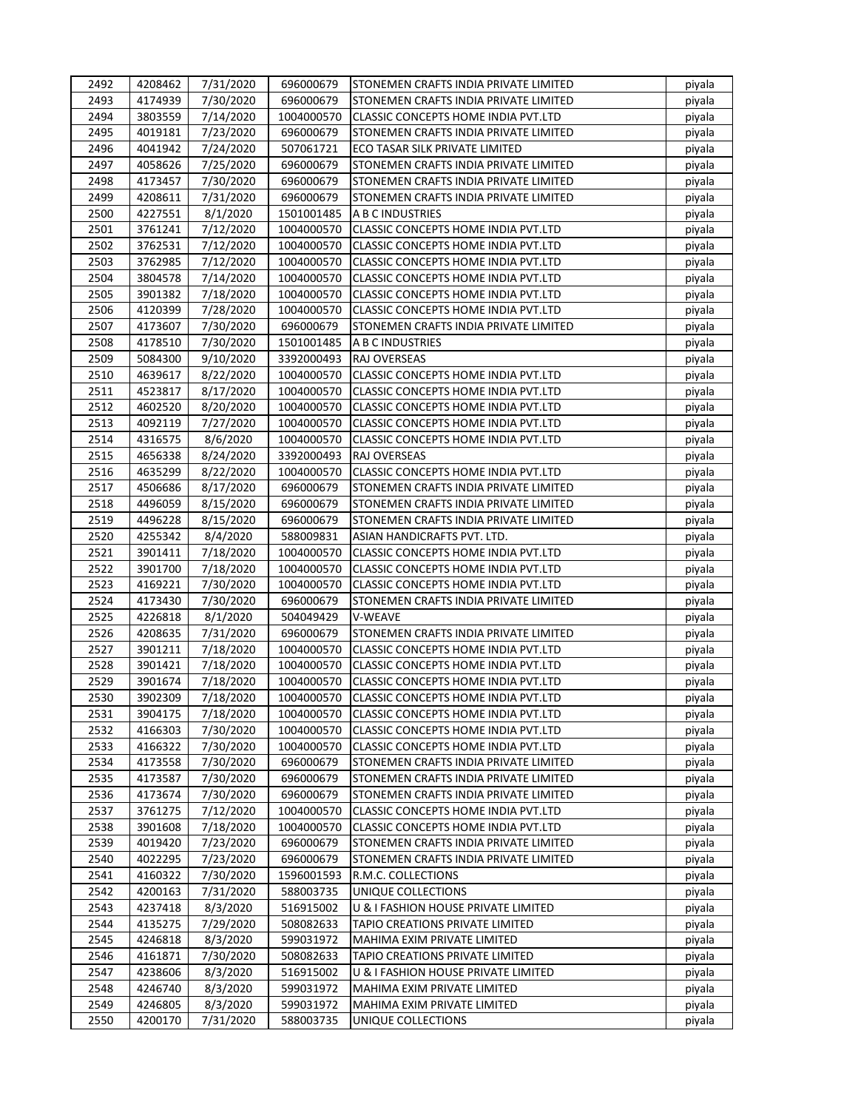| 2492 | 4208462            | 7/31/2020 | 696000679                | STONEMEN CRAFTS INDIA PRIVATE LIMITED                                      | piyala           |
|------|--------------------|-----------|--------------------------|----------------------------------------------------------------------------|------------------|
| 2493 | 4174939            | 7/30/2020 | 696000679                | STONEMEN CRAFTS INDIA PRIVATE LIMITED                                      | piyala           |
| 2494 | 3803559            | 7/14/2020 | 1004000570               | CLASSIC CONCEPTS HOME INDIA PVT.LTD                                        | piyala           |
| 2495 | 4019181            | 7/23/2020 | 696000679                | STONEMEN CRAFTS INDIA PRIVATE LIMITED                                      | piyala           |
| 2496 | 4041942            | 7/24/2020 | 507061721                | ECO TASAR SILK PRIVATE LIMITED                                             | piyala           |
| 2497 | 4058626            | 7/25/2020 | 696000679                | STONEMEN CRAFTS INDIA PRIVATE LIMITED                                      | piyala           |
| 2498 | 4173457            | 7/30/2020 | 696000679                | STONEMEN CRAFTS INDIA PRIVATE LIMITED                                      | piyala           |
| 2499 | 4208611            | 7/31/2020 | 696000679                | STONEMEN CRAFTS INDIA PRIVATE LIMITED                                      | piyala           |
| 2500 | 4227551            | 8/1/2020  | 1501001485               | A B C INDUSTRIES                                                           | piyala           |
| 2501 | 3761241            | 7/12/2020 | 1004000570               | <b>CLASSIC CONCEPTS HOME INDIA PVT.LTD</b>                                 | piyala           |
| 2502 | 3762531            | 7/12/2020 | 1004000570               | CLASSIC CONCEPTS HOME INDIA PVT.LTD                                        | piyala           |
| 2503 | 3762985            | 7/12/2020 | 1004000570               | CLASSIC CONCEPTS HOME INDIA PVT.LTD                                        | piyala           |
| 2504 | 3804578            | 7/14/2020 | 1004000570               | <b>CLASSIC CONCEPTS HOME INDIA PVT.LTD</b>                                 | piyala           |
| 2505 | 3901382            | 7/18/2020 | 1004000570               | CLASSIC CONCEPTS HOME INDIA PVT.LTD                                        | piyala           |
| 2506 | 4120399            | 7/28/2020 | 1004000570               | CLASSIC CONCEPTS HOME INDIA PVT.LTD                                        | piyala           |
| 2507 | 4173607            | 7/30/2020 | 696000679                | STONEMEN CRAFTS INDIA PRIVATE LIMITED                                      | piyala           |
| 2508 | 4178510            | 7/30/2020 | 1501001485               | A B C INDUSTRIES                                                           | piyala           |
| 2509 | 5084300            | 9/10/2020 | 3392000493               | RAJ OVERSEAS                                                               | piyala           |
| 2510 | 4639617            | 8/22/2020 | 1004000570               | CLASSIC CONCEPTS HOME INDIA PVT.LTD                                        | piyala           |
| 2511 | 4523817            | 8/17/2020 | 1004000570               | CLASSIC CONCEPTS HOME INDIA PVT.LTD                                        | piyala           |
| 2512 | 4602520            | 8/20/2020 | 1004000570               | CLASSIC CONCEPTS HOME INDIA PVT.LTD                                        | piyala           |
| 2513 | 4092119            | 7/27/2020 | 1004000570               | <b>CLASSIC CONCEPTS HOME INDIA PVT.LTD</b>                                 | piyala           |
| 2514 | 4316575            | 8/6/2020  | 1004000570               | CLASSIC CONCEPTS HOME INDIA PVT.LTD                                        | piyala           |
| 2515 | 4656338            | 8/24/2020 | 3392000493               | RAJ OVERSEAS                                                               | piyala           |
| 2516 | 4635299            | 8/22/2020 | 1004000570               | CLASSIC CONCEPTS HOME INDIA PVT.LTD                                        | piyala           |
| 2517 | 4506686            | 8/17/2020 | 696000679                | STONEMEN CRAFTS INDIA PRIVATE LIMITED                                      | piyala           |
| 2518 | 4496059            | 8/15/2020 | 696000679                | STONEMEN CRAFTS INDIA PRIVATE LIMITED                                      | piyala           |
| 2519 | 4496228            | 8/15/2020 | 696000679                | STONEMEN CRAFTS INDIA PRIVATE LIMITED                                      |                  |
| 2520 | 4255342            | 8/4/2020  | 588009831                | ASIAN HANDICRAFTS PVT. LTD.                                                | piyala<br>piyala |
| 2521 | 3901411            | 7/18/2020 | 1004000570               | CLASSIC CONCEPTS HOME INDIA PVT.LTD                                        | piyala           |
| 2522 | 3901700            | 7/18/2020 | 1004000570               | CLASSIC CONCEPTS HOME INDIA PVT.LTD                                        | piyala           |
| 2523 | 4169221            | 7/30/2020 | 1004000570               | CLASSIC CONCEPTS HOME INDIA PVT.LTD                                        | piyala           |
| 2524 | 4173430            | 7/30/2020 | 696000679                | STONEMEN CRAFTS INDIA PRIVATE LIMITED                                      |                  |
| 2525 | 4226818            | 8/1/2020  | 504049429                | V-WEAVE                                                                    | piyala<br>piyala |
| 2526 |                    | 7/31/2020 | 696000679                | STONEMEN CRAFTS INDIA PRIVATE LIMITED                                      |                  |
| 2527 | 4208635<br>3901211 | 7/18/2020 | 1004000570               |                                                                            | piyala           |
| 2528 | 3901421            |           | 1004000570               | CLASSIC CONCEPTS HOME INDIA PVT.LTD<br>CLASSIC CONCEPTS HOME INDIA PVT.LTD | piyala           |
| 2529 |                    | 7/18/2020 |                          | CLASSIC CONCEPTS HOME INDIA PVT.LTD                                        | piyala           |
|      | 3901674            | 7/18/2020 | 1004000570               |                                                                            | piyala           |
| 2530 | 3902309            | 7/18/2020 | 1004000570<br>1004000570 | CLASSIC CONCEPTS HOME INDIA PVT.LTD                                        | piyala           |
| 2531 | 3904175            | 7/18/2020 |                          | CLASSIC CONCEPTS HOME INDIA PVT.LTD                                        | piyala           |
| 2532 | 4166303            | 7/30/2020 | 1004000570               | <b>CLASSIC CONCEPTS HOME INDIA PVT.LTD</b>                                 | piyala           |
| 2533 | 4166322            | 7/30/2020 | 1004000570               | CLASSIC CONCEPTS HOME INDIA PVT.LTD                                        | piyala           |
| 2534 | 4173558            | 7/30/2020 | 696000679                | STONEMEN CRAFTS INDIA PRIVATE LIMITED                                      | piyala           |
| 2535 | 4173587            | 7/30/2020 | 696000679                | STONEMEN CRAFTS INDIA PRIVATE LIMITED                                      | piyala           |
| 2536 | 4173674            | 7/30/2020 | 696000679                | STONEMEN CRAFTS INDIA PRIVATE LIMITED                                      | piyala           |
| 2537 | 3761275            | 7/12/2020 | 1004000570               | CLASSIC CONCEPTS HOME INDIA PVT.LTD                                        | piyala           |
| 2538 | 3901608            | 7/18/2020 | 1004000570               | CLASSIC CONCEPTS HOME INDIA PVT.LTD                                        | piyala           |
| 2539 | 4019420            | 7/23/2020 | 696000679                | STONEMEN CRAFTS INDIA PRIVATE LIMITED                                      | piyala           |
| 2540 | 4022295            | 7/23/2020 | 696000679                | STONEMEN CRAFTS INDIA PRIVATE LIMITED                                      | piyala           |
| 2541 | 4160322            | 7/30/2020 | 1596001593               | R.M.C. COLLECTIONS                                                         | piyala           |
| 2542 | 4200163            | 7/31/2020 | 588003735                | UNIQUE COLLECTIONS                                                         | piyala           |
| 2543 | 4237418            | 8/3/2020  | 516915002                | U & I FASHION HOUSE PRIVATE LIMITED                                        | piyala           |
| 2544 | 4135275            | 7/29/2020 | 508082633                | TAPIO CREATIONS PRIVATE LIMITED                                            | piyala           |
| 2545 | 4246818            | 8/3/2020  | 599031972                | MAHIMA EXIM PRIVATE LIMITED                                                | piyala           |
| 2546 | 4161871            | 7/30/2020 | 508082633                | TAPIO CREATIONS PRIVATE LIMITED                                            | piyala           |
| 2547 | 4238606            | 8/3/2020  | 516915002                | U & I FASHION HOUSE PRIVATE LIMITED                                        | piyala           |
| 2548 | 4246740            | 8/3/2020  | 599031972                | MAHIMA EXIM PRIVATE LIMITED                                                | piyala           |
| 2549 | 4246805            | 8/3/2020  | 599031972                | MAHIMA EXIM PRIVATE LIMITED                                                | piyala           |
| 2550 | 4200170            | 7/31/2020 | 588003735                | UNIQUE COLLECTIONS                                                         | piyala           |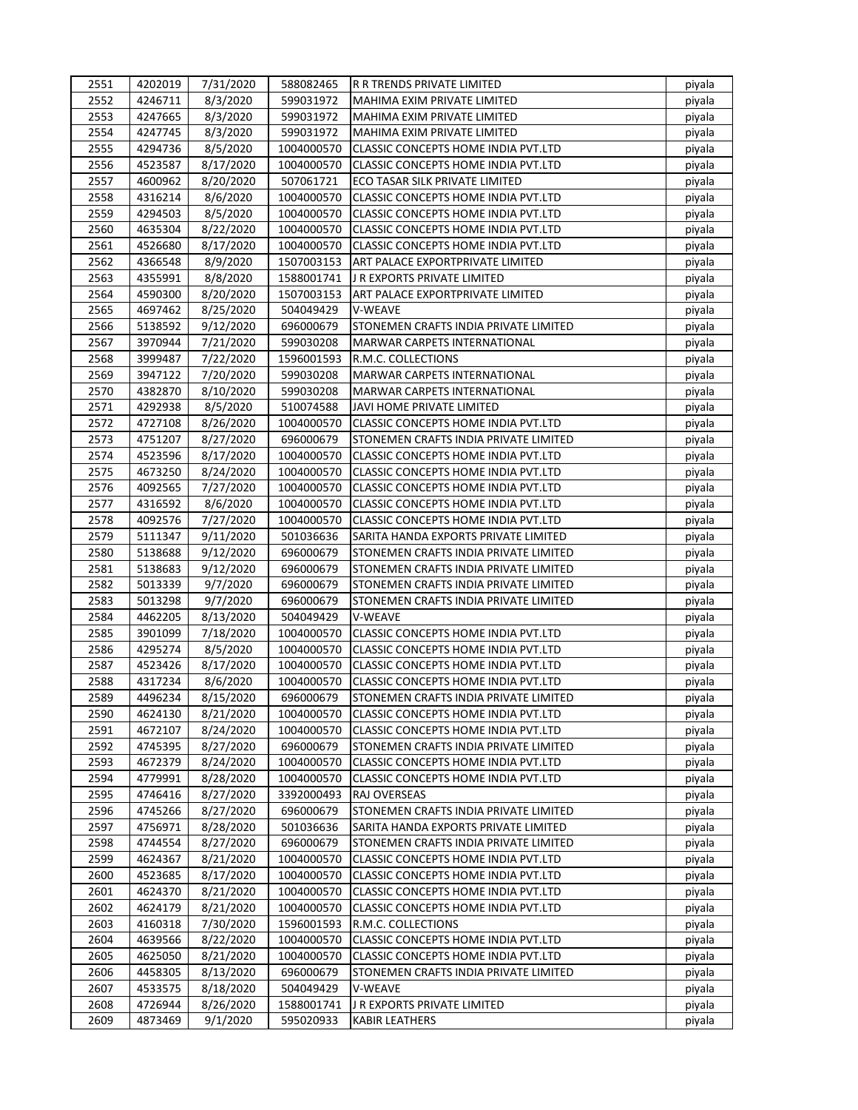| 2551 | 4202019 | 7/31/2020 | 588082465  | IR R TRENDS PRIVATE LIMITED                | piyala |
|------|---------|-----------|------------|--------------------------------------------|--------|
| 2552 | 4246711 | 8/3/2020  | 599031972  | MAHIMA EXIM PRIVATE LIMITED                | piyala |
| 2553 | 4247665 | 8/3/2020  | 599031972  | MAHIMA EXIM PRIVATE LIMITED                | piyala |
| 2554 | 4247745 | 8/3/2020  | 599031972  | MAHIMA EXIM PRIVATE LIMITED                | piyala |
| 2555 | 4294736 | 8/5/2020  | 1004000570 | CLASSIC CONCEPTS HOME INDIA PVT.LTD        | piyala |
| 2556 | 4523587 | 8/17/2020 | 1004000570 | CLASSIC CONCEPTS HOME INDIA PVT.LTD        | piyala |
| 2557 | 4600962 | 8/20/2020 | 507061721  | ECO TASAR SILK PRIVATE LIMITED             | piyala |
| 2558 | 4316214 | 8/6/2020  | 1004000570 | CLASSIC CONCEPTS HOME INDIA PVT.LTD        | piyala |
| 2559 | 4294503 | 8/5/2020  | 1004000570 | CLASSIC CONCEPTS HOME INDIA PVT.LTD        | piyala |
| 2560 | 4635304 | 8/22/2020 | 1004000570 | <b>CLASSIC CONCEPTS HOME INDIA PVT.LTD</b> | piyala |
| 2561 | 4526680 | 8/17/2020 | 1004000570 | <b>CLASSIC CONCEPTS HOME INDIA PVT.LTD</b> | piyala |
| 2562 | 4366548 | 8/9/2020  | 1507003153 | ART PALACE EXPORTPRIVATE LIMITED           | piyala |
| 2563 | 4355991 | 8/8/2020  | 1588001741 | J R EXPORTS PRIVATE LIMITED                | piyala |
| 2564 | 4590300 | 8/20/2020 | 1507003153 | ART PALACE EXPORTPRIVATE LIMITED           | piyala |
| 2565 | 4697462 | 8/25/2020 | 504049429  | V-WEAVE                                    | piyala |
| 2566 | 5138592 | 9/12/2020 | 696000679  | STONEMEN CRAFTS INDIA PRIVATE LIMITED      | piyala |
| 2567 | 3970944 | 7/21/2020 | 599030208  | MARWAR CARPETS INTERNATIONAL               | piyala |
| 2568 | 3999487 | 7/22/2020 | 1596001593 | R.M.C. COLLECTIONS                         | piyala |
| 2569 | 3947122 | 7/20/2020 | 599030208  | <b>MARWAR CARPETS INTERNATIONAL</b>        | piyala |
| 2570 | 4382870 | 8/10/2020 | 599030208  | MARWAR CARPETS INTERNATIONAL               | piyala |
| 2571 | 4292938 | 8/5/2020  | 510074588  | JAVI HOME PRIVATE LIMITED                  | piyala |
| 2572 | 4727108 | 8/26/2020 | 1004000570 | CLASSIC CONCEPTS HOME INDIA PVT.LTD        | piyala |
| 2573 | 4751207 | 8/27/2020 | 696000679  | STONEMEN CRAFTS INDIA PRIVATE LIMITED      | piyala |
| 2574 | 4523596 | 8/17/2020 | 1004000570 | <b>CLASSIC CONCEPTS HOME INDIA PVT.LTD</b> | piyala |
| 2575 | 4673250 | 8/24/2020 | 1004000570 | CLASSIC CONCEPTS HOME INDIA PVT.LTD        | piyala |
| 2576 | 4092565 | 7/27/2020 | 1004000570 | <b>CLASSIC CONCEPTS HOME INDIA PVT.LTD</b> | piyala |
| 2577 | 4316592 | 8/6/2020  | 1004000570 | CLASSIC CONCEPTS HOME INDIA PVT.LTD        | piyala |
| 2578 | 4092576 | 7/27/2020 | 1004000570 | CLASSIC CONCEPTS HOME INDIA PVT.LTD        | piyala |
| 2579 | 5111347 | 9/11/2020 | 501036636  | SARITA HANDA EXPORTS PRIVATE LIMITED       | piyala |
| 2580 | 5138688 | 9/12/2020 | 696000679  | STONEMEN CRAFTS INDIA PRIVATE LIMITED      | piyala |
| 2581 | 5138683 | 9/12/2020 | 696000679  | STONEMEN CRAFTS INDIA PRIVATE LIMITED      | piyala |
| 2582 | 5013339 | 9/7/2020  | 696000679  | STONEMEN CRAFTS INDIA PRIVATE LIMITED      | piyala |
| 2583 | 5013298 | 9/7/2020  | 696000679  | STONEMEN CRAFTS INDIA PRIVATE LIMITED      | piyala |
| 2584 | 4462205 | 8/13/2020 | 504049429  | V-WEAVE                                    | piyala |
| 2585 | 3901099 | 7/18/2020 | 1004000570 | <b>CLASSIC CONCEPTS HOME INDIA PVT.LTD</b> | piyala |
| 2586 | 4295274 | 8/5/2020  | 1004000570 | CLASSIC CONCEPTS HOME INDIA PVT.LTD        | piyala |
| 2587 | 4523426 | 8/17/2020 | 1004000570 | CLASSIC CONCEPTS HOME INDIA PVT.LTD        | piyala |
| 2588 | 4317234 | 8/6/2020  | 1004000570 | CLASSIC CONCEPTS HOME INDIA PVT.LTD        | piyala |
| 2589 | 4496234 | 8/15/2020 | 696000679  | STONEMEN CRAFTS INDIA PRIVATE LIMITED      | piyala |
| 2590 | 4624130 | 8/21/2020 | 1004000570 | CLASSIC CONCEPTS HOME INDIA PVT.LTD        | piyala |
| 2591 | 4672107 | 8/24/2020 | 1004000570 | CLASSIC CONCEPTS HOME INDIA PVT.LTD        | piyala |
| 2592 | 4745395 | 8/27/2020 | 696000679  | STONEMEN CRAFTS INDIA PRIVATE LIMITED      | piyala |
| 2593 | 4672379 | 8/24/2020 | 1004000570 | <b>CLASSIC CONCEPTS HOME INDIA PVT.LTD</b> | piyala |
| 2594 | 4779991 | 8/28/2020 | 1004000570 | CLASSIC CONCEPTS HOME INDIA PVT.LTD        | piyala |
| 2595 | 4746416 | 8/27/2020 | 3392000493 | RAJ OVERSEAS                               | piyala |
| 2596 | 4745266 | 8/27/2020 | 696000679  | STONEMEN CRAFTS INDIA PRIVATE LIMITED      | piyala |
| 2597 | 4756971 | 8/28/2020 | 501036636  | SARITA HANDA EXPORTS PRIVATE LIMITED       |        |
| 2598 | 4744554 |           | 696000679  | STONEMEN CRAFTS INDIA PRIVATE LIMITED      | piyala |
|      | 4624367 | 8/27/2020 |            |                                            | piyala |
| 2599 |         | 8/21/2020 | 1004000570 | CLASSIC CONCEPTS HOME INDIA PVT.LTD        | piyala |
| 2600 | 4523685 | 8/17/2020 | 1004000570 | CLASSIC CONCEPTS HOME INDIA PVT.LTD        | piyala |
| 2601 | 4624370 | 8/21/2020 | 1004000570 | CLASSIC CONCEPTS HOME INDIA PVT.LTD        | piyala |
| 2602 | 4624179 | 8/21/2020 | 1004000570 | CLASSIC CONCEPTS HOME INDIA PVT.LTD        | piyala |
| 2603 | 4160318 | 7/30/2020 | 1596001593 | R.M.C. COLLECTIONS                         | piyala |
| 2604 | 4639566 | 8/22/2020 | 1004000570 | CLASSIC CONCEPTS HOME INDIA PVT.LTD        | piyala |
| 2605 | 4625050 | 8/21/2020 | 1004000570 | CLASSIC CONCEPTS HOME INDIA PVT.LTD        | piyala |
| 2606 | 4458305 | 8/13/2020 | 696000679  | STONEMEN CRAFTS INDIA PRIVATE LIMITED      | piyala |
| 2607 | 4533575 | 8/18/2020 | 504049429  | V-WEAVE                                    | piyala |
| 2608 | 4726944 | 8/26/2020 | 1588001741 | J R EXPORTS PRIVATE LIMITED                | piyala |
| 2609 | 4873469 | 9/1/2020  | 595020933  | <b>KABIR LEATHERS</b>                      | piyala |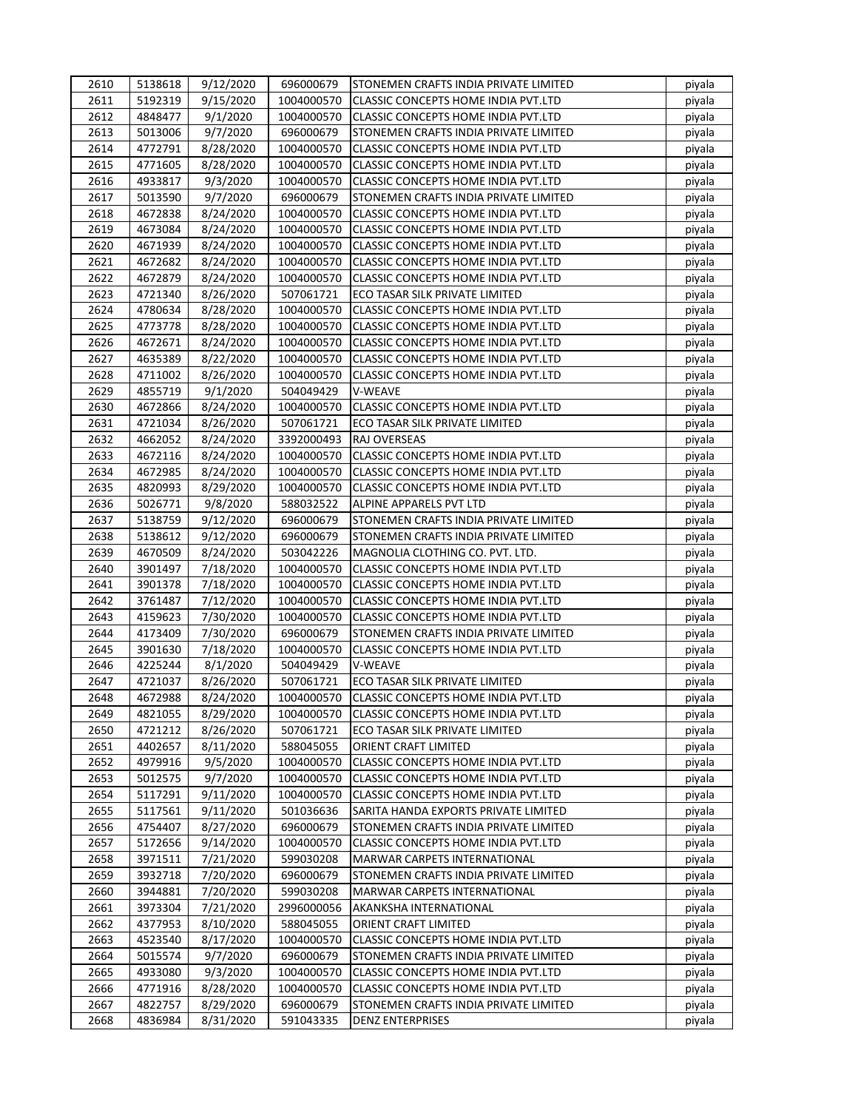| 2610 | 5138618 | 9/12/2020 | 696000679  | STONEMEN CRAFTS INDIA PRIVATE LIMITED      | piyala |
|------|---------|-----------|------------|--------------------------------------------|--------|
| 2611 | 5192319 | 9/15/2020 | 1004000570 | <b>CLASSIC CONCEPTS HOME INDIA PVT.LTD</b> | piyala |
| 2612 | 4848477 | 9/1/2020  | 1004000570 | CLASSIC CONCEPTS HOME INDIA PVT.LTD        | piyala |
| 2613 | 5013006 | 9/7/2020  | 696000679  | STONEMEN CRAFTS INDIA PRIVATE LIMITED      | piyala |
| 2614 | 4772791 | 8/28/2020 | 1004000570 | CLASSIC CONCEPTS HOME INDIA PVT.LTD        | piyala |
| 2615 | 4771605 | 8/28/2020 | 1004000570 | CLASSIC CONCEPTS HOME INDIA PVT.LTD        | piyala |
| 2616 | 4933817 | 9/3/2020  | 1004000570 | CLASSIC CONCEPTS HOME INDIA PVT.LTD        | piyala |
| 2617 | 5013590 | 9/7/2020  | 696000679  | STONEMEN CRAFTS INDIA PRIVATE LIMITED      | piyala |
| 2618 | 4672838 | 8/24/2020 | 1004000570 | CLASSIC CONCEPTS HOME INDIA PVT.LTD        | piyala |
| 2619 | 4673084 | 8/24/2020 | 1004000570 | CLASSIC CONCEPTS HOME INDIA PVT.LTD        | piyala |
| 2620 | 4671939 | 8/24/2020 | 1004000570 | CLASSIC CONCEPTS HOME INDIA PVT.LTD        | piyala |
| 2621 | 4672682 | 8/24/2020 | 1004000570 | CLASSIC CONCEPTS HOME INDIA PVT.LTD        | piyala |
| 2622 | 4672879 | 8/24/2020 | 1004000570 | <b>CLASSIC CONCEPTS HOME INDIA PVT.LTD</b> | piyala |
| 2623 | 4721340 | 8/26/2020 | 507061721  | ECO TASAR SILK PRIVATE LIMITED             | piyala |
| 2624 | 4780634 | 8/28/2020 | 1004000570 | CLASSIC CONCEPTS HOME INDIA PVT.LTD        | piyala |
| 2625 | 4773778 | 8/28/2020 | 1004000570 | CLASSIC CONCEPTS HOME INDIA PVT.LTD        | piyala |
| 2626 | 4672671 | 8/24/2020 | 1004000570 | CLASSIC CONCEPTS HOME INDIA PVT.LTD        | piyala |
| 2627 | 4635389 | 8/22/2020 | 1004000570 | CLASSIC CONCEPTS HOME INDIA PVT.LTD        | piyala |
| 2628 | 4711002 | 8/26/2020 | 1004000570 | CLASSIC CONCEPTS HOME INDIA PVT.LTD        | piyala |
| 2629 | 4855719 | 9/1/2020  | 504049429  | V-WEAVE                                    | piyala |
| 2630 | 4672866 | 8/24/2020 | 1004000570 | <b>CLASSIC CONCEPTS HOME INDIA PVT.LTD</b> | piyala |
| 2631 | 4721034 | 8/26/2020 | 507061721  | ECO TASAR SILK PRIVATE LIMITED             | piyala |
| 2632 | 4662052 | 8/24/2020 | 3392000493 | RAJ OVERSEAS                               | piyala |
| 2633 | 4672116 | 8/24/2020 | 1004000570 | CLASSIC CONCEPTS HOME INDIA PVT.LTD        | piyala |
| 2634 | 4672985 | 8/24/2020 | 1004000570 | CLASSIC CONCEPTS HOME INDIA PVT.LTD        | piyala |
| 2635 | 4820993 | 8/29/2020 | 1004000570 | CLASSIC CONCEPTS HOME INDIA PVT.LTD        | piyala |
| 2636 | 5026771 |           | 588032522  |                                            |        |
|      |         | 9/8/2020  |            | ALPINE APPARELS PVT LTD                    | piyala |
| 2637 | 5138759 | 9/12/2020 | 696000679  | STONEMEN CRAFTS INDIA PRIVATE LIMITED      | piyala |
| 2638 | 5138612 | 9/12/2020 | 696000679  | STONEMEN CRAFTS INDIA PRIVATE LIMITED      | piyala |
| 2639 | 4670509 | 8/24/2020 | 503042226  | MAGNOLIA CLOTHING CO. PVT. LTD.            | piyala |
| 2640 | 3901497 | 7/18/2020 | 1004000570 | CLASSIC CONCEPTS HOME INDIA PVT.LTD        | piyala |
| 2641 | 3901378 | 7/18/2020 | 1004000570 | <b>CLASSIC CONCEPTS HOME INDIA PVT.LTD</b> | piyala |
| 2642 | 3761487 | 7/12/2020 | 1004000570 | CLASSIC CONCEPTS HOME INDIA PVT.LTD        | piyala |
| 2643 | 4159623 | 7/30/2020 | 1004000570 | CLASSIC CONCEPTS HOME INDIA PVT.LTD        | piyala |
| 2644 | 4173409 | 7/30/2020 | 696000679  | STONEMEN CRAFTS INDIA PRIVATE LIMITED      | piyala |
| 2645 | 3901630 | 7/18/2020 | 1004000570 | CLASSIC CONCEPTS HOME INDIA PVT.LTD        | piyala |
| 2646 | 4225244 | 8/1/2020  | 504049429  | V-WEAVE                                    | piyala |
| 2647 | 4721037 | 8/26/2020 | 507061721  | ECO TASAR SILK PRIVATE LIMITED             | piyala |
| 2648 | 4672988 | 8/24/2020 | 1004000570 | CLASSIC CONCEPTS HOME INDIA PVT.LTD        | piyala |
| 2649 | 4821055 | 8/29/2020 | 1004000570 | CLASSIC CONCEPTS HOME INDIA PVT.LTD        | piyala |
| 2650 | 4721212 | 8/26/2020 | 507061721  | ECO TASAR SILK PRIVATE LIMITED             | piyala |
| 2651 | 4402657 | 8/11/2020 | 588045055  | ORIENT CRAFT LIMITED                       | piyala |
| 2652 | 4979916 | 9/5/2020  | 1004000570 | CLASSIC CONCEPTS HOME INDIA PVT.LTD        | piyala |
| 2653 | 5012575 | 9/7/2020  | 1004000570 | CLASSIC CONCEPTS HOME INDIA PVT.LTD        | piyala |
| 2654 | 5117291 | 9/11/2020 | 1004000570 | CLASSIC CONCEPTS HOME INDIA PVT.LTD        | piyala |
| 2655 | 5117561 | 9/11/2020 | 501036636  | SARITA HANDA EXPORTS PRIVATE LIMITED       | piyala |
| 2656 | 4754407 | 8/27/2020 | 696000679  | STONEMEN CRAFTS INDIA PRIVATE LIMITED      | piyala |
| 2657 | 5172656 | 9/14/2020 | 1004000570 | CLASSIC CONCEPTS HOME INDIA PVT.LTD        | piyala |
| 2658 | 3971511 | 7/21/2020 | 599030208  | MARWAR CARPETS INTERNATIONAL               | piyala |
| 2659 | 3932718 | 7/20/2020 | 696000679  | STONEMEN CRAFTS INDIA PRIVATE LIMITED      | piyala |
| 2660 | 3944881 | 7/20/2020 | 599030208  | MARWAR CARPETS INTERNATIONAL               | piyala |
| 2661 | 3973304 | 7/21/2020 | 2996000056 | AKANKSHA INTERNATIONAL                     | piyala |
| 2662 | 4377953 | 8/10/2020 | 588045055  | ORIENT CRAFT LIMITED                       | piyala |
| 2663 | 4523540 | 8/17/2020 | 1004000570 | CLASSIC CONCEPTS HOME INDIA PVT.LTD        | piyala |
| 2664 | 5015574 | 9/7/2020  | 696000679  | STONEMEN CRAFTS INDIA PRIVATE LIMITED      | piyala |
| 2665 | 4933080 | 9/3/2020  | 1004000570 | CLASSIC CONCEPTS HOME INDIA PVT.LTD        | piyala |
| 2666 | 4771916 | 8/28/2020 | 1004000570 | CLASSIC CONCEPTS HOME INDIA PVT.LTD        | piyala |
| 2667 | 4822757 | 8/29/2020 | 696000679  | STONEMEN CRAFTS INDIA PRIVATE LIMITED      | piyala |
| 2668 | 4836984 | 8/31/2020 | 591043335  | <b>DENZ ENTERPRISES</b>                    | piyala |
|      |         |           |            |                                            |        |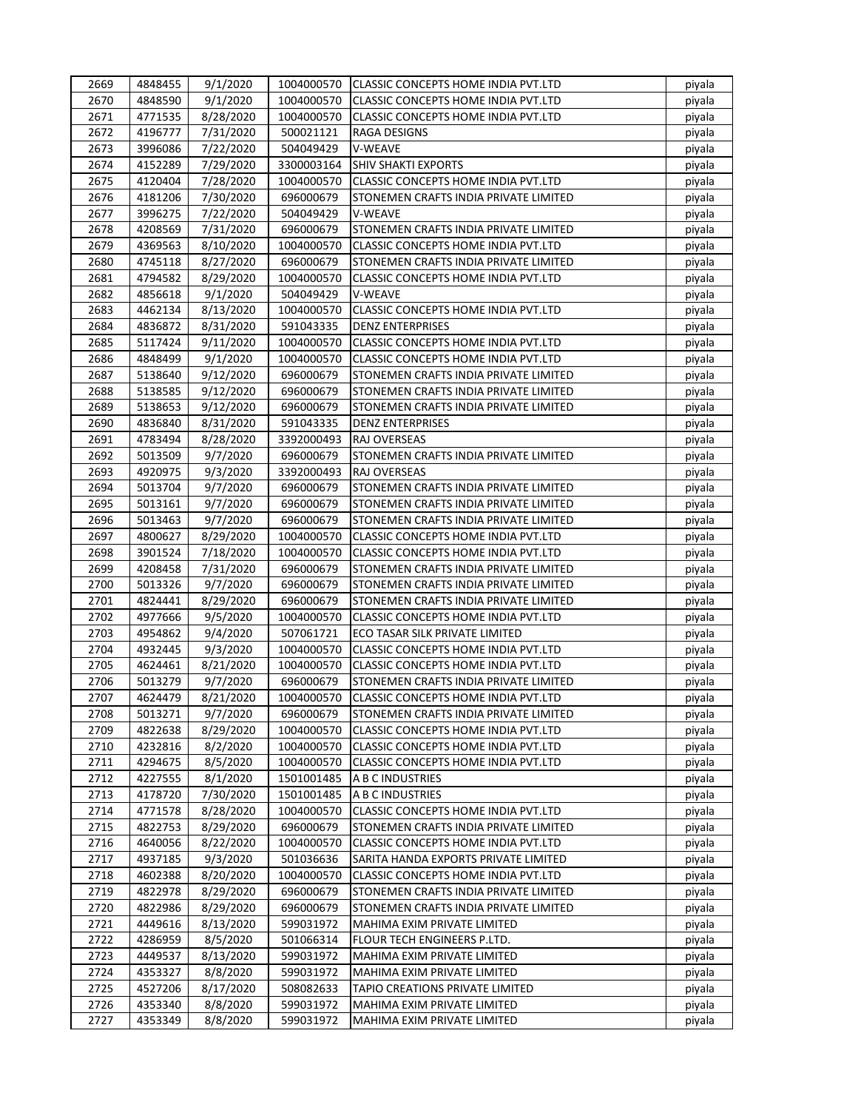| 2669 | 4848455 | 9/1/2020              | 1004000570 | CLASSIC CONCEPTS HOME INDIA PVT.LTD        | piyala |
|------|---------|-----------------------|------------|--------------------------------------------|--------|
| 2670 | 4848590 | 9/1/2020              | 1004000570 | <b>CLASSIC CONCEPTS HOME INDIA PVT.LTD</b> | piyala |
| 2671 | 4771535 | 8/28/2020             | 1004000570 | CLASSIC CONCEPTS HOME INDIA PVT.LTD        | piyala |
| 2672 | 4196777 | 7/31/2020             | 500021121  | RAGA DESIGNS                               | piyala |
| 2673 | 3996086 | 7/22/2020             | 504049429  | V-WEAVE                                    | piyala |
| 2674 | 4152289 | 7/29/2020             | 3300003164 | <b>SHIV SHAKTI EXPORTS</b>                 | piyala |
| 2675 | 4120404 | 7/28/2020             | 1004000570 | CLASSIC CONCEPTS HOME INDIA PVT.LTD        | piyala |
| 2676 | 4181206 | 7/30/2020             | 696000679  | STONEMEN CRAFTS INDIA PRIVATE LIMITED      | piyala |
| 2677 | 3996275 | 7/22/2020             | 504049429  | V-WEAVE                                    | piyala |
| 2678 | 4208569 | 7/31/2020             | 696000679  | STONEMEN CRAFTS INDIA PRIVATE LIMITED      | piyala |
| 2679 | 4369563 | 8/10/2020             | 1004000570 | CLASSIC CONCEPTS HOME INDIA PVT.LTD        | piyala |
| 2680 | 4745118 | 8/27/2020             | 696000679  | STONEMEN CRAFTS INDIA PRIVATE LIMITED      | piyala |
| 2681 | 4794582 | 8/29/2020             | 1004000570 | CLASSIC CONCEPTS HOME INDIA PVT.LTD        | piyala |
| 2682 | 4856618 | 9/1/2020              | 504049429  | V-WEAVE                                    | piyala |
| 2683 | 4462134 | 8/13/2020             | 1004000570 | CLASSIC CONCEPTS HOME INDIA PVT.LTD        | piyala |
| 2684 | 4836872 | 8/31/2020             | 591043335  | <b>DENZ ENTERPRISES</b>                    | piyala |
| 2685 | 5117424 | 9/11/2020             | 1004000570 | CLASSIC CONCEPTS HOME INDIA PVT.LTD        | piyala |
| 2686 | 4848499 | 9/1/2020              | 1004000570 | CLASSIC CONCEPTS HOME INDIA PVT.LTD        | piyala |
| 2687 | 5138640 | 9/12/2020             | 696000679  | STONEMEN CRAFTS INDIA PRIVATE LIMITED      | piyala |
| 2688 | 5138585 | 9/12/2020             | 696000679  | STONEMEN CRAFTS INDIA PRIVATE LIMITED      | piyala |
| 2689 | 5138653 | 9/12/2020             | 696000679  | STONEMEN CRAFTS INDIA PRIVATE LIMITED      | piyala |
| 2690 | 4836840 | 8/31/2020             | 591043335  | <b>DENZ ENTERPRISES</b>                    | piyala |
| 2691 | 4783494 | 8/28/2020             | 3392000493 | <b>RAJ OVERSEAS</b>                        | piyala |
| 2692 | 5013509 | 9/7/2020              | 696000679  | STONEMEN CRAFTS INDIA PRIVATE LIMITED      | piyala |
| 2693 | 4920975 | 9/3/2020              | 3392000493 | <b>RAJ OVERSEAS</b>                        | piyala |
| 2694 | 5013704 | 9/7/2020              | 696000679  | STONEMEN CRAFTS INDIA PRIVATE LIMITED      | piyala |
| 2695 | 5013161 | 9/7/2020              | 696000679  | STONEMEN CRAFTS INDIA PRIVATE LIMITED      | piyala |
| 2696 | 5013463 | 9/7/2020              | 696000679  | STONEMEN CRAFTS INDIA PRIVATE LIMITED      | piyala |
| 2697 | 4800627 | 8/29/2020             | 1004000570 | CLASSIC CONCEPTS HOME INDIA PVT.LTD        | piyala |
| 2698 | 3901524 |                       | 1004000570 | CLASSIC CONCEPTS HOME INDIA PVT.LTD        |        |
| 2699 | 4208458 | 7/18/2020             | 696000679  | STONEMEN CRAFTS INDIA PRIVATE LIMITED      | piyala |
| 2700 | 5013326 | 7/31/2020<br>9/7/2020 | 696000679  | STONEMEN CRAFTS INDIA PRIVATE LIMITED      | piyala |
| 2701 | 4824441 | 8/29/2020             | 696000679  | STONEMEN CRAFTS INDIA PRIVATE LIMITED      | piyala |
| 2702 | 4977666 |                       |            |                                            | piyala |
|      |         | 9/5/2020<br>9/4/2020  | 1004000570 | CLASSIC CONCEPTS HOME INDIA PVT.LTD        | piyala |
| 2703 | 4954862 |                       | 507061721  | ECO TASAR SILK PRIVATE LIMITED             | piyala |
| 2704 | 4932445 | 9/3/2020              | 1004000570 | CLASSIC CONCEPTS HOME INDIA PVT.LTD        | piyala |
| 2705 | 4624461 | 8/21/2020             | 1004000570 | CLASSIC CONCEPTS HOME INDIA PVT.LTD        | piyala |
| 2706 | 5013279 | 9/7/2020              | 696000679  | STONEMEN CRAFTS INDIA PRIVATE LIMITED      | piyala |
| 2707 | 4624479 | 8/21/2020             | 1004000570 | CLASSIC CONCEPTS HOME INDIA PVT.LTD        | piyala |
| 2708 | 5013271 | 9/7/2020              | 696000679  | STONEMEN CRAFTS INDIA PRIVATE LIMITED      | piyala |
| 2709 | 4822638 | 8/29/2020             | 1004000570 | CLASSIC CONCEPTS HOME INDIA PVT.LTD        | piyala |
| 2710 | 4232816 | 8/2/2020              | 1004000570 | CLASSIC CONCEPTS HOME INDIA PVT.LTD        | piyala |
| 2711 | 4294675 | 8/5/2020              | 1004000570 | CLASSIC CONCEPTS HOME INDIA PVT.LTD        | piyala |
| 2712 | 4227555 | 8/1/2020              | 1501001485 | A B C INDUSTRIES                           | piyala |
| 2713 | 4178720 | 7/30/2020             | 1501001485 | A B C INDUSTRIES                           | piyala |
| 2714 | 4771578 | 8/28/2020             | 1004000570 | CLASSIC CONCEPTS HOME INDIA PVT.LTD        | piyala |
| 2715 | 4822753 | 8/29/2020             | 696000679  | STONEMEN CRAFTS INDIA PRIVATE LIMITED      | piyala |
| 2716 | 4640056 | 8/22/2020             | 1004000570 | CLASSIC CONCEPTS HOME INDIA PVT.LTD        | piyala |
| 2717 | 4937185 | 9/3/2020              | 501036636  | SARITA HANDA EXPORTS PRIVATE LIMITED       | piyala |
| 2718 | 4602388 | 8/20/2020             | 1004000570 | CLASSIC CONCEPTS HOME INDIA PVT.LTD        | piyala |
| 2719 | 4822978 | 8/29/2020             | 696000679  | STONEMEN CRAFTS INDIA PRIVATE LIMITED      | piyala |
| 2720 | 4822986 | 8/29/2020             | 696000679  | STONEMEN CRAFTS INDIA PRIVATE LIMITED      | piyala |
| 2721 | 4449616 | 8/13/2020             | 599031972  | MAHIMA EXIM PRIVATE LIMITED                | piyala |
| 2722 | 4286959 | 8/5/2020              | 501066314  | FLOUR TECH ENGINEERS P.LTD.                | piyala |
| 2723 | 4449537 | 8/13/2020             | 599031972  | MAHIMA EXIM PRIVATE LIMITED                | piyala |
| 2724 | 4353327 | 8/8/2020              | 599031972  | MAHIMA EXIM PRIVATE LIMITED                | piyala |
| 2725 | 4527206 | 8/17/2020             | 508082633  | TAPIO CREATIONS PRIVATE LIMITED            | piyala |
| 2726 | 4353340 | 8/8/2020              | 599031972  | MAHIMA EXIM PRIVATE LIMITED                | piyala |
| 2727 | 4353349 | 8/8/2020              | 599031972  | MAHIMA EXIM PRIVATE LIMITED                | piyala |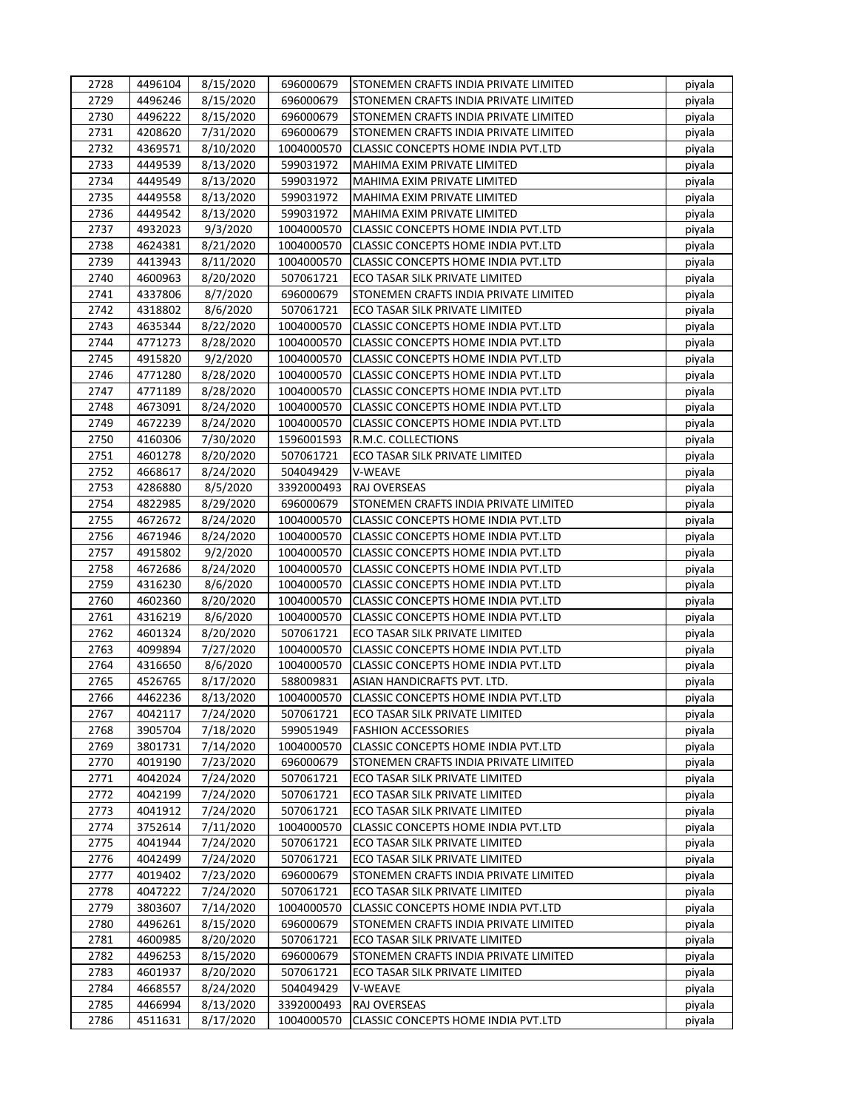| 2728 | 4496104 | 8/15/2020 | 696000679  | ISTONEMEN CRAFTS INDIA PRIVATE LIMITED     | piyala |
|------|---------|-----------|------------|--------------------------------------------|--------|
| 2729 | 4496246 | 8/15/2020 | 696000679  | STONEMEN CRAFTS INDIA PRIVATE LIMITED      | piyala |
| 2730 | 4496222 | 8/15/2020 | 696000679  | STONEMEN CRAFTS INDIA PRIVATE LIMITED      | piyala |
| 2731 | 4208620 | 7/31/2020 | 696000679  | STONEMEN CRAFTS INDIA PRIVATE LIMITED      | piyala |
| 2732 | 4369571 | 8/10/2020 | 1004000570 | CLASSIC CONCEPTS HOME INDIA PVT.LTD        | piyala |
| 2733 | 4449539 | 8/13/2020 | 599031972  | MAHIMA EXIM PRIVATE LIMITED                | piyala |
| 2734 | 4449549 | 8/13/2020 | 599031972  | MAHIMA EXIM PRIVATE LIMITED                | piyala |
| 2735 | 4449558 | 8/13/2020 | 599031972  | MAHIMA EXIM PRIVATE LIMITED                | piyala |
| 2736 | 4449542 | 8/13/2020 | 599031972  | MAHIMA EXIM PRIVATE LIMITED                | piyala |
| 2737 | 4932023 | 9/3/2020  | 1004000570 | <b>CLASSIC CONCEPTS HOME INDIA PVT.LTD</b> | piyala |
| 2738 | 4624381 | 8/21/2020 | 1004000570 | <b>CLASSIC CONCEPTS HOME INDIA PVT.LTD</b> | piyala |
| 2739 | 4413943 | 8/11/2020 | 1004000570 | CLASSIC CONCEPTS HOME INDIA PVT.LTD        | piyala |
| 2740 | 4600963 | 8/20/2020 | 507061721  | ECO TASAR SILK PRIVATE LIMITED             | piyala |
| 2741 | 4337806 | 8/7/2020  | 696000679  | STONEMEN CRAFTS INDIA PRIVATE LIMITED      | piyala |
| 2742 | 4318802 | 8/6/2020  | 507061721  | ECO TASAR SILK PRIVATE LIMITED             | piyala |
| 2743 | 4635344 | 8/22/2020 | 1004000570 | CLASSIC CONCEPTS HOME INDIA PVT.LTD        | piyala |
| 2744 | 4771273 | 8/28/2020 | 1004000570 | CLASSIC CONCEPTS HOME INDIA PVT.LTD        | piyala |
| 2745 | 4915820 | 9/2/2020  | 1004000570 | CLASSIC CONCEPTS HOME INDIA PVT.LTD        | piyala |
| 2746 | 4771280 | 8/28/2020 | 1004000570 | CLASSIC CONCEPTS HOME INDIA PVT.LTD        | piyala |
| 2747 | 4771189 | 8/28/2020 | 1004000570 | CLASSIC CONCEPTS HOME INDIA PVT.LTD        | piyala |
| 2748 | 4673091 | 8/24/2020 | 1004000570 | CLASSIC CONCEPTS HOME INDIA PVT.LTD        | piyala |
| 2749 | 4672239 | 8/24/2020 | 1004000570 | CLASSIC CONCEPTS HOME INDIA PVT.LTD        | piyala |
| 2750 | 4160306 | 7/30/2020 | 1596001593 | R.M.C. COLLECTIONS                         | piyala |
| 2751 | 4601278 | 8/20/2020 | 507061721  | ECO TASAR SILK PRIVATE LIMITED             |        |
| 2752 | 4668617 |           | 504049429  | V-WEAVE                                    | piyala |
| 2753 | 4286880 | 8/24/2020 | 3392000493 | <b>RAJ OVERSEAS</b>                        | piyala |
|      |         | 8/5/2020  |            |                                            | piyala |
| 2754 | 4822985 | 8/29/2020 | 696000679  | STONEMEN CRAFTS INDIA PRIVATE LIMITED      | piyala |
| 2755 | 4672672 | 8/24/2020 | 1004000570 | <b>CLASSIC CONCEPTS HOME INDIA PVT.LTD</b> | piyala |
| 2756 | 4671946 | 8/24/2020 | 1004000570 | CLASSIC CONCEPTS HOME INDIA PVT.LTD        | piyala |
| 2757 | 4915802 | 9/2/2020  | 1004000570 | CLASSIC CONCEPTS HOME INDIA PVT.LTD        | piyala |
| 2758 | 4672686 | 8/24/2020 | 1004000570 | CLASSIC CONCEPTS HOME INDIA PVT.LTD        | piyala |
| 2759 | 4316230 | 8/6/2020  | 1004000570 | <b>CLASSIC CONCEPTS HOME INDIA PVT.LTD</b> | piyala |
| 2760 | 4602360 | 8/20/2020 | 1004000570 | CLASSIC CONCEPTS HOME INDIA PVT.LTD        | piyala |
| 2761 | 4316219 | 8/6/2020  | 1004000570 | CLASSIC CONCEPTS HOME INDIA PVT.LTD        | piyala |
| 2762 | 4601324 | 8/20/2020 | 507061721  | ECO TASAR SILK PRIVATE LIMITED             | piyala |
| 2763 | 4099894 | 7/27/2020 | 1004000570 | CLASSIC CONCEPTS HOME INDIA PVT.LTD        | piyala |
| 2764 | 4316650 | 8/6/2020  | 1004000570 | CLASSIC CONCEPTS HOME INDIA PVT.LTD        | piyala |
| 2765 | 4526765 | 8/17/2020 | 588009831  | ASIAN HANDICRAFTS PVT. LTD.                | piyala |
| 2766 | 4462236 | 8/13/2020 | 1004000570 | <b>CLASSIC CONCEPTS HOME INDIA PVT.LTD</b> | piyala |
| 2767 | 4042117 | 7/24/2020 | 507061721  | ECO TASAR SILK PRIVATE LIMITED             | piyala |
| 2768 | 3905704 | 7/18/2020 | 599051949  | <b>FASHION ACCESSORIES</b>                 | piyala |
| 2769 | 3801731 | 7/14/2020 | 1004000570 | <b>CLASSIC CONCEPTS HOME INDIA PVT.LTD</b> | piyala |
| 2770 | 4019190 | 7/23/2020 | 696000679  | STONEMEN CRAFTS INDIA PRIVATE LIMITED      | piyala |
| 2771 | 4042024 | 7/24/2020 | 507061721  | ECO TASAR SILK PRIVATE LIMITED             | piyala |
| 2772 | 4042199 | 7/24/2020 | 507061721  | ECO TASAR SILK PRIVATE LIMITED             | piyala |
| 2773 | 4041912 | 7/24/2020 | 507061721  | ECO TASAR SILK PRIVATE LIMITED             | piyala |
| 2774 | 3752614 | 7/11/2020 | 1004000570 | CLASSIC CONCEPTS HOME INDIA PVT.LTD        | piyala |
| 2775 | 4041944 | 7/24/2020 | 507061721  | ECO TASAR SILK PRIVATE LIMITED             | piyala |
| 2776 | 4042499 | 7/24/2020 | 507061721  | ECO TASAR SILK PRIVATE LIMITED             | piyala |
| 2777 | 4019402 | 7/23/2020 | 696000679  | STONEMEN CRAFTS INDIA PRIVATE LIMITED      | piyala |
| 2778 | 4047222 | 7/24/2020 | 507061721  | ECO TASAR SILK PRIVATE LIMITED             | piyala |
| 2779 | 3803607 | 7/14/2020 | 1004000570 | CLASSIC CONCEPTS HOME INDIA PVT.LTD        | piyala |
| 2780 | 4496261 | 8/15/2020 | 696000679  | STONEMEN CRAFTS INDIA PRIVATE LIMITED      | piyala |
| 2781 | 4600985 | 8/20/2020 | 507061721  | ECO TASAR SILK PRIVATE LIMITED             | piyala |
| 2782 | 4496253 | 8/15/2020 | 696000679  | STONEMEN CRAFTS INDIA PRIVATE LIMITED      | piyala |
| 2783 | 4601937 | 8/20/2020 | 507061721  | ECO TASAR SILK PRIVATE LIMITED             | piyala |
| 2784 | 4668557 | 8/24/2020 | 504049429  | V-WEAVE                                    | piyala |
| 2785 | 4466994 | 8/13/2020 | 3392000493 | RAJ OVERSEAS                               | piyala |
| 2786 | 4511631 | 8/17/2020 | 1004000570 | CLASSIC CONCEPTS HOME INDIA PVT.LTD        | piyala |
|      |         |           |            |                                            |        |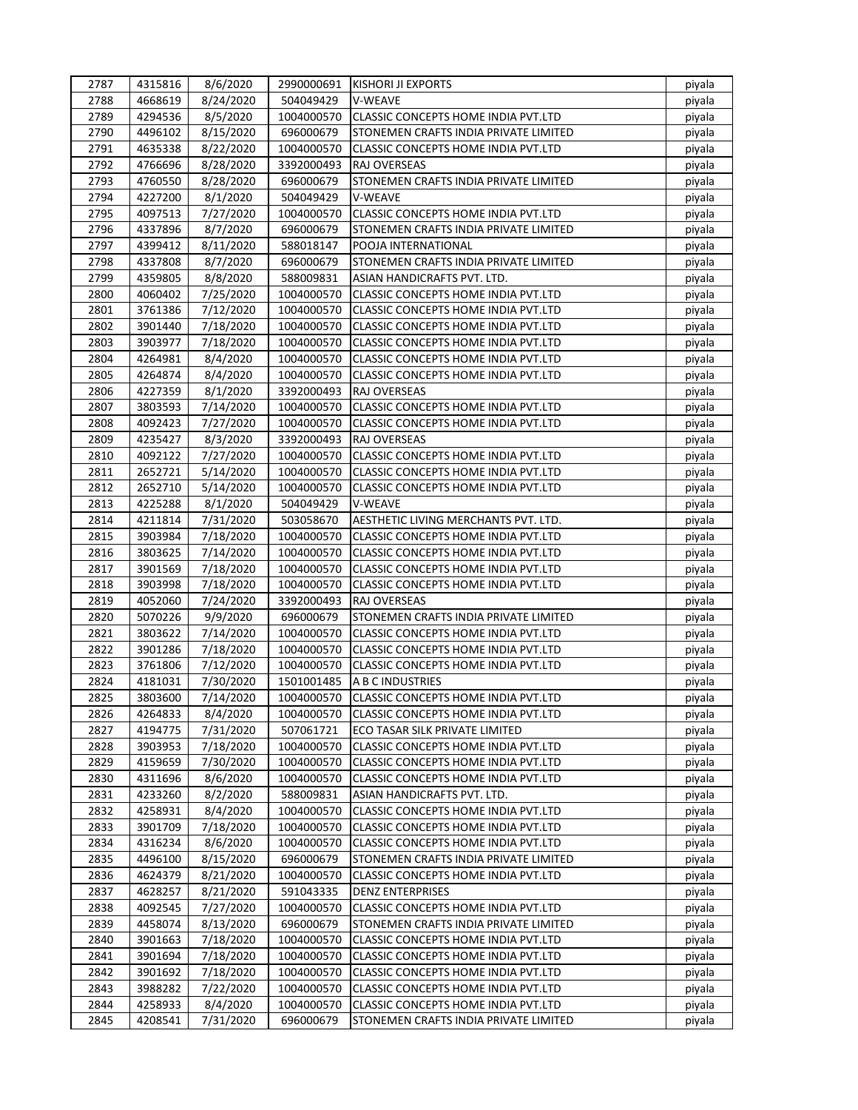| 2787 | 4315816            | 8/6/2020               | 2990000691               | <b>KISHORI JI EXPORTS</b>                                                         | piyala |
|------|--------------------|------------------------|--------------------------|-----------------------------------------------------------------------------------|--------|
| 2788 | 4668619            | 8/24/2020              | 504049429                | V-WEAVE                                                                           | piyala |
| 2789 | 4294536            | 8/5/2020               | 1004000570               | <b>CLASSIC CONCEPTS HOME INDIA PVT.LTD</b>                                        | piyala |
| 2790 | 4496102            | 8/15/2020              | 696000679                | STONEMEN CRAFTS INDIA PRIVATE LIMITED                                             | piyala |
| 2791 | 4635338            | 8/22/2020              | 1004000570               | <b>CLASSIC CONCEPTS HOME INDIA PVT.LTD</b>                                        | piyala |
| 2792 | 4766696            | 8/28/2020              | 3392000493               | RAJ OVERSEAS                                                                      | piyala |
| 2793 | 4760550            | 8/28/2020              | 696000679                | STONEMEN CRAFTS INDIA PRIVATE LIMITED                                             | piyala |
| 2794 | 4227200            | 8/1/2020               | 504049429                | V-WEAVE                                                                           | piyala |
| 2795 | 4097513            | 7/27/2020              | 1004000570               | CLASSIC CONCEPTS HOME INDIA PVT.LTD                                               | piyala |
| 2796 | 4337896            | 8/7/2020               | 696000679                | STONEMEN CRAFTS INDIA PRIVATE LIMITED                                             | piyala |
| 2797 | 4399412            | 8/11/2020              | 588018147                | POOJA INTERNATIONAL                                                               | piyala |
| 2798 | 4337808            | 8/7/2020               | 696000679                | STONEMEN CRAFTS INDIA PRIVATE LIMITED                                             | piyala |
| 2799 | 4359805            | 8/8/2020               | 588009831                | ASIAN HANDICRAFTS PVT. LTD.                                                       | piyala |
| 2800 | 4060402            | 7/25/2020              | 1004000570               | <b>CLASSIC CONCEPTS HOME INDIA PVT.LTD</b>                                        | piyala |
| 2801 | 3761386            | 7/12/2020              | 1004000570               | CLASSIC CONCEPTS HOME INDIA PVT.LTD                                               | piyala |
| 2802 | 3901440            | 7/18/2020              | 1004000570               | CLASSIC CONCEPTS HOME INDIA PVT.LTD                                               | piyala |
| 2803 | 3903977            | 7/18/2020              | 1004000570               | CLASSIC CONCEPTS HOME INDIA PVT.LTD                                               | piyala |
| 2804 | 4264981            | 8/4/2020               | 1004000570               | CLASSIC CONCEPTS HOME INDIA PVT.LTD                                               | piyala |
| 2805 | 4264874            | 8/4/2020               | 1004000570               | CLASSIC CONCEPTS HOME INDIA PVT.LTD                                               | piyala |
| 2806 | 4227359            | 8/1/2020               | 3392000493               | RAJ OVERSEAS                                                                      | piyala |
| 2807 | 3803593            | 7/14/2020              | 1004000570               | CLASSIC CONCEPTS HOME INDIA PVT.LTD                                               | piyala |
| 2808 | 4092423            | 7/27/2020              | 1004000570               | CLASSIC CONCEPTS HOME INDIA PVT.LTD                                               | piyala |
| 2809 | 4235427            | 8/3/2020               | 3392000493               | RAJ OVERSEAS                                                                      | piyala |
| 2810 | 4092122            | 7/27/2020              | 1004000570               | CLASSIC CONCEPTS HOME INDIA PVT.LTD                                               | piyala |
| 2811 | 2652721            | 5/14/2020              | 1004000570               | CLASSIC CONCEPTS HOME INDIA PVT.LTD                                               | piyala |
| 2812 | 2652710            | 5/14/2020              | 1004000570               | CLASSIC CONCEPTS HOME INDIA PVT.LTD                                               | piyala |
| 2813 | 4225288            | 8/1/2020               | 504049429                | V-WEAVE                                                                           | piyala |
| 2814 | 4211814            | 7/31/2020              | 503058670                | AESTHETIC LIVING MERCHANTS PVT. LTD.                                              | piyala |
| 2815 | 3903984            | 7/18/2020              | 1004000570               | CLASSIC CONCEPTS HOME INDIA PVT.LTD                                               | piyala |
| 2816 | 3803625            | 7/14/2020              | 1004000570               | CLASSIC CONCEPTS HOME INDIA PVT.LTD                                               | piyala |
| 2817 | 3901569            | 7/18/2020              | 1004000570               | CLASSIC CONCEPTS HOME INDIA PVT.LTD                                               | piyala |
| 2818 | 3903998            | 7/18/2020              | 1004000570               | <b>CLASSIC CONCEPTS HOME INDIA PVT.LTD</b>                                        | piyala |
| 2819 | 4052060            | 7/24/2020              | 3392000493               | RAJ OVERSEAS                                                                      | piyala |
| 2820 | 5070226            | 9/9/2020               | 696000679                | STONEMEN CRAFTS INDIA PRIVATE LIMITED                                             | piyala |
| 2821 | 3803622            | 7/14/2020              | 1004000570               | <b>CLASSIC CONCEPTS HOME INDIA PVT.LTD</b>                                        | piyala |
| 2822 | 3901286            | 7/18/2020              | 1004000570               |                                                                                   |        |
| 2823 | 3761806            |                        | 1004000570               | CLASSIC CONCEPTS HOME INDIA PVT.LTD<br><b>CLASSIC CONCEPTS HOME INDIA PVT.LTD</b> | piyala |
| 2824 |                    | 7/12/2020              |                          |                                                                                   | piyala |
| 2825 | 4181031<br>3803600 | 7/30/2020<br>7/14/2020 | 1501001485<br>1004000570 | A B C INDUSTRIES<br><b>CLASSIC CONCEPTS HOME INDIA PVT.LTD</b>                    | piyala |
|      |                    |                        |                          |                                                                                   | piyala |
| 2826 | 4264833            | 8/4/2020               | 1004000570               | CLASSIC CONCEPTS HOME INDIA PVT.LTD                                               | piyala |
| 2827 | 4194775            | 7/31/2020              | 507061721                | ECO TASAR SILK PRIVATE LIMITED                                                    | piyala |
| 2828 | 3903953            | 7/18/2020              | 1004000570               | CLASSIC CONCEPTS HOME INDIA PVT.LTD                                               | piyala |
| 2829 | 4159659            | 7/30/2020              | 1004000570               | CLASSIC CONCEPTS HOME INDIA PVT.LTD                                               | piyala |
| 2830 | 4311696            | 8/6/2020               | 1004000570               | CLASSIC CONCEPTS HOME INDIA PVT.LTD                                               | piyala |
| 2831 | 4233260            | 8/2/2020               | 588009831                | ASIAN HANDICRAFTS PVT. LTD.                                                       | piyala |
| 2832 | 4258931            | 8/4/2020               | 1004000570               | CLASSIC CONCEPTS HOME INDIA PVT.LTD                                               | piyala |
| 2833 | 3901709            | 7/18/2020              | 1004000570               | CLASSIC CONCEPTS HOME INDIA PVT.LTD                                               | piyala |
| 2834 | 4316234            | 8/6/2020               | 1004000570               | CLASSIC CONCEPTS HOME INDIA PVT.LTD                                               | piyala |
| 2835 | 4496100            | 8/15/2020              | 696000679                | STONEMEN CRAFTS INDIA PRIVATE LIMITED                                             | piyala |
| 2836 | 4624379            | 8/21/2020              | 1004000570               | CLASSIC CONCEPTS HOME INDIA PVT.LTD                                               | piyala |
| 2837 | 4628257            | 8/21/2020              | 591043335                | <b>DENZ ENTERPRISES</b>                                                           | piyala |
| 2838 | 4092545            | 7/27/2020              | 1004000570               | CLASSIC CONCEPTS HOME INDIA PVT.LTD                                               | piyala |
| 2839 | 4458074            | 8/13/2020              | 696000679                | STONEMEN CRAFTS INDIA PRIVATE LIMITED                                             | piyala |
| 2840 | 3901663            | 7/18/2020              | 1004000570               | CLASSIC CONCEPTS HOME INDIA PVT.LTD                                               | piyala |
| 2841 | 3901694            | 7/18/2020              | 1004000570               | CLASSIC CONCEPTS HOME INDIA PVT.LTD                                               | piyala |
| 2842 | 3901692            | 7/18/2020              | 1004000570               | CLASSIC CONCEPTS HOME INDIA PVT.LTD                                               | piyala |
| 2843 | 3988282            | 7/22/2020              | 1004000570               | CLASSIC CONCEPTS HOME INDIA PVT.LTD                                               | piyala |
| 2844 | 4258933            | 8/4/2020               | 1004000570               | CLASSIC CONCEPTS HOME INDIA PVT.LTD                                               | piyala |
| 2845 | 4208541            | 7/31/2020              | 696000679                | STONEMEN CRAFTS INDIA PRIVATE LIMITED                                             | piyala |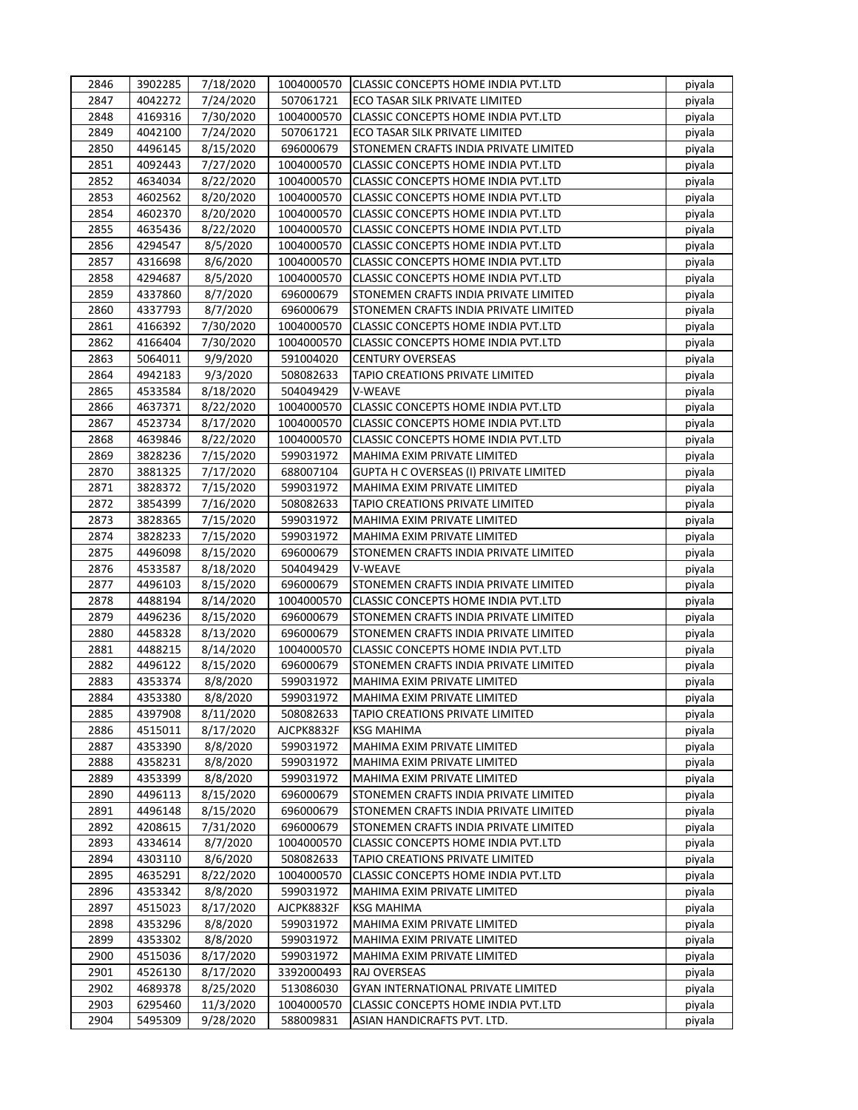| 2846         | 3902285            | 7/18/2020 |                        | 1004000570 CLASSIC CONCEPTS HOME INDIA PVT.LTD                 | piyala           |
|--------------|--------------------|-----------|------------------------|----------------------------------------------------------------|------------------|
| 2847         | 4042272            | 7/24/2020 | 507061721              | ECO TASAR SILK PRIVATE LIMITED                                 | piyala           |
| 2848         | 4169316            | 7/30/2020 | 1004000570             | CLASSIC CONCEPTS HOME INDIA PVT.LTD                            | piyala           |
| 2849         | 4042100            | 7/24/2020 | 507061721              | ECO TASAR SILK PRIVATE LIMITED                                 | piyala           |
| 2850         | 4496145            | 8/15/2020 | 696000679              | STONEMEN CRAFTS INDIA PRIVATE LIMITED                          | piyala           |
| 2851         | 4092443            | 7/27/2020 | 1004000570             | CLASSIC CONCEPTS HOME INDIA PVT.LTD                            | piyala           |
| 2852         | 4634034            | 8/22/2020 | 1004000570             | CLASSIC CONCEPTS HOME INDIA PVT.LTD                            | piyala           |
| 2853         | 4602562            | 8/20/2020 | 1004000570             | CLASSIC CONCEPTS HOME INDIA PVT.LTD                            | piyala           |
| 2854         | 4602370            | 8/20/2020 | 1004000570             | CLASSIC CONCEPTS HOME INDIA PVT.LTD                            | piyala           |
| 2855         | 4635436            | 8/22/2020 | 1004000570             | CLASSIC CONCEPTS HOME INDIA PVT.LTD                            | piyala           |
| 2856         | 4294547            | 8/5/2020  | 1004000570             | CLASSIC CONCEPTS HOME INDIA PVT.LTD                            | piyala           |
| 2857         | 4316698            | 8/6/2020  | 1004000570             | CLASSIC CONCEPTS HOME INDIA PVT.LTD                            | piyala           |
| 2858         | 4294687            | 8/5/2020  | 1004000570             | <b>CLASSIC CONCEPTS HOME INDIA PVT.LTD</b>                     | piyala           |
| 2859         | 4337860            | 8/7/2020  | 696000679              | STONEMEN CRAFTS INDIA PRIVATE LIMITED                          | piyala           |
| 2860         | 4337793            | 8/7/2020  | 696000679              | STONEMEN CRAFTS INDIA PRIVATE LIMITED                          | piyala           |
| 2861         | 4166392            | 7/30/2020 | 1004000570             | CLASSIC CONCEPTS HOME INDIA PVT.LTD                            | piyala           |
| 2862         | 4166404            | 7/30/2020 | 1004000570             | CLASSIC CONCEPTS HOME INDIA PVT.LTD                            | piyala           |
| 2863         | 5064011            | 9/9/2020  | 591004020              | <b>CENTURY OVERSEAS</b>                                        | piyala           |
| 2864         | 4942183            | 9/3/2020  | 508082633              | TAPIO CREATIONS PRIVATE LIMITED                                | piyala           |
| 2865         | 4533584            | 8/18/2020 | 504049429              | V-WEAVE                                                        | piyala           |
| 2866         | 4637371            | 8/22/2020 | 1004000570             | CLASSIC CONCEPTS HOME INDIA PVT.LTD                            | piyala           |
| 2867         | 4523734            | 8/17/2020 | 1004000570             | CLASSIC CONCEPTS HOME INDIA PVT.LTD                            | piyala           |
| 2868         | 4639846            | 8/22/2020 | 1004000570             | <b>CLASSIC CONCEPTS HOME INDIA PVT.LTD</b>                     | piyala           |
| 2869         | 3828236            | 7/15/2020 | 599031972              | MAHIMA EXIM PRIVATE LIMITED                                    | piyala           |
| 2870         | 3881325            | 7/17/2020 | 688007104              | <b>GUPTA H C OVERSEAS (I) PRIVATE LIMITED</b>                  | piyala           |
| 2871         | 3828372            | 7/15/2020 | 599031972              | MAHIMA EXIM PRIVATE LIMITED                                    | piyala           |
| 2872         | 3854399            | 7/16/2020 | 508082633              | TAPIO CREATIONS PRIVATE LIMITED                                | piyala           |
| 2873         | 3828365            | 7/15/2020 | 599031972              | MAHIMA EXIM PRIVATE LIMITED                                    | piyala           |
| 2874         | 3828233            | 7/15/2020 | 599031972              | MAHIMA EXIM PRIVATE LIMITED                                    | piyala           |
| 2875         | 4496098            | 8/15/2020 | 696000679              | STONEMEN CRAFTS INDIA PRIVATE LIMITED                          | piyala           |
| 2876         | 4533587            | 8/18/2020 | 504049429              | <b>V-WEAVE</b>                                                 | piyala           |
| 2877         | 4496103            | 8/15/2020 | 696000679              | STONEMEN CRAFTS INDIA PRIVATE LIMITED                          | piyala           |
| 2878         | 4488194            | 8/14/2020 | 1004000570             | CLASSIC CONCEPTS HOME INDIA PVT.LTD                            | piyala           |
| 2879         | 4496236            | 8/15/2020 | 696000679              | STONEMEN CRAFTS INDIA PRIVATE LIMITED                          | piyala           |
| 2880         | 4458328            | 8/13/2020 | 696000679              | STONEMEN CRAFTS INDIA PRIVATE LIMITED                          | piyala           |
| 2881         | 4488215            | 8/14/2020 | 1004000570             | CLASSIC CONCEPTS HOME INDIA PVT.LTD                            |                  |
| 2882         | 4496122            | 8/15/2020 | 696000679              | STONEMEN CRAFTS INDIA PRIVATE LIMITED                          | piyala<br>piyala |
| 2883         | 4353374            |           | 599031972              | MAHIMA EXIM PRIVATE LIMITED                                    |                  |
|              |                    | 8/8/2020  |                        |                                                                | piyala           |
| 2884<br>2885 | 4353380<br>4397908 | 8/8/2020  | 599031972<br>508082633 | MAHIMA EXIM PRIVATE LIMITED<br>TAPIO CREATIONS PRIVATE LIMITED | piyala<br>piyala |
|              |                    | 8/11/2020 |                        |                                                                |                  |
| 2886         | 4515011            | 8/17/2020 | AJCPK8832F             | <b>KSG MAHIMA</b>                                              | piyala           |
| 2887         | 4353390            | 8/8/2020  | 599031972              | MAHIMA EXIM PRIVATE LIMITED                                    | piyala           |
| 2888         | 4358231            | 8/8/2020  | 599031972              | MAHIMA EXIM PRIVATE LIMITED                                    | piyala           |
| 2889         | 4353399            | 8/8/2020  | 599031972              | MAHIMA EXIM PRIVATE LIMITED                                    | piyala           |
| 2890         | 4496113            | 8/15/2020 | 696000679              | STONEMEN CRAFTS INDIA PRIVATE LIMITED                          | piyala           |
| 2891         | 4496148            | 8/15/2020 | 696000679              | STONEMEN CRAFTS INDIA PRIVATE LIMITED                          | piyala           |
| 2892         | 4208615            | 7/31/2020 | 696000679              | STONEMEN CRAFTS INDIA PRIVATE LIMITED                          | piyala           |
| 2893         | 4334614            | 8/7/2020  | 1004000570             | CLASSIC CONCEPTS HOME INDIA PVT.LTD                            | piyala           |
| 2894         | 4303110            | 8/6/2020  | 508082633              | TAPIO CREATIONS PRIVATE LIMITED                                | piyala           |
| 2895         | 4635291            | 8/22/2020 | 1004000570             | CLASSIC CONCEPTS HOME INDIA PVT.LTD                            | piyala           |
| 2896         | 4353342            | 8/8/2020  | 599031972              | MAHIMA EXIM PRIVATE LIMITED                                    | piyala           |
| 2897         | 4515023            | 8/17/2020 | AJCPK8832F             | <b>KSG MAHIMA</b>                                              | piyala           |
| 2898         | 4353296            | 8/8/2020  | 599031972              | MAHIMA EXIM PRIVATE LIMITED                                    | piyala           |
| 2899         | 4353302            | 8/8/2020  | 599031972              | MAHIMA EXIM PRIVATE LIMITED                                    | piyala           |
| 2900         | 4515036            | 8/17/2020 | 599031972              | MAHIMA EXIM PRIVATE LIMITED                                    | piyala           |
| 2901         | 4526130            | 8/17/2020 | 3392000493             | RAJ OVERSEAS                                                   | piyala           |
| 2902         | 4689378            | 8/25/2020 | 513086030              | GYAN INTERNATIONAL PRIVATE LIMITED                             | piyala           |
| 2903         | 6295460            | 11/3/2020 | 1004000570             | CLASSIC CONCEPTS HOME INDIA PVT.LTD                            | piyala           |
| 2904         | 5495309            | 9/28/2020 | 588009831              | ASIAN HANDICRAFTS PVT. LTD.                                    | piyala           |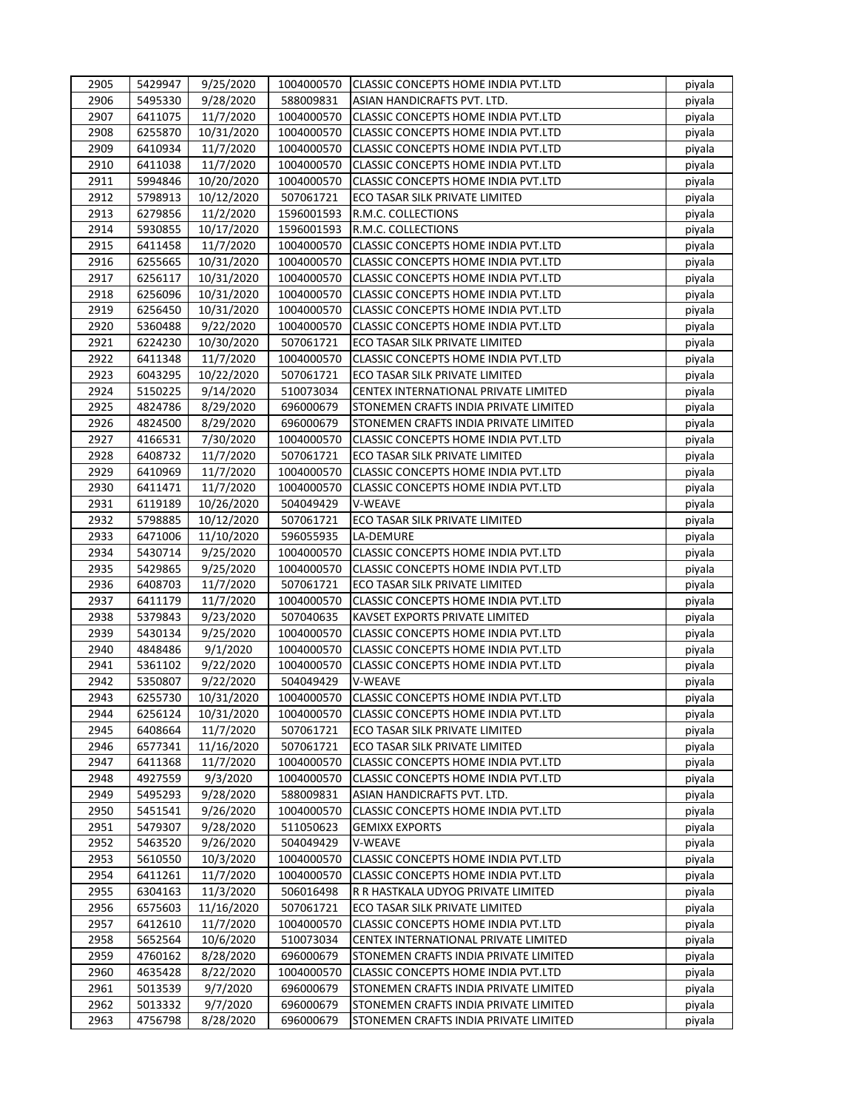| 2905 | 5429947 | 9/25/2020  | 1004000570 | CLASSIC CONCEPTS HOME INDIA PVT.LTD        | piyala |
|------|---------|------------|------------|--------------------------------------------|--------|
| 2906 | 5495330 | 9/28/2020  | 588009831  | ASIAN HANDICRAFTS PVT. LTD.                | piyala |
| 2907 | 6411075 | 11/7/2020  | 1004000570 | CLASSIC CONCEPTS HOME INDIA PVT.LTD        | piyala |
| 2908 | 6255870 | 10/31/2020 | 1004000570 | CLASSIC CONCEPTS HOME INDIA PVT.LTD        | piyala |
| 2909 | 6410934 | 11/7/2020  | 1004000570 | CLASSIC CONCEPTS HOME INDIA PVT.LTD        | piyala |
| 2910 | 6411038 | 11/7/2020  | 1004000570 | CLASSIC CONCEPTS HOME INDIA PVT.LTD        | piyala |
| 2911 | 5994846 | 10/20/2020 | 1004000570 | CLASSIC CONCEPTS HOME INDIA PVT.LTD        | piyala |
| 2912 | 5798913 | 10/12/2020 | 507061721  | ECO TASAR SILK PRIVATE LIMITED             | piyala |
| 2913 | 6279856 | 11/2/2020  | 1596001593 | R.M.C. COLLECTIONS                         | piyala |
| 2914 | 5930855 | 10/17/2020 | 1596001593 | R.M.C. COLLECTIONS                         | piyala |
| 2915 | 6411458 | 11/7/2020  | 1004000570 | CLASSIC CONCEPTS HOME INDIA PVT.LTD        | piyala |
| 2916 | 6255665 | 10/31/2020 | 1004000570 | CLASSIC CONCEPTS HOME INDIA PVT.LTD        | piyala |
| 2917 | 6256117 | 10/31/2020 | 1004000570 | CLASSIC CONCEPTS HOME INDIA PVT.LTD        | piyala |
| 2918 |         |            |            |                                            |        |
|      | 6256096 | 10/31/2020 | 1004000570 | CLASSIC CONCEPTS HOME INDIA PVT.LTD        | piyala |
| 2919 | 6256450 | 10/31/2020 | 1004000570 | CLASSIC CONCEPTS HOME INDIA PVT.LTD        | piyala |
| 2920 | 5360488 | 9/22/2020  | 1004000570 | CLASSIC CONCEPTS HOME INDIA PVT.LTD        | piyala |
| 2921 | 6224230 | 10/30/2020 | 507061721  | ECO TASAR SILK PRIVATE LIMITED             | piyala |
| 2922 | 6411348 | 11/7/2020  | 1004000570 | CLASSIC CONCEPTS HOME INDIA PVT.LTD        | piyala |
| 2923 | 6043295 | 10/22/2020 | 507061721  | ECO TASAR SILK PRIVATE LIMITED             | piyala |
| 2924 | 5150225 | 9/14/2020  | 510073034  | CENTEX INTERNATIONAL PRIVATE LIMITED       | piyala |
| 2925 | 4824786 | 8/29/2020  | 696000679  | STONEMEN CRAFTS INDIA PRIVATE LIMITED      | piyala |
| 2926 | 4824500 | 8/29/2020  | 696000679  | STONEMEN CRAFTS INDIA PRIVATE LIMITED      | piyala |
| 2927 | 4166531 | 7/30/2020  | 1004000570 | CLASSIC CONCEPTS HOME INDIA PVT.LTD        | piyala |
| 2928 | 6408732 | 11/7/2020  | 507061721  | ECO TASAR SILK PRIVATE LIMITED             | piyala |
| 2929 | 6410969 | 11/7/2020  | 1004000570 | CLASSIC CONCEPTS HOME INDIA PVT.LTD        | piyala |
| 2930 | 6411471 | 11/7/2020  | 1004000570 | CLASSIC CONCEPTS HOME INDIA PVT.LTD        | piyala |
| 2931 | 6119189 | 10/26/2020 | 504049429  | V-WEAVE                                    | piyala |
| 2932 | 5798885 | 10/12/2020 | 507061721  | ECO TASAR SILK PRIVATE LIMITED             | piyala |
| 2933 | 6471006 | 11/10/2020 | 596055935  | LA-DEMURE                                  | piyala |
| 2934 | 5430714 | 9/25/2020  | 1004000570 | CLASSIC CONCEPTS HOME INDIA PVT.LTD        | piyala |
| 2935 | 5429865 | 9/25/2020  | 1004000570 | CLASSIC CONCEPTS HOME INDIA PVT.LTD        | piyala |
| 2936 | 6408703 | 11/7/2020  | 507061721  | ECO TASAR SILK PRIVATE LIMITED             | piyala |
| 2937 | 6411179 | 11/7/2020  | 1004000570 | <b>CLASSIC CONCEPTS HOME INDIA PVT.LTD</b> | piyala |
| 2938 | 5379843 | 9/23/2020  | 507040635  | KAVSET EXPORTS PRIVATE LIMITED             | piyala |
| 2939 | 5430134 | 9/25/2020  | 1004000570 | CLASSIC CONCEPTS HOME INDIA PVT.LTD        | piyala |
| 2940 | 4848486 | 9/1/2020   | 1004000570 | CLASSIC CONCEPTS HOME INDIA PVT.LTD        | piyala |
| 2941 | 5361102 | 9/22/2020  | 1004000570 | CLASSIC CONCEPTS HOME INDIA PVT.LTD        | piyala |
| 2942 |         |            |            |                                            |        |
|      | 5350807 | 9/22/2020  | 504049429  | V-WEAVE                                    | piyala |
| 2943 | 6255730 | 10/31/2020 | 1004000570 | CLASSIC CONCEPTS HOME INDIA PVT.LTD        | piyala |
| 2944 | 6256124 | 10/31/2020 | 1004000570 | CLASSIC CONCEPTS HOME INDIA PVT.LTD        | piyala |
| 2945 | 6408664 | 11/7/2020  | 507061721  | ECO TASAR SILK PRIVATE LIMITED             | piyala |
| 2946 | 6577341 | 11/16/2020 | 507061721  | ECO TASAR SILK PRIVATE LIMITED             | piyala |
| 2947 | 6411368 | 11/7/2020  | 1004000570 | CLASSIC CONCEPTS HOME INDIA PVT.LTD        | piyala |
| 2948 | 4927559 | 9/3/2020   | 1004000570 | CLASSIC CONCEPTS HOME INDIA PVT.LTD        | piyala |
| 2949 | 5495293 | 9/28/2020  | 588009831  | ASIAN HANDICRAFTS PVT. LTD.                | piyala |
| 2950 | 5451541 | 9/26/2020  | 1004000570 | CLASSIC CONCEPTS HOME INDIA PVT.LTD        | piyala |
| 2951 | 5479307 | 9/28/2020  | 511050623  | GEMIXX EXPORTS                             | piyala |
| 2952 | 5463520 | 9/26/2020  | 504049429  | V-WEAVE                                    | piyala |
| 2953 | 5610550 | 10/3/2020  | 1004000570 | CLASSIC CONCEPTS HOME INDIA PVT.LTD        | piyala |
| 2954 | 6411261 | 11/7/2020  | 1004000570 | CLASSIC CONCEPTS HOME INDIA PVT.LTD        | piyala |
| 2955 | 6304163 | 11/3/2020  | 506016498  | R R HASTKALA UDYOG PRIVATE LIMITED         | piyala |
| 2956 | 6575603 | 11/16/2020 | 507061721  | ECO TASAR SILK PRIVATE LIMITED             | piyala |
| 2957 | 6412610 | 11/7/2020  | 1004000570 | CLASSIC CONCEPTS HOME INDIA PVT.LTD        | piyala |
| 2958 | 5652564 | 10/6/2020  | 510073034  | CENTEX INTERNATIONAL PRIVATE LIMITED       | piyala |
| 2959 | 4760162 | 8/28/2020  | 696000679  | STONEMEN CRAFTS INDIA PRIVATE LIMITED      | piyala |
| 2960 | 4635428 | 8/22/2020  | 1004000570 | CLASSIC CONCEPTS HOME INDIA PVT.LTD        | piyala |
| 2961 | 5013539 | 9/7/2020   | 696000679  | STONEMEN CRAFTS INDIA PRIVATE LIMITED      | piyala |
| 2962 | 5013332 | 9/7/2020   | 696000679  | STONEMEN CRAFTS INDIA PRIVATE LIMITED      | piyala |
| 2963 | 4756798 | 8/28/2020  | 696000679  | STONEMEN CRAFTS INDIA PRIVATE LIMITED      | piyala |
|      |         |            |            |                                            |        |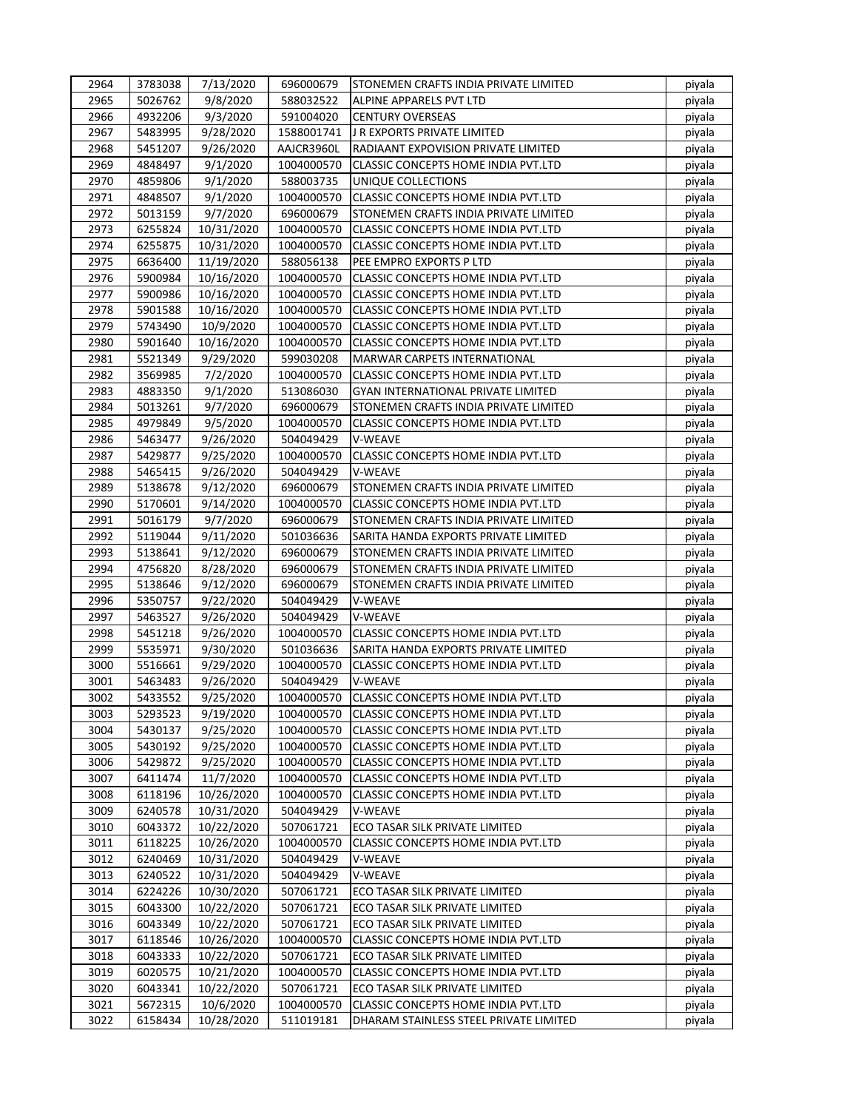| 2964 | 3783038            | 7/13/2020  | 696000679               | <b>ISTONEMEN CRAFTS INDIA PRIVATE LIMITED</b> | piyala |
|------|--------------------|------------|-------------------------|-----------------------------------------------|--------|
| 2965 | 5026762            | 9/8/2020   | 588032522               | ALPINE APPARELS PVT LTD                       | piyala |
| 2966 | 4932206            | 9/3/2020   | 591004020               | <b>CENTURY OVERSEAS</b>                       | piyala |
| 2967 | 5483995            | 9/28/2020  | 1588001741              | J R EXPORTS PRIVATE LIMITED                   | piyala |
| 2968 | 5451207            | 9/26/2020  | AAJCR3960L              | RADIAANT EXPOVISION PRIVATE LIMITED           | piyala |
| 2969 | 4848497            | 9/1/2020   | 1004000570              | CLASSIC CONCEPTS HOME INDIA PVT.LTD           | piyala |
| 2970 | 4859806            | 9/1/2020   | 588003735               | UNIQUE COLLECTIONS                            | piyala |
| 2971 | 4848507            | 9/1/2020   | 1004000570              | CLASSIC CONCEPTS HOME INDIA PVT.LTD           | piyala |
| 2972 | 5013159            | 9/7/2020   | 696000679               | STONEMEN CRAFTS INDIA PRIVATE LIMITED         | piyala |
| 2973 | 6255824            | 10/31/2020 | 1004000570              | CLASSIC CONCEPTS HOME INDIA PVT.LTD           | piyala |
| 2974 | 6255875            | 10/31/2020 | 1004000570              | CLASSIC CONCEPTS HOME INDIA PVT.LTD           | piyala |
| 2975 | 6636400            | 11/19/2020 | 588056138               | PEE EMPRO EXPORTS P LTD                       | piyala |
| 2976 | 5900984            | 10/16/2020 | 1004000570              | CLASSIC CONCEPTS HOME INDIA PVT.LTD           | piyala |
| 2977 | 5900986            | 10/16/2020 | 1004000570              | CLASSIC CONCEPTS HOME INDIA PVT.LTD           | piyala |
| 2978 | 5901588            | 10/16/2020 | 1004000570              | CLASSIC CONCEPTS HOME INDIA PVT.LTD           | piyala |
| 2979 | 5743490            | 10/9/2020  | 1004000570              | CLASSIC CONCEPTS HOME INDIA PVT.LTD           | piyala |
| 2980 | 5901640            | 10/16/2020 | 1004000570              | CLASSIC CONCEPTS HOME INDIA PVT.LTD           | piyala |
| 2981 | 5521349            | 9/29/2020  | 599030208               | MARWAR CARPETS INTERNATIONAL                  | piyala |
| 2982 | 3569985            | 7/2/2020   | 1004000570              | CLASSIC CONCEPTS HOME INDIA PVT.LTD           | piyala |
| 2983 | 4883350            | 9/1/2020   | 513086030               | GYAN INTERNATIONAL PRIVATE LIMITED            | piyala |
| 2984 | 5013261            | 9/7/2020   | 696000679               | STONEMEN CRAFTS INDIA PRIVATE LIMITED         | piyala |
| 2985 | 4979849            | 9/5/2020   | 1004000570              | CLASSIC CONCEPTS HOME INDIA PVT.LTD           | piyala |
| 2986 | 5463477            | 9/26/2020  | 504049429               | V-WEAVE                                       | piyala |
| 2987 | 5429877            | 9/25/2020  | 1004000570              | CLASSIC CONCEPTS HOME INDIA PVT.LTD           | piyala |
| 2988 | 5465415            | 9/26/2020  | 504049429               | V-WEAVE                                       | piyala |
| 2989 | 5138678            | 9/12/2020  | 696000679               | STONEMEN CRAFTS INDIA PRIVATE LIMITED         | piyala |
| 2990 | 5170601            | 9/14/2020  | 1004000570              | CLASSIC CONCEPTS HOME INDIA PVT.LTD           | piyala |
| 2991 | 5016179            | 9/7/2020   | 696000679               | STONEMEN CRAFTS INDIA PRIVATE LIMITED         | piyala |
| 2992 | 5119044            | 9/11/2020  | 501036636               | SARITA HANDA EXPORTS PRIVATE LIMITED          | piyala |
| 2993 | 5138641            | 9/12/2020  | 696000679               | STONEMEN CRAFTS INDIA PRIVATE LIMITED         | piyala |
| 2994 | 4756820            | 8/28/2020  | 696000679               | STONEMEN CRAFTS INDIA PRIVATE LIMITED         | piyala |
| 2995 | 5138646            | 9/12/2020  | 696000679               | STONEMEN CRAFTS INDIA PRIVATE LIMITED         | piyala |
| 2996 | 5350757            | 9/22/2020  | 504049429               | V-WEAVE                                       | piyala |
| 2997 | 5463527            | 9/26/2020  | 504049429               | V-WEAVE                                       | piyala |
| 2998 | 5451218            | 9/26/2020  | 1004000570              | CLASSIC CONCEPTS HOME INDIA PVT.LTD           | piyala |
| 2999 | 5535971            | 9/30/2020  | 501036636               | SARITA HANDA EXPORTS PRIVATE LIMITED          | piyala |
| 3000 | 5516661            | 9/29/2020  | 1004000570              | CLASSIC CONCEPTS HOME INDIA PVT.LTD           | piyala |
| 3001 | 5463483            | 9/26/2020  | 504049429               | V-WEAVE                                       | piyala |
| 3002 | 5433552            | 9/25/2020  | 1004000570              | CLASSIC CONCEPTS HOME INDIA PVT.LTD           | piyala |
| 3003 | 5293523            | 9/19/2020  | 1004000570              | CLASSIC CONCEPTS HOME INDIA PVT.LTD           | piyala |
| 3004 | 5430137            | 9/25/2020  | 1004000570              | CLASSIC CONCEPTS HOME INDIA PVT.LTD           | piyala |
| 3005 | 5430192            | 9/25/2020  | 1004000570              | CLASSIC CONCEPTS HOME INDIA PVT.LTD           | piyala |
| 3006 | 5429872            | 9/25/2020  | 1004000570              | CLASSIC CONCEPTS HOME INDIA PVT.LTD           | piyala |
| 3007 | 6411474            | 11/7/2020  | 1004000570              | CLASSIC CONCEPTS HOME INDIA PVT.LTD           | piyala |
| 3008 | 6118196            | 10/26/2020 | 1004000570              | CLASSIC CONCEPTS HOME INDIA PVT.LTD           | piyala |
| 3009 | 6240578            | 10/31/2020 | 504049429               | V-WEAVE                                       | piyala |
| 3010 | 6043372            | 10/22/2020 | 507061721               | ECO TASAR SILK PRIVATE LIMITED                | piyala |
| 3011 |                    | 10/26/2020 |                         | <b>CLASSIC CONCEPTS HOME INDIA PVT.LTD</b>    |        |
| 3012 | 6118225<br>6240469 |            | 1004000570<br>504049429 | V-WEAVE                                       | piyala |
|      |                    | 10/31/2020 |                         |                                               | piyala |
| 3013 | 6240522            | 10/31/2020 | 504049429               | V-WEAVE                                       | piyala |
| 3014 | 6224226            | 10/30/2020 | 507061721               | ECO TASAR SILK PRIVATE LIMITED                | piyala |
| 3015 | 6043300            | 10/22/2020 | 507061721               | ECO TASAR SILK PRIVATE LIMITED                | piyala |
| 3016 | 6043349            | 10/22/2020 | 507061721               | ECO TASAR SILK PRIVATE LIMITED                | piyala |
| 3017 | 6118546            | 10/26/2020 | 1004000570              | CLASSIC CONCEPTS HOME INDIA PVT.LTD           | piyala |
| 3018 | 6043333            | 10/22/2020 | 507061721               | ECO TASAR SILK PRIVATE LIMITED                | piyala |
| 3019 | 6020575            | 10/21/2020 | 1004000570              | CLASSIC CONCEPTS HOME INDIA PVT.LTD           | piyala |
| 3020 | 6043341            | 10/22/2020 | 507061721               | ECO TASAR SILK PRIVATE LIMITED                | piyala |
| 3021 | 5672315            | 10/6/2020  | 1004000570              | CLASSIC CONCEPTS HOME INDIA PVT.LTD           | piyala |
| 3022 | 6158434            | 10/28/2020 | 511019181               | DHARAM STAINLESS STEEL PRIVATE LIMITED        | piyala |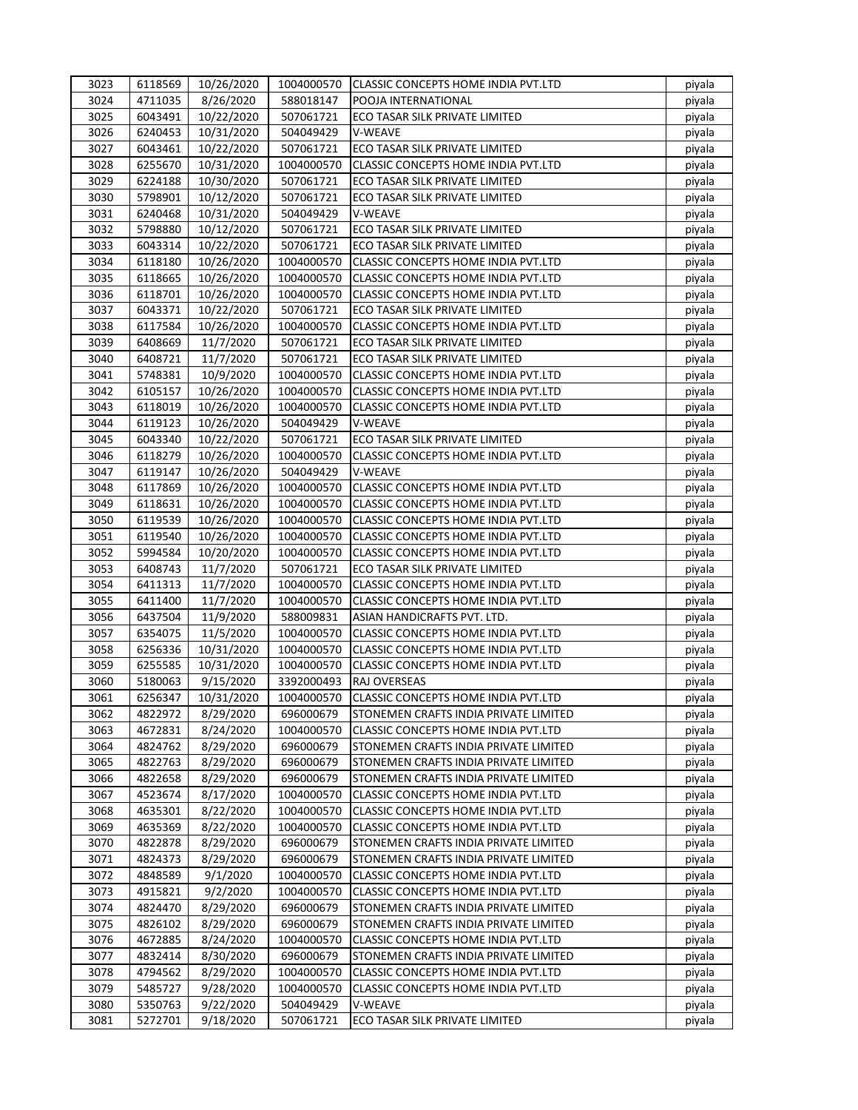| 3023 | 6118569 | 10/26/2020 | 1004000570 | CLASSIC CONCEPTS HOME INDIA PVT.LTD        | piyala |
|------|---------|------------|------------|--------------------------------------------|--------|
| 3024 | 4711035 | 8/26/2020  | 588018147  | POOJA INTERNATIONAL                        | piyala |
| 3025 | 6043491 | 10/22/2020 | 507061721  | ECO TASAR SILK PRIVATE LIMITED             | piyala |
| 3026 | 6240453 | 10/31/2020 | 504049429  | V-WEAVE                                    | piyala |
| 3027 | 6043461 | 10/22/2020 | 507061721  | ECO TASAR SILK PRIVATE LIMITED             | piyala |
| 3028 | 6255670 | 10/31/2020 | 1004000570 | CLASSIC CONCEPTS HOME INDIA PVT.LTD        | piyala |
| 3029 | 6224188 | 10/30/2020 | 507061721  | ECO TASAR SILK PRIVATE LIMITED             | piyala |
| 3030 | 5798901 | 10/12/2020 | 507061721  | ECO TASAR SILK PRIVATE LIMITED             | piyala |
| 3031 | 6240468 | 10/31/2020 | 504049429  | V-WEAVE                                    | piyala |
| 3032 | 5798880 | 10/12/2020 | 507061721  | ECO TASAR SILK PRIVATE LIMITED             | piyala |
| 3033 | 6043314 | 10/22/2020 | 507061721  | ECO TASAR SILK PRIVATE LIMITED             | piyala |
| 3034 | 6118180 | 10/26/2020 | 1004000570 | CLASSIC CONCEPTS HOME INDIA PVT.LTD        | piyala |
| 3035 | 6118665 | 10/26/2020 | 1004000570 | CLASSIC CONCEPTS HOME INDIA PVT.LTD        | piyala |
| 3036 | 6118701 | 10/26/2020 | 1004000570 | CLASSIC CONCEPTS HOME INDIA PVT.LTD        | piyala |
| 3037 | 6043371 | 10/22/2020 | 507061721  | ECO TASAR SILK PRIVATE LIMITED             | piyala |
| 3038 | 6117584 | 10/26/2020 | 1004000570 | CLASSIC CONCEPTS HOME INDIA PVT.LTD        | piyala |
| 3039 | 6408669 | 11/7/2020  | 507061721  | ECO TASAR SILK PRIVATE LIMITED             | piyala |
| 3040 | 6408721 | 11/7/2020  | 507061721  | ECO TASAR SILK PRIVATE LIMITED             | piyala |
| 3041 | 5748381 | 10/9/2020  | 1004000570 | CLASSIC CONCEPTS HOME INDIA PVT.LTD        | piyala |
| 3042 | 6105157 | 10/26/2020 | 1004000570 | <b>CLASSIC CONCEPTS HOME INDIA PVT.LTD</b> | piyala |
| 3043 | 6118019 | 10/26/2020 | 1004000570 | CLASSIC CONCEPTS HOME INDIA PVT.LTD        | piyala |
| 3044 | 6119123 | 10/26/2020 | 504049429  | V-WEAVE                                    | piyala |
| 3045 | 6043340 | 10/22/2020 | 507061721  | ECO TASAR SILK PRIVATE LIMITED             | piyala |
| 3046 | 6118279 | 10/26/2020 | 1004000570 | <b>CLASSIC CONCEPTS HOME INDIA PVT.LTD</b> | piyala |
| 3047 | 6119147 | 10/26/2020 | 504049429  | V-WEAVE                                    | piyala |
| 3048 | 6117869 | 10/26/2020 | 1004000570 | CLASSIC CONCEPTS HOME INDIA PVT.LTD        | piyala |
| 3049 | 6118631 | 10/26/2020 | 1004000570 | CLASSIC CONCEPTS HOME INDIA PVT.LTD        | piyala |
| 3050 | 6119539 | 10/26/2020 | 1004000570 | CLASSIC CONCEPTS HOME INDIA PVT.LTD        | piyala |
| 3051 | 6119540 | 10/26/2020 | 1004000570 | CLASSIC CONCEPTS HOME INDIA PVT.LTD        | piyala |
| 3052 | 5994584 | 10/20/2020 | 1004000570 | CLASSIC CONCEPTS HOME INDIA PVT.LTD        | piyala |
| 3053 | 6408743 | 11/7/2020  | 507061721  | ECO TASAR SILK PRIVATE LIMITED             | piyala |
| 3054 | 6411313 | 11/7/2020  | 1004000570 | CLASSIC CONCEPTS HOME INDIA PVT.LTD        | piyala |
| 3055 | 6411400 | 11/7/2020  | 1004000570 | CLASSIC CONCEPTS HOME INDIA PVT.LTD        | piyala |
| 3056 | 6437504 | 11/9/2020  | 588009831  | ASIAN HANDICRAFTS PVT. LTD.                | piyala |
| 3057 | 6354075 | 11/5/2020  | 1004000570 | CLASSIC CONCEPTS HOME INDIA PVT.LTD        | piyala |
| 3058 | 6256336 | 10/31/2020 | 1004000570 | CLASSIC CONCEPTS HOME INDIA PVT.LTD        | piyala |
| 3059 | 6255585 | 10/31/2020 | 1004000570 | CLASSIC CONCEPTS HOME INDIA PVT.LTD        | piyala |
| 3060 | 5180063 | 9/15/2020  | 3392000493 | RAJ OVERSEAS                               | piyala |
| 3061 | 6256347 | 10/31/2020 | 1004000570 | CLASSIC CONCEPTS HOME INDIA PVT.LTD        | piyala |
| 3062 | 4822972 | 8/29/2020  | 696000679  | STONEMEN CRAFTS INDIA PRIVATE LIMITED      | piyala |
| 3063 | 4672831 | 8/24/2020  | 1004000570 | CLASSIC CONCEPTS HOME INDIA PVT.LTD        | piyala |
| 3064 | 4824762 | 8/29/2020  | 696000679  | STONEMEN CRAFTS INDIA PRIVATE LIMITED      | piyala |
| 3065 | 4822763 | 8/29/2020  | 696000679  | STONEMEN CRAFTS INDIA PRIVATE LIMITED      | piyala |
| 3066 | 4822658 | 8/29/2020  | 696000679  | STONEMEN CRAFTS INDIA PRIVATE LIMITED      | piyala |
| 3067 | 4523674 | 8/17/2020  | 1004000570 | <b>CLASSIC CONCEPTS HOME INDIA PVT.LTD</b> | piyala |
| 3068 | 4635301 | 8/22/2020  | 1004000570 | CLASSIC CONCEPTS HOME INDIA PVT.LTD        | piyala |
| 3069 | 4635369 | 8/22/2020  | 1004000570 | CLASSIC CONCEPTS HOME INDIA PVT.LTD        | piyala |
| 3070 | 4822878 | 8/29/2020  | 696000679  | STONEMEN CRAFTS INDIA PRIVATE LIMITED      | piyala |
| 3071 | 4824373 | 8/29/2020  | 696000679  | STONEMEN CRAFTS INDIA PRIVATE LIMITED      | piyala |
| 3072 | 4848589 | 9/1/2020   | 1004000570 | <b>CLASSIC CONCEPTS HOME INDIA PVT.LTD</b> | piyala |
| 3073 | 4915821 | 9/2/2020   | 1004000570 | CLASSIC CONCEPTS HOME INDIA PVT.LTD        | piyala |
| 3074 | 4824470 | 8/29/2020  | 696000679  | STONEMEN CRAFTS INDIA PRIVATE LIMITED      | piyala |
| 3075 | 4826102 | 8/29/2020  | 696000679  | STONEMEN CRAFTS INDIA PRIVATE LIMITED      | piyala |
| 3076 | 4672885 | 8/24/2020  | 1004000570 | CLASSIC CONCEPTS HOME INDIA PVT.LTD        | piyala |
| 3077 | 4832414 | 8/30/2020  | 696000679  | STONEMEN CRAFTS INDIA PRIVATE LIMITED      | piyala |
| 3078 | 4794562 | 8/29/2020  | 1004000570 | CLASSIC CONCEPTS HOME INDIA PVT.LTD        | piyala |
| 3079 | 5485727 | 9/28/2020  | 1004000570 | CLASSIC CONCEPTS HOME INDIA PVT.LTD        | piyala |
| 3080 | 5350763 | 9/22/2020  | 504049429  | V-WEAVE                                    | piyala |
| 3081 | 5272701 | 9/18/2020  | 507061721  | ECO TASAR SILK PRIVATE LIMITED             | piyala |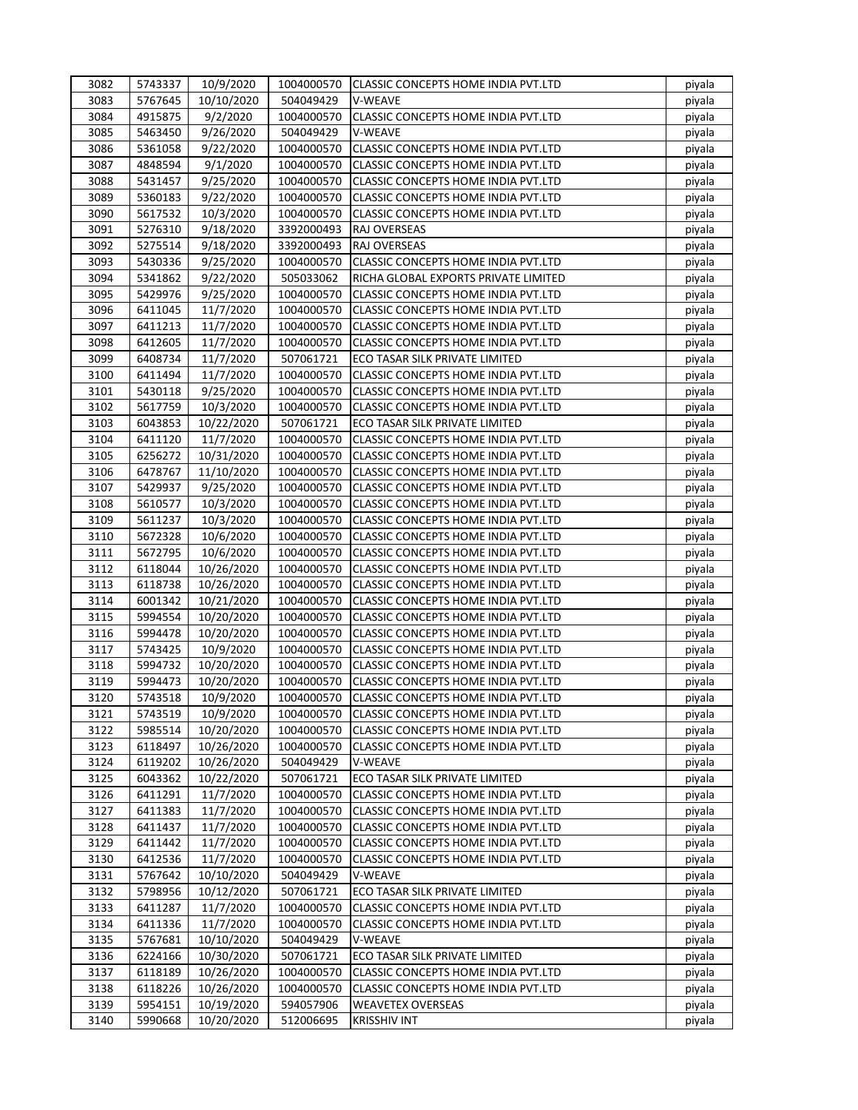| 3082 | 5743337 | 10/9/2020  | 1004000570 | CLASSIC CONCEPTS HOME INDIA PVT.LTD        | piyala |
|------|---------|------------|------------|--------------------------------------------|--------|
| 3083 | 5767645 | 10/10/2020 | 504049429  | V-WEAVE                                    | piyala |
| 3084 | 4915875 | 9/2/2020   | 1004000570 | CLASSIC CONCEPTS HOME INDIA PVT.LTD        | piyala |
| 3085 | 5463450 | 9/26/2020  | 504049429  | V-WEAVE                                    | piyala |
| 3086 | 5361058 | 9/22/2020  | 1004000570 | CLASSIC CONCEPTS HOME INDIA PVT.LTD        | piyala |
| 3087 | 4848594 | 9/1/2020   | 1004000570 | CLASSIC CONCEPTS HOME INDIA PVT.LTD        | piyala |
| 3088 | 5431457 | 9/25/2020  | 1004000570 | CLASSIC CONCEPTS HOME INDIA PVT.LTD        | piyala |
| 3089 | 5360183 | 9/22/2020  | 1004000570 | CLASSIC CONCEPTS HOME INDIA PVT.LTD        | piyala |
| 3090 | 5617532 | 10/3/2020  | 1004000570 | CLASSIC CONCEPTS HOME INDIA PVT.LTD        | piyala |
| 3091 | 5276310 | 9/18/2020  | 3392000493 | RAJ OVERSEAS                               | piyala |
| 3092 | 5275514 | 9/18/2020  | 3392000493 | RAJ OVERSEAS                               | piyala |
| 3093 | 5430336 | 9/25/2020  | 1004000570 | CLASSIC CONCEPTS HOME INDIA PVT.LTD        | piyala |
| 3094 | 5341862 | 9/22/2020  | 505033062  | RICHA GLOBAL EXPORTS PRIVATE LIMITED       | piyala |
| 3095 | 5429976 |            | 1004000570 | CLASSIC CONCEPTS HOME INDIA PVT.LTD        |        |
|      |         | 9/25/2020  |            |                                            | piyala |
| 3096 | 6411045 | 11/7/2020  | 1004000570 | CLASSIC CONCEPTS HOME INDIA PVT.LTD        | piyala |
| 3097 | 6411213 | 11/7/2020  | 1004000570 | CLASSIC CONCEPTS HOME INDIA PVT.LTD        | piyala |
| 3098 | 6412605 | 11/7/2020  | 1004000570 | CLASSIC CONCEPTS HOME INDIA PVT.LTD        | piyala |
| 3099 | 6408734 | 11/7/2020  | 507061721  | ECO TASAR SILK PRIVATE LIMITED             | piyala |
| 3100 | 6411494 | 11/7/2020  | 1004000570 | CLASSIC CONCEPTS HOME INDIA PVT.LTD        | piyala |
| 3101 | 5430118 | 9/25/2020  | 1004000570 | CLASSIC CONCEPTS HOME INDIA PVT.LTD        | piyala |
| 3102 | 5617759 | 10/3/2020  | 1004000570 | CLASSIC CONCEPTS HOME INDIA PVT.LTD        | piyala |
| 3103 | 6043853 | 10/22/2020 | 507061721  | ECO TASAR SILK PRIVATE LIMITED             | piyala |
| 3104 | 6411120 | 11/7/2020  | 1004000570 | <b>CLASSIC CONCEPTS HOME INDIA PVT.LTD</b> | piyala |
| 3105 | 6256272 | 10/31/2020 | 1004000570 | CLASSIC CONCEPTS HOME INDIA PVT.LTD        | piyala |
| 3106 | 6478767 | 11/10/2020 | 1004000570 | CLASSIC CONCEPTS HOME INDIA PVT.LTD        | piyala |
| 3107 | 5429937 | 9/25/2020  | 1004000570 | CLASSIC CONCEPTS HOME INDIA PVT.LTD        | piyala |
| 3108 | 5610577 | 10/3/2020  | 1004000570 | CLASSIC CONCEPTS HOME INDIA PVT.LTD        | piyala |
| 3109 | 5611237 | 10/3/2020  | 1004000570 | CLASSIC CONCEPTS HOME INDIA PVT.LTD        | piyala |
| 3110 | 5672328 | 10/6/2020  | 1004000570 | CLASSIC CONCEPTS HOME INDIA PVT.LTD        | piyala |
| 3111 | 5672795 | 10/6/2020  | 1004000570 | CLASSIC CONCEPTS HOME INDIA PVT.LTD        | piyala |
| 3112 | 6118044 | 10/26/2020 | 1004000570 | CLASSIC CONCEPTS HOME INDIA PVT.LTD        | piyala |
| 3113 | 6118738 | 10/26/2020 | 1004000570 | CLASSIC CONCEPTS HOME INDIA PVT.LTD        | piyala |
| 3114 | 6001342 | 10/21/2020 | 1004000570 | CLASSIC CONCEPTS HOME INDIA PVT.LTD        | piyala |
| 3115 | 5994554 | 10/20/2020 | 1004000570 | CLASSIC CONCEPTS HOME INDIA PVT.LTD        | piyala |
| 3116 | 5994478 | 10/20/2020 | 1004000570 | CLASSIC CONCEPTS HOME INDIA PVT.LTD        | piyala |
| 3117 | 5743425 | 10/9/2020  | 1004000570 | CLASSIC CONCEPTS HOME INDIA PVT.LTD        | piyala |
| 3118 | 5994732 | 10/20/2020 | 1004000570 | CLASSIC CONCEPTS HOME INDIA PVT.LTD        | piyala |
| 3119 | 5994473 | 10/20/2020 | 1004000570 | CLASSIC CONCEPTS HOME INDIA PVT.LTD        | piyala |
| 3120 | 5743518 | 10/9/2020  | 1004000570 | CLASSIC CONCEPTS HOME INDIA PVT.LTD        | piyala |
| 3121 | 5743519 | 10/9/2020  | 1004000570 | CLASSIC CONCEPTS HOME INDIA PVT.LTD        | piyala |
| 3122 | 5985514 | 10/20/2020 | 1004000570 | CLASSIC CONCEPTS HOME INDIA PVT.LTD        | piyala |
| 3123 | 6118497 | 10/26/2020 | 1004000570 | CLASSIC CONCEPTS HOME INDIA PVT.LTD        | piyala |
| 3124 | 6119202 | 10/26/2020 | 504049429  | V-WEAVE                                    | piyala |
| 3125 | 6043362 | 10/22/2020 | 507061721  | ECO TASAR SILK PRIVATE LIMITED             | piyala |
| 3126 | 6411291 | 11/7/2020  | 1004000570 | <b>CLASSIC CONCEPTS HOME INDIA PVT.LTD</b> | piyala |
| 3127 | 6411383 | 11/7/2020  | 1004000570 | CLASSIC CONCEPTS HOME INDIA PVT.LTD        | piyala |
| 3128 | 6411437 | 11/7/2020  | 1004000570 | CLASSIC CONCEPTS HOME INDIA PVT.LTD        |        |
| 3129 | 6411442 |            | 1004000570 |                                            | piyala |
|      |         | 11/7/2020  |            | CLASSIC CONCEPTS HOME INDIA PVT.LTD        | piyala |
| 3130 | 6412536 | 11/7/2020  | 1004000570 | CLASSIC CONCEPTS HOME INDIA PVT.LTD        | piyala |
| 3131 | 5767642 | 10/10/2020 | 504049429  | V-WEAVE                                    | piyala |
| 3132 | 5798956 | 10/12/2020 | 507061721  | ECO TASAR SILK PRIVATE LIMITED             | piyala |
| 3133 | 6411287 | 11/7/2020  | 1004000570 | CLASSIC CONCEPTS HOME INDIA PVT.LTD        | piyala |
| 3134 | 6411336 | 11/7/2020  | 1004000570 | CLASSIC CONCEPTS HOME INDIA PVT.LTD        | piyala |
| 3135 | 5767681 | 10/10/2020 | 504049429  | V-WEAVE                                    | piyala |
| 3136 | 6224166 | 10/30/2020 | 507061721  | ECO TASAR SILK PRIVATE LIMITED             | piyala |
| 3137 | 6118189 | 10/26/2020 | 1004000570 | CLASSIC CONCEPTS HOME INDIA PVT.LTD        | piyala |
| 3138 | 6118226 | 10/26/2020 | 1004000570 | CLASSIC CONCEPTS HOME INDIA PVT.LTD        | piyala |
| 3139 | 5954151 | 10/19/2020 | 594057906  | <b>WEAVETEX OVERSEAS</b>                   | piyala |
| 3140 | 5990668 | 10/20/2020 | 512006695  | <b>KRISSHIV INT</b>                        | piyala |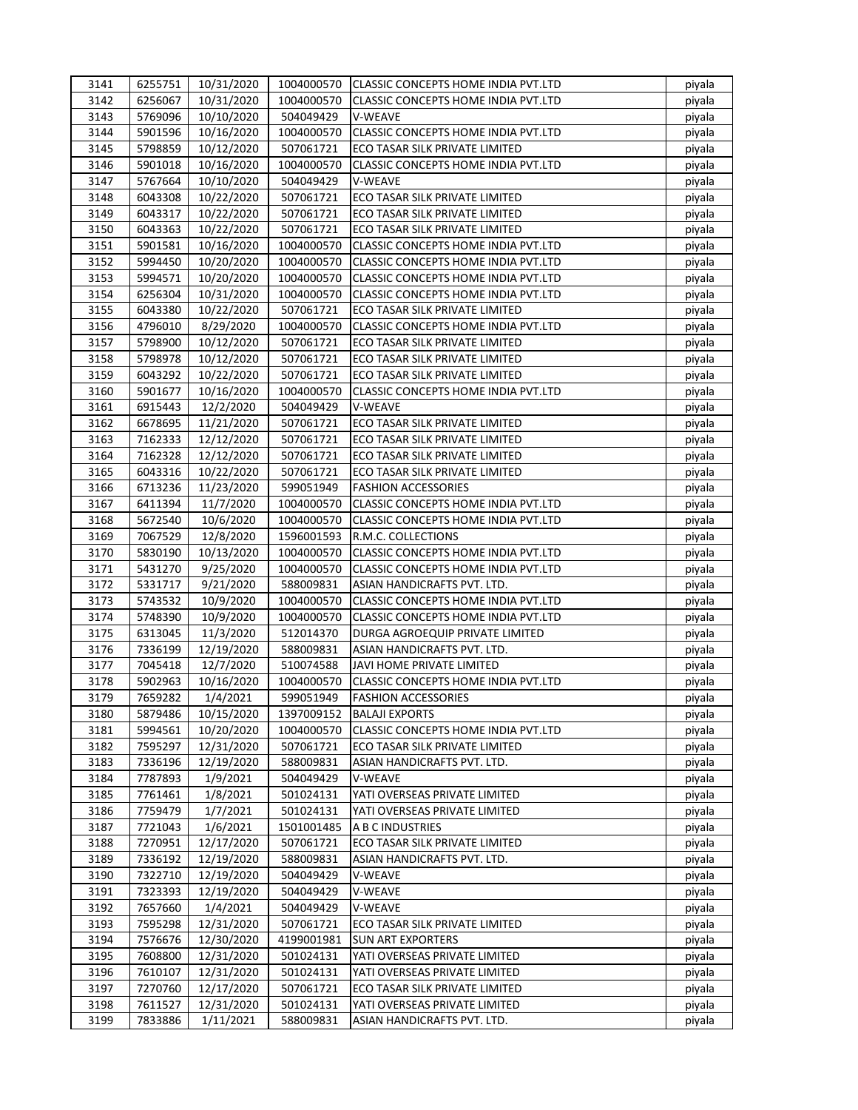| 3141 | 6255751 | 10/31/2020 | 1004000570 | <b>CLASSIC CONCEPTS HOME INDIA PVT.LTD</b> | piyala |
|------|---------|------------|------------|--------------------------------------------|--------|
| 3142 | 6256067 | 10/31/2020 | 1004000570 | <b>CLASSIC CONCEPTS HOME INDIA PVT.LTD</b> | piyala |
| 3143 | 5769096 | 10/10/2020 | 504049429  | V-WEAVE                                    | piyala |
| 3144 | 5901596 | 10/16/2020 | 1004000570 | CLASSIC CONCEPTS HOME INDIA PVT.LTD        | piyala |
| 3145 | 5798859 | 10/12/2020 | 507061721  | ECO TASAR SILK PRIVATE LIMITED             | piyala |
| 3146 | 5901018 | 10/16/2020 | 1004000570 | CLASSIC CONCEPTS HOME INDIA PVT.LTD        | piyala |
| 3147 | 5767664 | 10/10/2020 | 504049429  | V-WEAVE                                    | piyala |
| 3148 | 6043308 | 10/22/2020 | 507061721  | ECO TASAR SILK PRIVATE LIMITED             | piyala |
| 3149 | 6043317 | 10/22/2020 | 507061721  | ECO TASAR SILK PRIVATE LIMITED             | piyala |
| 3150 | 6043363 | 10/22/2020 | 507061721  | ECO TASAR SILK PRIVATE LIMITED             | piyala |
| 3151 | 5901581 | 10/16/2020 | 1004000570 | CLASSIC CONCEPTS HOME INDIA PVT.LTD        | piyala |
| 3152 | 5994450 | 10/20/2020 | 1004000570 | CLASSIC CONCEPTS HOME INDIA PVT.LTD        | piyala |
|      |         |            |            |                                            |        |
| 3153 | 5994571 | 10/20/2020 | 1004000570 | CLASSIC CONCEPTS HOME INDIA PVT.LTD        | piyala |
| 3154 | 6256304 | 10/31/2020 | 1004000570 | CLASSIC CONCEPTS HOME INDIA PVT.LTD        | piyala |
| 3155 | 6043380 | 10/22/2020 | 507061721  | ECO TASAR SILK PRIVATE LIMITED             | piyala |
| 3156 | 4796010 | 8/29/2020  | 1004000570 | CLASSIC CONCEPTS HOME INDIA PVT.LTD        | piyala |
| 3157 | 5798900 | 10/12/2020 | 507061721  | ECO TASAR SILK PRIVATE LIMITED             | piyala |
| 3158 | 5798978 | 10/12/2020 | 507061721  | ECO TASAR SILK PRIVATE LIMITED             | piyala |
| 3159 | 6043292 | 10/22/2020 | 507061721  | ECO TASAR SILK PRIVATE LIMITED             | piyala |
| 3160 | 5901677 | 10/16/2020 | 1004000570 | CLASSIC CONCEPTS HOME INDIA PVT.LTD        | piyala |
| 3161 | 6915443 | 12/2/2020  | 504049429  | V-WEAVE                                    | piyala |
| 3162 | 6678695 | 11/21/2020 | 507061721  | ECO TASAR SILK PRIVATE LIMITED             | piyala |
| 3163 | 7162333 | 12/12/2020 | 507061721  | ECO TASAR SILK PRIVATE LIMITED             | piyala |
| 3164 | 7162328 | 12/12/2020 | 507061721  | ECO TASAR SILK PRIVATE LIMITED             | piyala |
| 3165 | 6043316 | 10/22/2020 | 507061721  | ECO TASAR SILK PRIVATE LIMITED             | piyala |
| 3166 | 6713236 | 11/23/2020 | 599051949  | <b>FASHION ACCESSORIES</b>                 | piyala |
| 3167 | 6411394 | 11/7/2020  | 1004000570 | CLASSIC CONCEPTS HOME INDIA PVT.LTD        | piyala |
| 3168 | 5672540 | 10/6/2020  | 1004000570 | CLASSIC CONCEPTS HOME INDIA PVT.LTD        | piyala |
| 3169 | 7067529 | 12/8/2020  | 1596001593 | R.M.C. COLLECTIONS                         | piyala |
| 3170 | 5830190 | 10/13/2020 | 1004000570 | CLASSIC CONCEPTS HOME INDIA PVT.LTD        | piyala |
| 3171 | 5431270 | 9/25/2020  | 1004000570 | CLASSIC CONCEPTS HOME INDIA PVT.LTD        | piyala |
| 3172 | 5331717 | 9/21/2020  | 588009831  | ASIAN HANDICRAFTS PVT. LTD.                | piyala |
| 3173 | 5743532 | 10/9/2020  | 1004000570 | CLASSIC CONCEPTS HOME INDIA PVT.LTD        | piyala |
| 3174 | 5748390 | 10/9/2020  | 1004000570 | CLASSIC CONCEPTS HOME INDIA PVT.LTD        | piyala |
| 3175 | 6313045 | 11/3/2020  | 512014370  | DURGA AGROEQUIP PRIVATE LIMITED            | piyala |
| 3176 | 7336199 | 12/19/2020 | 588009831  | ASIAN HANDICRAFTS PVT. LTD.                | piyala |
| 3177 | 7045418 | 12/7/2020  | 510074588  | JAVI HOME PRIVATE LIMITED                  | piyala |
|      |         |            |            |                                            |        |
| 3178 | 5902963 | 10/16/2020 | 1004000570 | CLASSIC CONCEPTS HOME INDIA PVT.LTD        | piyala |
| 3179 | 7659282 | 1/4/2021   | 599051949  | <b>FASHION ACCESSORIES</b>                 | piyala |
| 3180 | 5879486 | 10/15/2020 | 1397009152 | <b>BALAJI EXPORTS</b>                      | piyala |
| 3181 | 5994561 | 10/20/2020 | 1004000570 | CLASSIC CONCEPTS HOME INDIA PVT.LTD        | piyala |
| 3182 | 7595297 | 12/31/2020 | 507061721  | ECO TASAR SILK PRIVATE LIMITED             | piyala |
| 3183 | 7336196 | 12/19/2020 | 588009831  | ASIAN HANDICRAFTS PVT. LTD.                | piyala |
| 3184 | 7787893 | 1/9/2021   | 504049429  | V-WEAVE                                    | piyala |
| 3185 | 7761461 | 1/8/2021   | 501024131  | YATI OVERSEAS PRIVATE LIMITED              | piyala |
| 3186 | 7759479 | 1/7/2021   | 501024131  | YATI OVERSEAS PRIVATE LIMITED              | piyala |
| 3187 | 7721043 | 1/6/2021   | 1501001485 | A B C INDUSTRIES                           | piyala |
| 3188 | 7270951 | 12/17/2020 | 507061721  | ECO TASAR SILK PRIVATE LIMITED             | piyala |
| 3189 | 7336192 | 12/19/2020 | 588009831  | ASIAN HANDICRAFTS PVT. LTD.                | piyala |
| 3190 | 7322710 | 12/19/2020 | 504049429  | V-WEAVE                                    | piyala |
| 3191 | 7323393 | 12/19/2020 | 504049429  | V-WEAVE                                    | piyala |
| 3192 | 7657660 | 1/4/2021   | 504049429  | V-WEAVE                                    | piyala |
| 3193 | 7595298 | 12/31/2020 | 507061721  | ECO TASAR SILK PRIVATE LIMITED             | piyala |
| 3194 | 7576676 | 12/30/2020 | 4199001981 | <b>SUN ART EXPORTERS</b>                   | piyala |
| 3195 | 7608800 | 12/31/2020 | 501024131  | YATI OVERSEAS PRIVATE LIMITED              | piyala |
| 3196 | 7610107 | 12/31/2020 | 501024131  | YATI OVERSEAS PRIVATE LIMITED              | piyala |
| 3197 | 7270760 | 12/17/2020 | 507061721  | ECO TASAR SILK PRIVATE LIMITED             | piyala |
| 3198 | 7611527 | 12/31/2020 | 501024131  | YATI OVERSEAS PRIVATE LIMITED              | piyala |
| 3199 | 7833886 | 1/11/2021  | 588009831  | ASIAN HANDICRAFTS PVT. LTD.                | piyala |
|      |         |            |            |                                            |        |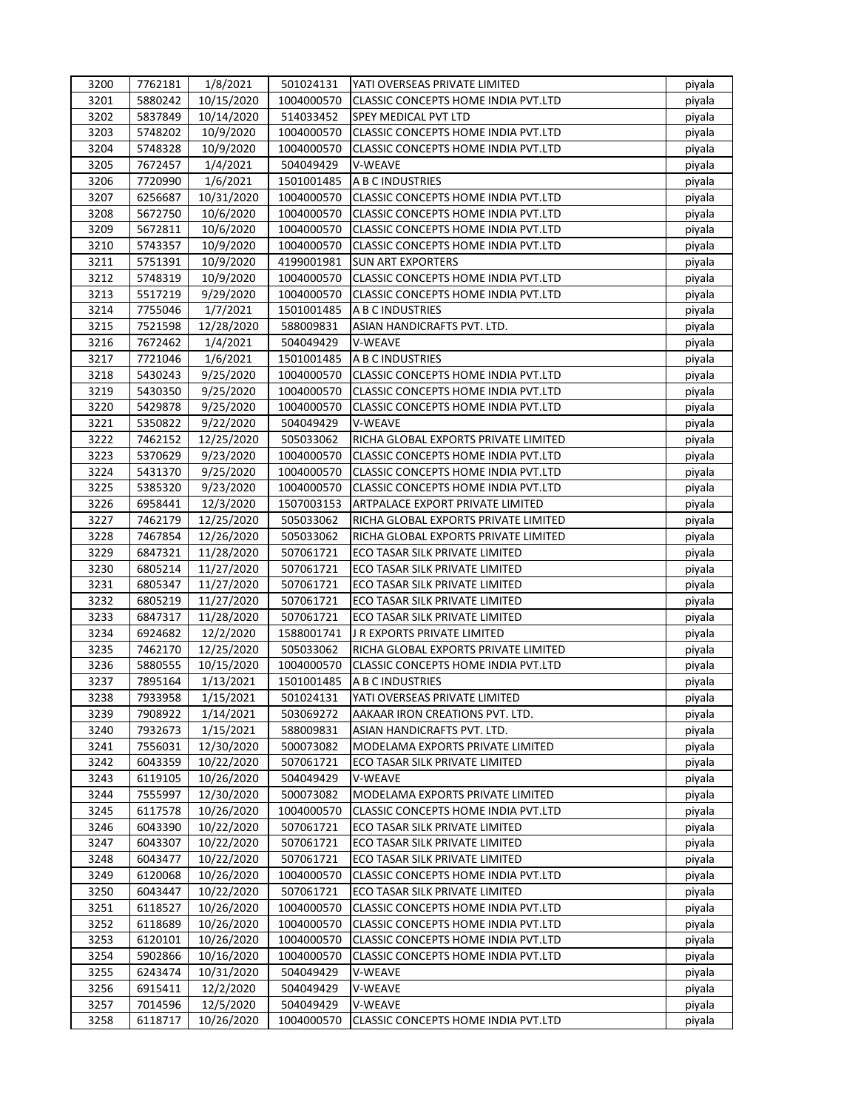| 3200 | 7762181 | 1/8/2021   | 501024131  | YATI OVERSEAS PRIVATE LIMITED              | piyala           |
|------|---------|------------|------------|--------------------------------------------|------------------|
| 3201 | 5880242 | 10/15/2020 | 1004000570 | CLASSIC CONCEPTS HOME INDIA PVT.LTD        | piyala           |
| 3202 | 5837849 | 10/14/2020 | 514033452  | <b>SPEY MEDICAL PVT LTD</b>                | piyala           |
| 3203 | 5748202 | 10/9/2020  | 1004000570 | CLASSIC CONCEPTS HOME INDIA PVT.LTD        | piyala           |
| 3204 | 5748328 | 10/9/2020  | 1004000570 | CLASSIC CONCEPTS HOME INDIA PVT.LTD        | piyala           |
| 3205 | 7672457 | 1/4/2021   | 504049429  | <b>V-WEAVE</b>                             | piyala           |
| 3206 | 7720990 | 1/6/2021   | 1501001485 | A B C INDUSTRIES                           | piyala           |
| 3207 | 6256687 | 10/31/2020 | 1004000570 | CLASSIC CONCEPTS HOME INDIA PVT.LTD        | piyala           |
| 3208 | 5672750 | 10/6/2020  | 1004000570 | CLASSIC CONCEPTS HOME INDIA PVT.LTD        | piyala           |
| 3209 | 5672811 | 10/6/2020  | 1004000570 | CLASSIC CONCEPTS HOME INDIA PVT.LTD        | piyala           |
| 3210 | 5743357 | 10/9/2020  | 1004000570 | CLASSIC CONCEPTS HOME INDIA PVT.LTD        | piyala           |
| 3211 | 5751391 | 10/9/2020  | 4199001981 | <b>SUN ART EXPORTERS</b>                   | piyala           |
| 3212 | 5748319 | 10/9/2020  | 1004000570 | CLASSIC CONCEPTS HOME INDIA PVT.LTD        | piyala           |
| 3213 | 5517219 | 9/29/2020  | 1004000570 | CLASSIC CONCEPTS HOME INDIA PVT.LTD        | piyala           |
| 3214 | 7755046 | 1/7/2021   | 1501001485 | A B C INDUSTRIES                           | piyala           |
| 3215 | 7521598 | 12/28/2020 | 588009831  | ASIAN HANDICRAFTS PVT. LTD.                | piyala           |
| 3216 | 7672462 | 1/4/2021   | 504049429  | V-WEAVE                                    | piyala           |
| 3217 | 7721046 | 1/6/2021   | 1501001485 | A B C INDUSTRIES                           | piyala           |
| 3218 | 5430243 | 9/25/2020  | 1004000570 | <b>CLASSIC CONCEPTS HOME INDIA PVT.LTD</b> | piyala           |
| 3219 | 5430350 | 9/25/2020  | 1004000570 | CLASSIC CONCEPTS HOME INDIA PVT.LTD        | piyala           |
| 3220 | 5429878 | 9/25/2020  | 1004000570 | <b>CLASSIC CONCEPTS HOME INDIA PVT.LTD</b> | piyala           |
| 3221 | 5350822 | 9/22/2020  | 504049429  | V-WEAVE                                    | piyala           |
| 3222 | 7462152 | 12/25/2020 | 505033062  | RICHA GLOBAL EXPORTS PRIVATE LIMITED       | piyala           |
| 3223 | 5370629 | 9/23/2020  | 1004000570 | CLASSIC CONCEPTS HOME INDIA PVT.LTD        | piyala           |
| 3224 | 5431370 | 9/25/2020  | 1004000570 | CLASSIC CONCEPTS HOME INDIA PVT.LTD        |                  |
| 3225 | 5385320 | 9/23/2020  | 1004000570 | CLASSIC CONCEPTS HOME INDIA PVT.LTD        | piyala<br>piyala |
|      |         |            |            |                                            |                  |
| 3226 | 6958441 | 12/3/2020  | 1507003153 | ARTPALACE EXPORT PRIVATE LIMITED           | piyala           |
| 3227 | 7462179 | 12/25/2020 | 505033062  | RICHA GLOBAL EXPORTS PRIVATE LIMITED       | piyala           |
| 3228 | 7467854 | 12/26/2020 | 505033062  | RICHA GLOBAL EXPORTS PRIVATE LIMITED       | piyala           |
| 3229 | 6847321 | 11/28/2020 | 507061721  | ECO TASAR SILK PRIVATE LIMITED             | piyala           |
| 3230 | 6805214 | 11/27/2020 | 507061721  | ECO TASAR SILK PRIVATE LIMITED             | piyala           |
| 3231 | 6805347 | 11/27/2020 | 507061721  | ECO TASAR SILK PRIVATE LIMITED             | piyala           |
| 3232 | 6805219 | 11/27/2020 | 507061721  | ECO TASAR SILK PRIVATE LIMITED             | piyala           |
| 3233 | 6847317 | 11/28/2020 | 507061721  | ECO TASAR SILK PRIVATE LIMITED             | piyala           |
| 3234 | 6924682 | 12/2/2020  | 1588001741 | J R EXPORTS PRIVATE LIMITED                | piyala           |
| 3235 | 7462170 | 12/25/2020 | 505033062  | RICHA GLOBAL EXPORTS PRIVATE LIMITED       | piyala           |
| 3236 | 5880555 | 10/15/2020 | 1004000570 | CLASSIC CONCEPTS HOME INDIA PVT.LTD        | piyala           |
| 3237 | 7895164 | 1/13/2021  | 1501001485 | A B C INDUSTRIES                           | piyala           |
| 3238 | 7933958 | 1/15/2021  | 501024131  | YATI OVERSEAS PRIVATE LIMITED              | piyala           |
| 3239 | 7908922 | 1/14/2021  | 503069272  | AAKAAR IRON CREATIONS PVT. LTD.            | piyala           |
| 3240 | 7932673 | 1/15/2021  | 588009831  | ASIAN HANDICRAFTS PVT. LTD.                | piyala           |
| 3241 | 7556031 | 12/30/2020 | 500073082  | MODELAMA EXPORTS PRIVATE LIMITED           | piyala           |
| 3242 | 6043359 | 10/22/2020 | 507061721  | ECO TASAR SILK PRIVATE LIMITED             | piyala           |
| 3243 | 6119105 | 10/26/2020 | 504049429  | V-WEAVE                                    | piyala           |
| 3244 | 7555997 | 12/30/2020 | 500073082  | MODELAMA EXPORTS PRIVATE LIMITED           | piyala           |
| 3245 | 6117578 | 10/26/2020 | 1004000570 | CLASSIC CONCEPTS HOME INDIA PVT.LTD        | piyala           |
| 3246 | 6043390 | 10/22/2020 | 507061721  | ECO TASAR SILK PRIVATE LIMITED             | piyala           |
| 3247 | 6043307 | 10/22/2020 | 507061721  | ECO TASAR SILK PRIVATE LIMITED             | piyala           |
| 3248 | 6043477 | 10/22/2020 | 507061721  | ECO TASAR SILK PRIVATE LIMITED             | piyala           |
| 3249 | 6120068 | 10/26/2020 | 1004000570 | CLASSIC CONCEPTS HOME INDIA PVT.LTD        | piyala           |
| 3250 | 6043447 | 10/22/2020 | 507061721  | ECO TASAR SILK PRIVATE LIMITED             | piyala           |
| 3251 | 6118527 | 10/26/2020 | 1004000570 | CLASSIC CONCEPTS HOME INDIA PVT.LTD        | piyala           |
| 3252 | 6118689 | 10/26/2020 | 1004000570 | CLASSIC CONCEPTS HOME INDIA PVT.LTD        | piyala           |
| 3253 | 6120101 | 10/26/2020 | 1004000570 | CLASSIC CONCEPTS HOME INDIA PVT.LTD        | piyala           |
| 3254 | 5902866 | 10/16/2020 | 1004000570 | CLASSIC CONCEPTS HOME INDIA PVT.LTD        | piyala           |
| 3255 | 6243474 | 10/31/2020 | 504049429  | V-WEAVE                                    | piyala           |
| 3256 | 6915411 | 12/2/2020  | 504049429  | V-WEAVE                                    | piyala           |
| 3257 | 7014596 | 12/5/2020  | 504049429  | V-WEAVE                                    | piyala           |
| 3258 | 6118717 | 10/26/2020 | 1004000570 | CLASSIC CONCEPTS HOME INDIA PVT.LTD        | piyala           |
|      |         |            |            |                                            |                  |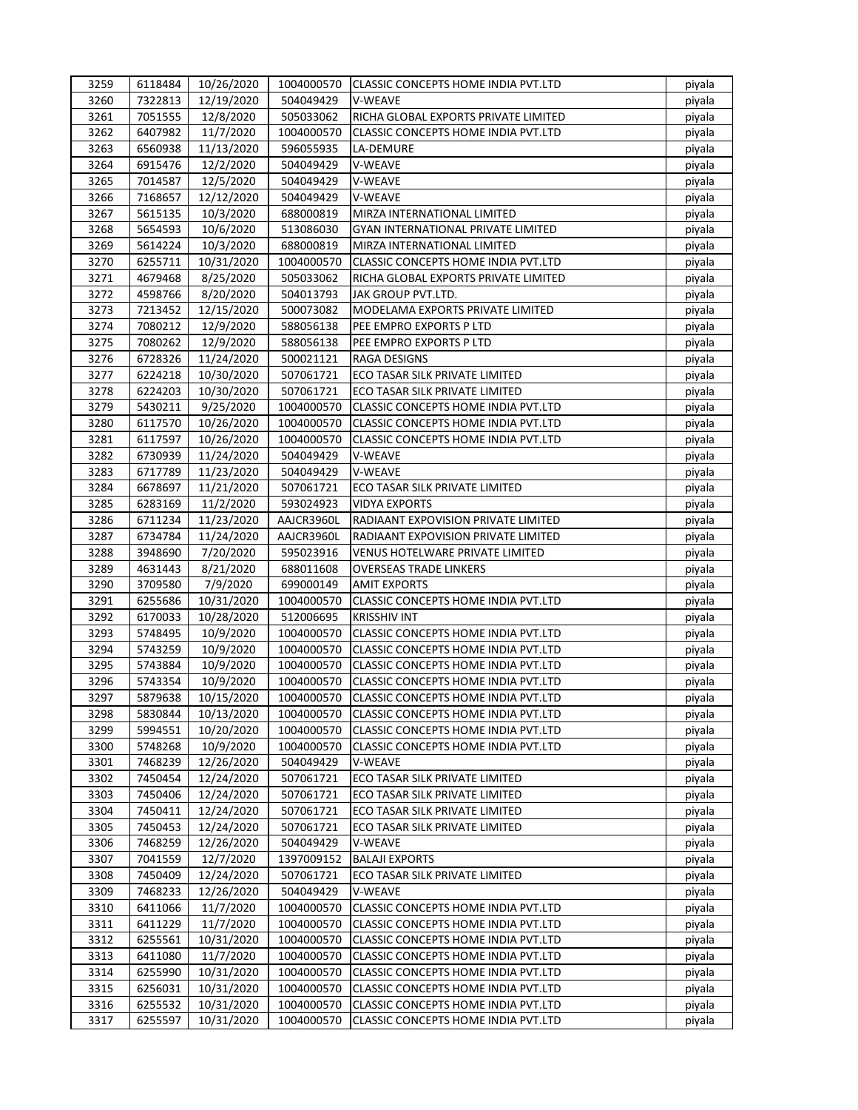| 3259 | 6118484 | 10/26/2020 | 1004000570 | CLASSIC CONCEPTS HOME INDIA PVT.LTD        | piyala |
|------|---------|------------|------------|--------------------------------------------|--------|
| 3260 | 7322813 | 12/19/2020 | 504049429  | V-WEAVE                                    | piyala |
| 3261 | 7051555 | 12/8/2020  | 505033062  | RICHA GLOBAL EXPORTS PRIVATE LIMITED       | piyala |
| 3262 | 6407982 | 11/7/2020  | 1004000570 | <b>CLASSIC CONCEPTS HOME INDIA PVT.LTD</b> | piyala |
| 3263 | 6560938 | 11/13/2020 | 596055935  | LA-DEMURE                                  | piyala |
| 3264 | 6915476 | 12/2/2020  | 504049429  | V-WEAVE                                    | piyala |
| 3265 | 7014587 | 12/5/2020  | 504049429  | V-WEAVE                                    | piyala |
| 3266 | 7168657 | 12/12/2020 | 504049429  | V-WEAVE                                    | piyala |
| 3267 | 5615135 | 10/3/2020  | 688000819  | MIRZA INTERNATIONAL LIMITED                | piyala |
| 3268 | 5654593 | 10/6/2020  | 513086030  | <b>GYAN INTERNATIONAL PRIVATE LIMITED</b>  | piyala |
| 3269 | 5614224 | 10/3/2020  | 688000819  | MIRZA INTERNATIONAL LIMITED                | piyala |
| 3270 | 6255711 | 10/31/2020 | 1004000570 | CLASSIC CONCEPTS HOME INDIA PVT.LTD        | piyala |
| 3271 | 4679468 | 8/25/2020  | 505033062  | RICHA GLOBAL EXPORTS PRIVATE LIMITED       | piyala |
| 3272 | 4598766 | 8/20/2020  | 504013793  | JAK GROUP PVT.LTD.                         | piyala |
| 3273 | 7213452 | 12/15/2020 | 500073082  | MODELAMA EXPORTS PRIVATE LIMITED           | piyala |
| 3274 | 7080212 | 12/9/2020  | 588056138  | PEE EMPRO EXPORTS P LTD                    | piyala |
| 3275 | 7080262 | 12/9/2020  | 588056138  | PEE EMPRO EXPORTS P LTD                    | piyala |
| 3276 | 6728326 | 11/24/2020 | 500021121  | RAGA DESIGNS                               | piyala |
| 3277 | 6224218 | 10/30/2020 | 507061721  | ECO TASAR SILK PRIVATE LIMITED             | piyala |
| 3278 | 6224203 | 10/30/2020 | 507061721  | ECO TASAR SILK PRIVATE LIMITED             | piyala |
| 3279 | 5430211 | 9/25/2020  | 1004000570 | CLASSIC CONCEPTS HOME INDIA PVT.LTD        | piyala |
| 3280 | 6117570 | 10/26/2020 | 1004000570 | CLASSIC CONCEPTS HOME INDIA PVT.LTD        | piyala |
| 3281 | 6117597 | 10/26/2020 | 1004000570 | CLASSIC CONCEPTS HOME INDIA PVT.LTD        | piyala |
| 3282 | 6730939 | 11/24/2020 | 504049429  | V-WEAVE                                    | piyala |
| 3283 | 6717789 | 11/23/2020 | 504049429  | <b>V-WEAVE</b>                             | piyala |
| 3284 | 6678697 | 11/21/2020 | 507061721  | ECO TASAR SILK PRIVATE LIMITED             | piyala |
| 3285 | 6283169 | 11/2/2020  | 593024923  | <b>VIDYA EXPORTS</b>                       | piyala |
| 3286 | 6711234 | 11/23/2020 | AAJCR3960L | RADIAANT EXPOVISION PRIVATE LIMITED        | piyala |
| 3287 | 6734784 | 11/24/2020 | AAJCR3960L | RADIAANT EXPOVISION PRIVATE LIMITED        | piyala |
| 3288 | 3948690 | 7/20/2020  | 595023916  | <b>VENUS HOTELWARE PRIVATE LIMITED</b>     | piyala |
| 3289 | 4631443 | 8/21/2020  | 688011608  | <b>OVERSEAS TRADE LINKERS</b>              | piyala |
| 3290 | 3709580 | 7/9/2020   | 699000149  | <b>AMIT EXPORTS</b>                        | piyala |
| 3291 | 6255686 | 10/31/2020 | 1004000570 | <b>CLASSIC CONCEPTS HOME INDIA PVT.LTD</b> | piyala |
| 3292 | 6170033 | 10/28/2020 | 512006695  | <b>KRISSHIV INT</b>                        | piyala |
| 3293 | 5748495 | 10/9/2020  | 1004000570 | CLASSIC CONCEPTS HOME INDIA PVT.LTD        | piyala |
| 3294 | 5743259 | 10/9/2020  | 1004000570 | CLASSIC CONCEPTS HOME INDIA PVT.LTD        | piyala |
| 3295 | 5743884 | 10/9/2020  | 1004000570 | CLASSIC CONCEPTS HOME INDIA PVT.LTD        | piyala |
| 3296 | 5743354 | 10/9/2020  | 1004000570 | CLASSIC CONCEPTS HOME INDIA PVT.LTD        | piyala |
| 3297 | 5879638 | 10/15/2020 | 1004000570 | CLASSIC CONCEPTS HOME INDIA PVT.LTD        | piyala |
| 3298 | 5830844 | 10/13/2020 | 1004000570 | CLASSIC CONCEPTS HOME INDIA PVT.LTD        | piyala |
| 3299 | 5994551 | 10/20/2020 | 1004000570 | <b>CLASSIC CONCEPTS HOME INDIA PVT.LTD</b> | piyala |
| 3300 | 5748268 | 10/9/2020  | 1004000570 | CLASSIC CONCEPTS HOME INDIA PVT.LTD        | piyala |
| 3301 | 7468239 | 12/26/2020 | 504049429  | V-WEAVE                                    | piyala |
| 3302 | 7450454 | 12/24/2020 | 507061721  | ECO TASAR SILK PRIVATE LIMITED             | piyala |
| 3303 | 7450406 | 12/24/2020 | 507061721  | ECO TASAR SILK PRIVATE LIMITED             | piyala |
| 3304 | 7450411 | 12/24/2020 | 507061721  | ECO TASAR SILK PRIVATE LIMITED             | piyala |
| 3305 | 7450453 | 12/24/2020 | 507061721  | ECO TASAR SILK PRIVATE LIMITED             | piyala |
| 3306 | 7468259 | 12/26/2020 | 504049429  | V-WEAVE                                    | piyala |
| 3307 | 7041559 | 12/7/2020  | 1397009152 | <b>BALAJI EXPORTS</b>                      | piyala |
| 3308 | 7450409 | 12/24/2020 | 507061721  | ECO TASAR SILK PRIVATE LIMITED             | piyala |
| 3309 | 7468233 | 12/26/2020 | 504049429  | V-WEAVE                                    | piyala |
| 3310 | 6411066 | 11/7/2020  | 1004000570 | CLASSIC CONCEPTS HOME INDIA PVT.LTD        | piyala |
| 3311 | 6411229 | 11/7/2020  | 1004000570 | CLASSIC CONCEPTS HOME INDIA PVT.LTD        | piyala |
| 3312 | 6255561 | 10/31/2020 | 1004000570 | CLASSIC CONCEPTS HOME INDIA PVT.LTD        | piyala |
| 3313 | 6411080 | 11/7/2020  | 1004000570 | CLASSIC CONCEPTS HOME INDIA PVT.LTD        | piyala |
| 3314 | 6255990 | 10/31/2020 | 1004000570 | CLASSIC CONCEPTS HOME INDIA PVT.LTD        | piyala |
| 3315 | 6256031 | 10/31/2020 | 1004000570 | CLASSIC CONCEPTS HOME INDIA PVT.LTD        | piyala |
| 3316 | 6255532 | 10/31/2020 | 1004000570 | CLASSIC CONCEPTS HOME INDIA PVT.LTD        | piyala |
| 3317 | 6255597 | 10/31/2020 | 1004000570 | CLASSIC CONCEPTS HOME INDIA PVT.LTD        | piyala |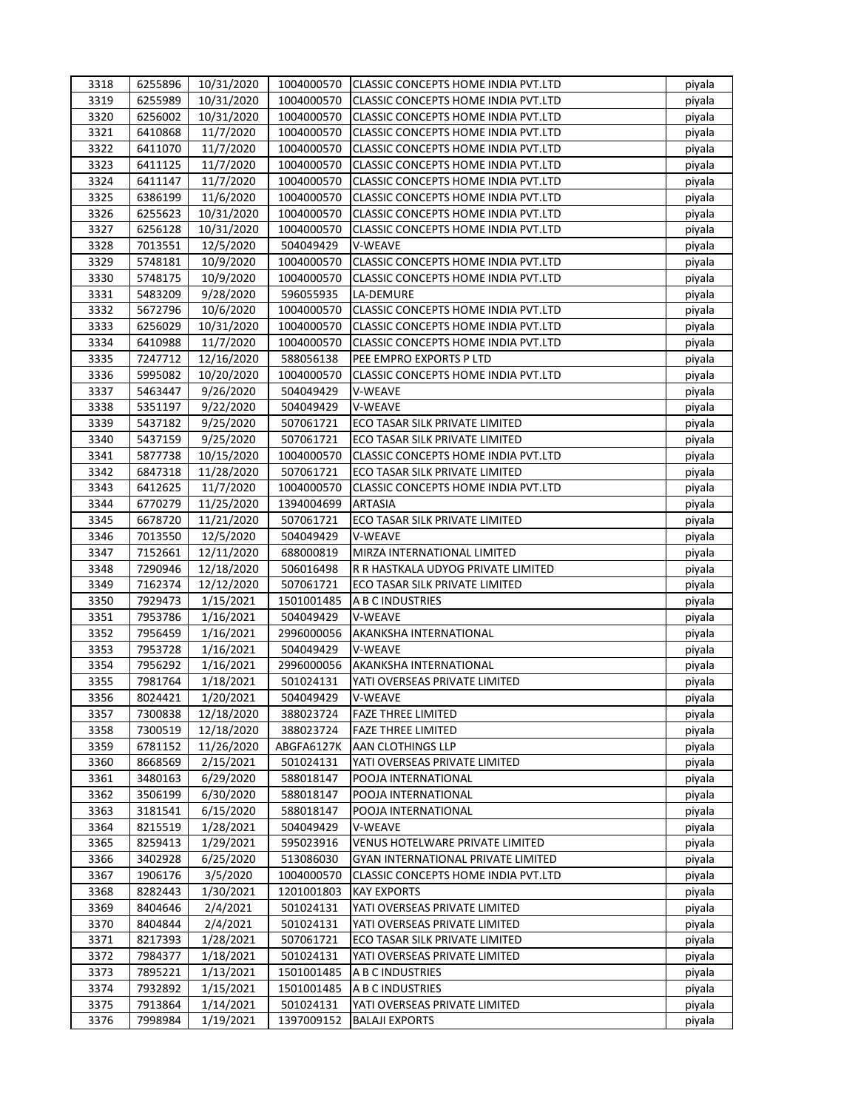| 3318 | 6255896 | 10/31/2020 | 1004000570 | <b>CLASSIC CONCEPTS HOME INDIA PVT.LTD</b> | piyala |
|------|---------|------------|------------|--------------------------------------------|--------|
| 3319 | 6255989 | 10/31/2020 | 1004000570 | <b>CLASSIC CONCEPTS HOME INDIA PVT.LTD</b> | piyala |
| 3320 | 6256002 | 10/31/2020 | 1004000570 | CLASSIC CONCEPTS HOME INDIA PVT.LTD        | piyala |
| 3321 | 6410868 | 11/7/2020  | 1004000570 | <b>CLASSIC CONCEPTS HOME INDIA PVT.LTD</b> | piyala |
| 3322 | 6411070 | 11/7/2020  | 1004000570 | CLASSIC CONCEPTS HOME INDIA PVT.LTD        | piyala |
| 3323 | 6411125 | 11/7/2020  | 1004000570 | <b>CLASSIC CONCEPTS HOME INDIA PVT.LTD</b> | piyala |
| 3324 | 6411147 | 11/7/2020  | 1004000570 | CLASSIC CONCEPTS HOME INDIA PVT.LTD        | piyala |
| 3325 | 6386199 | 11/6/2020  | 1004000570 | CLASSIC CONCEPTS HOME INDIA PVT.LTD        | piyala |
| 3326 | 6255623 | 10/31/2020 | 1004000570 | CLASSIC CONCEPTS HOME INDIA PVT.LTD        | piyala |
| 3327 | 6256128 | 10/31/2020 | 1004000570 | CLASSIC CONCEPTS HOME INDIA PVT.LTD        | piyala |
| 3328 | 7013551 | 12/5/2020  | 504049429  | V-WEAVE                                    | piyala |
| 3329 | 5748181 | 10/9/2020  | 1004000570 | CLASSIC CONCEPTS HOME INDIA PVT.LTD        | piyala |
| 3330 | 5748175 |            | 1004000570 | CLASSIC CONCEPTS HOME INDIA PVT.LTD        |        |
|      |         | 10/9/2020  |            |                                            | piyala |
| 3331 | 5483209 | 9/28/2020  | 596055935  | LA-DEMURE                                  | piyala |
| 3332 | 5672796 | 10/6/2020  | 1004000570 | CLASSIC CONCEPTS HOME INDIA PVT.LTD        | piyala |
| 3333 | 6256029 | 10/31/2020 | 1004000570 | CLASSIC CONCEPTS HOME INDIA PVT.LTD        | piyala |
| 3334 | 6410988 | 11/7/2020  | 1004000570 | CLASSIC CONCEPTS HOME INDIA PVT.LTD        | piyala |
| 3335 | 7247712 | 12/16/2020 | 588056138  | PEE EMPRO EXPORTS P LTD                    | piyala |
| 3336 | 5995082 | 10/20/2020 | 1004000570 | CLASSIC CONCEPTS HOME INDIA PVT.LTD        | piyala |
| 3337 | 5463447 | 9/26/2020  | 504049429  | V-WEAVE                                    | piyala |
| 3338 | 5351197 | 9/22/2020  | 504049429  | V-WEAVE                                    | piyala |
| 3339 | 5437182 | 9/25/2020  | 507061721  | ECO TASAR SILK PRIVATE LIMITED             | piyala |
| 3340 | 5437159 | 9/25/2020  | 507061721  | ECO TASAR SILK PRIVATE LIMITED             | piyala |
| 3341 | 5877738 | 10/15/2020 | 1004000570 | <b>CLASSIC CONCEPTS HOME INDIA PVT.LTD</b> | piyala |
| 3342 | 6847318 | 11/28/2020 | 507061721  | ECO TASAR SILK PRIVATE LIMITED             | piyala |
| 3343 | 6412625 | 11/7/2020  | 1004000570 | CLASSIC CONCEPTS HOME INDIA PVT.LTD        | piyala |
| 3344 | 6770279 | 11/25/2020 | 1394004699 | <b>ARTASIA</b>                             | piyala |
| 3345 | 6678720 | 11/21/2020 | 507061721  | ECO TASAR SILK PRIVATE LIMITED             | piyala |
| 3346 | 7013550 | 12/5/2020  | 504049429  | <b>V-WEAVE</b>                             | piyala |
| 3347 | 7152661 | 12/11/2020 | 688000819  | MIRZA INTERNATIONAL LIMITED                | piyala |
| 3348 | 7290946 | 12/18/2020 | 506016498  | R R HASTKALA UDYOG PRIVATE LIMITED         | piyala |
| 3349 | 7162374 | 12/12/2020 | 507061721  | ECO TASAR SILK PRIVATE LIMITED             | piyala |
| 3350 | 7929473 | 1/15/2021  | 1501001485 | A B C INDUSTRIES                           | piyala |
| 3351 | 7953786 | 1/16/2021  | 504049429  | V-WEAVE                                    | piyala |
| 3352 | 7956459 | 1/16/2021  | 2996000056 | AKANKSHA INTERNATIONAL                     | piyala |
| 3353 | 7953728 | 1/16/2021  | 504049429  | V-WEAVE                                    | piyala |
| 3354 | 7956292 | 1/16/2021  | 2996000056 | AKANKSHA INTERNATIONAL                     | piyala |
| 3355 | 7981764 | 1/18/2021  | 501024131  | YATI OVERSEAS PRIVATE LIMITED              | piyala |
| 3356 | 8024421 | 1/20/2021  | 504049429  | V-WEAVE                                    | piyala |
| 3357 | 7300838 | 12/18/2020 | 388023724  | <b>FAZE THREE LIMITED</b>                  | piyala |
| 3358 | 7300519 |            | 388023724  |                                            |        |
|      |         | 12/18/2020 |            | <b>FAZE THREE LIMITED</b>                  | piyala |
| 3359 | 6781152 | 11/26/2020 | ABGFA6127K | <b>AAN CLOTHINGS LLP</b>                   | piyala |
| 3360 | 8668569 | 2/15/2021  | 501024131  | YATI OVERSEAS PRIVATE LIMITED              | piyala |
| 3361 | 3480163 | 6/29/2020  | 588018147  | POOJA INTERNATIONAL                        | piyala |
| 3362 | 3506199 | 6/30/2020  | 588018147  | POOJA INTERNATIONAL                        | piyala |
| 3363 | 3181541 | 6/15/2020  | 588018147  | POOJA INTERNATIONAL                        | piyala |
| 3364 | 8215519 | 1/28/2021  | 504049429  | V-WEAVE                                    | piyala |
| 3365 | 8259413 | 1/29/2021  | 595023916  | VENUS HOTELWARE PRIVATE LIMITED            | piyala |
| 3366 | 3402928 | 6/25/2020  | 513086030  | <b>GYAN INTERNATIONAL PRIVATE LIMITED</b>  | piyala |
| 3367 | 1906176 | 3/5/2020   | 1004000570 | CLASSIC CONCEPTS HOME INDIA PVT.LTD        | piyala |
| 3368 | 8282443 | 1/30/2021  | 1201001803 | <b>KAY EXPORTS</b>                         | piyala |
| 3369 | 8404646 | 2/4/2021   | 501024131  | YATI OVERSEAS PRIVATE LIMITED              | piyala |
| 3370 | 8404844 | 2/4/2021   | 501024131  | YATI OVERSEAS PRIVATE LIMITED              | piyala |
| 3371 | 8217393 | 1/28/2021  | 507061721  | ECO TASAR SILK PRIVATE LIMITED             | piyala |
| 3372 | 7984377 | 1/18/2021  | 501024131  | YATI OVERSEAS PRIVATE LIMITED              | piyala |
| 3373 | 7895221 | 1/13/2021  | 1501001485 | A B C INDUSTRIES                           | piyala |
| 3374 | 7932892 | 1/15/2021  | 1501001485 | A B C INDUSTRIES                           | piyala |
| 3375 | 7913864 | 1/14/2021  | 501024131  | YATI OVERSEAS PRIVATE LIMITED              | piyala |
| 3376 | 7998984 | 1/19/2021  | 1397009152 | <b>BALAJI EXPORTS</b>                      | piyala |
|      |         |            |            |                                            |        |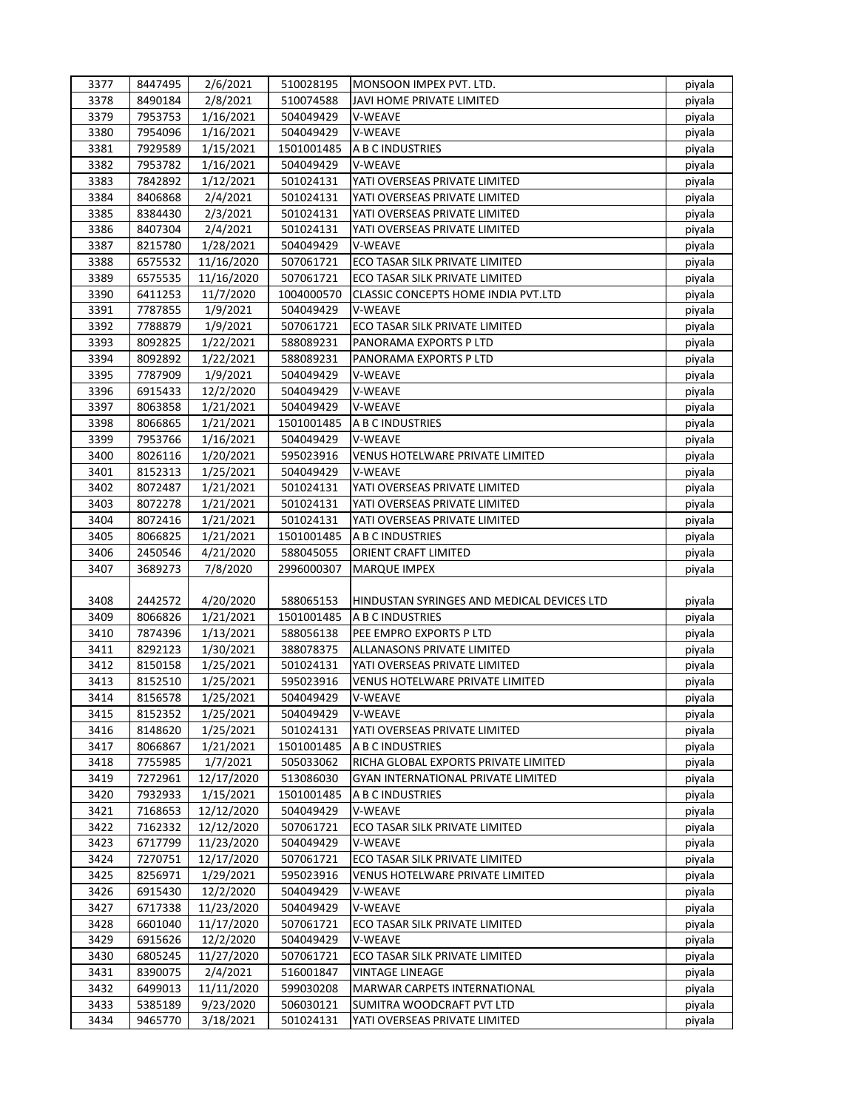| 3377         | 8447495            | 2/6/2021                 | 510028195              | MONSOON IMPEX PVT. LTD.                    | piyala           |
|--------------|--------------------|--------------------------|------------------------|--------------------------------------------|------------------|
| 3378         | 8490184            | 2/8/2021                 | 510074588              | <b>JAVI HOME PRIVATE LIMITED</b>           | piyala           |
| 3379         | 7953753            | 1/16/2021                | 504049429              | V-WEAVE                                    | piyala           |
| 3380         | 7954096            | 1/16/2021                | 504049429              | V-WEAVE                                    | piyala           |
| 3381         | 7929589            | 1/15/2021                | 1501001485             | A B C INDUSTRIES                           | piyala           |
| 3382         | 7953782            | 1/16/2021                | 504049429              | V-WEAVE                                    | piyala           |
| 3383         | 7842892            | 1/12/2021                | 501024131              | YATI OVERSEAS PRIVATE LIMITED              | piyala           |
| 3384         | 8406868            | 2/4/2021                 | 501024131              | YATI OVERSEAS PRIVATE LIMITED              | piyala           |
| 3385         | 8384430            | 2/3/2021                 | 501024131              | YATI OVERSEAS PRIVATE LIMITED              | piyala           |
| 3386         | 8407304            | 2/4/2021                 | 501024131              | YATI OVERSEAS PRIVATE LIMITED              | piyala           |
| 3387         | 8215780            | 1/28/2021                | 504049429              | V-WEAVE                                    | piyala           |
| 3388         | 6575532            | 11/16/2020               | 507061721              | ECO TASAR SILK PRIVATE LIMITED             | piyala           |
| 3389         | 6575535            | 11/16/2020               | 507061721              | ECO TASAR SILK PRIVATE LIMITED             | piyala           |
| 3390         | 6411253            | 11/7/2020                | 1004000570             | <b>CLASSIC CONCEPTS HOME INDIA PVT.LTD</b> | piyala           |
| 3391         | 7787855            | 1/9/2021                 | 504049429              | V-WEAVE                                    | piyala           |
| 3392         | 7788879            | 1/9/2021                 | 507061721              | ECO TASAR SILK PRIVATE LIMITED             | piyala           |
| 3393         | 8092825            | 1/22/2021                | 588089231              | PANORAMA EXPORTS P LTD                     | piyala           |
| 3394         | 8092892            | 1/22/2021                | 588089231              | PANORAMA EXPORTS P LTD                     | piyala           |
| 3395         | 7787909            | 1/9/2021                 | 504049429              | V-WEAVE                                    | piyala           |
| 3396         | 6915433            | 12/2/2020                | 504049429              | V-WEAVE                                    | piyala           |
| 3397         | 8063858            | 1/21/2021                | 504049429              | V-WEAVE                                    | piyala           |
| 3398         | 8066865            | 1/21/2021                | 1501001485             | A B C INDUSTRIES                           | piyala           |
| 3399         | 7953766            | 1/16/2021                | 504049429              | V-WEAVE                                    | piyala           |
| 3400         | 8026116            | 1/20/2021                | 595023916              | VENUS HOTELWARE PRIVATE LIMITED            |                  |
| 3401         |                    |                          |                        | V-WEAVE                                    | piyala           |
| 3402         | 8152313<br>8072487 | 1/25/2021<br>1/21/2021   | 504049429<br>501024131 | YATI OVERSEAS PRIVATE LIMITED              | piyala<br>piyala |
| 3403         | 8072278            | 1/21/2021                | 501024131              | YATI OVERSEAS PRIVATE LIMITED              | piyala           |
| 3404         | 8072416            |                          | 501024131              | YATI OVERSEAS PRIVATE LIMITED              |                  |
| 3405         | 8066825            | 1/21/2021<br>1/21/2021   | 1501001485             | A B C INDUSTRIES                           | piyala<br>piyala |
| 3406         | 2450546            | 4/21/2020                | 588045055              | ORIENT CRAFT LIMITED                       | piyala           |
| 3407         | 3689273            | 7/8/2020                 | 2996000307             | <b>MARQUE IMPEX</b>                        | piyala           |
|              |                    |                          |                        |                                            |                  |
| 3408         | 2442572            | 4/20/2020                | 588065153              | HINDUSTAN SYRINGES AND MEDICAL DEVICES LTD | piyala           |
| 3409         | 8066826            | 1/21/2021                | 1501001485             | A B C INDUSTRIES                           | piyala           |
| 3410         | 7874396            | 1/13/2021                | 588056138              | PEE EMPRO EXPORTS P LTD                    | piyala           |
| 3411         | 8292123            | 1/30/2021                | 388078375              | ALLANASONS PRIVATE LIMITED                 | piyala           |
| 3412         | 8150158            | 1/25/2021                | 501024131              | YATI OVERSEAS PRIVATE LIMITED              | piyala           |
| 3413         | 8152510            | 1/25/2021                | 595023916              | <b>VENUS HOTELWARE PRIVATE LIMITED</b>     | piyala           |
| 3414         | 8156578            | 1/25/2021                | 504049429              | V-WEAVE                                    | piyala           |
| 3415         | 8152352            | 1/25/2021                | 504049429              | V-WEAVE                                    | piyala           |
| 3416         | 8148620            | 1/25/2021                | 501024131              | YATI OVERSEAS PRIVATE LIMITED              | piyala           |
| 3417         | 8066867            | 1/21/2021                | 1501001485             | A B C INDUSTRIES                           | piyala           |
| 3418         | 7755985            | 1/7/2021                 | 505033062              | RICHA GLOBAL EXPORTS PRIVATE LIMITED       | piyala           |
| 3419         | 7272961            | 12/17/2020               | 513086030              | <b>GYAN INTERNATIONAL PRIVATE LIMITED</b>  | piyala           |
| 3420         | 7932933            | 1/15/2021                | 1501001485             | A B C INDUSTRIES                           | piyala           |
| 3421         | 7168653            | 12/12/2020               | 504049429              | V-WEAVE                                    | piyala           |
| 3422         |                    |                          |                        |                                            |                  |
|              |                    |                          |                        |                                            |                  |
|              | 7162332            | 12/12/2020               | 507061721              | ECO TASAR SILK PRIVATE LIMITED             | piyala           |
| 3423         | 6717799            | 11/23/2020               | 504049429              | V-WEAVE                                    | piyala           |
| 3424         | 7270751            | 12/17/2020               | 507061721              | ECO TASAR SILK PRIVATE LIMITED             | piyala           |
| 3425         | 8256971            | 1/29/2021                | 595023916              | <b>VENUS HOTELWARE PRIVATE LIMITED</b>     | piyala           |
| 3426<br>3427 | 6915430            | 12/2/2020                | 504049429<br>504049429 | V-WEAVE<br>V-WEAVE                         | piyala           |
| 3428         | 6717338<br>6601040 | 11/23/2020<br>11/17/2020 | 507061721              | ECO TASAR SILK PRIVATE LIMITED             | piyala<br>piyala |
| 3429         | 6915626            | 12/2/2020                | 504049429              | V-WEAVE                                    | piyala           |
| 3430         | 6805245            | 11/27/2020               | 507061721              | ECO TASAR SILK PRIVATE LIMITED             | piyala           |
| 3431         | 8390075            | 2/4/2021                 | 516001847              | <b>VINTAGE LINEAGE</b>                     | piyala           |
| 3432         | 6499013            | 11/11/2020               | 599030208              | MARWAR CARPETS INTERNATIONAL               | piyala           |
| 3433         | 5385189            | 9/23/2020                | 506030121              | SUMITRA WOODCRAFT PVT LTD                  | piyala           |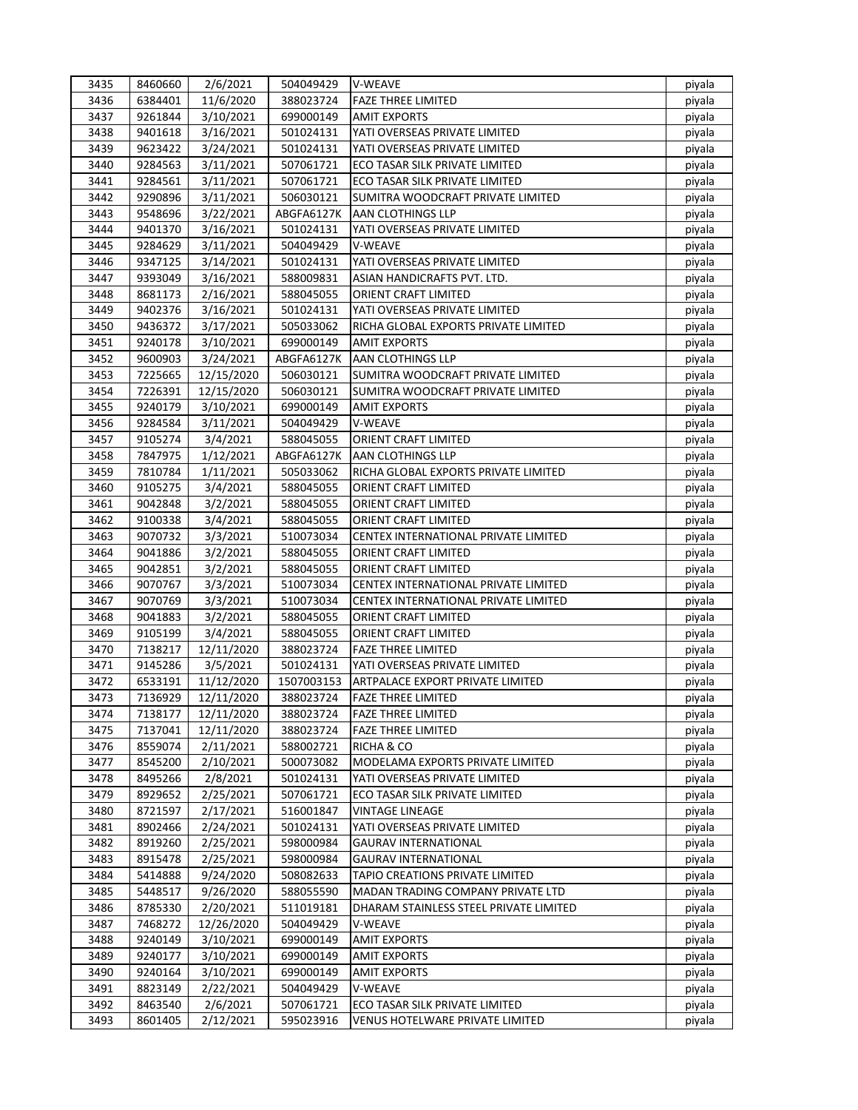| 3435 | 8460660            | 2/6/2021   | 504049429              | <b>V-WEAVE</b>                         | piyala |
|------|--------------------|------------|------------------------|----------------------------------------|--------|
| 3436 | 6384401            | 11/6/2020  | 388023724              | <b>FAZE THREE LIMITED</b>              | piyala |
| 3437 | 9261844            | 3/10/2021  | 699000149              | <b>AMIT EXPORTS</b>                    | piyala |
| 3438 | 9401618            | 3/16/2021  | 501024131              | YATI OVERSEAS PRIVATE LIMITED          | piyala |
| 3439 | 9623422            | 3/24/2021  | 501024131              | YATI OVERSEAS PRIVATE LIMITED          | piyala |
| 3440 | 9284563            | 3/11/2021  | 507061721              | ECO TASAR SILK PRIVATE LIMITED         | piyala |
| 3441 | 9284561            | 3/11/2021  | 507061721              | ECO TASAR SILK PRIVATE LIMITED         | piyala |
| 3442 | 9290896            | 3/11/2021  | 506030121              | SUMITRA WOODCRAFT PRIVATE LIMITED      | piyala |
| 3443 | 9548696            | 3/22/2021  | ABGFA6127K             | <b>AAN CLOTHINGS LLP</b>               | piyala |
| 3444 | 9401370            | 3/16/2021  | 501024131              | YATI OVERSEAS PRIVATE LIMITED          | piyala |
| 3445 | 9284629            | 3/11/2021  | 504049429              | V-WEAVE                                | piyala |
| 3446 | 9347125            | 3/14/2021  | 501024131              | YATI OVERSEAS PRIVATE LIMITED          | piyala |
| 3447 | 9393049            | 3/16/2021  | 588009831              | ASIAN HANDICRAFTS PVT. LTD.            | piyala |
| 3448 | 8681173            | 2/16/2021  | 588045055              | ORIENT CRAFT LIMITED                   | piyala |
| 3449 | 9402376            | 3/16/2021  | 501024131              | YATI OVERSEAS PRIVATE LIMITED          | piyala |
| 3450 | 9436372            | 3/17/2021  | 505033062              | RICHA GLOBAL EXPORTS PRIVATE LIMITED   | piyala |
| 3451 | 9240178            | 3/10/2021  | 699000149              | <b>AMIT EXPORTS</b>                    | piyala |
| 3452 | 9600903            | 3/24/2021  | ABGFA6127K             | <b>AAN CLOTHINGS LLP</b>               | piyala |
| 3453 | 7225665            | 12/15/2020 | 506030121              | SUMITRA WOODCRAFT PRIVATE LIMITED      | piyala |
| 3454 | 7226391            | 12/15/2020 | 506030121              | SUMITRA WOODCRAFT PRIVATE LIMITED      | piyala |
| 3455 | 9240179            | 3/10/2021  | 699000149              | <b>AMIT EXPORTS</b>                    | piyala |
| 3456 | 9284584            | 3/11/2021  | 504049429              | V-WEAVE                                | piyala |
| 3457 | 9105274            | 3/4/2021   | 588045055              | ORIENT CRAFT LIMITED                   | piyala |
| 3458 | 7847975            | 1/12/2021  | ABGFA6127K             | AAN CLOTHINGS LLP                      | piyala |
| 3459 | 7810784            | 1/11/2021  | 505033062              | RICHA GLOBAL EXPORTS PRIVATE LIMITED   | piyala |
| 3460 | 9105275            | 3/4/2021   | 588045055              | ORIENT CRAFT LIMITED                   | piyala |
| 3461 | 9042848            | 3/2/2021   | 588045055              | ORIENT CRAFT LIMITED                   | piyala |
| 3462 |                    |            |                        |                                        |        |
|      | 9100338            | 3/4/2021   | 588045055              | ORIENT CRAFT LIMITED                   | piyala |
| 3463 | 9070732            | 3/3/2021   | 510073034              | CENTEX INTERNATIONAL PRIVATE LIMITED   | piyala |
| 3464 | 9041886            | 3/2/2021   | 588045055              | ORIENT CRAFT LIMITED                   | piyala |
| 3465 | 9042851            | 3/2/2021   | 588045055              | ORIENT CRAFT LIMITED                   | piyala |
| 3466 | 9070767<br>9070769 | 3/3/2021   | 510073034              | CENTEX INTERNATIONAL PRIVATE LIMITED   | piyala |
| 3467 |                    | 3/3/2021   | 510073034              | CENTEX INTERNATIONAL PRIVATE LIMITED   | piyala |
| 3468 | 9041883<br>9105199 | 3/2/2021   | 588045055<br>588045055 | ORIENT CRAFT LIMITED                   | piyala |
| 3469 |                    | 3/4/2021   |                        | ORIENT CRAFT LIMITED                   | piyala |
| 3470 | 7138217            | 12/11/2020 | 388023724              | <b>FAZE THREE LIMITED</b>              | piyala |
| 3471 | 9145286            | 3/5/2021   | 501024131              | YATI OVERSEAS PRIVATE LIMITED          | piyala |
| 3472 | 6533191            | 11/12/2020 | 1507003153             | ARTPALACE EXPORT PRIVATE LIMITED       | piyala |
| 3473 | 7136929            | 12/11/2020 | 388023724              | <b>FAZE THREE LIMITED</b>              | piyala |
| 3474 | 7138177            | 12/11/2020 | 388023724              | <b>FAZE THREE LIMITED</b>              | piyala |
| 3475 | 7137041            | 12/11/2020 | 388023724              | <b>FAZE THREE LIMITED</b>              | piyala |
| 3476 | 8559074            | 2/11/2021  | 588002721              | RICHA & CO                             | piyala |
| 3477 | 8545200            | 2/10/2021  | 500073082              | MODELAMA EXPORTS PRIVATE LIMITED       | piyala |
| 3478 | 8495266            | 2/8/2021   | 501024131              | YATI OVERSEAS PRIVATE LIMITED          | piyala |
| 3479 | 8929652            | 2/25/2021  | 507061721              | ECO TASAR SILK PRIVATE LIMITED         | piyala |
| 3480 | 8721597            | 2/17/2021  | 516001847              | <b>VINTAGE LINEAGE</b>                 | piyala |
| 3481 | 8902466            | 2/24/2021  | 501024131              | YATI OVERSEAS PRIVATE LIMITED          | piyala |
| 3482 | 8919260            | 2/25/2021  | 598000984              | <b>GAURAV INTERNATIONAL</b>            | piyala |
| 3483 | 8915478            | 2/25/2021  | 598000984              | <b>GAURAV INTERNATIONAL</b>            | piyala |
| 3484 | 5414888            | 9/24/2020  | 508082633              | TAPIO CREATIONS PRIVATE LIMITED        | piyala |
| 3485 | 5448517            | 9/26/2020  | 588055590              | MADAN TRADING COMPANY PRIVATE LTD      | piyala |
| 3486 | 8785330            | 2/20/2021  | 511019181              | DHARAM STAINLESS STEEL PRIVATE LIMITED | piyala |
| 3487 | 7468272            | 12/26/2020 | 504049429              | V-WEAVE                                | piyala |
| 3488 | 9240149            | 3/10/2021  | 699000149              | <b>AMIT EXPORTS</b>                    | piyala |
| 3489 | 9240177            | 3/10/2021  | 699000149              | <b>AMIT EXPORTS</b>                    | piyala |
| 3490 | 9240164            | 3/10/2021  | 699000149              | <b>AMIT EXPORTS</b>                    | piyala |
| 3491 | 8823149            | 2/22/2021  | 504049429              | V-WEAVE                                | piyala |
| 3492 | 8463540            | 2/6/2021   | 507061721              | ECO TASAR SILK PRIVATE LIMITED         | piyala |
| 3493 | 8601405            | 2/12/2021  | 595023916              | VENUS HOTELWARE PRIVATE LIMITED        | piyala |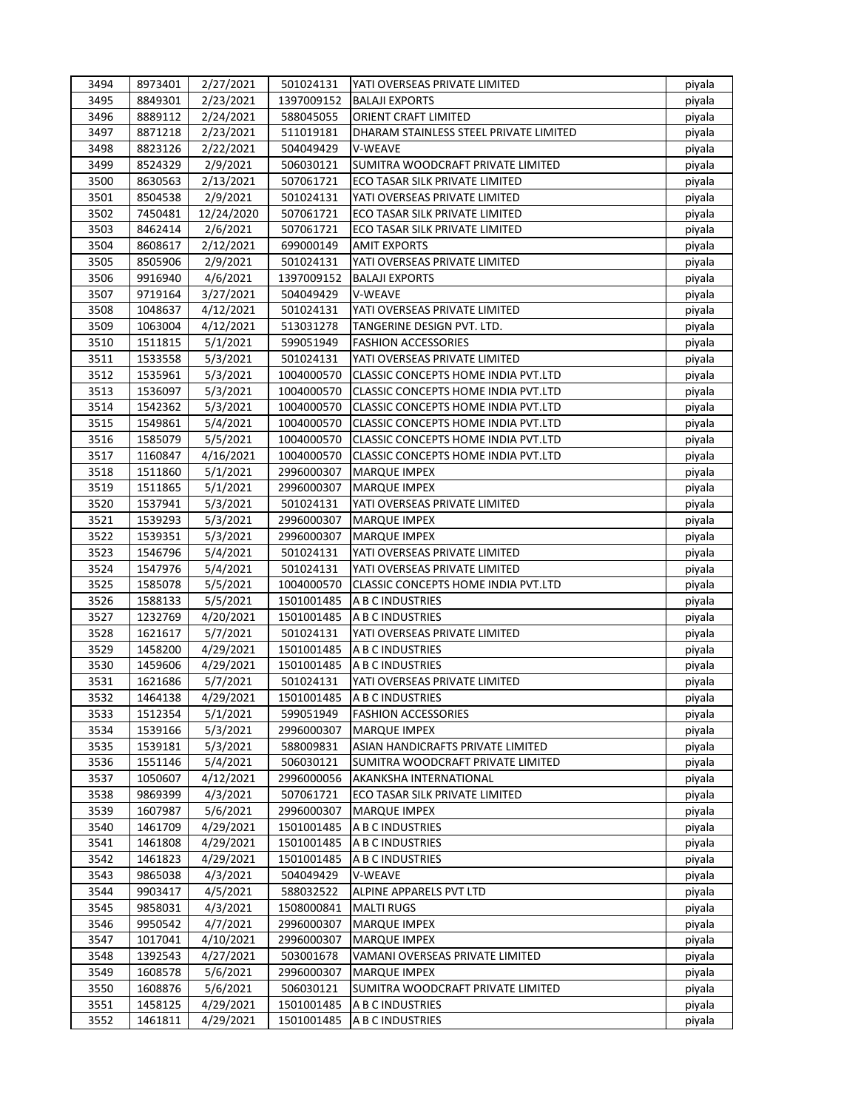| 3494 | 8973401 | 2/27/2021  | 501024131  | <b>IYATI OVERSEAS PRIVATE LIMITED</b>      | piyala |
|------|---------|------------|------------|--------------------------------------------|--------|
| 3495 | 8849301 | 2/23/2021  | 1397009152 | <b>BALAJI EXPORTS</b>                      | piyala |
| 3496 | 8889112 | 2/24/2021  | 588045055  | <b>ORIENT CRAFT LIMITED</b>                | piyala |
| 3497 | 8871218 | 2/23/2021  | 511019181  | DHARAM STAINLESS STEEL PRIVATE LIMITED     | piyala |
| 3498 | 8823126 | 2/22/2021  | 504049429  | V-WEAVE                                    | piyala |
| 3499 | 8524329 | 2/9/2021   | 506030121  | SUMITRA WOODCRAFT PRIVATE LIMITED          | piyala |
| 3500 | 8630563 | 2/13/2021  | 507061721  | ECO TASAR SILK PRIVATE LIMITED             | piyala |
| 3501 | 8504538 | 2/9/2021   | 501024131  | YATI OVERSEAS PRIVATE LIMITED              | piyala |
| 3502 | 7450481 | 12/24/2020 | 507061721  | ECO TASAR SILK PRIVATE LIMITED             | piyala |
| 3503 | 8462414 | 2/6/2021   | 507061721  | ECO TASAR SILK PRIVATE LIMITED             | piyala |
| 3504 | 8608617 | 2/12/2021  | 699000149  | <b>AMIT EXPORTS</b>                        | piyala |
| 3505 | 8505906 | 2/9/2021   | 501024131  | YATI OVERSEAS PRIVATE LIMITED              | piyala |
| 3506 | 9916940 | 4/6/2021   | 1397009152 | <b>BALAJI EXPORTS</b>                      | piyala |
| 3507 | 9719164 | 3/27/2021  | 504049429  | V-WEAVE                                    | piyala |
| 3508 | 1048637 | 4/12/2021  | 501024131  | YATI OVERSEAS PRIVATE LIMITED              | piyala |
| 3509 | 1063004 | 4/12/2021  | 513031278  | TANGERINE DESIGN PVT. LTD.                 | piyala |
| 3510 | 1511815 | 5/1/2021   | 599051949  | <b>FASHION ACCESSORIES</b>                 | piyala |
| 3511 | 1533558 | 5/3/2021   | 501024131  | YATI OVERSEAS PRIVATE LIMITED              | piyala |
| 3512 | 1535961 | 5/3/2021   | 1004000570 | CLASSIC CONCEPTS HOME INDIA PVT.LTD        | piyala |
| 3513 | 1536097 | 5/3/2021   | 1004000570 | CLASSIC CONCEPTS HOME INDIA PVT.LTD        | piyala |
| 3514 | 1542362 | 5/3/2021   | 1004000570 | CLASSIC CONCEPTS HOME INDIA PVT.LTD        | piyala |
| 3515 | 1549861 | 5/4/2021   | 1004000570 | CLASSIC CONCEPTS HOME INDIA PVT.LTD        | piyala |
| 3516 | 1585079 | 5/5/2021   | 1004000570 | CLASSIC CONCEPTS HOME INDIA PVT.LTD        | piyala |
| 3517 | 1160847 | 4/16/2021  | 1004000570 | CLASSIC CONCEPTS HOME INDIA PVT.LTD        | piyala |
| 3518 | 1511860 | 5/1/2021   | 2996000307 | <b>MARQUE IMPEX</b>                        | piyala |
| 3519 | 1511865 | 5/1/2021   | 2996000307 | <b>MARQUE IMPEX</b>                        | piyala |
| 3520 | 1537941 | 5/3/2021   | 501024131  | YATI OVERSEAS PRIVATE LIMITED              | piyala |
| 3521 | 1539293 | 5/3/2021   | 2996000307 | <b>MARQUE IMPEX</b>                        | piyala |
| 3522 | 1539351 | 5/3/2021   | 2996000307 | <b>MARQUE IMPEX</b>                        | piyala |
| 3523 | 1546796 | 5/4/2021   | 501024131  | YATI OVERSEAS PRIVATE LIMITED              | piyala |
| 3524 | 1547976 | 5/4/2021   | 501024131  | YATI OVERSEAS PRIVATE LIMITED              | piyala |
| 3525 | 1585078 | 5/5/2021   | 1004000570 | <b>CLASSIC CONCEPTS HOME INDIA PVT.LTD</b> | piyala |
| 3526 | 1588133 | 5/5/2021   | 1501001485 | A B C INDUSTRIES                           | piyala |
| 3527 | 1232769 | 4/20/2021  | 1501001485 | A B C INDUSTRIES                           | piyala |
| 3528 | 1621617 | 5/7/2021   | 501024131  | YATI OVERSEAS PRIVATE LIMITED              | piyala |
| 3529 | 1458200 | 4/29/2021  | 1501001485 | A B C INDUSTRIES                           | piyala |
| 3530 | 1459606 | 4/29/2021  | 1501001485 | A B C INDUSTRIES                           | piyala |
| 3531 | 1621686 | 5/7/2021   | 501024131  | YATI OVERSEAS PRIVATE LIMITED              | piyala |
| 3532 | 1464138 | 4/29/2021  | 1501001485 | A B C INDUSTRIES                           | piyala |
| 3533 | 1512354 | 5/1/2021   | 599051949  | <b>FASHION ACCESSORIES</b>                 | piyala |
| 3534 | 1539166 | 5/3/2021   | 2996000307 | <b>MARQUE IMPEX</b>                        | piyala |
| 3535 | 1539181 | 5/3/2021   | 588009831  | ASIAN HANDICRAFTS PRIVATE LIMITED          | piyala |
| 3536 | 1551146 | 5/4/2021   | 506030121  | SUMITRA WOODCRAFT PRIVATE LIMITED          | piyala |
| 3537 | 1050607 | 4/12/2021  | 2996000056 | AKANKSHA INTERNATIONAL                     | piyala |
| 3538 | 9869399 | 4/3/2021   | 507061721  | ECO TASAR SILK PRIVATE LIMITED             | piyala |
| 3539 | 1607987 | 5/6/2021   | 2996000307 | <b>MARQUE IMPEX</b>                        | piyala |
| 3540 | 1461709 | 4/29/2021  | 1501001485 | A B C INDUSTRIES                           | piyala |
| 3541 | 1461808 | 4/29/2021  | 1501001485 | A B C INDUSTRIES                           | piyala |
| 3542 | 1461823 | 4/29/2021  | 1501001485 | A B C INDUSTRIES                           | piyala |
| 3543 | 9865038 | 4/3/2021   | 504049429  | V-WEAVE                                    | piyala |
| 3544 | 9903417 | 4/5/2021   | 588032522  | ALPINE APPARELS PVT LTD                    | piyala |
| 3545 | 9858031 | 4/3/2021   | 1508000841 | <b>MALTI RUGS</b>                          | piyala |
| 3546 | 9950542 | 4/7/2021   | 2996000307 | <b>MARQUE IMPEX</b>                        | piyala |
| 3547 | 1017041 | 4/10/2021  | 2996000307 | <b>MARQUE IMPEX</b>                        | piyala |
| 3548 | 1392543 | 4/27/2021  | 503001678  | VAMANI OVERSEAS PRIVATE LIMITED            | piyala |
| 3549 | 1608578 | 5/6/2021   | 2996000307 | <b>MARQUE IMPEX</b>                        | piyala |
| 3550 | 1608876 | 5/6/2021   | 506030121  | SUMITRA WOODCRAFT PRIVATE LIMITED          | piyala |
| 3551 | 1458125 | 4/29/2021  | 1501001485 | A B C INDUSTRIES                           | piyala |
| 3552 | 1461811 | 4/29/2021  | 1501001485 | A B C INDUSTRIES                           | piyala |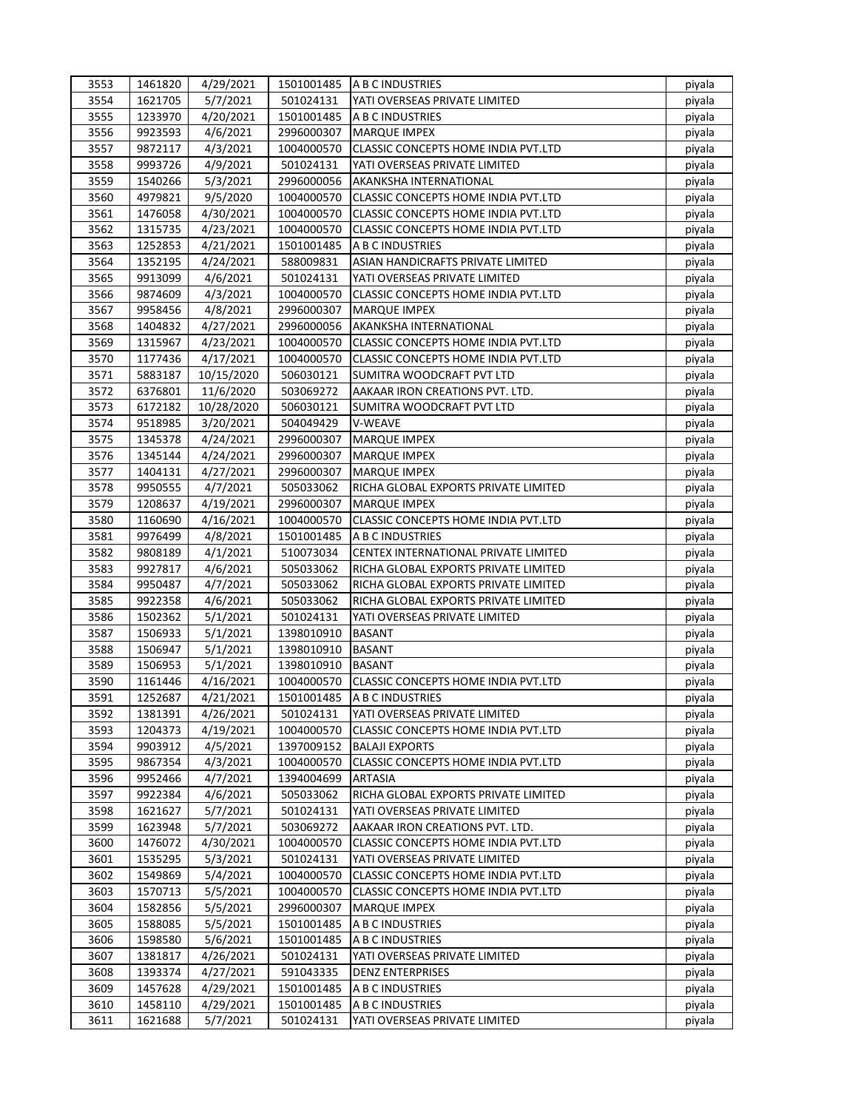| 3553         | 1461820            | 4/29/2021              |                          | 1501001485 A B C INDUSTRIES                                      | piyala           |
|--------------|--------------------|------------------------|--------------------------|------------------------------------------------------------------|------------------|
| 3554         | 1621705            | 5/7/2021               | 501024131                | YATI OVERSEAS PRIVATE LIMITED                                    | piyala           |
| 3555         | 1233970            | 4/20/2021              | 1501001485               | A B C INDUSTRIES                                                 | piyala           |
| 3556         | 9923593            | 4/6/2021               | 2996000307               | <b>MARQUE IMPEX</b>                                              | piyala           |
| 3557         | 9872117            | 4/3/2021               | 1004000570               | CLASSIC CONCEPTS HOME INDIA PVT.LTD                              | piyala           |
| 3558         | 9993726            | 4/9/2021               | 501024131                | YATI OVERSEAS PRIVATE LIMITED                                    | piyala           |
| 3559         | 1540266            | 5/3/2021               | 2996000056               | AKANKSHA INTERNATIONAL                                           | piyala           |
| 3560         | 4979821            | 9/5/2020               | 1004000570               | CLASSIC CONCEPTS HOME INDIA PVT.LTD                              | piyala           |
| 3561         | 1476058            | 4/30/2021              | 1004000570               | CLASSIC CONCEPTS HOME INDIA PVT.LTD                              | piyala           |
| 3562         | 1315735            | 4/23/2021              | 1004000570               | CLASSIC CONCEPTS HOME INDIA PVT.LTD                              | piyala           |
| 3563         | 1252853            | 4/21/2021              | 1501001485               | A B C INDUSTRIES                                                 | piyala           |
| 3564         | 1352195            | 4/24/2021              | 588009831                | ASIAN HANDICRAFTS PRIVATE LIMITED                                | piyala           |
| 3565         | 9913099            | 4/6/2021               | 501024131                | YATI OVERSEAS PRIVATE LIMITED                                    | piyala           |
| 3566         | 9874609            | 4/3/2021               | 1004000570               | CLASSIC CONCEPTS HOME INDIA PVT.LTD                              | piyala           |
| 3567         | 9958456            | 4/8/2021               | 2996000307               | <b>MARQUE IMPEX</b>                                              | piyala           |
| 3568         | 1404832            | 4/27/2021              | 2996000056               | AKANKSHA INTERNATIONAL                                           | piyala           |
| 3569         | 1315967            | 4/23/2021              | 1004000570               | CLASSIC CONCEPTS HOME INDIA PVT.LTD                              | piyala           |
| 3570         | 1177436            | 4/17/2021              | 1004000570               | CLASSIC CONCEPTS HOME INDIA PVT.LTD                              | piyala           |
| 3571         | 5883187            | 10/15/2020             | 506030121                | SUMITRA WOODCRAFT PVT LTD                                        | piyala           |
| 3572         | 6376801            | 11/6/2020              | 503069272                | AAKAAR IRON CREATIONS PVT. LTD.                                  | piyala           |
| 3573         | 6172182            | 10/28/2020             | 506030121                | SUMITRA WOODCRAFT PVT LTD                                        | piyala           |
| 3574         | 9518985            | 3/20/2021              | 504049429                | V-WEAVE                                                          | piyala           |
| 3575         | 1345378            | 4/24/2021              | 2996000307               | <b>MARQUE IMPEX</b>                                              | piyala           |
| 3576         | 1345144            | 4/24/2021              | 2996000307               | <b>MARQUE IMPEX</b>                                              | piyala           |
| 3577         | 1404131            | 4/27/2021              | 2996000307               | <b>MARQUE IMPEX</b>                                              | piyala           |
| 3578         | 9950555            | 4/7/2021               | 505033062                | RICHA GLOBAL EXPORTS PRIVATE LIMITED                             | piyala           |
| 3579         | 1208637            | 4/19/2021              | 2996000307               | <b>MARQUE IMPEX</b>                                              | piyala           |
| 3580         | 1160690            | 4/16/2021              | 1004000570               | CLASSIC CONCEPTS HOME INDIA PVT.LTD                              | piyala           |
| 3581         | 9976499            | 4/8/2021               | 1501001485               | A B C INDUSTRIES                                                 | piyala           |
| 3582         | 9808189            | 4/1/2021               | 510073034                | CENTEX INTERNATIONAL PRIVATE LIMITED                             | piyala           |
| 3583         | 9927817            | 4/6/2021               | 505033062                | RICHA GLOBAL EXPORTS PRIVATE LIMITED                             | piyala           |
| 3584         | 9950487            | 4/7/2021               | 505033062                | RICHA GLOBAL EXPORTS PRIVATE LIMITED                             | piyala           |
| 3585         | 9922358            | 4/6/2021               | 505033062                | RICHA GLOBAL EXPORTS PRIVATE LIMITED                             | piyala           |
| 3586         | 1502362            | 5/1/2021               | 501024131                | YATI OVERSEAS PRIVATE LIMITED                                    | piyala           |
| 3587         | 1506933            | 5/1/2021               |                          | <b>BASANT</b>                                                    |                  |
| 3588         | 1506947            | 5/1/2021               | 1398010910<br>1398010910 | <b>BASANT</b>                                                    | piyala           |
| 3589         | 1506953            |                        | 1398010910               | <b>BASANT</b>                                                    | piyala<br>piyala |
| 3590         | 1161446            | 5/1/2021<br>4/16/2021  | 1004000570               | CLASSIC CONCEPTS HOME INDIA PVT.LTD                              |                  |
| 3591         | 1252687            | 4/21/2021              | 1501001485               | A B C INDUSTRIES                                                 | piyala           |
| 3592         | 1381391            |                        | 501024131                | YATI OVERSEAS PRIVATE LIMITED                                    | piyala           |
| 3593         | 1204373            | 4/26/2021<br>4/19/2021 | 1004000570               |                                                                  | piyala           |
| 3594         | 9903912            | 4/5/2021               | 1397009152               | CLASSIC CONCEPTS HOME INDIA PVT.LTD<br><b>BALAJI EXPORTS</b>     | piyala           |
|              | 9867354            |                        |                          |                                                                  | piyala           |
| 3595<br>3596 | 9952466            | 4/3/2021<br>4/7/2021   | 1004000570<br>1394004699 | CLASSIC CONCEPTS HOME INDIA PVT.LTD<br><b>ARTASIA</b>            | piyala           |
|              |                    |                        |                          |                                                                  | piyala           |
| 3597         | 9922384            | 4/6/2021               | 505033062                | RICHA GLOBAL EXPORTS PRIVATE LIMITED                             | piyala           |
| 3598<br>3599 | 1621627<br>1623948 | 5/7/2021<br>5/7/2021   | 501024131<br>503069272   | YATI OVERSEAS PRIVATE LIMITED<br>AAKAAR IRON CREATIONS PVT. LTD. | piyala           |
|              |                    |                        |                          |                                                                  | piyala           |
| 3600         | 1476072            | 4/30/2021              | 1004000570               | CLASSIC CONCEPTS HOME INDIA PVT.LTD                              | piyala           |
| 3601         | 1535295            | 5/3/2021               | 501024131                | YATI OVERSEAS PRIVATE LIMITED                                    | piyala           |
| 3602         | 1549869            | 5/4/2021               | 1004000570               | CLASSIC CONCEPTS HOME INDIA PVT.LTD                              | piyala           |
| 3603         | 1570713            | 5/5/2021               | 1004000570               | CLASSIC CONCEPTS HOME INDIA PVT.LTD                              | piyala           |
| 3604         | 1582856            | 5/5/2021               | 2996000307               | <b>MARQUE IMPEX</b>                                              | piyala           |
| 3605         | 1588085            | 5/5/2021               | 1501001485               | A B C INDUSTRIES                                                 | piyala           |
| 3606         | 1598580            | 5/6/2021               | 1501001485               | A B C INDUSTRIES                                                 | piyala           |
| 3607         | 1381817            | 4/26/2021              | 501024131                | YATI OVERSEAS PRIVATE LIMITED                                    | piyala           |
| 3608         | 1393374            | 4/27/2021              | 591043335                | <b>DENZ ENTERPRISES</b>                                          | piyala           |
| 3609         | 1457628            | 4/29/2021              | 1501001485               | A B C INDUSTRIES                                                 | piyala           |
| 3610         | 1458110            | 4/29/2021              | 1501001485               | A B C INDUSTRIES                                                 | piyala           |
| 3611         | 1621688            | 5/7/2021               | 501024131                | YATI OVERSEAS PRIVATE LIMITED                                    | piyala           |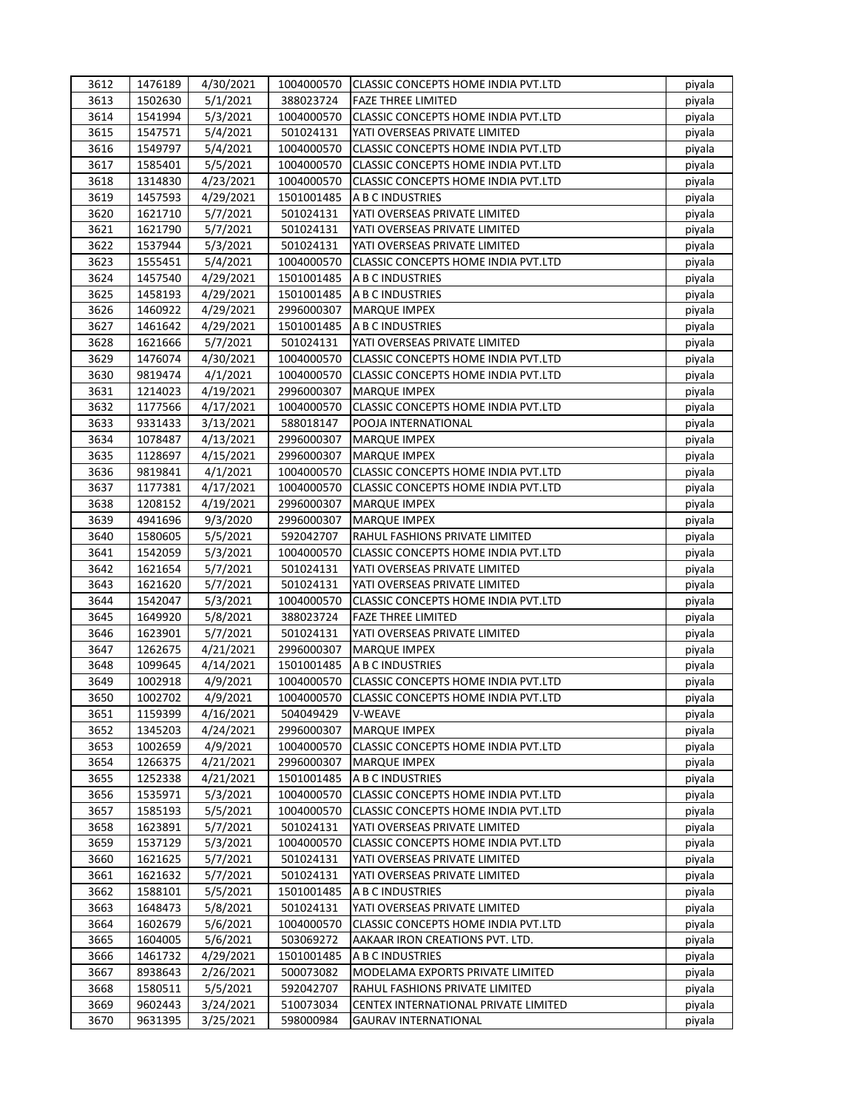| 3612 | 1476189 | 4/30/2021 |            | 1004000570 CLASSIC CONCEPTS HOME INDIA PVT.LTD | piyala |
|------|---------|-----------|------------|------------------------------------------------|--------|
| 3613 | 1502630 | 5/1/2021  | 388023724  | <b>FAZE THREE LIMITED</b>                      | piyala |
| 3614 | 1541994 | 5/3/2021  | 1004000570 | CLASSIC CONCEPTS HOME INDIA PVT.LTD            | piyala |
| 3615 | 1547571 | 5/4/2021  | 501024131  | YATI OVERSEAS PRIVATE LIMITED                  | piyala |
| 3616 | 1549797 | 5/4/2021  | 1004000570 | CLASSIC CONCEPTS HOME INDIA PVT.LTD            | piyala |
| 3617 | 1585401 | 5/5/2021  | 1004000570 | CLASSIC CONCEPTS HOME INDIA PVT.LTD            | piyala |
| 3618 | 1314830 | 4/23/2021 | 1004000570 | <b>CLASSIC CONCEPTS HOME INDIA PVT.LTD</b>     | piyala |
| 3619 | 1457593 | 4/29/2021 | 1501001485 | A B C INDUSTRIES                               | piyala |
| 3620 | 1621710 | 5/7/2021  | 501024131  | YATI OVERSEAS PRIVATE LIMITED                  | piyala |
| 3621 | 1621790 | 5/7/2021  | 501024131  | YATI OVERSEAS PRIVATE LIMITED                  | piyala |
| 3622 | 1537944 | 5/3/2021  | 501024131  | YATI OVERSEAS PRIVATE LIMITED                  | piyala |
| 3623 | 1555451 | 5/4/2021  | 1004000570 | CLASSIC CONCEPTS HOME INDIA PVT.LTD            | piyala |
| 3624 | 1457540 | 4/29/2021 | 1501001485 | A B C INDUSTRIES                               | piyala |
| 3625 | 1458193 | 4/29/2021 | 1501001485 | A B C INDUSTRIES                               | piyala |
| 3626 | 1460922 | 4/29/2021 | 2996000307 | <b>MARQUE IMPEX</b>                            | piyala |
| 3627 | 1461642 | 4/29/2021 | 1501001485 | A B C INDUSTRIES                               | piyala |
| 3628 | 1621666 | 5/7/2021  | 501024131  | YATI OVERSEAS PRIVATE LIMITED                  | piyala |
| 3629 | 1476074 | 4/30/2021 | 1004000570 | CLASSIC CONCEPTS HOME INDIA PVT.LTD            | piyala |
| 3630 | 9819474 | 4/1/2021  | 1004000570 | <b>CLASSIC CONCEPTS HOME INDIA PVT.LTD</b>     | piyala |
| 3631 | 1214023 | 4/19/2021 | 2996000307 | <b>MARQUE IMPEX</b>                            | piyala |
| 3632 | 1177566 | 4/17/2021 | 1004000570 | <b>CLASSIC CONCEPTS HOME INDIA PVT.LTD</b>     | piyala |
| 3633 | 9331433 | 3/13/2021 | 588018147  | POOJA INTERNATIONAL                            | piyala |
| 3634 | 1078487 | 4/13/2021 | 2996000307 | <b>MARQUE IMPEX</b>                            | piyala |
| 3635 | 1128697 | 4/15/2021 | 2996000307 | <b>MARQUE IMPEX</b>                            | piyala |
| 3636 | 9819841 | 4/1/2021  | 1004000570 | <b>CLASSIC CONCEPTS HOME INDIA PVT.LTD</b>     | piyala |
| 3637 | 1177381 | 4/17/2021 | 1004000570 | <b>CLASSIC CONCEPTS HOME INDIA PVT.LTD</b>     | piyala |
| 3638 | 1208152 | 4/19/2021 | 2996000307 | <b>MARQUE IMPEX</b>                            | piyala |
| 3639 | 4941696 | 9/3/2020  | 2996000307 | <b>MARQUE IMPEX</b>                            | piyala |
| 3640 | 1580605 | 5/5/2021  | 592042707  | RAHUL FASHIONS PRIVATE LIMITED                 | piyala |
| 3641 | 1542059 | 5/3/2021  | 1004000570 | CLASSIC CONCEPTS HOME INDIA PVT.LTD            | piyala |
| 3642 | 1621654 | 5/7/2021  | 501024131  | YATI OVERSEAS PRIVATE LIMITED                  | piyala |
| 3643 | 1621620 | 5/7/2021  | 501024131  | YATI OVERSEAS PRIVATE LIMITED                  | piyala |
| 3644 | 1542047 | 5/3/2021  | 1004000570 | CLASSIC CONCEPTS HOME INDIA PVT.LTD            | piyala |
| 3645 | 1649920 | 5/8/2021  | 388023724  | <b>FAZE THREE LIMITED</b>                      | piyala |
| 3646 | 1623901 | 5/7/2021  | 501024131  | YATI OVERSEAS PRIVATE LIMITED                  | piyala |
| 3647 | 1262675 | 4/21/2021 | 2996000307 | <b>MARQUE IMPEX</b>                            | piyala |
| 3648 | 1099645 | 4/14/2021 | 1501001485 | A B C INDUSTRIES                               | piyala |
| 3649 | 1002918 | 4/9/2021  | 1004000570 | CLASSIC CONCEPTS HOME INDIA PVT.LTD            | piyala |
| 3650 | 1002702 | 4/9/2021  | 1004000570 | CLASSIC CONCEPTS HOME INDIA PVT.LTD            | piyala |
| 3651 | 1159399 | 4/16/2021 | 504049429  | <b>V-WEAVE</b>                                 | piyala |
| 3652 | 1345203 | 4/24/2021 | 2996000307 | <b>MARQUE IMPEX</b>                            | piyala |
| 3653 | 1002659 | 4/9/2021  | 1004000570 | CLASSIC CONCEPTS HOME INDIA PVT.LTD            | piyala |
| 3654 | 1266375 | 4/21/2021 | 2996000307 | <b>MARQUE IMPEX</b>                            | piyala |
| 3655 | 1252338 | 4/21/2021 | 1501001485 | A B C INDUSTRIES                               | piyala |
| 3656 | 1535971 | 5/3/2021  | 1004000570 | CLASSIC CONCEPTS HOME INDIA PVT.LTD            | piyala |
| 3657 | 1585193 | 5/5/2021  | 1004000570 | CLASSIC CONCEPTS HOME INDIA PVT.LTD            | piyala |
| 3658 | 1623891 | 5/7/2021  | 501024131  | YATI OVERSEAS PRIVATE LIMITED                  | piyala |
| 3659 | 1537129 | 5/3/2021  | 1004000570 | CLASSIC CONCEPTS HOME INDIA PVT.LTD            | piyala |
| 3660 | 1621625 | 5/7/2021  | 501024131  | YATI OVERSEAS PRIVATE LIMITED                  | piyala |
| 3661 | 1621632 | 5/7/2021  | 501024131  | YATI OVERSEAS PRIVATE LIMITED                  | piyala |
| 3662 | 1588101 | 5/5/2021  | 1501001485 | A B C INDUSTRIES                               | piyala |
| 3663 | 1648473 | 5/8/2021  | 501024131  | YATI OVERSEAS PRIVATE LIMITED                  | piyala |
| 3664 | 1602679 | 5/6/2021  | 1004000570 | CLASSIC CONCEPTS HOME INDIA PVT.LTD            | piyala |
| 3665 | 1604005 | 5/6/2021  | 503069272  | AAKAAR IRON CREATIONS PVT. LTD.                | piyala |
| 3666 | 1461732 | 4/29/2021 | 1501001485 | A B C INDUSTRIES                               | piyala |
| 3667 | 8938643 | 2/26/2021 | 500073082  | MODELAMA EXPORTS PRIVATE LIMITED               | piyala |
| 3668 | 1580511 | 5/5/2021  | 592042707  | RAHUL FASHIONS PRIVATE LIMITED                 | piyala |
| 3669 | 9602443 | 3/24/2021 | 510073034  | CENTEX INTERNATIONAL PRIVATE LIMITED           | piyala |
| 3670 | 9631395 | 3/25/2021 | 598000984  | <b>GAURAV INTERNATIONAL</b>                    | piyala |
|      |         |           |            |                                                |        |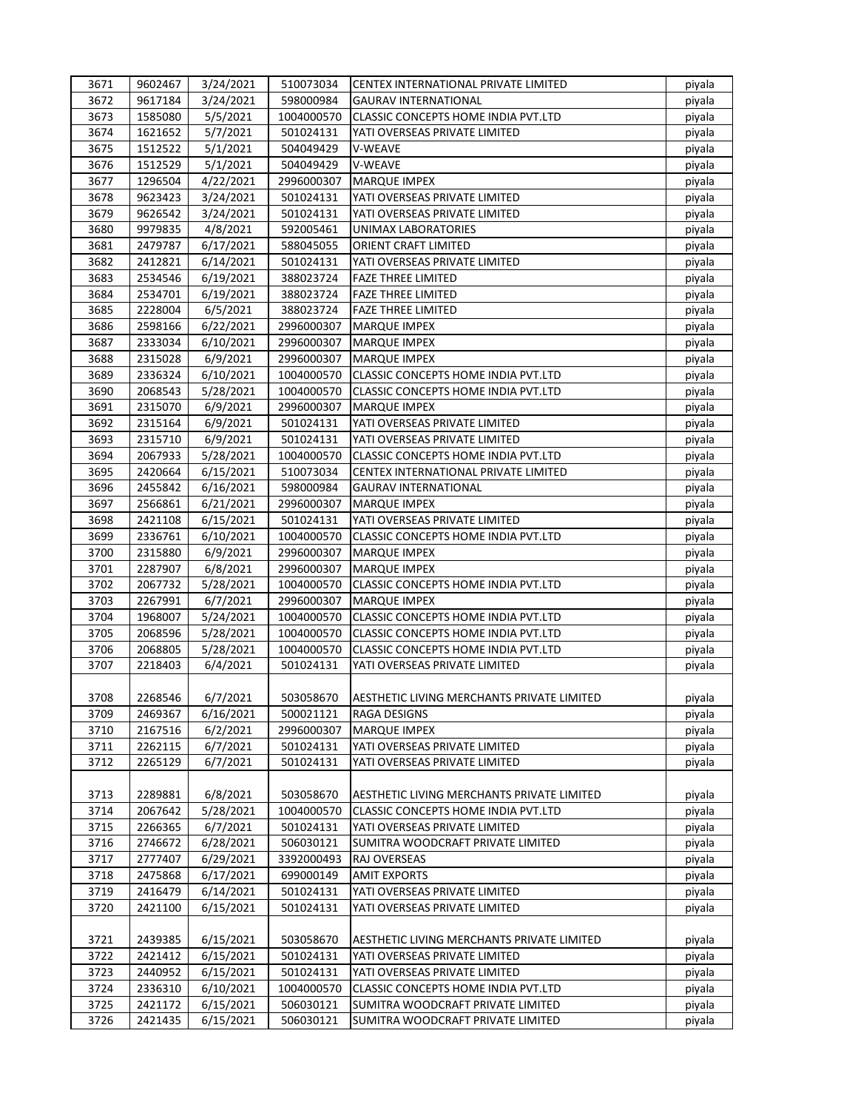| 3671 | 9602467 | 3/24/2021 | 510073034               | CENTEX INTERNATIONAL PRIVATE LIMITED       | piyala           |
|------|---------|-----------|-------------------------|--------------------------------------------|------------------|
| 3672 | 9617184 | 3/24/2021 | 598000984               | <b>GAURAV INTERNATIONAL</b>                | piyala           |
| 3673 | 1585080 | 5/5/2021  | 1004000570              | CLASSIC CONCEPTS HOME INDIA PVT.LTD        | piyala           |
| 3674 | 1621652 | 5/7/2021  | 501024131               | YATI OVERSEAS PRIVATE LIMITED              | piyala           |
| 3675 | 1512522 | 5/1/2021  | 504049429               | V-WEAVE                                    | piyala           |
| 3676 | 1512529 | 5/1/2021  | 504049429               | V-WEAVE                                    | piyala           |
| 3677 | 1296504 | 4/22/2021 | 2996000307              | <b>MARQUE IMPEX</b>                        | piyala           |
| 3678 | 9623423 | 3/24/2021 | 501024131               | YATI OVERSEAS PRIVATE LIMITED              | piyala           |
| 3679 | 9626542 | 3/24/2021 | 501024131               | YATI OVERSEAS PRIVATE LIMITED              | piyala           |
| 3680 | 9979835 | 4/8/2021  | 592005461               | UNIMAX LABORATORIES                        | piyala           |
| 3681 | 2479787 | 6/17/2021 | 588045055               | ORIENT CRAFT LIMITED                       | piyala           |
| 3682 | 2412821 | 6/14/2021 | 501024131               | YATI OVERSEAS PRIVATE LIMITED              | piyala           |
| 3683 | 2534546 | 6/19/2021 | 388023724               | <b>FAZE THREE LIMITED</b>                  | piyala           |
| 3684 | 2534701 | 6/19/2021 | 388023724               | <b>FAZE THREE LIMITED</b>                  | piyala           |
| 3685 | 2228004 | 6/5/2021  | 388023724               | <b>FAZE THREE LIMITED</b>                  | piyala           |
| 3686 | 2598166 | 6/22/2021 | 2996000307              | <b>MARQUE IMPEX</b>                        | piyala           |
| 3687 | 2333034 | 6/10/2021 | 2996000307              | <b>MARQUE IMPEX</b>                        | piyala           |
| 3688 | 2315028 | 6/9/2021  | 2996000307              | <b>MARQUE IMPEX</b>                        | piyala           |
| 3689 | 2336324 | 6/10/2021 | 1004000570              | <b>CLASSIC CONCEPTS HOME INDIA PVT.LTD</b> | piyala           |
| 3690 | 2068543 | 5/28/2021 | 1004000570              | <b>CLASSIC CONCEPTS HOME INDIA PVT.LTD</b> | piyala           |
| 3691 | 2315070 | 6/9/2021  | 2996000307              | <b>MARQUE IMPEX</b>                        | piyala           |
| 3692 | 2315164 | 6/9/2021  | 501024131               | YATI OVERSEAS PRIVATE LIMITED              | piyala           |
| 3693 | 2315710 | 6/9/2021  | 501024131               | YATI OVERSEAS PRIVATE LIMITED              | piyala           |
| 3694 | 2067933 | 5/28/2021 | 1004000570              | CLASSIC CONCEPTS HOME INDIA PVT.LTD        | piyala           |
| 3695 | 2420664 | 6/15/2021 | 510073034               | CENTEX INTERNATIONAL PRIVATE LIMITED       | piyala           |
| 3696 | 2455842 | 6/16/2021 | 598000984               | <b>GAURAV INTERNATIONAL</b>                | piyala           |
| 3697 | 2566861 | 6/21/2021 | 2996000307              | <b>MARQUE IMPEX</b>                        | piyala           |
| 3698 | 2421108 | 6/15/2021 | 501024131               | YATI OVERSEAS PRIVATE LIMITED              | piyala           |
| 3699 | 2336761 | 6/10/2021 | 1004000570              | CLASSIC CONCEPTS HOME INDIA PVT.LTD        | piyala           |
| 3700 | 2315880 | 6/9/2021  | 2996000307              | <b>MARQUE IMPEX</b>                        | piyala           |
| 3701 | 2287907 | 6/8/2021  | 2996000307              | <b>MARQUE IMPEX</b>                        | piyala           |
| 3702 | 2067732 | 5/28/2021 | 1004000570              | CLASSIC CONCEPTS HOME INDIA PVT.LTD        | piyala           |
| 3703 | 2267991 | 6/7/2021  | 2996000307              | <b>MARQUE IMPEX</b>                        | piyala           |
| 3704 | 1968007 | 5/24/2021 | 1004000570              | CLASSIC CONCEPTS HOME INDIA PVT.LTD        | piyala           |
| 3705 | 2068596 | 5/28/2021 | 1004000570              | CLASSIC CONCEPTS HOME INDIA PVT.LTD        | piyala           |
| 3706 | 2068805 |           | 1004000570              | CLASSIC CONCEPTS HOME INDIA PVT.LTD        |                  |
| 3707 | 2218403 | 5/28/2021 | 501024131               |                                            | piyala<br>piyala |
|      |         | 6/4/2021  |                         | YATI OVERSEAS PRIVATE LIMITED              |                  |
|      |         |           |                         |                                            |                  |
| 3708 | 2268546 | 6/7/2021  | 503058670               | AESTHETIC LIVING MERCHANTS PRIVATE LIMITED | piyala           |
| 3709 | 2469367 | 6/16/2021 | 500021121<br>2996000307 | <b>RAGA DESIGNS</b>                        | piyala           |
| 3710 | 2167516 | 6/2/2021  |                         | <b>MARQUE IMPEX</b>                        | piyala           |
| 3711 | 2262115 | 6/7/2021  | 501024131               | YATI OVERSEAS PRIVATE LIMITED              | piyala           |
| 3712 | 2265129 | 6/7/2021  | 501024131               | YATI OVERSEAS PRIVATE LIMITED              | piyala           |
|      |         |           |                         |                                            |                  |
| 3713 | 2289881 | 6/8/2021  | 503058670               | AESTHETIC LIVING MERCHANTS PRIVATE LIMITED | piyala           |
| 3714 | 2067642 | 5/28/2021 | 1004000570              | <b>CLASSIC CONCEPTS HOME INDIA PVT.LTD</b> | piyala           |
| 3715 | 2266365 | 6/7/2021  | 501024131               | YATI OVERSEAS PRIVATE LIMITED              | piyala           |
| 3716 | 2746672 | 6/28/2021 | 506030121               | SUMITRA WOODCRAFT PRIVATE LIMITED          | piyala           |
| 3717 | 2777407 | 6/29/2021 | 3392000493              | RAJ OVERSEAS                               | piyala           |
| 3718 | 2475868 | 6/17/2021 | 699000149               | <b>AMIT EXPORTS</b>                        | piyala           |
| 3719 | 2416479 | 6/14/2021 | 501024131               | YATI OVERSEAS PRIVATE LIMITED              | piyala           |
| 3720 | 2421100 | 6/15/2021 | 501024131               | YATI OVERSEAS PRIVATE LIMITED              | piyala           |
|      |         |           |                         |                                            |                  |
| 3721 | 2439385 | 6/15/2021 | 503058670               | AESTHETIC LIVING MERCHANTS PRIVATE LIMITED | piyala           |
| 3722 | 2421412 | 6/15/2021 | 501024131               | YATI OVERSEAS PRIVATE LIMITED              | piyala           |
| 3723 | 2440952 | 6/15/2021 | 501024131               | YATI OVERSEAS PRIVATE LIMITED              | piyala           |
| 3724 | 2336310 | 6/10/2021 | 1004000570              | CLASSIC CONCEPTS HOME INDIA PVT.LTD        | piyala           |
| 3725 | 2421172 | 6/15/2021 | 506030121               | SUMITRA WOODCRAFT PRIVATE LIMITED          | piyala           |
| 3726 | 2421435 | 6/15/2021 | 506030121               | SUMITRA WOODCRAFT PRIVATE LIMITED          | piyala           |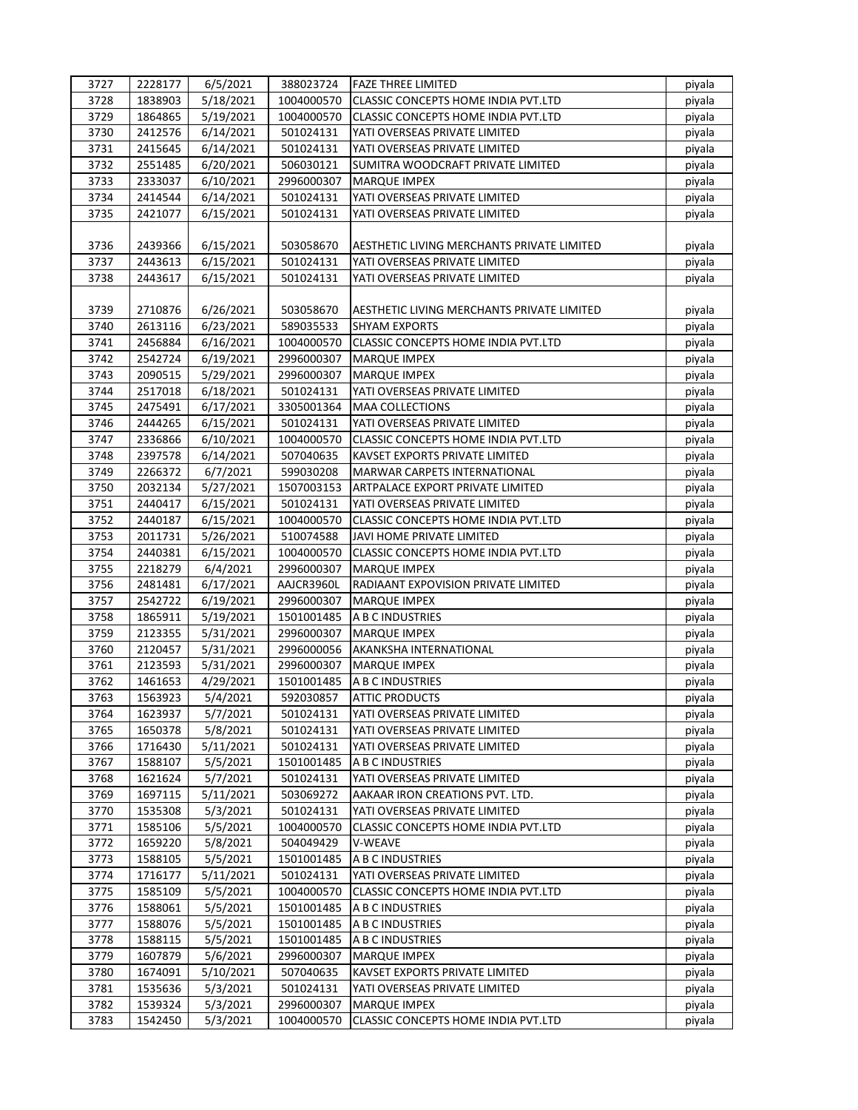| 3727 | 2228177 | 6/5/2021  | 388023724  | lFAZE THREE LIMITED                        | piyala |
|------|---------|-----------|------------|--------------------------------------------|--------|
| 3728 | 1838903 | 5/18/2021 | 1004000570 | <b>CLASSIC CONCEPTS HOME INDIA PVT.LTD</b> | piyala |
| 3729 | 1864865 | 5/19/2021 | 1004000570 | CLASSIC CONCEPTS HOME INDIA PVT.LTD        | piyala |
| 3730 | 2412576 | 6/14/2021 | 501024131  | YATI OVERSEAS PRIVATE LIMITED              | piyala |
| 3731 | 2415645 | 6/14/2021 | 501024131  | YATI OVERSEAS PRIVATE LIMITED              | piyala |
| 3732 | 2551485 | 6/20/2021 | 506030121  | SUMITRA WOODCRAFT PRIVATE LIMITED          | piyala |
| 3733 | 2333037 | 6/10/2021 | 2996000307 | <b>MARQUE IMPEX</b>                        | piyala |
| 3734 | 2414544 | 6/14/2021 | 501024131  | YATI OVERSEAS PRIVATE LIMITED              | piyala |
| 3735 | 2421077 | 6/15/2021 | 501024131  | YATI OVERSEAS PRIVATE LIMITED              | piyala |
|      |         |           |            |                                            |        |
| 3736 | 2439366 | 6/15/2021 | 503058670  | AESTHETIC LIVING MERCHANTS PRIVATE LIMITED | piyala |
| 3737 | 2443613 | 6/15/2021 | 501024131  | YATI OVERSEAS PRIVATE LIMITED              | piyala |
| 3738 | 2443617 | 6/15/2021 | 501024131  | YATI OVERSEAS PRIVATE LIMITED              | piyala |
|      |         |           |            |                                            |        |
| 3739 | 2710876 | 6/26/2021 | 503058670  | AESTHETIC LIVING MERCHANTS PRIVATE LIMITED | piyala |
| 3740 | 2613116 | 6/23/2021 | 589035533  | <b>SHYAM EXPORTS</b>                       | piyala |
| 3741 | 2456884 | 6/16/2021 | 1004000570 | CLASSIC CONCEPTS HOME INDIA PVT.LTD        | piyala |
| 3742 | 2542724 | 6/19/2021 | 2996000307 | <b>MARQUE IMPEX</b>                        | piyala |
| 3743 | 2090515 | 5/29/2021 | 2996000307 | <b>MARQUE IMPEX</b>                        | piyala |
| 3744 | 2517018 | 6/18/2021 | 501024131  | YATI OVERSEAS PRIVATE LIMITED              | piyala |
| 3745 | 2475491 | 6/17/2021 | 3305001364 | <b>MAA COLLECTIONS</b>                     | piyala |
| 3746 | 2444265 | 6/15/2021 | 501024131  | YATI OVERSEAS PRIVATE LIMITED              | piyala |
| 3747 | 2336866 | 6/10/2021 | 1004000570 | CLASSIC CONCEPTS HOME INDIA PVT.LTD        | piyala |
| 3748 | 2397578 | 6/14/2021 | 507040635  | KAVSET EXPORTS PRIVATE LIMITED             | piyala |
| 3749 | 2266372 | 6/7/2021  | 599030208  | MARWAR CARPETS INTERNATIONAL               | piyala |
| 3750 | 2032134 | 5/27/2021 | 1507003153 | ARTPALACE EXPORT PRIVATE LIMITED           | piyala |
| 3751 | 2440417 | 6/15/2021 | 501024131  | YATI OVERSEAS PRIVATE LIMITED              | piyala |
| 3752 | 2440187 | 6/15/2021 | 1004000570 | CLASSIC CONCEPTS HOME INDIA PVT.LTD        | piyala |
| 3753 | 2011731 | 5/26/2021 | 510074588  | JAVI HOME PRIVATE LIMITED                  | piyala |
| 3754 | 2440381 | 6/15/2021 | 1004000570 | CLASSIC CONCEPTS HOME INDIA PVT.LTD        | piyala |
| 3755 | 2218279 | 6/4/2021  | 2996000307 | <b>MARQUE IMPEX</b>                        | piyala |
| 3756 | 2481481 | 6/17/2021 | AAJCR3960L | RADIAANT EXPOVISION PRIVATE LIMITED        | piyala |
| 3757 | 2542722 | 6/19/2021 | 2996000307 | <b>MARQUE IMPEX</b>                        | piyala |
| 3758 | 1865911 | 5/19/2021 | 1501001485 | A B C INDUSTRIES                           | piyala |
| 3759 | 2123355 | 5/31/2021 | 2996000307 | <b>MARQUE IMPEX</b>                        | piyala |
| 3760 | 2120457 | 5/31/2021 | 2996000056 | AKANKSHA INTERNATIONAL                     | piyala |
| 3761 | 2123593 | 5/31/2021 | 2996000307 | <b>MARQUE IMPEX</b>                        | piyala |
| 3762 | 1461653 | 4/29/2021 | 1501001485 | A B C INDUSTRIES                           | piyala |
| 3763 | 1563923 | 5/4/2021  | 592030857  | <b>ATTIC PRODUCTS</b>                      | piyala |
| 3764 | 1623937 | 5/7/2021  | 501024131  | YATI OVERSEAS PRIVATE LIMITED              | piyala |
| 3765 | 1650378 | 5/8/2021  | 501024131  | YATI OVERSEAS PRIVATE LIMITED              | piyala |
| 3766 | 1716430 | 5/11/2021 | 501024131  | YATI OVERSEAS PRIVATE LIMITED              | piyala |
| 3767 | 1588107 | 5/5/2021  | 1501001485 | A B C INDUSTRIES                           | piyala |
| 3768 | 1621624 | 5/7/2021  | 501024131  | YATI OVERSEAS PRIVATE LIMITED              | piyala |
| 3769 | 1697115 | 5/11/2021 | 503069272  | AAKAAR IRON CREATIONS PVT. LTD.            | piyala |
| 3770 | 1535308 | 5/3/2021  | 501024131  | YATI OVERSEAS PRIVATE LIMITED              | piyala |
| 3771 | 1585106 | 5/5/2021  | 1004000570 | CLASSIC CONCEPTS HOME INDIA PVT.LTD        | piyala |
| 3772 | 1659220 | 5/8/2021  | 504049429  | V-WEAVE                                    | piyala |
| 3773 | 1588105 | 5/5/2021  | 1501001485 | A B C INDUSTRIES                           | piyala |
| 3774 | 1716177 | 5/11/2021 | 501024131  | YATI OVERSEAS PRIVATE LIMITED              | piyala |
| 3775 | 1585109 | 5/5/2021  | 1004000570 | CLASSIC CONCEPTS HOME INDIA PVT.LTD        | piyala |
| 3776 | 1588061 | 5/5/2021  | 1501001485 | A B C INDUSTRIES                           | piyala |
| 3777 | 1588076 | 5/5/2021  | 1501001485 | A B C INDUSTRIES                           |        |
| 3778 | 1588115 | 5/5/2021  | 1501001485 | A B C INDUSTRIES                           | piyala |
| 3779 |         | 5/6/2021  |            | <b>MARQUE IMPEX</b>                        | piyala |
|      | 1607879 |           | 2996000307 |                                            | piyala |
| 3780 | 1674091 | 5/10/2021 | 507040635  | KAVSET EXPORTS PRIVATE LIMITED             | piyala |
| 3781 | 1535636 | 5/3/2021  | 501024131  | YATI OVERSEAS PRIVATE LIMITED              | piyala |
| 3782 | 1539324 | 5/3/2021  | 2996000307 | <b>MARQUE IMPEX</b>                        | piyala |
| 3783 | 1542450 | 5/3/2021  | 1004000570 | CLASSIC CONCEPTS HOME INDIA PVT.LTD        | piyala |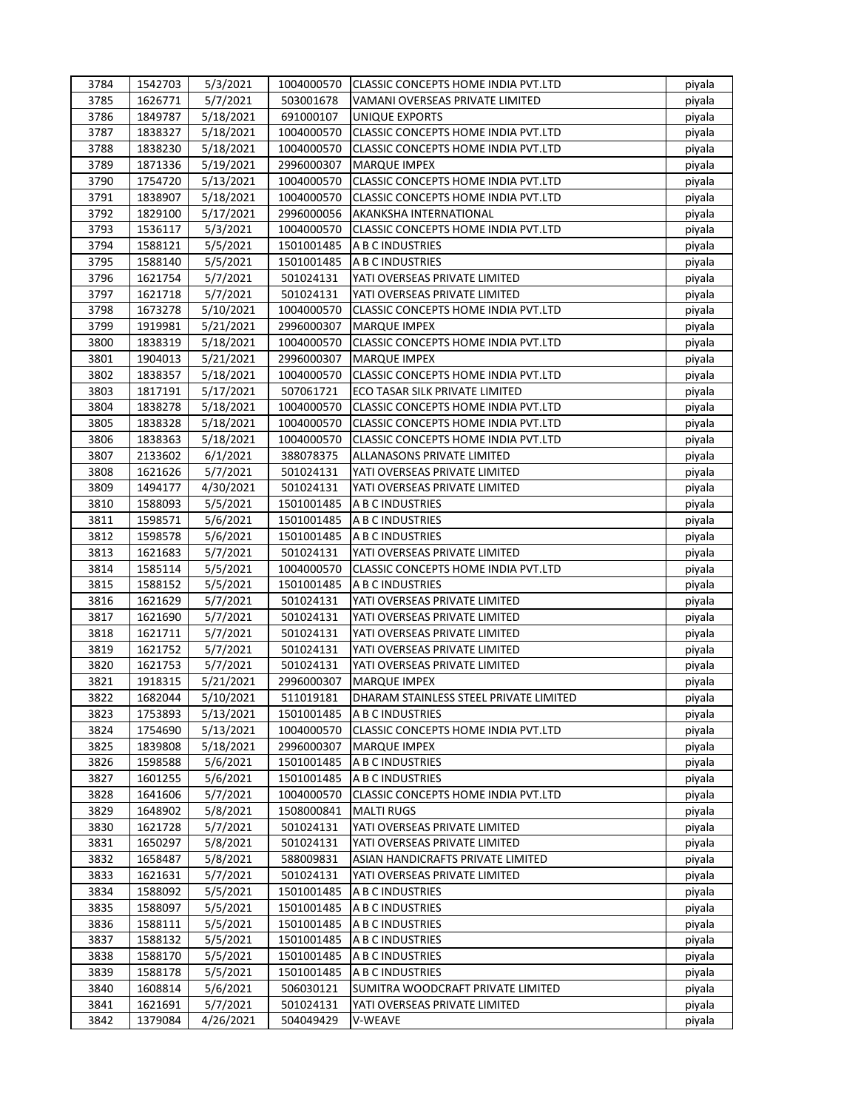| 3784 | 1542703            | 5/3/2021             | 1004000570             | CLASSIC CONCEPTS HOME INDIA PVT.LTD        | piyala           |
|------|--------------------|----------------------|------------------------|--------------------------------------------|------------------|
| 3785 | 1626771            | 5/7/2021             | 503001678              | VAMANI OVERSEAS PRIVATE LIMITED            | piyala           |
| 3786 | 1849787            | 5/18/2021            | 691000107              | UNIQUE EXPORTS                             | piyala           |
| 3787 | 1838327            | 5/18/2021            | 1004000570             | CLASSIC CONCEPTS HOME INDIA PVT.LTD        | piyala           |
| 3788 | 1838230            | 5/18/2021            | 1004000570             | <b>CLASSIC CONCEPTS HOME INDIA PVT.LTD</b> | piyala           |
| 3789 | 1871336            | 5/19/2021            | 2996000307             | <b>MARQUE IMPEX</b>                        | piyala           |
| 3790 | 1754720            | 5/13/2021            | 1004000570             | CLASSIC CONCEPTS HOME INDIA PVT.LTD        | piyala           |
| 3791 | 1838907            | 5/18/2021            | 1004000570             | CLASSIC CONCEPTS HOME INDIA PVT.LTD        | piyala           |
| 3792 | 1829100            | 5/17/2021            | 2996000056             | AKANKSHA INTERNATIONAL                     | piyala           |
| 3793 | 1536117            | 5/3/2021             | 1004000570             | CLASSIC CONCEPTS HOME INDIA PVT.LTD        | piyala           |
| 3794 | 1588121            | 5/5/2021             | 1501001485             | A B C INDUSTRIES                           | piyala           |
| 3795 | 1588140            | 5/5/2021             | 1501001485             | A B C INDUSTRIES                           | piyala           |
| 3796 | 1621754            | 5/7/2021             | 501024131              | YATI OVERSEAS PRIVATE LIMITED              | piyala           |
| 3797 | 1621718            | 5/7/2021             | 501024131              | YATI OVERSEAS PRIVATE LIMITED              | piyala           |
| 3798 | 1673278            | 5/10/2021            | 1004000570             | CLASSIC CONCEPTS HOME INDIA PVT.LTD        | piyala           |
| 3799 | 1919981            | 5/21/2021            | 2996000307             | <b>MARQUE IMPEX</b>                        | piyala           |
| 3800 | 1838319            | 5/18/2021            | 1004000570             | CLASSIC CONCEPTS HOME INDIA PVT.LTD        | piyala           |
| 3801 | 1904013            | 5/21/2021            | 2996000307             | <b>MARQUE IMPEX</b>                        | piyala           |
| 3802 | 1838357            | 5/18/2021            | 1004000570             | <b>CLASSIC CONCEPTS HOME INDIA PVT.LTD</b> | piyala           |
| 3803 | 1817191            | 5/17/2021            | 507061721              | ECO TASAR SILK PRIVATE LIMITED             | piyala           |
| 3804 | 1838278            | 5/18/2021            | 1004000570             | CLASSIC CONCEPTS HOME INDIA PVT.LTD        | piyala           |
| 3805 | 1838328            | 5/18/2021            | 1004000570             | CLASSIC CONCEPTS HOME INDIA PVT.LTD        | piyala           |
| 3806 | 1838363            | 5/18/2021            | 1004000570             | CLASSIC CONCEPTS HOME INDIA PVT.LTD        | piyala           |
| 3807 | 2133602            | 6/1/2021             | 388078375              | ALLANASONS PRIVATE LIMITED                 | piyala           |
| 3808 | 1621626            | 5/7/2021             | 501024131              | YATI OVERSEAS PRIVATE LIMITED              | piyala           |
| 3809 | 1494177            | 4/30/2021            | 501024131              | YATI OVERSEAS PRIVATE LIMITED              | piyala           |
| 3810 | 1588093            | 5/5/2021             | 1501001485             | A B C INDUSTRIES                           | piyala           |
| 3811 | 1598571            | 5/6/2021             | 1501001485             | A B C INDUSTRIES                           |                  |
| 3812 | 1598578            |                      | 1501001485             | A B C INDUSTRIES                           | piyala           |
| 3813 | 1621683            | 5/6/2021<br>5/7/2021 | 501024131              | YATI OVERSEAS PRIVATE LIMITED              | piyala<br>piyala |
| 3814 | 1585114            | 5/5/2021             | 1004000570             | <b>CLASSIC CONCEPTS HOME INDIA PVT.LTD</b> | piyala           |
| 3815 | 1588152            |                      | 1501001485             | A B C INDUSTRIES                           |                  |
| 3816 | 1621629            | 5/5/2021             | 501024131              | YATI OVERSEAS PRIVATE LIMITED              | piyala           |
| 3817 |                    | 5/7/2021<br>5/7/2021 |                        |                                            | piyala           |
| 3818 | 1621690<br>1621711 | 5/7/2021             | 501024131<br>501024131 | YATI OVERSEAS PRIVATE LIMITED              | piyala           |
|      |                    |                      |                        | YATI OVERSEAS PRIVATE LIMITED              | piyala           |
| 3819 | 1621752            | 5/7/2021             | 501024131              | YATI OVERSEAS PRIVATE LIMITED              | piyala           |
| 3820 | 1621753            | 5/7/2021             | 501024131              | YATI OVERSEAS PRIVATE LIMITED              | piyala           |
| 3821 | 1918315            | 5/21/2021            | 2996000307             | <b>MARQUE IMPEX</b>                        | piyala           |
| 3822 | 1682044            | 5/10/2021            | 511019181              | DHARAM STAINLESS STEEL PRIVATE LIMITED     | piyala           |
| 3823 | 1753893            | 5/13/2021            | 1501001485             | A B C INDUSTRIES                           | piyala           |
| 3824 | 1754690            | 5/13/2021            | 1004000570             | CLASSIC CONCEPTS HOME INDIA PVT.LTD        | piyala           |
| 3825 | 1839808            | 5/18/2021            | 2996000307             | <b>MARQUE IMPEX</b>                        | piyala           |
| 3826 | 1598588            | 5/6/2021             | 1501001485             | A B C INDUSTRIES                           | piyala           |
| 3827 | 1601255            | 5/6/2021             | 1501001485             | A B C INDUSTRIES                           | piyala           |
| 3828 | 1641606            | 5/7/2021             | 1004000570             | CLASSIC CONCEPTS HOME INDIA PVT.LTD        | piyala           |
| 3829 | 1648902            | 5/8/2021             | 1508000841             | <b>MALTI RUGS</b>                          | piyala           |
| 3830 | 1621728            | 5/7/2021             | 501024131              | YATI OVERSEAS PRIVATE LIMITED              | piyala           |
| 3831 | 1650297            | 5/8/2021             | 501024131              | YATI OVERSEAS PRIVATE LIMITED              | piyala           |
| 3832 | 1658487            | 5/8/2021             | 588009831              | ASIAN HANDICRAFTS PRIVATE LIMITED          | piyala           |
| 3833 | 1621631            | 5/7/2021             | 501024131              | YATI OVERSEAS PRIVATE LIMITED              | piyala           |
| 3834 | 1588092            | 5/5/2021             | 1501001485             | A B C INDUSTRIES                           | piyala           |
| 3835 | 1588097            | 5/5/2021             | 1501001485             | A B C INDUSTRIES                           | piyala           |
| 3836 | 1588111            | 5/5/2021             | 1501001485             | A B C INDUSTRIES                           | piyala           |
| 3837 | 1588132            | 5/5/2021             | 1501001485             | A B C INDUSTRIES                           | piyala           |
| 3838 | 1588170            | 5/5/2021             | 1501001485             | A B C INDUSTRIES                           | piyala           |
| 3839 | 1588178            | 5/5/2021             | 1501001485             | A B C INDUSTRIES                           | piyala           |
| 3840 | 1608814            | 5/6/2021             | 506030121              | SUMITRA WOODCRAFT PRIVATE LIMITED          | piyala           |
| 3841 | 1621691            | 5/7/2021             | 501024131              | YATI OVERSEAS PRIVATE LIMITED              | piyala           |
| 3842 | 1379084            | 4/26/2021            | 504049429              | V-WEAVE                                    | piyala           |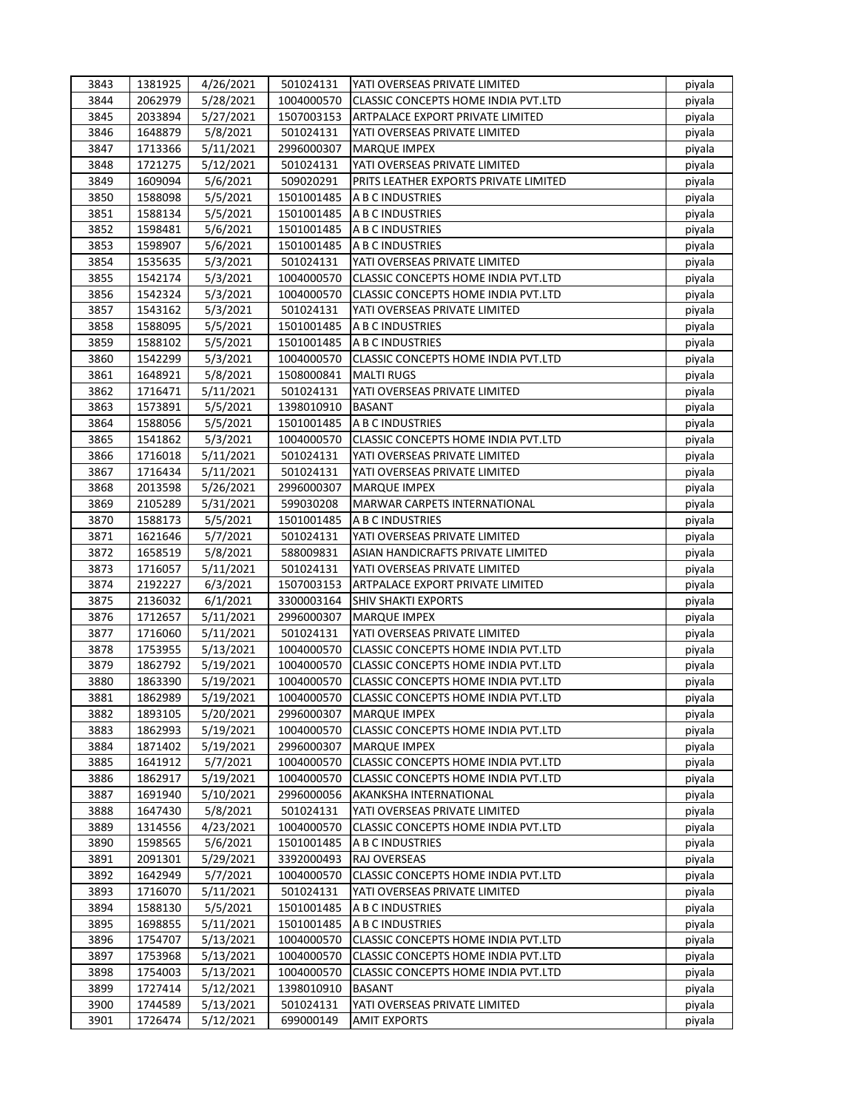| 3843 | 1381925 | 4/26/2021 | 501024131  | YATI OVERSEAS PRIVATE LIMITED              | piyala |
|------|---------|-----------|------------|--------------------------------------------|--------|
| 3844 | 2062979 | 5/28/2021 | 1004000570 | <b>CLASSIC CONCEPTS HOME INDIA PVT.LTD</b> | piyala |
| 3845 | 2033894 | 5/27/2021 | 1507003153 | ARTPALACE EXPORT PRIVATE LIMITED           | piyala |
| 3846 | 1648879 | 5/8/2021  | 501024131  | YATI OVERSEAS PRIVATE LIMITED              | piyala |
| 3847 | 1713366 | 5/11/2021 | 2996000307 | <b>MARQUE IMPEX</b>                        | piyala |
| 3848 | 1721275 | 5/12/2021 | 501024131  | YATI OVERSEAS PRIVATE LIMITED              | piyala |
| 3849 | 1609094 | 5/6/2021  | 509020291  | PRITS LEATHER EXPORTS PRIVATE LIMITED      | piyala |
| 3850 | 1588098 | 5/5/2021  | 1501001485 | A B C INDUSTRIES                           | piyala |
| 3851 | 1588134 | 5/5/2021  | 1501001485 | A B C INDUSTRIES                           | piyala |
| 3852 | 1598481 | 5/6/2021  | 1501001485 | A B C INDUSTRIES                           | piyala |
| 3853 | 1598907 |           | 1501001485 | A B C INDUSTRIES                           |        |
|      | 1535635 | 5/6/2021  |            |                                            | piyala |
| 3854 |         | 5/3/2021  | 501024131  | YATI OVERSEAS PRIVATE LIMITED              | piyala |
| 3855 | 1542174 | 5/3/2021  | 1004000570 | CLASSIC CONCEPTS HOME INDIA PVT.LTD        | piyala |
| 3856 | 1542324 | 5/3/2021  | 1004000570 | CLASSIC CONCEPTS HOME INDIA PVT.LTD        | piyala |
| 3857 | 1543162 | 5/3/2021  | 501024131  | YATI OVERSEAS PRIVATE LIMITED              | piyala |
| 3858 | 1588095 | 5/5/2021  | 1501001485 | A B C INDUSTRIES                           | piyala |
| 3859 | 1588102 | 5/5/2021  | 1501001485 | A B C INDUSTRIES                           | piyala |
| 3860 | 1542299 | 5/3/2021  | 1004000570 | CLASSIC CONCEPTS HOME INDIA PVT.LTD        | piyala |
| 3861 | 1648921 | 5/8/2021  | 1508000841 | <b>MALTI RUGS</b>                          | piyala |
| 3862 | 1716471 | 5/11/2021 | 501024131  | YATI OVERSEAS PRIVATE LIMITED              | piyala |
| 3863 | 1573891 | 5/5/2021  | 1398010910 | <b>BASANT</b>                              | piyala |
| 3864 | 1588056 | 5/5/2021  | 1501001485 | A B C INDUSTRIES                           | piyala |
| 3865 | 1541862 | 5/3/2021  | 1004000570 | CLASSIC CONCEPTS HOME INDIA PVT.LTD        | piyala |
| 3866 | 1716018 | 5/11/2021 | 501024131  | YATI OVERSEAS PRIVATE LIMITED              | piyala |
| 3867 | 1716434 | 5/11/2021 | 501024131  | YATI OVERSEAS PRIVATE LIMITED              | piyala |
| 3868 | 2013598 | 5/26/2021 | 2996000307 | <b>MARQUE IMPEX</b>                        | piyala |
| 3869 | 2105289 | 5/31/2021 | 599030208  | <b>MARWAR CARPETS INTERNATIONAL</b>        | piyala |
| 3870 | 1588173 | 5/5/2021  | 1501001485 | A B C INDUSTRIES                           | piyala |
| 3871 | 1621646 | 5/7/2021  | 501024131  | YATI OVERSEAS PRIVATE LIMITED              | piyala |
| 3872 | 1658519 | 5/8/2021  | 588009831  | ASIAN HANDICRAFTS PRIVATE LIMITED          | piyala |
|      |         |           |            |                                            |        |
| 3873 | 1716057 | 5/11/2021 | 501024131  | YATI OVERSEAS PRIVATE LIMITED              | piyala |
| 3874 | 2192227 | 6/3/2021  | 1507003153 | ARTPALACE EXPORT PRIVATE LIMITED           | piyala |
| 3875 | 2136032 | 6/1/2021  | 3300003164 | <b>SHIV SHAKTI EXPORTS</b>                 | piyala |
| 3876 | 1712657 | 5/11/2021 | 2996000307 | <b>MARQUE IMPEX</b>                        | piyala |
| 3877 | 1716060 | 5/11/2021 | 501024131  | YATI OVERSEAS PRIVATE LIMITED              | piyala |
| 3878 | 1753955 | 5/13/2021 | 1004000570 | CLASSIC CONCEPTS HOME INDIA PVT.LTD        | piyala |
| 3879 | 1862792 | 5/19/2021 | 1004000570 | CLASSIC CONCEPTS HOME INDIA PVT.LTD        | piyala |
| 3880 | 1863390 | 5/19/2021 | 1004000570 | CLASSIC CONCEPTS HOME INDIA PVT.LTD        | piyala |
| 3881 | 1862989 | 5/19/2021 | 1004000570 | <b>CLASSIC CONCEPTS HOME INDIA PVT.LTD</b> | piyala |
| 3882 | 1893105 | 5/20/2021 | 2996000307 | <b>MARQUE IMPEX</b>                        | piyala |
| 3883 | 1862993 | 5/19/2021 | 1004000570 | CLASSIC CONCEPTS HOME INDIA PVT.LTD        | piyala |
| 3884 | 1871402 | 5/19/2021 | 2996000307 | <b>MARQUE IMPEX</b>                        | piyala |
| 3885 | 1641912 | 5/7/2021  | 1004000570 | CLASSIC CONCEPTS HOME INDIA PVT.LTD        | piyala |
| 3886 | 1862917 | 5/19/2021 | 1004000570 | CLASSIC CONCEPTS HOME INDIA PVT.LTD        | piyala |
| 3887 | 1691940 | 5/10/2021 | 2996000056 | AKANKSHA INTERNATIONAL                     | piyala |
| 3888 | 1647430 | 5/8/2021  | 501024131  | YATI OVERSEAS PRIVATE LIMITED              | piyala |
| 3889 | 1314556 | 4/23/2021 | 1004000570 | CLASSIC CONCEPTS HOME INDIA PVT.LTD        | piyala |
| 3890 | 1598565 | 5/6/2021  | 1501001485 | A B C INDUSTRIES                           | piyala |
| 3891 | 2091301 | 5/29/2021 | 3392000493 | RAJ OVERSEAS                               | piyala |
| 3892 | 1642949 | 5/7/2021  | 1004000570 | CLASSIC CONCEPTS HOME INDIA PVT.LTD        | piyala |
| 3893 | 1716070 | 5/11/2021 | 501024131  | YATI OVERSEAS PRIVATE LIMITED              | piyala |
| 3894 | 1588130 | 5/5/2021  | 1501001485 | A B C INDUSTRIES                           | piyala |
|      |         |           |            |                                            |        |
| 3895 | 1698855 | 5/11/2021 | 1501001485 | A B C INDUSTRIES                           | piyala |
| 3896 | 1754707 | 5/13/2021 | 1004000570 | CLASSIC CONCEPTS HOME INDIA PVT.LTD        | piyala |
| 3897 | 1753968 | 5/13/2021 | 1004000570 | CLASSIC CONCEPTS HOME INDIA PVT.LTD        | piyala |
| 3898 | 1754003 | 5/13/2021 | 1004000570 | CLASSIC CONCEPTS HOME INDIA PVT.LTD        | piyala |
| 3899 | 1727414 | 5/12/2021 | 1398010910 | <b>BASANT</b>                              | piyala |
| 3900 | 1744589 | 5/13/2021 | 501024131  | YATI OVERSEAS PRIVATE LIMITED              | piyala |
| 3901 | 1726474 | 5/12/2021 | 699000149  | <b>AMIT EXPORTS</b>                        | piyala |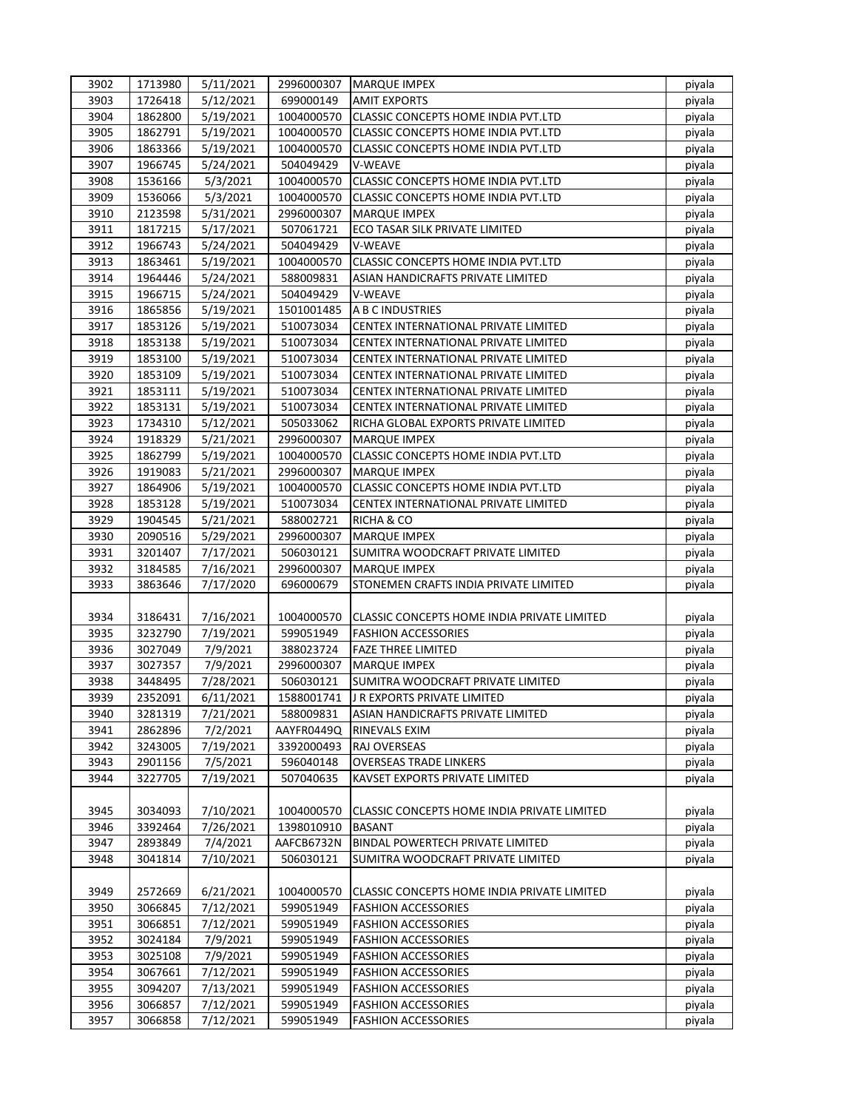| 3902 | 1713980 | 5/11/2021 | 2996000307 | <b>MARQUE IMPEX</b>                         | piyala |
|------|---------|-----------|------------|---------------------------------------------|--------|
| 3903 | 1726418 | 5/12/2021 | 699000149  | <b>AMIT EXPORTS</b>                         | piyala |
| 3904 | 1862800 | 5/19/2021 | 1004000570 | CLASSIC CONCEPTS HOME INDIA PVT.LTD         | piyala |
| 3905 | 1862791 | 5/19/2021 | 1004000570 | CLASSIC CONCEPTS HOME INDIA PVT.LTD         | piyala |
| 3906 | 1863366 | 5/19/2021 | 1004000570 | <b>CLASSIC CONCEPTS HOME INDIA PVT.LTD</b>  | piyala |
| 3907 | 1966745 | 5/24/2021 | 504049429  | V-WEAVE                                     | piyala |
| 3908 | 1536166 | 5/3/2021  | 1004000570 | CLASSIC CONCEPTS HOME INDIA PVT.LTD         | piyala |
| 3909 | 1536066 | 5/3/2021  | 1004000570 | CLASSIC CONCEPTS HOME INDIA PVT.LTD         | piyala |
| 3910 | 2123598 | 5/31/2021 | 2996000307 | <b>MARQUE IMPEX</b>                         | piyala |
| 3911 | 1817215 | 5/17/2021 | 507061721  | ECO TASAR SILK PRIVATE LIMITED              | piyala |
| 3912 | 1966743 | 5/24/2021 | 504049429  | V-WEAVE                                     | piyala |
| 3913 | 1863461 | 5/19/2021 | 1004000570 | CLASSIC CONCEPTS HOME INDIA PVT.LTD         | piyala |
| 3914 | 1964446 | 5/24/2021 | 588009831  | ASIAN HANDICRAFTS PRIVATE LIMITED           | piyala |
| 3915 | 1966715 | 5/24/2021 | 504049429  | V-WEAVE                                     | piyala |
| 3916 | 1865856 | 5/19/2021 | 1501001485 | A B C INDUSTRIES                            | piyala |
| 3917 | 1853126 | 5/19/2021 | 510073034  | CENTEX INTERNATIONAL PRIVATE LIMITED        | piyala |
| 3918 | 1853138 | 5/19/2021 | 510073034  | CENTEX INTERNATIONAL PRIVATE LIMITED        | piyala |
| 3919 | 1853100 | 5/19/2021 | 510073034  | CENTEX INTERNATIONAL PRIVATE LIMITED        | piyala |
| 3920 | 1853109 | 5/19/2021 | 510073034  | CENTEX INTERNATIONAL PRIVATE LIMITED        | piyala |
| 3921 | 1853111 | 5/19/2021 | 510073034  | CENTEX INTERNATIONAL PRIVATE LIMITED        | piyala |
| 3922 | 1853131 | 5/19/2021 | 510073034  | CENTEX INTERNATIONAL PRIVATE LIMITED        | piyala |
| 3923 | 1734310 | 5/12/2021 | 505033062  | RICHA GLOBAL EXPORTS PRIVATE LIMITED        | piyala |
| 3924 | 1918329 | 5/21/2021 | 2996000307 | <b>MARQUE IMPEX</b>                         | piyala |
| 3925 | 1862799 | 5/19/2021 | 1004000570 | <b>CLASSIC CONCEPTS HOME INDIA PVT.LTD</b>  | piyala |
| 3926 | 1919083 | 5/21/2021 | 2996000307 | <b>MARQUE IMPEX</b>                         | piyala |
| 3927 | 1864906 | 5/19/2021 | 1004000570 | CLASSIC CONCEPTS HOME INDIA PVT.LTD         | piyala |
| 3928 | 1853128 | 5/19/2021 | 510073034  | CENTEX INTERNATIONAL PRIVATE LIMITED        | piyala |
| 3929 | 1904545 | 5/21/2021 | 588002721  | RICHA & CO                                  | piyala |
| 3930 | 2090516 | 5/29/2021 | 2996000307 | <b>MARQUE IMPEX</b>                         | piyala |
| 3931 | 3201407 | 7/17/2021 | 506030121  | SUMITRA WOODCRAFT PRIVATE LIMITED           | piyala |
| 3932 | 3184585 | 7/16/2021 | 2996000307 | <b>MARQUE IMPEX</b>                         | piyala |
| 3933 | 3863646 | 7/17/2020 | 696000679  | STONEMEN CRAFTS INDIA PRIVATE LIMITED       | piyala |
|      |         |           |            |                                             |        |
| 3934 | 3186431 | 7/16/2021 | 1004000570 | CLASSIC CONCEPTS HOME INDIA PRIVATE LIMITED | piyala |
| 3935 | 3232790 | 7/19/2021 | 599051949  | <b>FASHION ACCESSORIES</b>                  | piyala |
| 3936 | 3027049 | 7/9/2021  | 388023724  | <b>FAZE THREE LIMITED</b>                   | piyala |
| 3937 | 3027357 | 7/9/2021  | 2996000307 | <b>MARQUE IMPEX</b>                         | piyala |
| 3938 | 3448495 | 7/28/2021 | 506030121  | SUMITRA WOODCRAFT PRIVATE LIMITED           | piyala |
| 3939 | 2352091 | 6/11/2021 | 1588001741 | J R EXPORTS PRIVATE LIMITED                 | piyala |
| 3940 | 3281319 | 7/21/2021 | 588009831  | ASIAN HANDICRAFTS PRIVATE LIMITED           | piyala |
| 3941 | 2862896 | 7/2/2021  | AAYFR0449Q | <b>RINEVALS EXIM</b>                        | piyala |
| 3942 | 3243005 | 7/19/2021 | 3392000493 | RAJ OVERSEAS                                | piyala |
| 3943 | 2901156 | 7/5/2021  | 596040148  | <b>OVERSEAS TRADE LINKERS</b>               | piyala |
| 3944 | 3227705 | 7/19/2021 | 507040635  | KAVSET EXPORTS PRIVATE LIMITED              | piyala |
|      |         |           |            |                                             |        |
| 3945 | 3034093 | 7/10/2021 | 1004000570 | CLASSIC CONCEPTS HOME INDIA PRIVATE LIMITED | piyala |
| 3946 | 3392464 | 7/26/2021 | 1398010910 | <b>BASANT</b>                               | piyala |
| 3947 | 2893849 | 7/4/2021  | AAFCB6732N | <b>BINDAL POWERTECH PRIVATE LIMITED</b>     | piyala |
| 3948 | 3041814 | 7/10/2021 | 506030121  | SUMITRA WOODCRAFT PRIVATE LIMITED           | piyala |
|      |         |           |            |                                             |        |
| 3949 |         |           | 1004000570 |                                             |        |
|      | 2572669 | 6/21/2021 |            | CLASSIC CONCEPTS HOME INDIA PRIVATE LIMITED | piyala |
| 3950 | 3066845 | 7/12/2021 | 599051949  | <b>FASHION ACCESSORIES</b>                  | piyala |
| 3951 | 3066851 | 7/12/2021 | 599051949  | <b>FASHION ACCESSORIES</b>                  | piyala |
| 3952 | 3024184 | 7/9/2021  | 599051949  | <b>FASHION ACCESSORIES</b>                  | piyala |
| 3953 | 3025108 | 7/9/2021  | 599051949  | <b>FASHION ACCESSORIES</b>                  | piyala |
| 3954 | 3067661 | 7/12/2021 | 599051949  | <b>FASHION ACCESSORIES</b>                  | piyala |
| 3955 | 3094207 | 7/13/2021 | 599051949  | <b>FASHION ACCESSORIES</b>                  | piyala |
| 3956 | 3066857 | 7/12/2021 | 599051949  | <b>FASHION ACCESSORIES</b>                  | piyala |
| 3957 | 3066858 | 7/12/2021 | 599051949  | <b>FASHION ACCESSORIES</b>                  | piyala |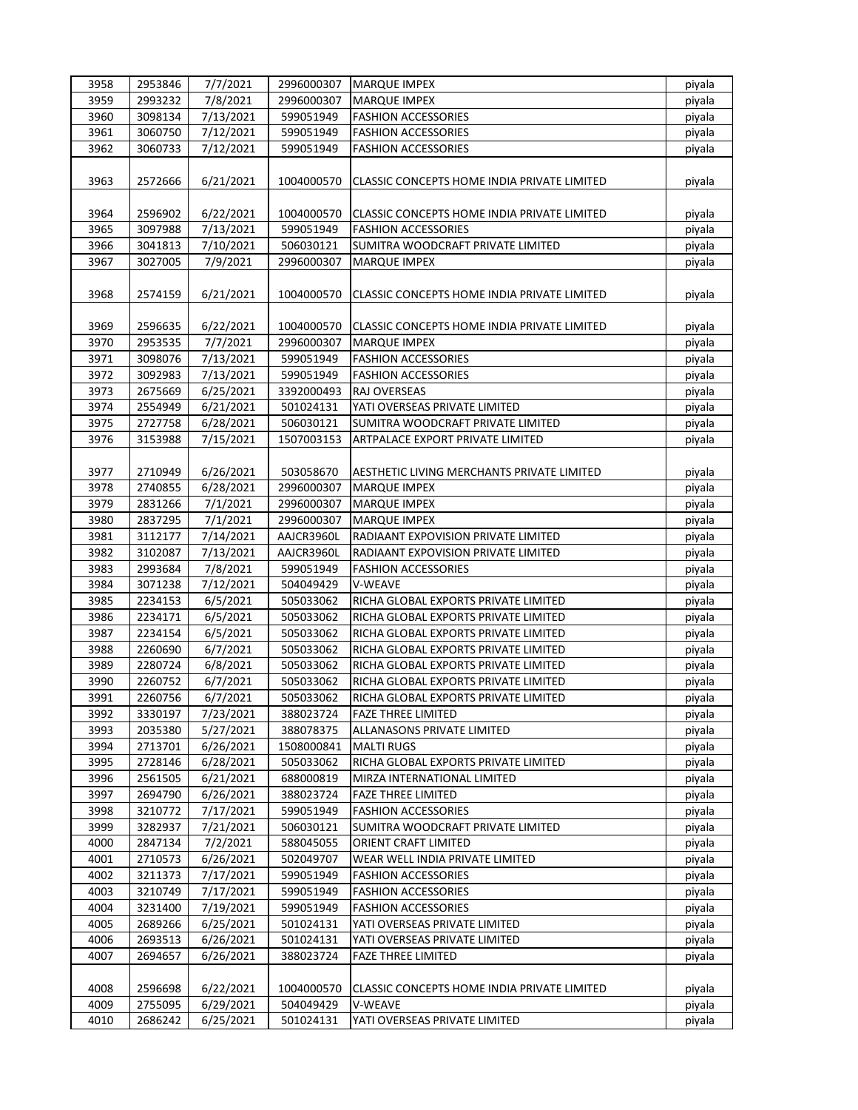| 3958 | 2953846 | 7/7/2021  | 2996000307 | MARQUE IMPEX                                | piyala |
|------|---------|-----------|------------|---------------------------------------------|--------|
| 3959 | 2993232 | 7/8/2021  | 2996000307 | <b>MARQUE IMPEX</b>                         | piyala |
| 3960 | 3098134 | 7/13/2021 | 599051949  | <b>FASHION ACCESSORIES</b>                  | piyala |
| 3961 | 3060750 | 7/12/2021 | 599051949  | <b>FASHION ACCESSORIES</b>                  | piyala |
| 3962 | 3060733 | 7/12/2021 | 599051949  | <b>FASHION ACCESSORIES</b>                  | piyala |
|      |         |           |            |                                             |        |
| 3963 | 2572666 | 6/21/2021 | 1004000570 | CLASSIC CONCEPTS HOME INDIA PRIVATE LIMITED | piyala |
|      |         |           |            |                                             |        |
| 3964 | 2596902 | 6/22/2021 | 1004000570 | CLASSIC CONCEPTS HOME INDIA PRIVATE LIMITED | piyala |
| 3965 | 3097988 | 7/13/2021 | 599051949  | <b>FASHION ACCESSORIES</b>                  | piyala |
| 3966 | 3041813 | 7/10/2021 |            | SUMITRA WOODCRAFT PRIVATE LIMITED           |        |
|      | 3027005 |           | 506030121  |                                             | piyala |
| 3967 |         | 7/9/2021  | 2996000307 | <b>MARQUE IMPEX</b>                         | piyala |
|      |         |           |            |                                             |        |
| 3968 | 2574159 | 6/21/2021 | 1004000570 | CLASSIC CONCEPTS HOME INDIA PRIVATE LIMITED | piyala |
|      |         |           |            |                                             |        |
| 3969 | 2596635 | 6/22/2021 | 1004000570 | CLASSIC CONCEPTS HOME INDIA PRIVATE LIMITED | piyala |
| 3970 | 2953535 | 7/7/2021  | 2996000307 | <b>MARQUE IMPEX</b>                         | piyala |
| 3971 | 3098076 | 7/13/2021 | 599051949  | <b>FASHION ACCESSORIES</b>                  | piyala |
| 3972 | 3092983 | 7/13/2021 | 599051949  | <b>FASHION ACCESSORIES</b>                  | piyala |
| 3973 | 2675669 | 6/25/2021 | 3392000493 | RAJ OVERSEAS                                | piyala |
| 3974 | 2554949 | 6/21/2021 | 501024131  | YATI OVERSEAS PRIVATE LIMITED               | piyala |
| 3975 | 2727758 | 6/28/2021 | 506030121  | SUMITRA WOODCRAFT PRIVATE LIMITED           | piyala |
| 3976 | 3153988 | 7/15/2021 | 1507003153 | ARTPALACE EXPORT PRIVATE LIMITED            | piyala |
|      |         |           |            |                                             |        |
| 3977 | 2710949 | 6/26/2021 | 503058670  | AESTHETIC LIVING MERCHANTS PRIVATE LIMITED  | piyala |
| 3978 | 2740855 | 6/28/2021 | 2996000307 | <b>MARQUE IMPEX</b>                         | piyala |
| 3979 | 2831266 | 7/1/2021  | 2996000307 | <b>MARQUE IMPEX</b>                         | piyala |
| 3980 | 2837295 | 7/1/2021  | 2996000307 | <b>MARQUE IMPEX</b>                         | piyala |
| 3981 | 3112177 | 7/14/2021 | AAJCR3960L | RADIAANT EXPOVISION PRIVATE LIMITED         | piyala |
| 3982 | 3102087 | 7/13/2021 | AAJCR3960L | RADIAANT EXPOVISION PRIVATE LIMITED         | piyala |
| 3983 | 2993684 | 7/8/2021  | 599051949  | <b>FASHION ACCESSORIES</b>                  | piyala |
| 3984 | 3071238 | 7/12/2021 | 504049429  | V-WEAVE                                     | piyala |
| 3985 | 2234153 | 6/5/2021  | 505033062  | RICHA GLOBAL EXPORTS PRIVATE LIMITED        | piyala |
| 3986 | 2234171 | 6/5/2021  | 505033062  | RICHA GLOBAL EXPORTS PRIVATE LIMITED        | piyala |
| 3987 | 2234154 | 6/5/2021  | 505033062  | RICHA GLOBAL EXPORTS PRIVATE LIMITED        | piyala |
|      |         | 6/7/2021  |            |                                             |        |
| 3988 | 2260690 |           | 505033062  | RICHA GLOBAL EXPORTS PRIVATE LIMITED        | piyala |
| 3989 | 2280724 | 6/8/2021  | 505033062  | RICHA GLOBAL EXPORTS PRIVATE LIMITED        | piyala |
| 3990 | 2260752 | 6/7/2021  | 505033062  | RICHA GLOBAL EXPORTS PRIVATE LIMITED        | piyala |
| 3991 | 2260756 | 6/7/2021  | 505033062  | RICHA GLOBAL EXPORTS PRIVATE LIMITED        | piyala |
| 3992 | 3330197 | 7/23/2021 | 388023724  | <b>FAZE THREE LIMITED</b>                   | piyala |
| 3993 | 2035380 | 5/27/2021 | 388078375  | ALLANASONS PRIVATE LIMITED                  | piyala |
| 3994 | 2713701 | 6/26/2021 | 1508000841 | <b>MALTI RUGS</b>                           | piyala |
| 3995 | 2728146 | 6/28/2021 | 505033062  | RICHA GLOBAL EXPORTS PRIVATE LIMITED        | piyala |
| 3996 | 2561505 | 6/21/2021 | 688000819  | MIRZA INTERNATIONAL LIMITED                 | piyala |
| 3997 | 2694790 | 6/26/2021 | 388023724  | <b>FAZE THREE LIMITED</b>                   | piyala |
| 3998 | 3210772 | 7/17/2021 | 599051949  | <b>FASHION ACCESSORIES</b>                  | piyala |
| 3999 | 3282937 | 7/21/2021 | 506030121  | SUMITRA WOODCRAFT PRIVATE LIMITED           | piyala |
| 4000 | 2847134 | 7/2/2021  | 588045055  | ORIENT CRAFT LIMITED                        | piyala |
| 4001 | 2710573 | 6/26/2021 | 502049707  | WEAR WELL INDIA PRIVATE LIMITED             | piyala |
| 4002 | 3211373 | 7/17/2021 | 599051949  | <b>FASHION ACCESSORIES</b>                  | piyala |
| 4003 | 3210749 | 7/17/2021 | 599051949  | <b>FASHION ACCESSORIES</b>                  | piyala |
| 4004 | 3231400 | 7/19/2021 | 599051949  | <b>FASHION ACCESSORIES</b>                  | piyala |
| 4005 | 2689266 | 6/25/2021 | 501024131  | YATI OVERSEAS PRIVATE LIMITED               | piyala |
| 4006 | 2693513 | 6/26/2021 | 501024131  | YATI OVERSEAS PRIVATE LIMITED               | piyala |
| 4007 | 2694657 | 6/26/2021 | 388023724  | <b>FAZE THREE LIMITED</b>                   | piyala |
|      |         |           |            |                                             |        |
| 4008 | 2596698 | 6/22/2021 | 1004000570 | CLASSIC CONCEPTS HOME INDIA PRIVATE LIMITED | piyala |
| 4009 | 2755095 | 6/29/2021 | 504049429  | V-WEAVE                                     | piyala |
| 4010 | 2686242 | 6/25/2021 | 501024131  | YATI OVERSEAS PRIVATE LIMITED               | piyala |
|      |         |           |            |                                             |        |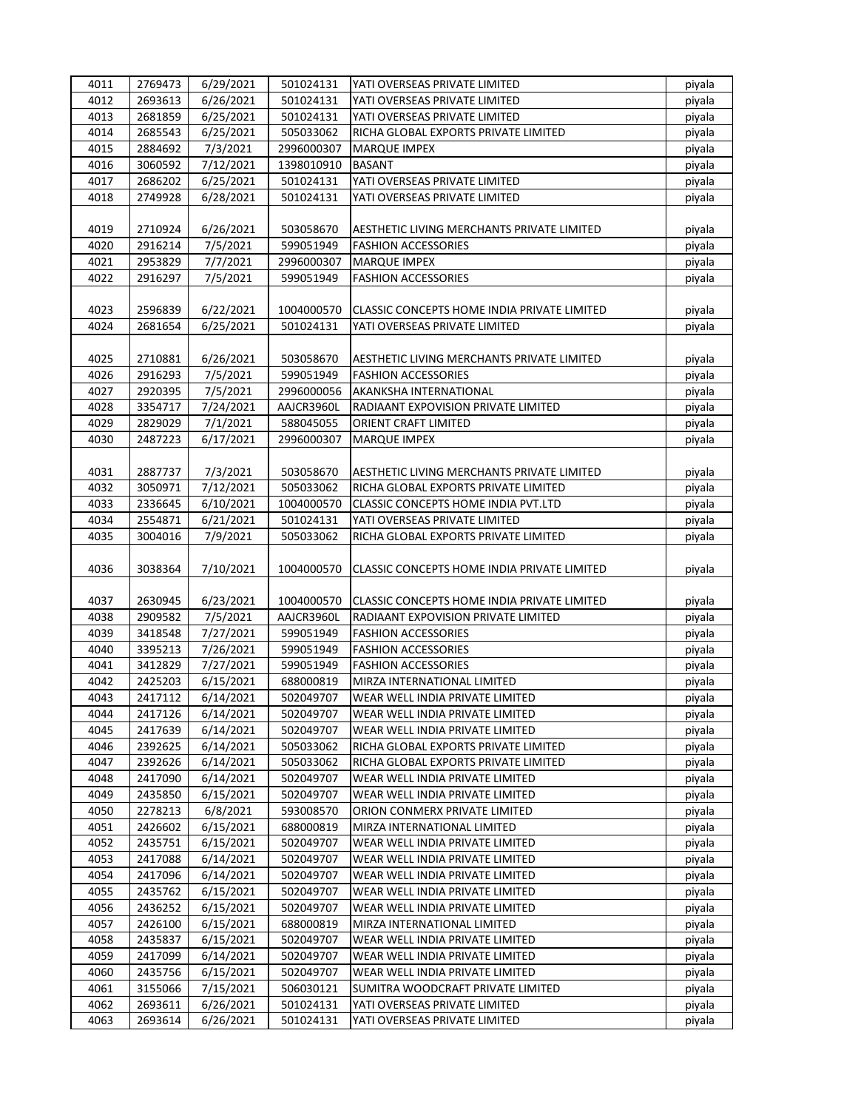| 4011         | 2769473            | 6/29/2021              | 501024131              | YATI OVERSEAS PRIVATE LIMITED                                  | piyala           |
|--------------|--------------------|------------------------|------------------------|----------------------------------------------------------------|------------------|
| 4012         | 2693613            | 6/26/2021              | 501024131              | YATI OVERSEAS PRIVATE LIMITED                                  | piyala           |
| 4013         | 2681859            | 6/25/2021              | 501024131              | YATI OVERSEAS PRIVATE LIMITED                                  | piyala           |
| 4014         | 2685543            | 6/25/2021              | 505033062              | RICHA GLOBAL EXPORTS PRIVATE LIMITED                           | piyala           |
| 4015         | 2884692            | 7/3/2021               | 2996000307             | <b>MARQUE IMPEX</b>                                            | piyala           |
| 4016         | 3060592            | 7/12/2021              | 1398010910             | <b>BASANT</b>                                                  | piyala           |
| 4017         | 2686202            | 6/25/2021              | 501024131              | YATI OVERSEAS PRIVATE LIMITED                                  | piyala           |
|              |                    |                        |                        |                                                                |                  |
| 4018         | 2749928            | 6/28/2021              | 501024131              | YATI OVERSEAS PRIVATE LIMITED                                  | piyala           |
|              |                    |                        |                        |                                                                |                  |
| 4019         | 2710924            | 6/26/2021              | 503058670              | AESTHETIC LIVING MERCHANTS PRIVATE LIMITED                     | piyala           |
| 4020         | 2916214            | 7/5/2021               | 599051949              | <b>FASHION ACCESSORIES</b>                                     | piyala           |
| 4021         | 2953829            | 7/7/2021               | 2996000307             | <b>MARQUE IMPEX</b>                                            | piyala           |
| 4022         | 2916297            | 7/5/2021               | 599051949              | <b>FASHION ACCESSORIES</b>                                     | piyala           |
|              |                    |                        |                        |                                                                |                  |
| 4023         | 2596839            | 6/22/2021              | 1004000570             | CLASSIC CONCEPTS HOME INDIA PRIVATE LIMITED                    | piyala           |
| 4024         | 2681654            | 6/25/2021              | 501024131              | YATI OVERSEAS PRIVATE LIMITED                                  | piyala           |
|              |                    |                        |                        |                                                                |                  |
| 4025         | 2710881            | 6/26/2021              | 503058670              | AESTHETIC LIVING MERCHANTS PRIVATE LIMITED                     | piyala           |
| 4026         | 2916293            | 7/5/2021               | 599051949              | <b>FASHION ACCESSORIES</b>                                     | piyala           |
| 4027         | 2920395            | 7/5/2021               | 2996000056             | AKANKSHA INTERNATIONAL                                         | piyala           |
| 4028         | 3354717            | 7/24/2021              | AAJCR3960L             | RADIAANT EXPOVISION PRIVATE LIMITED                            | piyala           |
| 4029         | 2829029            | 7/1/2021               | 588045055              | ORIENT CRAFT LIMITED                                           | piyala           |
| 4030         |                    |                        |                        |                                                                |                  |
|              | 2487223            | 6/17/2021              | 2996000307             | <b>MARQUE IMPEX</b>                                            | piyala           |
|              |                    |                        |                        |                                                                |                  |
| 4031         | 2887737            | 7/3/2021               | 503058670              | AESTHETIC LIVING MERCHANTS PRIVATE LIMITED                     | piyala           |
| 4032         | 3050971            | 7/12/2021              | 505033062              | RICHA GLOBAL EXPORTS PRIVATE LIMITED                           | piyala           |
| 4033         | 2336645            | 6/10/2021              | 1004000570             | CLASSIC CONCEPTS HOME INDIA PVT.LTD                            | piyala           |
| 4034         | 2554871            | 6/21/2021              | 501024131              | YATI OVERSEAS PRIVATE LIMITED                                  | piyala           |
| 4035         | 3004016            | 7/9/2021               | 505033062              | RICHA GLOBAL EXPORTS PRIVATE LIMITED                           | piyala           |
| 4036         | 3038364            | 7/10/2021              | 1004000570             | CLASSIC CONCEPTS HOME INDIA PRIVATE LIMITED                    | piyala           |
| 4037         | 2630945            | 6/23/2021              | 1004000570             | CLASSIC CONCEPTS HOME INDIA PRIVATE LIMITED                    | piyala           |
| 4038         | 2909582            | 7/5/2021               | AAJCR3960L             | RADIAANT EXPOVISION PRIVATE LIMITED                            | piyala           |
| 4039         | 3418548            | 7/27/2021              | 599051949              | <b>FASHION ACCESSORIES</b>                                     | piyala           |
| 4040         | 3395213            | 7/26/2021              | 599051949              | <b>FASHION ACCESSORIES</b>                                     |                  |
| 4041         |                    |                        |                        |                                                                | piyala           |
|              | 3412829            | 7/27/2021              | 599051949              | <b>FASHION ACCESSORIES</b>                                     | piyala           |
| 4042         | 2425203            | 6/15/2021              | 688000819              | MIRZA INTERNATIONAL LIMITED                                    | piyala           |
| 4043         | 2417112            | 6/14/2021              | 502049707              | WEAR WELL INDIA PRIVATE LIMITED                                | piyala           |
| 4044         | 2417126            | 6/14/2021              | 502049707              | WEAR WELL INDIA PRIVATE LIMITED                                | piyala           |
| 4045         | 2417639            | 6/14/2021              | 502049707              | WEAR WELL INDIA PRIVATE LIMITED                                | piyala           |
| 4046         | 2392625            | 6/14/2021              | 505033062              | RICHA GLOBAL EXPORTS PRIVATE LIMITED                           | piyala           |
| 4047         | 2392626            | 6/14/2021              | 505033062              | RICHA GLOBAL EXPORTS PRIVATE LIMITED                           | piyala           |
| 4048         | 2417090            | 6/14/2021              | 502049707              | WEAR WELL INDIA PRIVATE LIMITED                                | piyala           |
| 4049         | 2435850            | 6/15/2021              | 502049707              | WEAR WELL INDIA PRIVATE LIMITED                                | piyala           |
| 4050         | 2278213            | 6/8/2021               | 593008570              | ORION CONMERX PRIVATE LIMITED                                  | piyala           |
| 4051         | 2426602            | 6/15/2021              | 688000819              | MIRZA INTERNATIONAL LIMITED                                    | piyala           |
| 4052         | 2435751            | 6/15/2021              | 502049707              | WEAR WELL INDIA PRIVATE LIMITED                                | piyala           |
| 4053         | 2417088            | 6/14/2021              | 502049707              | WEAR WELL INDIA PRIVATE LIMITED                                | piyala           |
| 4054         | 2417096            | 6/14/2021              | 502049707              | WEAR WELL INDIA PRIVATE LIMITED                                | piyala           |
| 4055         | 2435762            | 6/15/2021              | 502049707              | WEAR WELL INDIA PRIVATE LIMITED                                | piyala           |
| 4056         | 2436252            | 6/15/2021              | 502049707              | WEAR WELL INDIA PRIVATE LIMITED                                | piyala           |
|              |                    |                        |                        |                                                                |                  |
|              |                    |                        |                        |                                                                |                  |
| 4057         | 2426100            | 6/15/2021              | 688000819              | MIRZA INTERNATIONAL LIMITED                                    | piyala           |
| 4058         | 2435837            | 6/15/2021              | 502049707              | WEAR WELL INDIA PRIVATE LIMITED                                | piyala           |
| 4059         | 2417099            | 6/14/2021              | 502049707              | WEAR WELL INDIA PRIVATE LIMITED                                | piyala           |
| 4060         | 2435756            | 6/15/2021              | 502049707              | WEAR WELL INDIA PRIVATE LIMITED                                | piyala           |
| 4061         | 3155066            | 7/15/2021              | 506030121              | SUMITRA WOODCRAFT PRIVATE LIMITED                              | piyala           |
| 4062<br>4063 | 2693611<br>2693614 | 6/26/2021<br>6/26/2021 | 501024131<br>501024131 | YATI OVERSEAS PRIVATE LIMITED<br>YATI OVERSEAS PRIVATE LIMITED | piyala<br>piyala |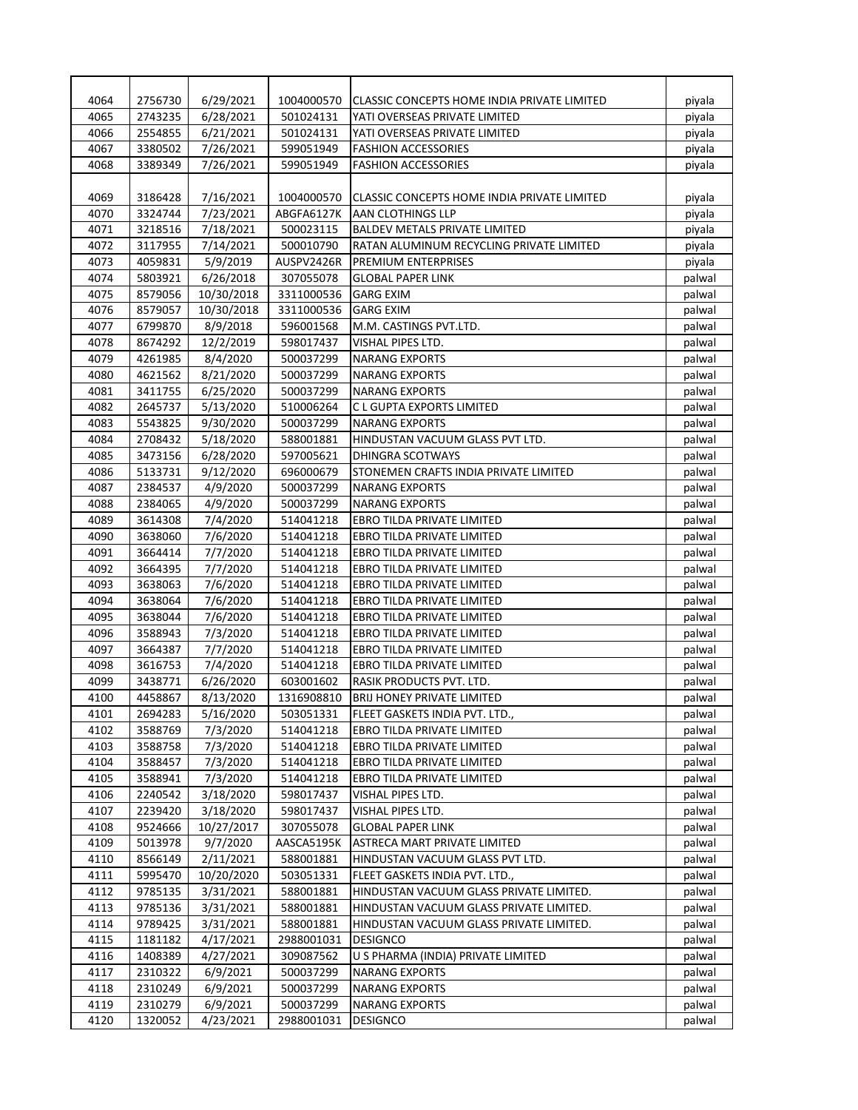| 4064 | 2756730 | 6/29/2021  | 1004000570 | CLASSIC CONCEPTS HOME INDIA PRIVATE LIMITED | piyala           |
|------|---------|------------|------------|---------------------------------------------|------------------|
| 4065 | 2743235 | 6/28/2021  | 501024131  | YATI OVERSEAS PRIVATE LIMITED               | piyala           |
| 4066 | 2554855 | 6/21/2021  | 501024131  | YATI OVERSEAS PRIVATE LIMITED               | piyala           |
| 4067 | 3380502 | 7/26/2021  | 599051949  | <b>FASHION ACCESSORIES</b>                  | piyala           |
| 4068 | 3389349 | 7/26/2021  | 599051949  | <b>FASHION ACCESSORIES</b>                  | piyala           |
|      |         |            |            |                                             |                  |
| 4069 | 3186428 | 7/16/2021  | 1004000570 | CLASSIC CONCEPTS HOME INDIA PRIVATE LIMITED | piyala           |
| 4070 | 3324744 | 7/23/2021  | ABGFA6127K | AAN CLOTHINGS LLP                           | piyala           |
| 4071 | 3218516 | 7/18/2021  | 500023115  | <b>BALDEV METALS PRIVATE LIMITED</b>        | piyala           |
| 4072 | 3117955 | 7/14/2021  | 500010790  | RATAN ALUMINUM RECYCLING PRIVATE LIMITED    | piyala           |
| 4073 | 4059831 | 5/9/2019   | AUSPV2426R | PREMIUM ENTERPRISES                         | piyala           |
| 4074 | 5803921 | 6/26/2018  | 307055078  | <b>GLOBAL PAPER LINK</b>                    | palwal           |
| 4075 | 8579056 | 10/30/2018 | 3311000536 | <b>GARG EXIM</b>                            | palwal           |
| 4076 | 8579057 | 10/30/2018 | 3311000536 | <b>GARG EXIM</b>                            | palwal           |
| 4077 | 6799870 | 8/9/2018   | 596001568  | M.M. CASTINGS PVT.LTD.                      | palwal           |
| 4078 | 8674292 | 12/2/2019  | 598017437  | VISHAL PIPES LTD.                           | palwal           |
| 4079 | 4261985 | 8/4/2020   | 500037299  | <b>NARANG EXPORTS</b>                       | palwal           |
| 4080 | 4621562 | 8/21/2020  | 500037299  | <b>NARANG EXPORTS</b>                       | palwal           |
| 4081 | 3411755 | 6/25/2020  | 500037299  | <b>NARANG EXPORTS</b>                       | palwal           |
| 4082 | 2645737 | 5/13/2020  | 510006264  | C L GUPTA EXPORTS LIMITED                   | palwal           |
| 4083 | 5543825 | 9/30/2020  | 500037299  | <b>NARANG EXPORTS</b>                       | palwal           |
| 4084 | 2708432 | 5/18/2020  | 588001881  | HINDUSTAN VACUUM GLASS PVT LTD.             | palwal           |
| 4085 | 3473156 | 6/28/2020  | 597005621  | <b>DHINGRA SCOTWAYS</b>                     | palwal           |
| 4086 | 5133731 | 9/12/2020  | 696000679  | STONEMEN CRAFTS INDIA PRIVATE LIMITED       | palwal           |
| 4087 | 2384537 | 4/9/2020   | 500037299  | <b>NARANG EXPORTS</b>                       | palwal           |
| 4088 | 2384065 | 4/9/2020   | 500037299  | <b>NARANG EXPORTS</b>                       | palwal           |
| 4089 | 3614308 | 7/4/2020   | 514041218  | EBRO TILDA PRIVATE LIMITED                  | palwal           |
| 4090 | 3638060 | 7/6/2020   | 514041218  | EBRO TILDA PRIVATE LIMITED                  | palwal           |
| 4091 | 3664414 | 7/7/2020   | 514041218  | EBRO TILDA PRIVATE LIMITED                  | palwal           |
| 4092 | 3664395 | 7/7/2020   | 514041218  | <b>EBRO TILDA PRIVATE LIMITED</b>           | palwal           |
| 4093 | 3638063 | 7/6/2020   | 514041218  | EBRO TILDA PRIVATE LIMITED                  | palwal           |
| 4094 | 3638064 | 7/6/2020   | 514041218  | EBRO TILDA PRIVATE LIMITED                  | palwal           |
| 4095 | 3638044 | 7/6/2020   | 514041218  | EBRO TILDA PRIVATE LIMITED                  | palwal           |
| 4096 | 3588943 | 7/3/2020   | 514041218  | EBRO TILDA PRIVATE LIMITED                  | palwal           |
| 4097 | 3664387 | 7/7/2020   | 514041218  | EBRO TILDA PRIVATE LIMITED                  |                  |
| 4098 | 3616753 | 7/4/2020   | 514041218  | EBRO TILDA PRIVATE LIMITED                  | palwal           |
| 4099 |         |            | 603001602  |                                             | palwal<br>palwal |
|      | 3438771 | 6/26/2020  |            | RASIK PRODUCTS PVT. LTD.                    |                  |
| 4100 | 4458867 | 8/13/2020  | 1316908810 | <b>BRIJ HONEY PRIVATE LIMITED</b>           | palwal           |
| 4101 | 2694283 | 5/16/2020  | 503051331  | FLEET GASKETS INDIA PVT. LTD.,              | palwal           |
| 4102 | 3588769 | 7/3/2020   | 514041218  | EBRO TILDA PRIVATE LIMITED                  | palwal           |
| 4103 | 3588758 | 7/3/2020   | 514041218  | EBRO TILDA PRIVATE LIMITED                  | palwal           |
| 4104 | 3588457 | 7/3/2020   | 514041218  | EBRO TILDA PRIVATE LIMITED                  | palwal           |
| 4105 | 3588941 | 7/3/2020   | 514041218  | EBRO TILDA PRIVATE LIMITED                  | palwal           |
| 4106 | 2240542 | 3/18/2020  | 598017437  | VISHAL PIPES LTD.                           | palwal           |
| 4107 | 2239420 | 3/18/2020  | 598017437  | VISHAL PIPES LTD.                           | palwal           |
| 4108 | 9524666 | 10/27/2017 | 307055078  | <b>GLOBAL PAPER LINK</b>                    | palwal           |
| 4109 | 5013978 | 9/7/2020   | AASCA5195K | ASTRECA MART PRIVATE LIMITED                | palwal           |
| 4110 | 8566149 | 2/11/2021  | 588001881  | HINDUSTAN VACUUM GLASS PVT LTD.             | palwal           |
| 4111 | 5995470 | 10/20/2020 | 503051331  | FLEET GASKETS INDIA PVT. LTD.,              | palwal           |
| 4112 | 9785135 | 3/31/2021  | 588001881  | HINDUSTAN VACUUM GLASS PRIVATE LIMITED.     | palwal           |
| 4113 | 9785136 | 3/31/2021  | 588001881  | HINDUSTAN VACUUM GLASS PRIVATE LIMITED.     | palwal           |
| 4114 | 9789425 | 3/31/2021  | 588001881  | HINDUSTAN VACUUM GLASS PRIVATE LIMITED.     | palwal           |
| 4115 | 1181182 | 4/17/2021  | 2988001031 | <b>DESIGNCO</b>                             | palwal           |
| 4116 | 1408389 | 4/27/2021  | 309087562  | U S PHARMA (INDIA) PRIVATE LIMITED          | palwal           |
| 4117 | 2310322 | 6/9/2021   | 500037299  | <b>NARANG EXPORTS</b>                       | palwal           |
| 4118 | 2310249 | 6/9/2021   | 500037299  | NARANG EXPORTS                              | palwal           |
| 4119 | 2310279 | 6/9/2021   | 500037299  | <b>NARANG EXPORTS</b>                       | palwal           |
| 4120 | 1320052 | 4/23/2021  | 2988001031 | <b>DESIGNCO</b>                             | palwal           |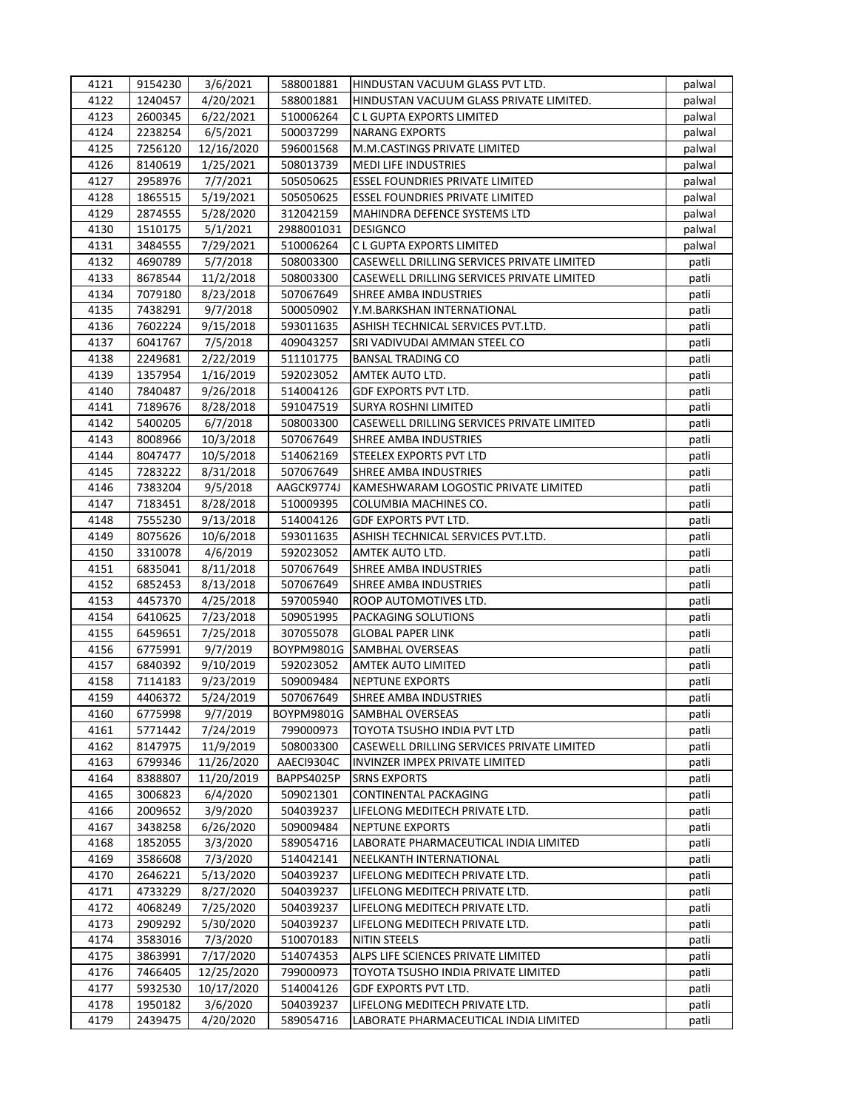| 4121 | 9154230 | 3/6/2021   | 588001881  | HINDUSTAN VACUUM GLASS PVT LTD.            | palwal |
|------|---------|------------|------------|--------------------------------------------|--------|
| 4122 | 1240457 | 4/20/2021  | 588001881  | HINDUSTAN VACUUM GLASS PRIVATE LIMITED.    | palwal |
| 4123 | 2600345 | 6/22/2021  | 510006264  | C L GUPTA EXPORTS LIMITED                  | palwal |
| 4124 | 2238254 | 6/5/2021   | 500037299  | <b>NARANG EXPORTS</b>                      | palwal |
| 4125 | 7256120 | 12/16/2020 | 596001568  | M.M.CASTINGS PRIVATE LIMITED               | palwal |
| 4126 | 8140619 | 1/25/2021  | 508013739  | <b>MEDI LIFE INDUSTRIES</b>                | palwal |
| 4127 | 2958976 | 7/7/2021   | 505050625  | <b>ESSEL FOUNDRIES PRIVATE LIMITED</b>     | palwal |
| 4128 | 1865515 | 5/19/2021  | 505050625  | <b>ESSEL FOUNDRIES PRIVATE LIMITED</b>     | palwal |
| 4129 | 2874555 | 5/28/2020  | 312042159  | MAHINDRA DEFENCE SYSTEMS LTD               | palwal |
| 4130 | 1510175 | 5/1/2021   | 2988001031 | <b>DESIGNCO</b>                            | palwal |
| 4131 | 3484555 | 7/29/2021  | 510006264  | C L GUPTA EXPORTS LIMITED                  | palwal |
| 4132 | 4690789 | 5/7/2018   | 508003300  | CASEWELL DRILLING SERVICES PRIVATE LIMITED | patli  |
|      |         |            |            |                                            |        |
| 4133 | 8678544 | 11/2/2018  | 508003300  | CASEWELL DRILLING SERVICES PRIVATE LIMITED | patli  |
| 4134 | 7079180 | 8/23/2018  | 507067649  | SHREE AMBA INDUSTRIES                      | patli  |
| 4135 | 7438291 | 9/7/2018   | 500050902  | Y.M.BARKSHAN INTERNATIONAL                 | patli  |
| 4136 | 7602224 | 9/15/2018  | 593011635  | ASHISH TECHNICAL SERVICES PVT.LTD.         | patli  |
| 4137 | 6041767 | 7/5/2018   | 409043257  | SRI VADIVUDAI AMMAN STEEL CO               | patli  |
| 4138 | 2249681 | 2/22/2019  | 511101775  | <b>BANSAL TRADING CO</b>                   | patli  |
| 4139 | 1357954 | 1/16/2019  | 592023052  | AMTEK AUTO LTD.                            | patli  |
| 4140 | 7840487 | 9/26/2018  | 514004126  | GDF EXPORTS PVT LTD.                       | patli  |
| 4141 | 7189676 | 8/28/2018  | 591047519  | <b>SURYA ROSHNI LIMITED</b>                | patli  |
| 4142 | 5400205 | 6/7/2018   | 508003300  | CASEWELL DRILLING SERVICES PRIVATE LIMITED | patli  |
| 4143 | 8008966 | 10/3/2018  | 507067649  | SHREE AMBA INDUSTRIES                      | patli  |
| 4144 | 8047477 | 10/5/2018  | 514062169  | <b>STEELEX EXPORTS PVT LTD</b>             | patli  |
| 4145 | 7283222 | 8/31/2018  | 507067649  | SHREE AMBA INDUSTRIES                      | patli  |
| 4146 | 7383204 | 9/5/2018   | AAGCK9774J | KAMESHWARAM LOGOSTIC PRIVATE LIMITED       | patli  |
| 4147 | 7183451 | 8/28/2018  | 510009395  | COLUMBIA MACHINES CO.                      | patli  |
| 4148 | 7555230 | 9/13/2018  | 514004126  | <b>GDF EXPORTS PVT LTD.</b>                | patli  |
| 4149 | 8075626 | 10/6/2018  | 593011635  | ASHISH TECHNICAL SERVICES PVT.LTD.         | patli  |
| 4150 | 3310078 | 4/6/2019   | 592023052  | <b>AMTEK AUTO LTD.</b>                     | patli  |
| 4151 | 6835041 | 8/11/2018  | 507067649  | SHREE AMBA INDUSTRIES                      | patli  |
| 4152 | 6852453 | 8/13/2018  | 507067649  | SHREE AMBA INDUSTRIES                      | patli  |
| 4153 | 4457370 | 4/25/2018  | 597005940  | ROOP AUTOMOTIVES LTD.                      | patli  |
| 4154 | 6410625 | 7/23/2018  | 509051995  | PACKAGING SOLUTIONS                        | patli  |
| 4155 | 6459651 | 7/25/2018  | 307055078  | <b>GLOBAL PAPER LINK</b>                   | patli  |
| 4156 | 6775991 | 9/7/2019   | BOYPM9801G | <b>SAMBHAL OVERSEAS</b>                    | patli  |
| 4157 | 6840392 | 9/10/2019  | 592023052  | <b>AMTEK AUTO LIMITED</b>                  | patli  |
| 4158 |         |            |            |                                            |        |
|      | 7114183 | 9/23/2019  | 509009484  | <b>NEPTUNE EXPORTS</b>                     | patli  |
| 4159 | 4406372 | 5/24/2019  | 507067649  | SHREE AMBA INDUSTRIES                      | patli  |
| 4160 | 6775998 | 9/7/2019   |            | BOYPM9801G SAMBHAL OVERSEAS                | patli  |
| 4161 | 5771442 | 7/24/2019  | 799000973  | TOYOTA TSUSHO INDIA PVT LTD                | patli  |
| 4162 | 8147975 | 11/9/2019  | 508003300  | CASEWELL DRILLING SERVICES PRIVATE LIMITED | patli  |
| 4163 | 6799346 | 11/26/2020 | AAECI9304C | INVINZER IMPEX PRIVATE LIMITED             | patli  |
| 4164 | 8388807 | 11/20/2019 | BAPPS4025P | <b>SRNS EXPORTS</b>                        | patli  |
| 4165 | 3006823 | 6/4/2020   | 509021301  | CONTINENTAL PACKAGING                      | patli  |
| 4166 | 2009652 | 3/9/2020   | 504039237  | LIFELONG MEDITECH PRIVATE LTD.             | patli  |
| 4167 | 3438258 | 6/26/2020  | 509009484  | <b>NEPTUNE EXPORTS</b>                     | patli  |
| 4168 | 1852055 | 3/3/2020   | 589054716  | LABORATE PHARMACEUTICAL INDIA LIMITED      | patli  |
| 4169 | 3586608 | 7/3/2020   | 514042141  | NEELKANTH INTERNATIONAL                    | patli  |
| 4170 | 2646221 | 5/13/2020  | 504039237  | LIFELONG MEDITECH PRIVATE LTD.             | patli  |
| 4171 | 4733229 | 8/27/2020  | 504039237  | LIFELONG MEDITECH PRIVATE LTD.             | patli  |
| 4172 | 4068249 | 7/25/2020  | 504039237  | LIFELONG MEDITECH PRIVATE LTD.             | patli  |
| 4173 | 2909292 | 5/30/2020  | 504039237  | LIFELONG MEDITECH PRIVATE LTD.             | patli  |
| 4174 | 3583016 | 7/3/2020   | 510070183  | <b>NITIN STEELS</b>                        | patli  |
| 4175 | 3863991 | 7/17/2020  | 514074353  | ALPS LIFE SCIENCES PRIVATE LIMITED         | patli  |
| 4176 | 7466405 | 12/25/2020 | 799000973  | TOYOTA TSUSHO INDIA PRIVATE LIMITED        | patli  |
| 4177 | 5932530 | 10/17/2020 | 514004126  | <b>GDF EXPORTS PVT LTD.</b>                | patli  |
| 4178 | 1950182 | 3/6/2020   | 504039237  | LIFELONG MEDITECH PRIVATE LTD.             | patli  |
| 4179 | 2439475 | 4/20/2020  | 589054716  | LABORATE PHARMACEUTICAL INDIA LIMITED      | patli  |
|      |         |            |            |                                            |        |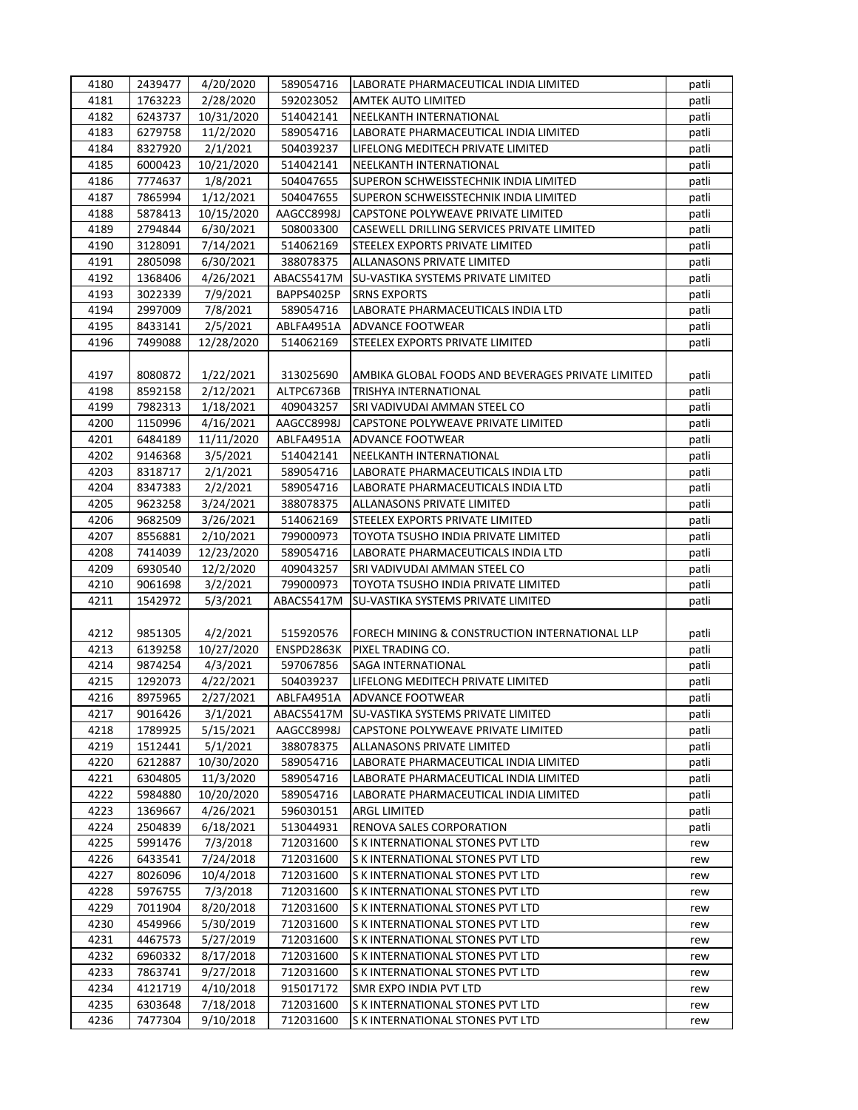| 4180 | 2439477 | 4/20/2020  | 589054716  | LABORATE PHARMACEUTICAL INDIA LIMITED                              | patli |
|------|---------|------------|------------|--------------------------------------------------------------------|-------|
| 4181 | 1763223 | 2/28/2020  | 592023052  | <b>AMTEK AUTO LIMITED</b>                                          | patli |
| 4182 | 6243737 | 10/31/2020 | 514042141  | NEELKANTH INTERNATIONAL                                            | patli |
| 4183 | 6279758 | 11/2/2020  | 589054716  | LABORATE PHARMACEUTICAL INDIA LIMITED                              | patli |
| 4184 | 8327920 | 2/1/2021   | 504039237  | LIFELONG MEDITECH PRIVATE LIMITED                                  | patli |
| 4185 | 6000423 | 10/21/2020 | 514042141  | NEELKANTH INTERNATIONAL                                            | patli |
| 4186 | 7774637 | 1/8/2021   | 504047655  | SUPERON SCHWEISSTECHNIK INDIA LIMITED                              | patli |
| 4187 | 7865994 | 1/12/2021  | 504047655  | SUPERON SCHWEISSTECHNIK INDIA LIMITED                              | patli |
| 4188 | 5878413 | 10/15/2020 | AAGCC8998J | CAPSTONE POLYWEAVE PRIVATE LIMITED                                 | patli |
| 4189 | 2794844 | 6/30/2021  | 508003300  | CASEWELL DRILLING SERVICES PRIVATE LIMITED                         | patli |
| 4190 | 3128091 | 7/14/2021  | 514062169  | STEELEX EXPORTS PRIVATE LIMITED                                    | patli |
| 4191 | 2805098 | 6/30/2021  | 388078375  | ALLANASONS PRIVATE LIMITED                                         | patli |
| 4192 | 1368406 | 4/26/2021  | ABACS5417M | SU-VASTIKA SYSTEMS PRIVATE LIMITED                                 | patli |
| 4193 | 3022339 | 7/9/2021   | BAPPS4025P | <b>SRNS EXPORTS</b>                                                | patli |
| 4194 | 2997009 | 7/8/2021   | 589054716  | LABORATE PHARMACEUTICALS INDIA LTD                                 | patli |
| 4195 | 8433141 | 2/5/2021   | ABLFA4951A | <b>ADVANCE FOOTWEAR</b>                                            | patli |
| 4196 | 7499088 | 12/28/2020 | 514062169  | STEELEX EXPORTS PRIVATE LIMITED                                    | patli |
|      |         |            |            |                                                                    |       |
| 4197 | 8080872 | 1/22/2021  | 313025690  | AMBIKA GLOBAL FOODS AND BEVERAGES PRIVATE LIMITED                  | patli |
| 4198 | 8592158 | 2/12/2021  | ALTPC6736B | <b>TRISHYA INTERNATIONAL</b>                                       | patli |
| 4199 | 7982313 | 1/18/2021  | 409043257  |                                                                    |       |
| 4200 | 1150996 | 4/16/2021  | AAGCC8998J | SRI VADIVUDAI AMMAN STEEL CO<br>CAPSTONE POLYWEAVE PRIVATE LIMITED | patli |
|      |         |            |            |                                                                    | patli |
| 4201 | 6484189 | 11/11/2020 | ABLFA4951A | <b>ADVANCE FOOTWEAR</b>                                            | patli |
| 4202 | 9146368 | 3/5/2021   | 514042141  | NEELKANTH INTERNATIONAL                                            | patli |
| 4203 | 8318717 | 2/1/2021   | 589054716  | LABORATE PHARMACEUTICALS INDIA LTD                                 | patli |
| 4204 | 8347383 | 2/2/2021   | 589054716  | LABORATE PHARMACEUTICALS INDIA LTD                                 | patli |
| 4205 | 9623258 | 3/24/2021  | 388078375  | ALLANASONS PRIVATE LIMITED                                         | patli |
| 4206 | 9682509 | 3/26/2021  | 514062169  | STEELEX EXPORTS PRIVATE LIMITED                                    | patli |
| 4207 | 8556881 | 2/10/2021  | 799000973  | TOYOTA TSUSHO INDIA PRIVATE LIMITED                                | patli |
| 4208 | 7414039 | 12/23/2020 | 589054716  | LABORATE PHARMACEUTICALS INDIA LTD                                 | patli |
| 4209 | 6930540 | 12/2/2020  | 409043257  | SRI VADIVUDAI AMMAN STEEL CO                                       | patli |
| 4210 | 9061698 | 3/2/2021   | 799000973  | TOYOTA TSUSHO INDIA PRIVATE LIMITED                                | patli |
| 4211 | 1542972 | 5/3/2021   | ABACS5417M | SU-VASTIKA SYSTEMS PRIVATE LIMITED                                 | patli |
|      |         |            |            |                                                                    |       |
| 4212 | 9851305 | 4/2/2021   | 515920576  | FORECH MINING & CONSTRUCTION INTERNATIONAL LLP                     | patli |
| 4213 | 6139258 | 10/27/2020 | ENSPD2863K | PIXEL TRADING CO.                                                  | patli |
| 4214 | 9874254 | 4/3/2021   | 597067856  | SAGA INTERNATIONAL                                                 | patli |
| 4215 | 1292073 | 4/22/2021  | 504039237  | LIFELONG MEDITECH PRIVATE LIMITED                                  | patli |
| 4216 | 8975965 | 2/27/2021  | ABLFA4951A | ADVANCE FOOTWEAR                                                   | patli |
| 4217 | 9016426 | 3/1/2021   | ABACS5417M | SU-VASTIKA SYSTEMS PRIVATE LIMITED                                 | patli |
| 4218 | 1789925 | 5/15/2021  | AAGCC8998J | CAPSTONE POLYWEAVE PRIVATE LIMITED                                 | patli |
| 4219 | 1512441 | 5/1/2021   | 388078375  | ALLANASONS PRIVATE LIMITED                                         | patli |
| 4220 | 6212887 | 10/30/2020 | 589054716  | LABORATE PHARMACEUTICAL INDIA LIMITED                              | patli |
| 4221 | 6304805 | 11/3/2020  | 589054716  | LABORATE PHARMACEUTICAL INDIA LIMITED                              | patli |
| 4222 | 5984880 | 10/20/2020 | 589054716  | LABORATE PHARMACEUTICAL INDIA LIMITED                              | patli |
| 4223 | 1369667 | 4/26/2021  | 596030151  | ARGL LIMITED                                                       | patli |
| 4224 | 2504839 | 6/18/2021  | 513044931  | RENOVA SALES CORPORATION                                           | patli |
| 4225 | 5991476 | 7/3/2018   | 712031600  | S K INTERNATIONAL STONES PVT LTD                                   | rew   |
| 4226 | 6433541 | 7/24/2018  | 712031600  | S K INTERNATIONAL STONES PVT LTD                                   | rew   |
| 4227 | 8026096 | 10/4/2018  | 712031600  | S K INTERNATIONAL STONES PVT LTD                                   | rew   |
| 4228 | 5976755 | 7/3/2018   | 712031600  | S K INTERNATIONAL STONES PVT LTD                                   | rew   |
| 4229 | 7011904 | 8/20/2018  | 712031600  | S K INTERNATIONAL STONES PVT LTD                                   | rew   |
| 4230 | 4549966 | 5/30/2019  | 712031600  | S K INTERNATIONAL STONES PVT LTD                                   | rew   |
| 4231 | 4467573 | 5/27/2019  | 712031600  | S K INTERNATIONAL STONES PVT LTD                                   | rew   |
| 4232 | 6960332 | 8/17/2018  | 712031600  | S K INTERNATIONAL STONES PVT LTD                                   | rew   |
| 4233 | 7863741 | 9/27/2018  | 712031600  | S K INTERNATIONAL STONES PVT LTD                                   | rew   |
| 4234 | 4121719 | 4/10/2018  | 915017172  | SMR EXPO INDIA PVT LTD                                             | rew   |
| 4235 | 6303648 | 7/18/2018  | 712031600  | S K INTERNATIONAL STONES PVT LTD                                   | rew   |
| 4236 | 7477304 | 9/10/2018  | 712031600  | S K INTERNATIONAL STONES PVT LTD                                   | rew   |
|      |         |            |            |                                                                    |       |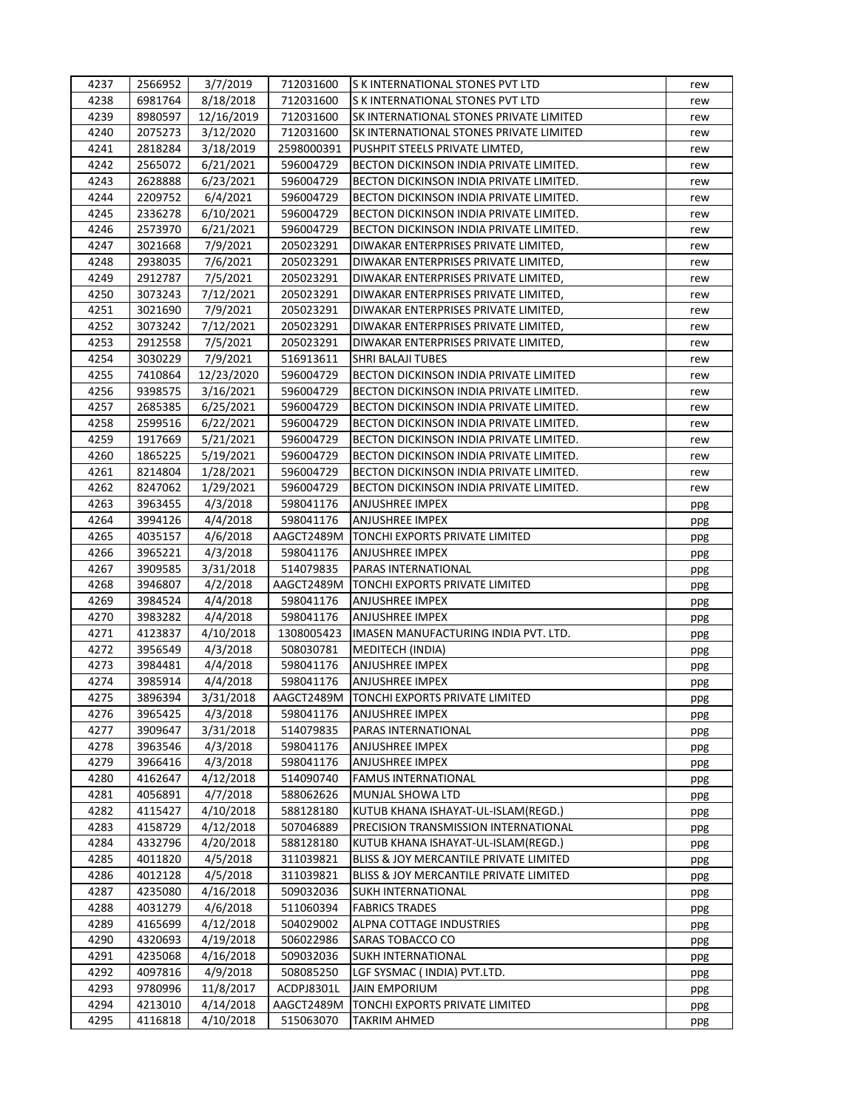| 4237 | 2566952 | 3/7/2019   | 712031600  | <b>S K INTERNATIONAL STONES PVT LTD</b>     | rew |
|------|---------|------------|------------|---------------------------------------------|-----|
| 4238 | 6981764 | 8/18/2018  | 712031600  | S K INTERNATIONAL STONES PVT LTD            | rew |
| 4239 | 8980597 | 12/16/2019 | 712031600  | SK INTERNATIONAL STONES PRIVATE LIMITED     | rew |
| 4240 | 2075273 | 3/12/2020  | 712031600  | SK INTERNATIONAL STONES PRIVATE LIMITED     | rew |
| 4241 | 2818284 | 3/18/2019  | 2598000391 | PUSHPIT STEELS PRIVATE LIMTED,              | rew |
| 4242 | 2565072 | 6/21/2021  | 596004729  | BECTON DICKINSON INDIA PRIVATE LIMITED.     | rew |
| 4243 | 2628888 | 6/23/2021  | 596004729  | BECTON DICKINSON INDIA PRIVATE LIMITED.     | rew |
| 4244 | 2209752 | 6/4/2021   | 596004729  | BECTON DICKINSON INDIA PRIVATE LIMITED.     | rew |
| 4245 | 2336278 | 6/10/2021  | 596004729  | BECTON DICKINSON INDIA PRIVATE LIMITED.     | rew |
| 4246 | 2573970 | 6/21/2021  | 596004729  | BECTON DICKINSON INDIA PRIVATE LIMITED.     | rew |
| 4247 | 3021668 | 7/9/2021   | 205023291  | DIWAKAR ENTERPRISES PRIVATE LIMITED,        | rew |
| 4248 | 2938035 | 7/6/2021   | 205023291  | DIWAKAR ENTERPRISES PRIVATE LIMITED,        | rew |
| 4249 | 2912787 | 7/5/2021   | 205023291  | DIWAKAR ENTERPRISES PRIVATE LIMITED,        | rew |
| 4250 | 3073243 | 7/12/2021  | 205023291  | DIWAKAR ENTERPRISES PRIVATE LIMITED,        | rew |
| 4251 | 3021690 | 7/9/2021   | 205023291  | DIWAKAR ENTERPRISES PRIVATE LIMITED,        | rew |
| 4252 | 3073242 | 7/12/2021  | 205023291  | DIWAKAR ENTERPRISES PRIVATE LIMITED,        | rew |
| 4253 | 2912558 | 7/5/2021   | 205023291  | DIWAKAR ENTERPRISES PRIVATE LIMITED,        | rew |
| 4254 | 3030229 | 7/9/2021   | 516913611  | SHRI BALAJI TUBES                           | rew |
| 4255 | 7410864 | 12/23/2020 | 596004729  | BECTON DICKINSON INDIA PRIVATE LIMITED      | rew |
| 4256 | 9398575 | 3/16/2021  | 596004729  | BECTON DICKINSON INDIA PRIVATE LIMITED.     | rew |
| 4257 | 2685385 | 6/25/2021  | 596004729  | BECTON DICKINSON INDIA PRIVATE LIMITED.     | rew |
| 4258 | 2599516 | 6/22/2021  | 596004729  | BECTON DICKINSON INDIA PRIVATE LIMITED.     | rew |
| 4259 | 1917669 | 5/21/2021  | 596004729  | BECTON DICKINSON INDIA PRIVATE LIMITED.     | rew |
| 4260 | 1865225 | 5/19/2021  | 596004729  | BECTON DICKINSON INDIA PRIVATE LIMITED.     | rew |
| 4261 | 8214804 | 1/28/2021  | 596004729  | BECTON DICKINSON INDIA PRIVATE LIMITED.     | rew |
| 4262 | 8247062 | 1/29/2021  | 596004729  | BECTON DICKINSON INDIA PRIVATE LIMITED.     | rew |
| 4263 | 3963455 | 4/3/2018   | 598041176  | ANJUSHREE IMPEX                             | ppg |
| 4264 | 3994126 | 4/4/2018   | 598041176  | ANJUSHREE IMPEX                             | ppg |
| 4265 | 4035157 | 4/6/2018   | AAGCT2489M | TONCHI EXPORTS PRIVATE LIMITED              | ppg |
| 4266 | 3965221 | 4/3/2018   | 598041176  | <b>ANJUSHREE IMPEX</b>                      | ppg |
| 4267 | 3909585 | 3/31/2018  | 514079835  | PARAS INTERNATIONAL                         | ppg |
| 4268 | 3946807 | 4/2/2018   | AAGCT2489M | TONCHI EXPORTS PRIVATE LIMITED              | ppg |
| 4269 | 3984524 | 4/4/2018   | 598041176  | ANJUSHREE IMPEX                             | ppg |
| 4270 | 3983282 | 4/4/2018   | 598041176  | ANJUSHREE IMPEX                             | ppg |
| 4271 | 4123837 | 4/10/2018  | 1308005423 | IMASEN MANUFACTURING INDIA PVT. LTD.        | ppg |
| 4272 | 3956549 | 4/3/2018   | 508030781  | MEDITECH (INDIA)                            | ppg |
| 4273 | 3984481 | 4/4/2018   | 598041176  | ANJUSHREE IMPEX                             | ppg |
| 4274 | 3985914 | 4/4/2018   | 598041176  | ANJUSHREE IMPEX                             | ppg |
| 4275 | 3896394 | 3/31/2018  |            | AAGCT2489M   TONCHI EXPORTS PRIVATE LIMITED | ppg |
| 4276 | 3965425 | 4/3/2018   | 598041176  | ANJUSHREE IMPEX                             | ppg |
| 4277 | 3909647 | 3/31/2018  | 514079835  | PARAS INTERNATIONAL                         | ppg |
| 4278 | 3963546 | 4/3/2018   | 598041176  | ANJUSHREE IMPEX                             | ppg |
| 4279 | 3966416 | 4/3/2018   | 598041176  | ANJUSHREE IMPEX                             | ppg |
| 4280 | 4162647 | 4/12/2018  | 514090740  | <b>FAMUS INTERNATIONAL</b>                  | ppg |
| 4281 | 4056891 | 4/7/2018   | 588062626  | MUNJAL SHOWA LTD                            | ppg |
| 4282 | 4115427 | 4/10/2018  | 588128180  | KUTUB KHANA ISHAYAT-UL-ISLAM(REGD.)         | ppg |
| 4283 | 4158729 | 4/12/2018  | 507046889  | PRECISION TRANSMISSION INTERNATIONAL        | ppg |
| 4284 | 4332796 | 4/20/2018  | 588128180  | KUTUB KHANA ISHAYAT-UL-ISLAM(REGD.)         | ppg |
| 4285 | 4011820 | 4/5/2018   | 311039821  | BLISS & JOY MERCANTILE PRIVATE LIMITED      | ppg |
| 4286 | 4012128 | 4/5/2018   | 311039821  | BLISS & JOY MERCANTILE PRIVATE LIMITED      | ppg |
| 4287 | 4235080 | 4/16/2018  | 509032036  | SUKH INTERNATIONAL                          | ppg |
| 4288 | 4031279 | 4/6/2018   | 511060394  | <b>FABRICS TRADES</b>                       | ppg |
| 4289 | 4165699 | 4/12/2018  | 504029002  | ALPNA COTTAGE INDUSTRIES                    | ppg |
| 4290 | 4320693 | 4/19/2018  | 506022986  | SARAS TOBACCO CO                            | ppg |
| 4291 | 4235068 | 4/16/2018  | 509032036  | SUKH INTERNATIONAL                          | ppg |
| 4292 | 4097816 | 4/9/2018   | 508085250  | LGF SYSMAC ( INDIA) PVT.LTD.                | ppg |
| 4293 | 9780996 | 11/8/2017  | ACDPJ8301L | <b>JAIN EMPORIUM</b>                        | ppg |
| 4294 | 4213010 | 4/14/2018  | AAGCT2489M | TONCHI EXPORTS PRIVATE LIMITED              | ppg |
| 4295 | 4116818 | 4/10/2018  | 515063070  | TAKRIM AHMED                                | ppg |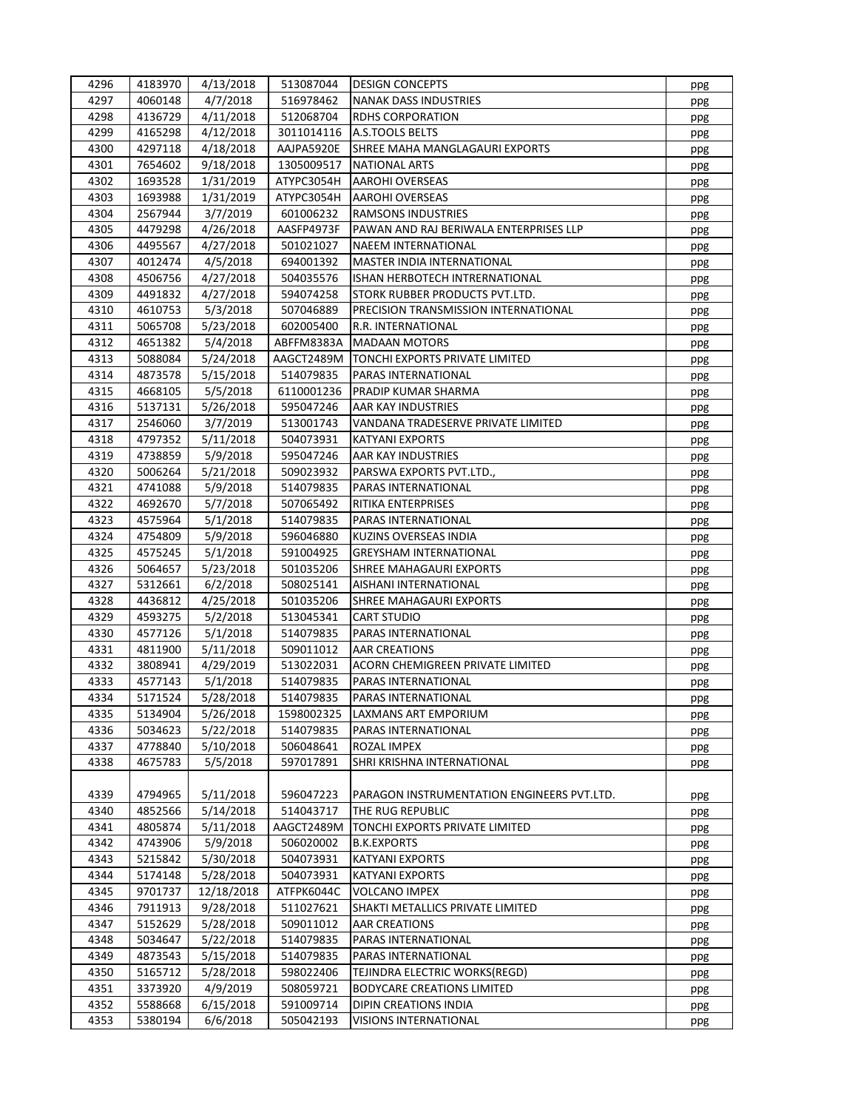| 4296 | 4183970 | 4/13/2018  | 513087044  | <b>DESIGN CONCEPTS</b>                     | ppg |
|------|---------|------------|------------|--------------------------------------------|-----|
| 4297 | 4060148 | 4/7/2018   | 516978462  | <b>NANAK DASS INDUSTRIES</b>               | ppg |
| 4298 | 4136729 | 4/11/2018  | 512068704  | <b>RDHS CORPORATION</b>                    | ppg |
| 4299 | 4165298 | 4/12/2018  | 3011014116 | A.S.TOOLS BELTS                            | ppg |
| 4300 | 4297118 | 4/18/2018  | AAJPA5920E | SHREE MAHA MANGLAGAURI EXPORTS             | ppg |
| 4301 | 7654602 | 9/18/2018  | 1305009517 | <b>NATIONAL ARTS</b>                       | ppg |
| 4302 | 1693528 | 1/31/2019  | ATYPC3054H | AAROHI OVERSEAS                            | ppg |
| 4303 | 1693988 | 1/31/2019  | ATYPC3054H | AAROHI OVERSEAS                            | ppg |
| 4304 | 2567944 | 3/7/2019   | 601006232  | RAMSONS INDUSTRIES                         | ppg |
| 4305 | 4479298 | 4/26/2018  | AASFP4973F | PAWAN AND RAJ BERIWALA ENTERPRISES LLP     | ppg |
| 4306 | 4495567 | 4/27/2018  | 501021027  | NAEEM INTERNATIONAL                        | ppg |
| 4307 | 4012474 | 4/5/2018   | 694001392  | MASTER INDIA INTERNATIONAL                 |     |
| 4308 | 4506756 | 4/27/2018  | 504035576  | ISHAN HERBOTECH INTRERNATIONAL             | ppg |
| 4309 |         |            |            | STORK RUBBER PRODUCTS PVT.LTD.             | ppg |
|      | 4491832 | 4/27/2018  | 594074258  |                                            | ppg |
| 4310 | 4610753 | 5/3/2018   | 507046889  | PRECISION TRANSMISSION INTERNATIONAL       | ppg |
| 4311 | 5065708 | 5/23/2018  | 602005400  | R.R. INTERNATIONAL                         | ppg |
| 4312 | 4651382 | 5/4/2018   | ABFFM8383A | <b>MADAAN MOTORS</b>                       | ppg |
| 4313 | 5088084 | 5/24/2018  | AAGCT2489M | TONCHI EXPORTS PRIVATE LIMITED             | ppg |
| 4314 | 4873578 | 5/15/2018  | 514079835  | PARAS INTERNATIONAL                        | ppg |
| 4315 | 4668105 | 5/5/2018   | 6110001236 | PRADIP KUMAR SHARMA                        | ppg |
| 4316 | 5137131 | 5/26/2018  | 595047246  | AAR KAY INDUSTRIES                         | ppg |
| 4317 | 2546060 | 3/7/2019   | 513001743  | VANDANA TRADESERVE PRIVATE LIMITED         | ppg |
| 4318 | 4797352 | 5/11/2018  | 504073931  | <b>KATYANI EXPORTS</b>                     | ppg |
| 4319 | 4738859 | 5/9/2018   | 595047246  | AAR KAY INDUSTRIES                         | ppg |
| 4320 | 5006264 | 5/21/2018  | 509023932  | PARSWA EXPORTS PVT.LTD.,                   | ppg |
| 4321 | 4741088 | 5/9/2018   | 514079835  | PARAS INTERNATIONAL                        | ppg |
| 4322 | 4692670 | 5/7/2018   | 507065492  | <b>RITIKA ENTERPRISES</b>                  | ppg |
| 4323 | 4575964 | 5/1/2018   | 514079835  | PARAS INTERNATIONAL                        | ppg |
| 4324 | 4754809 | 5/9/2018   | 596046880  | KUZINS OVERSEAS INDIA                      | ppg |
| 4325 | 4575245 | 5/1/2018   | 591004925  | <b>GREYSHAM INTERNATIONAL</b>              | ppg |
| 4326 | 5064657 | 5/23/2018  | 501035206  | SHREE MAHAGAURI EXPORTS                    | ppg |
| 4327 | 5312661 | 6/2/2018   | 508025141  | AISHANI INTERNATIONAL                      | ppg |
| 4328 | 4436812 | 4/25/2018  | 501035206  | SHREE MAHAGAURI EXPORTS                    | ppg |
| 4329 | 4593275 | 5/2/2018   | 513045341  | CART STUDIO                                | ppg |
| 4330 | 4577126 | 5/1/2018   | 514079835  | PARAS INTERNATIONAL                        | ppg |
| 4331 | 4811900 | 5/11/2018  | 509011012  | AAR CREATIONS                              | ppg |
| 4332 | 3808941 | 4/29/2019  | 513022031  | ACORN CHEMIGREEN PRIVATE LIMITED           | ppg |
| 4333 | 4577143 | 5/1/2018   | 514079835  | PARAS INTERNATIONAL                        | ppg |
| 4334 | 5171524 | 5/28/2018  | 514079835  | PARAS INTERNATIONAL                        | ppg |
| 4335 | 5134904 | 5/26/2018  | 1598002325 | LAXMANS ART EMPORIUM                       |     |
| 4336 | 5034623 | 5/22/2018  | 514079835  | PARAS INTERNATIONAL                        | ppg |
| 4337 | 4778840 | 5/10/2018  | 506048641  | ROZAL IMPEX                                | ppg |
|      |         | 5/5/2018   |            | SHRI KRISHNA INTERNATIONAL                 | ppg |
| 4338 | 4675783 |            | 597017891  |                                            | ppg |
|      |         |            |            |                                            |     |
| 4339 | 4794965 | 5/11/2018  | 596047223  | PARAGON INSTRUMENTATION ENGINEERS PVT.LTD. | ppg |
| 4340 | 4852566 | 5/14/2018  | 514043717  | THE RUG REPUBLIC                           | ppg |
| 4341 | 4805874 | 5/11/2018  | AAGCT2489M | TONCHI EXPORTS PRIVATE LIMITED             | ppg |
| 4342 | 4743906 | 5/9/2018   | 506020002  | <b>B.K.EXPORTS</b>                         | ppg |
| 4343 | 5215842 | 5/30/2018  | 504073931  | KATYANI EXPORTS                            | ppg |
| 4344 | 5174148 | 5/28/2018  | 504073931  | <b>KATYANI EXPORTS</b>                     | ppg |
| 4345 | 9701737 | 12/18/2018 | ATFPK6044C | <b>VOLCANO IMPEX</b>                       | ppg |
| 4346 | 7911913 | 9/28/2018  | 511027621  | SHAKTI METALLICS PRIVATE LIMITED           | ppg |
| 4347 | 5152629 | 5/28/2018  | 509011012  | <b>AAR CREATIONS</b>                       | ppg |
| 4348 | 5034647 | 5/22/2018  | 514079835  | PARAS INTERNATIONAL                        | ppg |
| 4349 | 4873543 | 5/15/2018  | 514079835  | PARAS INTERNATIONAL                        | ppg |
| 4350 | 5165712 | 5/28/2018  | 598022406  | TEJINDRA ELECTRIC WORKS(REGD)              | ppg |
| 4351 | 3373920 | 4/9/2019   | 508059721  | <b>BODYCARE CREATIONS LIMITED</b>          | ppg |
| 4352 | 5588668 | 6/15/2018  | 591009714  | DIPIN CREATIONS INDIA                      | ppg |
| 4353 | 5380194 | 6/6/2018   | 505042193  | <b>VISIONS INTERNATIONAL</b>               | ppg |
|      |         |            |            |                                            |     |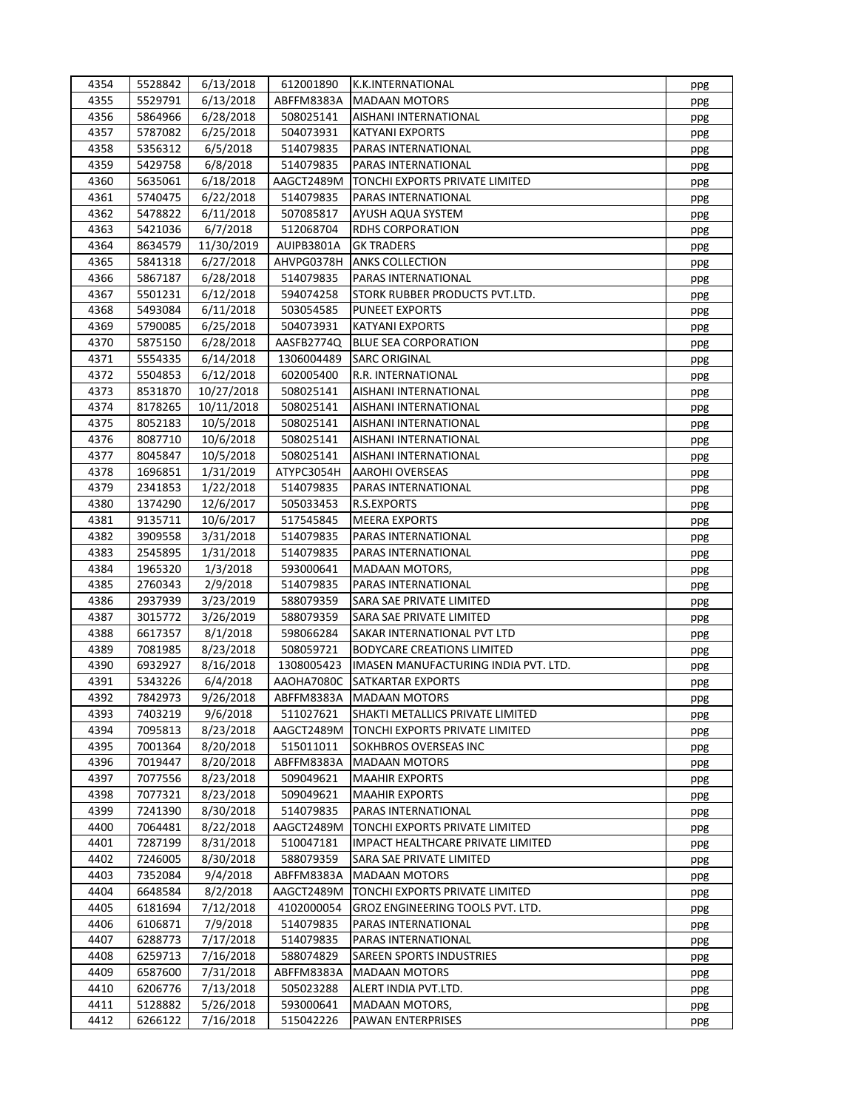| 4354 | 5528842            | 6/13/2018  | 612001890  | K.K.INTERNATIONAL                    | ppg |
|------|--------------------|------------|------------|--------------------------------------|-----|
| 4355 | 5529791            | 6/13/2018  | ABFFM8383A | <b>MADAAN MOTORS</b>                 | ppg |
| 4356 | 5864966            | 6/28/2018  | 508025141  | AISHANI INTERNATIONAL                | ppg |
| 4357 | 5787082            | 6/25/2018  | 504073931  | <b>KATYANI EXPORTS</b>               | ppg |
| 4358 | 5356312            | 6/5/2018   | 514079835  | PARAS INTERNATIONAL                  | ppg |
| 4359 | 5429758            | 6/8/2018   | 514079835  | PARAS INTERNATIONAL                  | ppg |
| 4360 | 5635061            | 6/18/2018  | AAGCT2489M | TONCHI EXPORTS PRIVATE LIMITED       | ppg |
| 4361 | 5740475            | 6/22/2018  | 514079835  | PARAS INTERNATIONAL                  | ppg |
| 4362 | 5478822            | 6/11/2018  | 507085817  | AYUSH AQUA SYSTEM                    | ppg |
| 4363 | 5421036            | 6/7/2018   | 512068704  | <b>RDHS CORPORATION</b>              | ppg |
| 4364 | 8634579            | 11/30/2019 | AUIPB3801A | <b>GK TRADERS</b>                    | ppg |
| 4365 | 5841318            | 6/27/2018  | AHVPG0378H | <b>ANKS COLLECTION</b>               | ppg |
| 4366 | 5867187            | 6/28/2018  | 514079835  | PARAS INTERNATIONAL                  | ppg |
| 4367 | 5501231            | 6/12/2018  | 594074258  | STORK RUBBER PRODUCTS PVT.LTD.       | ppg |
| 4368 | 5493084            | 6/11/2018  | 503054585  | <b>PUNEET EXPORTS</b>                | ppg |
| 4369 | 5790085            | 6/25/2018  | 504073931  | KATYANI EXPORTS                      | ppg |
| 4370 | 5875150            | 6/28/2018  | AASFB2774Q | <b>BLUE SEA CORPORATION</b>          | ppg |
| 4371 | 5554335            | 6/14/2018  | 1306004489 | <b>SARC ORIGINAL</b>                 | ppg |
| 4372 | 5504853            | 6/12/2018  | 602005400  | R.R. INTERNATIONAL                   | ppg |
| 4373 | 8531870            | 10/27/2018 | 508025141  | AISHANI INTERNATIONAL                | ppg |
| 4374 | 8178265            | 10/11/2018 | 508025141  | AISHANI INTERNATIONAL                | ppg |
| 4375 | 8052183            | 10/5/2018  | 508025141  | AISHANI INTERNATIONAL                | ppg |
| 4376 | 8087710            | 10/6/2018  | 508025141  | AISHANI INTERNATIONAL                | ppg |
| 4377 | 8045847            | 10/5/2018  | 508025141  | AISHANI INTERNATIONAL                | ppg |
| 4378 | 1696851            | 1/31/2019  | ATYPC3054H | <b>AAROHI OVERSEAS</b>               | ppg |
| 4379 | 2341853            | 1/22/2018  | 514079835  | PARAS INTERNATIONAL                  | ppg |
| 4380 | 1374290            | 12/6/2017  | 505033453  | R.S.EXPORTS                          | ppg |
| 4381 | 9135711            | 10/6/2017  | 517545845  | <b>MEERA EXPORTS</b>                 | ppg |
| 4382 | 3909558            | 3/31/2018  | 514079835  | PARAS INTERNATIONAL                  | ppg |
| 4383 | 2545895            | 1/31/2018  | 514079835  | PARAS INTERNATIONAL                  | ppg |
| 4384 | 1965320            | 1/3/2018   | 593000641  | MADAAN MOTORS,                       | ppg |
| 4385 | 2760343            | 2/9/2018   | 514079835  | PARAS INTERNATIONAL                  | ppg |
| 4386 | 2937939            | 3/23/2019  | 588079359  | SARA SAE PRIVATE LIMITED             | ppg |
| 4387 | 3015772            | 3/26/2019  | 588079359  | SARA SAE PRIVATE LIMITED             | ppg |
| 4388 | 6617357            | 8/1/2018   | 598066284  | SAKAR INTERNATIONAL PVT LTD          | ppg |
| 4389 | 7081985            | 8/23/2018  | 508059721  | BODYCARE CREATIONS LIMITED           | ppg |
| 4390 | 6932927            | 8/16/2018  | 1308005423 | IMASEN MANUFACTURING INDIA PVT. LTD. | ppg |
| 4391 | 5343226            | 6/4/2018   | AAOHA7080C | <b>SATKARTAR EXPORTS</b>             | ppg |
| 4392 | 7842973            | 9/26/2018  |            | ABFFM8383A   MADAAN MOTORS           | ppg |
| 4393 | 7403219            | 9/6/2018   | 511027621  | SHAKTI METALLICS PRIVATE LIMITED     |     |
| 4394 | 7095813            | 8/23/2018  | AAGCT2489M | TONCHI EXPORTS PRIVATE LIMITED       | ppg |
| 4395 | 7001364            | 8/20/2018  | 515011011  | SOKHBROS OVERSEAS INC                | ppg |
| 4396 | 7019447            | 8/20/2018  | ABFFM8383A | <b>MADAAN MOTORS</b>                 | ppg |
| 4397 | 7077556            | 8/23/2018  | 509049621  | <b>MAAHIR EXPORTS</b>                | ppg |
| 4398 | 7077321            | 8/23/2018  | 509049621  | <b>MAAHIR EXPORTS</b>                | ppg |
| 4399 | 7241390            | 8/30/2018  | 514079835  | PARAS INTERNATIONAL                  | ppg |
| 4400 | 7064481            | 8/22/2018  | AAGCT2489M | TONCHI EXPORTS PRIVATE LIMITED       | ppg |
| 4401 |                    |            |            | IMPACT HEALTHCARE PRIVATE LIMITED    | ppg |
| 4402 | 7287199<br>7246005 | 8/31/2018  | 510047181  |                                      | ppg |
|      |                    | 8/30/2018  | 588079359  | SARA SAE PRIVATE LIMITED             | ppg |
| 4403 | 7352084            | 9/4/2018   | ABFFM8383A | <b>MADAAN MOTORS</b>                 | ppg |
| 4404 | 6648584            | 8/2/2018   | AAGCT2489M | TONCHI EXPORTS PRIVATE LIMITED       | ppg |
| 4405 | 6181694            | 7/12/2018  | 4102000054 | GROZ ENGINEERING TOOLS PVT. LTD.     | ppg |
| 4406 | 6106871            | 7/9/2018   | 514079835  | PARAS INTERNATIONAL                  | ppg |
| 4407 | 6288773            | 7/17/2018  | 514079835  | PARAS INTERNATIONAL                  | ppg |
| 4408 | 6259713            | 7/16/2018  | 588074829  | <b>SAREEN SPORTS INDUSTRIES</b>      | ppg |
| 4409 | 6587600            | 7/31/2018  | ABFFM8383A | <b>MADAAN MOTORS</b>                 | ppg |
| 4410 | 6206776            | 7/13/2018  | 505023288  | ALERT INDIA PVT.LTD.                 | ppg |
| 4411 | 5128882            | 5/26/2018  | 593000641  | MADAAN MOTORS,                       | ppg |
| 4412 | 6266122            | 7/16/2018  | 515042226  | PAWAN ENTERPRISES                    | ppg |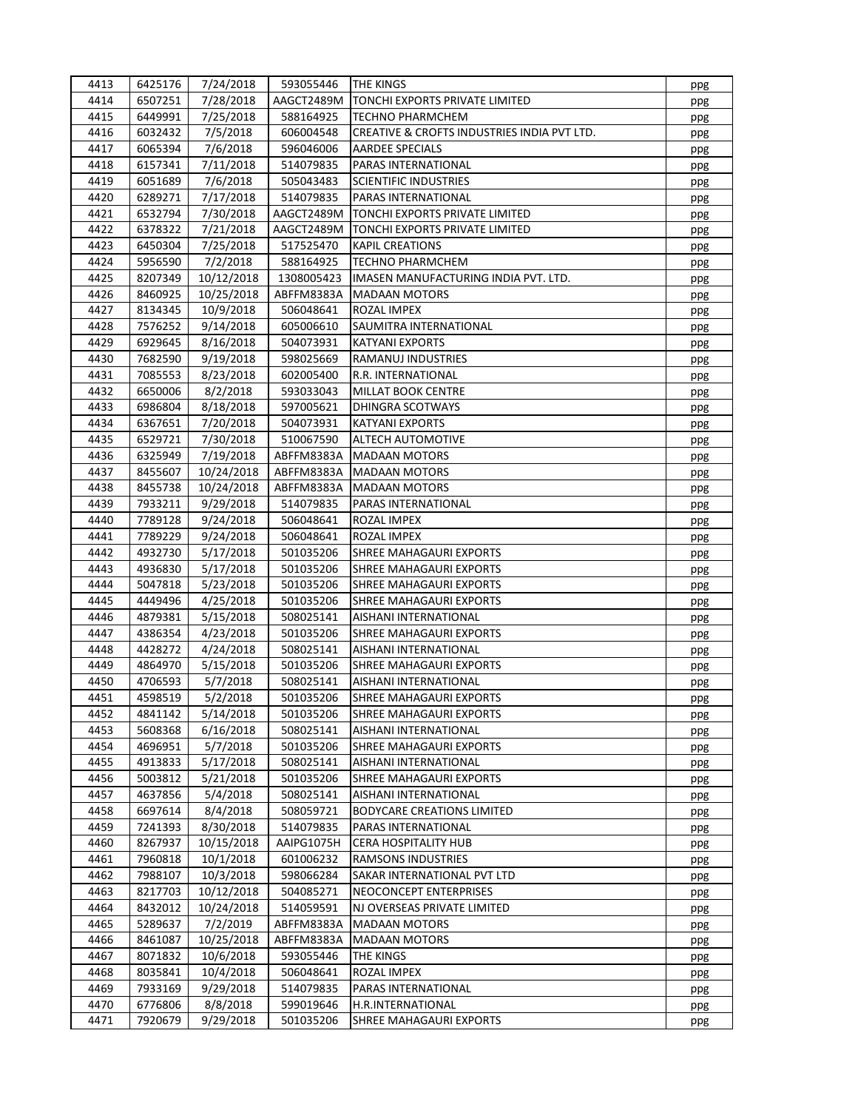| 4413 | 6425176 | 7/24/2018  | 593055446  | <b>THE KINGS</b>                                      | ppg        |
|------|---------|------------|------------|-------------------------------------------------------|------------|
| 4414 | 6507251 | 7/28/2018  | AAGCT2489M | TONCHI EXPORTS PRIVATE LIMITED                        | ppg        |
| 4415 | 6449991 | 7/25/2018  | 588164925  | <b>TECHNO PHARMCHEM</b>                               | ppg        |
| 4416 | 6032432 | 7/5/2018   | 606004548  | CREATIVE & CROFTS INDUSTRIES INDIA PVT LTD.           | ppg        |
| 4417 | 6065394 | 7/6/2018   | 596046006  | <b>AARDEE SPECIALS</b>                                | ppg        |
| 4418 | 6157341 | 7/11/2018  | 514079835  | PARAS INTERNATIONAL                                   | ppg        |
| 4419 | 6051689 | 7/6/2018   | 505043483  | <b>SCIENTIFIC INDUSTRIES</b>                          | ppg        |
| 4420 | 6289271 | 7/17/2018  | 514079835  | PARAS INTERNATIONAL                                   | ppg        |
| 4421 | 6532794 | 7/30/2018  | AAGCT2489M | TONCHI EXPORTS PRIVATE LIMITED                        | ppg        |
| 4422 | 6378322 | 7/21/2018  | AAGCT2489M | TONCHI EXPORTS PRIVATE LIMITED                        | ppg        |
| 4423 | 6450304 | 7/25/2018  | 517525470  | <b>KAPIL CREATIONS</b>                                | ppg        |
| 4424 | 5956590 | 7/2/2018   | 588164925  | <b>TECHNO PHARMCHEM</b>                               | ppg        |
| 4425 | 8207349 | 10/12/2018 | 1308005423 | IMASEN MANUFACTURING INDIA PVT. LTD.                  | ppg        |
| 4426 | 8460925 | 10/25/2018 | ABFFM8383A | <b>MADAAN MOTORS</b>                                  | ppg        |
| 4427 | 8134345 | 10/9/2018  | 506048641  | ROZAL IMPEX                                           | ppg        |
| 4428 | 7576252 | 9/14/2018  | 605006610  | SAUMITRA INTERNATIONAL                                | ppg        |
| 4429 | 6929645 | 8/16/2018  | 504073931  | <b>KATYANI EXPORTS</b>                                | ppg        |
| 4430 | 7682590 | 9/19/2018  | 598025669  | RAMANUJ INDUSTRIES                                    | ppg        |
| 4431 | 7085553 | 8/23/2018  | 602005400  | R.R. INTERNATIONAL                                    | ppg        |
| 4432 | 6650006 | 8/2/2018   | 593033043  | <b>MILLAT BOOK CENTRE</b>                             | ppg        |
| 4433 | 6986804 | 8/18/2018  | 597005621  | DHINGRA SCOTWAYS                                      | ppg        |
| 4434 | 6367651 | 7/20/2018  | 504073931  | <b>KATYANI EXPORTS</b>                                | ppg        |
| 4435 | 6529721 | 7/30/2018  | 510067590  | ALTECH AUTOMOTIVE                                     | ppg        |
| 4436 | 6325949 | 7/19/2018  | ABFFM8383A | <b>MADAAN MOTORS</b>                                  | ppg        |
| 4437 | 8455607 | 10/24/2018 | ABFFM8383A | <b>MADAAN MOTORS</b>                                  | ppg        |
| 4438 | 8455738 | 10/24/2018 | ABFFM8383A | <b>MADAAN MOTORS</b>                                  | ppg        |
| 4439 | 7933211 | 9/29/2018  | 514079835  | PARAS INTERNATIONAL                                   | ppg        |
| 4440 | 7789128 | 9/24/2018  | 506048641  | ROZAL IMPEX                                           | ppg        |
| 4441 | 7789229 | 9/24/2018  | 506048641  | ROZAL IMPEX                                           | ppg        |
| 4442 | 4932730 | 5/17/2018  | 501035206  | SHREE MAHAGAURI EXPORTS                               | ppg        |
| 4443 | 4936830 | 5/17/2018  | 501035206  | SHREE MAHAGAURI EXPORTS                               | ppg        |
| 4444 | 5047818 | 5/23/2018  | 501035206  | SHREE MAHAGAURI EXPORTS                               | ppg        |
| 4445 | 4449496 | 4/25/2018  | 501035206  | SHREE MAHAGAURI EXPORTS                               | ppg        |
| 4446 | 4879381 | 5/15/2018  | 508025141  | AISHANI INTERNATIONAL                                 | ppg        |
| 4447 | 4386354 | 4/23/2018  | 501035206  | SHREE MAHAGAURI EXPORTS                               | ppg        |
| 4448 | 4428272 | 4/24/2018  | 508025141  | AISHANI INTERNATIONAL                                 | ppg        |
| 4449 | 4864970 | 5/15/2018  | 501035206  | SHREE MAHAGAURI EXPORTS                               | ppg        |
| 4450 | 4706593 | 5/7/2018   | 508025141  | AISHANI INTERNATIONAL                                 | ppg        |
| 4451 | 4598519 | 5/2/2018   | 501035206  | SHREE MAHAGAURI EXPORTS                               | ppg        |
| 4452 | 4841142 | 5/14/2018  | 501035206  | SHREE MAHAGAURI EXPORTS                               |            |
| 4453 | 5608368 | 6/16/2018  | 508025141  | AISHANI INTERNATIONAL                                 | ppg<br>ppg |
| 4454 | 4696951 | 5/7/2018   | 501035206  | SHREE MAHAGAURI EXPORTS                               | ppg        |
| 4455 | 4913833 | 5/17/2018  | 508025141  | AISHANI INTERNATIONAL                                 |            |
| 4456 | 5003812 | 5/21/2018  | 501035206  | SHREE MAHAGAURI EXPORTS                               | ppg<br>ppg |
| 4457 | 4637856 | 5/4/2018   | 508025141  | AISHANI INTERNATIONAL                                 |            |
| 4458 | 6697614 | 8/4/2018   | 508059721  | <b>BODYCARE CREATIONS LIMITED</b>                     | ppg        |
| 4459 | 7241393 | 8/30/2018  | 514079835  | PARAS INTERNATIONAL                                   | ppg        |
| 4460 | 8267937 | 10/15/2018 | AAIPG1075H | <b>CERA HOSPITALITY HUB</b>                           | ppg        |
| 4461 | 7960818 | 10/1/2018  | 601006232  | RAMSONS INDUSTRIES                                    | ppg        |
| 4462 | 7988107 | 10/3/2018  | 598066284  | SAKAR INTERNATIONAL PVT LTD                           | ppg        |
| 4463 |         |            |            |                                                       | ppg        |
| 4464 | 8217703 | 10/12/2018 | 504085271  | NEOCONCEPT ENTERPRISES<br>NJ OVERSEAS PRIVATE LIMITED | ppg        |
| 4465 | 8432012 | 10/24/2018 | 514059591  | <b>MADAAN MOTORS</b>                                  | ppg        |
| 4466 | 5289637 | 7/2/2019   | ABFFM8383A |                                                       | ppg        |
|      | 8461087 | 10/25/2018 | ABFFM8383A | <b>MADAAN MOTORS</b>                                  | ppg        |
| 4467 | 8071832 | 10/6/2018  | 593055446  | THE KINGS                                             | ppg        |
| 4468 | 8035841 | 10/4/2018  | 506048641  | ROZAL IMPEX                                           | ppg        |
| 4469 | 7933169 | 9/29/2018  | 514079835  | PARAS INTERNATIONAL                                   | ppg        |
| 4470 | 6776806 | 8/8/2018   | 599019646  | H.R.INTERNATIONAL                                     | ppg        |
| 4471 | 7920679 | 9/29/2018  | 501035206  | SHREE MAHAGAURI EXPORTS                               | ppg        |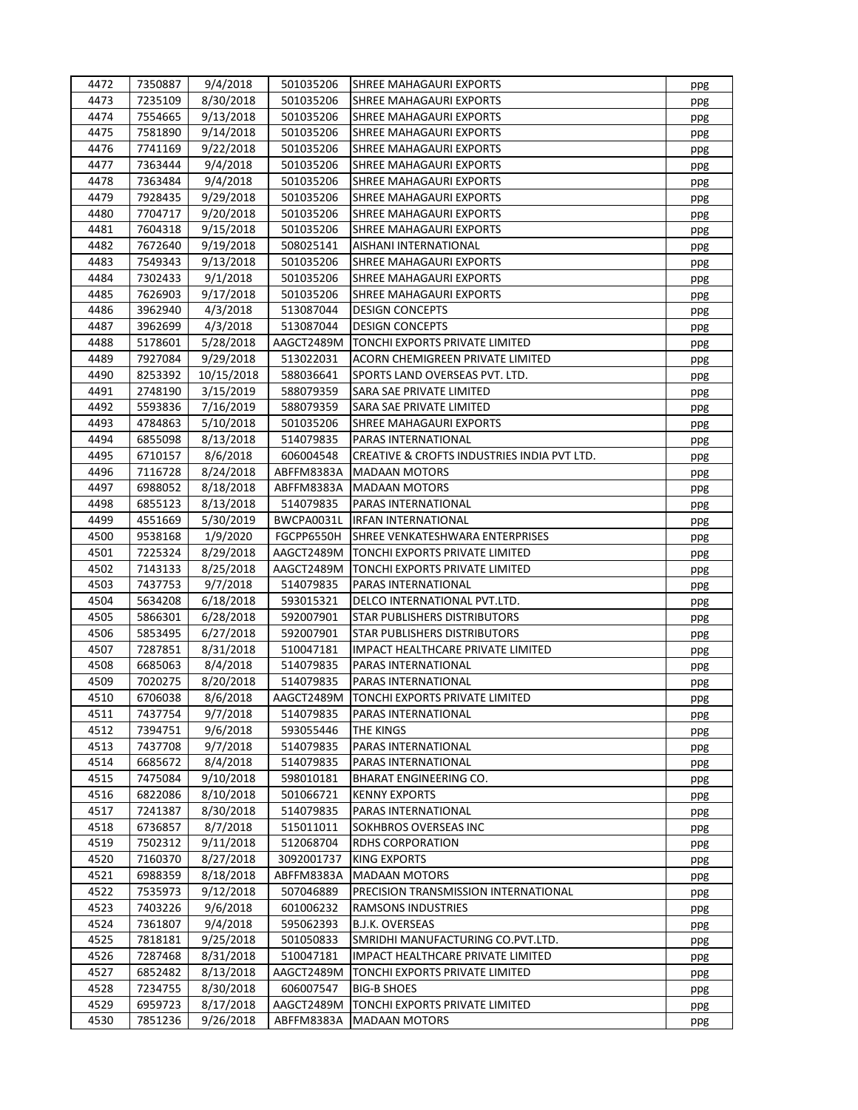| 4472 | 7350887 | 9/4/2018   | 501035206  | <b>SHREE MAHAGAURI EXPORTS</b>              | ppg |
|------|---------|------------|------------|---------------------------------------------|-----|
| 4473 | 7235109 | 8/30/2018  | 501035206  | SHREE MAHAGAURI EXPORTS                     | ppg |
| 4474 | 7554665 | 9/13/2018  | 501035206  | SHREE MAHAGAURI EXPORTS                     | ppg |
| 4475 | 7581890 | 9/14/2018  | 501035206  | SHREE MAHAGAURI EXPORTS                     | ppg |
| 4476 | 7741169 | 9/22/2018  | 501035206  | SHREE MAHAGAURI EXPORTS                     | ppg |
| 4477 | 7363444 | 9/4/2018   | 501035206  | SHREE MAHAGAURI EXPORTS                     | ppg |
| 4478 | 7363484 | 9/4/2018   | 501035206  | SHREE MAHAGAURI EXPORTS                     | ppg |
| 4479 | 7928435 | 9/29/2018  | 501035206  | SHREE MAHAGAURI EXPORTS                     | ppg |
| 4480 | 7704717 | 9/20/2018  | 501035206  | SHREE MAHAGAURI EXPORTS                     | ppg |
| 4481 | 7604318 | 9/15/2018  | 501035206  | SHREE MAHAGAURI EXPORTS                     | ppg |
| 4482 | 7672640 | 9/19/2018  | 508025141  | AISHANI INTERNATIONAL                       | ppg |
| 4483 | 7549343 | 9/13/2018  | 501035206  | SHREE MAHAGAURI EXPORTS                     | ppg |
| 4484 | 7302433 | 9/1/2018   | 501035206  | SHREE MAHAGAURI EXPORTS                     | ppg |
| 4485 | 7626903 | 9/17/2018  | 501035206  | SHREE MAHAGAURI EXPORTS                     | ppg |
| 4486 | 3962940 | 4/3/2018   | 513087044  | <b>DESIGN CONCEPTS</b>                      | ppg |
| 4487 | 3962699 | 4/3/2018   | 513087044  | <b>DESIGN CONCEPTS</b>                      | ppg |
| 4488 | 5178601 | 5/28/2018  | AAGCT2489M | TONCHI EXPORTS PRIVATE LIMITED              | ppg |
| 4489 | 7927084 | 9/29/2018  | 513022031  | ACORN CHEMIGREEN PRIVATE LIMITED            | ppg |
| 4490 | 8253392 | 10/15/2018 | 588036641  | SPORTS LAND OVERSEAS PVT. LTD.              | ppg |
| 4491 | 2748190 | 3/15/2019  | 588079359  | SARA SAE PRIVATE LIMITED                    | ppg |
| 4492 | 5593836 | 7/16/2019  | 588079359  | SARA SAE PRIVATE LIMITED                    | ppg |
| 4493 | 4784863 | 5/10/2018  | 501035206  | SHREE MAHAGAURI EXPORTS                     | ppg |
| 4494 | 6855098 | 8/13/2018  | 514079835  | PARAS INTERNATIONAL                         | ppg |
| 4495 | 6710157 | 8/6/2018   | 606004548  | CREATIVE & CROFTS INDUSTRIES INDIA PVT LTD. | ppg |
| 4496 | 7116728 | 8/24/2018  | ABFFM8383A | <b>MADAAN MOTORS</b>                        | ppg |
| 4497 | 6988052 | 8/18/2018  | ABFFM8383A | <b>MADAAN MOTORS</b>                        | ppg |
| 4498 | 6855123 | 8/13/2018  | 514079835  | PARAS INTERNATIONAL                         | ppg |
| 4499 | 4551669 | 5/30/2019  | BWCPA0031L | <b>IRFAN INTERNATIONAL</b>                  | ppg |
| 4500 | 9538168 | 1/9/2020   | FGCPP6550H | SHREE VENKATESHWARA ENTERPRISES             | ppg |
| 4501 | 7225324 | 8/29/2018  | AAGCT2489M | TONCHI EXPORTS PRIVATE LIMITED              | ppg |
| 4502 | 7143133 | 8/25/2018  | AAGCT2489M | TONCHI EXPORTS PRIVATE LIMITED              | ppg |
| 4503 | 7437753 | 9/7/2018   | 514079835  | PARAS INTERNATIONAL                         | ppg |
| 4504 | 5634208 | 6/18/2018  | 593015321  | DELCO INTERNATIONAL PVT.LTD.                | ppg |
| 4505 | 5866301 | 6/28/2018  | 592007901  | STAR PUBLISHERS DISTRIBUTORS                | ppg |
| 4506 | 5853495 | 6/27/2018  | 592007901  | STAR PUBLISHERS DISTRIBUTORS                | ppg |
| 4507 | 7287851 | 8/31/2018  | 510047181  | IMPACT HEALTHCARE PRIVATE LIMITED           | ppg |
| 4508 | 6685063 | 8/4/2018   | 514079835  | PARAS INTERNATIONAL                         | ppg |
| 4509 | 7020275 | 8/20/2018  | 514079835  | PARAS INTERNATIONAL                         | ppg |
| 4510 | 6706038 | 8/6/2018   | AAGCT2489M | TONCHI EXPORTS PRIVATE LIMITED              | ppg |
| 4511 | 7437754 | 9/7/2018   | 514079835  | PARAS INTERNATIONAL                         | ppg |
| 4512 | 7394751 | 9/6/2018   | 593055446  | THE KINGS                                   | ppg |
| 4513 | 7437708 | 9/7/2018   | 514079835  | PARAS INTERNATIONAL                         | ppg |
| 4514 | 6685672 | 8/4/2018   | 514079835  | PARAS INTERNATIONAL                         | ppg |
| 4515 | 7475084 | 9/10/2018  | 598010181  | <b>BHARAT ENGINEERING CO.</b>               | ppg |
| 4516 | 6822086 | 8/10/2018  | 501066721  | <b>KENNY EXPORTS</b>                        | ppg |
| 4517 | 7241387 | 8/30/2018  | 514079835  | PARAS INTERNATIONAL                         | ppg |
| 4518 | 6736857 | 8/7/2018   | 515011011  | SOKHBROS OVERSEAS INC                       | ppg |
| 4519 | 7502312 | 9/11/2018  | 512068704  | <b>RDHS CORPORATION</b>                     | ppg |
| 4520 | 7160370 | 8/27/2018  | 3092001737 | <b>KING EXPORTS</b>                         | ppg |
| 4521 | 6988359 | 8/18/2018  | ABFFM8383A | <b>MADAAN MOTORS</b>                        | ppg |
| 4522 | 7535973 | 9/12/2018  | 507046889  | PRECISION TRANSMISSION INTERNATIONAL        | ppg |
| 4523 | 7403226 | 9/6/2018   | 601006232  | <b>RAMSONS INDUSTRIES</b>                   | ppg |
| 4524 | 7361807 | 9/4/2018   | 595062393  | B.J.K. OVERSEAS                             | ppg |
| 4525 | 7818181 | 9/25/2018  | 501050833  | SMRIDHI MANUFACTURING CO.PVT.LTD.           | ppg |
| 4526 | 7287468 | 8/31/2018  | 510047181  | IMPACT HEALTHCARE PRIVATE LIMITED           | ppg |
| 4527 | 6852482 | 8/13/2018  | AAGCT2489M | TONCHI EXPORTS PRIVATE LIMITED              | ppg |
| 4528 | 7234755 | 8/30/2018  | 606007547  | <b>BIG-B SHOES</b>                          | ppg |
| 4529 | 6959723 | 8/17/2018  | AAGCT2489M | TONCHI EXPORTS PRIVATE LIMITED              | ppg |
| 4530 | 7851236 | 9/26/2018  | ABFFM8383A | <b>MADAAN MOTORS</b>                        | ppg |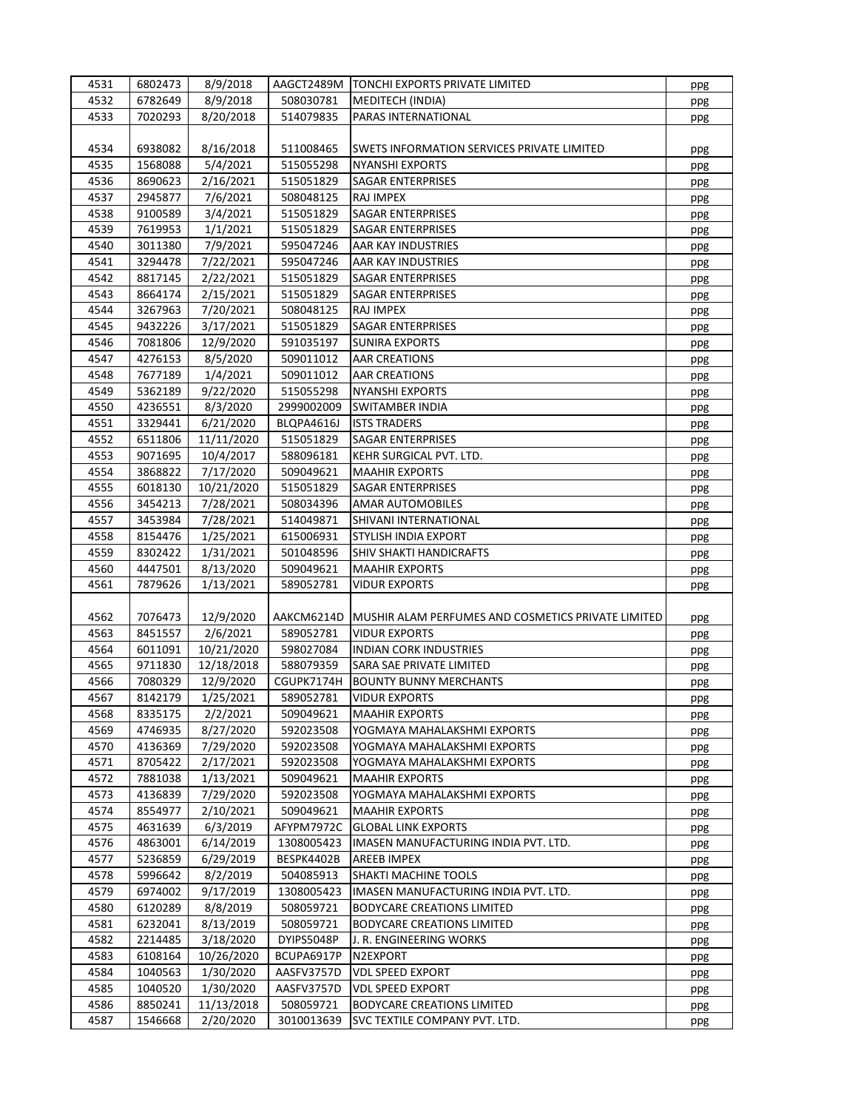| 4531 | 6802473 | 8/9/2018   |            | AAGCT2489M   TONCHI EXPORTS PRIVATE LIMITED        | ppg |
|------|---------|------------|------------|----------------------------------------------------|-----|
| 4532 | 6782649 | 8/9/2018   | 508030781  | <b>MEDITECH (INDIA)</b>                            | ppg |
| 4533 | 7020293 | 8/20/2018  | 514079835  | PARAS INTERNATIONAL                                | ppg |
|      |         |            |            |                                                    |     |
| 4534 | 6938082 | 8/16/2018  | 511008465  | SWETS INFORMATION SERVICES PRIVATE LIMITED         | ppg |
| 4535 | 1568088 | 5/4/2021   | 515055298  | <b>NYANSHI EXPORTS</b>                             | ppg |
| 4536 | 8690623 | 2/16/2021  | 515051829  | SAGAR ENTERPRISES                                  |     |
| 4537 | 2945877 | 7/6/2021   | 508048125  | RAJ IMPEX                                          | ppg |
|      |         |            |            |                                                    | ppg |
| 4538 | 9100589 | 3/4/2021   | 515051829  | SAGAR ENTERPRISES                                  | ppg |
| 4539 | 7619953 | 1/1/2021   | 515051829  | SAGAR ENTERPRISES                                  | ppg |
| 4540 | 3011380 | 7/9/2021   | 595047246  | AAR KAY INDUSTRIES                                 | ppg |
| 4541 | 3294478 | 7/22/2021  | 595047246  | AAR KAY INDUSTRIES                                 | ppg |
| 4542 | 8817145 | 2/22/2021  | 515051829  | SAGAR ENTERPRISES                                  | ppg |
| 4543 | 8664174 | 2/15/2021  | 515051829  | <b>SAGAR ENTERPRISES</b>                           | ppg |
| 4544 | 3267963 | 7/20/2021  | 508048125  | RAJ IMPEX                                          | ppg |
| 4545 | 9432226 | 3/17/2021  | 515051829  | SAGAR ENTERPRISES                                  | ppg |
| 4546 | 7081806 | 12/9/2020  | 591035197  | <b>SUNIRA EXPORTS</b>                              | ppg |
| 4547 | 4276153 | 8/5/2020   | 509011012  | <b>AAR CREATIONS</b>                               | ppg |
| 4548 | 7677189 | 1/4/2021   | 509011012  | <b>AAR CREATIONS</b>                               | ppg |
| 4549 | 5362189 | 9/22/2020  | 515055298  | <b>NYANSHI EXPORTS</b>                             | ppg |
| 4550 | 4236551 | 8/3/2020   | 2999002009 | SWITAMBER INDIA                                    | ppg |
| 4551 | 3329441 | 6/21/2020  | BLQPA4616J | <b>ISTS TRADERS</b>                                | ppg |
| 4552 | 6511806 | 11/11/2020 | 515051829  | SAGAR ENTERPRISES                                  | ppg |
| 4553 | 9071695 | 10/4/2017  | 588096181  | KEHR SURGICAL PVT. LTD.                            | ppg |
| 4554 | 3868822 | 7/17/2020  | 509049621  | <b>MAAHIR EXPORTS</b>                              | ppg |
| 4555 | 6018130 | 10/21/2020 | 515051829  | SAGAR ENTERPRISES                                  | ppg |
| 4556 | 3454213 | 7/28/2021  | 508034396  | <b>AMAR AUTOMOBILES</b>                            |     |
| 4557 | 3453984 | 7/28/2021  | 514049871  | SHIVANI INTERNATIONAL                              | ppg |
| 4558 | 8154476 |            | 615006931  | STYLISH INDIA EXPORT                               | ppg |
| 4559 |         | 1/25/2021  |            |                                                    | ppg |
|      | 8302422 | 1/31/2021  | 501048596  | SHIV SHAKTI HANDICRAFTS                            | ppg |
| 4560 | 4447501 | 8/13/2020  | 509049621  | <b>MAAHIR EXPORTS</b>                              | ppg |
| 4561 | 7879626 | 1/13/2021  | 589052781  | <b>VIDUR EXPORTS</b>                               | ppg |
|      |         |            |            |                                                    |     |
| 4562 | 7076473 | 12/9/2020  | AAKCM6214D | MUSHIR ALAM PERFUMES AND COSMETICS PRIVATE LIMITED | ppg |
| 4563 | 8451557 | 2/6/2021   | 589052781  | <b>VIDUR EXPORTS</b>                               | ppg |
| 4564 | 6011091 | 10/21/2020 | 598027084  | <b>INDIAN CORK INDUSTRIES</b>                      | ppg |
| 4565 | 9711830 | 12/18/2018 | 588079359  | SARA SAE PRIVATE LIMITED                           | ppg |
| 4566 | 7080329 | 12/9/2020  | CGUPK7174H | <b>BOUNTY BUNNY MERCHANTS</b>                      | ppg |
| 4567 | 8142179 | 1/25/2021  | 589052781  | <b>VIDUR EXPORTS</b>                               | ppg |
| 4568 | 8335175 | 2/2/2021   | 509049621  | <b>MAAHIR EXPORTS</b>                              | ppg |
| 4569 | 4746935 | 8/27/2020  | 592023508  | YOGMAYA MAHALAKSHMI EXPORTS                        | ppg |
| 4570 | 4136369 | 7/29/2020  | 592023508  | YOGMAYA MAHALAKSHMI EXPORTS                        | ppg |
| 4571 | 8705422 | 2/17/2021  | 592023508  | YOGMAYA MAHALAKSHMI EXPORTS                        | ppg |
| 4572 | 7881038 | 1/13/2021  | 509049621  | <b>MAAHIR EXPORTS</b>                              | ppg |
| 4573 | 4136839 | 7/29/2020  | 592023508  | YOGMAYA MAHALAKSHMI EXPORTS                        | ppg |
| 4574 | 8554977 | 2/10/2021  | 509049621  | <b>MAAHIR EXPORTS</b>                              | ppg |
| 4575 | 4631639 | 6/3/2019   | AFYPM7972C | <b>GLOBAL LINK EXPORTS</b>                         | ppg |
| 4576 | 4863001 | 6/14/2019  | 1308005423 | IMASEN MANUFACTURING INDIA PVT. LTD.               | ppg |
| 4577 | 5236859 | 6/29/2019  | BESPK4402B | AREEB IMPEX                                        |     |
| 4578 | 5996642 | 8/2/2019   | 504085913  | SHAKTI MACHINE TOOLS                               | ppg |
| 4579 | 6974002 | 9/17/2019  | 1308005423 | IMASEN MANUFACTURING INDIA PVT. LTD.               | ppg |
| 4580 | 6120289 |            | 508059721  |                                                    | ppg |
|      |         | 8/8/2019   |            | <b>BODYCARE CREATIONS LIMITED</b>                  | ppg |
| 4581 | 6232041 | 8/13/2019  | 508059721  | <b>BODYCARE CREATIONS LIMITED</b>                  | ppg |
| 4582 | 2214485 | 3/18/2020  | DYIPS5048P | J. R. ENGINEERING WORKS                            | ppg |
| 4583 | 6108164 | 10/26/2020 | BCUPA6917P | N2EXPORT                                           | ppg |
| 4584 | 1040563 | 1/30/2020  | AASFV3757D | <b>VDL SPEED EXPORT</b>                            | ppg |
| 4585 | 1040520 | 1/30/2020  | AASFV3757D | <b>VDL SPEED EXPORT</b>                            | ppg |
| 4586 | 8850241 | 11/13/2018 | 508059721  | <b>BODYCARE CREATIONS LIMITED</b>                  | ppg |
| 4587 | 1546668 | 2/20/2020  | 3010013639 | SVC TEXTILE COMPANY PVT. LTD.                      | ppg |